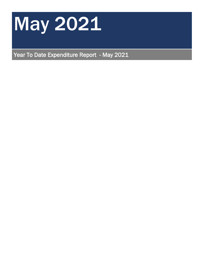

Year To Date Expenditure Report - May 2021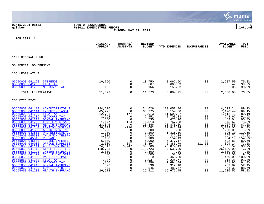|                                                                                                                                                                                                                                                                                                                                                                                                                                                                                                                                                                                                                                                                                                                                                                                                                                                                                                                                      |                                                                                                                                                                                                                             |                                                                                                                                                                                                                                                                                                                                         |                                                                                                                                                                                                                             |                                                                                                                                                                                                                                                                              |                                                                                                                                                                                             |                                                                                                                                                                                                                                                                          | munis<br>a tyler erp solution                                                                                                                                                                                           |
|--------------------------------------------------------------------------------------------------------------------------------------------------------------------------------------------------------------------------------------------------------------------------------------------------------------------------------------------------------------------------------------------------------------------------------------------------------------------------------------------------------------------------------------------------------------------------------------------------------------------------------------------------------------------------------------------------------------------------------------------------------------------------------------------------------------------------------------------------------------------------------------------------------------------------------------|-----------------------------------------------------------------------------------------------------------------------------------------------------------------------------------------------------------------------------|-----------------------------------------------------------------------------------------------------------------------------------------------------------------------------------------------------------------------------------------------------------------------------------------------------------------------------------------|-----------------------------------------------------------------------------------------------------------------------------------------------------------------------------------------------------------------------------|------------------------------------------------------------------------------------------------------------------------------------------------------------------------------------------------------------------------------------------------------------------------------|---------------------------------------------------------------------------------------------------------------------------------------------------------------------------------------------|--------------------------------------------------------------------------------------------------------------------------------------------------------------------------------------------------------------------------------------------------------------------------|-------------------------------------------------------------------------------------------------------------------------------------------------------------------------------------------------------------------------|
| 06/15/2021 08:43<br>gclukey                                                                                                                                                                                                                                                                                                                                                                                                                                                                                                                                                                                                                                                                                                                                                                                                                                                                                                          | TOWN OF SCARBOROUGH<br><b>FY2021 EXPENDITURE REPORT</b>                                                                                                                                                                     | THROUGH MAY 31, 2021                                                                                                                                                                                                                                                                                                                    |                                                                                                                                                                                                                             |                                                                                                                                                                                                                                                                              |                                                                                                                                                                                             |                                                                                                                                                                                                                                                                          | l P<br>1<br>glytdbud                                                                                                                                                                                                    |
| FOR 2021 11                                                                                                                                                                                                                                                                                                                                                                                                                                                                                                                                                                                                                                                                                                                                                                                                                                                                                                                          |                                                                                                                                                                                                                             |                                                                                                                                                                                                                                                                                                                                         |                                                                                                                                                                                                                             |                                                                                                                                                                                                                                                                              |                                                                                                                                                                                             |                                                                                                                                                                                                                                                                          |                                                                                                                                                                                                                         |
|                                                                                                                                                                                                                                                                                                                                                                                                                                                                                                                                                                                                                                                                                                                                                                                                                                                                                                                                      | ORIGINAL<br><b>APPROP</b>                                                                                                                                                                                                   | <b>TRANFRS/</b><br><b>ADJSTMTS</b>                                                                                                                                                                                                                                                                                                      | <b>REVISED</b><br><b>BUDGET</b>                                                                                                                                                                                             | <b>YTD EXPENDED</b>                                                                                                                                                                                                                                                          | <b>ENCUMBRANCES</b>                                                                                                                                                                         | <b>AVAILABLE</b><br><b>BUDGET</b>                                                                                                                                                                                                                                        | <b>PCT</b><br><b>USED</b>                                                                                                                                                                                               |
| 1100 GENERAL FUND                                                                                                                                                                                                                                                                                                                                                                                                                                                                                                                                                                                                                                                                                                                                                                                                                                                                                                                    |                                                                                                                                                                                                                             |                                                                                                                                                                                                                                                                                                                                         |                                                                                                                                                                                                                             |                                                                                                                                                                                                                                                                              |                                                                                                                                                                                             |                                                                                                                                                                                                                                                                          |                                                                                                                                                                                                                         |
| 55 GENERAL GOVERNMENT                                                                                                                                                                                                                                                                                                                                                                                                                                                                                                                                                                                                                                                                                                                                                                                                                                                                                                                |                                                                                                                                                                                                                             |                                                                                                                                                                                                                                                                                                                                         |                                                                                                                                                                                                                             |                                                                                                                                                                                                                                                                              |                                                                                                                                                                                             |                                                                                                                                                                                                                                                                          |                                                                                                                                                                                                                         |
| 255 LEGISLATIVE                                                                                                                                                                                                                                                                                                                                                                                                                                                                                                                                                                                                                                                                                                                                                                                                                                                                                                                      |                                                                                                                                                                                                                             |                                                                                                                                                                                                                                                                                                                                         |                                                                                                                                                                                                                             |                                                                                                                                                                                                                                                                              |                                                                                                                                                                                             |                                                                                                                                                                                                                                                                          |                                                                                                                                                                                                                         |
| 05500000 041120<br><b>STIPENDS</b><br>05500000 041200<br>FICA TAX<br>05500000 041205<br><b>MEDICARE TAX</b>                                                                                                                                                                                                                                                                                                                                                                                                                                                                                                                                                                                                                                                                                                                                                                                                                          | 10,750<br>667<br>156                                                                                                                                                                                                        | $\mathbf 0$<br>$\Omega$<br>$\Omega$                                                                                                                                                                                                                                                                                                     | 10,750<br>667<br>156                                                                                                                                                                                                        | 8,062.50<br>666.53<br>155.92                                                                                                                                                                                                                                                 | $.00 \,$<br>.00<br>.00                                                                                                                                                                      | 2,687.50<br>.47<br>.08                                                                                                                                                                                                                                                   | 75.0%<br>99.9%<br>99.9%                                                                                                                                                                                                 |
| TOTAL LEGISLATIVE                                                                                                                                                                                                                                                                                                                                                                                                                                                                                                                                                                                                                                                                                                                                                                                                                                                                                                                    | 11,573                                                                                                                                                                                                                      | $\overline{0}$                                                                                                                                                                                                                                                                                                                          | 11,573                                                                                                                                                                                                                      | 8,884.95                                                                                                                                                                                                                                                                     | .00                                                                                                                                                                                         | 2,688.05                                                                                                                                                                                                                                                                 | 76.8%                                                                                                                                                                                                                   |
| 256 EXECUTIVE                                                                                                                                                                                                                                                                                                                                                                                                                                                                                                                                                                                                                                                                                                                                                                                                                                                                                                                        |                                                                                                                                                                                                                             |                                                                                                                                                                                                                                                                                                                                         |                                                                                                                                                                                                                             |                                                                                                                                                                                                                                                                              |                                                                                                                                                                                             |                                                                                                                                                                                                                                                                          |                                                                                                                                                                                                                         |
| 05655000 041110 ADMINISTRATOR F<br>05655000 041114<br><b>EXECUTIVE ASST</b><br>05655000 041200<br>FICA TAX<br>05655000 041205<br>MEDICARE TAX<br>05655000 041210<br>DENTAL INSURANC<br>05655000 041220<br>LONGTERM DISABL<br>HEALTH INSURANC<br>05655000 041230<br>05655000 041240<br>PENSION (MSRS/I<br>05655000 041300<br><b>ADMIN OVERTIME</b><br>05655000 043500<br>PROFESSIONAL DU<br>05655000 045302<br>TM ADMIN TELEPH<br>05655000 045310<br>POSTAGE<br>05655000 045800<br>TRAVEL EXPENSE<br>05655000 046000<br>OFFICE SUPPLIES<br>05655050 041111<br><b>ASST TOWN MANAG</b><br>05655050 041112<br>STAFF FULL TIME<br>05655050 041120<br>INTERN STIPENDS<br>05655050 041122<br>CELL PHONE STIP<br>05655050 041150<br>PART TIME PAY<br>05655050 041200<br>FICA TAX<br>05655050 041205<br>MEDICARE TAX<br>05655050 041210<br>DENTAL INSURANC<br>05655050 041220<br><b>LONG TERM DISAB</b><br>05655050 041230<br>HEALTH INSURANC | 134,626<br>65,275<br>12,736<br>2,952<br>530<br>1,177<br>23,846<br>36,292<br>200<br>1,200<br>1,000<br>100<br>6,000<br>2,500<br>24,513<br>110,723<br>2,800<br>600<br>$\overline{0}$<br>7,937<br>1,856<br>596<br>545<br>26,912 | $\overline{0}$<br>$\overline{0}$<br>177<br>$\overline{0}$<br>$\Omega$<br>$-164$<br>$\overline{0}$<br>$-210$<br>$\overline{0}$<br>$\overline{0}$<br>$\overline{0}$<br>$\Omega$<br>$\Omega$<br>897<br>6,247<br>$\overline{0}$<br>$\mathbf 0$<br>0<br>$\mathsf{O}$<br>$\mathbf 0$<br>$\mathbf 0$<br>$\mathbf 0$<br>$\mathbf 0$<br>$\Omega$ | 134,626<br>65,275<br>12,913<br>2,952<br>530<br>1,013<br>23,846<br>36,082<br>200<br>1,200<br>1,000<br>100<br>6,000<br>3,397<br>30,760<br>110,723<br>2,800<br>600<br>$\overline{0}$<br>7,937<br>1,856<br>596<br>545<br>26,912 | 120,053.76<br>58,154.56<br>11,500.87<br>2,703.33<br>476.96<br>767.38<br>20,878.50<br>32,842.94<br>.00<br>1,326.10<br>332.29<br>$154.19$<br>5,377.17<br>2,385.79<br>28,874.43<br>84,533.00<br>.00<br>57.50<br>460.00<br>7,225.77<br>1,694.04<br>312.18<br>483.67<br>15,675.45 | .00<br>$.00 \,$<br>.00<br>.00<br>.00<br>.00<br>.00<br>.00<br>.00<br>$.00 \,$<br>.00<br>.00<br>.00<br>111.68<br>.00<br>.00<br>$.00 \,$<br>.00<br>.00<br>.00<br>$.00 \,$<br>.00<br>.00<br>.00 | 14,572.24<br>7,120.44<br>1,412.13<br>248.67<br>53.04<br>245.62<br>2,967.50<br>3,239.06<br>200.00<br>$-126.10$<br>667.71<br>$-54.19$<br>622.83<br>899.24<br>1,885.57<br>26, 190.00<br>2,800.00<br>542.50<br>$-460.00$<br>711.23<br>161.96<br>283.82<br>61.33<br>11,236.55 | 89.2%<br>89.1%<br>89.1%<br>91.6%<br>90.0%<br>75.8%<br>87.6%<br>91.0%<br>.0%<br>110.5%*<br>33.2%<br>154.2%*<br>89.6%<br>73.5%<br>93.9%<br>76.3%<br>.0%<br>9.6%<br>$100.0$ *<br>91.0%<br>91.3%<br>52.4%<br>88.7%<br>58.2% |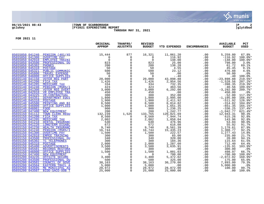

### **06/15/2021 08:43 |TOWN OF SCARBOROUGH |P 2 gclukey |FY2021 EXPENDITURE REPORT |glytdbud THROUGH MAY 31, 2021**



|                                                                                                                                                                                                                                                                                                                                                                                      | <b>BUDGET</b>                    | <b>USED</b>          |
|--------------------------------------------------------------------------------------------------------------------------------------------------------------------------------------------------------------------------------------------------------------------------------------------------------------------------------------------------------------------------------------|----------------------------------|----------------------|
| 877<br>05655050 041240 PENSION (401/45<br>$\begin{array}{r} \textbf{15, 444} \\ \textbf{15, 444} \\ \textbf{0} \\ 2230 \\ 200 \\ 500 \\ 500 \\ 1, 426 \\ 324 \\ 3, 424 \\ 3, 423 \\ 3, 000 \\ 4423 \\ 300 \\ 1, 800 \\ 1, 900 \\ 5, 000 \\ 1, 900 \\ 1, 900 \\ 6, 500 \\ 2, 002 \\ 5, 002 \\ 5, 740 \\ 9, 740 \\ 16, 744 \\ 1, 500 \\ 3, 002 \\ 5, 74$<br>16,321<br>11,061.20<br>.00 | 5,259.80                         | 67.8%                |
| 116.92<br>05655050 041300<br>$\Omega$<br>.00<br><b>OVERTIME PAY</b><br>$\mathbf 0$                                                                                                                                                                                                                                                                                                   | $-116.92$                        | $100.0$ *            |
| 05655050 042910<br>$\overline{0}$<br>148.00<br>0<br><b>EMPLOYEE TRAINI</b><br>.00                                                                                                                                                                                                                                                                                                    | $-148.00$                        | 100.0%*              |
| 05655050 043500<br>$\mathbf 0$<br>25.00<br>PROFESSIONAL DU<br>823<br>.00                                                                                                                                                                                                                                                                                                             | 798.00                           | 3.0%                 |
| $\mathsf{O}$<br>05655050 045302<br><b>PHONES</b><br>200<br>138.28<br>.00                                                                                                                                                                                                                                                                                                             | 61.72                            | 69.1%                |
| $\mathsf{O}$<br>05655050 045310<br>50<br>4.55<br><b>POSTAGE</b><br>.00                                                                                                                                                                                                                                                                                                               | 45.45                            | 9.1%                 |
| $\mathbf{0}$<br>23.12<br>05655050 045321<br>PUBLIC COMMUNIC<br>500<br>.00                                                                                                                                                                                                                                                                                                            | 476.88                           | 4.6%                 |
| $\overline{0}$<br>05655050 045800<br>50<br>TRAVEL EXPENSE<br>.00<br>.00                                                                                                                                                                                                                                                                                                              | 50.00                            | .0%                  |
| $\overline{0}$<br>05655050 046000<br>OFFICE SUPPLIES<br>$\overline{0}$<br>$- .40$<br>.00                                                                                                                                                                                                                                                                                             | .40                              | 100.0%               |
| $\mathsf{O}$<br>05655140 041150<br>43,898.88<br><b>VOTER REG PART</b><br>20,000<br>.00<br>05655140 041200                                                                                                                                                                                                                                                                            | $-23,898.88$                     | 219.5%*              |
| $\mathsf{O}$<br>2,954.56<br>1,426<br>FICA TAX<br>.00                                                                                                                                                                                                                                                                                                                                 | $-1,528.56$                      | $207.2$ *            |
| $\mathsf{O}$<br>732.35<br>05655140 041205<br>MEDICARE TAX<br>334<br>.00<br>$\mathbf 0$<br>05655140 041240<br>PENSION (MSRS/I<br>423<br>463.56<br>.00                                                                                                                                                                                                                                 | $-398.35$<br>$-40.56$            | 219.3%*<br>109.6%*   |
| $\overline{0}$<br>05655140 041300<br><b>VOTER REG OVERT</b><br>6, 292.00<br>.00                                                                                                                                                                                                                                                                                                      | $-3, 292.00$                     | $209.7$ *            |
| 3,000<br>450<br>05655140 042910<br>$\overline{0}$<br>VR EMPLOYEE TRA<br>.00<br>.00                                                                                                                                                                                                                                                                                                   | 450.00                           | .0%                  |
| $\overline{0}$<br>05655140 043225<br>300<br>352.00<br>VR-CONTRACTUAL<br>.00                                                                                                                                                                                                                                                                                                          | $-52.00$                         | 117.3%*              |
| $\mathsf{O}$<br>1,800<br>2,995.00<br>05655140 044351<br>DEPARTMENT EQUI<br>.00                                                                                                                                                                                                                                                                                                       | $-1, 195.00$                     | 166.4%*              |
| $\overline{0}$<br>2,411.92<br>05655140 045310<br>POSTAGE<br>1,900<br>.00                                                                                                                                                                                                                                                                                                             | $-511.92$                        | 126.9%*              |
| $\overline{0}$<br>05655140 045500<br>PRINTING AND BI<br>6,500<br>.00                                                                                                                                                                                                                                                                                                                 | $-314.82$                        | 104.8%*              |
| $\overline{0}$<br>1,000<br>05655140 046000<br>OFFICE SUPPLIES<br>.00                                                                                                                                                                                                                                                                                                                 | $-651.35$                        | $165.1$ <sup>*</sup> |
| $6,814.82$<br>1,651.35<br>1,236.25<br>05655140 046001<br>$\overline{0}$<br>900<br>FOOD<br>.00                                                                                                                                                                                                                                                                                        | $-336.25$                        | 137.4%*              |
| 1,242.77<br>05655140 047400<br>$\overline{0}$<br>200<br>NEW EOUIPMENT<br>.00                                                                                                                                                                                                                                                                                                         | $-1,042.77$                      | 621.4%*              |
| 120,821.69<br>05655150 041112<br>TOWN CLERK REGU<br>1,526<br>133,765<br>.00                                                                                                                                                                                                                                                                                                          | 12,943.31                        | 90.3%                |
| 7,944.74<br>05655150 041200<br>FICA TAX<br>$\Omega$<br>.00                                                                                                                                                                                                                                                                                                                           | 615.26                           | 92.8%                |
| $\frac{8}{2}, \frac{560}{002}$<br>05655150 041205<br>MEDICARE TAX<br>$\mathbf 0$<br>1,858.04<br>.00                                                                                                                                                                                                                                                                                  | 143.96                           | 92.8%                |
| 05655150 041210<br>$\mathsf{O}$<br>DENTAL INSURANC<br>530<br>476.96<br>.00                                                                                                                                                                                                                                                                                                           | 53.04                            | $90.0$ <sup>8</sup>  |
| $\overline{0}$<br>05655150 041220<br><b>LONGTERM DISABL</b><br>616.08<br>672<br>.00                                                                                                                                                                                                                                                                                                  | 55.92                            | 91.7%                |
| $\mathsf{O}$<br>9,740<br>8,561.39<br>05655150 041230<br>HEALTH INSURANC<br>.00                                                                                                                                                                                                                                                                                                       | 1,178.61<br>1,308.77<br>1,277.43 | 87.9%                |
| $\overline{0}$<br>15,435.23<br>05655150 041240<br>16,744<br>PENSION (MSRS/I<br>.00                                                                                                                                                                                                                                                                                                   |                                  | 92.2%                |
| 222.57<br>$\overline{0}$<br>05655150 041300<br><b>OVERTIME PAY</b><br>1,500<br>.00                                                                                                                                                                                                                                                                                                   |                                  | 14.8%                |
| $\mathsf{O}$<br>05655150 042910<br>65.00<br><b>EMPEE TRAINING</b><br>300<br>.00                                                                                                                                                                                                                                                                                                      | 235.00                           | 21.7%                |
| $\Omega$<br>05655150 043500<br>PROFESSIONAL DU<br>320.00<br>340<br>.00                                                                                                                                                                                                                                                                                                               | 20.00                            | 94.1%                |
| $\mathsf{O}$<br>05655150 045302<br>TC TELEPHONES<br>300<br>184.36<br>.00                                                                                                                                                                                                                                                                                                             | 115.64                           | 61.5%                |
| $\mathsf{O}\xspace$<br>05655150 045310<br><b>POSTAGE</b><br>2,000<br>1,287.60<br>.00                                                                                                                                                                                                                                                                                                 | 712.40                           | 64.4%                |
| $\mathsf{O}$<br>3,500<br>3,635.91<br>05655150 045400<br><b>ADVERTISEMENTS</b><br>.00<br>$\mathbf 0$                                                                                                                                                                                                                                                                                  | $-135.91$                        | 103.9%*              |
| 05655150 045501<br>300<br>.00<br>RECORDS RESTORA<br>.00                                                                                                                                                                                                                                                                                                                              | 300.00                           | .0%                  |
| 05655150 046000<br>OFFICE SUPPLIES<br>$\mathsf{O}$<br>1,500<br>1,001.03<br>.00<br>$\mathsf{O}$<br>05655150 047400<br>NEW EOUIPMENT<br>$\overline{0}$                                                                                                                                                                                                                                 | 498.97<br>$-700.00$              | 66.7%<br>$100.0$ *   |
| $700.00$<br>5,472.02<br>.00<br>$\overline{0}$<br>05655200 043235<br><b>OFFSITE SECURE</b><br>.00                                                                                                                                                                                                                                                                                     | $-2,072.02$                      | 160.9%*              |
| 3,400<br>$\mathsf{O}$<br>05655200 043500<br>PROFESSIONAL DU<br>500<br>325.00<br>.00                                                                                                                                                                                                                                                                                                  | 175.00                           | 65.0%                |
| $\overline{0}$<br>05655200 043501<br>38,163<br>30,270.00<br><b>COUNCIL OF GOVE</b><br>.00                                                                                                                                                                                                                                                                                            | 7,893.00                         | 79.3%                |
| 5,000<br>$\mathsf{O}$<br>5,000<br>05655200 043504<br><b>EASTERN TRAIL A</b><br>.00<br>.00                                                                                                                                                                                                                                                                                            | 5,000.00                         | .0%                  |
| $\mathbf 0$<br>28,872.00<br>05655200 043505<br>ME MUNICIPAL AS<br>28,972<br>28,972<br>.00                                                                                                                                                                                                                                                                                            | 100.00                           | 99.7%                |
| $\overline{0}$<br>.00<br>05655200 043507<br>BIDD-SACO-OOB T<br>25,000<br>25,000<br>25,000.00                                                                                                                                                                                                                                                                                         | .00                              | 100.0%               |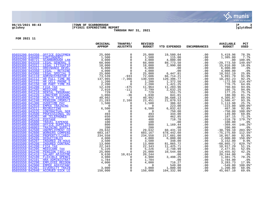

## **06/15/2021 08:43 |TOWN OF SCARBOROUGH |P 3 gclukey |FY2021 EXPENDITURE REPORT |glytdbud THROUGH MAY 31, 2021**



|                                           | ORIGINAL<br><b>APPROP</b> | TRANFRS/<br>ADJSTMTS                                                 | <b>REVISED</b><br><b>BUDGET</b> | YTD EXPENDED                                     | <b>ENCUMBRANCES</b>                                               | <b>AVAILABLE</b><br><b>BUDGET</b> | PCT<br><b>USED</b> |
|-------------------------------------------|---------------------------|----------------------------------------------------------------------|---------------------------------|--------------------------------------------------|-------------------------------------------------------------------|-----------------------------------|--------------------|
| 05655200 044350                           |                           | $\mathbf 0$                                                          | 25,000                          | 19,580.04                                        | .00                                                               | 5,419.96                          | 78.3%              |
| 05655200 048400                           |                           | $\begin{matrix} 0 \\ 0 \\ 0 \\ 0 \end{matrix}$                       |                                 | 115.00                                           | .00                                                               | 1,385.00                          | 7.7%               |
| 05655200 048721                           |                           |                                                                      | $\frac{1}{4}$ , 500<br>4,000    | 4,000.00                                         | .00                                                               | .00                               | 100.0%             |
| 05655300 043310                           |                           |                                                                      | 60,000                          | 89,773.50                                        | .00                                                               | $-29,773.50$                      | 149.6%*            |
| 05655300 043311                           |                           | $\begin{bmatrix} 0 \\ 0 \\ 0 \\ 0 \\ -933 \\ \hline 7 \end{bmatrix}$ | $18, 000$<br>6,000              | 2,990.00                                         | .00                                                               | 15,010.00                         | 16.6%              |
| 05655300 043321                           |                           |                                                                      |                                 |                                                  | .00                                                               | 6,000.00                          | .0%                |
| 05655300 043350                           |                           |                                                                      | $4,000$<br>25,000               | $00$<br>$00$<br>$6,447.81$                       | .00                                                               | 4,000.00                          | .0%                |
| 05655300 043360                           |                           |                                                                      | 25,000                          |                                                  | .00                                                               | 18,552.19                         | 25.8%              |
| 05655400 041110 ADMINISTRATOR F           |                           |                                                                      | 72,606                          | 66,714.21<br>120,396.77                          | .00                                                               | 5,891.79                          | 91.9%              |
| 05655400 041112 HR FULL TIME RE           |                           | $-7,366$<br>0<br>0<br>$-475$                                         | 130,599                         | 120,396.77                                       | .00                                                               | 10,202.23                         | 92.2               |
| 05655400 041122                           |                           |                                                                      | 1,200                           | 1,372.50                                         | .00                                                               | $-172.50$                         | 114.4%*            |
| 05655400 041150                           |                           |                                                                      | 2,200                           | 1,421.25                                         | .00                                                               | 778.75                            | 64.6%              |
| 05655400 041200                           |                           |                                                                      | 11,964                          | $1\overline{1}$ , 203.96                         | .00                                                               | 760.04                            | 93.6%              |
| 05655400 041205                           |                           | $-111$                                                               | 2,799                           | 2,632.25                                         | .00                                                               | 166.75                            | 94.0%              |
| 05655400 041210                           |                           | $\overline{0}$                                                       | 729                             | 551.75                                           | .00                                                               | 177.25                            | 75.7%              |
| 05655400 041220                           |                           | $-36$<br>$\overline{0}$                                              | 1,030                           | 841.01                                           | $0.00$<br>0.00<br>0.00                                            | 188.99                            | 81.7%              |
| 05655400 041230<br>05655400 041240        |                           |                                                                      | 40,992                          | 36,686.13                                        |                                                                   | 4,305.87                          | 89.5%              |
| 05655400 041300                           |                           | 2,168                                                                | 23,451<br>1,500                 | 21,870.53<br>386.02                              |                                                                   | 1,580.47                          | 93.3%<br>25.7%     |
| 05655400 042910                           |                           | 0<br>$\mathbf 0$                                                     | $\overline{0}$                  | 223.00                                           | .00<br>.00                                                        | 1,113.98<br>$-223.00$             | 100.0%*            |
| 05655400 043211                           |                           | $\mathsf{O}$                                                         | 6,500                           | 6,032.62                                         | .00                                                               | 467.38                            | 92.8%              |
| 05655400 043225                           |                           | $\overline{0}$                                                       | $\overline{0}$                  | 750.00                                           | .00                                                               | $-750.00$                         | 100.0%*            |
| 05655400 043500                           |                           |                                                                      | $\overline{0}$<br>493           | 344.00                                           | .00                                                               | 149.00                            | 69.8%              |
| 05655400 045302                           |                           |                                                                      | $\frac{0}{2}$<br>650            | 462.85                                           | .00                                                               | 187.15                            | 71.2%              |
| 05655400 045310                           |                           |                                                                      | 400                             | 718.78                                           | .00                                                               | $-318.78$                         | 179.7%*            |
| 05655400 045800                           |                           |                                                                      | 100                             | .00                                              | .00                                                               | 100.00                            | .0%                |
| 05655400 046000                           |                           | $\overline{0}$<br>0                                                  | 800                             | 1,169.44                                         | .00                                                               | $-369.44$                         | 146.2%*            |
| 05655400 046003                           |                           | $\overline{0}$<br>0                                                  | 200                             | .00                                              | .00                                                               | 200.00                            | .0%                |
| 05655500 042500                           |                           |                                                                      | 29,632                          | 60,431.10                                        | .00                                                               | $-30,799.10$                      | 203.9%*            |
| 05655500 042600                           |                           | $\overline{0}$                                                       | 603,167                         | 678,442.60                                       | .00                                                               | $-75, 275.60$                     | 112.5%*            |
| 05655500 045200                           |                           | $\overline{0}$                                                       | 234,558                         | 217,601.00                                       | .00                                                               | 16,957.00                         | 92.8%              |
| 05655500 045205                           |                           | $\overline{0}$                                                       | 4,000                           | 6,000.00                                         | .00                                                               | $^{-2},000.00\ 3,152.00$          | 150.0%*            |
| 05655500 045207                           |                           | $\overline{0}$<br>0                                                  | 3,500                           | 348.00                                           | .00                                                               |                                   | 9.9%               |
| 05655500 045208                           |                           |                                                                      | 13,000                          | 81,865.72                                        | .00                                                               | $-68,865.72$                      | 629.7%*            |
| 05655550 041200                           |                           | $\overline{0}$<br>0                                                  | 22,343                          | 11,425.71                                        | .00                                                               | 10,917.29                         | 51.1%              |
| 05655550 041205                           |                           |                                                                      | 5,226                           |                                                  | .00                                                               | 2,477.01                          | 52.6%              |
| 05655550 041240                           |                           | $\mathbf 0$                                                          | 25,000                          |                                                  | .00                                                               | 14,455.92<br>20,244.00            | 42.2%              |
| 05655550 041410                           |                           | 10,614                                                               | 20,244                          |                                                  | .00                                                               |                                   | $.0\%$             |
| 05655550 042100                           |                           |                                                                      | 4,980                           | $2,748.99$<br>10,544.08<br>10,544.08<br>3,498.25 | .00<br>$\begin{array}{c} 0.00 \\ -0.00 \end{array}$               | 1,481.75                          | 70.2%              |
| 05655550 042101                           |                           |                                                                      | 1,784                           |                                                  |                                                                   | 1,784.00                          | .0%                |
| 05655550 042290                           |                           |                                                                      | 4,000                           | 716.27                                           | $\begin{matrix} . & 0 & 0 \\ 0 & 0 & 0 \\ 0 & 0 & 0 \end{matrix}$ | 3,283.73                          | 17.9%              |
| 05655550 042900                           |                           |                                                                      | $\overline{0}$                  | 549.80<br>80.00<br>1,800.00<br>10.00             | .00                                                               | $-549.80$                         | $100.0$ *          |
| 05655550 042901                           |                           |                                                                      | 3,000                           |                                                  | .00                                                               | 1,200.00                          | 60.0%              |
| 05655550 042940<br><b>ACCRUED SICK LE</b> | 150,000                   |                                                                      | 150,000                         | 104,332.90                                       | .00                                                               | 45,667.10                         | 69.6%              |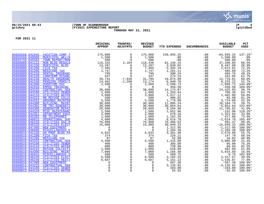

#### **06/15/2021 08:43 |TOWN OF SCARBOROUGH |P 4 gclukey |FY2021 EXPENDITURE REPORT |glytdbud THROUGH MAY 31, 2021**



|                                                                                | ORIGINAL<br><b>APPROP</b>                                                                                                                                | TRANFRS/<br><b>ADJSTMTS</b>    | <b>REVISED</b><br><b>BUDGET</b> | YTD EXPENDED                            | <b>ENCUMBRANCES</b> | <b>AVAILABLE</b><br><b>BUDGET</b> | PCT<br><b>USED</b> |
|--------------------------------------------------------------------------------|----------------------------------------------------------------------------------------------------------------------------------------------------------|--------------------------------|---------------------------------|-----------------------------------------|---------------------|-----------------------------------|--------------------|
| 05655550 042945 VACATION COMP T                                                | 175,000                                                                                                                                                  | $\mathbf 0$                    | 175,000                         | 239,935.25                              | .00                 | $-64,935.25$                      | $137.1$ $*$        |
| 05655550 048000<br>MUNICIPAL WELLN                                             | $\begin{array}{r} 11,500 \\ -1,500 \\ 500 \\ 116,332 \\ 13,287 \\ 7,465 \end{array}$                                                                     | $\Omega$                       | 1,500                           | .00                                     | .00                 | 1,500.00                          | .0%                |
| 05655750 045502<br>TOWN REPORT/MUN                                             |                                                                                                                                                          | $\overline{0}$                 | 500                             | .00                                     | .00                 | 500.00                            | .0%                |
| 05660800 041112<br>MUN BLDG REGULA                                             |                                                                                                                                                          | 2,104                          | 118,436                         | 81, 146. 15<br>3, 839. 02<br>5, 392. 19 | .00                 | 37,289.85                         | 68.5%              |
| 05660800 041150<br>MUNICIPAL BLDG                                              | 13,287<br>7,465                                                                                                                                          | 0                              | 13,287                          |                                         | .00                 | 9,447.98                          | 28.9%              |
| 05660800 041200<br>FICA TAX                                                    |                                                                                                                                                          | $\mathbf 0$                    | 7,465                           |                                         | .00                 | 2,072.81                          | 72.2%              |
| 05660800 041205<br>MEDICARE TAX                                                | $13,287$<br>$7,447$<br>$1,747$<br>$1462$<br>$2,500$<br>$2,500$<br>$38,600$<br>$2,000$<br>$500$<br>$5,500$<br>$5,500$<br>$30,000$<br>$30,000$<br>$20,000$ | $\Omega$                       | 1,747                           | 1,261.11                                | .00                 | 485.89                            | 72.2%              |
| 05660800 041210<br>DENTAL INSURANC                                             |                                                                                                                                                          | $\Omega$                       | 795                             | 390.24                                  | .00                 | 404.76                            | 49.1%              |
| 05660800 041220<br><b>LONGTERM DISABL</b>                                      |                                                                                                                                                          | $\overline{0}$                 | 437                             | 274.15                                  | .00                 | 162.85                            | 62.7%              |
| 05660800 041230<br>HEALTH INSURANC                                             |                                                                                                                                                          | $-7,948$                       | 31,795                          | 19,075.99                               | .00                 | 12,719.01                         | 60.0%              |
| 05660800 041240<br>PENSION (MSRS/I                                             |                                                                                                                                                          | $-1,288$                       | $\frac{13}{2}, \frac{174}{500}$ | 6,940.78                                | .00                 | 6, 233.22                         | 52.7%              |
| 05660800 041300<br><b>OVERTIME PAY</b>                                         |                                                                                                                                                          | 0                              |                                 | 3,599.73                                | .00                 | $-1,099.73$                       | 144.0%*            |
| 05660800 042910<br><b>EMPEE TRAINING</b>                                       |                                                                                                                                                          | $\mathbf 0$                    | $\overline{0}$                  | 458.50                                  | .00                 | $-458.50$                         | $100.0$ *          |
| 05660800 043225<br><b>CONTRACTUAL SER</b>                                      |                                                                                                                                                          | $\mathbf 0$                    | 38,600<br>2,000                 | 14,174.97<br>1,293.64                   | .00                 | 24,425.03                         | 36.7%              |
| 05660800 044100<br><b>UTILITIES SEWER</b>                                      |                                                                                                                                                          | $\overline{0}$                 |                                 |                                         | .00                 | 706.36                            | 64.7%              |
| 05660800 044110<br><b>UTILITIES WATER</b>                                      |                                                                                                                                                          | $\overline{0}$                 | 3,000                           | 1,517.12                                | .00                 | 1,482.88                          | 50.6%              |
| 05660800 044215<br><b>MB REFUSE COLLE</b>                                      |                                                                                                                                                          | $\mathsf{O}$<br>$\overline{0}$ | 500                             | 406.02                                  | .00                 | 93.98                             | 81.2%              |
| 05660800 044252<br><b>GROUNDS MAINTEN</b><br>05660800 044300<br>BUILDING MAINT |                                                                                                                                                          |                                | 5,500                           | 1,776.00                                | .00                 | 3,724.00                          | 32.3%              |
| 05660800 044301<br>MB TRI-GENERATI                                             |                                                                                                                                                          | $\overline{0}$                 | 30,000<br>30,000                | 11,895.24<br>36,854.64                  | .00                 | 18,104.76<br>$-6,854.64$          | 39.7%<br>122.8%*   |
| 05660800 044306<br><b>GENERATOR REPAI</b>                                      | 20,000                                                                                                                                                   | $\mathsf 0$                    |                                 | 8,204.98                                | .00<br>.00          | 11,795.02                         | 41.0%              |
| 05660800 044320<br>MISC MAINTENANC                                             | $\begin{array}{r} 20\, , 000\ 1\, , 500\ 2\, , 000\ 1\, , 600\ \end{array}$                                                                              | $\overline{0}$                 | $\frac{20}{1}, \frac{500}{200}$ | 1,652.96                                | .00                 | $-152.96$                         | 110.2%*            |
| 05660800 044351<br>DEPARTMENT EQUI                                             |                                                                                                                                                          | $\overline{0}$                 | 2,000                           | 678.16                                  | .00                 | 1,321.84                          | 33.9%              |
| 05660800 045302<br><b>MB TELEPHONES</b>                                        |                                                                                                                                                          | $\mathsf{O}$                   | 1,600                           | 1,182.20                                | .00                 | 417.80                            | 73.9%              |
| 05660800 046015<br>OPERATIONAL SUP                                             | $\frac{1}{4}$ ,000                                                                                                                                       | $\mathbf 0$                    | 4,000                           | 6,614.78                                | .00                 | $-2,614.78$                       | 165.4%*            |
| 05660800 046210<br><b>UTILITIES GAS M</b>                                      |                                                                                                                                                          | $\mathsf{O}\xspace$            | 76,968                          | 76,466.53                               | .00                 | 501.47                            | 99.3%              |
| 05660800 046220<br>UTILITIES ELECT                                             |                                                                                                                                                          | $\Omega$                       | 15,000                          | 30,049.33                               | .00                 | $-15,049.33$                      | $200.3$ *          |
| 05660800 047400<br>NEW EOUIPMENT                                               |                                                                                                                                                          | $\mathsf{O}$                   | $\overline{0}$                  |                                         | .00                 | $-1,312.95$                       | $100.0$ *          |
| 05660800 048000<br>MISCELLANEOUS E                                             |                                                                                                                                                          | $\Omega$                       | $\Omega$                        | 1, 312.95<br>1, 204.38<br>3, 361.40     | .00                 | $-1, 204.38$                      | $100.0$ *          |
| 05660810 041150<br>OH PROF BLDG PA                                             |                                                                                                                                                          | $\mathsf{O}$                   | 6,032                           |                                         | .00                 | 2,670.60                          | 55.7%              |
| 05660810 041200<br>FICA TAX                                                    |                                                                                                                                                          |                                | 374                             | 226.21                                  | .00                 | 147.79                            | 60.5%              |
| 05660810 041205 MEDICARE TAX                                                   |                                                                                                                                                          | $\Omega$                       | 87                              | 52.98                                   | .00                 | 34.02                             | 60.9%              |
| 05660810 043225<br><b>CONTRACTUAL SER</b>                                      |                                                                                                                                                          | 0                              | 4,500                           | 1,415.00                                | $.00 \,$            | 3,085.00                          | 31.4%              |
| 05660810 044100<br><b>UTILITIES SEWER</b>                                      |                                                                                                                                                          | $\mathbf 0$                    | 400                             | 305.00                                  | .00                 | 95.00                             | 76.3%              |
| 05660810 044110<br><b>UTILITIES WATER</b>                                      |                                                                                                                                                          | $\mathsf{O}$                   | 800                             | 739.96                                  | .00                 | 60.04                             | 92.5%              |
| 05660810 044215<br>REFUSE COLLECTI                                             |                                                                                                                                                          | $\mathbf 0$                    | 1,000                           | 518.00                                  | $.00 \,$            | 482.00                            | 51.8%              |
| 05660810 044300<br><b>BUILDING MAINT</b>                                       | 7,000                                                                                                                                                    | $\mathsf{O}\xspace$            | 7,000                           | 1,165.40                                | .00                 | 5,834.60                          | 16.6%              |
| 05660810 046015<br>MISCELLANEOUS S                                             | 500                                                                                                                                                      | $\mathbf 0$                    | 500                             | 509.75                                  | .00                 | $-9.75$                           | $102.0$ *          |
| 05660810 046220<br>UTILITIES ELECT                                             | 6,500                                                                                                                                                    | $\mathbf 0$                    | 6,500                           | 3,182.33                                | .00                 | 3,317.67                          | 49.0%              |
| 05660810 046240<br>UTILITIES HEATI                                             | 6,687                                                                                                                                                    | $\mathbf 0$                    | 6,687                           | 5,151.13                                | .00                 | 1,535.87                          | $77.0$ $%$         |
| 05660810 047400<br>NEW EOUIPMENT                                               | $\Omega$                                                                                                                                                 | $\Omega$                       | $\Omega$                        | 567.30                                  | .00                 | $-567.30$                         | 100.0%*            |
| 05660813 043225<br><b>CONTRACTUAL SER</b>                                      |                                                                                                                                                          |                                | $\Omega$                        | 3,135.92                                | .00                 | $-3, 135.92$                      | $100.0$ *          |
| 05660813 044100<br>UTILITIES SEWER                                             |                                                                                                                                                          | $\Omega$                       | $\Omega$                        | 103.00                                  | .00                 | $-103.00$                         | $100.0$ *          |
| 05660813 044110<br>UTILITIES WATER                                             | $\Omega$                                                                                                                                                 | $\mathbf{0}$                   | $\Omega$                        | 55.92                                   | .00                 | $-55.92$                          | $100.0$ *          |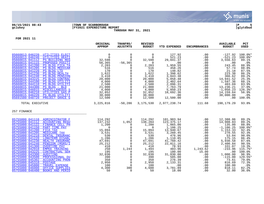

#### **06/15/2021 08:43 |TOWN OF SCARBOROUGH |P 5 gclukey |FY2021 EXPENDITURE REPORT |glytdbud THROUGH MAY 31, 2021**



|                                                                                 | ORIGINAL<br><b>APPROP</b>                                                                          | TRANFRS/<br><b>ADJSTMTS</b>   | <b>REVISED</b><br><b>BUDGET</b> | <b>YTD EXPENDED</b>   | <b>ENCUMBRANCES</b> | <b>AVAILABLE</b><br><b>BUDGET</b> | <b>PCT</b><br><b>USED</b> |
|---------------------------------------------------------------------------------|----------------------------------------------------------------------------------------------------|-------------------------------|---------------------------------|-----------------------|---------------------|-----------------------------------|---------------------------|
| 05660813 046220<br>UTILITIES ELECT                                              | $\mathbf 0$                                                                                        | $\mathbf 0$                   | $\Omega$                        | 127.92                | .00                 | $-127.92$                         | 100.0%*                   |
| <b>UTILITIES HEATI</b><br>05660813 046240                                       | $\Omega$                                                                                           | $\Omega$                      | $\Omega$                        | 521.23                | .00                 | $-521.23$                         | $100.0$ *                 |
| <b>PS BUILDING REG</b><br>05660815 041112                                       | 32,598                                                                                             | $\Omega$                      | 32,598                          | 29,041.37             | .00                 | 3,556.63                          | 89.1%                     |
| PROPOSED POSITI<br>05660815 041115                                              | 56,365                                                                                             | $-56, 365$                    | $\overline{0}$                  | .00                   | .00                 | .00                               | .0%                       |
| PS BLDG FICA TA<br>05660815 041200                                              | 2,203                                                                                              | $\Omega$                      | 2,203                           | 1,959.55              | .00                 | 243.45                            | 88.9%                     |
| 05660815 041205<br><b>PS BLDG MEDICAR</b>                                       |                                                                                                    | 0                             | 516                             | 458.26                | .00                 | 57.74                             | 88.8%                     |
| 05660815 041220<br>PS BLDG LTD                                                  | 2120                                                                                               | $\mathbf 0$                   | 170                             | 148.82                | .00                 | 21.18                             | 87.5%                     |
| 05660815 041230<br>PS BLDG HEALTH<br>05660815 041240<br><b>PS BLDG PENSION</b>  | $1,622$<br>$3,410$                                                                                 | $\mathsf{O}$<br>$\mathbf 0$   | 1,622                           | 1,398.62              | .00                 | $2\overline{2}3.38$               | 86.2%                     |
| 05660815 043225<br>PS BLDG CONTRAC                                              | 20,000                                                                                             | $\mathbf 0$                   | 3,410<br>20,000                 | 3,043.38<br>5,058.48  | .00<br>.00          | 366.62<br>14,941.52               | 89.2%<br>25.3%            |
| 05660815 044100<br>PS BLDG UTILITI                                              | 4,000                                                                                              | $\mathsf{O}$                  | 4,000                           | 2,402.64              | .00                 | 1,597.36                          | 60.1%                     |
| PS BLDG UTILITI<br>05660815 044110                                              | 2,500                                                                                              | $\mathbf 0$                   | 2,500                           | 2,096.31              | .00                 | 403.69                            | 83.9%                     |
| 05660815 044300<br>PS BLDG - BLD                                                | 21,000                                                                                             | $\mathsf 0$                   | 21,000                          | 7,763.79              | .00                 | 13,236.21                         | 37.0%                     |
| MISCELLANEOUS S<br>05660815 046015                                              | 4,000                                                                                              | $\mathbf 0$                   | 4,000                           | 5,050.23              | .00                 | $-1,050.23$                       | $126.3$ *                 |
| 05660815 046210<br><b>UTILITIES GAS P</b>                                       | 32,852                                                                                             | 0                             | 32,852                          | 18,692.36             | .00                 | 14, 159.64                        | 56.9%                     |
| 05660815 046220<br>PS BLDG UTILITI                                              | 30,000                                                                                             | $\mathsf{O}$                  | 30,000                          | .00                   | .00                 | 30,000.00                         | .0%                       |
| 05691500 048720<br>PROJECT GRACE G                                              | 12,500                                                                                             | $\overline{0}$                | 12,500                          | 12,500.00             | .00                 | .00                               | 100.0%                    |
| TOTAL EXECUTIVE                                                                 | 3,225,816                                                                                          | $-50,286$                     | 3,175,530                       |                       | 2,977,238.74 111.68 | 198,179.29                        | 93.8%                     |
| 257 FINANCE                                                                     |                                                                                                    |                               |                                 |                       |                     |                                   |                           |
|                                                                                 |                                                                                                    |                               |                                 |                       |                     |                                   |                           |
| 05755000 041110 ADMINISTRATOR F                                                 | 114,292                                                                                            | 0                             | 114,292                         | 101,903.94            | .00                 | 12,388.06                         | 89.2%                     |
| 05755000 041112<br><b>ACCOUNTING REGU</b><br>05755000 041122                    | 137,232<br>1,200                                                                                   | 1,052                         | 138,284                         | 123, 375.17           | .00                 | 14,908.83                         | 89.2%                     |
| FINANCE CELL PH<br>05755000 041150<br>PART TIME PAY                             | $\overline{0}$                                                                                     | $\overline{0}$<br>$\mathbf 0$ | 1,200<br>$\overline{0}$         | 1,065.00              | .00<br>.00          | 135.00<br>$-1, 106.25$            | 88.8%<br>$100.0$ *        |
| 05755000 041200<br>FICA TAX                                                     | 15,094                                                                                             | $\mathbf 0$                   | 15,094                          | 1,106.25<br>13,940.67 | .00                 | 1,153.33                          | 92.4%                     |
| 05755000 041205<br>MEDICARE TAX                                                 | 3,531                                                                                              | $\mathbf 0$                   | 3,531                           | 3,260.45              | .00                 | 270.55                            | 92.3%                     |
| 05755000 041210<br>DENTAL INSURANC                                              | 530                                                                                                | $\Omega$                      | 530                             | 476.96                | .00                 | 53.04                             | 90.0%                     |
| LONGTERM DISABL<br>05755000 041220                                              | 1,286                                                                                              | $\mathbf 0$                   | 1,286                           | 1,110.85              | .00                 | 175.15                            | 86.4%                     |
| 05755000 041230<br>HEALTH INSURANC                                              | 47,691                                                                                             | 0                             | 47,691                          | 41,760.42             | .00                 | 5,930.58                          | 87.6%                     |
| 05755000 041240<br>PENSION (MSRS/I                                              | 25,212                                                                                             | $\mathbf 0$                   | 25,212                          | 22,811.16             | .00                 | 2,400.84                          | 90.5%                     |
| 05755000 041300<br><b>OVERTIME PAY</b>                                          | 410                                                                                                | $\mathbf 0$                   | 410                             | 78.93                 | .00                 | 331.07                            | 19.3%                     |
| 05755000 042910<br><b>EMPEE TRAINING</b>                                        | 250                                                                                                | 1,244                         | 1,494                           | 483.96                | 1,243.62            | $-233.96$                         | 115.7%*                   |
| 05755000 043225<br><b>CONTRACTUAL SER</b>                                       |                                                                                                    | 0                             | 195                             | 180.00                | 15.00               | .00                               | 100.0%                    |
| 05755000 043300<br><b>AUDITING</b>                                              |                                                                                                    | 0                             | 32,030                          | 31,030.00             | .00                 | 1,000.00                          | 96.9%                     |
| 05755000 043500<br>PROFESSIONAL DU<br>05755000 045302<br><b>ACCOUNTING PHON</b> | $\begin{array}{r} 250 \\ 195 \\ 32,030 \\ 390 \\ 350 \\ 2,950 \\ \textcolor{red}{100} \end{array}$ | $\mathbf 0$<br>$\Omega$       | 390<br>350                      | 505.00<br>276.39      | .00<br>.00          | $-115.00$<br>73.61                | 129.5%*<br>79.0%          |
| 05755000 045310<br>POSTAGE                                                      |                                                                                                    | $\Omega$                      | 2,950                           | 2,133.31              | .00                 | 816.69                            | 72.3%                     |
| 05755000 045800<br>TRAVEL EXPENSE                                               | 100                                                                                                | 0                             | 100                             | .00                   | .00                 | 100.00                            | .0%                       |
| 05755000 046000<br>OFFICE SUPPLIES                                              | 4,300                                                                                              | 300                           | 4,600                           | 3,781.89              | .00                 | 818.11                            | 82.2%                     |
| 05755000 046400<br><b>BOOKS AND PERIO</b>                                       | 50                                                                                                 | $\Omega$                      | 50                              | 18.00                 | .00                 | 32.00                             | 36.0%                     |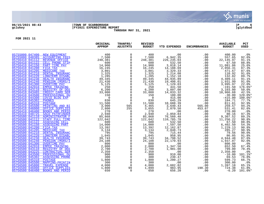

## **06/15/2021 08:43 |TOWN OF SCARBOROUGH |P 6 gclukey |FY2021 EXPENDITURE REPORT |glytdbud THROUGH MAY 31, 2021**



|                                                                                                                                                                                                                                                                                                                                                                                                                                                   | ORIGINAL<br><b>APPROP</b> | TRANFRS/<br>ADJSTMTS | <b>REVISED</b><br><b>BUDGET</b> | <b>YTD EXPENDED</b>               | <b>ENCUMBRANCES</b> | <b>AVAILABLE</b><br><b>BUDGET</b> | PCT<br><b>USED</b>   |
|---------------------------------------------------------------------------------------------------------------------------------------------------------------------------------------------------------------------------------------------------------------------------------------------------------------------------------------------------------------------------------------------------------------------------------------------------|---------------------------|----------------------|---------------------------------|-----------------------------------|---------------------|-----------------------------------|----------------------|
| 05755000 047400 NEW EOUIPMENT<br>FEW EQUIPMENT 400<br>ACCOUNTING FEES 7,500<br>REVENUE OFFICE 248,381<br>CELL PHONE STIP 48,381<br>CELL PHONE STIP 4900<br>PART TIME PAY 14,900<br>FICA TAX 16,245<br>MEDICARE TAX 3,801<br>DENTAL INSURANC 1,325<br>LONGTERM DISABL 1,285<br>1,285                                                                                                                                                               |                           | $\mathbf 0$          | 400                             | .00                               | .00                 | 400.00                            | .0 <sub>8</sub>      |
| 05755000 048385 ACCOUNTING FEES                                                                                                                                                                                                                                                                                                                                                                                                                   |                           | $\mathbf 0$          | 7,500                           | 6,942.35                          | .00                 | 557.65                            | 92.6%                |
| 05756410 041112                                                                                                                                                                                                                                                                                                                                                                                                                                   |                           | 0                    | 248,381                         | 226, 235.03                       | .00                 | 22, 145.97                        | 91.1%                |
| 05756410 041122                                                                                                                                                                                                                                                                                                                                                                                                                                   |                           | $\Omega$             | 600                             | 532.50                            | .00                 | 67.50                             | 88.8%                |
| 05756410 041150                                                                                                                                                                                                                                                                                                                                                                                                                                   |                           | $\overline{0}$       | 14,900                          | 3,818.14                          | .00                 | 11,081.86                         | 25.6%                |
| 05756410 041200                                                                                                                                                                                                                                                                                                                                                                                                                                   |                           | $\mathbf 0$          | 16,245                          | 14,188.69                         | .00                 | 2,056.31                          | 87.3%                |
| 05756410 041205                                                                                                                                                                                                                                                                                                                                                                                                                                   |                           | $\Omega$             |                                 | 3,329.33                          | .00                 | 471.67                            | 87.6%                |
| 05756410 041210                                                                                                                                                                                                                                                                                                                                                                                                                                   |                           | $\mathsf 0$          | $\frac{3}{1}, \frac{801}{325}$  | 1,214.08                          | .00                 | 110.92                            | 91.6%                |
| 05756410 041220                                                                                                                                                                                                                                                                                                                                                                                                                                   |                           |                      | 1,285                           | 1,152.18                          | .00                 | 132.82                            | 89.7%                |
| 05756410 041230                                                                                                                                                                                                                                                                                                                                                                                                                                   |                           |                      | 49,345                          | 44,935.89                         | .00                 | 4,409.11                          | 91.1%                |
| 05756410 041240                                                                                                                                                                                                                                                                                                                                                                                                                                   |                           |                      | 21,430                          | 19,498.01                         | .00                 | 1,931.99                          | 91.0%                |
| 05756410 041300                                                                                                                                                                                                                                                                                                                                                                                                                                   |                           |                      | 5,125                           | 1,129.03                          | .00                 | 3,995.97                          | 22.0%                |
| 05756410 042910                                                                                                                                                                                                                                                                                                                                                                                                                                   |                           |                      | 250                             | 441.50                            | .00                 | $-191.50$                         | $176.6$ *            |
| 05756410 043110                                                                                                                                                                                                                                                                                                                                                                                                                                   |                           |                      | 6,200                           | 3,097.00                          | .00                 | 3,103.00                          | 50.0%                |
| 05756410 043465                                                                                                                                                                                                                                                                                                                                                                                                                                   |                           |                      | 33,000                          | 14,033.32                         | .00                 | 18,966.68                         | 42.5%                |
| 05756410 043500<br>05756410 044300                                                                                                                                                                                                                                                                                                                                                                                                                |                           |                      | 150<br>$\overline{0}$           | 180.00<br>415.00                  | .00                 | $-30.00$<br>$-415.00$             | 120.0%*<br>$100.0$ * |
| 05756410 045302                                                                                                                                                                                                                                                                                                                                                                                                                                   |                           |                      | 830                             | 645.29                            | .00<br>.00          | 184.71                            | 77.7%                |
| 05756410 045310                                                                                                                                                                                                                                                                                                                                                                                                                                   |                           |                      |                                 |                                   | .00                 | 811.61                            | 92.9%                |
| 05756410 045500                                                                                                                                                                                                                                                                                                                                                                                                                                   |                           |                      | 11,500<br>4,465                 |                                   | 565.00              | 259.57                            | 94.2%                |
| 05756410 046000                                                                                                                                                                                                                                                                                                                                                                                                                                   |                           |                      | 3,055                           | 10,688.39<br>3,640.43<br>2,070.50 | 453.07              | 531.41                            | 82.6%                |
| 05756410 046400                                                                                                                                                                                                                                                                                                                                                                                                                                   |                           |                      | 270                             | .00                               | .00                 | 270.00                            | .0%                  |
| 05756410 048725                                                                                                                                                                                                                                                                                                                                                                                                                                   |                           |                      | 2,940                           | 2,859.84                          | .00                 | 80.16                             | 97.3%                |
| 05756500 041110                                                                                                                                                                                                                                                                                                                                                                                                                                   |                           |                      | 85,868                          | 76,560.48                         | .00                 | 9,307.52                          | 89.2%                |
| 05756500 041112                                                                                                                                                                                                                                                                                                                                                                                                                                   |                           |                      | 122,042                         | 110,785.78                        | .00                 | 11,256.22                         | 90.8%                |
| 05756500 041122                                                                                                                                                                                                                                                                                                                                                                                                                                   |                           |                      | 600                             | 532.50                            | .00                 | 67.50                             | 88.8%                |
| 05756500 041150                                                                                                                                                                                                                                                                                                                                                                                                                                   |                           |                      | 14,000<br>13,392                | 7,597.50                          | .00                 | 6,402.50                          | 54.3%                |
| 05756500 041200                                                                                                                                                                                                                                                                                                                                                                                                                                   |                           |                      |                                 | 12,162.87                         | .00                 | 1,229.13                          | 90.8%                |
| 05756500 041205                                                                                                                                                                                                                                                                                                                                                                                                                                   |                           |                      | 3,134                           | 2,848.73                          | .00                 | 285.27                            | 90.9%                |
| 05756500 041210                                                                                                                                                                                                                                                                                                                                                                                                                                   |                           |                      | 795                             | 715.44                            | .00                 | 79.56                             | 90.0%                |
| 05756500 041220                                                                                                                                                                                                                                                                                                                                                                                                                                   |                           |                      | 1,045                           | 958.95                            | .00                 | 86.05                             | 91.8%                |
| 05756500 041230                                                                                                                                                                                                                                                                                                                                                                                                                                   |                           |                      | 39,743                          | 34,798.52                         | .00                 | 4,944.48                          | 87.6%                |
| 05756500 041240<br>05756500 041300                                                                                                                                                                                                                                                                                                                                                                                                                |                           |                      | 24,108<br>800                   | 22,170.93<br>.00                  | .00                 | 1,937.07<br>800.00                | 92.0%                |
| 05756500 042910                                                                                                                                                                                                                                                                                                                                                                                                                                   |                           |                      | 2,000                           | 1,347.50                          | .00<br>.00          | 652.50                            | .0%<br>67.4%         |
| 05756500 043110                                                                                                                                                                                                                                                                                                                                                                                                                                   |                           |                      | 2,700                           | 1,901.00                          | .00                 | 799.00                            | 70.4%                |
| 05756500 043225                                                                                                                                                                                                                                                                                                                                                                                                                                   |                           |                      | 2,350                           | .00                               | .00                 | 2,350.00                          | .0%                  |
| 05756500 043500                                                                                                                                                                                                                                                                                                                                                                                                                                   |                           |                      | 900                             | 910.00                            | .00                 | $-10.00$                          | 101.1%*              |
| 05756500 045302                                                                                                                                                                                                                                                                                                                                                                                                                                   |                           |                      | 300                             | 230.47                            | .00                 | 69.53                             | 76.8%                |
| $\begin{tabular}{c c c} \multicolumn{1}{c}{\textbf{MAC} & $\mathbf{ABC}$} & $1,285$ \\ \hline \multicolumn{1}{c}{\textbf{RALC}} & $1,285$ \\ \hline \multicolumn{1}{c}{\textbf{RALC}} & $1,285$ \\ \hline \multicolumn{1}{c}{\textbf{RALC}} & $1,145$ \\ \hline \multicolumn{1}{c}{\textbf{RALC}} & $1,125$ \\ \hline \multicolumn{1}{c}{\textbf{MIMC}} & $1,125$ \\ \hline \multicolumn{1}{c}{\textbf{MIMC}} & $1,125$ \\ \h$<br>05756500 045310 |                           |                      | 1,800                           | 1,200.27                          | .00                 | 599.73                            | 66.7%                |
| 05756500 045500                                                                                                                                                                                                                                                                                                                                                                                                                                   |                           |                      | 300                             | .00                               | .00                 | 300.00                            | .0%                  |
| 05756500 045800                                                                                                                                                                                                                                                                                                                                                                                                                                   |                           |                      | 4,000                           | 2,602.82                          | .00                 | 1,397.18                          | 65.1%                |
| 05756500 046000<br>OFFICE SUPPLIES                                                                                                                                                                                                                                                                                                                                                                                                                | 1,800                     | 99                   | 1,899                           | 983.95                            | 190.30              | 724.38                            | 61.8%                |
| 05756500 046400<br><b>BOOKS AND PERIO</b>                                                                                                                                                                                                                                                                                                                                                                                                         | 650                       | $\Omega$             | 650                             | 656.20                            | .00                 | $-6.20$                           | 101.0%*              |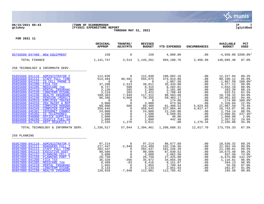

## **06/15/2021 08:43 |TOWN OF SCARBOROUGH |P 7 gclukey |FY2021 EXPENDITURE REPORT |glytdbud THROUGH MAY 31, 2021**



|                                                                                                                                                                                                                                                                                                                                                                                                                                                                                                                                                                                                                                                                                                                                            | ORIGINAL<br><b>APPROP</b>                                                                                                                                                           | TRANFRS/<br><b>ADJSTMTS</b>                                                                                                                                                            | <b>REVISED</b><br><b>BUDGET</b>                                                                                                                                                           | <b>YTD EXPENDED</b>                                                                                                                                                                                               | <b>ENCUMBRANCES</b>                                                                                                                       | <b>AVAILABLE</b><br><b>BUDGET</b>                                                                                                                                                                                             | <b>PCT</b><br><b>USED</b>                                                                                                                                               |
|--------------------------------------------------------------------------------------------------------------------------------------------------------------------------------------------------------------------------------------------------------------------------------------------------------------------------------------------------------------------------------------------------------------------------------------------------------------------------------------------------------------------------------------------------------------------------------------------------------------------------------------------------------------------------------------------------------------------------------------------|-------------------------------------------------------------------------------------------------------------------------------------------------------------------------------------|----------------------------------------------------------------------------------------------------------------------------------------------------------------------------------------|-------------------------------------------------------------------------------------------------------------------------------------------------------------------------------------------|-------------------------------------------------------------------------------------------------------------------------------------------------------------------------------------------------------------------|-------------------------------------------------------------------------------------------------------------------------------------------|-------------------------------------------------------------------------------------------------------------------------------------------------------------------------------------------------------------------------------|-------------------------------------------------------------------------------------------------------------------------------------------------------------------------|
| 05756500 047400 NEW EQUIPMENT                                                                                                                                                                                                                                                                                                                                                                                                                                                                                                                                                                                                                                                                                                              | 150                                                                                                                                                                                 | $\mathbf 0$                                                                                                                                                                            | 150                                                                                                                                                                                       | 4,800.00                                                                                                                                                                                                          | .00                                                                                                                                       | $-4,650.00$ 3200.0%*                                                                                                                                                                                                          |                                                                                                                                                                         |
| TOTAL FINANCE                                                                                                                                                                                                                                                                                                                                                                                                                                                                                                                                                                                                                                                                                                                              | 1,141,747                                                                                                                                                                           | 3,514                                                                                                                                                                                  | 1,145,261                                                                                                                                                                                 | 994,108.76                                                                                                                                                                                                        | 2,466.99                                                                                                                                  | 148,685.48                                                                                                                                                                                                                    | 87.0%                                                                                                                                                                   |
| 258 TECHNOLOGY & INFORMATN SERV.                                                                                                                                                                                                                                                                                                                                                                                                                                                                                                                                                                                                                                                                                                           |                                                                                                                                                                                     |                                                                                                                                                                                        |                                                                                                                                                                                           |                                                                                                                                                                                                                   |                                                                                                                                           |                                                                                                                                                                                                                               |                                                                                                                                                                         |
| 05855600 041110 ADMINISTRATOR F<br>05855600 041112<br>STAFF FULL TIME<br>05855600 041122<br>IS CELL PHONE S<br>05855600 041200<br><b>FICA TAX</b><br>05855600 041205<br>MEDICARE TAX<br>05855600 041210<br>DENTAL INSURANC<br>05855600 041220<br><b>LONGTERM DISABL</b><br>05855600 041230<br>HEALTH INSURANC<br>05855600 041240<br>PENSION (MSRS/I<br>05855600 042910<br>EMPLOYEE TRAINI<br>05855600 044310<br>VEH MAINT & REP<br>05855600 044340<br><b>COMPUTER HARDWA</b><br>05855600 044345<br><b>COMPUTER SOFTWA</b><br>05855600 045301<br><b>INTERNET CONNEC</b><br>05855600 045302<br><b>IS TELEPHONES</b><br>05855600 046000<br>OFFICE SUPPLIES<br>05855600 046260<br><b>VEHICLE FUEL-GA</b><br>05855600 047449<br>DEPT REOUESTS S | 112,830<br>514,494<br>$\mathbf 0$<br>37,298<br>8,727<br>2,120<br>3,219<br>109,363<br>66,286<br>$\Omega$<br>3,000<br>88,900<br>358,645<br>24,000<br>1,500<br>2,000<br>1,800<br>2,335 | $\Omega$<br>40,581<br>$\overline{0}$<br>2,513<br>588<br>265<br>203<br>7,949<br>4,069<br>0<br>$\Omega$<br>500<br>0<br>$\mathbf 0$<br>$\mathbf 0$<br>$\mathbf 0$<br>$\mathbf 0$<br>1,276 | 112,830<br>555,075<br>$\mathbf 0$<br>39,811<br>9,315<br>2,385<br>3,422<br>117,312<br>70,355<br>$\overline{0}$<br>3,000<br>89,400<br>358,645<br>24,000<br>1,500<br>2,000<br>1,800<br>3,611 | 100,602.16<br>474,914.88<br>1,867.50<br>35,433.88<br>8,282.81<br>2,101.80<br>2,788.49<br>98,583.68<br>59,403.17<br>174.00<br>673.96<br>61,488.53<br>337,084.46<br>21,245.86<br>3,560.65<br>40.00<br>442.48<br>.00 | .00<br>.00<br>.00<br>.00<br>.00<br>.00<br>.00<br>.00<br>.00<br>.00<br>.00<br>5,923.89<br>4,817.47<br>.00<br>.00<br>.00<br>.00<br>1,276.34 | 12,227.84<br>80,160.12<br>$-1,867.50$<br>4,377.12<br>1,032.19<br>283.20<br>633.51<br>18,728.32<br>10,951.83<br>$-174.00$<br>2,326.04<br>21,987.58<br>16,743.07<br>2,754.14<br>$-2,060.65$<br>1,960.00<br>1,357.52<br>2,335.00 | 89.2%<br>85.6%<br>$100.0$ *<br>89.0%<br>88.9%<br>88.1%<br>81.5%<br>84.0%<br>84.4%<br>100.0%*<br>22.5%<br>75.4%<br>95.3%<br>88.5%<br>$237.4$ *<br>2.0%<br>24.6%<br>35.3% |
| TOTAL TECHNOLOGY & INFORMATN SERV. 1,336,517                                                                                                                                                                                                                                                                                                                                                                                                                                                                                                                                                                                                                                                                                               |                                                                                                                                                                                     |                                                                                                                                                                                        | 57,944 1,394,461                                                                                                                                                                          | 1,208,688.31                                                                                                                                                                                                      | 12,017.70                                                                                                                                 | 173,755.33                                                                                                                                                                                                                    | 87.5%                                                                                                                                                                   |
| 259 PLANNING                                                                                                                                                                                                                                                                                                                                                                                                                                                                                                                                                                                                                                                                                                                               |                                                                                                                                                                                     |                                                                                                                                                                                        |                                                                                                                                                                                           |                                                                                                                                                                                                                   |                                                                                                                                           |                                                                                                                                                                                                                               |                                                                                                                                                                         |
| 05957000 041110<br>ADMINISTRATOR F<br>05957000 041111<br><b>MANAGERS FULL T</b><br>05957000 041112<br><b>STAFF FULL TIME</b><br>05957000 041114<br><b>EXECUTIVE ASST</b><br>05957000 041122<br>PLANNING CELL P<br>05957000 041150<br>PLANNING PART T<br>05957000 041200<br>FICA TAX<br>05957000 041205<br>MEDICARE TAX<br>05957000 041210<br>DENTAL INSURANC<br>05957000 041220<br><b>LONGTERM DISABL</b><br>05957000 041230<br>HEALTH INSURANC                                                                                                                                                                                                                                                                                            | 97,214<br>217,447<br>202,437<br>98,506<br>3,600<br>20,750<br>36,328<br>8,499<br>1,855<br>3,133<br>120,929                                                                           | $\Omega$<br>$-2,948$<br>$\Omega$<br>0<br>$\mathbf 0$<br>$\Omega$<br>$-356$<br>$-83$<br>$\mathbf 0$<br>$\mathbf 0$<br>$-7,948$                                                          | 97,214<br>214,499<br>202,437<br>98,506<br>3,600<br>20,750<br>35,972<br>8,416<br>1,855<br>3,133<br>112,981                                                                                 | 86,677.68<br>192,136.56<br>181,246.39<br>87,830.52<br>2,662.50<br>27,425.00<br>34,855.39<br>8,151.87<br>1,799.44<br>2,851.93<br>112,785.42                                                                        | .00<br>.00<br>.00<br>.00<br>.00<br>.00<br>.00<br>.00<br>.00<br>.00<br>.00                                                                 | 10,536.32<br>22, 362.44<br>21,190.61<br>10,675.48<br>937.50<br>$-6,675.00$<br>1,116.61<br>264.13<br>55.56<br>281.07<br>195.58                                                                                                 | 89.2%<br>89.6%<br>89.5%<br>89.2%<br>74.0%<br>132.2%*<br>96.9%<br>96.9%<br>97.0%<br>91.0%<br>99.8%                                                                       |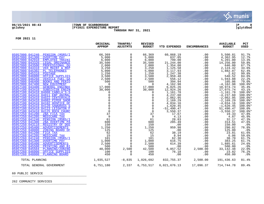

## **06/15/2021 08:43 |TOWN OF SCARBOROUGH |P 8 gclukey |FY2021 EXPENDITURE REPORT |glytdbud THROUGH MAY 31, 2021**



**FOR 2021 11**

|                                                                                                                                                                                                                                                                                                                                                                                                                                                                                                                                                                                                                                                                                                                                                                                                                                                                                                                                                                                                                                                                                                                                                                                                                                                                                                                                                                                                                                                                                                     | ORIGINAL<br><b>APPROP</b>                                                                                                                                                                                                                                                                                                                            | TRANFRS/<br><b>ADJSTMTS</b>                                                                                                                                                                                                                                                                                                                                                                                                                                                                                                       | <b>REVISED</b><br><b>BUDGET</b>                                                                                                                                                                                                                                                                                                                            | <b>YTD EXPENDED</b>                                                                                                                                                                                                                                                                                                                                                                                              | <b>ENCUMBRANCES</b>                                                                                                                                                                                                                                                         | <b>AVAILABLE</b><br><b>BUDGET</b>                                                                                                                                                                                                                                                                                                                                                                                                                        | PCT<br><b>USED</b>                                                                                                                                                                                                                                                                                                                                                      |
|-----------------------------------------------------------------------------------------------------------------------------------------------------------------------------------------------------------------------------------------------------------------------------------------------------------------------------------------------------------------------------------------------------------------------------------------------------------------------------------------------------------------------------------------------------------------------------------------------------------------------------------------------------------------------------------------------------------------------------------------------------------------------------------------------------------------------------------------------------------------------------------------------------------------------------------------------------------------------------------------------------------------------------------------------------------------------------------------------------------------------------------------------------------------------------------------------------------------------------------------------------------------------------------------------------------------------------------------------------------------------------------------------------------------------------------------------------------------------------------------------------|------------------------------------------------------------------------------------------------------------------------------------------------------------------------------------------------------------------------------------------------------------------------------------------------------------------------------------------------------|-----------------------------------------------------------------------------------------------------------------------------------------------------------------------------------------------------------------------------------------------------------------------------------------------------------------------------------------------------------------------------------------------------------------------------------------------------------------------------------------------------------------------------------|------------------------------------------------------------------------------------------------------------------------------------------------------------------------------------------------------------------------------------------------------------------------------------------------------------------------------------------------------------|------------------------------------------------------------------------------------------------------------------------------------------------------------------------------------------------------------------------------------------------------------------------------------------------------------------------------------------------------------------------------------------------------------------|-----------------------------------------------------------------------------------------------------------------------------------------------------------------------------------------------------------------------------------------------------------------------------|----------------------------------------------------------------------------------------------------------------------------------------------------------------------------------------------------------------------------------------------------------------------------------------------------------------------------------------------------------------------------------------------------------------------------------------------------------|-------------------------------------------------------------------------------------------------------------------------------------------------------------------------------------------------------------------------------------------------------------------------------------------------------------------------------------------------------------------------|
| 05957000 041240<br>PENSION (MSRS/I<br>05957000 041300<br><b>OVERTIME PAY</b><br>05957000 042910<br><b>EMPLOYEE TRAINI</b><br>05957000 043320<br>LEGAL ORDINANCE<br>05957000 043500<br>PROFESSIONAL DU<br>05957000 044310<br>VEH MAINT & REP<br>05957000 045302<br>PL TELEPHONES<br>05957000 045310<br><b>POSTAGE</b><br>05957000 046000<br>OFFICE SUPPLIES<br>05957000 046260<br>VEHICLE FUEL-GA<br>05957000 046400<br><b>BOOKS AND PERIO</b><br>05957000 047400<br>NEW EOUIPMENT<br>05957100 043400<br><b>GENERAL ENGINEE</b><br>05957100 043410<br><b>SUBDIVISN ENGIN</b><br>05957100 043410 84008 CABELA'S-S<br>05957100 043410 84011 EBP ANIMAL<br>05957100 043410 84022 CENTERVALE<br>05957100 043410 84082 PIPER SHOR<br>05957100 043410 84102 HOSPICE OF<br>05957100 043410 84120 SAWGRASS S<br>05957100 043410 84123 LEIGHTON F<br>05957100 043410 84125 ROCK CHURC<br>05957250 041200<br>ZBA FICA TAX<br>05957250 041205<br>MEDICARE TAX<br>05957250 041240<br>PENSION (MSRS/I<br>05957250 041300<br>ZBA OVERTIME PA<br>05957250 043110<br>REGISTRY OF DEE<br>05957250 045400<br><b>ADVERTISEMENTS</b><br>05957250 048000<br>ZONING BOARD OF<br>05957260 041200<br>FICA TAX<br>05957260 041205<br>MEDICARE TAX<br>05957260 041240<br>PENSION (MSRS/I<br>05957260 041300<br>OVERTIME PAY<br>05957260 045400<br><b>ADVERTISEMENTS</b><br>05957260 045500<br>PRINTING AND BI<br>05957260 045504<br>PLANNING/ZONING<br>05957260 046000<br>OFFICE SUPPLIES<br>05957260 048000<br>PLANNING BOARD | 66,369<br>5,000<br>6,000<br>35,500<br>2,000<br>3,250<br>5,000<br>1,250<br>3,500<br>2,500<br>$\begin{array}{c} 500 \\ 0 \\ 17,000 \end{array}$<br>30,000<br>0<br>$\mathbf 0$<br>$\mathbf 0$<br>$\Omega$<br>$\Omega$<br>$\mathsf 0$<br>37<br>9<br>61<br>600<br>150<br>1,250<br>125<br>62<br>15<br>101<br>1,000<br>2,500<br>500<br>40,000<br>100<br>450 | $\mathbf 0$<br>$\mathbf 0$<br>$\mathsf{O}$<br>$\mathsf{O}$<br>$\mathbf 0$<br>$\mathbf 0$<br>$\mathsf 0$<br>$\mathbf 0$<br>$\mathbf 0$<br>$\Omega$<br>$\mathsf 0$<br>$\mathbf 0$<br>$\mathbf 0$<br>$\Omega$<br>$\mathsf 0$<br>$\mathbf{0}$<br>$\mathbf{0}$<br>$\begin{smallmatrix}0\\0\end{smallmatrix}$<br>$\mathsf{O}$<br>$\mathbf 0$<br>$\mathsf{O}\xspace$<br>$\mathbf 0$<br>$\mathbf 0$<br>0<br>$\mathbf 0$<br>$\mathsf{O}$<br>$\mathbf 0$<br>$\mathbf 0$<br>$\mathbf 0$<br>$\mathbf 0$<br>0<br>2,500<br>$\Omega$<br>$\Omega$ | 66,369<br>5,000<br>6,000<br>35,500<br>2,000<br>3,250<br>5,000<br>1,250<br>3,500<br>2,500<br>500<br>$\overline{0}$<br>17,000<br>30,000<br>$\Omega$<br>0<br>$\mathbf 0$<br>$\overline{0}$<br>$\overline{0}$<br>$\mathbf 0$<br>$\mathbf 0$<br>37<br>9<br>61<br>600<br>150<br>1,250<br>125<br>62<br>15<br>101<br>1,000<br>2,500<br>500<br>42,500<br>100<br>450 | 60,868.19<br>637.05<br>799.00<br>21,244.00<br>1,354.00<br>1,125.58<br>3,117.93<br>1,247.38<br>2,959.48<br>556.12<br>394.94<br>4,162.98<br>6,025.26<br>12,924.26<br>1,161.78<br>4,237.60<br>2,062.95<br>2,169.29<br>4,034.16<br>1,620.45<br>$-51,490.47$<br>3,550.37<br>17.67<br>4.13<br>28.83<br>285.49<br>.00<br>959.98<br>.00<br>38.19<br>8.94<br>62.30<br>616.75<br>614.39<br>.00<br>6,857.52<br>76.18<br>.00 | .00<br>.00<br>.00<br>.00<br>.00<br>.00<br>.00<br>.00<br>.00<br>.00<br>.00<br>.00<br>.00<br>.00<br>.00<br>.00<br>.00<br>.00<br>.00<br>.00<br>.00<br>.00<br>.00<br>.00<br>.00<br>.00<br>.00<br>.00<br>.00<br>.00<br>.00<br>.00<br>.00<br>.00<br>.00<br>2,500.00<br>.00<br>.00 | 5,500.81<br>4,362.95<br>5,201.00<br>14,256.00<br>646.00<br>2,124.42<br>1,882.07<br>2.62<br>540.52<br>1,943.88<br>105.06<br>$-4, 162.98$<br>10,974.74<br>17,075.74<br>$-1, 161.78$<br>$-4, 237.60$<br>$-2,062.95$<br>$-2, 169.29$<br>$-4,034.16$<br>$-1,620.45$<br>51,490.47<br>$-3,550.37$<br>19.33<br>4.87<br>32.17<br>314.51<br>150.00<br>290.02<br>125.00<br>23.81<br>6.06<br>38.70<br>383.25<br>1,885.61<br>500.00<br>33, 142. 48<br>23.82<br>450.00 | 91.7%<br>12.7%<br>13.3%<br>59.8%<br>67.7%<br>34.6%<br>62.4%<br>99.8%<br>84.6%<br>22.2%<br>79.0%<br>$100.0$ *<br>35.4%<br>43.1%<br>$100.0$ *<br>$100.0$ *<br>100.0%*<br>$100.0$ *<br>$100.0$ *<br>$100.0$ *<br>100.0%<br>100.0%*<br>47.8%<br>45.9%<br>47.3%<br>47.6%<br>.0%<br>76.8%<br>.0%<br>61.6%<br>59.6%<br>61.7%<br>61.7%<br>24.6%<br>.0%<br>22.0%<br>76.2%<br>.0% |
| TOTAL PLANNING                                                                                                                                                                                                                                                                                                                                                                                                                                                                                                                                                                                                                                                                                                                                                                                                                                                                                                                                                                                                                                                                                                                                                                                                                                                                                                                                                                                                                                                                                      | 1,035,527                                                                                                                                                                                                                                                                                                                                            | $-8,835$                                                                                                                                                                                                                                                                                                                                                                                                                                                                                                                          | 1,026,692                                                                                                                                                                                                                                                                                                                                                  | 832,755.37                                                                                                                                                                                                                                                                                                                                                                                                       | 2,500.00                                                                                                                                                                                                                                                                    | 191,436.63                                                                                                                                                                                                                                                                                                                                                                                                                                               | 81.4%                                                                                                                                                                                                                                                                                                                                                                   |
| TOTAL GENERAL GOVERNMENT                                                                                                                                                                                                                                                                                                                                                                                                                                                                                                                                                                                                                                                                                                                                                                                                                                                                                                                                                                                                                                                                                                                                                                                                                                                                                                                                                                                                                                                                            | 6,751,180                                                                                                                                                                                                                                                                                                                                            | 2,337                                                                                                                                                                                                                                                                                                                                                                                                                                                                                                                             | 6,753,517                                                                                                                                                                                                                                                                                                                                                  | 6,021,676.13                                                                                                                                                                                                                                                                                                                                                                                                     | 17,096.37                                                                                                                                                                                                                                                                   | 714,744.78                                                                                                                                                                                                                                                                                                                                                                                                                                               | 89.4%                                                                                                                                                                                                                                                                                                                                                                   |

60 PUBLIC SERVICE \_\_\_\_\_\_\_\_\_\_\_\_\_\_\_\_\_\_\_\_\_\_\_\_\_\_\_\_\_\_\_\_\_\_\_\_\_\_\_\_\_

262 COMMUNITY SERVICES \_\_\_\_\_\_\_\_\_\_\_\_\_\_\_\_\_\_\_\_\_\_\_\_\_\_\_\_\_\_\_\_\_\_\_\_\_\_\_\_\_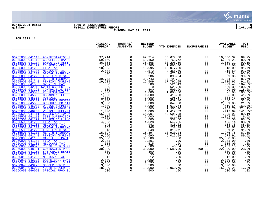

## **06/15/2021 08:43 |TOWN OF SCARBOROUGH |P 9 gclukey |FY2021 EXPENDITURE REPORT |glytdbud THROUGH MAY 31, 2021**



|                                                                                | ORIGINAL<br><b>APPROP</b>                                                           | TRANFRS/<br><b>ADJSTMTS</b>   | <b>REVISED</b><br><b>BUDGET</b> | <b>YTD EXPENDED</b>     | <b>ENCUMBRANCES</b> | <b>AVAILABLE</b><br><b>BUDGET</b> | <b>PCT</b><br><b>USED</b> |
|--------------------------------------------------------------------------------|-------------------------------------------------------------------------------------|-------------------------------|---------------------------------|-------------------------|---------------------|-----------------------------------|---------------------------|
|                                                                                |                                                                                     |                               |                                 |                         |                     |                                   |                           |
| 06255000 041110 ADMINISTRATOR F                                                | 97,214                                                                              | $\mathbf 0$                   | 97,214                          | 86,677.68               | .00                 | 10,536.32                         | 89.2%                     |
| 06255000 041113<br><b>CS OFFICE MANAG</b><br>06255000 041114<br>EXECUTIVE ASST | 59,150<br>36,868                                                                    | $\Omega$<br>$\mathbf 0$       | 59,150<br>36,868                | 52,763.72               | .00<br>.00          | 6,386.28                          | 89.2%<br>90.1%            |
| 06255000 041122<br>CS ADMIN CELL P                                             | 36, 868<br>1, 200<br>10, 995<br>2, 572<br>986<br>39, 743<br>19, 500<br>580          | $\mathbf 0$                   | 1,200                           | 33, 208.69<br>1, 065.00 | .00                 | $3,659.31$<br>$135.00$            | 88.8%                     |
| 06255000 041200<br>FICA TAX                                                    |                                                                                     | 0                             | 10,995                          |                         | .00                 | 918.00                            | 91.7%                     |
| 06255000 041205<br>MEDICARE TAX                                                |                                                                                     | $\mathbf 0$                   | 2,572                           | 10,077.00<br>2,356.50   | .00                 | 215.50                            | 91.6%                     |
| 06255000 041210<br><b>DENTAL INSURANC</b>                                      |                                                                                     | $\mathbf 0$                   | 530                             | 476.96                  | .00                 | 53.04                             | 90.0%                     |
| 06255000 041220<br>LONGTERM DISABL                                             |                                                                                     | $\mathbf 0$                   | 986                             | 896.64                  | .00                 | 89.36                             | 90.9%                     |
| 06255000 041230<br><b>HEALTH INSURANC</b>                                      |                                                                                     | $\mathbf 0$                   | 39,743                          | 34,798.81               | .00                 | 4,944.19                          | 87.6%                     |
| 06255000 041240<br>PENSION (MSRS/I                                             |                                                                                     | $\mathbf 0$                   | 19,509                          | 17,792.05               | .00                 | 1,716.95                          | 91.2%                     |
| 06255000 041300<br><b>OVERTIME PAY</b>                                         | 500                                                                                 | $\Omega$                      | 500                             | 521.49                  | .00                 | $-21.49$                          | 104.3%*                   |
| 06255000 042910 62011 CS-REC DEV                                               | $\overline{0}$                                                                      | $\mathsf{O}$                  | $\overline{0}$                  | 629.30                  | .00                 | $-629.30$                         | $100.0$ *                 |
| 06255000 043225<br><b>CONTRACTUAL SER</b><br>06255000 043500                   | 500                                                                                 | $\mathbf 0$                   | 500                             | 590.90                  | .00                 | $-90.90$<br>$-5.00$               | 118.2%*                   |
| PROFESSIONAL DU<br>06255000 045302<br><b>CS-ADMIN TELEPH</b>                   | 1,000<br>1,000                                                                      | $\mathsf{O}$<br>$\mathsf{O}$  | 1,000<br>1,000                  | 1,005.00<br>415.00      | .00<br>.00          | 585.00                            | 100.5%*<br>41.5%          |
| 06255000 045310<br><b>POSTAGE</b>                                              | 1,000                                                                               | $\mathbf 0$                   | 1,000                           | 196.57                  | .00                 | 803.43                            | 19.7%                     |
| 06255000 045311<br>PASSPORT POSTAG                                             | 2,000                                                                               | $\mathbf 0$                   | 2,000                           | 639.76                  | .00                 | 1,360.24                          | 32.0%                     |
| 06255000 045500<br>BROCHURE PRINTI                                             | 3,000                                                                               | $\Omega$                      | 3,000                           | 649.00                  | .00                 | 2,351.00                          | 21.6%                     |
| OFFICE SUPPLIES<br>06255000 046000                                             | 1,000                                                                               | $\mathbf 0$                   | 1,000                           | 1,619.64                | .00                 | $-619.64$                         | 162.0%*                   |
| 06255000 046015<br>MISCELLANEOUS S                                             | 500                                                                                 | $\overline{0}$                | 500                             | 1,355.70                | .00                 | $-855.70$                         | 271.1%*                   |
| 06255000 046260<br>VEHICLE FUEL-GA                                             | 1,000                                                                               | $\mathsf{O}\xspace$           | 1,000                           | 1,412.69                | .00                 | $-412.69$                         | 141.3%*                   |
| 06255500 041111<br><b>CS RECREATION M</b>                                      | 66,901                                                                              | $\mathbf 0$                   | 66,901                          | 59,605.08               | .00                 | 7,295.92                          | 89.1%                     |
| 06255500 041118<br>SITE SUPERVISOR                                             | 2,000                                                                               | $\mathbf 0$                   | 2,000                           | 131.25                  | .00                 | 1,868.75                          | 6.6%                      |
| 06255500 041122<br>CS ADM CELL PHO                                             | 600                                                                                 | $\Omega$                      | 600                             | 532.50                  | .00                 | 67.50                             | 88.8%                     |
| 06255500 041200<br>FICA TAX                                                    | 4,028                                                                               | $\mathsf{O}$                  | 4,028                           | 3,542.86                | .00                 | 485.14                            | 88.0%                     |
| 06255500 041205<br><b>MEDICARE TAX</b>                                         | 942<br>265                                                                          | $\mathbf 0$<br>$\mathbf 0$    | 942<br>265                      | 828.62                  | .00                 | 113.38<br>26.52                   | 88.0%                     |
| 06255500 041210<br>DENTAL INSURANC<br>06255500 041220<br>LONGTERM DISABL       | 348                                                                                 | $\mathbf 0$                   | 348                             | 238.48<br>316.71        | .00<br>.00          | 31.29                             | 90.0%<br>91.0%            |
| 06255500 041230<br>HEALTH INSURANC                                             | 15,897                                                                              | $\mathbf 0$                   | 15,897                          | 13,920.24               | .00                 | 1,976.76                          | 87.6%                     |
| 06255500 041240<br>PENSION (MSRS/I                                             | 6,690                                                                               | $\mathbf 0$                   | 6,690                           | 6,015.09                | .00                 | 674.91                            | 89.9%                     |
| 06260000 041156<br><b>CAMP FEES PART</b>                                       | 35,500                                                                              | $\mathbf 0$                   | 35,500                          | .00                     | .00                 | 35,500.00                         | .0%                       |
| 06260000 041200<br>FICA TAX                                                    | 2,201                                                                               | 0                             | 2,201                           | .00                     | .00                 | 2,201.00                          | .0%                       |
| 06260000 041205<br>MEDICARE TAX                                                | 515                                                                                 | $\mathsf{O}$                  | 515                             | .00                     | .00                 | 515.00                            | .0 <sub>8</sub>           |
| 06260000 046020<br>YOUTH RECR SUPP                                             |                                                                                     | $\mathsf{O}$                  | 2,500                           | 46.84                   | .00                 | 2,453.16                          | 1.9%                      |
| 06260000 048101<br><b>CONTRACTED PROG</b>                                      |                                                                                     | $\mathbf 0$                   | 30,000                          | 6,580.00                | 600.00              | 22,820.00                         | 23.9%                     |
| 06260010 041150<br>5/6 GRADE BSKTB                                             |                                                                                     | $\mathbf 0$                   | 800                             | .00                     | .00                 | 800.00                            | .0%                       |
| 06260010 041200<br>FICA TAX                                                    |                                                                                     | $\mathbf 0$                   | 50                              | .00                     | .00                 | 50.00                             | .0%                       |
| 06260010 041205<br>MEDICARE TAX                                                | $\begin{array}{r} 2,500 \\ 2,500 \\ 30,000 \\ 800 \\ 50 \\ 12 \\ 2,000 \end{array}$ | $\mathbf 0$                   | 12                              | .00                     | .00                 | 12.00                             | .0%                       |
| 06260010 043225<br>BASKETBALL CONT                                             | $9,750$<br>3,500                                                                    | $\mathbf 0$                   | 2,000                           | .00                     | .00                 | 2,000.00                          | .0%                       |
| 06260010 046020<br><b>BASKETBALL SUPP</b>                                      |                                                                                     | $\Omega$                      | 9,750                           | .00                     | .00                 | 9,750.00                          | .0%                       |
| 06260040 043225<br>SOCCER CONTR SE                                             |                                                                                     | $\mathbf 0$<br>$\overline{0}$ | 3,500                           | .00<br>2,960.75         | .00                 | 3,500.00                          | .0%                       |
| 06260040 046020<br>YOUTH SOCCER SU<br>06260050 046020<br>SPECIAL PROG SU       | 18,000<br>500                                                                       | $\Omega$                      | 18,000<br>500                   | .00                     | .00<br>.00          | 15,039.25<br>500.00               | 16.4%<br>.0%              |
|                                                                                |                                                                                     |                               |                                 |                         |                     |                                   |                           |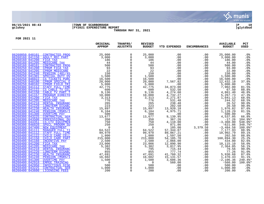

## **06/15/2021 08:43 |TOWN OF SCARBOROUGH |P 10 gclukey |FY2021 EXPENDITURE REPORT |glytdbud THROUGH MAY 31, 2021**



|                                                                                        | ORIGINAL<br><b>APPROP</b> | TRANFRS/<br><b>ADJSTMTS</b> | <b>REVISED</b><br><b>BUDGET</b> | <b>YTD EXPENDED</b>   | <b>ENCUMBRANCES</b> | <b>AVAILABLE</b><br><b>BUDGET</b> | PCT<br><b>USED</b> |
|----------------------------------------------------------------------------------------|---------------------------|-----------------------------|---------------------------------|-----------------------|---------------------|-----------------------------------|--------------------|
| 06260050 048101<br><b>CONTRACTED PROG</b>                                              | 25,000                    | $\mathbf 0$                 | 25,000                          | .00                   | .00                 | 25,000.00                         | .0 <sub>8</sub>    |
| 06260160 041150<br>ADULT REC PART                                                      | 3,000                     | $\mathbf 0$                 | 3,000                           | .00                   | .00                 | 3,000.00                          | .0%                |
| 06260160 041200<br>FICA TAX                                                            | 186                       | $\mathbf 0$                 | 186                             | .00                   | .00                 | 186.00                            | .0%                |
| 06260160 041205<br>MEDICARE TAX                                                        | 44                        |                             | 44                              | .00                   | .00                 | 44.00                             | .0%                |
| 06260160 048101<br><b>CONTRACTED PROG</b>                                              | 500                       | $\Omega$                    | 500                             | .00                   | .00                 | 500.00                            | .0%                |
| 06260250 041200<br>CPRGM FICA TAX                                                      | 93                        |                             | 93                              | .00                   | .00                 | 93.00                             | .0%                |
| <b>CPRGM MEDICARE</b><br>06260250 041205                                               | 22                        | $\Omega$                    | 22                              | .00                   | .00                 | 22.00                             | .0%                |
| 06260250 041240<br><b>PENSION (401/45)</b>                                             | 150                       | $\mathsf{O}$                | 150                             | .00                   | .00                 | 150.00                            | .0%                |
| 06260250 041301<br>SPECIAL DUTY OV                                                     | 1,500                     | $\mathbf 0$                 | 1,500                           | .00                   | .00                 | 1,500.00                          | .0%                |
| 06260250 046022<br>CS TICKETS PURC                                                     | 16,500                    | $\mathbf 0$<br>$\mathbf 0$  | 16,500                          | .00                   | .00                 | 16,500.00<br>12,432.18            | .0%                |
| 06260250 048100<br><b>CPRGM SPECIAL E</b>                                              | 20,000                    |                             | 20,000                          | 7,567.82              | .00                 |                                   | 37.8%              |
| 06260250 048102<br><b>CPRGM FIELD TRI</b><br>06260300 041112<br><b>STAFF FULL TIME</b> | 5,000<br>42,775           | $\mathbf 0$<br>$\mathbf 0$  | 5,000<br>42,775                 | .00<br>34,873.00      | .00<br>.00          | $5,000.00$<br>7,902.00            | .0%<br>81.5%       |
| 06260300 041122<br>CS CABLE TV CEL                                                     | 600                       | $\Omega$                    | 600                             | 532.50                | .00                 | 67.50                             | 88.8%              |
| CABLE TV PART T<br>06260300 041150                                                     | 9,136                     | $\mathbf 0$                 | 9,136                           | 4,274.60              | .00                 | 4,861.40                          | 46.8%              |
| 06260300 041157<br>PROGRAM DIRECTO                                                     | 10,000                    | $\mathbf 0$                 | 10,000                          | 4,732.27              | .00                 | 5,267.73                          | 47.3%              |
| 06260300 041200<br>FICA TAX                                                            | 3,313                     | $\mathbf 0$                 | 3,313                           | 2,271.87              | .00                 | 1,041.13                          | 68.6%              |
| 06260300 041205<br>MEDICARE TAX                                                        | 776                       | $\Omega$                    | 776                             | 531.48                | .00                 | 244.52                            | 68.5%              |
| 06260300 041210<br>DENTAL INSURANC                                                     | 265                       | $\mathsf{O}$                | 265                             | 238.48                | .00                 | 26.52                             | 90.0%              |
| 06260300 041220<br><b>LONGTERM DISABL</b>                                              | 223                       | $\mathbf 0$                 | 223                             | 202.50                | .00                 | 20.50                             | 90.8%              |
| 06260300 041230<br>HEALTH INSURANC                                                     | 15,897                    | $\mathbf 0$                 | 15,897                          | 13,920.18             | .00                 | 1,976.82                          | 87.6%              |
| 06260300 041240<br>PENSION (MSRS/I                                                     | 6,104                     | $\Omega$                    | 6,104                           | 4,975.71              | .00                 | 1,128.29                          | 81.5%              |
| 06260300 041300<br><b>OVERTIME PAY</b>                                                 | 500                       | $\mathbf 0$                 | 500                             | .00                   | .00                 | 500.00                            | .0%                |
| 06260300 043225<br><b>CONTRACTUAL SER</b>                                              | 13,677                    | $\mathbf 0$                 | 13,677                          | 9,139.95              | .00                 | 4,537.05                          | 66.8%              |
| 06260300 043500<br>PROFESSIONAL DU                                                     | 350                       | $\Omega$                    | 350                             | 367.26                | .00                 | $-17.26$                          | 104.9%*            |
| 06260300 044351<br><b>CS-CTV EQUIPMEN</b>                                              | 750                       | $\mathsf{O}$                | 750                             | 4,110.00              | .00                 | $-3,360.00$                       | $548.0$ *          |
| 06260300 046020<br><b>SPECL PROGRM SU</b>                                              | 250                       | $\Omega$                    | 250                             | 871.86                | .00                 | $-621.86$                         | 348.7%*            |
| 06260300 047400<br>NEW EQUIPMENT                                                       | $\Omega$                  | $\mathbf 0$                 | $\overline{0}$                  | 105.00                | 3,379.58            | $-3,484.58$                       | $100.0$ *          |
| 06260400 041111<br><b>MANAGER FULL TI</b><br>06260400 041112<br>STAFF FULL TIME        | 64,522<br>99,970          | $\mathbf 0$<br>$\mathbf 0$  | 64,522<br>99,970                | 57, 344.07            | .00<br>.00          | 7,177.93<br>10,902.79             | 88.9%<br>89.1%     |
| 06260400 041122<br>CHILD CARE CELL                                                     |                           | $\mathbf 0$                 | 1,800                           | 89,067.21<br>1,597.50 | .00                 | 202.50                            | 88.8%              |
| 06260400 041150<br>CHILD CARE PART                                                     | 1,800<br>215,000          | $\Omega$                    | 215,000                         | 54,105.70             | .00                 | 160,894.30                        | 25.2%              |
| 06260400 041160<br><b>INCENTIVE PAY</b>                                                | 2,500                     | $\mathsf 0$                 | 2,500                           | 2,066.00              | .00                 | 434.00                            | 82.6%              |
| 06260400 041200<br>FICA TAX                                                            | 23,006                    | $\Omega$                    | 23,006                          | 12,890.90             | .00                 | 10,115.10                         | 56.0%              |
| 06260400 041205<br><b>MEDICARE TAX</b>                                                 | 5,382                     | $\mathbf 0$                 | 5,382                           | 3,017.95              | .00                 | 2,364.05                          | 56.1%              |
| 06260400 041210<br>DENTAL INSURANC                                                     | 795                       | $\Omega$                    | 795                             | 715.44                | .00                 | 79.56                             | 90.0%              |
| 06260400 041220<br><b>LONGTERM DISABL</b>                                              | 855                       | $\mathbf 0$                 | 855                             | 777.74                | .00                 | 77.26                             | 91.0%              |
| 06260400 041230<br>HEALTH INSURANC                                                     | 47,691                    | $\mathbf 0$                 | 47,691                          | 41,760.32             | .00                 | 5,930.68                          | 87.6%              |
| 06260400 041240<br>PENSION (MSRS/I                                                     | 16,602                    | $\mathbf 0$                 | 16,602                          | 15, 131.57            | .00                 | 1,470.43                          | 91.1%              |
| 06260400 041300<br><b>OVERTIME PAY</b>                                                 | 1,500                     | $\mathbf 0$                 | 1,500                           | 3,606.36              | .00                 | $-2,106.36$                       | 240.4%*            |
| 06260400 042910<br><b>EMPEE TRAINING</b>                                               | $\Omega$                  | $\Omega$                    | $\Omega$                        | 560.00                | .00                 | $-560.00$                         | $100.0$ *          |
| 06260400 042950<br><b>INFECTIOUS DISE</b>                                              | 500                       | $\mathbf 0$                 | 500                             | .00                   | .00                 | 500.00                            | .0%                |
| 06260400 043225<br><b>CONTRACTUAL SER</b>                                              | 1,000                     | $\Omega$                    | 1,000                           | .00                   | .00                 | 1,000.00                          | .0%                |
| 06260400 043600<br>LICENSING FEES                                                      | 200                       | $\Omega$                    | 200                             | .00                   | .00                 | 200.00                            | .0%                |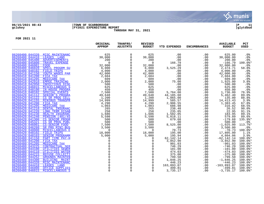

## **06/15/2021 08:43 |TOWN OF SCARBOROUGH |P 11 gclukey |FY2021 EXPENDITURE REPORT |glytdbud THROUGH MAY 31, 2021**



|                                    |                                           | ORIGINAL<br><b>APPROP</b> | TRANFRS/<br><b>ADJSTMTS</b> | <b>REVISED</b><br><b>BUDGET</b> | <b>YTD EXPENDED</b>       | <b>ENCUMBRANCES</b> | <b>AVAILABLE</b><br><b>BUDGET</b> | PCT<br><b>USED</b> |
|------------------------------------|-------------------------------------------|---------------------------|-----------------------------|---------------------------------|---------------------------|---------------------|-----------------------------------|--------------------|
|                                    | 06260400 044320 MISC MAINTENANC           | 625                       | $\mathbf 0$                 | 625                             | .00                       | .00                 | 625.00                            | .0 <sub>8</sub>    |
| 06260400 044410                    | LEASES LAND                               | 30,000                    | $\mathbf 0$                 | 30,000                          | .00                       | .00                 | 30,000.00                         | .0%                |
| 06260400 045400                    | <b>ADVERTISEMENTS</b>                     | 200                       | $\mathbf 0$                 | 200                             | .00                       | .00                 | 200.00                            | .0 <sub>8</sub>    |
| 06260400 045800                    | <b>TRAVEL EXPENSE</b>                     | $\Omega$                  |                             | $\Omega$                        | 166.79                    | .00                 | $-166.79$                         | 100.0%*            |
| 06260400 046001                    | FOOD                                      | 32,000                    | $\Omega$                    | 32,000                          | .00                       | .00                 | 32,000.00                         | .0%                |
| 06260400 046020                    | <b>SPECL PROGRM SU</b>                    | 6,000                     | 0                           | 6,000                           | 3,525.29                  | .00                 | 2,474.71                          | 58.8%              |
| 06260400 048102                    | <b>FIELD TRIPS</b>                        | 4,000                     | $\mathbf 0$                 | 4,000                           | .00                       | .00                 | 4,000.00                          | .0%                |
| 06260410 041150                    | YOUTH WAGES PAR                           | 42,000                    | 0                           | 42,000                          | .00                       | .00                 | 42,000.00                         | .0%                |
| 06260410 041200                    | FICA TAX                                  | 2,604                     |                             | 2,604                           | .00                       | .00                 | 2,604.00                          | .0%                |
| 06260410 041205                    | MEDICARE TAX                              | 609                       | $\mathbf 0$                 | 609                             | .00                       | .00                 | 609.00                            | .0%                |
| 06260410 042910                    | <b>EMPEE TRAINING</b>                     | 2,000                     | 0                           | 2,000                           | 75.00                     | .00                 | 1,925.00                          | 3.8%               |
| 06260410 042950                    | INFECTIOUS DISE                           | 500                       |                             | 500                             | .00                       | .00                 | 500.00                            | .0%                |
| 06260410 046015                    | MISCELLANEOUS S                           | 625                       |                             | 625                             | .00                       | .00                 | 625.00                            | .0%                |
| 06260410 048100                    | <b>IN-HOUSE PROGRA</b>                    | 450                       |                             | 450                             | .00                       | .00                 | 450.00                            | .0%                |
| 06260410 048102                    | SPECIAL EVENTS                            | 7,500                     |                             | 7,500                           | 5,764.00                  | .00                 | 1,736.00                          | 76.9%              |
| 06260420 041112                    | SENIOR'S PROGRA                           | 49,648                    | $\mathbf{0}$                | 49,648                          | 44,185.60                 | .00                 | 5,462.40                          | 89.0%              |
| 06260420 041122                    | CS SR PROG CELL                           | 1,200                     | $\mathbf 0$                 | 1,200                           | 1,065.00                  | .00                 | 135.00                            | 88.8%              |
| 06260420 041155                    | <b>MINIBUS TRANSPR</b>                    | 14,999                    | $\Omega$                    | 14,999                          | 585.57                    | .00                 | 14, 413. 43                       | 3.9%               |
| 06260420 041200                    | FICA TAX                                  | 4,290                     |                             | 4,290                           | 2,906.55<br>686.98        | .00                 | 1,383.45                          | 67.8%              |
| 06260420 041205                    | MEDICARE TAX                              | 1,003                     | $\mathbf 0$                 | 1,003                           |                           | .00                 | 316.02                            | 68.5%              |
| 06260420 041210                    | DENTAL INSURANC                           | 265                       | $\mathbf 0$                 | 265                             | 238.48                    | .00                 | 26.52                             | 90.0%              |
| 06260420 041220                    | <b>LONG TERM DISAB</b>                    | 258                       |                             | 258                             | 235.05                    | .00                 | 22.95                             | 91.1%              |
| 06260420 041230                    | HEALTH INSURANC                           | 1,686                     |                             | 1,686                           | 1,502.05                  | .00                 | 183.95                            | 89.1%              |
| 06260420 041240<br>06260420 041300 | <b>PENSION (401/45</b><br>CS SENIOR PROGR | 5,598<br>500              | $\Omega$                    | 5,598<br>500                    | 5,018.11<br>679.68        | .00<br>.00          | 579.89<br>$-179.68$               | 89.6%<br>135.9%*   |
| 06260420 045321                    | CS SR PROG PUBL                           | 500                       | 0                           | 500                             | .00                       | .00                 | 500.00                            | .0%                |
| 06260420 046001                    | CS-SENIOR FOOD                            | 7,500                     | $\mathbf 0$                 | 7,500                           | 8,525.00                  | .00                 | $-1,025.00$                       | 113.7%             |
| 06260420 046260                    | SR PRG MINI-BUS                           | 3,500                     |                             | 3,500                           | .00                       | .00                 | 3,500.00                          | .0%                |
| 06260420 048000                    | MISCELLANEOUS E                           | $\Omega$                  | $\mathbf 0$                 | $\mathbf 0$                     |                           | .00                 | $-70.73$                          | 100.0%*            |
| 06260420 048102                    | FIELD TRIPS                               | 18,000                    | $\mathbf 0$                 | 18,000                          | 70.73<br>195.00           | .00                 | 17,805.00                         | 1.1%               |
| 06260420 048103                    | SENIOR PROGRAMM                           | 5,000                     |                             | 5,000                           | 195.94                    | .00                 | 4,804.06                          | 3.9%               |
| 06260480 041150                    | PART TIME PAY-H                           | $\Omega$                  |                             | $\Omega$                        |                           | .00                 | $-62, 142.14$                     | 100.0%*            |
| 06260480 041200                    | FICA TAX                                  | $\Omega$                  |                             | $\Omega$                        | 62, 142. 14<br>3, 852. 90 | .00                 | $-3,852.90$                       | $100.0$ *          |
| 06260480 041205                    | MEDICARE TAX                              |                           |                             | $\Omega$                        | 901.03                    | .00                 | $-901.03$                         | 100.0%*            |
| 06260480 043225                    | <b>CONTRACTUAL SER</b>                    | $\Omega$                  |                             | $\mathbf 0$                     | 746.29                    | .00                 | $-746.29$                         | $100.0$ *          |
| 06260480 044100                    | <b>UTILITIES SEWER</b>                    |                           |                             | $\Omega$                        | 101.00                    | .00                 | $-101.00$                         | $100.0$ *          |
| 06260480 044110                    | <b>UTILITIES WATER</b>                    |                           |                             | $\mathbf 0$                     | 474.03                    | .00                 | $-474.03$                         | $100.0$ *          |
| 06260480 044215                    | REFUSE COLLECTI                           |                           |                             | $\mathbf 0$                     | 375.00                    | .00                 | $-375.00$                         | $100.0$ *          |
| 06260480 044252                    | <b>GROUNDS MAINTEN</b>                    |                           |                             | $\mathbf 0$                     | 799.50                    | .00                 | $-799.50$                         | 100.0%*            |
| 06260480 044300                    | <b>BUILDING MAINT</b>                     |                           |                             | $\Omega$                        | 1,846.25                  | .00                 | $-1,846.25$                       | $100.0$ *          |
| 06260480 044320                    | MISC MAINTENANC                           |                           |                             | $\Omega$                        | 446.23                    | .00                 | $-446.23$                         | $100.0$ *          |
| 06260480 044410                    | LEASES LAND                               |                           |                             | $\Omega$                        | 163,893.07                | .00                 | $-163,893.07$                     | $100.0$ *          |
| 06260480 046000                    | OFFICE SUPPLIES                           |                           | $\Omega$                    | $\Omega$                        | 499.81                    | .00                 | $-499.81$                         | $100.0$ *          |
| 06260480 046015                    | MISCELLANEOUS S                           | $\Omega$                  | $\Omega$                    | $\Omega$                        | 3,735.17                  | .00                 | $-3,735.17$                       | 100.0%*            |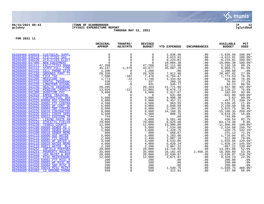

#### **06/15/2021 08:43 |TOWN OF SCARBOROUGH |P 12 gclukey |FY2021 EXPENDITURE REPORT |glytdbud THROUGH MAY 31, 2021**



|                                                                          | ORIGINAL<br><b>APPROP</b>  | TRANFRS/<br><b>ADJSTMTS</b> | <b>REVISED</b><br><b>BUDGET</b> | <b>YTD EXPENDED</b>      | <b>ENCUMBRANCES</b> | <b>AVAILABLE</b><br><b>BUDGET</b> | PCT<br><b>USED</b>   |
|--------------------------------------------------------------------------|----------------------------|-----------------------------|---------------------------------|--------------------------|---------------------|-----------------------------------|----------------------|
| 06260480 046029<br><b>CUSTODIAL SUPPL</b>                                | $47,268$<br>$45,24$<br>$1$ | 0                           | 0                               | 2,836.58                 | .00                 | $-2,836.58$                       | $100.0$ *            |
| 06260480 046210<br>UTILITIES GAS -                                       |                            | $\Omega$                    | 0                               | 4,613.91<br>9,224.81     | .00                 | $-4,613.91$                       | $100.0$ *            |
| 06260480 046220<br>UTILITIES ELECT                                       |                            | $\mathbf 0$                 | 0                               |                          | .00                 | $-9, 224.81$                      | $100.0$ *            |
| 06260480 047400<br>NEW EOUIPMENT                                         |                            | $\Omega$                    | $\Omega$                        | 10,066.38                | .00                 | $-10,066.38$                      | $100.0$ *            |
| 06260600 041111<br><b>FACILITIES MANA</b>                                |                            | $\Omega$                    | 47,268                          | 42,111.90                | .00                 | 5,156.10                          | 89.1%                |
| 06260600 041112<br><b>STAFF FULL TIME</b>                                |                            | $-1,570$                    | 43,677                          | 35,607.29                | .00                 | 8,069.71                          | 81.5%                |
| 06260600 041122<br>CELL PHONE STIP                                       | 1,200                      | $\Omega$                    | 1,200                           | .00                      | .00                 | 1,200.00                          | .0%                  |
| 06260600 041150<br><b>GROUNDS PART TI</b><br>06260600 041200<br>FICA TAX | 28,320<br>7,580            | $\mathbf 0$<br>$-102$       | 28,320<br>7,478                 | 7,912.98                 | .00                 | 20,407.02<br>1,773.53             | 27.9%<br>76.3%       |
| 06260600 041205<br><b>MEDICARE TAX</b>                                   | 1,773                      | $-24$                       | 1,749                           | $5,704.47$<br>$1,334.02$ | .00<br>.00          | 414.98                            | 76.3%                |
| 06260600 041210<br>DENTAL INSURANC                                       | 338                        | $-1$                        | 337                             | 260.16                   | .00                 | 76.84                             | 77.2%                |
| 06260600 041220<br><b>LONGTERM DISABL</b>                                | 440                        | $-9$                        | 431                             | 346.77                   | .00                 | 84.23                             | 80.5%                |
| 06260600 041230<br>HEALTH INSURANC                                       | 20,205                     | $-1$                        | 20,204                          | 21,771.90                | .00                 | $-1,567.90$                       | 107.8%*              |
| 06260600 041240<br>PENSION (MSRS/I                                       | 13,026                     | $-221$                      | 12,805                          | 9,676.73                 | .00                 | 3,128.27                          | 75.6%                |
| 06260600 041300<br><b>OVERTIME PAY</b>                                   | 3,000                      | $\mathbf 0$                 | 3,000                           | 2,817.07                 | .00                 | 182.93                            | 93.9%                |
| 06260600 042910<br><b>EMPEE TRAINING</b>                                 | $\Omega$                   | 0                           | $\Omega$                        | 631.00                   | .00                 | $-631.00$                         | $100.0$ *            |
| 06260600 043225<br><b>CONTRACTUAL SER</b>                                | 5,000                      | $\mathbf 0$                 | 5,000                           | 4,996.38                 | .00                 | 3.62                              | 99.9%                |
| 06260600 043225 69000 HSF CONTRA                                         | 5,000                      | $\Omega$                    | 5,000                           | 5,457.21                 | $.00 \ \,$          | $-457.21$                         | $109.1$ %*           |
| 06260600 043225 69002 PTF CONTRA                                         | 4,500                      | $\mathbf 0$                 | 4,500                           | 963.55                   | .00                 | 3,536.45<br>2,159.50              | 21.4%                |
| 06260600 043225 69003 WF CONT SE                                         | 5,000                      | $\mathbf 0$                 | 5,000                           | 2,840.50                 | .00                 |                                   | 56.8%                |
| 06260600 043225 69004 SBP CONTRA<br>06260600 043225 69010 CONTRACTED     | 6,000<br>9,000             | $\Omega$<br>$\Omega$        | 6,000<br>9,000                  | 2,184.25<br>24,160.35    | .00<br>.00          | 3,815.75<br>$-15, 160.35$         | 36.4%<br>268.4%*     |
| 06260600 043225 69011 CONTR SERV                                         | 5,500                      | $\mathbf 0$                 | 5,500                           | 880.75                   | .00                 | 4,619.25                          | 16.0%                |
| 06260600 043225 69012 EASTERN TR                                         | 744                        | $\mathbf 0$                 | 744                             | .00                      | .00                 | 744.00                            | .0%                  |
| 06260600 043227<br>LINING PASTE AN                                       | 6,000                      | $\Omega$                    | 6,000                           | 5,561.46                 | .00                 | 438.54                            | 92.7%                |
| 06260600 043228<br><b>ATHLETIC FIELDS</b>                                | 70,000                     | $\mathbf 0$                 | 70,000                          | 6,825.60                 | .00                 | 63, 174. 40                       | 9.8%                 |
| 06260600 043230<br><b>TENNIS COURTS</b>                                  | 12,000                     | $\Omega$                    | 12,000                          | 23,980.00                | .00                 | $-11,980.00$                      | 199.8%*              |
| 06260600 044100 69000 SEWER HS F                                         | 5,000                      | $\mathbf 0$                 | 5,000                           | 7,534.08                 | .00                 | $-2,534.08$                       | 150.7%*              |
| 06260600 044100 69003 SEWER WILE                                         | 1,000                      | $\mathbf 0$                 | 1,000                           | 1,420.75                 | .00                 | $-420.75$                         | 142.1%*              |
| 06260600 044100 69010 SEWER MEMO                                         | 800                        | $\mathbf 0$                 | 800                             | 568.87                   | .00                 | 231.13                            | 71.1%                |
| 06260600 044110 69000 HSF WATER                                          | 5,000                      | $\Omega$                    | 5,000                           | 3,283.06                 | .00                 | 1,716.94                          | 65.7%                |
| 06260600 044110 69002 PTF WATER                                          | 2,400                      | $\Omega$                    | 2,400                           | 1,887.10                 | .00                 | 512.90                            | 78.6%                |
| 06260600 044110 69003 WF WATER U                                         | 3,500                      | $\mathbf 0$                 | 3,500                           | 4,533.66                 | .00                 | $-1,033.66$                       | 129.5%*              |
| 06260600 044110 69010 WATER MEMO<br>06260600 044110 69011 WATER BLA      | 4,000<br>2,200             | $\Omega$<br>0               | 4,000<br>2,200                  | 5,820.24<br>3,067.22     | .00                 | $-1,820.24$<br>$-867.22$          | 145.5%*<br>$139.4$ * |
| 06260600 044252<br><b>INFIELD PREPARA</b>                                | 28,000                     | $\Omega$                    | 28,000                          | 14,718.92                | .00<br>.00          | 13,281.08                         | 52.6%                |
| 06260600 044254<br>PROPERTY MAINTE                                       | 35,000                     | $\mathbf 0$                 | 35,000                          | 16,181.65                | 2,458.35            | 16,360.00                         | 53.3%                |
| 06260600 044310<br>VEH MAINT & REP                                       | 20,000                     | $\mathbf 0$                 | 20,000                          | 23,630.87                | .00                 | $-3,630.87$                       | 118.2%*              |
| 06260600 044320<br>MISC MAINTENANC                                       | 12,000                     | $\mathbf 0$                 | 12,000                          | 2,671.87                 | .00                 | 9,328.13                          | 22.3%                |
| 06260600 044320 69002 PTF MISC R                                         | 200                        | $\mathbf 0$                 | 200                             | .00                      | .00                 | 200.00                            | .0%                  |
| 06260600 044320 69003 WF MISC RE                                         | 200                        | $\Omega$                    | 200                             | .00                      | .00                 | 200.00                            | .0 <sub>8</sub>      |
| 06260600 044320 69004 SBP MISC R                                         | 200                        | $\mathbf 0$                 | 200                             | .00                      | .00                 | 200.00                            | .0%                  |
| 06260600 044320 69010 MISC MAINT                                         | 500                        | $\Omega$                    | 500                             | 1,539.75                 | .00                 | $-1,039.75$                       | 308.0%*              |
| 06260600 045302 CS GROUND PHONE                                          | 550                        | $\mathbf 0$                 | 550                             | 312.91                   | .00                 | 237.09                            | 56.9%                |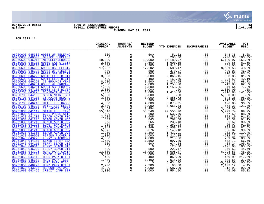

## **06/15/2021 08:43 |TOWN OF SCARBOROUGH |P 13 gclukey |FY2021 EXPENDITURE REPORT |glytdbud THROUGH MAY 31, 2021**



|                                                                                 | ORIGINAL<br><b>APPROP</b> | TRANFRS/<br><b>ADJSTMTS</b> | <b>REVISED</b><br><b>BUDGET</b> | <b>YTD EXPENDED</b>              | <b>ENCUMBRANCES</b> | <b>AVAILABLE</b><br><b>BUDGET</b> | PCT<br><b>USED</b> |
|---------------------------------------------------------------------------------|---------------------------|-----------------------------|---------------------------------|----------------------------------|---------------------|-----------------------------------|--------------------|
| 06260600 045302 69003 WF TELEPHO                                                | 600                       | $\mathbf 0$                 | 600                             | 51.62                            | .00                 | 548.38                            | 8.6%               |
| 06260600 046000 OFFICE SUPPLIES                                                 | $\Omega$                  | $\mathbf 0$                 | $\Omega$                        | 206.36                           | .00                 | $-206.36$                         | $100.0$ *          |
| 06260600 046015<br>MISCELLANEOUS S                                              | 10,000                    | 0                           | 10,000                          | 16, 180.97                       | .00                 | $-6, 180.97$                      | 161.8%*            |
| 06260600 046210 69000 GAS UTILIT                                                | 2,600                     | $\Omega$                    | 2,600                           | 1,600.15                         | .00                 | 999.85                            | 61.5%              |
| 06260600 046210 69010 UTILITIES                                                 | 2,300                     | $\mathbf 0$                 | 2,300                           | 1,948.95                         | .00                 | 351.05                            | 84.7%              |
| 06260600 046220 69000 HSF ELECTR                                                | 17,202                    | $\mathbf 0$                 | 17,202                          | 8,580.47                         | .00                 | 8,621.53                          | 49.9%              |
| 06260600 046220 69003 WF ELECTRI                                                | 800                       | $\Omega$                    | 800                             | 370.97                           | .00                 | 429.03                            | 46.4%              |
| 06260600 046220 69004 SBP ELECTR                                                | 800                       | $\mathbf 0$                 | 800                             | 683.45                           | .00                 | 116.55                            | 85.4%              |
| 06260600 046220 69010 ELECTRICIT                                                | 3,500                     | $\mathbf 0$                 | 3,500                           | 2,866.15                         | .00                 | 633.85                            | 81.9%              |
| 06260600 046220 69011 ELECTRICIT                                                | 400                       | 0                           | 400                             | 168.50                           | .00                 | 231.50                            | 42.1%              |
| 06260600 046260 CS GROUNDS VEHI                                                 | 8,500                     | $\mathbf 0$                 | 8,500                           | 5,836.65                         | .00                 | 2,663.35                          | 68.7%              |
| 06260600 046261 69003 WF PROPANE                                                | 2,000                     | $\mathbf 0$                 | 2,000                           | 1,250.20                         | .00                 | 749.80                            | 62.5%              |
| 06260600 046261 69004 SBP PROPAN                                                | 1,500                     | $\mathbf 0$                 | 1,500                           | 1,158.36                         | .00                 | 341.64                            | 77.2%              |
| 06260600 047150 69005 CS-S RIVER                                                | 2,000                     | $\Omega$                    | 2,000                           | .00                              | .00                 | 2,000.00                          | .0%                |
| 06260700 043225<br><b>CONTRACTUAL SER</b>                                       | 1,000                     | $\mathbf 0$                 | 1,000                           | 1,416.80                         | .00                 | $-416.80$                         | 141.7%*            |
| 06260700 044100<br><b>SEWER MAINT BUI</b>                                       | 5,000                     | $\mathbf 0$                 | 5,000                           | .00                              | .00                 | 5,000.00                          | .0%                |
| 06260700 044110<br>CS MAINT BLDG U                                              | 3,000                     | $\mathbf 0$                 | 3,000                           | 2,856.72                         | .00                 | 143.28                            | 95.2%              |
| 06260700 046015<br>MISCELLANEOUS S                                              | 200                       | $\mathbf 0$                 | 200                             | 397.55                           | .00                 | $-197.55$                         | 198.8%*            |
| 06260700 046210<br>UTILITIES GAS C                                              | 4,000                     | $\mathbf 0$                 | 4,000                           | 3,873.95                         | .00                 | 126.05                            | 96.8%              |
| 06260700 046220<br>UTILITIES ELECT                                              | 3,000                     | $\mathbf 0$                 | 3,000                           | 3,653.33                         | .00                 | $-653.33$                         | 121.8%*            |
| 06260900 046021<br><b>CS LARVAE (MOSO</b>                                       | 3,454                     | 0                           | 3,454                           | .00                              | .00                 | 3,454.00                          | .0%                |
| 06261030 041112<br><b>STAFF FULL TIME</b>                                       | 55,548                    | $\mathbf 0$                 | 55,548                          | 49,556.26                        | .00                 | 5,991.74                          | 89.2%              |
| 06261030 041122<br><b>CELL PHONE STIP</b>                                       | 600                       | $\mathbf 0$                 | 600                             | 532.50                           | .00                 | 67.50                             | 88.8%              |
| 06261030 041200<br><b>BEACH ADMIN FIC</b>                                       | 3,605                     | $\Omega$                    | 3,605                           | 3,282.90                         | .00                 | 322.10                            | 91.1%              |
| 06261030 041205<br><b>BEACH ADMIN MED</b>                                       | 843                       | $\Omega$                    | 843                             | 767.68                           | .00                 | 75.32                             | 91.1%              |
| 06261030 041210<br><b>BEACH ADMIN DEN</b>                                       | 265                       | $\mathsf 0$                 | 265                             | 238.48                           | .00                 | 26.52                             | 90.0%              |
| 06261030 041220<br><b>LONG TERM DISAB</b>                                       | 289                       | $\Omega$                    | 289                             | 262.93                           | .00                 | 26.07                             | 91.0%              |
| 06261030 041230<br><b>BEACH ADMIN HEA</b>                                       | 7,949                     | $\mathbf 0$                 | $7,949$<br>5,676                |                                  | $.00 \,$            | 989.68                            | 87.5%              |
| 06261030 041240<br><b>BEACH ADMIN PEN</b>                                       | 5,676                     | $\mathbf 0$                 |                                 | 6,959.32<br>5,140.18<br>1,432.91 | .00                 | 535.82                            | 90.6%              |
| 06261030 041300<br><b>BEACH ADMIN OVE</b>                                       | 1,200                     | 0                           | 1,200                           |                                  | .00                 | $-232.91$                         | 119.4%*            |
| 06261030 046020<br>PIPING PLOVER S                                              | 1,000                     | $\Omega$                    | 1,000                           | 1,212.25                         | .00                 | $-212.25$                         | 121.2%*            |
| 06261040 043225<br>FERRY BEACHCONT                                              | 4,000                     | $\Omega$                    | 4,000                           | 3,218.06                         | .00                 | 781.94                            | 80.5%              |
| 06261040 044100<br><b>SEWER FERRY BEA</b>                                       | 1,500                     | $\mathbf 0$<br>$\Omega$     | 1,500                           | 997.29                           | .00                 | 502.71                            | 66.5%              |
| 06261040 044110<br>FERRY BEACH UTI                                              | 600                       |                             | 600                             | 634.24                           | .00                 | $-34.24$                          | 105.7%*            |
| 06261040 046015<br>FERRY BEACH MIS<br>06261040 046220                           | $\Omega$                  | $\mathbf 0$                 | 0                               | 125.00                           | .00                 | $-125.00$                         | $100.0$ *          |
| FERRY BEACH UTI<br>06261050 043225                                              | 500                       | $\mathbf 0$                 | 500                             | 223.47                           | .00                 | 276.53                            | 44.7%              |
| HURD PARK CONTR<br>06261050 044100                                              | 13,000                    | $\mathbf 0$                 | 13,000                          | 6,006.47                         | .00                 | $6,993.53$<br>-66.89              | 46.2%              |
| <b>SEWER HURD PARK</b>                                                          | 3,000                     | $\mathbf 0$                 | 3,000                           | 3,066.89                         | .00                 |                                   | 102.2%*            |
| 06261050 044110<br>HURD PARK UTILI<br>06261050 045302<br><b>HURD PARK TELEP</b> | 400<br>1,400              | $\mathbf 0$<br>$\mathbf 0$  | 400<br>1,400                    | 869.99<br>518.32                 | .00<br>.00          | $-469.99$<br>881.68               | 217.5%*<br>37.0%   |
| 06261050 046015                                                                 | $\Omega$                  | $\Omega$                    | $\Omega$                        |                                  |                     |                                   | 100.0%*            |
| HURD PARK MISC<br>06261050 046220<br>HURD PARK UTILI                            | 2,200                     | $\mathbf 0$                 |                                 | 5,634.00<br>96.88                | .00<br>.00          | $-5,634.00$<br>2,103.12           | 4.4%               |
| 06261060 043225<br>HB CONTRACTUAL                                               | 4,000                     | $\Omega$                    | 2,200<br>4,000                  | 3,687.09                         | .00                 | 312.91                            | 92.2%              |
| 06261060 043465<br>CREDIT CARD SER                                              | 3,000                     | $\Omega$                    | 3,000                           | 2,554.00                         | .00                 | 446.00                            | 85.1%              |
|                                                                                 |                           |                             |                                 |                                  |                     |                                   |                    |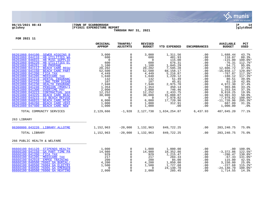

#### **06/15/2021 08:43 |TOWN OF SCARBOROUGH |P 14 gclukey |FY2021 EXPENDITURE REPORT |glytdbud THROUGH MAY 31, 2021**



|                                                                                                                                                                                                                                                                                                                                                                                                                                                                                                                                                                                                                                                                                                                                                                                             | ORIGINAL<br><b>APPROP</b>                                                                                                                                                 | TRANFRS/<br><b>ADJSTMTS</b>                                                                                                                                                                                   | <b>REVISED</b><br><b>BUDGET</b>                                                                                                                                           | <b>YTD EXPENDED</b>                                                                                                                                                                                               | <b>ENCUMBRANCES</b>                                                                                                               | <b>AVAILABLE</b><br><b>BUDGET</b>                                                                                                                                                                                                 | <b>PCT</b><br><b>USED</b>                                                                                                                                                                        |
|---------------------------------------------------------------------------------------------------------------------------------------------------------------------------------------------------------------------------------------------------------------------------------------------------------------------------------------------------------------------------------------------------------------------------------------------------------------------------------------------------------------------------------------------------------------------------------------------------------------------------------------------------------------------------------------------------------------------------------------------------------------------------------------------|---------------------------------------------------------------------------------------------------------------------------------------------------------------------------|---------------------------------------------------------------------------------------------------------------------------------------------------------------------------------------------------------------|---------------------------------------------------------------------------------------------------------------------------------------------------------------------------|-------------------------------------------------------------------------------------------------------------------------------------------------------------------------------------------------------------------|-----------------------------------------------------------------------------------------------------------------------------------|-----------------------------------------------------------------------------------------------------------------------------------------------------------------------------------------------------------------------------------|--------------------------------------------------------------------------------------------------------------------------------------------------------------------------------------------------|
| 06261060 044100<br>SEWER HIGGINS B<br>06261060 044110<br>HB UTILITIES WA<br>HB MISC SUPPLIE<br>06261060 046015<br>06261060 046220<br>HB UTILITIES EL<br>06261060 046261<br>HB PROPANE<br>06261080 041112<br><b>BEACH CARE REGU</b><br>06261080 041150<br><b>BEACH CARE PART</b><br>06261080 041200<br><b>FICA TAX</b><br>06261080 041205<br>MEDICARE TAX<br>06261080 041210<br>DENTAL INSURANC<br>06261080 041220<br><b>LONG TERM DISAB</b><br>06261080 041230<br>HEALTH INSURANC<br>06261080 041240<br>PENSION (MSRS/I<br>06261080 041300<br><b>OVERTIME PAY</b><br>06261080 043223<br><b>CONTRACTUAL SER</b><br>06261080 043225<br><b>BEACH CARE BEAC</b><br>06261080 044215<br>CS BEACH REFUSE<br>06261080 046015<br><b>BEACH CARE MISC</b><br>06261080 046260<br><b>BEACH CARE VEHI</b> | 3,000<br>600<br>$\Omega$<br>600<br>1,100<br>20,202<br>52,500<br>4,449<br>1,040<br>132<br>107<br>7,948<br>1,354<br>2,000<br>12,252<br>30,000<br>$\Omega$<br>6,000<br>1,000 | 0<br>$\mathbf 0$<br>$\Omega$<br>$\Omega$<br>$\Omega$<br>0<br>$\Omega$<br>0<br>$\Omega$<br>$\Omega$<br>$\mathbf 0$<br>$\Omega$<br>$\Omega$<br>$\Omega$<br>0<br>$\Omega$<br>$\Omega$<br>$\Omega$<br>$\mathbf 0$ | 3,000<br>600<br>$\Omega$<br>600<br>1,100<br>20,202<br>52,500<br>4,449<br>1,040<br>132<br>107<br>7,948<br>1,354<br>2,000<br>12,252<br>30,000<br>$\Omega$<br>6,000<br>1,000 | 1,311.56<br>481.93<br>115.00<br>676.31<br>1,045.29<br>7,595.28<br>68,158.17<br>5,216.87<br>1,220.12<br>51.49<br>45.81<br>2,975.70<br>450.14<br>746.46<br>2,433.75<br>15,008.07<br>7,978.82<br>17,720.96<br>312.91 | .00<br>.00<br>.00<br>.00<br>.00<br>.00<br>.00<br>.00<br>.00<br>.00<br>.00<br>.00<br>.00<br>.00<br>.00<br>.00<br>.00<br>.00<br>.00 | 1,688.44<br>118.07<br>$-115.00$<br>$-76.31$<br>54.71<br>12,606.72<br>$-15,658.17$<br>$-767.87$<br>$-180.12$<br>80.51<br>61.19<br>4,972.30<br>903.86<br>1,253.54<br>9,818.25<br>14,991.93<br>$-7,978.82$<br>$-11,720.96$<br>687.09 | 43.7%<br>80.3%<br>100.0%*<br>$112.7$ %*<br>95.0%<br>37.6%<br>129.8%*<br>$117.3$ *<br>$117.3$ *<br>39.0%<br>42.8%<br>37.4%<br>33.2%<br>37.3%<br>19.9%<br>50.0%<br>$100.0$ *<br>$295.3$ *<br>31.3% |
| 06261080 047400<br><b>BEACH CARE NEW</b>                                                                                                                                                                                                                                                                                                                                                                                                                                                                                                                                                                                                                                                                                                                                                    | 1,000                                                                                                                                                                     | $\Omega$                                                                                                                                                                                                      | 1,000                                                                                                                                                                     | .00                                                                                                                                                                                                               | .00                                                                                                                               | 1,000.00                                                                                                                                                                                                                          | $.0\%$                                                                                                                                                                                           |
| TOTAL COMMUNITY SERVICES                                                                                                                                                                                                                                                                                                                                                                                                                                                                                                                                                                                                                                                                                                                                                                    | 2,129,666                                                                                                                                                                 | $-1,928$                                                                                                                                                                                                      | 2,127,738                                                                                                                                                                 | 1,634,254.87                                                                                                                                                                                                      | 6,437.93                                                                                                                          | 487,045.20                                                                                                                                                                                                                        | 77.1%                                                                                                                                                                                            |
| 263 LIBRARY                                                                                                                                                                                                                                                                                                                                                                                                                                                                                                                                                                                                                                                                                                                                                                                 |                                                                                                                                                                           |                                                                                                                                                                                                               |                                                                                                                                                                           |                                                                                                                                                                                                                   |                                                                                                                                   |                                                                                                                                                                                                                                   |                                                                                                                                                                                                  |
| 06300000 043220 LIBRARY ALLOTME                                                                                                                                                                                                                                                                                                                                                                                                                                                                                                                                                                                                                                                                                                                                                             | 1,152,963                                                                                                                                                                 | $-20,000$                                                                                                                                                                                                     | 1,132,963                                                                                                                                                                 | 849,722.25                                                                                                                                                                                                        | .00                                                                                                                               | 283, 240. 75                                                                                                                                                                                                                      | 75.0%                                                                                                                                                                                            |
| TOTAL LIBRARY                                                                                                                                                                                                                                                                                                                                                                                                                                                                                                                                                                                                                                                                                                                                                                               | 1,152,963                                                                                                                                                                 | $-20,000$                                                                                                                                                                                                     | 1,132,963                                                                                                                                                                 | 849,722.25                                                                                                                                                                                                        | .00                                                                                                                               | 283, 240. 75                                                                                                                                                                                                                      | 75.0%                                                                                                                                                                                            |
| 266 PUBLIC HEALTH & WELFARE                                                                                                                                                                                                                                                                                                                                                                                                                                                                                                                                                                                                                                                                                                                                                                 |                                                                                                                                                                           |                                                                                                                                                                                                               |                                                                                                                                                                           |                                                                                                                                                                                                                   |                                                                                                                                   |                                                                                                                                                                                                                                   |                                                                                                                                                                                                  |
| 06666100 041120<br>STIPENDS HEALTH<br>06666100 041150<br><b>GA PART TIME PA</b><br>06666100 041200<br>FICA TAX<br>06666100 041205<br>MEDICARE TAX<br>06666100 042910<br><b>EMPEE TRAINING</b><br>06666100 048500 76002 GA BURIAL/<br>06666100 048500 76004 GA ELECTRI<br>06666100 048500 76005 GA EMERGEN<br>06666100 048500 76006 GA HEATING                                                                                                                                                                                                                                                                                                                                                                                                                                               | 1,000<br>14,980<br>929<br>217<br>200<br>4,200<br>1,500<br>$\Omega$<br>2,000                                                                                               | $\Omega$<br>$\mathbf 0$<br>$\Omega$<br>$\mathbf 0$<br>$\Omega$<br>$\Omega$<br>0<br>$\Omega$<br>$\Omega$                                                                                                       | 1,000<br>14,980<br>929<br>217<br>200<br>4,200<br>1,500<br>$\Omega$<br>2,000                                                                                               | 1,000.00<br>18,352.86<br>1,215.47<br>284.33<br>85.00<br>1,050.00<br>1,727.68<br>24,140.70<br>285.45                                                                                                               | .00<br>.00<br>.00<br>.00<br>.00<br>.00<br>.00<br>.00<br>.00                                                                       | $.00\,$<br>$-3,372.86$<br>$-286.47$<br>$-67.33$<br>115.00<br>3,150.00<br>$-227.68$<br>$-24, 140.70$<br>1,714.55                                                                                                                   | $100.0$ $^{\circ}$<br>122.5%*<br>130.8%*<br>131.0%*<br>42.5%<br>25.0%<br>115.2%*<br>$100.0$ *<br>14.3%                                                                                           |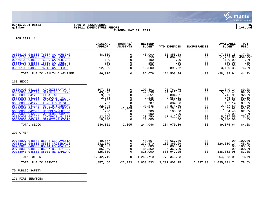

### **06/15/2021 08:43 |TOWN OF SCARBOROUGH |P 15 gclukey |FY2021 EXPENDITURE REPORT |glytdbud THROUGH MAY 31, 2021**



**FOR 2021 11**

|                                                                                                                                                                                                                                                                                                                                                                                                                                                                                     | ORIGINAL<br><b>APPROP</b>                                                                               | TRANFRS/<br><b>ADJSTMTS</b>                                                                                                          | <b>REVISED</b><br><b>BUDGET</b>                                                                         | <b>YTD EXPENDED</b>                                                                                                                | <b>ENCUMBRANCES</b>                                                              | <b>AVAILABLE</b><br><b>BUDGET</b>                                                                                                | <b>PCT</b><br><b>USED</b>                                                                            |
|-------------------------------------------------------------------------------------------------------------------------------------------------------------------------------------------------------------------------------------------------------------------------------------------------------------------------------------------------------------------------------------------------------------------------------------------------------------------------------------|---------------------------------------------------------------------------------------------------------|--------------------------------------------------------------------------------------------------------------------------------------|---------------------------------------------------------------------------------------------------------|------------------------------------------------------------------------------------------------------------------------------------|----------------------------------------------------------------------------------|----------------------------------------------------------------------------------------------------------------------------------|------------------------------------------------------------------------------------------------------|
| 06666100 048500 76007 GA HOUSING<br>06666100 048500 76008 GA HOUSEHO<br>06666100 048500 76009 GA MEDICAL<br>06666100 048500 76010 GA PRESCRI<br>06666100 048500 76011 GA PROPANE<br>06666100 048500 76013 GA - FOOD                                                                                                                                                                                                                                                                 | 48,000<br>350<br>100<br>100<br>500<br>12,000                                                            | 0<br>$\Omega$<br>$\mathbf 0$<br>$\Omega$<br>$\mathbf 0$<br>$\mathbf 0$                                                               | 48,000<br>350<br>100<br>100<br>500<br>12,000                                                            | 65,858.18<br>1,609.65<br>.00<br>.00<br>.00<br>8,899.62                                                                             | .00<br>.00<br>.00<br>.00<br>.00<br>.00                                           | $-17,858.18$<br>$-1, 259.65$<br>100.00<br>100.00<br>500.00<br>3,100.38                                                           | 137.2%*<br>459.9%*<br>.0%<br>.0%<br>.0%<br>74.2%                                                     |
| TOTAL PUBLIC HEALTH & WELFARE                                                                                                                                                                                                                                                                                                                                                                                                                                                       | 86,076                                                                                                  | $\Omega$                                                                                                                             | 86,076                                                                                                  | 124,508.94                                                                                                                         | .00                                                                              | $-38,432.94$                                                                                                                     | 144.7%                                                                                               |
| 268 SEDCO                                                                                                                                                                                                                                                                                                                                                                                                                                                                           |                                                                                                         |                                                                                                                                      |                                                                                                         |                                                                                                                                    |                                                                                  |                                                                                                                                  |                                                                                                      |
| 06800000 041110 ADMINISTRATOR F<br>06800000 041112<br>STAFF FULL TIME<br>06800000 041200<br>FICA TAX<br>06800000 041205<br>MEDICARE TAX<br>06800000 041210<br>DENTAL INSURANC<br>06800000 041220<br><b>LONGTERM DISABL</b><br>06800000 041230<br>HEALTH INSURANC<br>06800000 041240<br>PENSION (MSRS/I<br>06800000 042500<br>UNEMPLOYMENT CO<br>06800000 042600<br><b>WORKERS COMPENS</b><br>06800000 043225<br><b>CONTRACTUAL SER</b><br>06800000 045420<br><b>MARKETING COSTS</b> | 107,402<br>49,698<br>9,551<br>2,235<br>265<br>787<br>23,846<br>17,717<br>200<br>600<br>23,750<br>10,000 | $\mathbf 0$<br>$\Omega$<br>$\mathbf 0$<br>$\Omega$<br>$\Omega$<br>$\Omega$<br>0<br>$-2,005$<br>0<br>$\Omega$<br>$\Omega$<br>$\Omega$ | 107,402<br>49,698<br>9,551<br>2,235<br>265<br>787<br>23,846<br>15,712<br>200<br>600<br>23,750<br>10,000 | 95,761.76<br>44, 311.52<br>8,804.01<br>2,059.11<br>238.48<br>684.86<br>20,878.50<br>14,254.02<br>165.60<br>.00<br>17,812.50<br>.00 | .00<br>.00<br>.00<br>.00<br>.00<br>.00<br>.00<br>.00<br>.00<br>.00<br>.00<br>.00 | 11,640.24<br>5,386.48<br>746.99<br>175.89<br>26.52<br>102.14<br>2,967.50<br>1,457.98<br>34.40<br>600.00<br>5,937.50<br>10,000.00 | 89.2%<br>89.2%<br>92.2%<br>92.1%<br>90.0%<br>87.0%<br>87.6%<br>90.7%<br>82.8%<br>.0%<br>75.0%<br>.0% |
| TOTAL SEDCO                                                                                                                                                                                                                                                                                                                                                                                                                                                                         | 246,051                                                                                                 | $-2,005$                                                                                                                             | 244,046                                                                                                 | 204,970.36                                                                                                                         | $.00 \,$                                                                         | 39,075.64                                                                                                                        | 84.0%                                                                                                |
| 297 OTHER                                                                                                                                                                                                                                                                                                                                                                                                                                                                           |                                                                                                         |                                                                                                                                      |                                                                                                         |                                                                                                                                    |                                                                                  |                                                                                                                                  |                                                                                                      |
| 09788007 048800 85048 CEA AVESTA<br>09788010 048800 85304 CROSSROADS<br>09788020 048800 85044 FOUNDATION<br>09788030 048800 85037 BESSEY SEN<br>09788040 048800 85031 NE EXPED C                                                                                                                                                                                                                                                                                                    | 40,667<br>232,670<br>58,003<br>86,369<br>825,000                                                        | $\mathbf 0$<br>$\Omega$<br>0<br>$\mathbf 0$<br>$\Omega$                                                                              | 40,667<br>232,670<br>58,003<br>86,369<br>825,000                                                        | 40,667.36<br>106,360.09<br>58,003.04<br>86,369.29<br>686,947.05                                                                    | .00<br>.00<br>.00<br>.00<br>$.00 \,$                                             | .00.<br>126,310.14<br>.00<br>.00<br>138,052.95                                                                                   | 100.0%<br>45.7%<br>100.0%<br>100.0%<br>83.3%                                                         |
| TOTAL OTHER                                                                                                                                                                                                                                                                                                                                                                                                                                                                         | 1,242,710                                                                                               | $\Omega$                                                                                                                             | 1,242,710                                                                                               | 978, 346.83                                                                                                                        | .00                                                                              | 264, 363.09                                                                                                                      | 78.7%                                                                                                |
| TOTAL PUBLIC SERVICE                                                                                                                                                                                                                                                                                                                                                                                                                                                                | 4,857,466                                                                                               | $-23,933$                                                                                                                            | 4,833,533                                                                                               | 3,791,803.25                                                                                                                       | 6,437.93                                                                         | 1,035,291.74                                                                                                                     | 78.6%                                                                                                |

70 PUBLIC SAFETY \_\_\_\_\_\_\_\_\_\_\_\_\_\_\_\_\_\_\_\_\_\_\_\_\_\_\_\_\_\_\_\_\_\_\_\_\_\_\_\_\_

271 FIRE SERVICES \_\_\_\_\_\_\_\_\_\_\_\_\_\_\_\_\_\_\_\_\_\_\_\_\_\_\_\_\_\_\_\_\_\_\_\_\_\_\_\_\_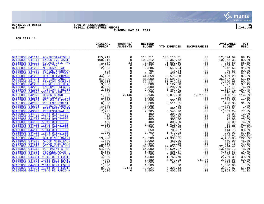

# **06/15/2021 08:43 |TOWN OF SCARBOROUGH |P 16 gclukey |FY2021 EXPENDITURE REPORT |glytdbud THROUGH MAY 31, 2021**



|                                                                    | ORIGINAL<br><b>APPROP</b>                                                                 | TRANFRS/<br><b>ADJSTMTS</b>          | <b>REVISED</b><br><b>BUDGET</b> | <b>YTD EXPENDED</b>     | <b>ENCUMBRANCES</b> | <b>AVAILABLE</b><br><b>BUDGET</b> | <b>PCT</b><br><b>USED</b> |
|--------------------------------------------------------------------|-------------------------------------------------------------------------------------------|--------------------------------------|---------------------------------|-------------------------|---------------------|-----------------------------------|---------------------------|
|                                                                    |                                                                                           |                                      |                                 |                         |                     |                                   |                           |
| 07155000 041110 ADMINISTRATOR F                                    | 115,711                                                                                   | 0                                    |                                 |                         | .00                 |                                   | 89.1%                     |
| 07155000 041114<br><b>EXECUTIVE ASST</b>                           | 115, /11<br>100, 212                                                                      | $\mathbf 0$                          | 115,711<br>100,212              | 103,116.01<br>89,359.62 | .00                 | 12,594.99<br>10,852.38            | 89.2%                     |
| 07155000 041122<br>FD ADM CELL PHO                                 | $\frac{1}{12}$ , 787<br>$1,787$<br>$12,337$<br>$2,886$<br>$1,101$<br>$44,058$<br>$31,000$ | 13                                   | 1,800                           | 1,597.50<br>11,302.06   | .00                 | 202.50                            | 88.8%                     |
| 07155000 041200<br>FICA TAX                                        |                                                                                           | $\overline{0}$                       | 12,337                          |                         | .00                 | 1,034.94                          | 91.6%                     |
| 07155000 041205<br>MEDICARE TAX                                    |                                                                                           | $\mathbf 0$                          | 2,886                           | 2,643.34                | .00                 | 242.66                            | 91.6%                     |
| 07155000 041210<br>DENTAL INSURANC                                 |                                                                                           | $\Omega$                             | 795                             | 715.44                  | .00                 | 79.56                             | 90.0%                     |
| 07155000 041220<br>LONGTERM DISABL                                 |                                                                                           | $\overline{0}$                       | 1,101                           | 932.74                  | .00                 | 168.26                            | 84.7%                     |
| 07155000 041230<br><b>HEALTH INSURANC</b><br>07155000 041231       |                                                                                           | $\mathbf 0$<br>$\mathbf 0$           | 44,058                          | 38,576.80               | .00                 | 5,481.20                          | 87.6%                     |
| HRA INSURANCE C<br>07155000 041240<br>PENSION (MSRS/I              |                                                                                           |                                      | 81,000                          | 44,592.61               | .00<br>.00          | 36,407.39<br>3,190.98             | 55.1%<br>90.9%            |
| 07155000 041250<br>FD RETIREE HEAL                                 | 35,133<br>3,000                                                                           | $\overline{0}$                       | 35,133<br>3,000                 | 31,942.02<br>1,122.20   | .00                 | 1,877.80                          | 37.4%                     |
| 07155000 042290<br><b>EMPLOYEE RECOGN</b>                          | 3,000                                                                                     | $\mathbf 0$                          | 3,000                           | 2,292.29                | .00                 | 707.71                            | 76.4%                     |
| 07155000 042910<br>TUITION & REGIS                                 | 2,000                                                                                     | $\Omega$                             |                                 |                         | .00                 | $-1,867.71$                       | 193.4%*                   |
| 07155000 042920 53001 B MIKE THU                                   | 630                                                                                       | $\Omega$                             | $2,000$<br>630                  | 3,867.71<br>219.40      | .00                 | 410.60                            | 34.8%                     |
| 07155000 042922<br><b>HONOR GUARD</b>                              | 1,000                                                                                     | 2,146                                | 3,146                           | 2,079.28                | 1,527.16            | $-460.16$                         | 114.6%*                   |
| 07155000 042961<br>RESPIRATORY CLE                                 | 1,000                                                                                     | $\Omega$                             | 1,000                           | .00                     | .00                 | 1,000.00                          | .0%                       |
| 07155000 042962<br>FOLLOW UP EXAMS                                 | 2,000                                                                                     | $\mathbf 0$                          | 2,000                           | 558.45                  | .00                 | 1,441.55                          | 27.9%                     |
| 07155000 042963<br><b>PRE-EMPLOYMENT</b>                           | 6,000                                                                                     | $\Omega$                             | 6,000                           | 5,511.65                | .00                 | 488.35                            | 91.9%                     |
| 07155000 043201<br><b>TRAINING CONTRA</b>                          | 1,000                                                                                     | $\mathbf 0$                          | 1,000                           | .00                     | .00                 | 1,000.00                          | $.0\%$                    |
| 07155000 043225<br>FIRE DEPT CONTR                                 | 12,045                                                                                    | $\mathbf 0$                          | 12,045                          | 892.49                  | .00                 | 11,152.51                         | 7.4%                      |
| 07155000 043500<br>PROFESSIONAL DU                                 | 7,205                                                                                     | $\begin{matrix} 0 \\ 0 \end{matrix}$ | 7,205                           | 5,545.76                | .00                 | 1,659.24                          | 77.0%                     |
| 07155000 044100 77041 UTILITIES                                    | 400                                                                                       |                                      | 400                             | 305.00                  | .00                 | 95.00                             | 76.3%                     |
| 07155000 044100 77043 UTILITIES                                    | 400                                                                                       | $\mathsf{O}$                         | 400                             | 305.00                  | .00                 | 95.00                             | 76.3%                     |
| 07155000 044100 77044 UTILITIES                                    | 400                                                                                       | $\mathsf{O}$                         | 400                             | 305.00                  | .00                 | 95.00                             | 76.3%                     |
| 07155000 044100 77046 UTILITIES                                    | 400                                                                                       | $\mathsf{O}$                         | 400                             | 305.00                  | .00                 | 95.00                             | 76.3%                     |
| 07155000 044110 77041 UTILITIES                                    | 1,100                                                                                     | $\mathbf 0$                          | 1,100                           | 1,010.71                | .00                 | 89.29                             | 91.9%                     |
| 07155000 044110 77043 UTILITIES                                    | 750                                                                                       | $\mathbf{0}$                         | 750                             | 763.75                  | .00                 | $-13.75$                          | 101.8%*                   |
| 07155000 044110 77044 UTILITIES<br>07155000 044110 77046 UTILITIES | 850<br>1,700                                                                              | $\Omega$<br>$\mathbf{0}$             | 850                             | 705.27<br>1,479.98      | .00                 | 144.73<br>220.02                  | 83.0%<br>87.1%            |
| 07155000 044110 77047 UTILITIES                                    | $\Omega$                                                                                  | $\mathbf 0$                          | 1,700<br>$\Omega$               | 146.61                  | .00<br>.00          | $-146.61$                         | $100.0$ *                 |
| 07155000 044300<br><b>BUILDING MAINT</b>                           | 19,900                                                                                    | $\mathsf{O}$                         | 19,900                          | 24,336.85               | .00                 | $-4, 436.85$                      | 122.3%*                   |
| 07155000 044302<br><b>ALARM MAINTENAN</b>                          | 1,000                                                                                     | $\mathsf{O}$                         | 1,000                           | 450.00                  | .00                 | 550.00                            | 45.0%                     |
| 07155000 044303<br><b>FLOOR MAINTENAN</b>                          | 1,500                                                                                     | $\mathbf 0$                          | 1,500                           | 712.65                  | .00                 | 787.35                            | 47.5%                     |
| 07155000 044310<br>VEH MAINT & REP                                 | 80,000                                                                                    | $\mathsf{O}$                         | 80,000                          | 47,055.53               | .00                 | 32,944.47                         | 58.8%                     |
| 07155000 044313<br>VEH MAINT & REP                                 | 64,000                                                                                    | $\Omega$                             | 64,000                          | 50,524.27               | .00                 | 13, 475. 73                       | 78.9%                     |
| 07155000 044315<br>VEHICLE MAINT -                                 | 5,500                                                                                     | $\mathbf 0$                          | 5,500                           | 806.37                  | .00                 |                                   | 14.7%                     |
| 07155000 044351<br>DEPARTMENT EOUI                                 | 5,500                                                                                     | $\mathsf{O}$                         | 5,500                           | 4,059.05                | .00                 | $4,693.63$<br>1,440.95            | 73.8%                     |
| 07155000 044351 71010 DEPT EQUIP                                   | 4,500                                                                                     | $\overline{0}$                       | 4,500                           | 1,768.70                | .00                 | 2,731.30                          | 39.3%                     |
| 07155000 044351 71011 DEPT EQUIP                                   | 7,380                                                                                     | $\mathbf 0$                          | 7,380                           | 3,542.98                | 941.06              | 2,895.96                          | 60.8%                     |
| 07155000 044351 71012 DEPT EQUIP                                   | 1,000                                                                                     | $\mathbf 0$                          | 1,000                           | 196.01                  | .00                 | 803.99                            | 19.6%                     |
| 07155000 044351 71013 DEPT EOP M                                   | 1,500                                                                                     | $\mathbf 0$                          | 1,500                           | .00                     | .00                 | 1,500.00                          | .0%                       |
| 07155000 044351 71014 DEPT EQUIP                                   | 9,800                                                                                     | 1,124                                | 10,924                          | 7,326.13                | .00                 | 3,597.87                          | 67.1%                     |
| 07155000 044352 77040 PS RADIO M                                   | 7,500                                                                                     | $\Omega$                             | 7,500                           | 5,405.98                | .00                 | 2,094.02                          | 72.1%                     |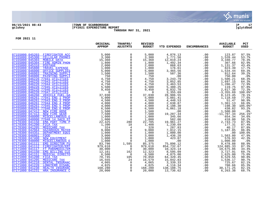

## **06/15/2021 08:43 |TOWN OF SCARBOROUGH |P 17 gclukey |FY2021 EXPENDITURE REPORT |glytdbud THROUGH MAY 31, 2021**



|                                                                                                                                                                                                                                                                                                                                                                                                                                                                                                | ORIGINAL<br><b>APPROP</b> | TRANFRS/<br><b>ADJSTMTS</b>           | <b>REVISED</b><br><b>BUDGET</b>          | <b>YTD EXPENDED</b>                           | <b>ENCUMBRANCES</b> | <b>AVAILABLE</b><br><b>BUDGET</b>          | PCT<br><b>USED</b> |
|------------------------------------------------------------------------------------------------------------------------------------------------------------------------------------------------------------------------------------------------------------------------------------------------------------------------------------------------------------------------------------------------------------------------------------------------------------------------------------------------|---------------------------|---------------------------------------|------------------------------------------|-----------------------------------------------|---------------------|--------------------------------------------|--------------------|
| 07155000 045203<br>$\begin{tabular}{l c c c c} \hline \multicolumn{1}{c}{\textbf{FIREFGHTER ACC}} & \multicolumn{1}{c}{5,000} \\ \hline \multicolumn{1}{c}{\textbf{MOBILE DATA}} & \multicolumn{1}{c}{15,300} \\ \hline \multicolumn{1}{c}{\textbf{MOBILE DATA}} & \multicolumn{1}{c}{15,300} \\ \hline \multicolumn{1}{c}{\textbf{PORABEN} & \textbf{PHON} \\ \hline \multicolumn{1}{c}{\textbf{POMSE}} & \multicolumn{1}{c}{2,000} \\ \hline \multicolumn{1}{c}{\textbf{TRAN$                | 5,000                     | $\mathbf 0$                           | 5,000                                    |                                               | .00                 | 123.87                                     | 97.5%              |
| 07155000 045300                                                                                                                                                                                                                                                                                                                                                                                                                                                                                |                           | $\mathsf{O}$                          |                                          | 4,876.13<br>1,771.56<br>12,019.23<br>1,492.34 | .00                 |                                            | 53.7%              |
| 07155000 045303                                                                                                                                                                                                                                                                                                                                                                                                                                                                                |                           | $\mathsf{O}$                          | $3,300$<br>$15,360$                      |                                               | .00                 | 1,528.44<br>3,340.77                       | 78.3%              |
| 07155000 045304                                                                                                                                                                                                                                                                                                                                                                                                                                                                                |                           | $\overline{0}$                        | 1,800                                    |                                               | .00                 | 307.66                                     | 82.9%              |
| 07155000 045310                                                                                                                                                                                                                                                                                                                                                                                                                                                                                |                           | $\overline{0}$                        | 2,000                                    | 868.63                                        | .00                 | 1,131.37                                   | 43.4%              |
| 07155000 045800                                                                                                                                                                                                                                                                                                                                                                                                                                                                                |                           | $\mathsf{O}$                          | 1,000                                    | 176.61                                        | .00                 | 823.39                                     | 17.7%              |
| 07155000 046000                                                                                                                                                                                                                                                                                                                                                                                                                                                                                |                           | $\mathsf 0$                           | 5,000                                    | 3,465.56                                      | .00                 | 1,534.44<br>912.64                         | 69.3%              |
| 07155000 046003                                                                                                                                                                                                                                                                                                                                                                                                                                                                                |                           | $\overline{0}$<br>0                   | 1,500                                    | 587.36                                        | .00                 |                                            | 39.2%              |
| 07155000 046006  PAINTING SUPPLI                                                                                                                                                                                                                                                                                                                                                                                                                                                               |                           |                                       | 750                                      | .00                                           | .00                 | 750.00                                     | .0%                |
| 07155000 046220 77041 UTILITIES                                                                                                                                                                                                                                                                                                                                                                                                                                                                |                           | $\overline{0}$                        | 4,750                                    | 3, 243.79                                     | .00                 |                                            | 68.3%              |
| 07155000 046220 77043 UTILITIES                                                                                                                                                                                                                                                                                                                                                                                                                                                                |                           | $\mathsf{O}\xspace$                   | 4,750                                    | $3,052.85$<br>$3,463.53$                      | .00                 |                                            | 64.3%              |
| 07155000 046220 77044 UTILITIES                                                                                                                                                                                                                                                                                                                                                                                                                                                                |                           | $\mathsf{O}\xspace$                   | 4,750                                    |                                               | .00                 |                                            | 72.9%              |
| 07155000 046220 77045 UTILITIES                                                                                                                                                                                                                                                                                                                                                                                                                                                                |                           | $\mathsf{O}\xspace$                   | 5,500                                    | 5,380.25                                      | .00                 | 1,506.21<br>1,697.15<br>1,286.47<br>119.75 | 97.8%              |
| 07155000 046220 77046 UTILITIES                                                                                                                                                                                                                                                                                                                                                                                                                                                                |                           | $\Omega$                              | 9,450                                    | $6,832.70$<br>3,355.69                        | .00                 | 2,617.30                                   | 72.3%              |
| 07155000 046220 77047 UTILITIES                                                                                                                                                                                                                                                                                                                                                                                                                                                                |                           | $\mathsf{O}$                          | $\sim$ 0                                 |                                               | .00                 | $-3, 355.69$                               | 100.0%*            |
| 07155000 046260 VEHICLE FUEL-GA                                                                                                                                                                                                                                                                                                                                                                                                                                                                |                           | $\mathsf{O}\xspace$                   | 37,030                                   | 28,906.55                                     | .00                 | 8,123.45                                   | 78.1%              |
| 07155000 046261 77041 ENG 1 PROP                                                                                                                                                                                                                                                                                                                                                                                                                                                               |                           | $\overline{0}$<br>0                   | 5,000                                    | 3,881.41                                      | .00                 | 1,118.59                                   | 77.6%              |
| 07155000 046261 77043 ENG 3 PROP                                                                                                                                                                                                                                                                                                                                                                                                                                                               |                           |                                       | 4,500                                    | 4,448.53                                      | .00                 | 51.47                                      | 98.9%              |
| 07155000 046261 77044 ENG 4 PROP                                                                                                                                                                                                                                                                                                                                                                                                                                                               |                           | $\mathsf{O}\xspace$                   | $\frac{4,000}{4,000}$<br>6,500           | 2,638.87                                      | .00                 | $1,361.13$<br>-198.30                      | 66.0%              |
| 07155000 046261 77045 ENG 5 PROP                                                                                                                                                                                                                                                                                                                                                                                                                                                               |                           | $\ddot{\mathbf{0}}$                   |                                          | 4,198.30                                      | .00                 |                                            | 105.0%*            |
| 07155000 046261 77046 ENG 6 PROP                                                                                                                                                                                                                                                                                                                                                                                                                                                               |                           | $\ddot{\mathbf{0}}$<br>$\overline{0}$ |                                          | 6,061.18                                      | .00                 | 438.82                                     | 93.2%              |
| 07155000 047412 NEW FIRE HOSE                                                                                                                                                                                                                                                                                                                                                                                                                                                                  |                           | $\overline{0}$                        | 1,500                                    | .00                                           | .00                 | 1,500.00                                   | .0%                |
| 07155000 047413 NEW FIRE GEAR                                                                                                                                                                                                                                                                                                                                                                                                                                                                  |                           |                                       | 7,500                                    | 19, 207.34<br>345.66                          | .00                 | $-11,707.34$                               | 256.1%*            |
| 07155000 048000 MISCELLANEOUS E<br>07155000 048000 77048 14 SACO ST                                                                                                                                                                                                                                                                                                                                                                                                                            |                           | $\mathsf 0$<br>$\overline{0}$         | 1,000<br>$\overline{1}$ ,000             | 582.00                                        | .00                 | 654.34                                     | 34.6%<br>58.2%     |
| 07170300 041150                                                                                                                                                                                                                                                                                                                                                                                                                                                                                |                           |                                       | 22,705                                   | 19,961.27                                     | .00<br>.00          | 418.00<br>2,743.73<br>177.31               | 87.9%              |
| 07170300 041200                                                                                                                                                                                                                                                                                                                                                                                                                                                                                |                           | 280<br>18                             | 1,408                                    | 1,230.69                                      | $.00 \,$            |                                            | 87.4%              |
| 07170300 041205                                                                                                                                                                                                                                                                                                                                                                                                                                                                                |                           | $\overline{4}$                        | 328                                      | 287.83                                        | $.00\,$             | 40.17                                      | 87.8%              |
| 07170300 042964                                                                                                                                                                                                                                                                                                                                                                                                                                                                                |                           | $\overline{0}$                        |                                          |                                               | .00                 | 1,187.85                                   | 86.8%              |
| 07170300 044351                                                                                                                                                                                                                                                                                                                                                                                                                                                                                |                           | $\overline{0}$                        | $\frac{9}{1}$ ,000<br>$\frac{1}{1}$ ,000 | $7,812.15$<br>$1,000.00$                      | .00                 | .00                                        | 100.0%             |
| 07170300 046001                                                                                                                                                                                                                                                                                                                                                                                                                                                                                |                           | $\overline{0}$                        | 3,000                                    | 1,436.20                                      | .00                 | 1,563.80                                   | 47.9%              |
| 07170300 047400                                                                                                                                                                                                                                                                                                                                                                                                                                                                                |                           | $\overline{0}$                        |                                          | 423.07                                        | .00                 | 576.93                                     | 42.3%              |
| 07170300 048000                                                                                                                                                                                                                                                                                                                                                                                                                                                                                |                           | $\mathbf 0$                           | $1,000$<br>$1,000$                       | .00                                           | .00                 | 1,000.00                                   | .0%                |
| 07171000 041111                                                                                                                                                                                                                                                                                                                                                                                                                                                                                |                           |                                       | 85,375                                   | 75,896.12                                     | .00                 | 9,478.88                                   | 88.9%              |
| 07171000 041112                                                                                                                                                                                                                                                                                                                                                                                                                                                                                |                           |                                       | 979,618                                  | 854,732.67                                    | .00                 | 124,885.33                                 | 87.3%              |
| 07171000 041117                                                                                                                                                                                                                                                                                                                                                                                                                                                                                |                           | $1,585$<br>0<br>0                     | 30,000                                   | 10,324.14                                     | .00                 | 19,675.86                                  | 34.4%              |
| 07171000 041150                                                                                                                                                                                                                                                                                                                                                                                                                                                                                |                           | 162                                   | $\frac{12}{6}$ , 323<br>6, 500           | $8,595.09$<br>$4,875.00$                      | .00                 | $\frac{3}{727.91}$<br>1,625.00             | 69.7%              |
| 07171000 041151                                                                                                                                                                                                                                                                                                                                                                                                                                                                                |                           | $\overline{\phantom{0}}$              |                                          |                                               | .00                 |                                            | 75.0%              |
| $\begin{tabular}{l l l} \multicolumn{1}{c}{\textbf{FMS}} & \multicolumn{1}{c}{\textbf{BILING CLE}} & \multicolumn{1}{c}{\textbf{500}} \\ \hline \multicolumn{1}{c}{\textbf{MEDICAL DIRECTO}} & \multicolumn{1}{c}{\textbf{6, 500}} \\ \multicolumn{1}{c}{\textbf{MEDICAL DIRECTO}} & \multicolumn{1}{c}{\textbf{6, 500}} \\ \multicolumn{1}{c}{\textbf{MEDICARE TAX}} & \multicolumn{1}{c}{\textbf{70, 745}} \\ \multicolumn{1}{c}{\textbf{MEDICARE TAX}} & \multicolumn{1$<br>07171000 041200 |                           | 105                                   | 70,850                                   | $64,320.45$<br>15,042.83                      | .00                 | $6, 529.55$<br>1,536.17                    | 90.8%              |
| 07171000 041205                                                                                                                                                                                                                                                                                                                                                                                                                                                                                |                           | 24                                    | 16,579                                   |                                               | .00                 |                                            | 90.7%              |
| 07171000 041210                                                                                                                                                                                                                                                                                                                                                                                                                                                                                |                           | $\overline{0}$                        | 4,065                                    | 3,339.33                                      | .00                 | 725.67                                     | 82.1%              |
| 07171000 041220                                                                                                                                                                                                                                                                                                                                                                                                                                                                                |                           | $\overline{0}$                        | 4,825                                    | 4,116.34                                      | .00                 | 708.66                                     | 85.3%              |
| 07171000 041230                                                                                                                                                                                                                                                                                                                                                                                                                                                                                |                           | $\overline{O}$                        | 168,280                                  | 138,108.75                                    | .00                 | 30,171.25                                  | 82.1%              |
| 07171000 041231                                                                                                                                                                                                                                                                                                                                                                                                                                                                                |                           | $\overline{0}$                        | 20,000                                   | 13,736.62                                     | .00                 | 6,263.38                                   | 68.7%              |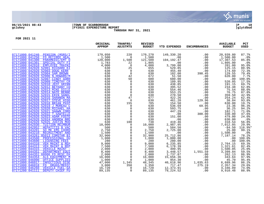

## **06/15/2021 08:43 |TOWN OF SCARBOROUGH |P 18 gclukey |FY2021 EXPENDITURE REPORT |glytdbud THROUGH MAY 31, 2021**

|                                                       | ORIGINAL<br><b>APPROP</b>                                                                                                                                                                                                                                                                 | TRANFRS/<br><b>ADJSTMTS</b>                                                                 | <b>REVISED</b><br><b>BUDGET</b>                                                                                                                                                                                                                                                          | YTD EXPENDED | <b>ENCUMBRANCES</b>                                                                                                                                                                                                                                                                       | <b>AVAILABLE</b><br><b>BUDGET</b> | PCT<br><b>USED</b> |
|-------------------------------------------------------|-------------------------------------------------------------------------------------------------------------------------------------------------------------------------------------------------------------------------------------------------------------------------------------------|---------------------------------------------------------------------------------------------|------------------------------------------------------------------------------------------------------------------------------------------------------------------------------------------------------------------------------------------------------------------------------------------|--------------|-------------------------------------------------------------------------------------------------------------------------------------------------------------------------------------------------------------------------------------------------------------------------------------------|-----------------------------------|--------------------|
| 07171000 041240 PENSION (MSRS/I                       |                                                                                                                                                                                                                                                                                           | 220                                                                                         |                                                                                                                                                                                                                                                                                          |              | $\begin{tabular}{cccccccc} $\textbf{149, 330.20} & \textbf{50, 00} & 0.00 & 0.00 & 0.00 & 0.00 & 0.00 & 0.00 & 0.00 & 0.00 & 0.00 & 0.00 & 0.00 & 0.00 & 0.00 & 0.00 & 0.00 & 0.00 & 0.00 & 0.00 & 0.00 & 0.00 & 0.00 & 0.00 & 0.00 & 0.00 & 0.00 & 0.00 & 0.00 & 0.00 & 0.00 & 0.00 & 0$ |                                   | 87.7%              |
| 07171000 041250<br>FD RETIREE HEAL                    |                                                                                                                                                                                                                                                                                           |                                                                                             | 170,270<br>1,500<br>121,500                                                                                                                                                                                                                                                              |              |                                                                                                                                                                                                                                                                                           |                                   | $.0\%$             |
| 07171000 041300<br>PARAMEDIC/EMT O                    |                                                                                                                                                                                                                                                                                           |                                                                                             |                                                                                                                                                                                                                                                                                          |              |                                                                                                                                                                                                                                                                                           |                                   | 85.8%              |
| 07171000 041301<br>SPECIAL DUTY FI                    |                                                                                                                                                                                                                                                                                           |                                                                                             | 1,805                                                                                                                                                                                                                                                                                    |              |                                                                                                                                                                                                                                                                                           |                                   | .0 <sup>°</sup>    |
| 07171000 042910<br>EMPLOYEE TRAINI                    |                                                                                                                                                                                                                                                                                           |                                                                                             |                                                                                                                                                                                                                                                                                          |              |                                                                                                                                                                                                                                                                                           |                                   | 95.0%              |
| 07171000 042920 52001 RICHARD KI                      |                                                                                                                                                                                                                                                                                           |                                                                                             |                                                                                                                                                                                                                                                                                          |              |                                                                                                                                                                                                                                                                                           |                                   | 80.9%              |
| 07171000 042920 52003 DOUG KERR                       |                                                                                                                                                                                                                                                                                           |                                                                                             |                                                                                                                                                                                                                                                                                          |              |                                                                                                                                                                                                                                                                                           |                                   | 72.3%              |
| 07171000 042920 52004 SAM BROWN                       |                                                                                                                                                                                                                                                                                           |                                                                                             |                                                                                                                                                                                                                                                                                          |              |                                                                                                                                                                                                                                                                                           |                                   | 79.4%              |
| 07171000 042920 52006 N.HOWARD/M                      |                                                                                                                                                                                                                                                                                           |                                                                                             |                                                                                                                                                                                                                                                                                          |              |                                                                                                                                                                                                                                                                                           |                                   | 7.7%               |
| 07171000 042920 52007 CINDY GORH                      |                                                                                                                                                                                                                                                                                           |                                                                                             |                                                                                                                                                                                                                                                                                          |              |                                                                                                                                                                                                                                                                                           |                                   | 100.0%             |
| 07171000 042920 52009 TIMOTHY CR                      |                                                                                                                                                                                                                                                                                           |                                                                                             |                                                                                                                                                                                                                                                                                          |              |                                                                                                                                                                                                                                                                                           |                                   | 17.5%              |
| 07171000 042920 52010 JEFF GRINN                      |                                                                                                                                                                                                                                                                                           |                                                                                             |                                                                                                                                                                                                                                                                                          |              |                                                                                                                                                                                                                                                                                           |                                   | 69.7%              |
| 07171000 042920 52012 BETHANY CO                      |                                                                                                                                                                                                                                                                                           |                                                                                             |                                                                                                                                                                                                                                                                                          |              |                                                                                                                                                                                                                                                                                           |                                   | 62.8%              |
| 07171000 042920 52013 MIKE DICLE                      |                                                                                                                                                                                                                                                                                           |                                                                                             |                                                                                                                                                                                                                                                                                          |              |                                                                                                                                                                                                                                                                                           |                                   | 88.0%              |
| 07171000 042920 52014 NATE BENNE                      |                                                                                                                                                                                                                                                                                           |                                                                                             |                                                                                                                                                                                                                                                                                          |              |                                                                                                                                                                                                                                                                                           |                                   | 87.8%              |
| 07171000 042920 52015 ERIN SANDL                      |                                                                                                                                                                                                                                                                                           |                                                                                             | $\begin{array}{cccc} 2 & & 1\,,\,0\,0\,0\,\\ 25 & & 4\,,\,0\,0\,0\,\\ 25 & & 6\,5\,5\,\\ 0 & & 6\,3\,0\,\\ 4\,2 & & 6\,3\,0\,\\ 4\,2 & & 6\,7\,2\,\\ 0 & & 6\,8\,6\,\\ 0 & & 6\,3\,\\ 0 & & 6\,6\,\\ 0 & & 6\,6\,\\ 0 & & 6\,6\,\\ 0 & & 6\,7\,\\ 0 & & 6\,7\,\\ 0 & & 6\,7\,\\ 0 & & 6$ |              |                                                                                                                                                                                                                                                                                           |                                   | 42.9%              |
| 07171000 042920 52016 SHANNON MA                      |                                                                                                                                                                                                                                                                                           |                                                                                             |                                                                                                                                                                                                                                                                                          |              |                                                                                                                                                                                                                                                                                           |                                   | 62.4%              |
| 07171000 042920 52017 STEVE HIGG                      |                                                                                                                                                                                                                                                                                           |                                                                                             |                                                                                                                                                                                                                                                                                          |              |                                                                                                                                                                                                                                                                                           |                                   | 93.8%              |
| 07171000 042920 52018 BRIAN PHIP                      |                                                                                                                                                                                                                                                                                           |                                                                                             | 785                                                                                                                                                                                                                                                                                      |              |                                                                                                                                                                                                                                                                                           |                                   | 19.7%              |
| 07171000 042920 52019 J MOREAU C                      |                                                                                                                                                                                                                                                                                           |                                                                                             | 630                                                                                                                                                                                                                                                                                      |              |                                                                                                                                                                                                                                                                                           |                                   | 96.3%              |
| 07171000 042920 52020 MICHAEL HA                      |                                                                                                                                                                                                                                                                                           |                                                                                             | 630<br>$\begin{bmatrix} 0 \\ 0 \\ 0 \\ 0 \\ 0 \end{bmatrix}$                                                                                                                                                                                                                             |              |                                                                                                                                                                                                                                                                                           |                                   | 94.2%              |
| 07171000 042920 52021 SHAWN CORD                      |                                                                                                                                                                                                                                                                                           |                                                                                             | 630                                                                                                                                                                                                                                                                                      |              |                                                                                                                                                                                                                                                                                           |                                   | 71.0%              |
| 07171000 042920 52022 T. SAWTELLE                     |                                                                                                                                                                                                                                                                                           |                                                                                             | 630                                                                                                                                                                                                                                                                                      |              |                                                                                                                                                                                                                                                                                           |                                   | 47.6%              |
| 07171000 042920 52023 ADAM FOSTE                      |                                                                                                                                                                                                                                                                                           |                                                                                             | 630                                                                                                                                                                                                                                                                                      |              |                                                                                                                                                                                                                                                                                           |                                   | 24.0%              |
| 07171000 042920 52024 ANDREW BRE                      |                                                                                                                                                                                                                                                                                           |                                                                                             | 630                                                                                                                                                                                                                                                                                      |              |                                                                                                                                                                                                                                                                                           |                                   | .0%                |
| 07171000 042920 52025 JUSTIN MOO                      |                                                                                                                                                                                                                                                                                           |                                                                                             | 738                                                                                                                                                                                                                                                                                      |              |                                                                                                                                                                                                                                                                                           |                                   | 56.8%              |
| 07171000 042930 TUITION REIMBUR                       |                                                                                                                                                                                                                                                                                           |                                                                                             | $10,000$<br>500                                                                                                                                                                                                                                                                          |              |                                                                                                                                                                                                                                                                                           |                                   | 29.9%              |
| 07171000 042952<br>HEPATITIS B VAC<br>07171000 043201 |                                                                                                                                                                                                                                                                                           |                                                                                             |                                                                                                                                                                                                                                                                                          |              |                                                                                                                                                                                                                                                                                           |                                   | 116.9%*<br>99.1%   |
| SO ME EMS COORD<br>07171000 043210<br>RECRUITMENT AND |                                                                                                                                                                                                                                                                                           |                                                                                             |                                                                                                                                                                                                                                                                                          |              |                                                                                                                                                                                                                                                                                           |                                   | .0%                |
| 07171000 043261 85013 COMSTAR BI                      |                                                                                                                                                                                                                                                                                           |                                                                                             | $\begin{array}{r} 2,750 \\ 1,500 \\ 32,900 \\ 1,000 \\ 280 \\ \end{array}$                                                                                                                                                                                                               |              |                                                                                                                                                                                                                                                                                           |                                   | 78.2%              |
| 07171000 043500<br>PROFESSIONAL DU                    |                                                                                                                                                                                                                                                                                           |                                                                                             |                                                                                                                                                                                                                                                                                          |              |                                                                                                                                                                                                                                                                                           |                                   | 100.0%             |
| 07171000 043600<br>LICENSING FEES                     |                                                                                                                                                                                                                                                                                           |                                                                                             |                                                                                                                                                                                                                                                                                          |              |                                                                                                                                                                                                                                                                                           |                                   | 100.0%             |
| 07171000 044310<br>VEH MAINT & REP                    |                                                                                                                                                                                                                                                                                           |                                                                                             |                                                                                                                                                                                                                                                                                          |              |                                                                                                                                                                                                                                                                                           |                                   | 69.3%              |
| 07171000 044313<br>VEH MAINT & REP                    |                                                                                                                                                                                                                                                                                           |                                                                                             |                                                                                                                                                                                                                                                                                          |              |                                                                                                                                                                                                                                                                                           |                                   | 82.4%              |
| 07171000 044315 VEHICLE MAINT -                       |                                                                                                                                                                                                                                                                                           |                                                                                             |                                                                                                                                                                                                                                                                                          |              |                                                                                                                                                                                                                                                                                           |                                   | 25.0%              |
| 07171000 044351<br>DEPARTMENT EOUI                    |                                                                                                                                                                                                                                                                                           |                                                                                             |                                                                                                                                                                                                                                                                                          |              |                                                                                                                                                                                                                                                                                           |                                   | 59.5%              |
| 07171000 044351 68006 FD RESC OX                      |                                                                                                                                                                                                                                                                                           |                                                                                             | $\begin{array}{r} 2800 \\ 9,000 \\ 7,500 \\ 2,000 \\ 8,400 \\ 2,000 \\ \end{array}$                                                                                                                                                                                                      |              |                                                                                                                                                                                                                                                                                           |                                   | 86.9%              |
| 07171000 044354<br>ALS EQUIPMENT M                    |                                                                                                                                                                                                                                                                                           |                                                                                             |                                                                                                                                                                                                                                                                                          |              |                                                                                                                                                                                                                                                                                           |                                   | 97.9%              |
| 07171000 046000<br>OFFICE SUPPLIES                    |                                                                                                                                                                                                                                                                                           |                                                                                             | $16,000$<br>$1,000$                                                                                                                                                                                                                                                                      |              |                                                                                                                                                                                                                                                                                           |                                   | 95.4%              |
| 07171000 046017<br>INFECTIOUS DISE                    |                                                                                                                                                                                                                                                                                           |                                                                                             |                                                                                                                                                                                                                                                                                          |              |                                                                                                                                                                                                                                                                                           |                                   | 86.2%              |
| 07171000 046018<br>FD DRUGS/MEDIC                     |                                                                                                                                                                                                                                                                                           |                                                                                             | $\frac{48}{3}, \frac{345}{350}$                                                                                                                                                                                                                                                          |              |                                                                                                                                                                                                                                                                                           |                                   | 29.6%              |
| 07171000 046260<br><b>VEHICLE FUEL-GA</b>             |                                                                                                                                                                                                                                                                                           | $\begin{smallmatrix}0&&&&0\\&0&&&&0\\&1,345&&&350&&0\\&350&&&&0\\&0&&&&&0\end{smallmatrix}$ | 16,720                                                                                                                                                                                                                                                                                   |              |                                                                                                                                                                                                                                                                                           |                                   | 74.0%              |
| 07171200 041111<br>DEPUTY CHIEF FU                    | $170$ , $050$<br>$1,783$<br>$4$ , $000$<br>$1,783$<br>$4$ , $000$<br>$630$<br>$630$<br>$630$<br>$630$<br>$630$<br>$630$<br>$630$<br>$630$<br>$630$<br>$630$<br>$630$<br>$630$<br>$630$<br>$630$<br>$630$<br>$630$<br>$630$<br>$630$<br>$630$<br>$630$<br>$630$<br>$630$<br>$630$<br>$630$ | $\overline{0}$                                                                              | 89,135                                                                                                                                                                                                                                                                                   |              |                                                                                                                                                                                                                                                                                           |                                   | 88.9%              |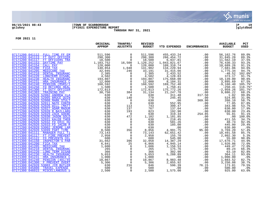

## **06/15/2021 08:43 |TOWN OF SCARBOROUGH |P 19 gclukey |FY2021 EXPENDITURE REPORT |glytdbud THROUGH MAY 31, 2021**

|                                                                                                                                                                                                                                                                       | ORIGINAL<br><b>APPROP</b>                                                                                                                                                                                                                                                                                                               | TRANFRS/<br><b>ADJSTMTS</b> | <b>REVISED</b><br><b>BUDGET</b> | YTD EXPENDED                                            | <b>ENCUMBRANCES</b> | <b>AVAILABLE</b><br><b>BUDGET</b> | PCT<br><b>USED</b> |
|-----------------------------------------------------------------------------------------------------------------------------------------------------------------------------------------------------------------------------------------------------------------------|-----------------------------------------------------------------------------------------------------------------------------------------------------------------------------------------------------------------------------------------------------------------------------------------------------------------------------------------|-----------------------------|---------------------------------|---------------------------------------------------------|---------------------|-----------------------------------|--------------------|
| 07171200 041112 FULL TIME FF EM                                                                                                                                                                                                                                       | 511,596                                                                                                                                                                                                                                                                                                                                 | $\mathbf 0$                 | 511,596                         | 455, 433. 24                                            | .00                 | 56,162.76                         | 89.0%              |
| FULL TIME FF EM 511,596<br>FT DUTY OFFICER<br>FT OFFICERS TRA<br>DAYTIME PAY 1,103,752<br>CALL PAY 1,103,752<br>CALL PAY 120,000<br>FICA TAX 140,854<br>MEDICARE TAX 140,8545<br>DONGTERM DISABL 2,385<br>LONGTERM DISABL 4,502<br>HEALTH INSURANC<br>07171200 041113 |                                                                                                                                                                                                                                                                                                                                         | $\Omega$                    | 298,300                         | 266, 454.72                                             | .00                 | 31,845.28                         | 89.3%              |
| 07171200 041117                                                                                                                                                                                                                                                       |                                                                                                                                                                                                                                                                                                                                         | $\overline{0}$              | 18,500                          | 6,937.81                                                | .00                 | 11,562.19                         | 37.5%              |
| 07171200 041153                                                                                                                                                                                                                                                       |                                                                                                                                                                                                                                                                                                                                         | 16,500                      | 1,120,252                       | 1,043,821.67                                            | .00                 | 76,430.33                         | 93.2%              |
| 07171200 041154                                                                                                                                                                                                                                                       |                                                                                                                                                                                                                                                                                                                                         | $\overline{0}$              | 120,000                         |                                                         | .00                 | 10,689.26                         | 91.1%              |
| 07171200 041200                                                                                                                                                                                                                                                       |                                                                                                                                                                                                                                                                                                                                         | 1,048                       | 141,902                         | $\begin{array}{c} 109,310.74 \\ 134,220.94 \end{array}$ | .00                 | 7,681.06                          | 94.6%              |
| 07171200 041205                                                                                                                                                                                                                                                       |                                                                                                                                                                                                                                                                                                                                         | 246                         | 33,191                          | 31,415.66                                               | .00                 | 1,775.34                          | 94.7%              |
| 07171200 041210                                                                                                                                                                                                                                                       |                                                                                                                                                                                                                                                                                                                                         | $\overline{0}$              | 2,385                           | $\overline{2}$ , 433.52                                 | .00                 | $-48.52$                          | $102.0$ *          |
| 07171200 041220                                                                                                                                                                                                                                                       |                                                                                                                                                                                                                                                                                                                                         | $\mathbf 0$                 | 4,502                           | 4,128.83                                                | .00                 | 373.17                            | 91.7%              |
| 07171200 041230                                                                                                                                                                                                                                                       |                                                                                                                                                                                                                                                                                                                                         | $\overline{0}$              | 193,807                         | 175,668.00                                              | .00                 | 18,139.00                         | 90.6%              |
| 07171200 041231                                                                                                                                                                                                                                                       |                                                                                                                                                                                                                                                                                                                                         | $\overline{0}$              | 12,000                          | 8,104.31                                                | .00                 | 3,895.69                          | 67.5%              |
| 07171200 041240                                                                                                                                                                                                                                                       |                                                                                                                                                                                                                                                                                                                                         | $\mathsf{O}$                | 160,592                         | 169,752.40<br>1,750.41                                  | .00                 | $-9,160.40$                       | 105.7%*            |
| 07171200 041250                                                                                                                                                                                                                                                       |                                                                                                                                                                                                                                                                                                                                         | $\overline{0}$              | 1,500                           |                                                         | .00                 | $-250.41$                         | 116.7%*            |
| 07171200 041300<br>FT DUTY OFFICER                                                                                                                                                                                                                                    |                                                                                                                                                                                                                                                                                                                                         | $\overline{0}$              | 172,813                         | 175,772.26<br>21,247.78                                 | .00                 | $-2,959.26$                       | 101.7%*            |
| 07171200 041303<br><b>TRAINING PAY</b>                                                                                                                                                                                                                                |                                                                                                                                                                                                                                                                                                                                         | 384                         | 31,134                          |                                                         | .00                 | 9,886.22                          | 68.2%              |
| 07171200 042920 52002 ANDREW CLA                                                                                                                                                                                                                                      |                                                                                                                                                                                                                                                                                                                                         | $\overline{0}$              | 630                             | 311.48                                                  | 317.50              | 1.02                              | 99.8%              |
| 07171200 042920 52005 BRUCE OUIN                                                                                                                                                                                                                                      |                                                                                                                                                                                                                                                                                                                                         | 140                         | 770                             | 245.45                                                  | .00                 | 524.05                            | 31.9%              |
| 07171200 042920 52008 MARK STULT                                                                                                                                                                                                                                      |                                                                                                                                                                                                                                                                                                                                         | $\overline{0}$              | 630                             | .00<br>552.95                                           | 369.90              | 260.10<br>77.05                   | 58.7%              |
| 07171200 042920 52011 NATE CONTR<br>07171200 042920 52026 WILL (MATT                                                                                                                                                                                                  |                                                                                                                                                                                                                                                                                                                                         | $\overline{0}$<br>113       | 630<br>743                      | 399.47                                                  | .00<br>.00          | 343.98                            | 87.8%<br>53.7%     |
| 07171200 042920 52027 ADAM MADUR                                                                                                                                                                                                                                      |                                                                                                                                                                                                                                                                                                                                         | 137                         | 767                             | 137.04                                                  | .00                 | 630.00                            | 17.9%              |
| 07171200 042920 52028 R.BAILLARG                                                                                                                                                                                                                                      |                                                                                                                                                                                                                                                                                                                                         | 193                         | 823                             | 192.90                                                  | .00                 | 630.00                            | 23.4%              |
| 07171200 042920 52029 ZACK GOEBE                                                                                                                                                                                                                                      |                                                                                                                                                                                                                                                                                                                                         | $\overline{0}$              | 630                             | 319.34                                                  | 254.85              | 55.81                             | 91.1%              |
| 07171200 042920 52030 JASON GOLD                                                                                                                                                                                                                                      |                                                                                                                                                                                                                                                                                                                                         | 472                         | 1,102                           | 1,101.85                                                | .00                 | .00                               | 100.0%             |
| 07171200 042920 52031 KALEB THEB                                                                                                                                                                                                                                      |                                                                                                                                                                                                                                                                                                                                         | $\Omega$                    | 630                             | 218.45                                                  | .00                 | 411.55                            | 34.7%              |
| 07171200 042920 52032 FD ERIC HU                                                                                                                                                                                                                                      |                                                                                                                                                                                                                                                                                                                                         | $\mathsf{O}$                | 630                             | 581.26                                                  | .00                 | 48.74                             | 92.3%              |
| 07171200 042920 52033 FD JACOB R                                                                                                                                                                                                                                      |                                                                                                                                                                                                                                                                                                                                         | $\overline{0}$              | 630                             | 185.00                                                  | .00                 | 445.00                            | 29.4%              |
| 07171200 042920 53002 JEROME LAM                                                                                                                                                                                                                                      |                                                                                                                                                                                                                                                                                                                                         | $\overline{0}$              | 630                             | .00                                                     | .00                 | 630.00                            | .0%                |
| 07171200 042920 53099 PART TIME                                                                                                                                                                                                                                       |                                                                                                                                                                                                                                                                                                                                         | 356                         | 8,856                           | 4,991.75                                                | 95.00               | 3,769.20                          | 57.4%              |
| 07171300 041111 MANAGER FULL TI                                                                                                                                                                                                                                       |                                                                                                                                                                                                                                                                                                                                         | $\overline{0}$              | 73,143                          | 62,651.42                                               | .00                 | 10,491.58                         | 85.7%              |
| 07171300 041117 FT FIRE PREVENT                                                                                                                                                                                                                                       |                                                                                                                                                                                                                                                                                                                                         | $\mathsf{O}$                | 2,958                           | 155.70                                                  | .00                 | 2,802.30                          | 5.3%               |
| 07171300 041122 FD PREVENTN CEL                                                                                                                                                                                                                                       |                                                                                                                                                                                                                                                                                                                                         | $\Omega$                    | 600                             | 545.00                                                  | .00                 | 55.00                             | 90.8%              |
| 07171300 041150<br>INSPECTOR'S PAR                                                                                                                                                                                                                                    |                                                                                                                                                                                                                                                                                                                                         | 396                         | 32,058                          | 14,387.29                                               | .00                 | 17,670.71                         | 44.9%              |
| 07171300 041200<br>FICA TAX                                                                                                                                                                                                                                           |                                                                                                                                                                                                                                                                                                                                         | 25                          | 6,866                           | 4,945.14                                                | .00                 | 1,920.86                          | 72.0%              |
| 07171300 041205<br>MEDICARE TAX                                                                                                                                                                                                                                       |                                                                                                                                                                                                                                                                                                                                         | 6                           | 1,606                           | 1,156.53                                                | .00                 | 449.47                            | 72.0%              |
| 07171300 041210<br>DENTAL INSURANC                                                                                                                                                                                                                                    |                                                                                                                                                                                                                                                                                                                                         | $\mathsf{O}$                | 265                             | 175.76                                                  | .00                 | 89.24                             | 66.3%              |
| 07171300 041220<br><b>LONG TERM DISAB</b>                                                                                                                                                                                                                             |                                                                                                                                                                                                                                                                                                                                         | $\mathsf{O}$                | 366                             | 302.90                                                  | .00                 | 63.10                             | 82.8%              |
| 07171300 041230<br>HEALTH INSURANC                                                                                                                                                                                                                                    |                                                                                                                                                                                                                                                                                                                                         | $\overline{0}$              | 5,653                           | 5,288.89                                                | .00                 | 364.11                            | 93.6%              |
| 07171300 041231<br>HRA INSURANCE C                                                                                                                                                                                                                                    | $172,813$<br>$30,750$<br>$630$<br>$630$<br>$630$<br>$630$<br>$630$<br>$630$<br>$630$<br>$630$<br>$630$<br>$630$<br>$630$<br>$630$<br>$630$<br>$630$<br>$630$<br>$630$<br>$630$<br>$630$<br>$630$<br>$630$<br>$630$<br>$630$<br>$630$<br>$630$<br>$630$<br>$630$<br>$630$<br>$630$<br>$630$<br>$630$<br>$630$<br>$630$<br>$630$<br>$630$ | $\overline{0}$              | 1,000                           | .00                                                     | .00                 | 1,000.00                          | .0 <sub>8</sub>    |
| 07171300 041240<br><b>PENSION (401/45)</b>                                                                                                                                                                                                                            |                                                                                                                                                                                                                                                                                                                                         | $\mathbf 0$                 | 10,867                          | 8,983.48                                                | .00                 | 1,883.52                          | 82.7%              |
| 07171300 041300<br>F PREVENT OVERT                                                                                                                                                                                                                                    | 5,306                                                                                                                                                                                                                                                                                                                                   | $\Omega$                    | 5,306                           | 2,055.92                                                | .00                 | 3,250.08                          | 38.7%              |
| 07171300 042920 53003 JIM BUTLER<br>07171300 045800                                                                                                                                                                                                                   | 630<br>500                                                                                                                                                                                                                                                                                                                              | 216<br>$\Omega$             | 846<br>500                      | 596.39                                                  | 76.15               | 173.81<br>500.00                  | 79.5%              |
| TRAVEL EXPENSE<br>07171300 046015<br>MISCELLANEOUS S                                                                                                                                                                                                                  | 2,500                                                                                                                                                                                                                                                                                                                                   | $\overline{0}$              | 2,500                           | .00<br>1,575.00                                         | .00<br>.00          | 925.00                            | .0%<br>63.0%       |
|                                                                                                                                                                                                                                                                       |                                                                                                                                                                                                                                                                                                                                         |                             |                                 |                                                         |                     |                                   |                    |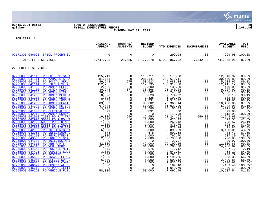

## **06/15/2021 08:43 |TOWN OF SCARBOROUGH |P 20 gclukey |FY2021 EXPENDITURE REPORT |glytdbud THROUGH MAY 31, 2021**



|                                                                                                                                                                                                                                                                                                                                                                                                                                                                                                                                                                                                                     | ORIGINAL<br><b>APPROP</b>                                                                                                                                  | TRANFRS/<br><b>ADJSTMTS</b>                                                                                                                            | <b>REVISED</b><br><b>BUDGET</b>                                                                                                                                  | <b>YTD EXPENDED</b>                                                                                                                                                                                     | <b>ENCUMBRANCES</b>                                                                                             | <b>AVAILABLE</b><br><b>BUDGET</b>                                                                                                                                                             | <b>PCT</b><br><b>USED</b>                                                                                                                          |
|---------------------------------------------------------------------------------------------------------------------------------------------------------------------------------------------------------------------------------------------------------------------------------------------------------------------------------------------------------------------------------------------------------------------------------------------------------------------------------------------------------------------------------------------------------------------------------------------------------------------|------------------------------------------------------------------------------------------------------------------------------------------------------------|--------------------------------------------------------------------------------------------------------------------------------------------------------|------------------------------------------------------------------------------------------------------------------------------------------------------------------|---------------------------------------------------------------------------------------------------------------------------------------------------------------------------------------------------------|-----------------------------------------------------------------------------------------------------------------|-----------------------------------------------------------------------------------------------------------------------------------------------------------------------------------------------|----------------------------------------------------------------------------------------------------------------------------------------------------|
| 07171300 046020 SPECL PROGRM SU                                                                                                                                                                                                                                                                                                                                                                                                                                                                                                                                                                                     | $\mathbf 0$                                                                                                                                                | $\mathbf 0$                                                                                                                                            | 0                                                                                                                                                                | 299.98                                                                                                                                                                                                  | .00                                                                                                             | $-299.98$                                                                                                                                                                                     | $100.0$ *                                                                                                                                          |
| TOTAL FIRE SERVICES                                                                                                                                                                                                                                                                                                                                                                                                                                                                                                                                                                                                 | 5,747,723                                                                                                                                                  | 29,555                                                                                                                                                 | 5,777,278                                                                                                                                                        | 5,028,867.02                                                                                                                                                                                            | 7,342.39                                                                                                        | 741,068.96                                                                                                                                                                                    | 87.2%                                                                                                                                              |
| 272 POLICE SERVICES                                                                                                                                                                                                                                                                                                                                                                                                                                                                                                                                                                                                 |                                                                                                                                                            |                                                                                                                                                        |                                                                                                                                                                  |                                                                                                                                                                                                         |                                                                                                                 |                                                                                                                                                                                               |                                                                                                                                                    |
| 07255000 041110 PD CHIEF'S SALA<br>PD MANAGER'S SA<br>07255000 041111<br>07255000 041113<br>PD SOCIAL SERV<br>07255000 041114<br>PD EXECUTIVE AS<br>07255000 041122<br>PD ADMIN CELL P<br>07255000 041150<br>PD ADMIN HIDTA<br>07255000 041200<br>PD ADMIN FICA<br>07255000 041205<br>PD ADMIN MEDICA<br>07255000 041210<br>PD ADMIN DENTAL<br>07255000 041220<br>PD ADMIN LONG T<br>07255000 041230<br>PD ADMIN HEALTH<br>07255000 041240<br>PD ADMIN RETIRE<br>07255000 041250<br>PD ADMIN HOLIDA<br>07255000 041300<br>PD CLERICAL OVE<br>07255000 042910<br>PD ADMIN SCHL/C<br>07255000 042910 72005 PD F/T TRA | 115,711<br>281,141<br>49,648<br>112,735<br>2,600<br>30,945<br>36,882<br>8,628<br>1,325<br>2,831<br>83,802<br>67,004<br>13,785<br>891<br>$\Omega$<br>19,000 | $\mathbf 0$<br>$\Omega$<br>975<br>0<br>0<br>$-377$<br>0<br>0<br>$\Omega$<br>$\mathbf 0$<br>$\Omega$<br>0<br>$\Omega$<br>$\mathbf 0$<br>$\Omega$<br>650 | 115,711<br>281,141<br>50,623<br>112,735<br>2,600<br>30,568<br>36,882<br>8,628<br>1,325<br>2,831<br>83,802<br>67,004<br>13,785<br>891<br>$\overline{0}$<br>19,650 | 103,170.08<br>250,670.11<br>45,088.34<br>100,319.88<br>2,130.00<br>21,340.08<br>33, 243.90<br>7, 774.82<br>1,192.40<br>2,516.37<br>73, 363.14<br>61,022.00<br>14, 156.03<br>.00<br>118.98<br>21, 244.63 | .00<br>.00<br>.00<br>.00<br>.00<br>.00<br>.00<br>.00<br>.00<br>.00<br>.00<br>.00<br>.00<br>.00<br>.00<br>650.00 | 12,540.92<br>30,470.89<br>5,534.66<br>12, 415.12<br>470.00<br>9,227.92<br>3,638.10<br>853.18<br>132.60<br>314.63<br>10,438.86<br>5,982.00<br>$-371.03$<br>891.00<br>$-118.98$<br>$-2, 244.63$ | 89.2%<br>89.2%<br>89.1%<br>89.0%<br>81.9%<br>69.8%<br>90.1%<br>90.1%<br>90.0%<br>88.9%<br>87.5%<br>91.1%<br>102.7%*<br>.0%<br>$100.0$ *<br>111.4%* |
| 07255000 042920 50001 PD R MOULT<br>07255000 042920 50002 PD J O'MAL<br>07255000 042920 50003 PD D GROVE<br>07255000 042920 50016 PD TIM BAR<br>07255000 042930<br>PD TUITION/BOOK<br>07255000 042950<br>PD INFECTIOUS D<br>07255000 043210<br>PD RECRUITMENT<br>07255000 043500<br>PD PROFESSIONAL<br>07255000 044300<br>PD BUILDING MAI                                                                                                                                                                                                                                                                           | 1,000<br>1,000<br>1,000<br>1,000<br>6,000<br>675<br>1,000<br>2,000<br>$\mathbf 0$                                                                          | 0<br>0<br>$\mathbf 0$<br>$\mathbf 0$<br>$\mathbf 0$<br>$\Omega$<br>0<br>$\Omega$<br>$\mathbf 0$                                                        | 1,000<br>1,000<br>1,000<br>1,000<br>6,000<br>675<br>1,000<br>2,000<br>$\overline{0}$                                                                             | 426.49<br>261.43<br>876.76<br>578.14<br>2,899.99<br>591.58<br>762.70<br>2,790.00<br>29.97                                                                                                               | .00<br>.00<br>.00<br>.00<br>.00<br>.00<br>.00<br>.00<br>.00                                                     | 573.51<br>738.57<br>123.24<br>421.86<br>3,100.01<br>83.42<br>237.30<br>$-790.00$<br>$-29.97$                                                                                                  | 42.6%<br>26.1%<br>87.7%<br>57.8%<br>48.3%<br>87.6%<br>76.3%<br>139.5%*<br>100.0%*                                                                  |
| 07255000 044310<br>PD VEH PARTS<br>07255000 044313<br>PD VEH LABOR<br>07255000 044350<br>PD POSTAGE METE<br>07255000 044421<br><b>PD COPIERS-EOUI</b><br>07255000 045310<br>PD POSTAGE<br>07255000 045800<br>PD TRAVEL EXPEN<br>07255000 046000<br>PD OFFICE SUPPL<br>07255000 046015<br>PD POLICE COMPU<br>07255000 046029<br>PD CUSTODIAL SU<br>07255000 046210 77050 PD UTILITI<br>07255000 046260<br>PD VEHICLE FUEL                                                                                                                                                                                            | 42,000<br>61,000<br>575<br>3,000<br>1,500<br>1,800<br>6,000<br>1,500<br>$\mathbf 0$<br>$\Omega$<br>58,000                                                  | $\mathbf 0$<br>0<br>$\Omega$<br>$\mathbf 0$<br>0<br>$\Omega$<br>$\mathbf 0$<br>$\mathbf 0$<br>$\mathbf 0$<br>$\Omega$<br>$\Omega$                      | 42,000<br>61,000<br>575<br>3,000<br>1,500<br>1,800<br>6,000<br>1,500<br>0<br>$\Omega$<br>58,000                                                                  | 29,199.15<br>36,763.38<br>$-12.12$<br>$2,541.81$<br>$1,291.21$<br>1,196.65<br>3,509.12<br>1,836.63<br>169.40<br>1,040.79<br>47,092.46                                                                   | .00<br>.00<br>.00<br>.00<br>.00<br>.00<br>.00<br>.00<br>.00<br>.00<br>.00                                       | 12,800.85<br>24, 236.62<br>587.12<br>458.19<br>208.79<br>603.35<br>2,490.88<br>$-336.63$<br>$-169.40$<br>$-1,040.79$<br>10,907.54                                                             | 69.5%<br>60.3%<br>$-2.1%$<br>84.7%<br>86.1%<br>66.5%<br>58.5%<br>122.4%*<br>$100.0$ *<br>$100.0$ *<br>81.2%                                        |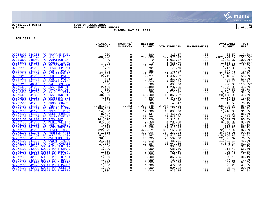

## **06/15/2021 08:43 |TOWN OF SCARBOROUGH |P 21 gclukey |FY2021 EXPENDITURE REPORT |glytdbud THROUGH MAY 31, 2021**



|                                                       | ORIGINAL<br><b>APPROP</b> | TRANFRS/<br><b>ADJSTMTS</b>                 | <b>REVISED</b><br><b>BUDGET</b> | <b>YTD EXPENDED</b>                   | <b>ENCUMBRANCES</b> | <b>AVAILABLE</b><br><b>BUDGET</b> | PCT<br><b>USED</b> |
|-------------------------------------------------------|---------------------------|---------------------------------------------|---------------------------------|---------------------------------------|---------------------|-----------------------------------|--------------------|
| 07255000 046261<br>PD PROPANE FUEL                    | 280                       | 0                                           | 280                             | 313.57                                | .00                 | $-33.57$                          | 112.0%*            |
| 07255000 047420<br>PD NEW VEHICLES                    | 200,000                   | $\mathbf 0$                                 | 200,000                         |                                       | .00                 | $-102,971.19$                     | 151.5%*            |
| 07255000 048050<br>PD DONATION EXP                    | 0                         | $\mathbf 0$                                 | $\mathbf 0$                     | 302, 971.19<br>1, 052.37              | .00                 | $-1,052.37$                       | $100.0$ *          |
| 07255000 048100<br>PD MARLEA IN-HO                    | $\Omega$                  | $\Omega$                                    | $\Omega$                        | 1,538.79                              | .00                 | $-1,538.79$                       | $100.0$ *          |
| 07261110 041150<br>PD PP BEACH PAT                    | 12,752                    | $\mathbf 0$                                 | 12,752                          | 1,053.03                              | .00                 | 11,698.97                         | 8.3%               |
| 07261110 041200<br>PD BEACH PP PAT                    | 791                       | $\mathsf 0$                                 | 791                             | 73.70                                 | .00                 | 717.30                            | 9.3%               |
| 07261110 041205<br>PD BCH PP PATRO                    | 185                       | $\mathsf 0$                                 | 185                             | 17.23                                 | .00                 | 167.77                            | 9.3%               |
| 07261210 041150<br>PD HIG BEACH PA                    | 43,722                    | $\overline{0}$<br>0                         | 43,722                          | 21, 445.51                            | .00                 | 22, 276.49                        | 49.0%              |
| 07261210 041200<br>PD BCH HB PATRO                    | 2,711                     |                                             | 2,711                           | 1,497.52                              | .00                 | 1,213.48                          | 55.2%              |
| 07261210 041205<br>PD BCH HB PATRO                    | 634                       | $\overline{0}$                              | 634                             | 350.20                                | .00                 | 283.80                            | 55.2%              |
| 07261210 043465<br>PD CREDIT CARD                     | 2,000                     |                                             | 2,000                           | 1,595.68                              | .00                 | 404.32                            | 79.8%              |
| 07261210 046015<br>PD CALE COSTS &<br>07270400 041200 | 600<br>2,480              | $\mathsf{O}\xspace$<br>$\ddot{\mathbf{0}}$  | 600                             | 690.00                                | .00                 | $-90.00$                          | 115.0%*<br>48.7%   |
| PD TRAINING OT<br>07270400 041205<br>PD TRAINING OT   | 580                       | $\overline{0}$                              | 2,480<br>580                    | 1,207.95                              | .00                 | 1,272.05<br>297.53                | 48.7%              |
| 07270400 041240<br>PD PATROL TRAIN                    | 5,600                     | $\mathsf 0$                                 | 5,600                           | $282.47$<br>2,173.12                  | .00<br>.00          | 3,426.88                          | 38.8%              |
| 07270400 041303<br>PD TRAINING OT                     | 40,000                    | $\mathbf 0$                                 | 40,000                          | 19,866.02                             | .00                 | 20,133.98                         | 49.7%              |
| 07271500 041152<br>PD CROSSING GUI                    | 4,560                     | $\mathsf 0$                                 | 4,560                           | 3,342.20                              | .00                 | 1,217.80                          | 73.3%              |
| 07271500 041200<br>PD CROSSING GUA                    | 283                       | $\mathbf 0$                                 | 283                             | 207.10                                | .00                 | 75.90                             | 73.2%              |
| 07271500 041205<br>PD CROSS GUARD                     | 66                        | $\Omega$                                    | 66                              | 48.47                                 | .00                 | 17.53                             | 73.4%              |
| 07272100 041112<br>PD POLICE SALAR                    | 2,281,501                 | $-7,953$                                    | 2, 273, 548                     | 2,015,162.05                          | .00                 | 258,385.95                        | 88.6%              |
| 07272100 041113<br>PD SRO FULL TIM                    | 150,749                   | 0                                           | 150,749                         | 134, 125.68                           | .00                 | 16,623.32                         | 89.0%              |
| 07272100 041120<br>PD SPEC STIPEND                    | 14,300                    | $\mathbf 0$                                 | 14,300                          | 13,090.00                             | .00                 | 1,210.00                          | 91.5%              |
| 07272100 041122<br>PD CELL PHONE S                    | 8,437                     | $\mathbf 0$                                 | 8,437                           | 7,455.00                              | .00                 | 982.00                            | 88.4%              |
| 07272100 041160<br>PD INCENTIVE PA                    | 38,168                    | $\begin{smallmatrix}0\0\0\end{smallmatrix}$ | 38,168                          | 23,540.00                             | .00                 | 14,628.00                         | 61.7%              |
| 07272100 041200<br>PD FICA TAX                        | 161,826                   |                                             | 161,826                         | 146,316.21                            | .00                 | 15,509.79                         | 90.4%              |
| 07272100 041205<br>PD MEDICARE TAX                    | 37,858                    | $\overline{0}$                              | 37,858                          | 34,209.98                             | .00                 | 3,648.02                          | 90.4%              |
| 07272100 041210<br>PD DENTAL INSUR                    | 7,950                     |                                             | 7,950                           | 6,959.28                              | .00                 | 990.72                            | 87.5%              |
| 07272100 041220<br>PD LONG TERM DI                    | 12,135                    | $\begin{smallmatrix}0\0\0\end{smallmatrix}$ | 12, 135                         |                                       | .00                 | 1, 319.87<br>72, 207.92           | 89.1%              |
| 07272100 041230<br>PD HEALTH INSUR                    | 422,371                   |                                             | $422,371$<br>$371,006$          | 10,815.13<br>350,163.08<br>334,232.04 | .00                 |                                   | 82.9%              |
| 07272100 041240<br>PD PENSION (401<br>07272100 041250 | 371,006<br>52,647         | $\ddot{\mathbf{0}}$<br>$\overline{0}$       |                                 |                                       | .00                 | 36,773.96<br>$-15,765.86$         | 90.1%              |
| PD HOLIDAY CASH<br>07272100 041300<br>PD OVERTIME PAY |                           | $\overline{0}$                              | 52,647                          | 68,412.86                             | .00<br>.00          |                                   | 129.9%*<br>76.5%   |
| 07272100 041302<br>PD COURT TIME O                    | 96,035<br>21,013          |                                             | 96,035<br>21,013                | 73,507.38<br>9,489.81                 | .00                 | 22,527.62<br>11,523.19            | 45.2%              |
| 07272100 041305<br>PD HIDTA OVERTI                    | 17,187                    | $\begin{smallmatrix}0\\0\end{smallmatrix}$  | 17,187                          | 10,641.66                             | .00                 | 6,545.34                          | 61.9%              |
| 07272100 042920 50004 PD BEN LAN                      | 1,000                     |                                             | 1,000                           | 390.90                                | .00                 | 609.10                            | 39.1%              |
| 07272100 042920 50005 PD T CHARD                      | 1,000                     | $\overline{0}$<br>0                         | 1,000                           | 685.60                                | .00                 | 314.40                            | 68.6%              |
| 07272100 042920 50006 PD BREAGH                       | 1,000                     | $\mathsf 0$                                 | 1,000                           | 909.60                                | .00                 | 90.40                             | 91.0%              |
| 07272100 042920 50007 PD J LAROS                      | 1,000                     | $\mathsf 0$                                 | 1,000                           | 172.85                                | .00                 | 827.15                            | 17.3%              |
| 07272100 042920 50008 PD E O'NEI                      | 1,000                     | $\mathsf{O}$                                | 1,000                           | 360.85                                | .00                 | 639.15                            | 36.1%              |
| 07272100 042920 50009 PD R ROUSE                      | 1,000                     | $\mathsf{O}\xspace$                         | 1,000                           | 732.33                                | .00                 | 267.67                            | 73.2%              |
| 07272100 042920 50010 PD D BLATC                      | 1,000                     | $\mathbf 0$                                 | 1,000                           | 916.38                                | .00                 | 83.62                             | 91.6%              |
| 07272100 042920 50011 PD I RAMSD                      | 1,000                     | $\mathsf{O}\xspace$                         | 1,000                           | 474.80                                | .00                 | 525.20                            | 47.5%              |
| 07272100 042920 50012 PD HOLLY T                      | 1,000                     | $\overline{0}$                              | 1,000                           | 904.82                                | .00                 | 95.18                             | 90.5%              |
| 07272100 042920 50013 PD E GREEN                      | 1,000                     | $\overline{0}$                              | 1,000                           | 929.85                                | .00                 | 70.15                             | 93.0%              |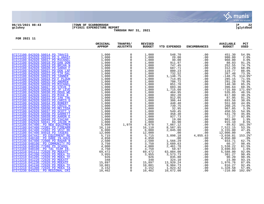

## **06/15/2021 08:43 |TOWN OF SCARBOROUGH |P 22 gclukey |FY2021 EXPENDITURE REPORT |glytdbud THROUGH MAY 31, 2021**



|                                                                     | ORIGINAL<br><b>APPROP</b> | TRANFRS/<br><b>ADJSTMTS</b>           | <b>REVISED</b><br><b>BUDGET</b>                                       | <b>YTD EXPENDED</b>   | <b>ENCUMBRANCES</b> | <b>AVAILABLE</b><br><b>BUDGET</b>             | PCT<br><b>USED</b> |
|---------------------------------------------------------------------|---------------------------|---------------------------------------|-----------------------------------------------------------------------|-----------------------|---------------------|-----------------------------------------------|--------------------|
| 07272100 042920 50014 PD TRAVIS                                     | 1,000                     | $\mathbf 0$                           | 1,000                                                                 | 548.70                | .00                 | 451.30                                        | 54.9%              |
| 07272100 042920 50015 PD S ANAST                                    | 1,000                     | $\mathbf 0$                           |                                                                       | 20.00                 | .00                 | 980.00                                        | 2.0%               |
| 07272100 042920 50017 PD MICHAEL                                    | 1,000                     | $\mathbf 0$                           | $\begin{smallmatrix} 1 \ 1 \ 1 \end{smallmatrix}$ ,000<br>1,000       | 40.00                 | .00                 | 960.00                                        | 4.0%               |
| 07272100 042920 50018 PD DAN DON                                    | 1,000                     | $\Omega$                              | 1,000                                                                 | 911.97                | .00                 | 88.03                                         | 91.2%              |
| 07272100 042920 50019 PD BRIAN N                                    | 1,000                     | $\Omega$                              | 1,000                                                                 | 747.45                | .00                 | 252.55                                        | 74.7%              |
| 07272100 042920 50020 PD SARAH F                                    | 1,000                     | $_{\rm 0}^{\rm 0}$                    | 1,000                                                                 | 687.71                | .00                 | 312.29                                        | 68.8%              |
| 07272100 042920 50021 PD DON LAF                                    | 1,000                     |                                       | 1,000                                                                 | 880.23                | .00                 | 119.77                                        | 88.0%              |
| 07272100 042920 50022 PD TIM DAL                                    | 1,000                     | $\mathsf{O}\xspace$                   | 1,000                                                                 | 732.52                | .00                 | 267.48                                        | 73.3%              |
| 07272100 042920 50023 PD TANNER                                     | 1,000                     | $\mathbf 0$                           | 1,000                                                                 | 1,148.75              | .00                 | $-148.75$                                     | 114.9%*            |
| 07272100 042920 50024 PD F PLOUR                                    | 1,000                     | 0                                     | 1,000                                                                 | 714.85                | .00                 | 285.15                                        | 71.5%              |
| 07272100 042920 50025 PD ANDREW                                     | 1,000                     | $\mathsf 0$                           | 1,000                                                                 | 708.72                | .00                 | 291.28                                        | 70.9%              |
| 07272100 042920 50026 PD MICHAEL                                    | 1,000                     | $\Omega$                              | 1,000                                                                 | 851.70                | .00                 | 148.30                                        | 85.2%              |
| 07272100 042920 50027 PD STEVE T                                    | 1,000                     | $\mathbf 0$                           | 1,000                                                                 | 603.36                | .00                 | 396.64                                        | 60.3%              |
| 07272100 042920 50028 PD JP LEVE                                    | 1,000                     | $\mathbf 0$                           | 1,000                                                                 | 1,715.60              | .00                 | $-715.60$                                     | 171.6%*            |
| 07272100 042920 50030 PD DOUG WE                                    | 1,000                     | $\overline{0}$<br>0                   | 1,000                                                                 | 464.95                | .00                 | 535.05                                        | 46.5%              |
| 07272100 042920 50031 PD MIKE B                                     | 1,000                     |                                       | 1,000                                                                 | 382.20                | .00                 | 617.80                                        | 38.2%              |
| 07272100 042920 50032 PD IAN THE                                    | 1,000                     | $\mathsf 0$                           | 1,000                                                                 | 912.05                | .00                 | 87.95                                         | 91.2%              |
| 07272100 042920 50033 PD CHRIS G                                    | 1,000                     | $\mathsf 0$                           | 1,000                                                                 | 306.44                | .00                 | 693.56                                        | 30.6%              |
| 07272100 042920 50034 PD ROBERT<br>07272100 042920 50035 PD CRAIG H | 1,000                     | $\mathsf{O}\xspace$<br>$\overline{0}$ | $\begin{smallmatrix} 1 \\ 1 \\ 1 \\ 0 \\ 0 \\ 0 \\ \end{smallmatrix}$ | 448.40<br>739.75      | .00                 | 551.60<br>260.25                              | 44.8%<br>74.0%     |
| 07272100 042920 50036 PD MELISSA                                    | 1,000<br>1,000            | $\mathbf 0$                           | 1,000                                                                 | 32.95                 | .00<br>.00          | 967.05                                        | 3.3%               |
| 07272100 042920 50037 PD SCOTT V                                    | 1,000                     | $\mathbf 0$                           | 1,000                                                                 | 549.45                | .00                 | 450.55                                        | 54.9%              |
| 07272100 042920 50038 PD GARRETT                                    | 1,000                     | $\mathsf{O}\xspace$                   | 1,000                                                                 | 458.30                | .00                 | 541.70                                        | 45.8%              |
| 07272100 042920 50039 PD AARON E                                    | 1,000                     | $\mathsf 0$                           | 1,000                                                                 | 927.73                | .00                 | 72.27                                         | 92.8%              |
| 07272100 042920 50040 PD ISAIAH                                     | 1,000                     | $\mathbf 0$                           | 1,000                                                                 | 19.00                 | .00                 | 981.00                                        | 1.9%               |
| 07272100 042920 50041 PD JACOB M                                    | 1,000                     | $\mathbf 0$                           | 1,000                                                                 | 84.90                 | .00                 | 915.10                                        | 8.5%               |
| 07272100 047400 PD NEW EOUIPMEN                                     | 5,000                     | 1,978                                 | 6,978                                                                 | 7,067.12              | .00                 | $-89.62$<br>7,522.15<br>3,155.00<br>12,000.00 | 101.3%*            |
| 07272100 047400 72001 PD FIREARM                                    | 16,110                    | 0                                     | 16,110                                                                | 8,587.85              | .00                 |                                               | 53.3%              |
| 07272100 047400 72002 PD VEST RE                                    | 6,000                     | $\mathbf 0$                           | 6,000                                                                 | 2,845.00              | .00                 |                                               | 47.4%              |
| 07272100 047400 94018 PD TASERS                                     | 12,000                    | 0                                     | 12,000                                                                | .00                   | .00                 |                                               | .0%                |
| 07272100 047442 PD EQUIPMENT RE                                     | 5,715                     | $\mathbf 0$                           | 5,715                                                                 | 3,898.18              | 4,855.63            | $-3,038.81$                                   | 153.2%*            |
| 07272120 048100 PD DARE IN-HOUS                                     | 4,850                     | $\Omega$                              | 4,850                                                                 | .00                   | .00                 |                                               | .0%                |
| 07272140 047400 72000 PD RADAR N                                    | 2,500                     | $\overline{0}$<br>0                   | 2,500                                                                 | 1,566.29              | .00                 | 4,850.00<br>933.71                            | 62.7%              |
| 07272150 048100<br>PD COMMUNITY PO                                  | 3,750                     |                                       | 3,750                                                                 | 3,689.63              | .00                 | 60.37                                         | 98.4%              |
| 07272150 048100 77080 PD SCHOOL                                     | 4,000                     | $\mathsf{O}\xspace$                   | 4,000                                                                 | 2,461.78              | .00                 | 1,538.22                                      | 61.5%              |
| 07272160 048100 PD TAC TEAM IN-                                     | 3,750                     | $\mathbf 0$                           | 3,750                                                                 | 59.97                 | .00                 | 3,690.03                                      | 1.6%               |
| 07272210 041112 72020 PD MDEATF                                     | 69,472                    | $\mathbf 0$                           | 69,472                                                                | 63,884.00<br>3,573.73 | .00                 | 5,588.00                                      | 92.0%              |
| 07272210 041200 72020 PD MDEA TF                                    | 3,955                     | $\mathbf 0$                           | 3,955                                                                 |                       | .00                 | 381.27                                        | 90.4%              |
| 07272210 041205 72020 PD MDEA TF                                    | 926                       | $\mathsf{O}$                          | 926                                                                   | 835.80                | .00                 | 90.20                                         | 90.3%              |
| 07272210 041220 72020 PD MDEATF                                     | 348<br>348<br>897, 15     | $\mathbf 0$                           | 348                                                                   | 324.10                | .00                 | 23.90                                         | 93.1%              |
| 07272210 041230 72020 PD MDEATF                                     |                           | $\mathbf 0$                           | 15,897                                                                | 13,920.24<br>9,984.73 | .00                 | 1,976.76                                      | 87.6%              |
| 07272210 041240 72020 PD MDEA TF                                    | 10,801                    | $\mathbf 0$                           | 10,801                                                                |                       | .00                 | 816.27                                        | 92.4%              |
| 07272210 041300 72020 PD MDEA TA                                    | 3,152                     | $\mathbf 0$                           | 3,152                                                                 | 1,823.42              | .00                 | 1,328.58                                      | 57.8%              |
| 07272230 043225<br>PD REGIONAL CRI                                  | 10,462                    | $\mathsf{O}$                          | 10,462                                                                | 10,672.00             | .00                 | $-210.00$                                     | 102.0%*            |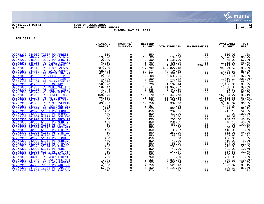

## **06/15/2021 08:43 |TOWN OF SCARBOROUGH |P 23 gclukey |FY2021 EXPENDITURE REPORT |glytdbud THROUGH MAY 31, 2021**



|                                                                      | ORIGINAL<br><b>APPROP</b> | TRANFRS/<br><b>ADJSTMTS</b>                | <b>REVISED</b><br><b>BUDGET</b>                                       | YTD EXPENDED                                                     | <b>ENCUMBRANCES</b>                              | <b>AVAILABLE</b><br><b>BUDGET</b> | PCT<br><b>USED</b> |
|----------------------------------------------------------------------|---------------------------|--------------------------------------------|-----------------------------------------------------------------------|------------------------------------------------------------------|--------------------------------------------------|-----------------------------------|--------------------|
| 07272230 046002 72007 PD ARREST                                      |                           | $\mathbf 0$                                | 650                                                                   |                                                                  | .00                                              | 650.00                            | .0 <sub>8</sub>    |
| 07272230 046002 72008 PD EVIDENC                                     |                           | $\mathbf 0$                                | 13,500                                                                | 8,130.00                                                         | .00                                              |                                   | 60.2%              |
| 07272230 046002 72009 PD DRUG TE                                     |                           | $\mathsf{O}$                               | 2,000                                                                 | 1,135.00                                                         | .00                                              | 5,370.00<br>865.00                | 56.8%              |
| 07272240 048100                                                      |                           | $\overline{0}$                             | $\begin{smallmatrix} 6,750\ 6,750\ 2,500\ 737,799\ \end{smallmatrix}$ | 4,498.99                                                         | .00                                              | 2, 251.01<br>719.31               | 66.7%              |
| 07272260 048100                                                      |                           | $\mathsf{O}$                               |                                                                       | $1,030.69$<br>657,827.48                                         | 750.00                                           |                                   | 71.2%              |
| 07272300 041112                                                      |                           | $\overline{0}$                             |                                                                       |                                                                  | .00                                              | 79,971.52                         | 89.2%              |
| 07272300 041113                                                      |                           |                                            | 68,174<br>62,423                                                      | 60,794.40                                                        | .00                                              | 7,379.60                          | 89.2%              |
| 07272300 041116                                                      |                           | $\overline{0}$<br>0                        |                                                                       | 46,850.97                                                        | .00                                              | 15,572.03<br>207.74               | 75.1%              |
| 07272300 041120                                                      |                           |                                            | $\frac{1}{2}$ , 808                                                   | $2,600.26$<br>3, 119.62<br>4, 947.76<br>51, 167.14<br>51, 966.67 | .00                                              |                                   | 92.6%              |
| 07272300 041150                                                      |                           | $\overline{0}$<br>0                        |                                                                       |                                                                  | .00                                              | $-1,619.62$                       | 208.0%*            |
| 07272300 041160                                                      |                           |                                            | $\frac{1,500}{5,586}$<br>5,586<br>58,328                              |                                                                  | .00                                              | 638.24                            | 88.6%              |
| 07272300 041200                                                      |                           | $\mathsf{O}$                               |                                                                       |                                                                  | .00                                              | 7,160.86                          | 87.7%              |
| 07272300 041205                                                      |                           | $\check{0}$<br>$\overline{0}$              | 13,647                                                                |                                                                  | .00                                              | 1,680.33                          | 87.7%              |
| 07272300 041210<br>07272300 041220                                   |                           |                                            | 3,445<br>4,109                                                        | 3,349.39<br>3,796.49                                             | .00                                              | 95.61<br>312.51                   | 97.2%<br>92.4%     |
| 07272300 041230                                                      |                           | $\mathsf{O}$<br>$\overline{0}$             | 169,270                                                               | 152,445.73                                                       | .00<br>.00                                       | 16,824.27                         | 90.1%              |
| 07272300 041240                                                      |                           |                                            | 95,539                                                                | 80,007.35                                                        | .00                                              |                                   | 83.7%              |
| 07272300 041250                                                      |                           | $\begin{matrix} 0 \\ 0 \end{matrix}$       | 14,530                                                                | 21,289.63                                                        | .00                                              | $15, 531.65$<br>-6,759.63         | 146.5%*            |
| 07272300 041300                                                      |                           | $\mathsf{O}\xspace$                        | 69,956                                                                | 60,337.96                                                        | .00                                              |                                   | 86.3%              |
| 07272300 041303                                                      |                           | $\ddot{\mathbf{0}}$                        | 7,354                                                                 |                                                                  | .00                                              | 9,618.04<br>7,354.00              | $.0\%$             |
| 07272300 042910                                                      |                           | $\mathsf{O}$                               | 1,000                                                                 | 561.26                                                           | .00                                              | 438.74                            | 56.1%              |
| 07272300 042920 51001 PS JENNIFE                                     |                           | $\overline{0}$                             | 450                                                                   | 234.85                                                           | $\begin{array}{c} .00 \\ .00 \\ .00 \end{array}$ | 215.15                            | 52.2%              |
| 07272300 042920 51002 PS THOMAS                                      |                           | $\overline{0}$                             | 450                                                                   | 450.00                                                           |                                                  | .00                               | 100.0%             |
| 07272300 042920 51003 PS JOE THO                                     |                           | $\overline{0}$<br>0                        | 450                                                                   | 20.00                                                            |                                                  | 430.00                            | 4.4%               |
| 07272300 042920 51004 PS GREG TI                                     |                           |                                            | 450                                                                   | 205.80                                                           | .00                                              | 244.20                            | 45.7%              |
| 07272300 042920 51005 PS ASHLEY                                      |                           | $\overline{0}$<br>0                        | 450                                                                   | 204.81                                                           | .00                                              | 245.19                            | 45.5%              |
| 07272300 042920 51006 PS ARTHUR                                      |                           |                                            | 450                                                                   | 450.00                                                           | .00                                              | .00                               | 100.0%             |
| 07272300 042920 51007 PS WES MER                                     |                           | $\overline{0}$                             | 450                                                                   | .00                                                              | .00                                              | 450.00                            | .0%                |
| 07272300 042920 51008 PS TIM O'B                                     |                           |                                            | 450                                                                   | 36.97                                                            | .00                                              | 413.03                            | 8.2%               |
| 07272300 042920 51009 PS J MCADA                                     |                           | $\overline{0}$                             | 450                                                                   | 289.00                                                           | .00                                              | 161.00                            | 64.2%              |
| 07272300 042920 51010 PS JAIME H                                     |                           | $\overline{0}$                             | 450                                                                   | 188.05                                                           | .00                                              | 261.95                            | 41.8%              |
| 07272300 042920 51011 PS MICHAEL                                     |                           | $\check{0}$                                | 450                                                                   | .00                                                              | .00                                              | 450.00                            | .0%                |
| 07272300 042920 51012 PS ASHLEY                                      |                           | $\overline{0}$<br>0                        | 450                                                                   | 40.00                                                            | .00                                              | 410.00                            | 8.9%               |
| 07272300 042920 51013 PS A MARKA                                     |                           |                                            | 450                                                                   | 56.00                                                            | .00                                              | 394.00                            | 12.4%              |
| 07272300 042920 51014 PS A MARDE<br>07272300 042920 51015 PS ANNE PR |                           | $\overline{0}$<br>0                        | 450                                                                   | 230.67                                                           | .00                                              | 219.33                            | 51.3%              |
| 07272300 042920 51049 PS CLOTHIN                                     |                           |                                            | 450                                                                   | 48.00                                                            | .00                                              | 402.00<br>307.53                  | 10.7%<br>31.7%     |
| 07272300 042930 PS TUITION/BOOK                                      |                           | $\overline{0}$                             | 450<br>960                                                            | 142.47<br>.00                                                    | .00<br>.00                                       | 960.00                            | .0 <sub>8</sub>    |
| 07272300 043210                                                      |                           | $\mathsf{O}$                               | 750                                                                   | .00                                                              | .00                                              | 750.00                            | .0%                |
| 07272300 044345                                                      |                           | $\overline{0}$                             | 7,055                                                                 | 7,820.56                                                         | .00                                              | $-765.56$                         | 110.9%*            |
| 07272300 044347                                                      |                           | $\mathbf 0$                                | 5,500                                                                 | 3,683.74                                                         | .00                                              | 1,816.26                          | 67.0%              |
| 07272300 044352 77050 PS RADIO M                                     |                           |                                            | 4,050                                                                 | 3,526.16                                                         | .00                                              | 523.84                            | 87.1%              |
| 07272300 044352 77051 PS RADIO M                                     |                           | $\begin{smallmatrix}0\\0\end{smallmatrix}$ | 5,850                                                                 | 5,120.50                                                         | .00                                              | 729.50                            | 87.5%              |
| 07272300 044352 77060 PS RADIO M                                     |                           | $\overline{0}$                             | 270                                                                   | .00                                                              | .00                                              | 270.00                            | .0%                |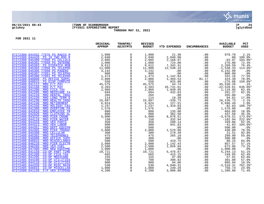

## **06/15/2021 08:43 |TOWN OF SCARBOROUGH |P 24 gclukey |FY2021 EXPENDITURE REPORT |glytdbud THROUGH MAY 31, 2021**



| $\mathbf 0$<br>07272300 044352 77070 PS RADIO M<br>1,000<br>2,040<br>2,085<br>21.30<br>$.00 \,$<br>978.70<br>2.1%<br>$2,040.00$<br>$2,168.97$<br>$\mathbf 0$<br>07272300 044420<br>PS 10 TWO ROD R<br>.00<br>100.0%<br>07272300 045300 77050 PS CELLULA<br>$\mathsf{O}$<br>$-83.97$<br>07272300 045301 77050 PS INTERNE<br>$\Omega$<br>$\frac{1}{9}$ , 000<br>9, 612<br>$2,168.97$<br>$724.00$<br>$12$<br>$7,342.41$<br>$0$<br>$12,538.32$<br>276.00<br>72.4%<br>$\mathbf 0$<br>2,269.59<br>07272300 045303 PS DISPATCH MOB<br>76.4%<br>07272300 045304 77050 PS TELEPHO<br>$\begin{smallmatrix}0\0\0\end{smallmatrix}$<br>$-1,538.33$<br>11,000<br>114.0%*<br>07272300 045305 77050 PS PAGERS<br>3,242<br>3,242.00<br>.0%<br>$\ddot{\mathbf{0}}$<br>.00<br>07272300 045307 77051 PS TELEPHO<br>800<br>800.00<br>.0%<br>1,142.84<br>1,494.53<br>825.08<br>$\mathsf{O}$<br>07272300 045308 77051 PS TELEPHO<br>$\frac{1}{2}$ , 474<br>2, 000<br>550<br>331.16<br>.00<br>77.5%<br>424.30<br>07272300 046000<br>$\mathsf{O}$<br>PS OFFICE SUPPL<br>78.8%<br>81.17<br>$\overline{0}$<br>07272300 046015 PS DISP COMPUTE<br>$-275.08$<br>150.0%*<br>$\mathbf 0$<br>44.74<br>07272400 041112 MRO F/T PAY<br>45,530.26<br>22,528.61<br>$45, 575$<br>4, 203<br>.1%<br>$\mathbf 0$<br>07272400 041150<br>MRO P/T PAY<br>26,731.61<br>636.0%*<br>$\Omega$<br>1,849.95<br>07272400 041200<br>MRO FICA TAX<br>2,966<br>1,116.05<br>62.4%<br>$\overline{0}$<br>0<br>07272400 041205<br>MRO MEDICARE TA<br>694<br>432.63<br>261.37<br>62.3%<br>265<br>07272400 041210<br>265.00<br>MRO DENTAL INSU<br>00.<br>19.39<br>.0 <sub>8</sub><br>$_0^0$<br>07272400 041220<br>114<br>94.61<br>MRO LONG TERM D<br>.00<br>17.0%<br>$-339.73$<br>127.51<br>07272400 041230<br><b>MRO HEALTH INSU</b><br>$\frac{15}{6}, \frac{897}{824}$<br>16,236.73<br>.00<br>$-2.1%$<br>07272400 041240<br>MRO RETIREMENT<br>$\mathsf{O}$<br>6,696.49<br>.00<br>1.9%<br>07272400 041250<br>$\mathbf 0$<br>106.7%*<br>MRO HOLIDAY CAS<br>1,319.83<br>1,237<br>.00<br>$-82.83$<br>$\overline{1,576}$<br>1,576.00<br>07272400 041300<br>$\mathsf{O}$<br>MRO OVERTIME PA<br>$.00$<br>125 00<br>.00<br>.0%<br>$\mathbf 0$<br>07272400 042910<br>800<br>135.00<br>MRO EMPLOYEE TR<br>.00<br>665.00<br>16.9%<br>$\Omega$<br>07272400 042920<br>MRO CLOTHING AL<br>362.50<br>437.50<br>800<br>.00<br>45.3%<br>$\mathsf 0$<br>8,678.51<br>07272400 043225<br>MRO PIER CRANE<br>$-3,678.51$<br>173.6%*<br>5,000<br>.00 |                                   | ORIGINAL<br><b>APPROP</b> | TRANFRS/<br><b>ADJSTMTS</b> | <b>REVISED</b><br><b>BUDGET</b> | YTD EXPENDED | <b>ENCUMBRANCES</b> | <b>AVAILABLE</b><br><b>BUDGET</b> | PCT<br><b>USED</b> |
|-----------------------------------------------------------------------------------------------------------------------------------------------------------------------------------------------------------------------------------------------------------------------------------------------------------------------------------------------------------------------------------------------------------------------------------------------------------------------------------------------------------------------------------------------------------------------------------------------------------------------------------------------------------------------------------------------------------------------------------------------------------------------------------------------------------------------------------------------------------------------------------------------------------------------------------------------------------------------------------------------------------------------------------------------------------------------------------------------------------------------------------------------------------------------------------------------------------------------------------------------------------------------------------------------------------------------------------------------------------------------------------------------------------------------------------------------------------------------------------------------------------------------------------------------------------------------------------------------------------------------------------------------------------------------------------------------------------------------------------------------------------------------------------------------------------------------------------------------------------------------------------------------------------------------------------------------------------------------------------------------------------------------------------------------------------------------------------------------------------------------------------------------------------------------------------------------------------------------------------------------------------------------------------------------------------------------------------------------------------------------------------------------------------------------------------------------------------------------|-----------------------------------|---------------------------|-----------------------------|---------------------------------|--------------|---------------------|-----------------------------------|--------------------|
|                                                                                                                                                                                                                                                                                                                                                                                                                                                                                                                                                                                                                                                                                                                                                                                                                                                                                                                                                                                                                                                                                                                                                                                                                                                                                                                                                                                                                                                                                                                                                                                                                                                                                                                                                                                                                                                                                                                                                                                                                                                                                                                                                                                                                                                                                                                                                                                                                                                                       |                                   |                           |                             |                                 |              |                     |                                   |                    |
|                                                                                                                                                                                                                                                                                                                                                                                                                                                                                                                                                                                                                                                                                                                                                                                                                                                                                                                                                                                                                                                                                                                                                                                                                                                                                                                                                                                                                                                                                                                                                                                                                                                                                                                                                                                                                                                                                                                                                                                                                                                                                                                                                                                                                                                                                                                                                                                                                                                                       |                                   |                           |                             |                                 |              |                     |                                   |                    |
|                                                                                                                                                                                                                                                                                                                                                                                                                                                                                                                                                                                                                                                                                                                                                                                                                                                                                                                                                                                                                                                                                                                                                                                                                                                                                                                                                                                                                                                                                                                                                                                                                                                                                                                                                                                                                                                                                                                                                                                                                                                                                                                                                                                                                                                                                                                                                                                                                                                                       |                                   |                           |                             |                                 |              |                     |                                   | 104.0%*            |
|                                                                                                                                                                                                                                                                                                                                                                                                                                                                                                                                                                                                                                                                                                                                                                                                                                                                                                                                                                                                                                                                                                                                                                                                                                                                                                                                                                                                                                                                                                                                                                                                                                                                                                                                                                                                                                                                                                                                                                                                                                                                                                                                                                                                                                                                                                                                                                                                                                                                       |                                   |                           |                             |                                 |              |                     |                                   |                    |
|                                                                                                                                                                                                                                                                                                                                                                                                                                                                                                                                                                                                                                                                                                                                                                                                                                                                                                                                                                                                                                                                                                                                                                                                                                                                                                                                                                                                                                                                                                                                                                                                                                                                                                                                                                                                                                                                                                                                                                                                                                                                                                                                                                                                                                                                                                                                                                                                                                                                       |                                   |                           |                             |                                 |              |                     |                                   |                    |
|                                                                                                                                                                                                                                                                                                                                                                                                                                                                                                                                                                                                                                                                                                                                                                                                                                                                                                                                                                                                                                                                                                                                                                                                                                                                                                                                                                                                                                                                                                                                                                                                                                                                                                                                                                                                                                                                                                                                                                                                                                                                                                                                                                                                                                                                                                                                                                                                                                                                       |                                   |                           |                             |                                 |              |                     |                                   |                    |
|                                                                                                                                                                                                                                                                                                                                                                                                                                                                                                                                                                                                                                                                                                                                                                                                                                                                                                                                                                                                                                                                                                                                                                                                                                                                                                                                                                                                                                                                                                                                                                                                                                                                                                                                                                                                                                                                                                                                                                                                                                                                                                                                                                                                                                                                                                                                                                                                                                                                       |                                   |                           |                             |                                 |              |                     |                                   |                    |
|                                                                                                                                                                                                                                                                                                                                                                                                                                                                                                                                                                                                                                                                                                                                                                                                                                                                                                                                                                                                                                                                                                                                                                                                                                                                                                                                                                                                                                                                                                                                                                                                                                                                                                                                                                                                                                                                                                                                                                                                                                                                                                                                                                                                                                                                                                                                                                                                                                                                       |                                   |                           |                             |                                 |              |                     |                                   |                    |
|                                                                                                                                                                                                                                                                                                                                                                                                                                                                                                                                                                                                                                                                                                                                                                                                                                                                                                                                                                                                                                                                                                                                                                                                                                                                                                                                                                                                                                                                                                                                                                                                                                                                                                                                                                                                                                                                                                                                                                                                                                                                                                                                                                                                                                                                                                                                                                                                                                                                       |                                   |                           |                             |                                 |              |                     |                                   |                    |
|                                                                                                                                                                                                                                                                                                                                                                                                                                                                                                                                                                                                                                                                                                                                                                                                                                                                                                                                                                                                                                                                                                                                                                                                                                                                                                                                                                                                                                                                                                                                                                                                                                                                                                                                                                                                                                                                                                                                                                                                                                                                                                                                                                                                                                                                                                                                                                                                                                                                       |                                   |                           |                             |                                 |              |                     |                                   |                    |
|                                                                                                                                                                                                                                                                                                                                                                                                                                                                                                                                                                                                                                                                                                                                                                                                                                                                                                                                                                                                                                                                                                                                                                                                                                                                                                                                                                                                                                                                                                                                                                                                                                                                                                                                                                                                                                                                                                                                                                                                                                                                                                                                                                                                                                                                                                                                                                                                                                                                       |                                   |                           |                             |                                 |              |                     |                                   |                    |
|                                                                                                                                                                                                                                                                                                                                                                                                                                                                                                                                                                                                                                                                                                                                                                                                                                                                                                                                                                                                                                                                                                                                                                                                                                                                                                                                                                                                                                                                                                                                                                                                                                                                                                                                                                                                                                                                                                                                                                                                                                                                                                                                                                                                                                                                                                                                                                                                                                                                       |                                   |                           |                             |                                 |              |                     |                                   |                    |
|                                                                                                                                                                                                                                                                                                                                                                                                                                                                                                                                                                                                                                                                                                                                                                                                                                                                                                                                                                                                                                                                                                                                                                                                                                                                                                                                                                                                                                                                                                                                                                                                                                                                                                                                                                                                                                                                                                                                                                                                                                                                                                                                                                                                                                                                                                                                                                                                                                                                       |                                   |                           |                             |                                 |              |                     |                                   |                    |
|                                                                                                                                                                                                                                                                                                                                                                                                                                                                                                                                                                                                                                                                                                                                                                                                                                                                                                                                                                                                                                                                                                                                                                                                                                                                                                                                                                                                                                                                                                                                                                                                                                                                                                                                                                                                                                                                                                                                                                                                                                                                                                                                                                                                                                                                                                                                                                                                                                                                       |                                   |                           |                             |                                 |              |                     |                                   |                    |
|                                                                                                                                                                                                                                                                                                                                                                                                                                                                                                                                                                                                                                                                                                                                                                                                                                                                                                                                                                                                                                                                                                                                                                                                                                                                                                                                                                                                                                                                                                                                                                                                                                                                                                                                                                                                                                                                                                                                                                                                                                                                                                                                                                                                                                                                                                                                                                                                                                                                       |                                   |                           |                             |                                 |              |                     |                                   |                    |
|                                                                                                                                                                                                                                                                                                                                                                                                                                                                                                                                                                                                                                                                                                                                                                                                                                                                                                                                                                                                                                                                                                                                                                                                                                                                                                                                                                                                                                                                                                                                                                                                                                                                                                                                                                                                                                                                                                                                                                                                                                                                                                                                                                                                                                                                                                                                                                                                                                                                       |                                   |                           |                             |                                 |              |                     |                                   |                    |
|                                                                                                                                                                                                                                                                                                                                                                                                                                                                                                                                                                                                                                                                                                                                                                                                                                                                                                                                                                                                                                                                                                                                                                                                                                                                                                                                                                                                                                                                                                                                                                                                                                                                                                                                                                                                                                                                                                                                                                                                                                                                                                                                                                                                                                                                                                                                                                                                                                                                       |                                   |                           |                             |                                 |              |                     |                                   |                    |
|                                                                                                                                                                                                                                                                                                                                                                                                                                                                                                                                                                                                                                                                                                                                                                                                                                                                                                                                                                                                                                                                                                                                                                                                                                                                                                                                                                                                                                                                                                                                                                                                                                                                                                                                                                                                                                                                                                                                                                                                                                                                                                                                                                                                                                                                                                                                                                                                                                                                       |                                   |                           |                             |                                 |              |                     |                                   |                    |
|                                                                                                                                                                                                                                                                                                                                                                                                                                                                                                                                                                                                                                                                                                                                                                                                                                                                                                                                                                                                                                                                                                                                                                                                                                                                                                                                                                                                                                                                                                                                                                                                                                                                                                                                                                                                                                                                                                                                                                                                                                                                                                                                                                                                                                                                                                                                                                                                                                                                       |                                   |                           |                             |                                 |              |                     |                                   |                    |
|                                                                                                                                                                                                                                                                                                                                                                                                                                                                                                                                                                                                                                                                                                                                                                                                                                                                                                                                                                                                                                                                                                                                                                                                                                                                                                                                                                                                                                                                                                                                                                                                                                                                                                                                                                                                                                                                                                                                                                                                                                                                                                                                                                                                                                                                                                                                                                                                                                                                       |                                   |                           |                             |                                 |              |                     |                                   |                    |
|                                                                                                                                                                                                                                                                                                                                                                                                                                                                                                                                                                                                                                                                                                                                                                                                                                                                                                                                                                                                                                                                                                                                                                                                                                                                                                                                                                                                                                                                                                                                                                                                                                                                                                                                                                                                                                                                                                                                                                                                                                                                                                                                                                                                                                                                                                                                                                                                                                                                       |                                   |                           |                             |                                 |              |                     |                                   |                    |
|                                                                                                                                                                                                                                                                                                                                                                                                                                                                                                                                                                                                                                                                                                                                                                                                                                                                                                                                                                                                                                                                                                                                                                                                                                                                                                                                                                                                                                                                                                                                                                                                                                                                                                                                                                                                                                                                                                                                                                                                                                                                                                                                                                                                                                                                                                                                                                                                                                                                       |                                   |                           |                             |                                 |              |                     |                                   |                    |
|                                                                                                                                                                                                                                                                                                                                                                                                                                                                                                                                                                                                                                                                                                                                                                                                                                                                                                                                                                                                                                                                                                                                                                                                                                                                                                                                                                                                                                                                                                                                                                                                                                                                                                                                                                                                                                                                                                                                                                                                                                                                                                                                                                                                                                                                                                                                                                                                                                                                       |                                   |                           |                             |                                 |              |                     |                                   |                    |
|                                                                                                                                                                                                                                                                                                                                                                                                                                                                                                                                                                                                                                                                                                                                                                                                                                                                                                                                                                                                                                                                                                                                                                                                                                                                                                                                                                                                                                                                                                                                                                                                                                                                                                                                                                                                                                                                                                                                                                                                                                                                                                                                                                                                                                                                                                                                                                                                                                                                       | 07272400 044110<br>MRO PIER WATER |                           | $\overline{0}$              | 150                             | 332.94       | .00                 | $-182.94$                         | 222.0%*            |
| $\overline{0}$<br>07272400 044310<br>MRO VEH PARTS<br>450<br>280.14<br>169.86<br>.00<br>62.3%                                                                                                                                                                                                                                                                                                                                                                                                                                                                                                                                                                                                                                                                                                                                                                                                                                                                                                                                                                                                                                                                                                                                                                                                                                                                                                                                                                                                                                                                                                                                                                                                                                                                                                                                                                                                                                                                                                                                                                                                                                                                                                                                                                                                                                                                                                                                                                         |                                   |                           |                             |                                 |              |                     |                                   |                    |
| 07272400 044313<br>MRO VEH LABOR<br>941.83<br>$-41.83$<br>900<br>.00                                                                                                                                                                                                                                                                                                                                                                                                                                                                                                                                                                                                                                                                                                                                                                                                                                                                                                                                                                                                                                                                                                                                                                                                                                                                                                                                                                                                                                                                                                                                                                                                                                                                                                                                                                                                                                                                                                                                                                                                                                                                                                                                                                                                                                                                                                                                                                                                  |                                   |                           |                             |                                 |              |                     |                                   | 104.6%*            |
| 07272400 044351<br>$\mathsf{O}$<br>MRO DEPT EQUIPM<br>500<br>.00<br>500.00<br>.00<br>.0%                                                                                                                                                                                                                                                                                                                                                                                                                                                                                                                                                                                                                                                                                                                                                                                                                                                                                                                                                                                                                                                                                                                                                                                                                                                                                                                                                                                                                                                                                                                                                                                                                                                                                                                                                                                                                                                                                                                                                                                                                                                                                                                                                                                                                                                                                                                                                                              |                                   |                           |                             |                                 |              |                     |                                   |                    |
| $\mathsf{O}$<br>07272400 044365<br>MRO PIER TRANSF<br>1,570.00<br>278.49<br>430.00<br>2,000<br>78.5%<br>.00                                                                                                                                                                                                                                                                                                                                                                                                                                                                                                                                                                                                                                                                                                                                                                                                                                                                                                                                                                                                                                                                                                                                                                                                                                                                                                                                                                                                                                                                                                                                                                                                                                                                                                                                                                                                                                                                                                                                                                                                                                                                                                                                                                                                                                                                                                                                                           |                                   |                           |                             |                                 |              |                     |                                   |                    |
| $\mathsf{O}$<br>07272400 045300<br>300<br>21.51<br>92.8%<br><b>MRO CELLULAR</b><br>.00                                                                                                                                                                                                                                                                                                                                                                                                                                                                                                                                                                                                                                                                                                                                                                                                                                                                                                                                                                                                                                                                                                                                                                                                                                                                                                                                                                                                                                                                                                                                                                                                                                                                                                                                                                                                                                                                                                                                                                                                                                                                                                                                                                                                                                                                                                                                                                                |                                   |                           |                             |                                 |              |                     |                                   |                    |
| 07272400 045302<br>475<br>265.10<br>209.90<br>55.8%<br>MRO TELEPHONES<br>.00                                                                                                                                                                                                                                                                                                                                                                                                                                                                                                                                                                                                                                                                                                                                                                                                                                                                                                                                                                                                                                                                                                                                                                                                                                                                                                                                                                                                                                                                                                                                                                                                                                                                                                                                                                                                                                                                                                                                                                                                                                                                                                                                                                                                                                                                                                                                                                                          |                                   |                           |                             |                                 |              |                     |                                   |                    |
| $\overline{0}$<br>07272400 046000<br>300<br>300.00<br>MRO OFFICE SUPP<br>00.00<br>.00<br>.0%                                                                                                                                                                                                                                                                                                                                                                                                                                                                                                                                                                                                                                                                                                                                                                                                                                                                                                                                                                                                                                                                                                                                                                                                                                                                                                                                                                                                                                                                                                                                                                                                                                                                                                                                                                                                                                                                                                                                                                                                                                                                                                                                                                                                                                                                                                                                                                          |                                   |                           |                             |                                 |              |                     |                                   |                    |
| $\ddot{\mathbf{0}}$<br>419.75<br>07272400 046015<br>MRO MISCELLANEO<br>500<br>80.25<br>.00<br>84.0%                                                                                                                                                                                                                                                                                                                                                                                                                                                                                                                                                                                                                                                                                                                                                                                                                                                                                                                                                                                                                                                                                                                                                                                                                                                                                                                                                                                                                                                                                                                                                                                                                                                                                                                                                                                                                                                                                                                                                                                                                                                                                                                                                                                                                                                                                                                                                                   |                                   |                           |                             |                                 |              |                     |                                   |                    |
| $\overline{0}$<br>07272400 046220<br>MRO PIER ELECTR<br>857.57<br>$\frac{2}{2}$ , 000<br>2, 500<br>1,142.43<br>1,826.94<br>.00<br>57.1%                                                                                                                                                                                                                                                                                                                                                                                                                                                                                                                                                                                                                                                                                                                                                                                                                                                                                                                                                                                                                                                                                                                                                                                                                                                                                                                                                                                                                                                                                                                                                                                                                                                                                                                                                                                                                                                                                                                                                                                                                                                                                                                                                                                                                                                                                                                               |                                   |                           |                             |                                 |              |                     |                                   |                    |
| $\begin{smallmatrix}0\0\0\end{smallmatrix}$<br>07272400 046260<br>.00<br>673.06<br>73.1%<br>MRO VEH FUEL                                                                                                                                                                                                                                                                                                                                                                                                                                                                                                                                                                                                                                                                                                                                                                                                                                                                                                                                                                                                                                                                                                                                                                                                                                                                                                                                                                                                                                                                                                                                                                                                                                                                                                                                                                                                                                                                                                                                                                                                                                                                                                                                                                                                                                                                                                                                                              |                                   |                           |                             |                                 |              |                     |                                   |                    |
| 1,000<br>07272400 047400<br>MRO NEW EOUIPME<br>.00<br>1,000.00<br>$.0\%$<br>.00<br>5, 244.13                                                                                                                                                                                                                                                                                                                                                                                                                                                                                                                                                                                                                                                                                                                                                                                                                                                                                                                                                                                                                                                                                                                                                                                                                                                                                                                                                                                                                                                                                                                                                                                                                                                                                                                                                                                                                                                                                                                                                                                                                                                                                                                                                                                                                                                                                                                                                                          |                                   |                           |                             |                                 |              |                     |                                   |                    |
| 07272405 041150<br>$\mathsf{O}$<br>10,721<br>CO-OP PART TIME<br>5,476.87<br>415.15<br>.00<br>51.1%<br>$\mathbf 0$<br>07272405 041200<br>CO-OP FICA TAX<br>62.4%<br>249.85                                                                                                                                                                                                                                                                                                                                                                                                                                                                                                                                                                                                                                                                                                                                                                                                                                                                                                                                                                                                                                                                                                                                                                                                                                                                                                                                                                                                                                                                                                                                                                                                                                                                                                                                                                                                                                                                                                                                                                                                                                                                                                                                                                                                                                                                                             |                                   |                           |                             |                                 |              |                     |                                   |                    |
| 665<br>.00<br>$\mathsf{O}$<br>97.09<br>07272405 041205<br>CO-OP MEDICARE<br>57.91<br>155<br>.00<br>62.6%                                                                                                                                                                                                                                                                                                                                                                                                                                                                                                                                                                                                                                                                                                                                                                                                                                                                                                                                                                                                                                                                                                                                                                                                                                                                                                                                                                                                                                                                                                                                                                                                                                                                                                                                                                                                                                                                                                                                                                                                                                                                                                                                                                                                                                                                                                                                                              |                                   |                           |                             |                                 |              |                     |                                   |                    |
| $\mathbf 0$<br>07272405 044100<br>CO-OP UTILITIES<br>700<br>398.92<br>.00<br>301.08<br>57.0%                                                                                                                                                                                                                                                                                                                                                                                                                                                                                                                                                                                                                                                                                                                                                                                                                                                                                                                                                                                                                                                                                                                                                                                                                                                                                                                                                                                                                                                                                                                                                                                                                                                                                                                                                                                                                                                                                                                                                                                                                                                                                                                                                                                                                                                                                                                                                                          |                                   |                           |                             |                                 |              |                     |                                   |                    |
| $\mathbf{0}$<br>94.06<br>07272405 044110<br>CO-OP UTILITIES<br>900<br>805.94<br>.00<br>10.5%                                                                                                                                                                                                                                                                                                                                                                                                                                                                                                                                                                                                                                                                                                                                                                                                                                                                                                                                                                                                                                                                                                                                                                                                                                                                                                                                                                                                                                                                                                                                                                                                                                                                                                                                                                                                                                                                                                                                                                                                                                                                                                                                                                                                                                                                                                                                                                          |                                   |                           |                             |                                 |              |                     |                                   |                    |
| $\mathsf{O}\xspace$<br>07272405 044320<br>CO-OP MISC MAIN<br>530<br>$-3,510.31$<br>4,040.31<br>.00                                                                                                                                                                                                                                                                                                                                                                                                                                                                                                                                                                                                                                                                                                                                                                                                                                                                                                                                                                                                                                                                                                                                                                                                                                                                                                                                                                                                                                                                                                                                                                                                                                                                                                                                                                                                                                                                                                                                                                                                                                                                                                                                                                                                                                                                                                                                                                    |                                   |                           |                             |                                 |              |                     |                                   | 762.3%*            |
| $\overline{0}$<br>249.26<br>24.9%<br>07272405 046015<br>CO-OP MISCELLAN<br>1,000<br>.00<br>750.74                                                                                                                                                                                                                                                                                                                                                                                                                                                                                                                                                                                                                                                                                                                                                                                                                                                                                                                                                                                                                                                                                                                                                                                                                                                                                                                                                                                                                                                                                                                                                                                                                                                                                                                                                                                                                                                                                                                                                                                                                                                                                                                                                                                                                                                                                                                                                                     |                                   |                           |                             |                                 |              |                     |                                   |                    |
| $\mathsf{O}$<br>4,200<br>.00<br>07272500 041120<br>F/P VEH STIPEND<br>3,000.00<br>1,200.00<br>71.4%                                                                                                                                                                                                                                                                                                                                                                                                                                                                                                                                                                                                                                                                                                                                                                                                                                                                                                                                                                                                                                                                                                                                                                                                                                                                                                                                                                                                                                                                                                                                                                                                                                                                                                                                                                                                                                                                                                                                                                                                                                                                                                                                                                                                                                                                                                                                                                   |                                   |                           |                             |                                 |              |                     |                                   |                    |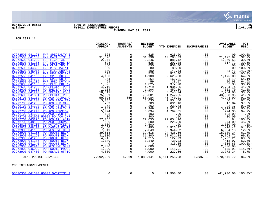

### **06/15/2021 08:43 |TOWN OF SCARBOROUGH |P 25 gclukey |FY2021 EXPENDITURE REPORT |glytdbud THROUGH MAY 31, 2021**

|                                                                                                                                                                                                                                                                                                                                                                                                                                                                                                                                                                                                                                                                                                                                                                                                                                                                                                                                                                                                                                                                                                                                                                                                                                                                                                                                                                                                                                                                       | ORIGINAL<br><b>APPROP</b>                                                                                                                                                                                                                                                                                                            | TRANFRS/<br><b>ADJSTMTS</b>                                                                                                                                                                                                                                                                                                                                                                                                                                                                                                                | <b>REVISED</b><br><b>BUDGET</b>                                                                                                                                                                                                                                                                                                        | <b>YTD EXPENDED</b>                                                                                                                                                                                                                                                                                                                                                                                                  | <b>ENCUMBRANCES</b>                                                                                                                                                                                                                                                         | <b>AVAILABLE</b><br><b>BUDGET</b>                                                                                                                                                                                                                                                                                                                                                                                    | PCT<br><b>USED</b>                                                                                                                                                                                                                                                                                                                                                                           |
|-----------------------------------------------------------------------------------------------------------------------------------------------------------------------------------------------------------------------------------------------------------------------------------------------------------------------------------------------------------------------------------------------------------------------------------------------------------------------------------------------------------------------------------------------------------------------------------------------------------------------------------------------------------------------------------------------------------------------------------------------------------------------------------------------------------------------------------------------------------------------------------------------------------------------------------------------------------------------------------------------------------------------------------------------------------------------------------------------------------------------------------------------------------------------------------------------------------------------------------------------------------------------------------------------------------------------------------------------------------------------------------------------------------------------------------------------------------------------|--------------------------------------------------------------------------------------------------------------------------------------------------------------------------------------------------------------------------------------------------------------------------------------------------------------------------------------|--------------------------------------------------------------------------------------------------------------------------------------------------------------------------------------------------------------------------------------------------------------------------------------------------------------------------------------------------------------------------------------------------------------------------------------------------------------------------------------------------------------------------------------------|----------------------------------------------------------------------------------------------------------------------------------------------------------------------------------------------------------------------------------------------------------------------------------------------------------------------------------------|----------------------------------------------------------------------------------------------------------------------------------------------------------------------------------------------------------------------------------------------------------------------------------------------------------------------------------------------------------------------------------------------------------------------|-----------------------------------------------------------------------------------------------------------------------------------------------------------------------------------------------------------------------------------------------------------------------------|----------------------------------------------------------------------------------------------------------------------------------------------------------------------------------------------------------------------------------------------------------------------------------------------------------------------------------------------------------------------------------------------------------------------|----------------------------------------------------------------------------------------------------------------------------------------------------------------------------------------------------------------------------------------------------------------------------------------------------------------------------------------------------------------------------------------------|
| 07272500 041121<br>F/P SPECIALTY S<br>07272500 041150<br>F/P PART TIME P<br>F/P FICA TAX<br>07272500 041200<br>07272500 041205<br>F/P MEDICARE TA<br>F/P CLOTHING AL<br>07272500 042920<br>07272500 044320<br>F/P MISC MAINT<br>07272500 046015<br>F/P MISC SUPPLI<br>07272500 047400<br>F/P NEW EOUIPME<br>07272550 041150<br>F/P SPEC DUTY P<br>07272550 041200<br>F/P SPEC DUTY F<br>07272550 041205<br>F/P SPEC DUTY M<br>07272600 041150<br>PD SPECL POL (R<br>07272600 041200<br>PD SPECIAL POLI<br>07272600 041205<br>PD SPECIAL POLI<br>07272600 041240<br>PD SPECIAL POLI<br>07272600 041301<br>PD SPECIAL POL<br>PD ACO ANIMAL C<br>07272700 041112<br>07272700 041200<br>PD ACO FICA TAX<br>07272700 041205<br>PD ACO MEDICARE<br>PD ACO LT DISAB<br>07272700 041220<br>07272700 041230<br>PD ACO HEALTH I<br>07272700 041240<br>PD ACO PENSION<br>PD ACO OVERTIME<br>07272700 041300<br>07272700 042920 50029 PD ACO CHR<br>07272700 043225<br>PD ACO ARL ANIM<br>07272700 048100<br>PD ACO PROGRAM<br>07272810 048100<br>PD MOTORCYCLE I<br>07272830 048100<br>PD CANINE EQUIP<br>07272900 041150<br>PD RESERVE OFFI<br>07272900 041155<br>PD PROUTS NECK<br>07272900 041158<br>PD PROUTS NECK<br>07272900 041200<br>PD PROUTS NECK<br>07272900 041205<br>PD PROUTS NECK<br>07272900 041240<br>PD PROUTS NECK<br>07272900 042910<br>PD RESERVE OFFI<br>07272900 046020<br>PD PROUTS PROGR<br>07272900 047400<br>PD RESRVE OFFIC<br>TOTAL POLICE SERVICES | 625<br>31,396<br>2,246<br>525<br>850<br>80<br>100<br>525<br>4,100<br>254<br>59<br>1,025<br>4,719<br>1,104<br>10,511<br>75,081<br>50,325<br>3,035<br>709<br>262<br>7,949<br>5,094<br>103<br>400<br>27,055<br>500<br>2,500<br>4,450<br>7,849<br>39,618<br>31,800<br>4,915<br>1,149<br>$\Omega$<br>2,000<br>1,000<br>4,000<br>7,092,209 | $\Omega$<br>$\mathbf 0$<br>0<br>$\Omega$<br>$\mathbf 0$<br>$\Omega$<br>$\mathbf 0$<br>$\mathbf 0$<br>$\mathsf{O}$<br>$\mathbf{0}$<br>$\mathsf{O}$<br>$\mathbf 0$<br>$\mathsf{O}$<br>$\overline{0}$<br>$\mathbf 0$<br>$\mathbf 0$<br>659<br>0<br>$\mathbf 0$<br>$\mathbf 0$<br>$\mathbf 0$<br>$\mathbf 0$<br>$\mathbf 0$<br>$\mathbf 0$<br>$\mathsf{O}$<br>$\mathbf 0$<br>$\mathbf 0$<br>$\mathbf 0$<br>$\mathbf 0$<br>$\mathbf 0$<br>0<br>$\mathbf 0$<br>$\mathsf{O}$<br>$\mathbf 0$<br>$\mathbf 0$<br>$\Omega$<br>$\mathbf 0$<br>$-4,069$ | 625<br>31,396<br>2,246<br>525<br>850<br>80<br>100<br>525<br>4,100<br>254<br>59<br>$1,025$<br>4,719<br>1,104<br>10,511<br>75,081<br>50,984<br>3,035<br>709<br>262<br>7,949<br>5,094<br>103<br>400<br>27,055<br>500<br>2,500<br>4,450<br>7,849<br>39,618<br>31,800<br>4,915<br>1,149<br>$\Omega$<br>2,000<br>1,000<br>4,000<br>7,088,141 | 625.00<br>10,268.33<br>886.42<br>207.28<br>850.00<br>80.00<br>141.43<br>525.00<br>2,625.00<br>162.81<br>38.07<br>372.70<br>1,934.26<br>452.30<br>3,246.94<br>31,242.05<br>46,740.01<br>2,954.86<br>691.16<br>239.83<br>3,974.12<br>4,799.65<br>.00<br>.00<br>27,054.16<br>226.00<br>.00<br>4,526.47<br>944.82<br>24,428.66<br>22,031.28<br>3,122.79<br>730.03<br>316.85<br>.00<br>1,145.91<br>227.66<br>6,111,256.98 | .00<br>.00<br>.00<br>.00<br>.00<br>.00<br>.00<br>.00<br>.00<br>.00<br>.00<br>.00<br>.00<br>.00<br>.00<br>.00<br>.00<br>.00<br>.00<br>.00<br>.00<br>.00<br>.00<br>.00<br>.00<br>.00<br>.00<br>.00<br>.00<br>.00<br>.00<br>.00<br>.00<br>.00<br>.00<br>.00<br>.00<br>6,336.80 | .00<br>21, 127.67<br>1,359.58<br>317.72<br>.00<br>.00<br>$-41.43$<br>.00<br>1,475.00<br>91.19<br>20.93<br>652.30<br>2,784.74<br>651.70<br>7,264.06<br>43,838.95<br>4,243.99<br>80.14<br>17.84<br>22.17<br>3,974.88<br>294.35<br>103.00<br>400.00<br>.84<br>274.00<br>2,500.00<br>$-76.47$<br>6,904.18<br>15,189.34<br>9,768.72<br>1,792.21<br>418.97<br>$-316.85$<br>2,000.00<br>$-145.91$<br>3,772.34<br>970,546.72 | 100.0%<br>32.7%<br>39.5%<br>39.5%<br>100.0%<br>100.0%<br>141.4%*<br>100.0%<br>64.0%<br>64.1%<br>64.5%<br>36.4%<br>41.0%<br>41.0%<br>30.9%<br>41.6%<br>91.7%<br>97.4%<br>97.5%<br>91.5%<br>50.0%<br>94.2%<br>.0%<br>.0 <sup>8</sup><br>100.0%<br>45.2%<br>.0 <sup>8</sup><br>101.7%*<br>12.0%<br>61.7%<br>69.3%<br>63.5%<br>63.5%<br>$100.0$ *<br>.0 <sup>8</sup><br>114.6%*<br>5.7%<br>86.3% |
| 286 INTRAGOVERNMENTAL                                                                                                                                                                                                                                                                                                                                                                                                                                                                                                                                                                                                                                                                                                                                                                                                                                                                                                                                                                                                                                                                                                                                                                                                                                                                                                                                                                                                                                                 |                                                                                                                                                                                                                                                                                                                                      |                                                                                                                                                                                                                                                                                                                                                                                                                                                                                                                                            |                                                                                                                                                                                                                                                                                                                                        |                                                                                                                                                                                                                                                                                                                                                                                                                      |                                                                                                                                                                                                                                                                             |                                                                                                                                                                                                                                                                                                                                                                                                                      |                                                                                                                                                                                                                                                                                                                                                                                              |
| 08670300 041300 80003 OVERTIME P                                                                                                                                                                                                                                                                                                                                                                                                                                                                                                                                                                                                                                                                                                                                                                                                                                                                                                                                                                                                                                                                                                                                                                                                                                                                                                                                                                                                                                      | $\mathbf 0$                                                                                                                                                                                                                                                                                                                          | $\mathbf 0$                                                                                                                                                                                                                                                                                                                                                                                                                                                                                                                                | $\Omega$                                                                                                                                                                                                                                                                                                                               | 41,900.00                                                                                                                                                                                                                                                                                                                                                                                                            | .00                                                                                                                                                                                                                                                                         | $-41,900.00$ $100.0$ *                                                                                                                                                                                                                                                                                                                                                                                               |                                                                                                                                                                                                                                                                                                                                                                                              |
|                                                                                                                                                                                                                                                                                                                                                                                                                                                                                                                                                                                                                                                                                                                                                                                                                                                                                                                                                                                                                                                                                                                                                                                                                                                                                                                                                                                                                                                                       |                                                                                                                                                                                                                                                                                                                                      |                                                                                                                                                                                                                                                                                                                                                                                                                                                                                                                                            |                                                                                                                                                                                                                                                                                                                                        |                                                                                                                                                                                                                                                                                                                                                                                                                      |                                                                                                                                                                                                                                                                             |                                                                                                                                                                                                                                                                                                                                                                                                                      |                                                                                                                                                                                                                                                                                                                                                                                              |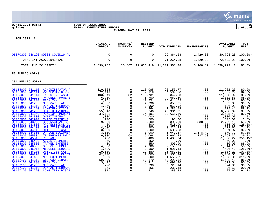

## **06/15/2021 08:43 |TOWN OF SCARBOROUGH |P 26 gclukey |FY2021 EXPENDITURE REPORT |glytdbud THROUGH MAY 31, 2021**



**FOR 2021 11**

|                                                                                                                                                                                                                                                                                                                                                                                                                                                                                                                                                                                                                                                                                                                                                                                                                                                                                                                                                                                        | ORIGINAL<br><b>APPROP</b>                                                                                                                                                                                           | TRANFRS/<br><b>ADJSTMTS</b>                                                                                                                                                                                                                                                                           | <b>REVISED</b><br><b>BUDGET</b>                                                                                                                                                                                     | YTD EXPENDED                                                                                                                                                                                                                                                                     | <b>ENCUMBRANCES</b>                                                                                                                                                                       | <b>AVAILABLE</b><br><b>BUDGET</b>                                                                                                                                                                                                                                                      | <b>PCT</b><br>USED                                                                                                                                                                                                                         |
|----------------------------------------------------------------------------------------------------------------------------------------------------------------------------------------------------------------------------------------------------------------------------------------------------------------------------------------------------------------------------------------------------------------------------------------------------------------------------------------------------------------------------------------------------------------------------------------------------------------------------------------------------------------------------------------------------------------------------------------------------------------------------------------------------------------------------------------------------------------------------------------------------------------------------------------------------------------------------------------|---------------------------------------------------------------------------------------------------------------------------------------------------------------------------------------------------------------------|-------------------------------------------------------------------------------------------------------------------------------------------------------------------------------------------------------------------------------------------------------------------------------------------------------|---------------------------------------------------------------------------------------------------------------------------------------------------------------------------------------------------------------------|----------------------------------------------------------------------------------------------------------------------------------------------------------------------------------------------------------------------------------------------------------------------------------|-------------------------------------------------------------------------------------------------------------------------------------------------------------------------------------------|----------------------------------------------------------------------------------------------------------------------------------------------------------------------------------------------------------------------------------------------------------------------------------------|--------------------------------------------------------------------------------------------------------------------------------------------------------------------------------------------------------------------------------------------|
| 08670300 048190 80003 COVID19 PU                                                                                                                                                                                                                                                                                                                                                                                                                                                                                                                                                                                                                                                                                                                                                                                                                                                                                                                                                       | $\mathbf 0$                                                                                                                                                                                                         | $\mathbf 0$                                                                                                                                                                                                                                                                                           | 0                                                                                                                                                                                                                   | 29,364.28                                                                                                                                                                                                                                                                        | 1,429.00                                                                                                                                                                                  | $-30,793.28$ 100.0%*                                                                                                                                                                                                                                                                   |                                                                                                                                                                                                                                            |
| TOTAL INTRAGOVERNMENTAL                                                                                                                                                                                                                                                                                                                                                                                                                                                                                                                                                                                                                                                                                                                                                                                                                                                                                                                                                                | $\mathbf 0$                                                                                                                                                                                                         | $\mathsf{O}$                                                                                                                                                                                                                                                                                          | 0                                                                                                                                                                                                                   | 71,264.28                                                                                                                                                                                                                                                                        | 1,429.00                                                                                                                                                                                  | -72,693.28                                                                                                                                                                                                                                                                             | $100.0$ $^{\circ}$                                                                                                                                                                                                                         |
| TOTAL PUBLIC SAFETY                                                                                                                                                                                                                                                                                                                                                                                                                                                                                                                                                                                                                                                                                                                                                                                                                                                                                                                                                                    | 12,839,932                                                                                                                                                                                                          |                                                                                                                                                                                                                                                                                                       |                                                                                                                                                                                                                     | 25,487 12,865,419 11,211,388.28                                                                                                                                                                                                                                                  | 15,108.19                                                                                                                                                                                 | 1,638,922.40                                                                                                                                                                                                                                                                           | 87.3%                                                                                                                                                                                                                                      |
| 80 PUBLIC WORKS                                                                                                                                                                                                                                                                                                                                                                                                                                                                                                                                                                                                                                                                                                                                                                                                                                                                                                                                                                        |                                                                                                                                                                                                                     |                                                                                                                                                                                                                                                                                                       |                                                                                                                                                                                                                     |                                                                                                                                                                                                                                                                                  |                                                                                                                                                                                           |                                                                                                                                                                                                                                                                                        |                                                                                                                                                                                                                                            |
| 281 PUBLIC WORKS                                                                                                                                                                                                                                                                                                                                                                                                                                                                                                                                                                                                                                                                                                                                                                                                                                                                                                                                                                       |                                                                                                                                                                                                                     |                                                                                                                                                                                                                                                                                                       |                                                                                                                                                                                                                     |                                                                                                                                                                                                                                                                                  |                                                                                                                                                                                           |                                                                                                                                                                                                                                                                                        |                                                                                                                                                                                                                                            |
| 08155000 041110 ADMINISTRATOR F<br>08155000 041111<br>PW DEPUTY DIREC<br>08155000 041114<br><b>EXECUTIVE ASST</b><br>08155000 041122<br>PW CELL PHONE S<br>08155000 041200<br>FICA TAX<br>08155000 041205<br>MEDICARE TAX<br>08155000 041210<br>DENTAL INSURANC<br>08155000 041220<br><b>LONGTERM DISABL</b><br>08155000 041230<br>HEALTH INSURANC<br>08155000 041240<br>PENSION (MSRS/I<br>08155000 041300<br><b>OVERTIME PAY</b><br>08155000 042910<br><b>EMPEE TRAINING</b><br>08155000 043225<br><b>CONTRACTUAL SER</b><br>08155000 043500<br>PROFESSIONAL DU<br>08155000 044100<br><b>UTILITIES SEWER</b><br>08155000 044110<br><b>UTILITIES WATER</b><br>08155000 044350<br>OFFICE EQUIPMEN<br>08155000 045304<br>TELEPHONES PW A<br>08155000 045310<br><b>POSTAGE</b><br>08155000 045400<br><b>ADVERTISEMENTS</b><br>08155000 045800<br>TRAVEL EXPENSE<br>OFFICE SUPPLIES<br>08155000 046000<br>08155000 046015<br><b>MISCELLANEOUS S</b><br>08155000 046210<br>UTILITIES GAS - | 110,085<br>72,118<br>103,349<br>6,700<br>17,251<br>4,036<br>1,060<br>1,464<br>55,640<br>34,191<br>2,000<br>700<br>9,000<br>400<br>4,500<br>3,000<br>3,000<br>6,000<br>400<br>850<br>450<br>4,000<br>1,500<br>19,680 | $\overline{0}$<br>$\overline{0}$<br>382<br>$\overline{0}$<br>0<br>$\Omega$<br>0<br>$\mathbf 0$<br>0<br>$\mathbf 0$<br>0<br>$\mathbf 0$<br>$\mathbf 0$<br>$\mathsf{O}$<br>$\mathbf 0$<br>$\mathbf 0$<br>$\mathbf 0$<br>68<br>$\Omega$<br>0<br>$\mathbf 0$<br>$\mathbf 0$<br>$\mathbf 0$<br>$\mathbf 0$ | 110,085<br>72,118<br>103,731<br>6,700<br>17,251<br>4,036<br>1,060<br>1,464<br>55,640<br>34,191<br>2,000<br>700<br>9,000<br>400<br>4,500<br>3,000<br>3,000<br>6,068<br>400<br>850<br>450<br>4,000<br>1,500<br>19,680 | 98,153.77<br>64,530.80<br>92,342.08<br>4,567.50<br>15,614.79<br>3,653.65<br>953.92<br>1,289.59<br>48,931.61<br>30,655.60<br>.00<br>95.00<br>5,399.90<br>515.00<br>3,227.34<br>2,638.03<br>1,041.87<br>1,667.33<br>1,400.24<br>.00<br>400.00<br>2,155.82<br>1,926.43<br>21,067.21 | $.00 \,$<br>.00<br>.00<br>.00<br>.00<br>.00<br>.00<br>.00<br>.00<br>$.00 \,$<br>.00<br>.00<br>838.00<br>.00<br>.00<br>.00<br>1,578.42<br>137.60<br>.00<br>.00<br>.00<br>.00<br>.00<br>.00 | 11,931.23<br>7,587.20<br>11,388.92<br>2,132.50<br>1,636.21<br>382.35<br>106.08<br>174.41<br>6,708.39<br>3,535.40<br>2,000.00<br>605.00<br>2,762.10<br>$-115.00$<br>1,272.66<br>361.97<br>379.71<br>4,263.32<br>$-1,000.24$<br>850.00<br>50.00<br>1,844.18<br>$-426.43$<br>$-1, 387.21$ | 89.2%<br>89.5%<br>89.0%<br>68.2%<br>90.5%<br>90.5%<br>$90.0$ <sup>8</sup><br>88.1%<br>87.9%<br>89.7%<br>.0%<br>13.6%<br>69.3%<br>128.8%*<br>71.7%<br>87.9%<br>87.3%<br>29.7%<br>$350.1$ *<br>.0%<br>88.9%<br>53.9%<br>128.4%*<br>$107.0$ * |
| 08155000 046220<br>UTILITIES ELECT<br>08155000 047400<br>NEW EOUIPMENT<br>08157100 041112<br><b>GIS COORDINATOR</b><br>08157100 041200<br>FICA TAX<br>08157100 041205<br>MEDICARE TAX<br>08157100 041210<br>DENTAL INSURANC                                                                                                                                                                                                                                                                                                                                                                                                                                                                                                                                                                                                                                                                                                                                                            | 42,000<br>500<br>59,870<br>3,412<br>798<br>265                                                                                                                                                                      | 0<br>$\mathbf 0$<br>$\mathbf 0$<br>$\mathsf 0$<br>$\mathbf 0$<br>$\Omega$                                                                                                                                                                                                                             | 42,000<br>500<br>59,870<br>3,412<br>798<br>265                                                                                                                                                                      | 28,955.44<br>1,555.81<br>53, 221.52<br>3,092.46<br>723.14<br>238.48                                                                                                                                                                                                              | .00<br>.00<br>.00<br>.00<br>.00<br>.00                                                                                                                                                    | 13,044.56<br>$-1,055.81$<br>6,648.48<br>319.54<br>74.86<br>26.52                                                                                                                                                                                                                       | 68.9%<br>311.2%*<br>88.9%<br>90.6%<br>90.6%<br>90.0%                                                                                                                                                                                       |

[08157100 041220 LONG TERM DISAB](https://munis.scarborough.me.us/_layouts/15/DashboardMunisV6.3/PassThru.aspx?-E=JFLnlg8rpuzbReGd0ynAu3xaYMJ83AtMQ1/P2H2kouLr8Vi14AOk0Jjmky8jOprL&) 311 0 311 283.38 .00 27.62 91.1%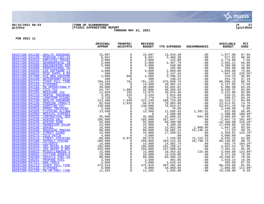

## **06/15/2021 08:43 |TOWN OF SCARBOROUGH |P 27 gclukey |FY2021 EXPENDITURE REPORT |glytdbud THROUGH MAY 31, 2021**



|                                                                                 | ORIGINAL<br>APPROP                                                                                                                                                                                                                                                                                                                                                                                | TRANFRS/<br>ADJSTMTS                         | <b>REVISED</b><br><b>BUDGET</b> | YTD EXPENDED             | <b>ENCUMBRANCES</b>                           | <b>AVAILABLE</b><br><b>BUDGET</b> | PCT<br><b>USED</b> |
|---------------------------------------------------------------------------------|---------------------------------------------------------------------------------------------------------------------------------------------------------------------------------------------------------------------------------------------------------------------------------------------------------------------------------------------------------------------------------------------------|----------------------------------------------|---------------------------------|--------------------------|-----------------------------------------------|-----------------------------------|--------------------|
| 08157100 041230 HEALTH INSURANC                                                 | 15,897<br>$\begin{tabular}{c c} \multicolumn{1}{c}{\textbf{AMC}} \\\hline \textbf{AM} & 15,897 \\\hline \textbf{INI} & 6,047 \\\hline \textbf{INI} & 3,0000 \\\hline \textbf{INI} & 5,0000 \\\hline \textbf{ID} & 5,0000 \\\hline \textbf{IDU} & 4,0000 \\\hline \textbf{IME} & 2,0000 \\\hline \textbf{IME} & 4,0000 \\\hline \textbf{IME} & 40,0000 \\\hline \textbf{IME} & 40,0000 \\\hline \$ | $\mathbf 0$                                  | 15,897                          | 13,919.40                | .00                                           | 1,977.60                          | 87.6%              |
| 08157100 041240<br><b>PENSION (401/45)</b>                                      |                                                                                                                                                                                                                                                                                                                                                                                                   | $\mathbf 0$                                  | 6,047                           | 5,469.38                 | .00                                           | 577.62                            | 90.4%              |
| 08157100 042910<br><b>EMPLOYEE TRAINI</b>                                       |                                                                                                                                                                                                                                                                                                                                                                                                   | $\mathsf{O}$                                 | 3,000                           | 225.00                   | .00                                           | 2,775.00                          | 7.5%               |
| 08157100 043225<br><b>GEOGRAPHICAL IN</b>                                       |                                                                                                                                                                                                                                                                                                                                                                                                   | $\overline{0}$                               | 5,000                           | 2,497.79                 | .00                                           | 2,502.21                          | 50.0%              |
| 08157100 043400<br><b>ENGINEERING SER</b>                                       |                                                                                                                                                                                                                                                                                                                                                                                                   | $\mathsf{O}$                                 | 5,000                           | 640.00                   | .00                                           | 4,360.00                          | 12.8%              |
| 08157100 043500<br>PROFESSIONAL DU                                              |                                                                                                                                                                                                                                                                                                                                                                                                   | $\mathbf 0$                                  | 400                             | 195.00                   | .00                                           | 205.00                            | 48.8%              |
| 08157100 044345<br><b>GIS SOFTWARE LI</b>                                       |                                                                                                                                                                                                                                                                                                                                                                                                   | $\mathsf 0$                                  | 4,000                           | 2,950.00                 | .00                                           | 1,050.00                          | 73.8%              |
| 08157100 046015<br>MISC SUPPL & MA                                              |                                                                                                                                                                                                                                                                                                                                                                                                   | $\overline{0}$                               | 500                             | 1,147.43                 | .00                                           | $-647.43$                         | 229.5%*            |
| 08157100 047400<br><b>GIS NEW EOUIPME</b>                                       |                                                                                                                                                                                                                                                                                                                                                                                                   | 666                                          | 2,666                           | 2,288.22                 | .00                                           | 378.23                            | 85.8%              |
| 08161300 044190<br>WATERFRONT-MISC                                              |                                                                                                                                                                                                                                                                                                                                                                                                   | $\overline{0}$                               | 400                             | 148.21                   | .00                                           | 251.79                            | 37.1%              |
| 08181000 041112<br>STAFF FULL TIME                                              |                                                                                                                                                                                                                                                                                                                                                                                                   | 701                                          | 761,135                         | 675,039.74               | .00                                           | 86,095.26                         | 88.7%              |
| 08181000 041120<br><b>STIPENDS</b>                                              |                                                                                                                                                                                                                                                                                                                                                                                                   | $\overline{0}$                               | 14,500                          | 10,362.15                | .00                                           | 4,137.85                          | 71.5%              |
| 08181000 041150<br><b>PW OPERATIONS P</b>                                       |                                                                                                                                                                                                                                                                                                                                                                                                   | $\mathbf 0$                                  | 40,000                          | 33,691.01                | .00                                           | 6,308.99                          | 84.2%              |
| 08181000 041200<br>FICA TAX                                                     |                                                                                                                                                                                                                                                                                                                                                                                                   | 1,089                                        | 55,886                          | 46,365.63                | .00                                           | 9,520.37                          | 83.0%              |
| 08181000 041205<br>MEDICARE TAX                                                 |                                                                                                                                                                                                                                                                                                                                                                                                   | 255                                          | 13,075                          | 10,843.40                | .00                                           | 2,231.60                          | 82.9%              |
| 08181000 041210<br>DENTAL INSURANC                                              |                                                                                                                                                                                                                                                                                                                                                                                                   | 133                                          | $3,434$<br>$3,779$              | 2,815.69                 | .00                                           | 618.31                            | 82.0%              |
| 08181000 041220<br><b>LONGTERM DISABL</b><br>08181000 041230<br>HEALTH INSURANC |                                                                                                                                                                                                                                                                                                                                                                                                   | 51                                           |                                 | 3,179.43                 | .00                                           | 599.57                            | 84.1%              |
| 08181000 041240<br>PENSION (MSRS/I                                              |                                                                                                                                                                                                                                                                                                                                                                                                   | 7,949<br>2,829                               | 222,249<br>94,878               | 188,729.88<br>70,903.09  | .00                                           | 33,519.12<br>23,974.91            | 84.9%<br>74.7%     |
| 08181000 041300<br><b>OVERTIME PAY</b>                                          |                                                                                                                                                                                                                                                                                                                                                                                                   | $\Omega$                                     | 130,000                         | 76,924.57                | .00<br>.00                                    | 53,075.43                         | 59.2%              |
| 08181000 042910<br><b>EMPEE TRAINING</b>                                        |                                                                                                                                                                                                                                                                                                                                                                                                   | $\mathbf 0$                                  | 2,500                           | 70.00                    | .00                                           | 2,430.00                          | 2.8%               |
| 08181000 042920<br>CLOTHING ALLOWA                                              |                                                                                                                                                                                                                                                                                                                                                                                                   | $\mathbf 0$                                  | 13,500                          |                          | 1,281.91                                      | 622.66                            | 95.4%              |
| 08181000 042950<br>MEDICAL EXPENDI                                              |                                                                                                                                                                                                                                                                                                                                                                                                   | $\overline{0}$                               | $\overline{0}$                  | $11, 595.43$<br>1,588.00 | .00                                           | $-1,588.00$                       | 100.0%*            |
| 08181000 043225<br>CONTRACTUAL SER                                              |                                                                                                                                                                                                                                                                                                                                                                                                   |                                              | 45,000                          | 41,069.42                |                                               | 2,985.60                          | 93.4%              |
| 08181000 044238<br><b>WINTER SALT</b>                                           |                                                                                                                                                                                                                                                                                                                                                                                                   | $\begin{smallmatrix} 0\\0 \end{smallmatrix}$ | 185,000                         | 187,647.73               | $944.98$<br>00.00<br>00.00.00.1<br>00.00.00.1 | $-2,647.73$                       | 101.4%*            |
| 08181000 044240<br><b>WINTER SAND</b>                                           |                                                                                                                                                                                                                                                                                                                                                                                                   |                                              | 55,000                          | 69,390.00                |                                               | $-14,390.00$                      | 126.2%*            |
| 08181000 044243<br>MAGNESIUM CHLOR                                              |                                                                                                                                                                                                                                                                                                                                                                                                   | $\overline{0}$<br>0                          | 22,000                          | 4,100.20                 |                                               | 17,899.80                         | 18.6%              |
| 08181000 044248<br><b>GRAVEL</b>                                                |                                                                                                                                                                                                                                                                                                                                                                                                   | $\mathsf 0$                                  | 16,000                          | 13,952.80                |                                               | 1,047.20                          | 93.5%              |
| 08181000 044260<br>ROADSIDE MOWING                                              |                                                                                                                                                                                                                                                                                                                                                                                                   | $\mathbb O$                                  | 60,000                          | 34,682.13                | 25,140.34                                     | 177.53                            | 99.7%              |
| 08181000 044270<br>STREET SIGNS                                                 |                                                                                                                                                                                                                                                                                                                                                                                                   | $\mathbf 0$                                  | 15,000                          | 17,359.61                | .00                                           | $-2, 359.61$                      | 115.7%*            |
| 08181000 044275<br><b>COLD PATCH</b>                                            |                                                                                                                                                                                                                                                                                                                                                                                                   | $\mathbf 0$                                  | 4,000                           | .00                      | .00                                           | 4,000.00                          | .0%                |
| 08181000 044278<br>STREET STRIPING                                              |                                                                                                                                                                                                                                                                                                                                                                                                   | 8,976                                        | 88,976                          | 7, 235.85<br>183, 124.35 | 73,724.23                                     | 8,016.15                          | 91.0%              |
| 08181000 044280<br><b>ASPHALT PAVING</b>                                        |                                                                                                                                                                                                                                                                                                                                                                                                   | $\mathbf 0$                                  | 260,000                         |                          | 26,738.70                                     | 50,136.95                         | 80.7%              |
| 08181000 044283<br><b>CULVERTS</b>                                              |                                                                                                                                                                                                                                                                                                                                                                                                   | 0                                            | 14,000                          | 14,582.74                | .00                                           | $-582.74$                         | 104.2%*            |
| 08181000 044310<br>VEH MAINT & REP                                              |                                                                                                                                                                                                                                                                                                                                                                                                   | $\begin{smallmatrix}0\\0\end{smallmatrix}$   | 185,000                         | 181, 158.47              | .00                                           | 3,841.53                          | 97.9%              |
| 08181000 044313<br>VEH MAINT & REP                                              |                                                                                                                                                                                                                                                                                                                                                                                                   |                                              | 155,000                         | 147,698.59               | .00                                           | 7,301.41                          | 95.3%              |
| 08181000 046015<br>MISCELLANEOUS S                                              | 15,000<br>15,000<br>18,000                                                                                                                                                                                                                                                                                                                                                                        | $\mathsf{O}\xspace$                          | 15,000                          | 18,454.82                | 115.06                                        | $-3,569.88$                       | 123.8%*            |
| 08181000 046052<br><b>CUTTING EDGES/A</b>                                       |                                                                                                                                                                                                                                                                                                                                                                                                   | $\overline{0}$                               | 18,000                          | 12,628.06                | .00                                           | 5,371.94                          | 70.2%              |
| 08181000 046260<br>VEHICLE FUEL-GA                                              | 80,000                                                                                                                                                                                                                                                                                                                                                                                            | $\mathsf{O}$                                 | 80,000                          | 63,409.33                | .00                                           | 16,590.67                         | 79.3%              |
| 08181000 046261<br>PROPANE FUEL                                                 | 2,500                                                                                                                                                                                                                                                                                                                                                                                             | $\mathbf 0$                                  | 2,500                           | 481.86                   | .00                                           | 2,018.14                          | 19.3%              |
| 08181000 047411<br><b>NEW TOOLS</b>                                             |                                                                                                                                                                                                                                                                                                                                                                                                   | $\overline{0}$                               | 3,000                           | 2,616.42                 | .00                                           | 383.58                            | 87.2%              |
| 08181200 041112<br>STAFF FULL TIME                                              | $\begin{array}{c} 2,500 \\ 3,000 \\ 475,919 \\ 9,000 \\ 1,000 \end{array}$                                                                                                                                                                                                                                                                                                                        | $\overline{0}$                               | 475,919                         | 387,492.94               | .00                                           | 88,426.06                         | 81.4%              |
| 08181200 041120<br><b>STIPENDS</b>                                              |                                                                                                                                                                                                                                                                                                                                                                                                   | $\overline{0}$                               | 9,000                           | 10,069.65                | .00                                           | $-1,069.65$                       | 111.9%*            |
| PW VM PART TIME<br>08181200 041150                                              |                                                                                                                                                                                                                                                                                                                                                                                                   |                                              | 11,263                          | 1,035.00                 | .00                                           | 10,228.00                         | 9.2%               |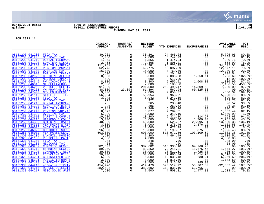

## **06/15/2021 08:43 |TOWN OF SCARBOROUGH |P 28 gclukey |FY2021 EXPENDITURE REPORT |glytdbud THROUGH MAY 31, 2021**



|                                                                          | ORIGINAL<br><b>APPROP</b>                                                                                                                                                                                                                                                                                                    | TRANFRS/<br><b>ADJSTMTS</b>   | <b>REVISED</b><br><b>BUDGET</b> | YTD EXPENDED             | <b>ENCUMBRANCES</b>             | <b>AVAILABLE</b><br><b>BUDGET</b>                         | PCT<br><b>USED</b>    |
|--------------------------------------------------------------------------|------------------------------------------------------------------------------------------------------------------------------------------------------------------------------------------------------------------------------------------------------------------------------------------------------------------------------|-------------------------------|---------------------------------|--------------------------|---------------------------------|-----------------------------------------------------------|-----------------------|
| 08181200 041200 FICA TAX                                                 | 30,261<br>$\begin{array}{r} 30\,,261 \\ 7\,,080 \\ 1\,,855 \\ 11\,,281 \\ 62\,,775 \\ 16\,,000 \\ 1\,,500 \\ 8\,,500 \\ 8\,,300 \\ 291\,,000 \\ 39\,,000 \\ 9\,,000 \\ 9\,,000 \\ 9\,,000 \\ 9\,,000 \\ 9\,,000 \\ 9\,,000 \\ 9\,,000 \\ 9\,,000 \\ 9\,,000 \\ 9\,,000 \\ 16\,,200 \\ 10\,,200 \\ 40\,,000 \\ 12\,,000 \\ 4$ | $\mathbf 0$                   | 30,261                          | 24,465.04                | .00                             | 5,795.96                                                  | 80.8%                 |
| 08181200 041205<br>MEDICARE TAX                                          |                                                                                                                                                                                                                                                                                                                              | $\mathbf 0$                   |                                 | 5,742.29                 | .00                             | 1,337.71                                                  | 81.1%                 |
| 08181200 041210<br>DENTAL INSURANC                                       |                                                                                                                                                                                                                                                                                                                              | $\overline{0}$                | 7,080<br>1,855                  | 1,474.24                 | .00                             | 380.76                                                    | 79.5%                 |
| 08181200 041220<br><b>LONGTERM DISABL</b>                                |                                                                                                                                                                                                                                                                                                                              | $\overline{0}$                | 2,465                           | 1,896.01                 | .00                             | 568.99                                                    | 76.9%                 |
| 08181200 041230<br>HEALTH INSURANC                                       |                                                                                                                                                                                                                                                                                                                              | $\overline{0}$                | 111,281                         | 76,775.49                | .00                             | 34,505.51                                                 | $69.0$ $%$            |
| 08181200 041240<br>PENSION (MSRS/I                                       |                                                                                                                                                                                                                                                                                                                              | $\mathsf{O}$                  | 62,775                          | 50,097.89                | .00                             | 12,677.11                                                 | 79.8%                 |
| 08181200 041300<br><b>OVERTIME PAY</b>                                   |                                                                                                                                                                                                                                                                                                                              | $\overline{0}$                | 16,000                          | 3,769.46                 | .00                             | 12,230.54                                                 | 23.6%                 |
| 08181200 042910<br><b>EMPLOYEE TRAINI</b>                                |                                                                                                                                                                                                                                                                                                                              | $\mathsf{O}$                  | 1,500                           | 204.46                   | .00                             | 1,295.54                                                  | 13.6%                 |
| 08181200 042920<br>CLOTHING ALLOWA                                       |                                                                                                                                                                                                                                                                                                                              | $\overline{0}$                | 8,500                           | 7,086.58                 | 1,650.11                        | $-236.69$                                                 | 102.8%*               |
| 08181200 042950<br>MEDICAL EXPENDI                                       |                                                                                                                                                                                                                                                                                                                              | $\overline{0}$                | 600                             | 612.00                   | .00                             | $-12.00$                                                  | 102.0%*               |
| 08181200 044345<br>PW DIAGNOSTIC S                                       |                                                                                                                                                                                                                                                                                                                              | $\overline{0}$                | 8,300                           | 5,655.01                 | 1,608.00                        | 1,036.99                                                  | 87.5%                 |
| 08181200 046015<br><b>MISCELLANEOUS S</b>                                |                                                                                                                                                                                                                                                                                                                              | $\overline{0}$                | 2,000                           | 9,186.56                 | .00                             | $-7,186.56$                                               | 459.3%*               |
| 08181200 046260<br>VEHICLE FUEL-IN                                       |                                                                                                                                                                                                                                                                                                                              | $\mathbf 0$                   | 291,000                         | 269,490.47               | 14,309.53                       | 7,200.00                                                  | 97.5%                 |
| 08181200 046261<br><b>VM PROPANE FUEL</b>                                |                                                                                                                                                                                                                                                                                                                              | 23,394                        | 61,394                          | 567.94                   | 60,825.83                       | .00<br>$-850.37$                                          | 100.0%                |
| 08181200 047400<br>NEW EQUIPMENT                                         |                                                                                                                                                                                                                                                                                                                              | $\mathbf 0$                   | 9,000                           | 9,850.37                 | .00                             |                                                           | 109.4%*               |
| 08181250 041112<br>STAFF FULL TIME                                       |                                                                                                                                                                                                                                                                                                                              | $\mathbf 0$                   | 56,954                          | 50,963.21                | .00                             | 5,990.79                                                  | 89.5%                 |
| 08181250 041200<br>FICA TAX<br>08181250 041205<br>MEDICARE TAX           |                                                                                                                                                                                                                                                                                                                              | 0<br>$\overline{0}$           | 3,942<br>922                    | 3,242.19<br>758.22       | .00<br>.00                      | 699.81<br>163.78                                          | 82.2%<br>82.2%        |
| 08181250 041210<br>DENTAL INSURANC                                       |                                                                                                                                                                                                                                                                                                                              | $\mathsf{O}$                  | 265                             | 238.48                   | .00                             | 26.52                                                     | 90.0%                 |
| 08181250 041220<br><b>LONG TERM DISAB</b>                                |                                                                                                                                                                                                                                                                                                                              | $\overline{0}$                | 296                             | 269.62                   | .00                             | 26.38                                                     | 91.1%                 |
| 08181250 041230<br>HEALTH INSURANC                                       |                                                                                                                                                                                                                                                                                                                              | $\overline{0}$                | 7,949                           | 6,958.26                 | .00                             | 990.74                                                    | 87.5%                 |
| 08181250 041240<br><b>PENSION (401/45)</b>                               |                                                                                                                                                                                                                                                                                                                              | $\mathsf{O}$                  | 8,877                           | 7,289.51                 | .00<br>.00                      | 1,587.49                                                  | 82.1%                 |
| 08181250 041300<br><b>OVERTIME PAY</b>                                   |                                                                                                                                                                                                                                                                                                                              | $\overline{0}$                | 6,000                           | 340.10                   | .00                             | 5,659.90                                                  | 5.7%                  |
| 08181250 042610<br>SAFETY & COMPLI                                       |                                                                                                                                                                                                                                                                                                                              | $\mathsf{O}$                  | 10,200                          | 9,331.80                 | 314.57                          | 553.63                                                    | 94.6%                 |
| 08181250 044218<br>HAZARDOUS COLLE                                       |                                                                                                                                                                                                                                                                                                                              | $\overline{0}$                | 5,000                           | 565.00                   | 1,700.00                        | 2,735.00                                                  | 45.3%                 |
| 08181250 044300<br>BUILDING MAINT                                        |                                                                                                                                                                                                                                                                                                                              | $\mathsf{O}$                  | 40,000                          | 33,525.37                | 20,095.01                       | $-13,620.38$                                              | 134.1%*               |
| 08181250 044316<br>VEH MAINT & REP                                       |                                                                                                                                                                                                                                                                                                                              | $\overline{0}$                | 3,000                           | 1,275.46                 | 2,876.12                        | $-1, 151.58$                                              | 138.4%*               |
| 08181250 046015<br>SHOP SUPPLIES &                                       |                                                                                                                                                                                                                                                                                                                              | $\overline{0}$                | 12,000                          | 677.99                   | .00                             |                                                           | 5.6%                  |
| 08181250 046029<br>CUSTODIAL SUPPL                                       |                                                                                                                                                                                                                                                                                                                              | $\mathsf{O}$                  | 16,000                          | 13,199.57                | 875.00                          | $1\overline{1}, \overline{3}2\overline{2}.01$<br>1,925.43 | 88.0%                 |
| 08181250 046032<br><b>VEH PARTS/SERV</b>                                 |                                                                                                                                                                                                                                                                                                                              | $\overline{0}$                | 603,000                         | 510,971.86               | 103,109.52                      | $-11,081.38$                                              | 101.8%*               |
| 08181300 044205<br>LANDFILL MONITO                                       |                                                                                                                                                                                                                                                                                                                              | $\mathbf 0$                   | 7,200                           | 4,464.49                 | $\overline{\phantom{a}}$<br>.00 | 2,735.51                                                  | 62.0%                 |
| 08181320 041150<br>RECYCLING PART                                        |                                                                                                                                                                                                                                                                                                                              | $\Omega$                      | 4,000                           | .00                      | .00                             | 4,000.00                                                  | .0%                   |
| 08181320 041200<br>FICA TAX                                              |                                                                                                                                                                                                                                                                                                                              | $\overline{0}$                | 248                             | .00                      | $.00\,$                         | 248.00                                                    | .0%                   |
| 08181320 041205<br>MEDICARE TAX                                          |                                                                                                                                                                                                                                                                                                                              | $\overline{0}$                | 58                              | .00                      | .00                             | 58.00                                                     | .0%                   |
| 08181320 043232<br><b>CURBSIDE RECYCL</b>                                |                                                                                                                                                                                                                                                                                                                              | $\mathsf{O}$                  | 382,602                         | 318, 335.10              | 64,266.90                       | .00                                                       | 100.0%                |
| 08181320 044213<br>ecomaine RECYCL                                       |                                                                                                                                                                                                                                                                                                                              | $\mathbf 0$                   | 89,250                          | 72,245.81                | 18,675.46                       | $-1,671.27$                                               | 101.9%*               |
| 08181320 044220<br><b>COMMERCIAL RECY</b>                                | 30,000                                                                                                                                                                                                                                                                                                                       | $\mathsf{O}$                  | 30,000                          | 28,511.51<br>32,866.74   | 1,725.33                        | $-236.84$                                                 | 100.8%*               |
| 08181320 044223<br>RECYCLING BINS                                        | 50,000                                                                                                                                                                                                                                                                                                                       | $\mathsf{O}$                  | 50,000                          |                          | 7,614.90                        | 9,518.36                                                  | 81.0%                 |
| 08181320 044231<br>CENTRALIZED COM                                       | $\frac{6}{3}, \frac{00}{000}$                                                                                                                                                                                                                                                                                                | $\overline{0}$                | 6,000                           | 12,031.48                | 230.21                          | $-6, 261.69$                                              | 204.4%*               |
| 08181320 045321<br>PUBLIC INFORMAT                                       |                                                                                                                                                                                                                                                                                                                              | $\overline{0}$<br>$\Omega$    | 3,000                           | 1,816.50                 | .00                             | 1,183.50                                                  | 60.6%                 |
| 08181320 047418<br><b>AUTOMATED RECYC</b>                                | 19,500<br>414,470                                                                                                                                                                                                                                                                                                            |                               | 19,500                          | 19,315.00                | 185.00                          | .00                                                       | 100.0%                |
| 08181330 044213<br>ecomaine TIPPIN<br>08181330 044215<br>REFUSE COLLECTI | 382,602                                                                                                                                                                                                                                                                                                                      | $\mathbf 0$<br>$\overline{0}$ | 414,470<br>382,602              | 393,519.92<br>318,835.10 | 53,307.50<br>63,766.90          | $-32, 357.42$                                             | $107.8$ $*$<br>100.0% |
| 08181330 044217                                                          | 7,500                                                                                                                                                                                                                                                                                                                        | $\overline{0}$                | 7,500                           | 4,508.81                 | 1,477.88                        | .00<br>1,513.31                                           | 79.8%                 |
| MISC SOLID WAST                                                          |                                                                                                                                                                                                                                                                                                                              |                               |                                 |                          |                                 |                                                           |                       |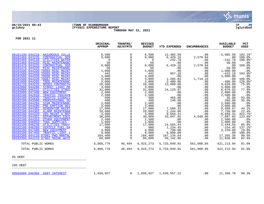

#### **06/15/2021 08:43 |TOWN OF SCARBOROUGH |P 29 gclukey |FY2021 EXPENDITURE REPORT |glytdbud THROUGH MAY 31, 2021**



**FOR 2021 11**

|                                           | ORIGINAL<br><b>APPROP</b> | TRANFRS/<br><b>ADJSTMTS</b> | <b>REVISED</b><br><b>BUDGET</b> | <b>YTD EXPENDED</b> | <b>ENCUMBRANCES</b> | <b>AVAILABLE</b><br><b>BUDGET</b> | <b>PCT</b><br><b>USED</b> |
|-------------------------------------------|---------------------------|-----------------------------|---------------------------------|---------------------|---------------------|-----------------------------------|---------------------------|
| 08181330 044218<br>HAZARDOUS COLLE        | 6,500                     | $\Omega$                    | 6,500                           | 12,485.59           | .00                 | $-5,985.59$                       | 192.1%*                   |
| 08181460 043225<br><b>CONTRACTUAL SER</b> | 9,000                     | 0                           | 9,000                           | 6,429.16            | 2,570.84            | $.00 \,$                          | 100.0%                    |
| 08181460 044110<br><b>UTILITIES WATER</b> | 0                         |                             | 0                               | 242.78              | .00                 | $-242.78$                         | $100.0$ *                 |
| 08181460 044320<br><b>MISC MAINTENANC</b> | 50                        |                             | 50                              | .00                 | .00                 | 50.00                             | .0%                       |
| 08181470 043225<br><b>CONTRACTUAL SER</b> | 9,000                     |                             | 9,000                           | 6,429.16            | 2,570.84            | .00                               | 100.0%                    |
| 08181470 044320<br>MISC MAINTENANC        | 50                        |                             | 50                              | .00                 | .00                 | 50.00                             | .0%                       |
| 08181500 044320 78004 MISC MAINT          | 1,600                     | $\Omega$                    | 1,600                           | .00                 | .00                 | 1,600.00                          | .0%                       |
| 08181500 044320 78005 MISC MAINT          | 442                       |                             | 442                             | 857.18              | .00                 | $-415.18$                         | 193.9%*                   |
| 08181500 044320 78006 MISC MAINT          | 3,000                     |                             | 3,000                           | .00                 | .00                 | 3,000.00                          | .0 <sub>8</sub>           |
| 08181500 044320 78007 MISC MAINT          | 3,000                     |                             | 3,000                           | 1,285.84            | 1,714.16            | .00                               | 100.0%                    |
| 08181600 044265<br>TREE MAINTENANC        | 2,000                     |                             | 2,000                           | 2,400.00            | .00                 | $-400.00$                         | $120.0$ *                 |
| 08181720 043225<br>NPDES CONTRACTU        | 18,500                    | $\Omega$                    | 18,500                          | 13,880.00           | .00                 | 4,620.00                          | 75.0%                     |
| 08182000 044288<br>STREET LIGHT MA        | 3,000                     | $\Omega$                    | 3,000                           | .00                 | $.00 \ \rm$         | 3,000.00                          | .0 <sub>8</sub>           |
| 08182000 046221<br><b>UTILITIES STREE</b> | 31,000                    |                             | 31,000                          | 24, 129.97          | .00                 | 6,870.03                          | 77.8%                     |
| 08182000 047400<br>NEW EOUIPMENT          | 2,000                     |                             | 2,000                           | .00                 | .00                 | 2,000.00                          | .0%                       |
| 08182100 042910<br>TRAFFIC TRAININ        | 2,500                     |                             | 2,500                           | .00                 | .00                 | 2,500.00                          | .0%                       |
| 08182100 043225<br>TRAFFIC SIGNALS        | 500                       |                             | 500                             | 465.00              | .00                 | 35.00                             | 93.0%                     |
| PROFESSIONAL DU<br>08182100 043500        | 400                       | $\Omega$                    | 400                             | 140.00              | .00                 | 260.00                            | 35.0%                     |
| 08182100 044284<br><b>SIGN MAINTENANC</b> | 2,600                     | 0                           | 2,600                           | .00                 | $.00 \ \rm$         | 2,600.00                          | .0%                       |
| 08182100 044286<br><b>PRE-EMPTION DEV</b> | 2,000                     |                             | 2,000                           | .00                 | .00                 | 2,000.00                          | .0%                       |
| 08182100 044301<br><b>GENERATOR MAINT</b> | 17,000                    |                             | 17,000                          | 7,500.33            | .00                 | 9,499.67                          | 44.1%                     |
| 08182100 044302<br><b>ALARM MAINTENAN</b> | 10,000                    |                             | 10,000                          | 2,244.00            | .00                 | 7,756.00                          | 22.4%                     |
| 08182100 044310<br>VEH MAINT & REP        | 3,000                     | $\Omega$                    | 3,000                           | 9,650.31            | $.00 \ \rm$         | $-6,650.31$                       | 321.7%*                   |
| 08182100 044351<br>DEPARTMENT EOUI        | 30,000                    | 0                           | 30,000                          | 33,047.02           | 4,040.00            | $-7,087.02$                       | $123.6$ *                 |
| 08182100 044353<br><b>OTHER EOUIPMENT</b> | 2,500                     |                             | 2,500                           | .00                 | .00                 | 2,500.00                          | .0%                       |
| 08182100 046053<br><b>TOOL SUPPLIES</b>   | 1,000                     |                             | 1,000                           | .00                 | .00                 | 1,000.00                          | .0%                       |
| 08182100 046230<br><b>UTILITIES TRAFF</b> | 17,000                    |                             | 17,000                          | 14,555.44           | .00                 | 2,444.56                          | 85.6%                     |
| 08182100 046260<br><b>VEHICLE FUEL-GA</b> | 900                       |                             | 900                             | 1,234.45            | .00                 | $-334.45$                         | 137.2%*                   |
| 08182100 047400<br>NEW EOUIPMENT          | 4,000                     |                             | 4,000                           | 790.00              | .00                 | 3,210.00                          | 19.8%                     |
| TRAFFIC LIGHT I<br>08182100 047450        | 9,000                     | $\Omega$                    | 9,000                           | 9,000.00            | $.00 \ \rm$         | .00                               | 100.0%                    |
| 08182300 044110 67001 PWD MONTHL          | 184,400                   | 0                           | 184,400                         | 167, 134.64         | .00                 | 17,265.36                         | 90.6%                     |
| 08182300 044110 67002 MAINE WATE          | 68,000                    | $\Omega$                    | 68,000                          | 56,142.00           | .00                 | 11,858.00                         | 82.6%                     |
| TOTAL PUBLIC WORKS                        | 6,868,779                 | 46,494                      | 6,915,273                       | 5,733,049.91        | 561,008.85          | 621, 213.94                       | 91.0%                     |
| TOTAL PUBLIC WORKS                        | 6,868,779                 | 46,494                      | 6,915,273                       | 5,733,049.91        | 561,008.85          | 621, 213.94                       | 91.0%                     |

85 DEBT \_\_\_\_\_\_\_\_\_\_\_\_\_\_\_\_\_\_\_\_\_\_\_\_\_\_\_\_\_\_\_\_\_\_\_\_\_\_\_\_\_

285 DEBT \_\_\_\_\_\_\_\_\_\_\_\_\_\_\_\_\_\_\_\_\_\_\_\_\_\_\_\_\_\_\_\_\_\_\_\_\_\_\_\_\_

[08585000 048300 DEBT INTEREST](https://munis.scarborough.me.us/_layouts/15/DashboardMunisV6.3/PassThru.aspx?-E=PhSn1KlHEgSe%2Bx2nZFQVnhCuOktzIBMHtY3U/rTCFxvysEZK9YfTfFXKfK0dErez&) 1,650,927 0 1,650,927 1,639,557.22 .00 11,369.78 99.3%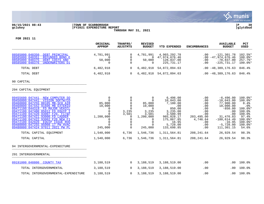

#### **06/15/2021 08:43 |TOWN OF SCARBOROUGH |P 30 gclukey |FY2021 EXPENDITURE REPORT |glytdbud THROUGH MAY 31, 2021**



|                                                                                                                                                                                                                                                                                                                                                                                                                                                                                                | ORIGINAL<br><b>APPROP</b>                                                                                                                   | TRANFRS/<br><b>ADJSTMTS</b>                                                                                                                                         | <b>REVISED</b><br><b>BUDGET</b>                                                                                                                      | <b>YTD EXPENDED</b>                                                                                                                                       | <b>ENCUMBRANCES</b>                                                                                         | <b>AVAILABLE</b><br><b>BUDGET</b>                                                                                                                                    | <b>PCT</b><br><b>USED</b>                                                                                                                |
|------------------------------------------------------------------------------------------------------------------------------------------------------------------------------------------------------------------------------------------------------------------------------------------------------------------------------------------------------------------------------------------------------------------------------------------------------------------------------------------------|---------------------------------------------------------------------------------------------------------------------------------------------|---------------------------------------------------------------------------------------------------------------------------------------------------------------------|------------------------------------------------------------------------------------------------------------------------------------------------------|-----------------------------------------------------------------------------------------------------------------------------------------------------------|-------------------------------------------------------------------------------------------------------------|----------------------------------------------------------------------------------------------------------------------------------------------------------------------|------------------------------------------------------------------------------------------------------------------------------------------|
| 08585000 048350<br>DEBT PRINCIPAL<br>08585000 048351<br>REFUNDED BOND E<br>08585000 048375<br>DEBT COSTS AND<br>08585000 048376<br>UNDERWRITERS DI                                                                                                                                                                                                                                                                                                                                             | 4,781,991<br>$\Omega$<br>50,000<br>0                                                                                                        | 0<br>0<br>$\mathbf 0$<br>$\mathbf 0$                                                                                                                                | 4,781,991<br>0<br>50,000<br>$\Omega$                                                                                                                 | 4,903,292.78<br>47,974,676.46<br>128,837.00<br>225,731.17                                                                                                 | .00<br>.00<br>.00                                                                                           | $-121, 301.78$<br>$.00 - 47,974,676.46$<br>$-78,837.00$<br>$-225, 731.17$                                                                                            | 102.5%*<br>$100.0$ *<br>257.7%<br>$100.0$ *                                                                                              |
| TOTAL DEBT                                                                                                                                                                                                                                                                                                                                                                                                                                                                                     | 6,482,918                                                                                                                                   | $\mathbf{0}$                                                                                                                                                        | 6,482,918                                                                                                                                            | 54,872,094.63                                                                                                                                             |                                                                                                             | $.00 - 48,389,176.63$                                                                                                                                                | 846.4%                                                                                                                                   |
| TOTAL DEBT                                                                                                                                                                                                                                                                                                                                                                                                                                                                                     | 6,482,918                                                                                                                                   | $\Omega$                                                                                                                                                            |                                                                                                                                                      | 6, 482, 918 54, 872, 094. 63                                                                                                                              |                                                                                                             | $.00 - 48,389,176.63$                                                                                                                                                | 846.4%                                                                                                                                   |
| 90 CAPITAL                                                                                                                                                                                                                                                                                                                                                                                                                                                                                     |                                                                                                                                             |                                                                                                                                                                     |                                                                                                                                                      |                                                                                                                                                           |                                                                                                             |                                                                                                                                                                      |                                                                                                                                          |
| 294 CAPITAL EQUIPMENT                                                                                                                                                                                                                                                                                                                                                                                                                                                                          |                                                                                                                                             |                                                                                                                                                                     |                                                                                                                                                      |                                                                                                                                                           |                                                                                                             |                                                                                                                                                                      |                                                                                                                                          |
| 09455600 047441<br>NEW COMPUTER SO<br>09456000 047441<br>VISION SOFTW/CO<br>047255 88105 MB-SCH AIR<br>09460800<br>09460800 047442 91606 MB EXTERIO<br>09471100 044319 FD MAJOR VEHICL<br>09471100 047400 85012 FD EQUIP I<br>047420 93007 F20, F17&F<br>09471100<br>047421 93000 FD LADDER<br>09471100<br>09471100 047422 93002 F20 NEW FI<br>09472100 042920<br><b>EOUIP ISSUE ROO</b><br>047255 95008 17 PW HVAC<br>09480000<br>09480000 047424 97011 2021 PW PL<br>TOTAL CAPITAL EQUIPMENT | $\mathbf 0$<br>$\Omega$<br>85,000<br>10,000<br>0<br>$\mathbf 0$<br>$\Omega$<br>1,200,000<br>$\mathbf 0$<br>$\Omega$<br>245,000<br>1,540,000 | $\overline{0}$<br>0<br>$\mathbf 0$<br>$\mathbf 0$<br>$\Omega$<br>3,235<br>3,501<br>$\mathbf 0$<br>$\mathbf 0$<br>$\mathbf 0$<br>$\overline{0}$<br>$\Omega$<br>6,736 | $\overline{0}$<br>$\Omega$<br>85,000<br>10,000<br>$\mathbf 0$<br>3,235<br>3,501<br>1,200,000<br>0<br>$\mathbf 0$<br>$\Omega$<br>245,000<br>1,546,736 | 6,496.00<br>10,043.00<br>7,100.00<br>.00<br>850.00<br>3,235.00<br>3,500.99<br>965,028.17<br>175,867.85<br>16.95<br>5,728.00<br>133,698.85<br>1,311,564.81 | .00<br>.00<br>.00<br>.00<br>.00<br>.00<br>.00<br>203,495.00<br>4,746.64<br>.00<br>.00<br>.00<br>208, 241.64 | $-6,496.00$<br>$-10,043.00$<br>77,900.00<br>10,000.00<br>$-850.00$<br>.00<br>.00<br>31,476.83<br>$-180,614.49$<br>$-16.95$<br>$-5,728.00$<br>111,301.15<br>26,929.54 | $100.0$ *<br>$100.0$ *<br>8.4%<br>.0%<br>$100.0$ *<br>100.0%<br>100.0%<br>97.4%<br>$100.0$ *<br>$100.0$ *<br>$100.0$ *<br>54.6%<br>98.3% |
| TOTAL CAPITAL                                                                                                                                                                                                                                                                                                                                                                                                                                                                                  | 1,540,000                                                                                                                                   | 6,736                                                                                                                                                               | 1,546,736                                                                                                                                            | 1,311,564.81                                                                                                                                              | 208, 241.64                                                                                                 | 26,929.54                                                                                                                                                            | 98.3%                                                                                                                                    |
| 94 INTERGOVERNMENTAL-EXPENDITURE                                                                                                                                                                                                                                                                                                                                                                                                                                                               |                                                                                                                                             |                                                                                                                                                                     |                                                                                                                                                      |                                                                                                                                                           |                                                                                                             |                                                                                                                                                                      |                                                                                                                                          |
| 291 INTERGOVERNMENTAL                                                                                                                                                                                                                                                                                                                                                                                                                                                                          |                                                                                                                                             |                                                                                                                                                                     |                                                                                                                                                      |                                                                                                                                                           |                                                                                                             |                                                                                                                                                                      |                                                                                                                                          |
| 09191000 048800<br>COUNTY TAX                                                                                                                                                                                                                                                                                                                                                                                                                                                                  | 3,188,519                                                                                                                                   | $\mathbf{0}$                                                                                                                                                        | 3,188,519                                                                                                                                            | 3,188,519.00                                                                                                                                              | .00                                                                                                         | .00.                                                                                                                                                                 | 100.0%                                                                                                                                   |
| TOTAL INTERGOVERNMENTAL                                                                                                                                                                                                                                                                                                                                                                                                                                                                        | 3,188,519                                                                                                                                   | $\mathbf{0}$                                                                                                                                                        | 3,188,519                                                                                                                                            | 3,188,519.00                                                                                                                                              | .00                                                                                                         | .00                                                                                                                                                                  | 100.0%                                                                                                                                   |
| TOTAL INTERGOVERNMENTAL-EXPENDITURE                                                                                                                                                                                                                                                                                                                                                                                                                                                            | 3,188,519                                                                                                                                   | $\mathbf{0}$                                                                                                                                                        | 3,188,519                                                                                                                                            | 3,188,519.00                                                                                                                                              | .00                                                                                                         | .00                                                                                                                                                                  | 100.0%                                                                                                                                   |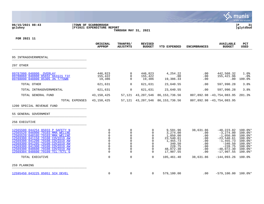|                                                                                                                                                                                                                                                                                                                                                          |                                                  |                                                                                                                                                                        |                                                                             |                                                                                                         |                                                                   |                                                                                                                                        | a tyler erp solution                                                                                              |
|----------------------------------------------------------------------------------------------------------------------------------------------------------------------------------------------------------------------------------------------------------------------------------------------------------------------------------------------------------|--------------------------------------------------|------------------------------------------------------------------------------------------------------------------------------------------------------------------------|-----------------------------------------------------------------------------|---------------------------------------------------------------------------------------------------------|-------------------------------------------------------------------|----------------------------------------------------------------------------------------------------------------------------------------|-------------------------------------------------------------------------------------------------------------------|
| 06/15/2021 08:43<br>gclukey                                                                                                                                                                                                                                                                                                                              | TOWN OF SCARBOROUGH<br>FY2021 EXPENDITURE REPORT | THROUGH MAY 31, 2021                                                                                                                                                   |                                                                             |                                                                                                         |                                                                   |                                                                                                                                        | ∣P<br>31<br>glytdbud                                                                                              |
| FOR 2021 11                                                                                                                                                                                                                                                                                                                                              |                                                  |                                                                                                                                                                        |                                                                             |                                                                                                         |                                                                   |                                                                                                                                        |                                                                                                                   |
|                                                                                                                                                                                                                                                                                                                                                          | ORIGINAL<br><b>APPROP</b>                        | <b>TRANFRS/</b><br><b>ADJSTMTS</b>                                                                                                                                     | <b>REVISED</b><br><b>BUDGET</b>                                             | YTD EXPENDED                                                                                            | <b>ENCUMBRANCES</b>                                               | <b>AVAILABLE</b><br><b>BUDGET</b>                                                                                                      | PCT<br><b>USED</b>                                                                                                |
| 95 INTRAGOVERNMENTAL                                                                                                                                                                                                                                                                                                                                     |                                                  |                                                                                                                                                                        |                                                                             |                                                                                                         |                                                                   |                                                                                                                                        |                                                                                                                   |
| 297 OTHER                                                                                                                                                                                                                                                                                                                                                |                                                  |                                                                                                                                                                        |                                                                             |                                                                                                         |                                                                   |                                                                                                                                        |                                                                                                                   |
| 09787000 048800<br><b>OVERLAY</b><br>09788060 048800 85032 HAIGIS TIF<br>09788090 048800 85305 3% T/TOWN                                                                                                                                                                                                                                                 | 446,823<br>155,422<br>19,386                     | 0<br>$\mathbf 0$<br>$\Omega$                                                                                                                                           | 446,823<br>155,422<br>19,386                                                | 4,254.22<br>.00<br>19,386.33                                                                            | .00<br>.00<br>.00                                                 | 442,568.32<br>155,421.96<br>.00                                                                                                        | 1.0%<br>.0%<br>100.0%                                                                                             |
| TOTAL OTHER                                                                                                                                                                                                                                                                                                                                              | 621,631                                          | $\mathbf 0$                                                                                                                                                            | 621,631                                                                     | 23,640.55                                                                                               | .00                                                               | 597,990.28                                                                                                                             | 3.8%                                                                                                              |
| TOTAL INTRAGOVERNMENTAL                                                                                                                                                                                                                                                                                                                                  | 621,631                                          | $\mathbf 0$                                                                                                                                                            | 621,631                                                                     | 23,640.55                                                                                               | .00                                                               | 597,990.28                                                                                                                             | 3.8%                                                                                                              |
| TOTAL GENERAL FUND                                                                                                                                                                                                                                                                                                                                       | 43, 150, 425                                     | 57,121                                                                                                                                                                 | 43,207,546                                                                  | 86, 153, 736.56                                                                                         |                                                                   | 807,892.98 -43,754,083.95                                                                                                              | 201.3%                                                                                                            |
| TOTAL EXPENSES                                                                                                                                                                                                                                                                                                                                           | 43, 150, 425                                     | 57,121                                                                                                                                                                 |                                                                             | 43, 207, 546 86, 153, 736. 56                                                                           |                                                                   | 807,892.98 -43,754,083.95                                                                                                              |                                                                                                                   |
| 1200 SPECIAL REVENUE FUND                                                                                                                                                                                                                                                                                                                                |                                                  |                                                                                                                                                                        |                                                                             |                                                                                                         |                                                                   |                                                                                                                                        |                                                                                                                   |
| 55 GENERAL GOVERNMENT                                                                                                                                                                                                                                                                                                                                    |                                                  |                                                                                                                                                                        |                                                                             |                                                                                                         |                                                                   |                                                                                                                                        |                                                                                                                   |
| 256 EXECUTIVE                                                                                                                                                                                                                                                                                                                                            |                                                  |                                                                                                                                                                        |                                                                             |                                                                                                         |                                                                   |                                                                                                                                        |                                                                                                                   |
| 12565500 044254 85033 P SAFETY N<br>12565520 046000 79103 MMA WELLNE<br>12565520 048105 79103 MMA WELLNE<br>12569300<br>041150 79108 COVID19 AW<br>041200<br>79108<br>COVID19 AW<br>12569300<br>041205 79108<br>12569300<br>COVID19 AW<br>79108<br>12569300 041300<br>COVID19 AW<br>12569300 048600 79108 COVID19 AW<br>12569304 048600 79109 TCL-TCTL G |                                                  | 0<br>0<br>0<br>$\mathbf 0$<br>0<br>$\mathbf 0$<br>0<br>$\mathbf 0$<br>$\mathbf 0$<br>$\mathbf 0$<br>0<br>$\overline{0}$<br>0<br>0<br>0<br>$\Omega$<br>0<br>$\mathbf 0$ | O<br>0<br>$\Omega$<br>0<br>$\mathbf 0$<br>$\mathbf 0$<br>0<br>$\Omega$<br>0 | 9,591.96<br>3,274.00<br>1,050.00<br>23,540.61<br>1,455.73<br>340.50<br>228.75<br>48,072.30<br>17,907.55 | 38,631.86<br>.00<br>.00<br>.00<br>.00<br>.00<br>.00<br>.00<br>.00 | $-48, 223.82$<br>$-3, 274.00$<br>$-1,050.00$<br>$-23,540.61$<br>$-1, 455.73$<br>$-340.50$<br>$-228.75$<br>$-48,072.30$<br>$-17,907.55$ | $100.0$ *<br>$100.0$ *<br>$100.0$ *<br>$100.0$ *<br>$100.0$ *<br>$100.0$ *<br>$100.0$ *<br>$100.0$ *<br>$100.0$ * |
| TOTAL EXECUTIVE                                                                                                                                                                                                                                                                                                                                          |                                                  | $\mathbf 0$<br>$\mathbf 0$                                                                                                                                             | $\mathbf 0$                                                                 | 105,461.40                                                                                              | 38,631.86                                                         | $-144,093.26$                                                                                                                          | $100.0\%$                                                                                                         |
| 259 PLANNING                                                                                                                                                                                                                                                                                                                                             |                                                  |                                                                                                                                                                        |                                                                             |                                                                                                         |                                                                   |                                                                                                                                        |                                                                                                                   |
| 12595450 043225 85051 SCH DEVEL                                                                                                                                                                                                                                                                                                                          |                                                  | 0<br>$\mathbf 0$                                                                                                                                                       | 0                                                                           | 579,100.00                                                                                              | .00                                                               | $-579, 100.00$ $100.0$ *                                                                                                               |                                                                                                                   |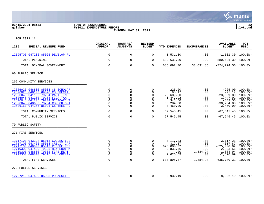

#### **06/15/2021 08:43 |TOWN OF SCARBOROUGH |P 32 gclukey |FY2021 EXPENDITURE REPORT |glytdbud THROUGH MAY 31, 2021**



| 1200<br>SPECIAL REVENUE FUND                                                                                                                                                                                                                          | ORIGINAL<br><b>APPROP</b>                                                             | TRANFRS/<br><b>ADJSTMTS</b>                      | <b>REVISED</b><br><b>BUDGET</b>                                                        | <b>YTD EXPENDED</b>                                                             | <b>ENCUMBRANCES</b>                                               | <b>AVAILABLE</b><br><b>BUDGET</b>                                                                        | <b>PCT</b><br><b>USED</b>                                                           |
|-------------------------------------------------------------------------------------------------------------------------------------------------------------------------------------------------------------------------------------------------------|---------------------------------------------------------------------------------------|--------------------------------------------------|----------------------------------------------------------------------------------------|---------------------------------------------------------------------------------|-------------------------------------------------------------------|----------------------------------------------------------------------------------------------------------|-------------------------------------------------------------------------------------|
| 12595700 047206 85026 DEVELOP FU                                                                                                                                                                                                                      | 0                                                                                     | 0                                                | 0                                                                                      | 1,531.30                                                                        | .00                                                               | $-1,531.30$                                                                                              | $100.0$ *                                                                           |
| TOTAL PLANNING                                                                                                                                                                                                                                        | $\mathbf 0$                                                                           | $\mathbf 0$                                      | 0                                                                                      | 580,631.30                                                                      | .00                                                               | $-580,631.30$                                                                                            | 100.0%                                                                              |
| TOTAL GENERAL GOVERNMENT                                                                                                                                                                                                                              | $\mathbf 0$                                                                           | $\mathbf 0$                                      | $\Omega$                                                                               | 686,092.70                                                                      | 38,631.86                                                         | $-724, 724.56$ 100.0%                                                                                    |                                                                                     |
| 60 PUBLIC SERVICE                                                                                                                                                                                                                                     |                                                                                       |                                                  |                                                                                        |                                                                                 |                                                                   |                                                                                                          |                                                                                     |
| 262 COMMUNITY SERVICES                                                                                                                                                                                                                                |                                                                                       |                                                  |                                                                                        |                                                                                 |                                                                   |                                                                                                          |                                                                                     |
| 12626020 048800 85038 CS SCHOLAR<br>12626025 048103 69020 CS SPECIAL<br>12626048 041150 79204 PART TIME<br>12626048 041200 79204 FICA TAX<br>12626048 041205 79204 MEDICARE T<br>12626048 048600 79204 CS-SCH GRA<br>12626150 044265 85021 CS-TREE PL | 0<br>0<br>$\mathbf 0$<br>$\mathbf 0$<br>$\mathbf 0$<br>0<br>$\Omega$                  | $\mathbf 0$<br>0<br>0<br>0<br>0<br>$\Omega$<br>0 | $\Omega$<br>$\Omega$<br>$\Omega$<br>$\Omega$<br>$\Omega$<br>$\mathbf 0$<br>$\Omega$    | 225.00<br>95.17<br>23,689.80<br>1,447.92<br>343.56<br>38,284.00<br>3,460.00     | .00<br>.00<br>.00<br>.00<br>.00<br>.00<br>.00                     | $-225.00$<br>$-95.17$<br>$-23,689.80$<br>$-1,447.92$<br>$-343.56$<br>$-38, 284.00$<br>$-3,460.00$        | $100.0$ *<br>$100.0$ *<br>$100.0$ *<br>100.0%*<br>100.0%*<br>100.0%*<br>$100.0$ *   |
| TOTAL COMMUNITY SERVICES                                                                                                                                                                                                                              | $\mathbf 0$                                                                           | $\mathbf 0$                                      | 0                                                                                      | 67,545.45                                                                       | .00                                                               | $-67, 545.45$                                                                                            | 100.0%                                                                              |
| TOTAL PUBLIC SERVICE                                                                                                                                                                                                                                  | $\mathbf 0$                                                                           | $\mathbf 0$                                      | $\mathbf 0$                                                                            | 67,545.45                                                                       | .00                                                               | $-67, 545.45$ 100.0%                                                                                     |                                                                                     |
| 70 PUBLIC SAFETY                                                                                                                                                                                                                                      |                                                                                       |                                                  |                                                                                        |                                                                                 |                                                                   |                                                                                                          |                                                                                     |
| 271 FIRE SERVICES                                                                                                                                                                                                                                     |                                                                                       |                                                  |                                                                                        |                                                                                 |                                                                   |                                                                                                          |                                                                                     |
| 12717100 043224 85013 COLLECTION<br>12717100 043465 85013 CREDIT CAR<br>12717100 048800 85013 RESCUE RES<br>12719300 047400 79305 NEW EOUIPM<br>12719300 048600 79302 FIRE DEPT<br>12719300 048810 79316 20 HOMELAN<br>TOTAL FIRE SERVICES            | 0<br>$\mathbf 0$<br>$\mathbf 0$<br>$\mathsf 0$<br>$\mathbf 0$<br>$\Omega$<br>$\Omega$ | 0<br>0<br>0<br>0<br>0<br>0<br>$\mathbf 0$        | $\Omega$<br>$\mathbf 0$<br>$\Omega$<br>$\mathbf 0$<br>$\Omega$<br>$\Omega$<br>$\Omega$ | 3, 117. 23<br>317.87<br>625,000.02<br>2,833.56<br>.00<br>2,626.69<br>633,895.37 | $.00 \,$<br>.00<br>$.00 \,$<br>.00<br>1,884.94<br>.00<br>1,884.94 | $-3, 117.23$<br>$-317.87$<br>$-625,000.02$<br>$-2,833.56$<br>$-1,884.94$<br>$-2,626.69$<br>$-635,780.31$ | 100.0%*<br>$100.0$ *<br>$100.0$ *<br>$100.0$ *<br>100.0%*<br>$100.0$ *<br>$100.0$ % |
| 272 POLICE SERVICES                                                                                                                                                                                                                                   |                                                                                       |                                                  |                                                                                        |                                                                                 |                                                                   |                                                                                                          |                                                                                     |
|                                                                                                                                                                                                                                                       |                                                                                       |                                                  |                                                                                        |                                                                                 |                                                                   |                                                                                                          |                                                                                     |
| 12727210 047400 85025 PD ASSET F                                                                                                                                                                                                                      | 0                                                                                     | 0                                                | 0                                                                                      | 8,932.19                                                                        | .00                                                               | $-8,932.19$ 100.0%*                                                                                      |                                                                                     |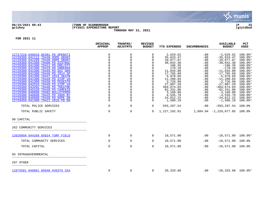

## **06/15/2021 08:43 |TOWN OF SCARBOROUGH |P 33 gclukey |FY2021 EXPENDITURE REPORT |glytdbud THROUGH MAY 31, 2021**



|                                                                      | ORIGINAL<br><b>APPROP</b> | TRANFRS/<br><b>ADJSTMTS</b> | <b>REVISED</b><br><b>BUDGET</b> | <b>YTD EXPENDED</b>    | <b>ENCUMBRANCES</b> | <b>AVAILABLE</b><br><b>BUDGET</b> | PCT<br><b>USED</b>   |
|----------------------------------------------------------------------|---------------------------|-----------------------------|---------------------------------|------------------------|---------------------|-----------------------------------|----------------------|
| 12727210 048810 85301 PD OPERATI                                     | 0                         | 0                           | $\Omega$                        | 2,629.62               | .00                 | $-2,629.62$                       | $100.0$ *            |
| 12729300 041112 79448 HOPE GRANT                                     | $\mathsf 0$               | $\Omega$                    | $\Omega$                        | 35,623.47              | .00                 | $-35,623.47$                      | $100.0$ *            |
| 12729300 041299 79448 HOPE GRANT                                     | $\mathbf 0$               | $\mathbf 0$                 | $\Omega$                        | 10,077.87              | .00                 | $-10,077.87$                      | 100.0%*              |
| 12729300 041300 79400 PD DISTRAC                                     | $\mathbf 0$               |                             | $\Omega$                        | 38,042.30              | .00                 | $-38,042.30$                      | $100.0$ *            |
| 12729300 041300 79412 PD DRE/FPT                                     | $\Omega$                  | $\Omega$                    | $\Omega$                        | 196.35                 | .00                 | $-196.35$                         | $100.0$ *            |
| 12729300 041300 79419 09 UNDERAG<br>12729300 041300 79445 PD OUI GRA | $\mathbf 0$               |                             | $\mathbf 0$                     | 179.18                 | .00                 | $-179.18$                         | $100.0$ *            |
| 12729300 041300 79446 PD 2014 SP                                     | $\mathbf 0$               | 0                           | $\mathbf 0$<br>0                | 11,035.80<br>17,765.69 | .00<br>.00          | $-11,035.80$<br>$-17,765.69$      | $100.0$ *<br>100.0%* |
| 12729300 041300 79447 2014 SEATB                                     | 0                         |                             | $\mathbf 0$                     | 5,978.66               | .00                 | $-5,978.66$                       | $100.0$ *            |
| 12729300 041300 79449 PD STOP VA                                     | $\mathsf{O}\xspace$       | 0                           | $\mathbf 0$                     | 11,208.84              | .00                 | $-11, 208.84$                     | $100.0$ *            |
| 12729300 041300 79450 PD PEDESTR                                     | $\mathbf 0$               |                             | $\Omega$                        | 2,726.99               | .00                 | $-2,726.99$                       | $100.0$ *            |
| 12729300 042910 79449 PD STOP VA                                     | $\mathbf 0$               | $\Omega$                    | $\Omega$                        | 27,807.29              | .00                 | $-27,807.29$                      | $100.0$ *            |
| 12729300 043202 79448 PD TREATME                                     | $\mathsf 0$               | 0                           | $\mathbf 0$                     | 304,674.03             | .00                 | $-304,674.03$                     | $100.0$ *            |
| 12729300 045420 79448 PD CAMPAIG                                     | $\mathbf 0$               | 0                           | $\Omega$                        | 82,331.06              | .00                 | $-82, 331.06$                     | $100.0$ *            |
| 12729300 048600 79402 BULLETPROO                                     | $\mathsf{O}\xspace$       | $\mathsf 0$                 | $\mathbf 0$                     | 3,160.00               | .00                 | $-3,160.00$                       | $100.0$ *            |
| 12729300 048600 79425 PD 2009 BY                                     | $\mathbf 0$               | 0                           | $\mathbf 0$                     | 4,535.79               | .00                 | $-4,535.79$                       | $100.0$ *            |
| 12729300 048600 79448 PD HOPE GR                                     | 0                         | 0                           | $\mathbf 0$                     | 24,812.22              | .00                 | $-24,812.22$                      | 100.0%*              |
| 12729450 041300 79421 2018 PD EN                                     | $\Omega$                  | 0                           | $\Omega$                        | 1,580.19               | .00                 | $-1,580.19$                       | $100.0$ *            |
| TOTAL POLICE SERVICES                                                | $\mathbf 0$               | 0                           | 0                               | 593,297.54             | .00                 | $-593, 297.54$                    | 100.0%               |
| TOTAL PUBLIC SAFETY                                                  | $\mathbf 0$               | $\mathbf 0$                 | $\Omega$                        | 1,227,192.91           |                     | 1,884.94 -1,229,077.85            | 100.0%               |
| 90 CAPITAL                                                           |                           |                             |                                 |                        |                     |                                   |                      |
| 262 COMMUNITY SERVICES                                               |                           |                             |                                 |                        |                     |                                   |                      |
| 12626050 044269 85024 TURF FIELD                                     | $\mathbf 0$               | 0                           | 0                               | 10,571.00              | .00                 | $-10,571.00$ 100.0%*              |                      |
| TOTAL COMMUNITY SERVICES                                             | $\mathbf 0$               | $\mathbf 0$                 | 0                               | 10,571.00              | .00                 | $-10,571.00$                      | 100.0%               |
|                                                                      |                           |                             |                                 |                        |                     |                                   |                      |
| TOTAL CAPITAL                                                        | $\mathbf 0$               | $\mathbf 0$                 | 0                               | 10,571.00              | .00                 | $-10,571.00$                      | 100.0%               |
| 95 INTRAGOVERNMENTAL                                                 |                           |                             |                                 |                        |                     |                                   |                      |
| 297 OTHER                                                            |                           |                             |                                 |                        |                     |                                   |                      |
| 12975501 048801 85048 AVESTA CEA                                     | $\mathbf 0$               | 0                           | 0                               | 20,333.68              | .00                 | $-20,333.68$ 100.0%*              |                      |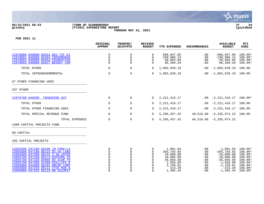

#### **06/15/2021 08:43 |TOWN OF SCARBOROUGH |P 34 gclukey |FY2021 EXPENDITURE REPORT |glytdbud THROUGH MAY 31, 2021**



|                                                                                                                                                                                                                                                                                                                                   | ORIGINAL<br><b>APPROP</b>                          | TRANFRS/<br><b>ADJSTMTS</b>                                                                         | <b>REVISED</b><br><b>BUDGET</b>                                       | <b>YTD EXPENDED</b>                                                                                         | <b>ENCUMBRANCES</b>                                         | <b>AVAILABLE</b><br><b>BUDGET</b>                                                                                                        | PCT<br><b>USED</b>                                                                                            |
|-----------------------------------------------------------------------------------------------------------------------------------------------------------------------------------------------------------------------------------------------------------------------------------------------------------------------------------|----------------------------------------------------|-----------------------------------------------------------------------------------------------------|-----------------------------------------------------------------------|-------------------------------------------------------------------------------------------------------------|-------------------------------------------------------------|------------------------------------------------------------------------------------------------------------------------------------------|---------------------------------------------------------------------------------------------------------------|
| 12978800 048800 85031 NEX TIF EX<br>12978801 048800 85304 CROSSROADS<br>12978802 048800 85044 FOUNDATION<br>12978803 048800 85037 BESSEY COM                                                                                                                                                                                      | 0<br>0<br>$\Omega$<br>0                            | 0<br>0<br>$\Omega$<br>$\mathbf 0$                                                                   | 0<br>$\Omega$<br>$\Omega$<br>$\Omega$                                 | 686,947.05<br>230,986.13<br>58,003.04<br>86,369.29                                                          | .00<br>.00<br>.00<br>.00                                    | $-686, 947.05$<br>$-230,986.13$<br>$-58,003.04$<br>$-86, 369.29$                                                                         | $100.0$ *<br>$100.0$ *<br>$100.0$ *<br>$100.0$ *                                                              |
| TOTAL OTHER                                                                                                                                                                                                                                                                                                                       | $\mathbf 0$                                        | $\mathbf 0$                                                                                         | $\Omega$                                                              | 1,082,639.19                                                                                                | .00                                                         | $-1,082,639.19$                                                                                                                          | 100.0%                                                                                                        |
| TOTAL INTRAGOVERNMENTAL                                                                                                                                                                                                                                                                                                           | 0                                                  | $\mathbf 0$                                                                                         | $\Omega$                                                              | 1,082,639.19                                                                                                |                                                             | $.00 - 1,082,639.19$                                                                                                                     | 100.0%                                                                                                        |
| 97 OTHER FINANCING USES                                                                                                                                                                                                                                                                                                           |                                                    |                                                                                                     |                                                                       |                                                                                                             |                                                             |                                                                                                                                          |                                                                                                               |
| 297 OTHER                                                                                                                                                                                                                                                                                                                         |                                                    |                                                                                                     |                                                                       |                                                                                                             |                                                             |                                                                                                                                          |                                                                                                               |
| 12979700 048990 TRANSFERS OUT                                                                                                                                                                                                                                                                                                     | $\mathbf 0$                                        | 0                                                                                                   | $\Omega$                                                              | 2, 221, 416.17                                                                                              |                                                             | $.00 -2,221,416.17 100.0$ <sup>*</sup>                                                                                                   |                                                                                                               |
| TOTAL OTHER                                                                                                                                                                                                                                                                                                                       | $\mathbf 0$                                        | 0                                                                                                   | $\overline{0}$                                                        | 2, 221, 416.17                                                                                              |                                                             | $.00 -2,221,416.17$                                                                                                                      | 100.0%                                                                                                        |
| TOTAL OTHER FINANCING USES                                                                                                                                                                                                                                                                                                        | $\mathbf 0$                                        | 0                                                                                                   | $\Omega$                                                              | 2, 221, 416.17                                                                                              |                                                             | $.00 -2, 221, 416.17$                                                                                                                    | 100.0%                                                                                                        |
| TOTAL SPECIAL REVENUE FUND                                                                                                                                                                                                                                                                                                        | $\Omega$                                           | $\mathbf 0$                                                                                         | $\Omega$                                                              | 5, 295, 457. 42                                                                                             |                                                             | 40,516.80 -5,335,974.22 100.0%                                                                                                           |                                                                                                               |
| TOTAL EXPENSES                                                                                                                                                                                                                                                                                                                    | 0                                                  | $\mathbf 0$                                                                                         | $\Omega$                                                              | 5, 295, 457. 42                                                                                             |                                                             | $40,516.80 -5,335,974.22$                                                                                                                |                                                                                                               |
| 1300 CAPITAL PROJECTS FUND                                                                                                                                                                                                                                                                                                        |                                                    |                                                                                                     |                                                                       |                                                                                                             |                                                             |                                                                                                                                          |                                                                                                               |
| 90 CAPITAL                                                                                                                                                                                                                                                                                                                        |                                                    |                                                                                                     |                                                                       |                                                                                                             |                                                             |                                                                                                                                          |                                                                                                               |
| 295 CAPITAL PROJECTS                                                                                                                                                                                                                                                                                                              |                                                    |                                                                                                     |                                                                       |                                                                                                             |                                                             |                                                                                                                                          |                                                                                                               |
| 13955500 047100 88108 1M PARK/LA<br>13955500 047100 88115 \$2.5m LAND<br>13955500 047200 88115 2.5m VOTER<br>13955700 047150 88173 EASTERN TR<br>13955700 047320 85005 NO SCAR TR<br>13955700 047360 91406 PHILLIPS B<br>13956080 044300 88102 MBLDG CARP<br>13956080 047250 88114 FY20 MUN B<br>13956080 047254 88119 MB SECURIT | 0<br>0<br>$\Omega$<br>0<br>0<br>$\Omega$<br>0<br>0 | 0<br>$\mathbf 0$<br>$\mathbf 0$<br>$\Omega$<br>$\Omega$<br>0<br>$\mathbf 0$<br>$\Omega$<br>$\Omega$ | 0<br>0<br>0<br>0<br>$\Omega$<br>0<br>$\Omega$<br>$\Omega$<br>$\Omega$ | 1,901.64<br>355,793.65<br>10,000.00<br>18,806.08<br>35,056.50<br>1,656.00<br>1,158.91<br>213.20<br>1,402.44 | .00<br>.00<br>.00<br>.00<br>.00<br>.00<br>.00<br>.00<br>.00 | $-1,901.64$<br>$-355, 793.65$<br>$-10,000.00$<br>$-18,806.08$<br>$-35,056.50$<br>$-1,656.00$<br>$-1, 158.91$<br>$-213.20$<br>$-1,402.44$ | 100.0%*<br>$100.0$ *<br>$100.0$ *<br>$100.0$ *<br>$100.0$ *<br>$100.0$ *<br>$100.0$ *<br>$100.0$ *<br>100.0%* |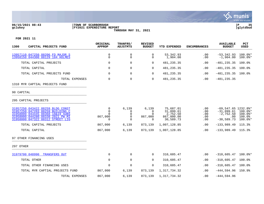

#### **06/15/2021 08:43 |TOWN OF SCARBOROUGH |P 35 gclukey |FY2021 EXPENDITURE REPORT |glytdbud THROUGH MAY 31, 2021**



| 1300<br>CAPITAL PROJECTS FUND                                                                                                                                                          |                | ORIGINAL<br><b>APPROP</b>          | TRANFRS/<br><b>ADJSTMTS</b>      | <b>REVISED</b><br><b>BUDGET</b>               | <b>YTD EXPENDED</b>                                           | <b>ENCUMBRANCES</b>             | <b>AVAILABLE</b><br><b>BUDGET</b>                                                 | PCT<br><b>USED</b>                            |
|----------------------------------------------------------------------------------------------------------------------------------------------------------------------------------------|----------------|------------------------------------|----------------------------------|-----------------------------------------------|---------------------------------------------------------------|---------------------------------|-----------------------------------------------------------------------------------|-----------------------------------------------|
| 13957110 047250 88206 FD MAJOR S<br>13958150 044300 88129 184 HOLMES                                                                                                                   |                | 0<br>$\mathbf 0$                   | $\mathbf 0$<br>$\Omega$          | 0<br>0                                        | 53,342.93<br>1,904.00                                         | .00<br>.00                      | $-53, 342.93$<br>$-1,904.00$                                                      | $100.0$ *<br>$100.0$ *                        |
| TOTAL CAPITAL PROJECTS                                                                                                                                                                 |                | 0                                  | $\mathbf 0$                      | 0                                             | 481,235.35                                                    | .00                             | $-481, 235.35$                                                                    | 100.0%                                        |
| TOTAL CAPITAL                                                                                                                                                                          |                | 0                                  | $\mathbf 0$                      | 0                                             | 481,235.35                                                    | .00                             | $-481, 235.35$                                                                    | 100.0%                                        |
| TOTAL CAPITAL PROJECTS FUND                                                                                                                                                            |                | $\Omega$                           | $\Omega$                         | 0                                             | 481, 235.35                                                   | .00                             | $-481, 235.35$                                                                    | $100.0\%$                                     |
|                                                                                                                                                                                        | TOTAL EXPENSES | 0                                  | $\mathbf 0$                      | 0                                             | 481,235.35                                                    | .00                             | $-481, 235.35$                                                                    |                                               |
| 1310 MYR CAPTIAL PROJECTS FUND                                                                                                                                                         |                |                                    |                                  |                                               |                                                               |                                 |                                                                                   |                                               |
| 90 CAPITAL                                                                                                                                                                             |                |                                    |                                  |                                               |                                                               |                                 |                                                                                   |                                               |
| 295 CAPITAL PROJECTS                                                                                                                                                                   |                |                                    |                                  |                                               |                                                               |                                 |                                                                                   |                                               |
| 31957250 043422 88259 BLDG CONST<br>047203 88259 BUILDING C<br>31957250<br>043445 88368 18&19 SUBS<br>31958000<br>31958000 044280 88338 2021 PW MI<br>31958000 047322 88312 STREET LIG |                | 0<br>0<br>0<br>867,000<br>$\Omega$ | 6,139<br>0<br>0<br>0<br>$\Omega$ | 6,139<br>$\Omega$<br>$\Omega$<br>867,000<br>U | 75,687.01<br>31,099.61<br>2,752.50<br>867,000.00<br>30,589.73 | .00<br>.00<br>.00<br>.00<br>.00 | $-69, 547.65$ 1232.8%*<br>$-31,099.61$<br>$-2,752.50$<br>$.00 \,$<br>$-30,589.73$ | $100.0$ *<br>$100.0$ *<br>100.0%<br>$100.0$ * |
| TOTAL CAPITAL PROJECTS                                                                                                                                                                 |                | 867,000                            | 6,139                            | 873,139                                       | 1,007,128.85                                                  | .00                             | $-133,989.49$                                                                     | 115.3%                                        |
| TOTAL CAPITAL                                                                                                                                                                          |                | 867,000                            | 6,139                            | 873,139                                       | 1,007,128.85                                                  | .00                             | $-133,989.49$ 115.3%                                                              |                                               |
| 97 OTHER FINANCING USES                                                                                                                                                                |                |                                    |                                  |                                               |                                                               |                                 |                                                                                   |                                               |
| 297 OTHER                                                                                                                                                                              |                |                                    |                                  |                                               |                                                               |                                 |                                                                                   |                                               |
| 31979700 048990<br><b>TRANSFERS OUT</b>                                                                                                                                                |                | 0                                  | $\mathbf 0$                      | 0                                             | 310,605.47                                                    | .00                             | $-310,605.47$ 100.0%*                                                             |                                               |
| TOTAL OTHER                                                                                                                                                                            |                | 0                                  | $\mathbf 0$                      | $\Omega$                                      | 310,605.47                                                    | .00                             | $-310,605.47$                                                                     | 100.0%                                        |
| TOTAL OTHER FINANCING USES                                                                                                                                                             |                | 0                                  | 0                                | 0                                             | 310,605.47                                                    | .00                             | $-310,605.47$                                                                     | 100.0%                                        |
| TOTAL MYR CAPTIAL PROJECTS FUND                                                                                                                                                        |                | 867,000                            | 6,139                            | 873,139                                       | 1,317,734.32                                                  | $.00 \,$                        | $-444,594.96$ 150.9%                                                              |                                               |
|                                                                                                                                                                                        | TOTAL EXPENSES | 867,000                            | 6,139                            | 873,139                                       | 1,317,734.32                                                  | .00                             | $-444,594.96$                                                                     |                                               |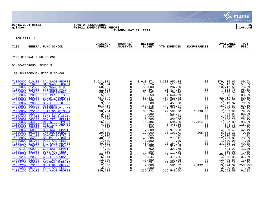**ν». munis** a tyler erp solutior **06/15/2021 08:43 |TOWN OF SCARBOROUGH |P 36 gclukey |FY2021 EXPENDITURE REPORT |glytdbud THROUGH MAY 31, 2021 FOR 2021 11 ORIGINAL TRANFRS/ REVISED AVAILABLE PCT 7100 GENERAL FUND SCHOOL APPROP ADJSTMTS BUDGET YTD EXPENDED ENCUMBRANCES BUDGET USED** ALINOL BENERAL POND BURBEL COLLECTE AND RELEASE 7100 GENERAL FUND SCHOOL **External function** 01 SCARBOROUGH SCHOOLS \_\_\_\_\_\_\_\_\_\_\_\_\_\_\_\_\_\_\_\_\_\_\_\_\_\_\_\_\_\_\_\_\_\_\_\_\_\_\_\_\_ 102 SCARBOROUGH MIDDLE SCHOOL TOZ DCARDOROGONI HIDDIE DCHOOD [71000002 510100 SAL/WAGE-PROFES](https://munis.scarborough.me.us/_layouts/15/DashboardMunisV6.3/PassThru.aspx?-E=9xCopuUMd7tCIaR%2BqnREQ3wirO6r%2Bby6aWhKd52pCkLCqB/ofODHN8l3kzh7Cijz&) 3,613,371 0 3,613,371 3,233,955.34 .00 379,415.66 89.5% [71000002 510230 SAL/WAGE-INST A](https://munis.scarborough.me.us/_layouts/15/DashboardMunisV6.3/PassThru.aspx?-E=/Y6mZOVodVQ%2BjG9y6U/10jvYMrn3HVTgZaHjarN8e1xrxE%2B/7hys795QVKv0hx74&) 58,324 0 58,324 33,510.92 .00 24,813.08 57.5% [71000002 512300 SAL/WAGE-OTH -](https://munis.scarborough.me.us/_layouts/15/DashboardMunisV6.3/PassThru.aspx?-E=QmSCf08z%2BvN/S8XrYawCksUyFi183yP%2BKTTP6ZrqZLIXSirpecgiGNGPSRAJtt8p&) 50,000 0 50,000 39,287.50 .00 10,712.50 78.6%  $\frac{71000002}{515000}$  STIPENDS PAID  $\frac{11,893}{51,893}$  0  $\frac{11,893}{51,334.30}$  .00  $\frac{558.70}{558.70}$ [71000002 515200 INSTRUCTIONAL S](https://munis.scarborough.me.us/_layouts/15/DashboardMunisV6.3/PassThru.aspx?-E=yn2g8F4aMBuz5sEMSm5j%2BlaEpn0hAiCVDviR3FBl1UjNbUmHpJKyDzIGP0uffD9j&) 68,942 0 68,942 61,792.46 .00 7,149.54 89.6% [71000002 520000 EMP BENEFITS](https://munis.scarborough.me.us/_layouts/15/DashboardMunisV6.3/PassThru.aspx?-E=e9wx9KFgx7roT2vGUajI6GHjHHCte82daGjUXe1KAEO2mAAeciRM949aY3KIbXPA&) 5,553 0 5,553 4,644.29 .00 908.71 83.6% 7<u>1000002 520100 GROUP INSURANCE</u> 787,347 0 787,347 704,929.48 82,417.52 89.5% [71000002 520200 BENEFIT-INST AI](https://munis.scarborough.me.us/_layouts/15/DashboardMunisV6.3/PassThru.aspx?-E=iSGTTECX7oj1DztOsDbf71rGvFxEYRj7kOaL/g5J8NLtvnQmFVNsBJX9t%2B%2BkBBI%2B&) 26,368 0 26,368 23,020.22 .00 3,347.78 87.3% [71000002 520300 BENEFIT-OTH - S](https://munis.scarborough.me.us/_layouts/15/DashboardMunisV6.3/PassThru.aspx?-E=Nkpn0/G6VdsyCh7eXhyRStHY9LXm111SUXlFMILATalRT2E/YQLQxW4rzMS1w5ns&) 3,500 0 3,500 2,450.68 .00 1,049.32 70.0% [71000002 523100 RETIREMENT - PR](https://munis.scarborough.me.us/_layouts/15/DashboardMunisV6.3/PassThru.aspx?-E=zuzg/ilqQ68o6f%2B7IKG0EWVV8VhYYEgQtwCsYSY1Ay39kfbBPDe92vtvA3GmOGQ8&) 151,318 0 151,318 134,896.37 .00 16,421.63 89.1% [71000002 523200 RETIREMENT - AI](https://munis.scarborough.me.us/_layouts/15/DashboardMunisV6.3/PassThru.aspx?-E=mOA3aCFr8eARbblN4Rb1rWQ1OKUF7BfI7LyCmk22dXUxuSJKHesIg2v5UO0G3SkF&) 2,468 0 2,468 1,227.65 .00 1,240.35 49.7% [71000002 525100 TUITION REIMBUR](https://munis.scarborough.me.us/_layouts/15/DashboardMunisV6.3/PassThru.aspx?-E=Jr8LO/h5RBgJVnp4WAa13eKyT7YfTuetaZcrVB/TCbD8/flFevfsaJXvfCt3wQDD&) 38,734 0 38,734 29,586.00 1,296.00 7,852.00 79.7%  $\frac{71000002}{532000}$  PROF EDUCATION  $\,$  3,000  $\,$  3,000  $\,$  3,000  $\,$  2,638.91  $\,$  .00  $\,$  361.09 88.0% [71000002 533000 PROF DEVELOPMEN](https://munis.scarborough.me.us/_layouts/15/DashboardMunisV6.3/PassThru.aspx?-E=oNB9YQjyPXZ8d4cGsVfbcPpfWcJfsL7Zr9o7zFSFLMGwvjqqaXfx4mvnA0BXV%2BmW&) 5,000 0 5,000 774.94 .00 4,225.06 15.5% [71000002 543100 NON TECH RELATE](https://munis.scarborough.me.us/_layouts/15/DashboardMunisV6.3/PassThru.aspx?-E=YnwdNuf6z4VbzJUB0l9sEsXL/uJSXVKDBqpLVz9xVY36F5QYj9q/UuMcJZorT%2BZO&) 1,500 0 1,500 433.80 .00 1,066.20 28.9% [71000002 544400 OTHER EQUIPMENT](https://munis.scarborough.me.us/_layouts/15/DashboardMunisV6.3/PassThru.aspx?-E=s3QNPCcg64MVFiD8LG/3kqz7u6bTZm5%2BllBOC%2BabONd5yJ5j8k22%2BYHIOCjPVJI9&) 16,186 0 16,186 2,694.20 12,414.00 1,077.80 93.3% [71000002 555000 PRINTING AND BI](https://munis.scarborough.me.us/_layouts/15/DashboardMunisV6.3/PassThru.aspx?-E=fx7ataacWIbK2kLxw6c1/sFBFeBRprqw9Hi63SpT%2BBcgIwqq9yitQl9i32WGGqpe&) 4,500 0 4,500 5,348.36 .00 -848.36 118.9%\* [71000002 558000 TRAVEL](https://munis.scarborough.me.us/_layouts/15/DashboardMunisV6.3/PassThru.aspx?-E=eHqDi4I/mjsUtPsm6U0qFRTpK0l9Hk%2B8o0qAgrZGoBg4KEA6%2B3UXDwVfpdJ6juaO&) 200 0 200 .00 .00 200.00 .0% [71000002 560000 GENERAL SUPPLIE](https://munis.scarborough.me.us/_layouts/15/DashboardMunisV6.3/PassThru.aspx?-E=njpIXIFsLUYpiowmYKCQHwSCbCIslZHqD5rVGCI5PaaOixTpNrqoySBkbONjjFFX&) 7,000 0 7,000 2,970.60 .00 4,029.40 42.4%  $\frac{71000002}{20}$  561000 INSTRUCTIONAL S  $\qquad \qquad 29,000$   $\qquad \qquad 0$   $\qquad \qquad 29,000$   $\qquad \qquad 20,102.71$   $\qquad \qquad 205.06$   $\qquad \qquad 8,692.23$   $\qquad \qquad 70.08$ [71000002 561100 NONCAP-INSTRC E](https://munis.scarborough.me.us/_layouts/15/DashboardMunisV6.3/PassThru.aspx?-E=5R0fVyKSbMSECSxQYLEZ%2B9nXhGUaGjCKWX%2BxoI2q2wUVJP/vcFVhCf2qavl8ye7e&) 4,000 0 4,000 .00 .00 4,000.00 .0% [71000002 564000 BOOKS/PERIODICA](https://munis.scarborough.me.us/_layouts/15/DashboardMunisV6.3/PassThru.aspx?-E=qCd1YASmz2tezrxQoy28Z00U%2BM9oLQ/BHADLOwyyB/fzUC8ojcuFXZKKR5lEYE%2B7&) 48,000 0 48,000 35,278.11 .00 12,721.89 73.5% [71000002 581000 DUES AND FEES](https://munis.scarborough.me.us/_layouts/15/DashboardMunisV6.3/PassThru.aspx?-E=AOZZXqZrdIBmX2meZYxUEKuO3T6Ywoe7xgYRaKLk0Ardo4/eQh%2BQXz/ImAILB8S%2B&) 1,500 0 1,500 .00 .00 1,500.00 .0% [71009102 510100 SAL/WAGE-PROFES](https://munis.scarborough.me.us/_layouts/15/DashboardMunisV6.3/PassThru.aspx?-E=ddJilhvS2erI2dKuZXVpJ2L6EkyOR0C25ZV/v4suXRTTjVxPypjecTJbrNCBmc7%2B&) 40,021 0 40,021 16,254.71 .00 23,766.29 40.6% [71009102 520100 GROUP INSURANCE](https://munis.scarborough.me.us/_layouts/15/DashboardMunisV6.3/PassThru.aspx?-E=0kXy1%2BBmmqYDqhnlk7oClEGPyJqyMDthvInA5ZgtXzGnYtqy%2BDrJZTnx3d3g2%2B1G&) 1,909 0 1,909 911.89 .00 997.11 47.8% [71009102 560000 GENERAL SUPPLIE](https://munis.scarborough.me.us/_layouts/15/DashboardMunisV6.3/PassThru.aspx?-E=v1QPB6pWFHIYpL%2ByzuetnRXLRbj3TAeX1D4A/U55qYsY8/TU1lX%2BULdOPJpNV8lR&) 750 0 750 325.78 .00 424.22 43.4% [71009102 581000 DUES AND FEES](https://munis.scarborough.me.us/_layouts/15/DashboardMunisV6.3/PassThru.aspx?-E=cg3tH57ZvxTqw6T3fppFm7mPuibb9W4txIyG/RjxLcFnuoHc%2BO7NxnsWNliPAeQi&) 100 0 100 .00 .00 100.00 .0% [71009202 512100 SAL/WAGE-OTH -](https://munis.scarborough.me.us/_layouts/15/DashboardMunisV6.3/PassThru.aspx?-E=A/vIp0Nuee4lH19C3g%2B4CgO4DxmWOOJFYaddCStxjg%2B7AU5qqCvorXXijq628PLK&) 86,536 0 86,536 37,773.63 .00 48,762.37 43.7% [71009202 520300 GROUP INSURANCE](https://munis.scarborough.me.us/_layouts/15/DashboardMunisV6.3/PassThru.aspx?-E=Syoc74lq5pX/Ro14j9DMDm5Aab3sYMGUnrDJISDyMbk/eZdlNK2qyiLJ0KDfDlyb&) 6,544 0 6,544 2,478.65 .00 4,065.35 37.9%  $\frac{71009202}{532000}$  PROF EDUCATION  $\frac{13}{300}$   $\frac{13}{300}$   $\frac{13}{300}$   $\frac{-139}{308}$   $\frac{88}{139}$   $\frac{-1.1}{30}$ [71009202 560000 GENERAL SUPPLIE](https://munis.scarborough.me.us/_layouts/15/DashboardMunisV6.3/PassThru.aspx?-E=O%2Bybsx9wX/T1Gw9HO6K/FC38oDgkR482oqmjTcg9prQFdbbWlt8YCB3wxJ1BHjbK&) 16,551 0 16,551 12,066.72 .00 4,484.28 72.9% [71009202 573100 MS ATHL EQUIPME](https://munis.scarborough.me.us/_layouts/15/DashboardMunisV6.3/PassThru.aspx?-E=vlNVWWzEu17CY5%2BppghbJrsOK/mpgGD/SOan5RtQ2w2MgXFJ2KOBhd0fpMtvPEd/&) 2,000 0 2,000 581.82 4,492.50 -3,074.32 253.7%\*

[71009202 581000 DUES AND FEES](https://munis.scarborough.me.us/_layouts/15/DashboardMunisV6.3/PassThru.aspx?-E=G87URdRwZyGO4W/YQHGmtfPVwdNkeuYq7NYxVP5F2gxCzF6h3UlMMNHbdgnBS/NR&) 3,500 0 3,500 .00 .00 3,500.00 .0% [71021202 510100 SAL/WAGE-PROFES](https://munis.scarborough.me.us/_layouts/15/DashboardMunisV6.3/PassThru.aspx?-E=Twx0J2Tcydx2bsrHLqHKMzq9NZwb2yOHDlIZwCp/sy%2Bp/QnhJ0iKsEpfg5hyIaAl&) 239,233 0 239,233 219,540.50 .00 19,692.50 91.8%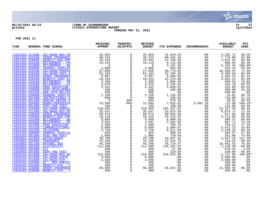

# **06/15/2021 08:43 |TOWN OF SCARBOROUGH |P 37 gclukey |FY2021 EXPENDITURE REPORT |glytdbud THROUGH MAY 31, 2021**



| 7100 |                                    | GENERAL FUND SCHOOL                        | ORIGINAL<br><b>APPROP</b>                                                                                                                                                                                                                                                                                                                                                                                                                                                                | TRANFRS/<br><b>ADJSTMTS</b>               | <b>REVISED</b><br><b>BUDGET</b>                                               | YTD EXPENDED                                                                  | <b>ENCUMBRANCES</b> | <b>AVAILABLE</b><br><b>BUDGET</b> | PCT<br><b>USED</b> |
|------|------------------------------------|--------------------------------------------|------------------------------------------------------------------------------------------------------------------------------------------------------------------------------------------------------------------------------------------------------------------------------------------------------------------------------------------------------------------------------------------------------------------------------------------------------------------------------------------|-------------------------------------------|-------------------------------------------------------------------------------|-------------------------------------------------------------------------------|---------------------|-----------------------------------|--------------------|
|      |                                    | 71021202 511800 SAL/WAGE-REG EM            | $35,855$<br>$48,223$<br>$26,332$<br>$10,119$<br>$1,000$<br>$57,068$<br>$62,184$<br>$9,967$<br>$18,433$<br>$2,395$                                                                                                                                                                                                                                                                                                                                                                        | $\mathsf{O}$                              | 35,855                                                                        | 31,619.29                                                                     | .00                 | 4,235.71                          | 88.2%              |
|      | 71021202 520100                    | <b>GROUP INSURANCE</b>                     |                                                                                                                                                                                                                                                                                                                                                                                                                                                                                          | $\mathbf 0$                               | 48,223                                                                        | 40, 444.10                                                                    |                     | 7,778.90                          | 83.9%              |
|      | 71021202 520800                    | BENEFIT-REG EMP                            |                                                                                                                                                                                                                                                                                                                                                                                                                                                                                          | $\mathbf 0$                               | 26,332                                                                        | 24,709.35                                                                     |                     | 1,622.65                          | 93.8%              |
|      | 71021202 523100                    | RETIREMENT - PR                            |                                                                                                                                                                                                                                                                                                                                                                                                                                                                                          | $\mathsf{O}$                              | 10,119                                                                        | 9,132.96                                                                      |                     | 986.04                            | 90.3%              |
|      | 71021202 523800                    | RETIREMENT - RE                            |                                                                                                                                                                                                                                                                                                                                                                                                                                                                                          | $\overline{0}$                            | $\overline{0}$                                                                | 3,191.45                                                                      |                     | $-3, 191.45$                      | $100.0$ *          |
|      | 71021202 560000                    | <b>GENERAL SUPPLIE</b>                     |                                                                                                                                                                                                                                                                                                                                                                                                                                                                                          | $\overline{0}$                            | 1,000                                                                         | 584.86                                                                        |                     | 415.14                            | 58.5%              |
|      | 71022202 510100                    | SAL/WAGE-PROFES                            |                                                                                                                                                                                                                                                                                                                                                                                                                                                                                          |                                           | 57,068                                                                        | 40,779.65                                                                     |                     | 16,288.35                         | 71.5%              |
|      | 71022202 510230                    | SAL/WAGE-INST A                            |                                                                                                                                                                                                                                                                                                                                                                                                                                                                                          | $\overline{0}$<br>$0$                     | 62,184                                                                        | 52,784.36                                                                     |                     | 9,399.64                          | 84.9%              |
|      | 71022202 520100                    | <b>GROUP INSURANCE</b>                     |                                                                                                                                                                                                                                                                                                                                                                                                                                                                                          |                                           | 9,967                                                                         | $\begin{array}{r} 32,701135 \\ 8,483.85 \\ 15,570.88 \\ 1,696.46 \end{array}$ |                     | 1,483.15                          | 85.1%              |
|      | 71022202 520200<br>71022202 523100 | <b>BENEFIT-INST AI</b>                     |                                                                                                                                                                                                                                                                                                                                                                                                                                                                                          | $\overline{0}$<br>0                       | 18,433                                                                        |                                                                               |                     | 2,862.12                          | 84.5%              |
|      | 71022202 523200                    | RETIREMENT - PR                            |                                                                                                                                                                                                                                                                                                                                                                                                                                                                                          | $\overline{0}$                            |                                                                               |                                                                               | .00                 | 698.54<br>433.18                  | 70.8%              |
|      | 71022202 532000                    | RETIREMENT - AI<br>PROF EDUCATION          |                                                                                                                                                                                                                                                                                                                                                                                                                                                                                          | $\overline{0}$                            | $\begin{array}{c} 18, 755 \\ 2, 395 \\ 2, 629 \\ 7, 392 \end{array}$<br>5,342 | 2,195.82<br>5,049.31                                                          | .00<br>.00          | 292.69                            | 83.5%<br>94.5%     |
|      | 71022202 533000                    | PROF DEVELOPMEN                            |                                                                                                                                                                                                                                                                                                                                                                                                                                                                                          | $\overline{0}$                            | 300                                                                           | 100.00                                                                        | .00                 | 200.00                            | 33.3%              |
|      | 71022202 543100                    | NON TECH RELATE                            |                                                                                                                                                                                                                                                                                                                                                                                                                                                                                          |                                           | 500                                                                           | .00                                                                           | .00                 | 500.00                            | .0%                |
|      | 71022202 560000                    | <b>GENERAL SUPPLIE</b>                     |                                                                                                                                                                                                                                                                                                                                                                                                                                                                                          | $\overline{0}$                            | 1,150                                                                         | 1,135.39                                                                      | .00                 | 14.61                             | 98.7%              |
|      | 71022202 561000                    | <b>INSTRUCTIONAL S</b>                     |                                                                                                                                                                                                                                                                                                                                                                                                                                                                                          | $\overline{0}$                            | 900                                                                           | 189.92                                                                        | .00                 | 710.08                            | 21.1%              |
|      | 71022202 561100                    | NONCAP-INSTRC E                            |                                                                                                                                                                                                                                                                                                                                                                                                                                                                                          | 600                                       | 600                                                                           | 579.39                                                                        | .00                 | 20.61                             | 96.6%              |
|      | 71022202 564000                    | <b>BOOKS/PERIODICA</b>                     |                                                                                                                                                                                                                                                                                                                                                                                                                                                                                          | $-600$                                    | 12,994                                                                        | 7,935.81                                                                      |                     | $-22.99$                          | 100.2%*            |
|      | 71022202 581000                    | <b>DUES AND FEES</b>                       |                                                                                                                                                                                                                                                                                                                                                                                                                                                                                          | $\overline{0}$                            | 330                                                                           | 199.00                                                                        |                     | 131.00                            | 60.3%              |
|      | 71024102 510400                    | SAL/WAGE-ADMINI                            | $\begin{array}{r}9,967\ 18,433\ 2,395\ 2,629\ 5,342\ 300\ 500\ 1,1500\ 0\ 0\ 13,594\ 330\ 594\ 330\ 594\ 330\ 594\ 330\ 13,594\ 218,465\ 35,547\ 50,973\ 18,148\ \end{array}$                                                                                                                                                                                                                                                                                                            | $\overline{0}$                            | 218,465                                                                       | 195,297.55<br>25,676.28                                                       |                     | 23, 167. 45                       | 89.4%              |
|      | 71024102 511800                    | SAL/WAGE-REG EM                            |                                                                                                                                                                                                                                                                                                                                                                                                                                                                                          | $\mathsf{O}$                              | 35,547<br>50,973                                                              |                                                                               |                     | 9,870.72                          | 72.2%              |
|      | 71024102 520400                    | <b>GROUP INSURANCE</b>                     | 50,973<br>18,148                                                                                                                                                                                                                                                                                                                                                                                                                                                                         | $\begin{matrix} 0 \\ 0 \\ 0 \end{matrix}$ |                                                                               | 50,055.36                                                                     |                     | 917.64                            | 98.2%              |
|      | 71024102 520800                    | <b>BENEFIT-REG EMP</b>                     |                                                                                                                                                                                                                                                                                                                                                                                                                                                                                          |                                           | 18,148                                                                        | 15,433.35                                                                     |                     | 2,714.65                          | 85.0%              |
|      | 71024102 523400                    | RETIREMENT - AD                            |                                                                                                                                                                                                                                                                                                                                                                                                                                                                                          |                                           | 9,089                                                                         | 8,090.63                                                                      |                     | 998.37                            | 89.0%              |
|      | 71024102 523800                    | RETIREMENT - RE                            |                                                                                                                                                                                                                                                                                                                                                                                                                                                                                          | $\overline{0}$<br>0                       | 3,591                                                                         | 2,593.28                                                                      | .00                 | 997.72                            | 72.2%              |
|      | 71024102 532000                    | PROF EDUCATION                             |                                                                                                                                                                                                                                                                                                                                                                                                                                                                                          |                                           | 1,500                                                                         | 706.78                                                                        |                     | 793.22                            | 47.1%              |
|      | 71024102 553100                    | COMMUNICATIONS/                            |                                                                                                                                                                                                                                                                                                                                                                                                                                                                                          | $\overline{0}$<br>0                       | 6,000                                                                         | 2,086.87<br>4,611.84<br>500.43                                                |                     | 3,913.13<br>1,138.16              | 34.8%              |
|      | 71024102 553200<br>71024102 560000 | <b>TELEPHONE</b><br><b>GENERAL SUPPLIE</b> |                                                                                                                                                                                                                                                                                                                                                                                                                                                                                          | $\overline{0}$                            | 5,750<br>865                                                                  |                                                                               |                     | 364.57                            | 80.2%<br>57.9%     |
|      | 71024102 581000                    | DUES AND FEES                              |                                                                                                                                                                                                                                                                                                                                                                                                                                                                                          | $\overline{0}$                            |                                                                               | 739.00                                                                        |                     | 261.00                            | 73.9%              |
|      | 71026002 541000                    | <b>WATER/SEWER</b>                         |                                                                                                                                                                                                                                                                                                                                                                                                                                                                                          | $\mathsf 0$                               | $\frac{1\,000}{29\,,\,700}$<br>$\frac{29\,,\,700}{22\,,\,338}$                |                                                                               |                     | $-3,347.16$                       | 111.3%*            |
|      | 71026002 552000                    | <b>INSURANCE</b>                           |                                                                                                                                                                                                                                                                                                                                                                                                                                                                                          |                                           |                                                                               | 33,047.16<br>22,194.75                                                        |                     | 143.25                            | 99.4%              |
|      | 71026002 562100                    | <b>NATURAL GAS</b>                         |                                                                                                                                                                                                                                                                                                                                                                                                                                                                                          | $\overline{0}$                            | 45,200                                                                        |                                                                               |                     | 10,481.53                         | 76.8%              |
|      | 71026002 562200                    | ELECTRICITY                                |                                                                                                                                                                                                                                                                                                                                                                                                                                                                                          |                                           | 111,400                                                                       | 34,718.47<br>110,261.51                                                       |                     | 1,138.49                          | 99.0%              |
|      | 71026002 562400                    | <b>OIL</b>                                 |                                                                                                                                                                                                                                                                                                                                                                                                                                                                                          | $\overline{0}$<br>0                       | 600                                                                           | 21.46                                                                         |                     | 578.54                            | 3.6%               |
|      | 71026002 581000                    | DUES AND FEES                              |                                                                                                                                                                                                                                                                                                                                                                                                                                                                                          | $\mathsf{O}$                              | 400                                                                           | 220.00                                                                        |                     | 180.00                            | 55.0%              |
|      | 71026102 511800                    | SAL/WAGE-REG EM                            |                                                                                                                                                                                                                                                                                                                                                                                                                                                                                          | $\mathsf{O}\xspace$                       | 223,096                                                                       | 224,843.80                                                                    |                     | $-1,747.80$                       | 100.8%*            |
|      | 71026102 511900                    | SAL/WAGE-EVENT                             |                                                                                                                                                                                                                                                                                                                                                                                                                                                                                          | $\mathsf{O}$                              | 5,000                                                                         | .00                                                                           |                     | 5,000.00                          | .0%                |
|      | 71026102 512000                    | SAL/WAGE-OTH -                             |                                                                                                                                                                                                                                                                                                                                                                                                                                                                                          | $\overline{0}$                            | 2,500                                                                         | .00                                                                           |                     | 2,500.00                          | .0%                |
|      | 71026102 513800                    | OT - REG EMPLOY                            |                                                                                                                                                                                                                                                                                                                                                                                                                                                                                          | $\overline{0}$                            | 300                                                                           | .00                                                                           |                     | 300.00                            | .0%                |
|      | 71026102 520300                    | BENEFIT-OTH - S                            | $\begin{array}{l rrrr} \underline{\text{ICE}} & & & & 50\,,973 \ \underline{\text{IMD}} & & & & 18\,,148 \ \underline{\text{AD}} & & & 3\,,591 \ \underline{\text{IS}} & & & 3\,,591 \ \underline{\text{IS}} & & & 15\,,900 \ \underline{\text{IS}} & & & 15\,,900 \ \underline{\text{IS}} & & & 6\,,000 \ \underline{\text{S}} & & & 750 \ \underline{\text{I}} & & & 1000 \ \underline{\text{22}},7000 \ \underline{\text{22}},338 \ \underline{\text{45}},200 \ \underline{\text{111$ | $\overline{0}$                            | 200                                                                           | 00 .<br>00 .<br>84 , 015 . 55                                                 |                     | 200.00                            | .0%                |
|      | 71026102 520800                    | <b>GROUP INSURANCE</b>                     |                                                                                                                                                                                                                                                                                                                                                                                                                                                                                          |                                           | 96,985                                                                        |                                                                               |                     | 12,969.45                         | 86.6%              |
|      | 71026102 520900                    | BENEFIT-OTH - T                            |                                                                                                                                                                                                                                                                                                                                                                                                                                                                                          | $\overline{0}$                            | 400                                                                           | .00                                                                           |                     | 400.00                            | .0%                |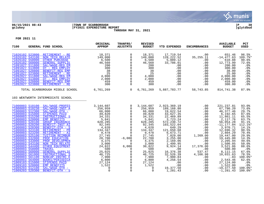

# **06/15/2021 08:43 |TOWN OF SCARBOROUGH |P 38 gclukey |FY2021 EXPENDITURE REPORT |glytdbud THROUGH MAY 31, 2021**



| 7100                                                                                                                                                                                                                             | GENERAL FUND SCHOOL                                                                                                                                                                                                                                                | ORIGINAL<br><b>APPROP</b>                                                                                                                                          | TRANFRS/<br><b>ADJSTMTS</b>                                                                                                         | <b>REVISED</b><br><b>BUDGET</b>                                                                | <b>YTD EXPENDED</b>                                                                                | <b>ENCUMBRANCES</b>                                                                                        | <b>AVAILABLE</b><br><b>BUDGET</b>                                                                                                | <b>PCT</b><br><b>USED</b>                                                                        |
|----------------------------------------------------------------------------------------------------------------------------------------------------------------------------------------------------------------------------------|--------------------------------------------------------------------------------------------------------------------------------------------------------------------------------------------------------------------------------------------------------------------|--------------------------------------------------------------------------------------------------------------------------------------------------------------------|-------------------------------------------------------------------------------------------------------------------------------------|------------------------------------------------------------------------------------------------|----------------------------------------------------------------------------------------------------|------------------------------------------------------------------------------------------------------------|----------------------------------------------------------------------------------------------------------------------------------|--------------------------------------------------------------------------------------------------|
| 71026102 523800<br>71026102 543100<br>71026102 550000<br>71026102 560000<br>71091027 511800<br>71091027 513800<br>71091027 520800<br>71091027 523800<br>71092027 511800<br>71092027 513800<br>71092027 520800<br>71092027 523800 | RETIREMENT - RE<br><b>NON TECH RELATE</b><br><b>OTHER PURCHASE</b><br><b>GENERAL SUPPLIE</b><br>SAL/WAGE-REG EM<br>OT - REG EMPLOY<br><b>BENEFIT-REG EMP</b><br>RETIREMENT - RE<br>SAL/WAGE-REG EM<br>OT - REG EMPLOY<br><b>BENEFIT-REG EMP</b><br>RETIREMENT - RE | 18,371<br>149,000<br>$6,500$<br>46,500<br>$\begin{array}{r}46,560\\46,560\\200\\300\\38\\25\\4,000\end{array}$<br>$2,000$<br>459<br>459<br>300                     | 0<br>$\mathbf{0}$<br>$\overline{0}$<br>$\Omega$<br>$\Omega$<br>$_0^0$<br>$\overline{0}$<br>$\mathsf{O}$<br>$\mathsf{O}$<br>$\Omega$ | 18,371<br>149,000<br>6,500<br>46,560<br>200<br>300<br>38<br>25<br>4,000<br>2,000<br>459<br>300 | 17,719.54<br>128,222.52<br>5,889.12<br>33,786.01<br>.00                                            | .00<br>35, 255. 11<br>.00<br>.00<br>.00<br>.00<br>.00<br>.00<br>.00<br>.00<br>.00<br>.00                   | 651.46<br>$-14, 477.63$<br>610.88<br>12,773.99<br>200.00<br>300.00<br>38.00<br>25.00<br>4,000.00<br>2,000.00<br>459.00<br>300.00 | 96.5%<br>109.7%*<br>90.6%<br>72.6%<br>$.0\%$<br>.0%<br>.0%<br>.0%<br>$.0\%$<br>.0%<br>.0%<br>.0% |
|                                                                                                                                                                                                                                  | TOTAL SCARBOROUGH MIDDLE SCHOOL                                                                                                                                                                                                                                    | 6,761,269                                                                                                                                                          | $\overline{0}$                                                                                                                      | 6,761,269                                                                                      |                                                                                                    | 5,887,783.77 58,743.85 814,741.38                                                                          |                                                                                                                                  | 87.9%                                                                                            |
| 71000003 510230<br>71000003 512300<br>71000003 515000<br>71000003 515200<br>71000003 520000                                                                                                                                      | 103 WENTWORTH INTERMEDIATE SCHOOL<br>71000003 510100 SAL/WAGE-PROFES<br>SAL/WAGE-INST A<br>SAL/WAGE-OTH -<br>STIPENDS PAID<br>INSTRUCTIONAL S<br><b>EMP BENEFITS</b>                                                                                               | 3,144,607<br>$\begin{array}{r} 256,959 \\ 66,000 \\ 49,820 \end{array}$<br>$\begin{array}{r} 60,000 \\ 49,820 \\ 34,331 \\ 5,841 \\ 628,288 \\ 92,345 \end{array}$ | $\overline{0}$<br>$\overline{0}$<br>$\mathsf{O}$<br>$\mathsf{O}$<br>$\mathsf{O}\xspace$<br>$\overline{0}$                           | 3,144,607<br>256,959<br>66,000<br>49,820<br>34,331<br>5,841                                    | 2,923,369.19<br>189,168.80<br>19,622.54<br>43,627.35<br>22,469.89<br>3,723.24                      | .00                                                                                                        | 221, 237.81<br>67,790.20<br>46, 377.46<br>6, 192.65<br>11,861.11<br>2,117.76                                                     | 93.0%<br>73.6%<br>29.7%<br>87.6%<br>65.5%<br>63.7%                                               |
| 71000003 520100<br>71000003 520200<br>71000003 520300<br>71000003 523100<br>71000003 523200<br>71000003 525100<br>71000003 532000                                                                                                | <b>GROUP INSURANCE</b><br>BENEFIT-INST AI<br>BENEFIT-OTH - S<br>RETIREMENT - PR<br>RETIREMENT - AI<br>TUITION REIMBUR<br>PROF EDUCATION                                                                                                                            | 92,345<br>4,620<br>134,347<br>$\frac{9}{27}$ , 478<br>27,745                                                                                                       | $\mathsf{O}\xspace$<br>$\overline{0}$<br>$\mathsf{O}$<br>$\Omega$<br>$\mathbf 0$<br>$\Omega$<br>$-6,000$                            | 628,285<br>92,345<br>4,620<br>134,347<br>9,478<br>27,745<br>22,700                             | 572,230.72<br>103,522.04<br>649.29<br>121,650.68<br>6,673.71<br>7,029.00<br>3,255.00               | $\begin{array}{r} .00\ 0.00\ 0.00\ 0.00\ 0.00\ 0.00\ 0.00\ 0.00\ 0.00\ 0.00\ 1,269.00\ \end{array}$<br>.00 | 56,054.28<br>$-11, 177.04$<br>3,970.71<br>12,696.32<br>2,804.29<br>19,447.00<br>19,445.00                                        | 91.1%<br>112.1%*<br>14.1%<br>90.5%<br>70.4%<br>29.9%<br>14.3%                                    |
| 71000003 533000<br>71000003 543100<br>71000003 544400<br>71000003 558000<br>71000003 560000<br>71000003 561000<br>71000003 561100<br>71000003 564000<br>71009103 515000                                                          | PROF DEVELOPMEN<br>NON TECH RELATE<br><b>OTHER EOUIPMENT</b><br><b>TRAVEL</b><br><b>GENERAL SUPPLIE</b><br>INSTRUCTIONAL S<br>NONCAP-INSTRC E<br><b>BOOKS/PERIODICA</b><br><b>STIPENDS PAID</b>                                                                    | $\begin{array}{r} 28,700 \\ 4,375 \\ 3,000 \\ 24,822 \\ 500 \end{array}$<br>500<br>25,025<br>46,725<br>7,900<br>6,800                                              | $\mathbf 0$<br>$\Omega$<br>6,000<br>$\Omega$<br>0<br>$\mathsf{O}$<br>$\mathsf{O}$<br>$\mathbf{0}$<br>$\overline{0}$                 | 4,375<br>3,000<br>30,822<br>500<br>25,025<br>46,725<br>7,900<br>6,800<br>27,124                | 2,169.06<br>1,499.95<br>9,924.14<br>.00<br>16, 376.38<br>32, 526.39<br>7,900.83<br>4,256.54<br>.00 | .00<br>.00<br>17,376.00<br>$.00 \,$<br>537.47<br>4,166.98<br>.00<br>$\frac{1}{2}$<br>.00<br>.00            | 2,205.94<br>1,500.05<br>3,521.86<br>500.00<br>8,111.15<br>10,031.63<br>$-.83$<br>2,543.46<br>27,124.00                           | 49.6%<br>50.0%<br>88.6%<br>$.0\%$<br>67.6%<br>78.5%<br>100.0%*<br>62.6%<br>.0%                   |
| 71009103 520000<br>71009203 512100<br>71009203 520300                                                                                                                                                                            | <b>EMP BENEFITS</b><br>SAL/WAGE-OTH -<br>BENEFIT-OTH - S                                                                                                                                                                                                           | $27,124$<br>1,522<br>$\Omega$<br>$\overline{0}$                                                                                                                    | $\begin{matrix} 0 \\ 0 \end{matrix}$<br>$\mathsf{O}$                                                                                | 1,522<br>$\Omega$<br>$\Omega$                                                                  | .00<br>19,377.50<br>1,281.43                                                                       | .00<br>.00<br>.00                                                                                          | 1,522.00<br>$-19,377.50$<br>$-1, 281.43$                                                                                         | .0%<br>100.0%*<br>$100.0$ *                                                                      |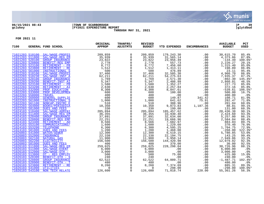

# **06/15/2021 08:43 |TOWN OF SCARBOROUGH |P 39 gclukey |FY2021 EXPENDITURE REPORT |glytdbud THROUGH MAY 31, 2021**



| 7100 |                                    | GENERAL FUND SCHOOL                       | ORIGINAL<br><b>APPROP</b>                                                                                                                                                                                                                                                                                                                                                                                            | TRANFRS/<br>ADJSTMTS                         | <b>REVISED</b><br><b>BUDGET</b>  | <b>YTD EXPENDED</b>    | <b>ENCUMBRANCES</b> | <b>AVAILABLE</b><br><b>BUDGET</b> | PCT<br><b>USED</b> |
|------|------------------------------------|-------------------------------------------|----------------------------------------------------------------------------------------------------------------------------------------------------------------------------------------------------------------------------------------------------------------------------------------------------------------------------------------------------------------------------------------------------------------------|----------------------------------------------|----------------------------------|------------------------|---------------------|-----------------------------------|--------------------|
|      |                                    | 71021203 510100 SAL/WAGE-PROFES           | 209,859<br>$209, 859$<br>$35, 939$<br>$23, 822$<br>$2, 778$<br>$8, 772$<br>$8, 772$<br>$5, 512$<br>$5, 512$<br>$5, 512$<br>$5, 512$<br>$5, 544$<br>$62, 211$<br>$5, 769$<br>$1, 769$<br>$5, 344$<br>$1, 769$<br>$1, 769$<br>$2, 630$<br>$8, 308$<br>$8, 300$<br>$400$<br>$600$<br>$1$                                                                                                                                | $\mathsf{O}$                                 | 209,859                          | 179,243.30             | .00                 | 30,615.70                         | 85.4%              |
|      | 71021203 511800                    | SAL/WAGE-REG EM                           |                                                                                                                                                                                                                                                                                                                                                                                                                      | $\mathsf{O}$                                 | 35,939                           | 31,565.14              | .00                 | 4,373.86                          | 87.8%              |
|      | 71021203 520100                    | <b>GROUP INSURANCE</b>                    |                                                                                                                                                                                                                                                                                                                                                                                                                      | $\mathbf 0$                                  | 23,822                           | 23,956.49              | .00                 | $-134.49$                         | 100.6%*            |
|      | 71021203 520800                    | <b>BENEFIT-REG EMP</b>                    |                                                                                                                                                                                                                                                                                                                                                                                                                      | $\mathbf 0$                                  | 2,778                            | 557.73                 | .00                 | 2,220.27                          | 20.1%              |
|      | 71021203 523100                    | RETIREMENT - PR                           |                                                                                                                                                                                                                                                                                                                                                                                                                      | $\overline{0}$                               | 8,772                            | 7,456.60               | .00                 | 1,315.40                          | 85.0%              |
|      | 71021203 523800                    | RETIREMENT - RE                           |                                                                                                                                                                                                                                                                                                                                                                                                                      | $\begin{smallmatrix}0\\0\end{smallmatrix}$   | 1,512                            | 1,313.11               | .00                 | 198.89                            | 86.8%              |
|      | 71021203 561000                    | INSTRUCTIONAL S                           |                                                                                                                                                                                                                                                                                                                                                                                                                      |                                              | 500                              | 476.89                 | .00                 | 23.11                             | 95.4%              |
|      | 71022203 510100                    | SAL/WAGE-PROFES                           |                                                                                                                                                                                                                                                                                                                                                                                                                      | $\overline{0}$                               | 37,466                           | 32,505.30              | .00                 | 4,960.70                          | 86.8%              |
|      | 71022203 510230                    | SAL/WAGE-INST A                           |                                                                                                                                                                                                                                                                                                                                                                                                                      |                                              | 62,211<br>1,769                  | 54, 275.63             | .00                 | 7,935.37                          | 87.2%              |
|      | 71022203 520100<br>71022203 520200 | <b>GROUP INSURANCE</b>                    |                                                                                                                                                                                                                                                                                                                                                                                                                      | $\mathsf{O}$                                 |                                  | 2,571.30               | .00                 | $-802.30$                         | 145.4%*            |
|      | 71022203 523100                    | <b>BENEFIT-INST AI</b><br>RETIREMENT - PR |                                                                                                                                                                                                                                                                                                                                                                                                                      | $\mathsf 0$<br>$\overline{0}$                | 5,347                            | 2,486.99               | .00                 | 2,860.01                          | 46.5%              |
|      | 71022203 523200                    | RETIREMENT - AI                           |                                                                                                                                                                                                                                                                                                                                                                                                                      | $\mathsf{O}$                                 | 1,580<br>2,630                   | 1,352.27<br>2,257.84   | .00<br>.00          | 227.73<br>372.16                  | 85.6%<br>85.8%     |
|      | 71022203 532000                    | PROF EDUCATION                            |                                                                                                                                                                                                                                                                                                                                                                                                                      | $\mathbf 0$                                  | 8,308                            | 8,847.61               |                     | $-539.61$                         | 106.5%*            |
|      | 71022203 533000                    | PROF DEVELOPMEN                           |                                                                                                                                                                                                                                                                                                                                                                                                                      |                                              | 600                              | 100.00                 | .00<br>.00          | 500.00                            | 16.7%              |
|      | 71022203 558000                    | <b>TRAVEL</b>                             |                                                                                                                                                                                                                                                                                                                                                                                                                      | $\overline{0}$                               | 400                              | .00                    | .00                 | 400.00                            | .0%                |
|      | 71022203 560000                    | <b>GENERAL SUPPLIE</b>                    |                                                                                                                                                                                                                                                                                                                                                                                                                      | $\overline{0}$                               | 600                              | 149.87                 | 341.42              | 108.71                            | 81.9%              |
|      | 71022203 561000                    | INSTRUCTIONAL S                           |                                                                                                                                                                                                                                                                                                                                                                                                                      | $\overline{0}$                               | 1,000                            | 641.62                 | 75.91               | 282.47                            | 71.8%              |
|      | 71022203 561100                    | NONCAP-INSTRC E                           |                                                                                                                                                                                                                                                                                                                                                                                                                      | $\overline{0}$                               | 510                              | 308.96                 | .00                 | 201.04                            | 60.6%              |
|      | 71022203 564000                    | <b>BOOKS/PERIODICA</b>                    |                                                                                                                                                                                                                                                                                                                                                                                                                      | $\mathsf 0$                                  | 10,350                           | 9,073.83               | 1,187.36            | 88.81                             | 99.1%              |
|      | 71022203 581000                    | <b>DUES AND FEES</b>                      |                                                                                                                                                                                                                                                                                                                                                                                                                      | $\mathsf{O}$                                 | 330                              | 199.00                 | .00                 | 131.00                            | 60.3%              |
|      | 71024103 510400                    | SAL/WAGE-ADMINI                           |                                                                                                                                                                                                                                                                                                                                                                                                                      | $\mathbf 0$                                  | 205,894                          | 185,457.62             | .00                 | 20,436.38                         | 90.1%              |
|      | 71024103 511800                    | SAL/WAGE-REG EM                           |                                                                                                                                                                                                                                                                                                                                                                                                                      | $\mathsf{O}$                                 | 36,355                           | 33,930.40              | .00                 | 2,424.60                          | 93.3%              |
|      | 71024103 520400                    |                                           |                                                                                                                                                                                                                                                                                                                                                                                                                      | $\begin{matrix} 0 \\ 0 \end{matrix}$         | 37,891                           | 32,634.00              | .00                 | 5,257.00                          | 86.1%              |
|      | 71024103 520800                    |                                           |                                                                                                                                                                                                                                                                                                                                                                                                                      |                                              | 22,251                           | 19,666.96              | .00                 | 2,584.04                          | 88.4%              |
|      | 71024103 523400                    |                                           |                                                                                                                                                                                                                                                                                                                                                                                                                      | $\overline{0}$<br>0                          | 8,566                            | 7,682.97               | .00                 | 883.03                            | 89.7%              |
|      | 71024103 553100                    |                                           |                                                                                                                                                                                                                                                                                                                                                                                                                      |                                              | $1,600$<br>6,300<br>$1,200$      | 1,229.60               | $.00\,$             | 370.40                            | 76.9%              |
|      | 71024103 553200                    |                                           |                                                                                                                                                                                                                                                                                                                                                                                                                      | $\ddot{\mathbf{0}}$                          |                                  | 4,595.25               | $.00\,$             | 1,704.75                          | 72.9%              |
|      | 71024103 581000                    |                                           |                                                                                                                                                                                                                                                                                                                                                                                                                      | $\mathsf 0$<br>$\mathbf 0$                   |                                  | 1,468.00               | .00                 | $-268.00$<br>5,780.85             | 122.3%*<br>53.0%   |
|      | 71026003 541000<br>71026003 552000 |                                           |                                                                                                                                                                                                                                                                                                                                                                                                                      | $\mathbf 0$                                  | $\frac{12}{22}, \frac{338}{900}$ | 6,519.15<br>22, 194.75 | .00                 | 143.25                            | 99.4%              |
|      | 71026003 562100                    |                                           |                                                                                                                                                                                                                                                                                                                                                                                                                      | $\mathsf{O}$                                 |                                  | 3,950.14               | .00<br>.00          | 7,949.86                          | 33.2%              |
|      | 71026003 562200                    |                                           |                                                                                                                                                                                                                                                                                                                                                                                                                      |                                              | 11,900<br>156,500                | 144,420.98             | .00                 | 12,079.02                         | 92.3%              |
|      | 71026003 581000                    |                                           |                                                                                                                                                                                                                                                                                                                                                                                                                      | $\overline{0}$<br>0                          | 400                              | 370.00                 | .00                 | 30.00                             | 92.5%              |
|      | 71026103 511800                    |                                           |                                                                                                                                                                                                                                                                                                                                                                                                                      |                                              | 259,025                          | 228,298.04             | .00                 | 30,726.96                         | 88.1%              |
|      | 71026103 511900                    |                                           |                                                                                                                                                                                                                                                                                                                                                                                                                      | $\overline{0}$<br>0                          | 6,000                            | .00                    | .00                 | 6,000.00                          | .0%                |
|      | 71026103 512000                    |                                           |                                                                                                                                                                                                                                                                                                                                                                                                                      | $\mathsf{O}$                                 | 3,000                            | .00                    | .00                 |                                   | .0%                |
|      | 71026103 513800                    |                                           |                                                                                                                                                                                                                                                                                                                                                                                                                      | $\overline{0}$                               | 500                              | 75.00                  | .00                 | $3,000.00$<br>425.00              | 15.0%              |
|      | 71026103 520300                    |                                           |                                                                                                                                                                                                                                                                                                                                                                                                                      | $\mathbf 0$                                  | 240                              | .00                    | .00                 | 240.00                            | .0%                |
|      | 71026103 520800                    |                                           |                                                                                                                                                                                                                                                                                                                                                                                                                      | $\mathsf{O}$                                 | 62,522                           | 64,009.71              | $.00$<br>.00        | $-1,487.71$                       | 102.4%*            |
|      | 71026103 520900                    |                                           |                                                                                                                                                                                                                                                                                                                                                                                                                      | $\overline{0}$                               | 480                              | .00                    | .00                 | 480.00                            | .0%                |
|      | 71026103 523800                    |                                           |                                                                                                                                                                                                                                                                                                                                                                                                                      | $\begin{smallmatrix} 0\\0 \end{smallmatrix}$ | 8,260                            | 7,374.69               | .00                 | 885.31                            | 89.3%              |
|      | 71026103 541000                    | UTILITIES                                 | $\begin{tabular}{l c c c} \multicolumn{1}{c}{\textbf{SAL} / \textbf{WAGE-REG EM}} & 36\,, 355\, \\ \hline \hline \textbf{GROUP} & \textbf{INSURANCE} & 37\,, 891\, \\ \hline \textbf{BENETI-REG EMP} & 22\,, 251\, \\ \hline \textbf{RETIREMENT} & - \textbf{AD} & 8\,, 566\, \\ \hline \textbf{COMMUNICATIONS/} & 1\,, 600\, \\ \hline \textbf{TELEPHONE} & 6\,, 300\, \\ \hline \textbf{DUE} & \textbf{S AND FEES$ |                                              | $\Omega$                         | 298.00                 | .00                 | $-298.00$                         | 100.0%*            |
|      | 71026103 543100                    | NON TECH RELATE                           | 126,600                                                                                                                                                                                                                                                                                                                                                                                                              | $\overline{0}$                               | 126,600                          | 71,018.74              | 220.00              | 55,361.26                         | 56.3%              |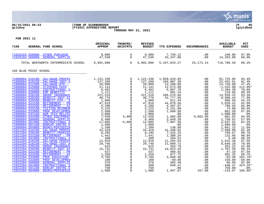

#### **06/15/2021 08:43 |TOWN OF SCARBOROUGH |P 40 gclukey |FY2021 EXPENDITURE REPORT |glytdbud THROUGH MAY 31, 2021**



| 7100 | GENERAL FUND SCHOOL                                                                                                                                                                                                                                                                                                                                                                                                                                                                                                                                                                                                                                                                                                                                                                                                          | ORIGINAL<br><b>APPROP</b>                                                                                                                                                                      | TRANFRS/<br><b>ADJSTMTS</b>                                                                                                                                                               | <b>REVISED</b><br><b>BUDGET</b>                                                                                                                                                                 | <b>YTD EXPENDED</b>                                                                                                                                                                                                                       | <b>ENCUMBRANCES</b>                                                                                                                           | <b>AVAILABLE</b><br><b>BUDGET</b>                                                                                                                                                                                                      | PCT<br><b>USED</b>                                                                                                                                                             |
|------|------------------------------------------------------------------------------------------------------------------------------------------------------------------------------------------------------------------------------------------------------------------------------------------------------------------------------------------------------------------------------------------------------------------------------------------------------------------------------------------------------------------------------------------------------------------------------------------------------------------------------------------------------------------------------------------------------------------------------------------------------------------------------------------------------------------------------|------------------------------------------------------------------------------------------------------------------------------------------------------------------------------------------------|-------------------------------------------------------------------------------------------------------------------------------------------------------------------------------------------|-------------------------------------------------------------------------------------------------------------------------------------------------------------------------------------------------|-------------------------------------------------------------------------------------------------------------------------------------------------------------------------------------------------------------------------------------------|-----------------------------------------------------------------------------------------------------------------------------------------------|----------------------------------------------------------------------------------------------------------------------------------------------------------------------------------------------------------------------------------------|--------------------------------------------------------------------------------------------------------------------------------------------------------------------------------|
|      | 71026103 550000 OTHER PURCHASE<br>71026103 560000<br><b>GENERAL SUPPLIE</b>                                                                                                                                                                                                                                                                                                                                                                                                                                                                                                                                                                                                                                                                                                                                                  | 8,000<br>47,530                                                                                                                                                                                | $\mathbf 0$<br>$\mathbf 0$                                                                                                                                                                | 8,000<br>47,530                                                                                                                                                                                 | 7,759.12<br>33, 247.00                                                                                                                                                                                                                    | .00<br>.00                                                                                                                                    | 240.88<br>14,283.00                                                                                                                                                                                                                    | 97.0%<br>69.9%                                                                                                                                                                 |
|      | TOTAL WENTWORTH INTERMEDIATE SCHOOL                                                                                                                                                                                                                                                                                                                                                                                                                                                                                                                                                                                                                                                                                                                                                                                          | 6,092,806                                                                                                                                                                                      | $\overline{0}$                                                                                                                                                                            | 6,092,806                                                                                                                                                                                       | 5, 347, 843. 27                                                                                                                                                                                                                           | 25,174.14                                                                                                                                     | 719,788.59                                                                                                                                                                                                                             | 88.2%                                                                                                                                                                          |
|      | 104 BLUE POINT SCHOOL                                                                                                                                                                                                                                                                                                                                                                                                                                                                                                                                                                                                                                                                                                                                                                                                        |                                                                                                                                                                                                |                                                                                                                                                                                           |                                                                                                                                                                                                 |                                                                                                                                                                                                                                           |                                                                                                                                               |                                                                                                                                                                                                                                        |                                                                                                                                                                                |
|      | 71000004 510100 SAL/WAGE-PROFES<br>71000004 510230<br>SAL/WAGE-INST A<br>71000004 512300<br>SAL/WAGE-OTH -<br>71000004 515000<br>STIPENDS PAID<br>71000004 515200<br>INSTRUCTIONAL S<br>71000004 520000<br><b>EMP BENEFITS</b><br>71000004 520100<br><b>GROUP INSURANCE</b><br>71000004 520200<br>BENEFIT-INST AI<br>71000004 520300<br>BENEFIT-OTH - S<br>71000004 523100<br>RETIREMENT - PR<br>71000004 523200<br>RETIREMENT - AI<br>71000004 525100<br><b>TUITION REIMBUR</b><br>71000004 533000<br>PROF DEVELOPMEN<br>71000004 543100<br><b>NON TECH RELATE</b><br>71000004 544400<br><b>OTHER EOUIPMENT</b><br>71000004 560000<br><b>GENERAL SUPPLIE</b><br>71000004 561000<br>INSTRUCTIONAL S<br>71000004 561100<br>NONCAP-INSTRC E<br>71000004 564000<br><b>BOOKS/PERIODICA</b><br>71021204 510100<br>SAL/WAGE-PROFES | 1,122,336<br>127,260<br>28,000<br>11,141<br>6,482<br>1,111<br>221,516<br>40,776<br>1,800<br>47,919<br>5,296<br>5,225<br>2,500<br>1,000<br>7,550<br>6,400<br>17,805<br>1,680<br>1,200<br>34,429 | 0<br>0<br>0<br>0<br>$\mathbf 0$<br>0<br>$\mathbf 0$<br>0<br>0<br>$\mathbf 0$<br>$\mathbf 0$<br>$\Omega$<br>$\mathbf 0$<br>$\Omega$<br>5,000<br>$\Omega$<br>$-5,000$<br>0<br>0<br>$\Omega$ | 1,122,336<br>127,260<br>28,000<br>11,141<br>6,482<br>1,111<br>221,516<br>40,776<br>1,800<br>47,919<br>5,296<br>5,225<br>2,500<br>1,000<br>12,550<br>6,400<br>12,805<br>1,680<br>1,200<br>34,429 | 1,059,610.95<br>104,807.39<br>13,280.00<br>12,573.90<br>5,097.70<br>991.34<br>206,576.68<br>31,777.56<br>811.44<br>44,079.58<br>4,497.07<br>5,151.00<br>1,698.50<br>.00<br>1,985.08<br>3,649.39<br>7,967.39<br>.00<br>138.68<br>31,448.02 | .00<br>.00<br>.00<br>.00<br>.00<br>.00<br>.00<br>.00<br>.00<br>.00<br>.00<br>.00<br>.00<br>.00<br>9,883.00<br>.00<br>.00<br>.00<br>.00<br>.00 | 62,725.05<br>22,452.61<br>14,720.00<br>$-1,432.90$<br>1,384.30<br>119.66<br>14,939.32<br>8,998.44<br>988.56<br>3,839.42<br>798.93<br>74.00<br>801.50<br>1,000.00<br>681.92<br>2,750.61<br>4,837.61<br>1,680.00<br>1,061.32<br>2,980.98 | 94.4%<br>82.4%<br>47.4%<br>112.9%*<br>78.6%<br>89.2%<br>93.3%<br>77.9%<br>45.1%<br>92.0%<br>84.9%<br>98.6%<br>67.9%<br>.0%<br>94.6%<br>57.0%<br>62.2%<br>.0%<br>11.6%<br>91.3% |
|      | 71021204 520100<br><b>BENEFIT-PROFESS</b><br>71021204 523100<br>RETIREMENT - PR<br>71021204 561000<br>INSTRUCTIONAL S<br>71022204 510100<br>SAL/WAGE-PROFES<br>71022204 510230<br>SAL/WAGE-INST A<br>71022204 520100<br><b>GROUP INSURANCE</b><br>71022204 520200<br><b>BENEFIT-INST AI</b><br>71022204 523100<br>RETIREMENT - PR<br>71022204 523200<br>RETIREMENT - AI<br>71022204 532000<br>PROF EDUCATION<br>71022204 533000<br>PROF DEVELOPMEN<br>71022204 560000<br><b>GENERAL SUPPLIE</b><br>71022204 561000<br>INSTRUCTIONAL S<br>71022204 561100<br>NONCAP-INSTRC E<br>71022204 564000<br><b>BOOKS/PERIODICA</b>                                                                                                                                                                                                     | 8,295<br>1,441<br>300<br>12,910<br>29,746<br>615<br>15,731<br>537<br>1,259<br>3,785<br>100<br>370<br>200<br>750<br>1,980                                                                       | $\Omega$<br>$\mathbf 0$<br>$\Omega$<br>$\mathbf 0$<br>$\Omega$<br>0<br>$\mathbf 0$<br>0<br>0<br>$\mathbf 0$<br>$\mathbf 0$<br>$\mathbf 0$<br>$\mathbf 0$<br>$\mathbf 0$<br>$\Omega$       | 8,295<br>1,441<br>300<br>12,910<br>29,746<br>615<br>15,731<br>537<br>1,259<br>3,785<br>100<br>370<br>200<br>750<br>1,980                                                                        | 7,525.33<br>1,308.34<br>294.51<br>11,294.64<br>21,099.72<br>263.78<br>14,023.44<br>469.82<br>877.75<br>3,848.46<br>$-50.00$<br>303.40<br>648.47<br>.00<br>1,947.67                                                                        | $.00 \,$<br>.00<br>.00<br>.00<br>.00<br>$.00 \ \rm$<br>.00<br>.00<br>.00<br>.00<br>.00<br>.00<br>.00<br>.00<br>167.00                         | 769.67<br>132.66<br>5.49<br>1,615.36<br>8,646.28<br>351.22<br>1,707.56<br>67.18<br>381.25<br>$-63.46$<br>150.00<br>66.60<br>$-448.47$<br>750.00<br>$-134.67$                                                                           | 90.7%<br>90.8%<br>98.2%<br>87.5%<br>70.9%<br>42.9%<br>89.1%<br>87.5%<br>69.7%<br>101.7%*<br>$-50.0%$<br>82.0%<br>324.2%*<br>.0%<br>106.8%*                                     |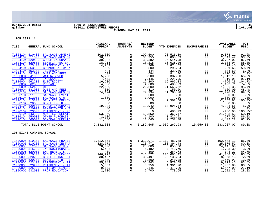

# **06/15/2021 08:43 |TOWN OF SCARBOROUGH |P 41 gclukey |FY2021 EXPENDITURE REPORT |glytdbud THROUGH MAY 31, 2021**



| 7100                                                                                                                                                                                                                                                                                                                                                                                                                                                                                    | GENERAL FUND SCHOOL                                                                                                                                                                                                                                                                                                                                                                                                                                                                                                   | ORIGINAL<br><b>APPROP</b>                                                                                                                                                                                                                                                                                                                                                                                      | TRANFRS/<br>ADJSTMTS                                                                                                                                                                                                                                                                                                                                                                                | <b>REVISED</b><br><b>BUDGET</b>                                                                                                                                                                                                             | YTD EXPENDED                                                                                                                                                                                                                                                                            | <b>ENCUMBRANCES</b>                                                                                                                                                         | <b>AVAILABLE</b><br><b>BUDGET</b>                                                                                                                                                                                                                                                             | PCT<br><b>USED</b>                                                                                                                                                                                                                  |
|-----------------------------------------------------------------------------------------------------------------------------------------------------------------------------------------------------------------------------------------------------------------------------------------------------------------------------------------------------------------------------------------------------------------------------------------------------------------------------------------|-----------------------------------------------------------------------------------------------------------------------------------------------------------------------------------------------------------------------------------------------------------------------------------------------------------------------------------------------------------------------------------------------------------------------------------------------------------------------------------------------------------------------|----------------------------------------------------------------------------------------------------------------------------------------------------------------------------------------------------------------------------------------------------------------------------------------------------------------------------------------------------------------------------------------------------------------|-----------------------------------------------------------------------------------------------------------------------------------------------------------------------------------------------------------------------------------------------------------------------------------------------------------------------------------------------------------------------------------------------------|---------------------------------------------------------------------------------------------------------------------------------------------------------------------------------------------------------------------------------------------|-----------------------------------------------------------------------------------------------------------------------------------------------------------------------------------------------------------------------------------------------------------------------------------------|-----------------------------------------------------------------------------------------------------------------------------------------------------------------------------|-----------------------------------------------------------------------------------------------------------------------------------------------------------------------------------------------------------------------------------------------------------------------------------------------|-------------------------------------------------------------------------------------------------------------------------------------------------------------------------------------------------------------------------------------|
| 71024104 510400<br>71024104 511800<br>71024104 520400<br>71024104 520800<br>71024104 523400<br>71024104 553100<br>71024104 553200<br>71024104 581000<br>71026004 541000<br>71026004 552000<br>71026004 562200<br>71026004 562300<br>71026004 562400<br>71026004 581000<br>71026104 511800<br>71026104 511900<br>71026104 512000<br>71026104 513800<br>71026104 520300<br>71026104 520800<br>71026104 520900<br>71026104 523800<br>71026104 543100<br>71026104 550000<br>71026104 560000 | SAL/WAGE-ADMINI<br>SAL/WAGE-REG EM<br><b>GROUP INSURANCE</b><br><b>BENEFIT-REG EMP</b><br>RETIREMENT - AD<br>COMMUNICATIONS/<br><b>TELEPHONE</b><br><b>DUES AND FEES</b><br><b>WATER/SEWER</b><br><b>INSURANCE</b><br>ELECTRICITY<br>PROPANE<br><b>OIL</b><br><b>DUES AND FEES</b><br>SAL/WAGE-REG EM<br>SAL/WAGE-EVENT<br>SAL/WAGE-OTH -<br>OT - REG EMPLOY<br>BENEFIT-OTH - S<br><b>GROUP INSURANCE</b><br>BENEFIT-OTH - T<br>RETIREMENT - RE<br>NON TECH RELATE<br><b>OTHER PURCHASE</b><br><b>GENERAL SUPPLIE</b> | 102,600<br>36,355<br>30,382<br>$\begin{array}{r} \frac{30}{100} \text{NCE} \\ \hline \text{EMP} \\ 18,215 \\ \hline \text{MS}/ \\ \text{SS} \\ \text{S} \\ \text{S} \\ 4,269 \\ 5,200 \\ 7,445 \\ 16,200 \\ 4,600 \\ \end{array}$<br>$16,200$<br>$4,600$<br>$22,600$<br>$310$<br>$74,194$<br>$500$<br>$1,000$<br>$0$<br>$19,942$<br>$40$<br>$40$<br>$12,100$<br>$16,800$<br>$10,942$<br>$40$<br>$0$<br>$1,640$ | $\mathbf 0$<br>$\mathbf 0$<br>0<br>$\mathbf 0$<br>0<br>$\mathbf 0$<br>$\mathbf{0}$<br>0<br>$\mathsf{O}\xspace$<br>$\mathsf{O}$<br>$\overline{0}$<br>$\mathsf 0$<br>$\mathsf{O}\xspace$<br>$\mathsf{O}$<br>$\mathsf{O}\xspace$<br>$\mathbf 0$<br>$\mathsf{O}\xspace$<br>$\Omega$<br>$\overline{0}$<br>$\mathsf{O}\xspace$<br>$\overline{0}$<br>$\ddot{\mathbf{0}}$<br>$\mathsf{O}$<br>$\overline{0}$ | 102,600<br>36, 355<br>30,382<br>18,215<br>4,269<br>500<br>444<br>694<br>5,200<br>7,445<br>16,200<br>4,600<br>22,600<br>310<br>74,194<br>500<br>1,000<br>$\overline{0}$<br>80<br>19,942<br>40<br>$\overline{0}$<br>53,850<br>2,100<br>11,640 | 93,526.89<br>33,805.53<br>26,644.98<br>16,026.06<br>3,874.55<br>298.34<br>339.40<br>814.00<br>3,387.90<br>7,225.95<br>16,966.23<br>3,406.29<br>21,563.62<br>150.00<br>51,765.78<br>.00<br>.00<br>2,567.88<br>.00<br>14,998.44<br>100.500<br>486.93<br>32,361.47<br>1,822.91<br>7,237.78 | .00<br>.00<br>.00<br>.00<br>.00<br>.00<br>.00<br>.00<br>.00<br>.00<br>.00<br>.00<br>.00<br>.00<br>.00<br>.00<br>.00<br>.00<br>.00<br>.00<br>.00<br>.00<br>.00<br>.00<br>.00 | 9,073.11<br>2,549.47<br>3,737.02<br>2,188.94<br>394.45<br>201.66<br>104.60<br>$-120.00$<br>1,812.10<br>219.05<br>$-766.23$<br>1,193.71<br>1,036.38<br>160.00<br>22, 428.22<br>500.00<br>1,000.00<br>$-2,567.88$<br>80.00<br>4,943.56<br>40.00<br>$-486.93$<br>21,488.53<br>277.09<br>4,402.22 | 91.2%<br>93.0%<br>87.7%<br>88.0%<br>90.8%<br>59.7%<br>76.4%<br>$117.3$ *<br>65.2%<br>97.1%<br>104.7%*<br>74.0%<br>95.4%<br>48.4%<br>69.8%<br>.0%<br>.0%<br>$100.0$ *<br>.0%<br>75.2%<br>.0%<br>$100.0$ *<br>60.1%<br>86.8%<br>62.2% |
|                                                                                                                                                                                                                                                                                                                                                                                                                                                                                         | TOTAL BLUE POINT SCHOOL                                                                                                                                                                                                                                                                                                                                                                                                                                                                                               | 2,182,605                                                                                                                                                                                                                                                                                                                                                                                                      | $\overline{0}$                                                                                                                                                                                                                                                                                                                                                                                      | 2,182,605                                                                                                                                                                                                                                   |                                                                                                                                                                                                                                                                                         |                                                                                                                                                                             | 233, 287.07                                                                                                                                                                                                                                                                                   | 89.3%                                                                                                                                                                                                                               |
|                                                                                                                                                                                                                                                                                                                                                                                                                                                                                         | 105 EIGHT CORNERS SCHOOL                                                                                                                                                                                                                                                                                                                                                                                                                                                                                              |                                                                                                                                                                                                                                                                                                                                                                                                                |                                                                                                                                                                                                                                                                                                                                                                                                     |                                                                                                                                                                                                                                             |                                                                                                                                                                                                                                                                                         |                                                                                                                                                                             |                                                                                                                                                                                                                                                                                               |                                                                                                                                                                                                                                     |
| 71000005 510230<br>71000005 512300<br>71000005 515200<br>71000005 520000<br>71000005 520100<br>71000005 520200<br>71000005 520300<br>71000005 523100<br>71000005 523200<br>71000005 525100<br>71000005 532000                                                                                                                                                                                                                                                                           | 71000005 510100 SAL/WAGE-PROFES<br>SAL/WAGE-INST A<br>$SAL/WAGE-OTH$ -<br>INSTRUCTIONAL S<br><b>EMP BENEFITS</b><br><b>GROUP INSURANCE</b><br>BENEFIT-INST AI<br>BENEFIT-OTH - S<br>RETIREMENT - PR<br>RETIREMENT - AI<br>TUITION REIMBUR<br>PROF EDUCATION                                                                                                                                                                                                                                                           | 1,312,071<br>$\begin{array}{r} -7126771 \ 128771 \ 28000 \ 6042 \ 409 \end{array}$<br>246,772<br>30,497<br>1,800<br>55,843<br>55,843<br>5,359<br>9,145<br>2,700                                                                                                                                                                                                                                                | 0<br>$\mathbf 0$<br>$\Omega$<br>$\mathbf 0$<br>$\mathsf{O}$<br>$\overline{0}$<br>$\mathsf 0$<br>$\mathsf{O}$<br>$\mathsf{O}\xspace$<br>$\overline{0}$<br>$\mathsf{O}$<br>$\overline{0}$                                                                                                                                                                                                             | 1,312,071<br>128,771<br>28,000<br>6,482<br>409<br>246,772<br>30,497<br>1,800<br>55,843<br>5,359<br>9,145<br>2,700                                                                                                                           | 1,119,482.88<br>103,394.48<br>3,855.00<br>4,743.70<br>264.73<br>205,683.45<br>22,138.84<br>240.08<br>46,570.55<br>4,301.20<br>2,478.00<br>778.65                                                                                                                                        | .00<br>.00<br>.00<br>.00<br>.00<br>.00<br>.00<br>.00<br>.00<br>.00<br>.00<br>.00                                                                                            | 192,588.12<br>25,376.52<br>24, 145.00<br>1,738.30<br>144.27<br>41,088.55<br>8,358.16<br>1,559.92<br>9,272.45<br>1,057.80<br>6,667.00<br>1,921.35                                                                                                                                              | 85.3%<br>80.3%<br>13.8%<br>73.2%<br>64.7%<br>83.3%<br>72.6%<br>13.3%<br>83.4%<br>80.3%<br>27.1%<br>28.8%                                                                                                                            |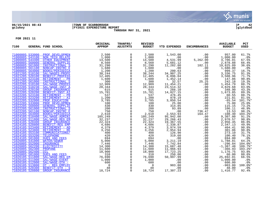

# **06/15/2021 08:43 |TOWN OF SCARBOROUGH |P 42 gclukey |FY2021 EXPENDITURE REPORT |glytdbud THROUGH MAY 31, 2021**



| 7100 |                                    | GENERAL FUND SCHOOL                              | ORIGINAL<br><b>APPROP</b>                                                                                                                                                                                                                                  | TRANFRS/<br><b>ADJSTMTS</b>                                                                                                                                                                    | <b>REVISED</b><br><b>BUDGET</b>                      | <b>YTD EXPENDED</b>                                                                                            | <b>ENCUMBRANCES</b>                                                                                                                                                                                                                                                      | <b>AVAILABLE</b><br><b>BUDGET</b>                                                                                                                                                              | PCT<br><b>USED</b> |
|------|------------------------------------|--------------------------------------------------|------------------------------------------------------------------------------------------------------------------------------------------------------------------------------------------------------------------------------------------------------------|------------------------------------------------------------------------------------------------------------------------------------------------------------------------------------------------|------------------------------------------------------|----------------------------------------------------------------------------------------------------------------|--------------------------------------------------------------------------------------------------------------------------------------------------------------------------------------------------------------------------------------------------------------------------|------------------------------------------------------------------------------------------------------------------------------------------------------------------------------------------------|--------------------|
|      |                                    | 71000005 533000 PROF DEVELOPMEN                  | AFFROPIENT 2,500<br>IRELATE 1,000<br>SUPPLIE 14,500<br>SUPPLIE 3,560<br>IRELATE 1,000<br>SUPPLIE 3,560<br>IRENT PROFES 31,290<br>IRENT PROFES<br>IRENT PROFES<br>SUPPLIE 1,200<br>ISURANCE 1,200<br>SUPPLIE 12,909<br>SUPPLIE 12,909<br>SUPPLIE 12,909<br> | $\mathsf{O}$                                                                                                                                                                                   | 2,500                                                | 1,543.00                                                                                                       | .00<br>$\begin{array}{cccc} .00&9\\ 0.00&1,0\\ 0.00&2,8\\ 0.00&2,8\\ 182.11&19,8\\ 0.00&1,6\\ 0.00&3,3\\ 0.00&3,3\\ 0.00&3,3\\ 0.00&1\\ 4,4&3\\ 0.00&1,6\\ 0.00&1,6\\ 0.00&1,6\\ 0.00&2,0\\ 0.00&1\\ 0.00&1\\ 0.00&2\\ 0.00&1\\ 0.00&2,9\\ 0.00&2,9\\ 0.00&2,9\\ 0.00&2$ | 957.00                                                                                                                                                                                         | 61.7%              |
|      | 71000005 543100                    | NON TECH RELATE                                  |                                                                                                                                                                                                                                                            | $\mathsf{O}$                                                                                                                                                                                   |                                                      | $00$<br>4,531.99<br>5,681.12                                                                                   |                                                                                                                                                                                                                                                                          |                                                                                                                                                                                                | .0%                |
|      | 71000005 544400                    | OTHER EQUIPMENT                                  |                                                                                                                                                                                                                                                            | $\mathsf{O}\xspace$                                                                                                                                                                            | $1,000$<br>$14,500$                                  |                                                                                                                |                                                                                                                                                                                                                                                                          | 1,000.00<br>4,706.01                                                                                                                                                                           | 67.5%              |
|      | 71000005 560000                    | <b>GENERAL SUPPLIE</b>                           |                                                                                                                                                                                                                                                            | $\overline{0}$                                                                                                                                                                                 | 8,560                                                | 5,681.12                                                                                                       |                                                                                                                                                                                                                                                                          | 2,878.88                                                                                                                                                                                       | 66.4%              |
|      | 71000005 561000                    | INSTRUCTIONAL S                                  |                                                                                                                                                                                                                                                            |                                                                                                                                                                                                | 31,290                                               | 11,282.80                                                                                                      |                                                                                                                                                                                                                                                                          | 19,825.09                                                                                                                                                                                      | 36.6%              |
|      | 71000005 561100                    | NONCAP-INSTRC E                                  |                                                                                                                                                                                                                                                            | $\overline{0}$<br>0                                                                                                                                                                            | 1,680                                                | 200.63                                                                                                         |                                                                                                                                                                                                                                                                          | 1,680.00                                                                                                                                                                                       | .0%                |
|      | 71000005 564000                    | <b>BOOKS/PERIODICA</b>                           |                                                                                                                                                                                                                                                            |                                                                                                                                                                                                | 1,200                                                | $\begin{array}{cccc}\n & 34, & 907.25 \\  & 8, & 896.04 \\  & 1, & 452.14 \\  & 32.57 \\  & 4.21\n\end{array}$ |                                                                                                                                                                                                                                                                          | 999.37                                                                                                                                                                                         | 16.7%              |
|      | 71021205 510100                    | SAL/WAGES-PROFE                                  |                                                                                                                                                                                                                                                            | $\overline{0}$<br>0                                                                                                                                                                            | 38, 244                                              |                                                                                                                |                                                                                                                                                                                                                                                                          | 3,336.75                                                                                                                                                                                       | 91.3%              |
|      | 71021205 520100                    | <b>BENEFIT-PROFESS</b>                           |                                                                                                                                                                                                                                                            |                                                                                                                                                                                                | 12,405                                               |                                                                                                                |                                                                                                                                                                                                                                                                          | 3,508.96                                                                                                                                                                                       | 71.7%              |
|      | 71021205 523100                    | RETIREMENT - PR                                  |                                                                                                                                                                                                                                                            | $\overline{0}$<br>0                                                                                                                                                                            | $\frac{1}{1}$ , 600                                  |                                                                                                                |                                                                                                                                                                                                                                                                          | 147.86                                                                                                                                                                                         | 90.8%              |
|      | 71021205 561000                    | INSTRUCTIONAL S                                  |                                                                                                                                                                                                                                                            |                                                                                                                                                                                                | 300                                                  |                                                                                                                |                                                                                                                                                                                                                                                                          | 242.18                                                                                                                                                                                         | 19.3%              |
|      | 71022205 510100                    | SAL/WAGE-PROFES                                  |                                                                                                                                                                                                                                                            | $\overline{0}$<br>$\overline{0}$                                                                                                                                                               | 12,909                                               | 11,454.21                                                                                                      |                                                                                                                                                                                                                                                                          | 1,454.79                                                                                                                                                                                       | 88.7%              |
|      | 71022205 510230<br>71022205 520100 | SAL/WAGE-INST A                                  |                                                                                                                                                                                                                                                            | $\check{0}$                                                                                                                                                                                    | 28,344<br>615                                        | 23,514.32<br>266.10                                                                                            |                                                                                                                                                                                                                                                                          | 4,829.68<br>348.90                                                                                                                                                                             | 83.0%              |
|      | 71022205 520200                    | <b>GROUP INSURANCE</b><br><b>BENEFIT-INST AI</b> |                                                                                                                                                                                                                                                            |                                                                                                                                                                                                | 15,701                                               | 14,027.15                                                                                                      |                                                                                                                                                                                                                                                                          | 1,673.85                                                                                                                                                                                       | 43.3%<br>89.3%     |
|      | 71022205 523100                    | RETIREMENT - PR                                  |                                                                                                                                                                                                                                                            | $\overline{0}$<br>0                                                                                                                                                                            | 537                                                  |                                                                                                                |                                                                                                                                                                                                                                                                          | 60.55                                                                                                                                                                                          | 88.7%              |
|      | 71022205 523200                    | RETIREMENT - AI                                  |                                                                                                                                                                                                                                                            |                                                                                                                                                                                                | 1,200                                                | $\frac{476.45}{978.19}$                                                                                        |                                                                                                                                                                                                                                                                          | 221.81                                                                                                                                                                                         | 81.5%              |
|      | 71022205 532000                    | PROF EDUCATION                                   |                                                                                                                                                                                                                                                            | $\overline{0}$<br>0                                                                                                                                                                            | 3,785                                                | 978.19<br>3,850.54                                                                                             |                                                                                                                                                                                                                                                                          | $-65.54$                                                                                                                                                                                       | 101.7%*            |
|      | 71022205 533000                    | PROF DEVELOPMEN                                  |                                                                                                                                                                                                                                                            | $\mathsf{O}\xspace$                                                                                                                                                                            | 100                                                  | 25.00                                                                                                          |                                                                                                                                                                                                                                                                          | 75.00                                                                                                                                                                                          | 25.0%              |
|      | 71022205 560000                    | <b>GENERAL SUPPLIE</b>                           |                                                                                                                                                                                                                                                            | $\overline{0}$                                                                                                                                                                                 | 430                                                  | 314.85                                                                                                         |                                                                                                                                                                                                                                                                          | 115.15                                                                                                                                                                                         | 73.2%              |
|      | 71022205 561000                    | INSTRUCTIONAL S                                  |                                                                                                                                                                                                                                                            | $\overline{0}$                                                                                                                                                                                 | 200                                                  | 93.89                                                                                                          |                                                                                                                                                                                                                                                                          | 106.11                                                                                                                                                                                         | 46.9%              |
|      | 71022205 561100                    | NONCAP-INSTRC E                                  |                                                                                                                                                                                                                                                            | $\overline{0}$                                                                                                                                                                                 | 750                                                  | 93.89<br>00.<br>2,553.93<br>95,942.00                                                                          |                                                                                                                                                                                                                                                                          | 13.53                                                                                                                                                                                          | 98.2%              |
|      | 71022205 564000                    | <b>BOOKS/PERIODICA</b>                           |                                                                                                                                                                                                                                                            | $\begin{bmatrix} 0 \\ 0 \\ 0 \end{bmatrix}$                                                                                                                                                    | 2,610<br>105,249                                     |                                                                                                                |                                                                                                                                                                                                                                                                          | $\begin{array}{ccc} & & & & -1 \\ & & & & 9 \\ \text{J} & & & 2 \\ \text{J}0 & & & 2 \\ \text{.00} & & & \\ \text{.00} & & & \\ \text{.00} & & & \\ \text{.00} & & & \end{array}$<br>$-108.40$ | 104.2%*            |
|      | 71024105 510400                    | SAL/WAGE-ADMINI                                  |                                                                                                                                                                                                                                                            |                                                                                                                                                                                                |                                                      | 95,942.00                                                                                                      |                                                                                                                                                                                                                                                                          | 9,307.00                                                                                                                                                                                       | 91.2%              |
|      | 71024105 511800                    | SAL/WAGE-REG EM                                  |                                                                                                                                                                                                                                                            |                                                                                                                                                                                                | 32,237                                               |                                                                                                                |                                                                                                                                                                                                                                                                          | 2,970.57                                                                                                                                                                                       | 90.8%              |
|      | 71024105 520400                    | <b>GROUP INSURANCE</b>                           |                                                                                                                                                                                                                                                            | $\overline{0}$<br>0                                                                                                                                                                            | 22,324                                               |                                                                                                                |                                                                                                                                                                                                                                                                          | 2,956.45                                                                                                                                                                                       | 86.8%              |
|      | 71024105 520800                    | <b>BENEFIT-REG EMP</b>                           |                                                                                                                                                                                                                                                            |                                                                                                                                                                                                | $22, 324$<br>4,686<br>4,379<br>3,256                 | 29,266.43<br>19,367.55<br>2,338.87                                                                             |                                                                                                                                                                                                                                                                          | 2,347.13                                                                                                                                                                                       | 49.9%              |
|      | 71024105 523400                    | RETIREMENT - AD                                  |                                                                                                                                                                                                                                                            | $\overline{0}$<br>0                                                                                                                                                                            |                                                      | $3,974.59$<br>2,954.94                                                                                         |                                                                                                                                                                                                                                                                          | 404.41                                                                                                                                                                                         | 90.8%              |
|      | 71024105 523800                    | RETIREMENT - RE                                  |                                                                                                                                                                                                                                                            |                                                                                                                                                                                                |                                                      |                                                                                                                |                                                                                                                                                                                                                                                                          | 301.06                                                                                                                                                                                         | 90.8%              |
|      | 71024105 553100                    | COMMUNICATIONS/                                  |                                                                                                                                                                                                                                                            | $\overline{0}$                                                                                                                                                                                 | 400                                                  | 126.90                                                                                                         |                                                                                                                                                                                                                                                                          | 273.10                                                                                                                                                                                         | 31.7%              |
|      | 71024105 553200                    | <b>TELEPHONE</b>                                 |                                                                                                                                                                                                                                                            | $\overline{0}$<br>0                                                                                                                                                                            | 420                                                  | 319.60                                                                                                         |                                                                                                                                                                                                                                                                          | 100.40                                                                                                                                                                                         | 76.1%              |
|      | 71024105 581000                    | <b>DUES AND FEES</b>                             |                                                                                                                                                                                                                                                            |                                                                                                                                                                                                | $\begin{array}{r} 694 \\ 5,000 \\ 7,446 \end{array}$ | .00<br>00 .<br>3,211.19 .<br>7,742.84 .<br>15,687.48                                                           |                                                                                                                                                                                                                                                                          | 694.00                                                                                                                                                                                         | .0%                |
|      | 71026005 541000                    | WATER/SEWER                                      |                                                                                                                                                                                                                                                            |                                                                                                                                                                                                |                                                      |                                                                                                                |                                                                                                                                                                                                                                                                          | 1,788.81                                                                                                                                                                                       | 64.2%              |
|      | 71026005 552000                    | <b>INSURANCE</b>                                 |                                                                                                                                                                                                                                                            |                                                                                                                                                                                                |                                                      |                                                                                                                |                                                                                                                                                                                                                                                                          | $-296.84$                                                                                                                                                                                      | 104.0%*            |
|      | 71026005 562200<br>71026005 562300 | ELECTRICITY<br>PROPANE                           |                                                                                                                                                                                                                                                            |                                                                                                                                                                                                |                                                      | 15,687.48                                                                                                      |                                                                                                                                                                                                                                                                          | $-1,387.48$<br>$-366.93$                                                                                                                                                                       | 109.7%*            |
|      | 71026005 562400                    | <b>OIL</b>                                       |                                                                                                                                                                                                                                                            |                                                                                                                                                                                                |                                                      | 11,966.93<br>17,723.25                                                                                         |                                                                                                                                                                                                                                                                          |                                                                                                                                                                                                | 103.2%*<br>93.8%   |
|      | 71026005 581000                    | <b>DUES AND FEES</b>                             |                                                                                                                                                                                                                                                            |                                                                                                                                                                                                |                                                      | 250.00                                                                                                         |                                                                                                                                                                                                                                                                          | 1,176.75<br>60.00                                                                                                                                                                              | 80.6%              |
|      | 71026105 511800                    | SAL/WAGE-REG EM                                  |                                                                                                                                                                                                                                                            |                                                                                                                                                                                                |                                                      | 50,997.99                                                                                                      |                                                                                                                                                                                                                                                                          |                                                                                                                                                                                                | 66.5%              |
|      | 71026105 511900                    | SAL/WAGE-EVENT                                   |                                                                                                                                                                                                                                                            |                                                                                                                                                                                                |                                                      |                                                                                                                |                                                                                                                                                                                                                                                                          | 25,692.01<br>1,000.00                                                                                                                                                                          | $.0\%$             |
|      | 71026105 512000                    | $SAL/WAGE-OTH$ -                                 |                                                                                                                                                                                                                                                            |                                                                                                                                                                                                |                                                      | .00<br>.00                                                                                                     |                                                                                                                                                                                                                                                                          |                                                                                                                                                                                                | .0%                |
|      | 71026105 513800                    | OT - REG EMPLOY                                  |                                                                                                                                                                                                                                                            |                                                                                                                                                                                                |                                                      | 903.80                                                                                                         |                                                                                                                                                                                                                                                                          |                                                                                                                                                                                                | $100.0$ *          |
|      | 71026105 520300                    | BENEFIT-OTH - S                                  |                                                                                                                                                                                                                                                            |                                                                                                                                                                                                |                                                      | .00                                                                                                            |                                                                                                                                                                                                                                                                          |                                                                                                                                                                                                | .0%                |
|      | 71026105 520800                    | <b>GROUP INSURANCE</b>                           |                                                                                                                                                                                                                                                            | $\begin{array}{ccc} 0 & 4204 \ 0 & 5,000 \ 0 & 7,446 \ 0 & 14,300 \ 0 & 11,600 \ 0 & 18,900 \ 0 & 76,690 \ 0 & 76,690 \ 0 & 1,000 \ 0 & 600 \ 0 & 0 & 0 \ 0 & 0 & 48 \ 0 & 18,724 \end{array}$ |                                                      | 17,307.23                                                                                                      |                                                                                                                                                                                                                                                                          | $\begin{array}{ccc} .00 & & & & & 00 \ 00 & & & & -903.80 \ .00 & & & & 48.00 \ .00 & & & & 1.416.77 \ \end{array}$                                                                            | 92.4%              |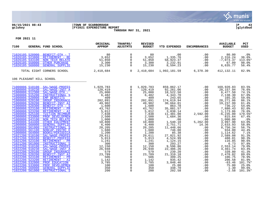

# **06/15/2021 08:43 |TOWN OF SCARBOROUGH |P 43 gclukey |FY2021 EXPENDITURE REPORT |glytdbud THROUGH MAY 31, 2021**



| 7100 |                                                                                                                                                                                                                                                                                                                                                                                                                                                                                         | <b>GENERAL FUND SCHOOL</b>                                                                                                                                                                                                                                                                                                                                                                                                                                                                                                                                                            | ORIGINAL<br><b>APPROP</b>                                                                                                                                                                                                                                                                  | TRANFRS/<br><b>ADJSTMTS</b>                                                                                                                                                                                                                                                                                                                                                                                                                                  | <b>REVISED</b><br><b>BUDGET</b>                                                                                                                                                                                                                   | <b>YTD EXPENDED</b>                                                                                                                                                                                                                                                                                             | <b>ENCUMBRANCES</b>                                                                                                                                                                                 | <b>AVAILABLE</b><br><b>BUDGET</b>                                                                                                                                                                                                                                                                            | PCT<br><b>USED</b>                                                                                                                                                                                                                    |
|------|-----------------------------------------------------------------------------------------------------------------------------------------------------------------------------------------------------------------------------------------------------------------------------------------------------------------------------------------------------------------------------------------------------------------------------------------------------------------------------------------|---------------------------------------------------------------------------------------------------------------------------------------------------------------------------------------------------------------------------------------------------------------------------------------------------------------------------------------------------------------------------------------------------------------------------------------------------------------------------------------------------------------------------------------------------------------------------------------|--------------------------------------------------------------------------------------------------------------------------------------------------------------------------------------------------------------------------------------------------------------------------------------------|--------------------------------------------------------------------------------------------------------------------------------------------------------------------------------------------------------------------------------------------------------------------------------------------------------------------------------------------------------------------------------------------------------------------------------------------------------------|---------------------------------------------------------------------------------------------------------------------------------------------------------------------------------------------------------------------------------------------------|-----------------------------------------------------------------------------------------------------------------------------------------------------------------------------------------------------------------------------------------------------------------------------------------------------------------|-----------------------------------------------------------------------------------------------------------------------------------------------------------------------------------------------------|--------------------------------------------------------------------------------------------------------------------------------------------------------------------------------------------------------------------------------------------------------------------------------------------------------------|---------------------------------------------------------------------------------------------------------------------------------------------------------------------------------------------------------------------------------------|
|      | 71026105 520900<br>71026105 523800<br>71026105 543100<br>71026105 550000<br>71026105 560000                                                                                                                                                                                                                                                                                                                                                                                             | BENEFIT-OTH - T<br>RETIREMENT - RE<br>NON TECH RELATE<br><b>OTHER PURCHASE</b><br><b>GENERAL SUPPLIE</b>                                                                                                                                                                                                                                                                                                                                                                                                                                                                              | $\begin{array}{r} 80 \\ 3,652 \\ 51,850 \\ 3,300 \\ 15,230 \end{array}$                                                                                                                                                                                                                    | $\mathbf 0$<br>0<br>0<br>$\mathsf{O}$<br>$\Omega$                                                                                                                                                                                                                                                                                                                                                                                                            | 80<br>3,652<br>51,850<br>3,300<br>15,230                                                                                                                                                                                                          | .00<br>1,335.76<br>58,923.37<br>3,232.91<br>8,594.23                                                                                                                                                                                                                                                            | .00<br>.00<br>.00<br>.00<br>.00                                                                                                                                                                     | 80.00<br>2,316.24<br>$-7,073.37$<br>67.09<br>6,635.77                                                                                                                                                                                                                                                        | .0%<br>36.6%<br>113.6%*<br>98.0%<br>56.4%                                                                                                                                                                                             |
|      |                                                                                                                                                                                                                                                                                                                                                                                                                                                                                         | TOTAL EIGHT CORNERS SCHOOL                                                                                                                                                                                                                                                                                                                                                                                                                                                                                                                                                            | 2,410,684                                                                                                                                                                                                                                                                                  | $\Omega$                                                                                                                                                                                                                                                                                                                                                                                                                                                     | 2,410,684                                                                                                                                                                                                                                         |                                                                                                                                                                                                                                                                                                                 | 1,992,181.59 6,370.30                                                                                                                                                                               | 412, 132. 11                                                                                                                                                                                                                                                                                                 | 82.9%                                                                                                                                                                                                                                 |
|      | 106 PLEASANT HILL SCHOOL                                                                                                                                                                                                                                                                                                                                                                                                                                                                |                                                                                                                                                                                                                                                                                                                                                                                                                                                                                                                                                                                       |                                                                                                                                                                                                                                                                                            |                                                                                                                                                                                                                                                                                                                                                                                                                                                              |                                                                                                                                                                                                                                                   |                                                                                                                                                                                                                                                                                                                 |                                                                                                                                                                                                     |                                                                                                                                                                                                                                                                                                              |                                                                                                                                                                                                                                       |
|      | 71000006 510230<br>71000006 512300<br>71000006 515200<br>71000006 520000<br>71000006 520100<br>71000006 520200<br>71000006 520300<br>71000006 523100<br>71000006 523200<br>71000006 525100<br>71000006 533000<br>71000006 543100<br>71000006 544400<br>71000006 560000<br>71000006 561000<br>71000006 561100<br>71000006 564000<br>71021206 510100<br>71021206 520100<br>71021206 523100<br>71021206 561000<br>71022206 510100<br>71022206 510230<br>71022206 520100<br>71022206 520200 | 71000006 510100 SAL/WAGE-PROFES<br>SAL/WAGE-INST A<br>SAL/WAGE-OTH -<br>INSTRUCTIONAL S<br><b>EMP BENEFITS</b><br><b>GROUP INSURANCE</b><br><b>BENEFIT-INST AI</b><br>BENEFIT-OTH - S<br>RETIREMENT - PR<br>RETIREMENT - AI<br>TUITION REIMBUR<br>PROF DEVELOPMEN<br>NON TECH RELATE<br><b>OTHER EQUIPMENT</b><br><b>GENERAL SUPPLIE</b><br>INSTRUCTIONAL S<br>NONCAP-INSTRC E<br><b>BOOKS/PERIODICA</b><br>SAL/WAGE-PROFES<br><b>BENEFIT-PROFESS</b><br>RETIREMENT - PR<br>INSTRUCTIONAL S<br>SAL/WAGE-PROFES<br>SAL/WAGE-INST A<br><b>GROUP INSURANCE</b><br><b>BENEFIT-INST AI</b> | 1,029,783<br>120,419<br>25,000<br>$\begin{array}{r} 23,000 \\ 6,482 \\ 409 \\ 202,891 \end{array}$<br>49,902<br>1,600<br>43,762<br>5,012<br>7,838<br>2,500<br>1,000<br>10,800<br>6,400<br>20,205<br>1,680<br>1,200<br>29,611<br>5,013<br>1,241<br>300<br>12,150<br>26,948<br>579<br>23,789 | $\overline{0}$<br>$\mathbf{0}$<br>$\mathbf 0$<br>$\mathbf 0$<br>$\mathsf{O}\xspace$<br>$\mathsf{O}$<br>$\mathsf 0$<br>$\mathsf{O}\xspace$<br>$\mathsf{O}\xspace$<br>$\ddot{\mathbf{0}}$<br>$\mathbf 0$<br>$\mathsf{O}\xspace$<br>$\mathsf{O}$<br>$\overline{0}$<br>$\mathsf 0$<br>$\mathsf 0$<br>$\mathsf 0$<br>$\mathsf{O}\xspace$<br>$\mathbf 0$<br>$\mathbf 0$<br>$\mathbf 0$<br>$\mathsf{O}\xspace$<br>$\mathbf 0$<br>$\mathsf{O}\xspace$<br>$\mathbf 0$ | 1,029,783<br>120,419<br>25,000<br>6,482<br>409<br>202,891<br>49,902<br>1,600<br>43,762<br>5,012<br>7,838<br>2,500<br>1,000<br>10,800<br>6,400<br>20,205<br>1,680<br>1,200<br>29,611<br>5,013<br>1,241<br>300<br>12,150<br>26,948<br>579<br>23,789 | 859,862.17<br>92,261.06<br>18,522.50<br>4,343.70<br>243.65<br>174,619.94<br>30,664.01<br>863.78<br>35,881.57<br>3,838.14<br>11,481.00<br>1,684.36<br>.00<br>1,540.10<br>3,751.71<br>11,448.66<br>746.00<br>85.38<br>27,021.92<br>4,524.99<br>1,124.15<br>293.27<br>9,596.86<br>22,486.26<br>239.20<br>21,310.18 | .00<br>.00<br>.00<br>.00<br>.00<br>.00<br>$.00 \,$<br>.00<br>.00<br>.00<br>2,592.00<br>.00<br>.00<br>5,262.00<br>14.36<br>.00<br>.00<br>.00<br>.00<br>.00<br>.00<br>.00<br>.00<br>.00<br>.00<br>.00 | 169,920.83<br>28,157.94<br>6,477.50<br>2,138.30<br>165.35<br>28, 271.06<br>19,237.99<br>736.22<br>7,880.43<br>1,173.86<br>$-6, 235.00$<br>815.64<br>1,000.00<br>3,997.90<br>2,633.93<br>8,756.34<br>934.00<br>1,114.62<br>2,589.08<br>488.01<br>116.85<br>6.73<br>2,553.14<br>4,461.74<br>339.80<br>2,478.82 | 83.5%<br>76.6%<br>74.1%<br>67.0%<br>59.6%<br>86.1%<br>61.4%<br>54.0%<br>82.0%<br>76.6%<br>179.5%*<br>67.4%<br>.0%<br>63.0%<br>58.8%<br>56.7%<br>44.4%<br>7.1%<br>91.3%<br>90.3%<br>90.6%<br>97.8%<br>79.0%<br>83.4%<br>41.3%<br>89.6% |
|      | 71022206 523100<br>71022206 523200<br>71022206 532000<br>71022206 533000<br>71022206 560000<br>71022206 561000                                                                                                                                                                                                                                                                                                                                                                          | RETIREMENT - PR<br>RETIREMENT - AI<br>PROF EDUCATION<br>PROF DEVELOPMEN<br><b>GENERAL SUPPLIE</b><br>INSTRUCTIONAL S                                                                                                                                                                                                                                                                                                                                                                                                                                                                  | 506<br>1,142<br>3,785<br>100<br>350<br>200                                                                                                                                                                                                                                                 | $\mathsf{O}\xspace$<br>$\ddot{\mathbf{0}}$<br>$\mathsf{O}\xspace$<br>$\mathsf{O}$<br>$\mathbf 0$<br>$\Omega$                                                                                                                                                                                                                                                                                                                                                 | 506<br>1,142<br>3,785<br>100<br>350<br>200                                                                                                                                                                                                        | 399.25<br>935.42<br>3,848.46<br>25.00<br>348.70<br>202.58                                                                                                                                                                                                                                                       | .00<br>.00<br>.00<br>.00<br>.00<br>.00                                                                                                                                                              | 106.75<br>206.58<br>$-63.46$<br>75.00<br>1.30<br>$-2.58$                                                                                                                                                                                                                                                     | 78.9%<br>81.9%<br>101.7%*<br>25.0%<br>99.6%<br>101.3%*                                                                                                                                                                                |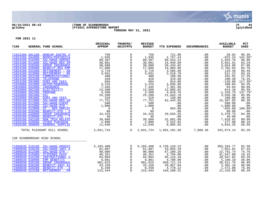

# **06/15/2021 08:43 |TOWN OF SCARBOROUGH |P 44 gclukey |FY2021 EXPENDITURE REPORT |glytdbud THROUGH MAY 31, 2021**



| 7100                                                                                                                                                                                                                                                                                                                                                                                                                                                                                                                          | GENERAL FUND SCHOOL                                                                                                                                                                                                                                                                                                                                                                                                                                                                                                                              | ORIGINAL<br><b>APPROP</b>                                                                                                                                                                                                                                                                                                                                                                                                                                                                                                                      | TRANFRS/<br>ADJSTMTS                                                                                                                                                                                                                                                                                                                                                                                                   | <b>REVISED</b><br><b>BUDGET</b>                                                                                                                                                                                                     | YTD EXPENDED                                                                                                                                                                                                                                                                                               | <b>ENCUMBRANCES</b>                                                                                                                                                                       | <b>AVAILABLE</b><br><b>BUDGET</b>                                                                                                                                                                                                                                                                         | PCT<br><b>USED</b>                                                                                                                                                                                                                                   |
|-------------------------------------------------------------------------------------------------------------------------------------------------------------------------------------------------------------------------------------------------------------------------------------------------------------------------------------------------------------------------------------------------------------------------------------------------------------------------------------------------------------------------------|--------------------------------------------------------------------------------------------------------------------------------------------------------------------------------------------------------------------------------------------------------------------------------------------------------------------------------------------------------------------------------------------------------------------------------------------------------------------------------------------------------------------------------------------------|------------------------------------------------------------------------------------------------------------------------------------------------------------------------------------------------------------------------------------------------------------------------------------------------------------------------------------------------------------------------------------------------------------------------------------------------------------------------------------------------------------------------------------------------|------------------------------------------------------------------------------------------------------------------------------------------------------------------------------------------------------------------------------------------------------------------------------------------------------------------------------------------------------------------------------------------------------------------------|-------------------------------------------------------------------------------------------------------------------------------------------------------------------------------------------------------------------------------------|------------------------------------------------------------------------------------------------------------------------------------------------------------------------------------------------------------------------------------------------------------------------------------------------------------|-------------------------------------------------------------------------------------------------------------------------------------------------------------------------------------------|-----------------------------------------------------------------------------------------------------------------------------------------------------------------------------------------------------------------------------------------------------------------------------------------------------------|------------------------------------------------------------------------------------------------------------------------------------------------------------------------------------------------------------------------------------------------------|
| 71022206 561100<br>71022206 564000<br>71024106 510400<br>71024106 511800<br>71024106 520400<br>71024106 520800<br>71024106 523400<br>71024106 523800<br>71024106 553100<br>71024106 553200<br>71024106 581000<br>71026006 541000<br>71026006 552000<br>71026006 562200<br>71026006 562300<br>71026006 562400<br>71026006 581000<br>71026106 511800<br>71026106 511900<br>71026106 512000<br>71026106 513800<br>71026106 520300<br>71026106 520800<br>71026106 520900<br>71026106 543100<br>71026106 550000<br>71026106 560000 | NONCAP-INSTRC E<br><b>BOOKS/PERIODICA</b><br>SAL/WAGE-ADMINI<br>SAL/WAGE-REG EM<br><b>GROUP INSURANCE</b><br><b>BENEFIT-REG EMP</b><br>RETIREMENT - AD<br>RETIREMENT - RE<br>COMMUNICATIONS/<br>TELEPHONE<br>DUES AND FEES<br><b>WATER/SEWERAGE</b><br><b>INSURANCE</b><br><b>ELECTRICITY</b><br>PROPANE<br>OIL<br>DUES AND FEES<br>SAL/WAGE-REG EM<br>SAL/WAGE-EVENT<br>SAL/WAGE-OTH -<br>OT - REG EMPLOY<br>BENEFIT-OTH - S<br><b>GROUP INSURANCE</b><br>BENEFIT-OTH - T<br>NON TECH RELATE<br><b>OTHER PURCHASE</b><br><b>GENERAL SUPPLIE</b> | $\begin{array}{c} 750 \\ 1,935 \\ 89 \end{array}$<br>30,001<br>30,088<br>17,686<br>3,719<br>3,031<br>$\begin{array}{c cc} \texttt{E} & & 3\, , 031\, \\ \hline \texttt{400} & & 420\, \\ \texttt{52} & & 3\, , 225\, \\ \texttt{694} & & 3\, , 225\, \\ \texttt{7}\, , 445\, \\ \texttt{8}\, , 500\, \\ \texttt{9}\, \\ \texttt{1}\, , 000\, \\ \texttt{1}\, , 000\, \\ \texttt{1}\, \\ \texttt{1}\, \\ \texttt{1}\, \\ \texttt{1}\, \\ \texttt{2}\, \\ \texttt{3}\, \\ \texttt{3}\, \\ \texttt{$<br>34,415<br>40<br>39,600<br>2,800<br>11,640 | $\mathbf 0$<br>$\mathbf 0$<br>$\mathbf 0$<br>$\mathbf 0$<br>$\mathsf{O}$<br>$\mathbf 0$<br>$\Omega$<br>$\mathsf 0$<br>$\mathsf{O}$<br>$\mathsf{O}$<br>$\mathbf 0$<br>$\mathsf{O}$<br>$\mathsf{O}$<br>$\mathbf 0$<br>$\mathsf{O}$<br>$\mathsf{O}$<br>$\mathbf 0$<br>$\mathbf 0$<br>$\mathsf 0$<br>$\mathbf 0$<br>$\mathsf 0$<br>$\mathsf 0$<br>$\overline{0}$<br>$\mathsf{O}$<br>$\mathbf 0$<br>$\mathbf 0$<br>$\Omega$ | 750<br>1,935<br>89,397<br>30,001<br>30,088<br>17,686<br>3,719<br>3,031<br>400<br>420<br>694<br>3,225<br>7,445<br>13,500<br>3,500<br>25,200<br>310<br>77,751<br>500<br>1,000<br>0<br>80<br>34,415<br>40<br>39,600<br>2,800<br>11,640 | 721.98<br>2,757.24<br>86,553.22<br>24,949.09<br>26, 433.02<br>14,983.96<br>3,585.60<br>2,519.78<br>108.99<br>319.60<br>814.00<br>3,036.96<br>7,361.96<br>12,885.82<br>4,818.76<br>21,643.70<br>150.00<br>62,443.95<br>.00<br>.00<br>855.00<br>.00<br>29,035.25<br>.00<br>31,681.08<br>2,522.92<br>6,805.65 | .00<br>.00<br>.00<br>.00<br>.00<br>.00<br>.00<br>.00<br>.00<br>.00<br>.00<br>.00<br>.00<br>.00<br>.00<br>.00<br>.00<br>.00<br>.00<br>.00<br>.00<br>.00<br>.00<br>.00<br>.00<br>.00<br>.00 | 28.02<br>$-822.24$<br>2,843.78<br>5,051.91<br>3,654.98<br>2,702.04<br>133.40<br>511.22<br>291.01<br>100.40<br>$-120.00$<br>188.04<br>83.04<br>614.18<br>$-1,318.76$<br>3,556.30<br>160.00<br>15,307.05<br>500.00<br>1,000.00<br>$-855.00$<br>80.00<br>5,379.75<br>40.00<br>7,918.92<br>277.08<br>4,834.35 | 96.3%<br>142.5%*<br>96.8%<br>83.2%<br>87.9%<br>84.7%<br>96.4%<br>83.1%<br>27.2%<br>76.1%<br>$117.3$ *<br>94.2%<br>98.9%<br>95.5%<br>137.7%*<br>85.9%<br>48.4%<br>80.3%<br>.0%<br>.0%<br>100.0%*<br>.0%<br>84.4%<br>$.0\%$<br>80.0%<br>90.1%<br>58.5% |
|                                                                                                                                                                                                                                                                                                                                                                                                                                                                                                                               | TOTAL PLEASANT HILL SCHOOL                                                                                                                                                                                                                                                                                                                                                                                                                                                                                                                       | 2,041,724                                                                                                                                                                                                                                                                                                                                                                                                                                                                                                                                      | $\overline{0}$                                                                                                                                                                                                                                                                                                                                                                                                         | 2,041,724                                                                                                                                                                                                                           |                                                                                                                                                                                                                                                                                                            | 1,691,181.50 7,868.36                                                                                                                                                                     | 342,674.14                                                                                                                                                                                                                                                                                                | 83.2%                                                                                                                                                                                                                                                |
| 130 SCARBOROUGH HIGH SCHOOL                                                                                                                                                                                                                                                                                                                                                                                                                                                                                                   |                                                                                                                                                                                                                                                                                                                                                                                                                                                                                                                                                  |                                                                                                                                                                                                                                                                                                                                                                                                                                                                                                                                                |                                                                                                                                                                                                                                                                                                                                                                                                                        |                                                                                                                                                                                                                                     |                                                                                                                                                                                                                                                                                                            |                                                                                                                                                                                           |                                                                                                                                                                                                                                                                                                           |                                                                                                                                                                                                                                                      |
| 71000030 510230<br>71000030 512300<br>71000030 515000<br>71000030 515200<br>71000030 520000<br>71000030 520100<br>71000030 520200<br>71000030 520300<br>71000030 523100                                                                                                                                                                                                                                                                                                                                                       | 71000030 510100 SAL/WAGE-PROFES<br>SAL/WAGE-INST A<br>SAL/WAGE-OTH -<br>STIPENDS PAID<br>INSTRUCTIONAL S<br><b>EMP BENEFITS</b><br><b>GROUP INSURANCE</b><br><b>BENEFIT-INST AI</b><br>BENEFIT-OTH - S<br>RETIREMENT - PR                                                                                                                                                                                                                                                                                                                        | 5,103,408<br>61,807<br>90,000<br>46,351<br>94,064<br>9,801<br>981,623<br>33,159<br>6,250<br>215,444                                                                                                                                                                                                                                                                                                                                                                                                                                            | $\overline{0}$<br>$\mathbf 0$<br>$\overline{0}$<br>$\overline{0}$<br>$\mathbf 0$<br>$\mathbf 0$<br>$\mathbf 0$<br>$\mathbf 0$<br>$\mathsf{O}$<br>$\Omega$                                                                                                                                                                                                                                                              | 5,103,408<br>61,807<br>90,000<br>46,351<br>94,064<br>9,801<br>981,623<br>33,159<br>6,250<br>215,444                                                                                                                                 | 4,720,143.23<br>53,855.19<br>67,208.26<br>4,704.00<br>65, 116. 18<br>4,700.90<br>950,711.24<br>29,857.84<br>4,778.12<br>194,288.31                                                                                                                                                                         | .00<br>.00<br>.00<br>.00<br>.00<br>.00<br>.00<br>.00<br>$.00 \,$<br>.00                                                                                                                   | 383, 264. 77<br>7,951.81<br>22,791.74<br>41,647.00<br>28,947.82<br>5,100.10<br>30,911.76<br>3,301.16<br>1,471.88<br>21, 155.69                                                                                                                                                                            | 92.5%<br>87.1%<br>74.7%<br>10.1%<br>69.2%<br>48.0%<br>96.9%<br>90.0%<br>76.4%<br>90.2%                                                                                                                                                               |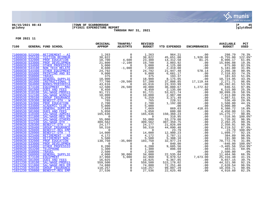

# **06/15/2021 08:43 |TOWN OF SCARBOROUGH |P 45 gclukey |FY2021 EXPENDITURE REPORT |glytdbud THROUGH MAY 31, 2021**



| 7100 |                                    | GENERAL FUND SCHOOL             | ORIGINAL<br><b>APPROP</b>                                                                                                                                                                                                                                                                                                                                                                                                                                         | TRANFRS/<br>ADJSTMTS                                                                                                                                                                                                                                                       | <b>REVISED</b><br><b>BUDGET</b>                                     | YTD EXPENDED                                                                                                                    | <b>ENCUMBRANCES</b>                                                                                                                                                                                                                                                | <b>AVAILABLE</b><br><b>BUDGET</b>                        | PCT<br><b>USED</b>  |
|------|------------------------------------|---------------------------------|-------------------------------------------------------------------------------------------------------------------------------------------------------------------------------------------------------------------------------------------------------------------------------------------------------------------------------------------------------------------------------------------------------------------------------------------------------------------|----------------------------------------------------------------------------------------------------------------------------------------------------------------------------------------------------------------------------------------------------------------------------|---------------------------------------------------------------------|---------------------------------------------------------------------------------------------------------------------------------|--------------------------------------------------------------------------------------------------------------------------------------------------------------------------------------------------------------------------------------------------------------------|----------------------------------------------------------|---------------------|
|      |                                    | 71000030 523200 RETIREMENT - AI | $\begin{tabular}{l c c c c} \hline & \multicolumn{4}{c}{\textbf{RFTIREMENT - AI}} & \multicolumn{4}{c}{\textbf{AFAVENT-}} & \multicolumn{4}{c}{\textbf{AFAVENT-}} \\ \hline \multicolumn{4}{c}{\textbf{RSTIRE MENT-}} & \multicolumn{4}{c}{\textbf{1}} & \textbf{263} \\ \hline \multicolumn{4}{c}{\textbf{PROF DECATION REIMENT}} & \textbf{38, 822} \\ \hline \multicolumn{4}{c}{\textbf{PROF DECATION}} & \textbf{18, 700} \\ \hline \multicolumn{4}{c}{\text$ | $\overline{0}$                                                                                                                                                                                                                                                             | 1,263                                                               | 964.21                                                                                                                          |                                                                                                                                                                                                                                                                    | 298.79                                                   | 76.3%               |
|      | 71000030 525100                    |                                 |                                                                                                                                                                                                                                                                                                                                                                                                                                                                   | $\begin{array}{c} 0 \\ 0 \\ 4,600 \\ -2,100 \end{array}$                                                                                                                                                                                                                   | 38,822                                                              | 45,651.00                                                                                                                       | 1,926.00                                                                                                                                                                                                                                                           | $-8,755.00$                                              | $122.6$ *           |
|      | 71000030 532000                    |                                 |                                                                                                                                                                                                                                                                                                                                                                                                                                                                   |                                                                                                                                                                                                                                                                            | 23,300                                                              | 14,312.58                                                                                                                       | $1,926.00$<br>81.25<br>0.0<br>.00<br>.00<br>.00<br>578.14<br>.00<br>.00<br>.00<br>.00<br>.00                                                                                                                                                                       | 0, 25.00<br>8, 906.17<br>15.806                          | 61.8%               |
|      | 71000030 533000                    |                                 |                                                                                                                                                                                                                                                                                                                                                                                                                                                                   |                                                                                                                                                                                                                                                                            | $19,700\n 5,000\n 7,600\n 24,792$                                   | $14,312.50$<br>3,803.92                                                                                                         |                                                                                                                                                                                                                                                                    |                                                          | 19.3%               |
|      | 71000030 534000                    |                                 |                                                                                                                                                                                                                                                                                                                                                                                                                                                                   | $\overline{0}$                                                                                                                                                                                                                                                             |                                                                     | 4,125.00                                                                                                                        |                                                                                                                                                                                                                                                                    | 875.00                                                   | 82.5%               |
|      | 71000030 543100                    | NON TECH RELATE                 |                                                                                                                                                                                                                                                                                                                                                                                                                                                                   | $-1,000$                                                                                                                                                                                                                                                                   |                                                                     | 2,419.00                                                                                                                        |                                                                                                                                                                                                                                                                    | 5,181.00                                                 | 31.8%               |
|      | 71000030 544400                    |                                 |                                                                                                                                                                                                                                                                                                                                                                                                                                                                   |                                                                                                                                                                                                                                                                            |                                                                     | 21,947.48                                                                                                                       |                                                                                                                                                                                                                                                                    | 2,266.38                                                 | 90.9%               |
|      | 71000030 555000                    |                                 |                                                                                                                                                                                                                                                                                                                                                                                                                                                                   | $\begin{matrix} 0 \\ 0 \\ 0 \\ 0 \end{matrix}$                                                                                                                                                                                                                             | $\begin{array}{cc} & & 9,00\cup \ 375\ 18,900\ 57,200\ \end{array}$ | 6,681.17                                                                                                                        |                                                                                                                                                                                                                                                                    | 2,318.83                                                 | 74.2%               |
|      | 71000030 558000                    |                                 |                                                                                                                                                                                                                                                                                                                                                                                                                                                                   |                                                                                                                                                                                                                                                                            |                                                                     | 193.37                                                                                                                          |                                                                                                                                                                                                                                                                    | 181.63                                                   | 51.6%               |
|      | 71000030 560000                    |                                 |                                                                                                                                                                                                                                                                                                                                                                                                                                                                   |                                                                                                                                                                                                                                                                            |                                                                     | 8,175.05                                                                                                                        |                                                                                                                                                                                                                                                                    | 10,724.95<br>2,271.71                                    | 43.3%               |
|      | 71000030 561000                    |                                 |                                                                                                                                                                                                                                                                                                                                                                                                                                                                   | $-20,500$                                                                                                                                                                                                                                                                  |                                                                     | 37,808.85<br>23,333.99<br>36,880.67                                                                                             |                                                                                                                                                                                                                                                                    |                                                          | 96.0%               |
|      | 71000030 564000<br>71000030 573100 |                                 |                                                                                                                                                                                                                                                                                                                                                                                                                                                                   | $\sim$ 0                                                                                                                                                                                                                                                                   | 43,616                                                              |                                                                                                                                 |                                                                                                                                                                                                                                                                    | 20, 282.01<br>846.51                                     | 53.5%<br>97.8%      |
|      | 71000030 581000                    |                                 |                                                                                                                                                                                                                                                                                                                                                                                                                                                                   | 26,500                                                                                                                                                                                                                                                                     | 39,000                                                              | 2,135.00                                                                                                                        |                                                                                                                                                                                                                                                                    |                                                          | 25.3%               |
|      | 71009530 510100                    |                                 |                                                                                                                                                                                                                                                                                                                                                                                                                                                                   |                                                                                                                                                                                                                                                                            | $\begin{array}{c} 8,450 \\ 91,721 \\ 10,000 \end{array}$            | 53,621.74                                                                                                                       |                                                                                                                                                                                                                                                                    | 6,315.00<br>38,099.26                                    | 58.5%               |
|      | 71009530 512100                    |                                 |                                                                                                                                                                                                                                                                                                                                                                                                                                                                   |                                                                                                                                                                                                                                                                            |                                                                     | 2,987.00                                                                                                                        |                                                                                                                                                                                                                                                                    |                                                          | 29.9%               |
|      | 71009530 520100                    |                                 |                                                                                                                                                                                                                                                                                                                                                                                                                                                                   |                                                                                                                                                                                                                                                                            |                                                                     | 3,371.49                                                                                                                        |                                                                                                                                                                                                                                                                    |                                                          | 64.1%               |
|      | 71009530 520300                    |                                 |                                                                                                                                                                                                                                                                                                                                                                                                                                                                   |                                                                                                                                                                                                                                                                            |                                                                     | 228.51                                                                                                                          |                                                                                                                                                                                                                                                                    |                                                          | $29.9$ <sup>8</sup> |
|      | 71009530 532000                    |                                 |                                                                                                                                                                                                                                                                                                                                                                                                                                                                   |                                                                                                                                                                                                                                                                            |                                                                     |                                                                                                                                 | .00                                                                                                                                                                                                                                                                |                                                          | 44.1%               |
|      | 71009530 534000                    |                                 |                                                                                                                                                                                                                                                                                                                                                                                                                                                                   |                                                                                                                                                                                                                                                                            |                                                                     | $1,192.00$<br>0.00                                                                                                              |                                                                                                                                                                                                                                                                    | $7,013.00$<br>1,887.51<br>536.49<br>1,508.00<br>5,000.00 | .0%                 |
|      | 71009530 560000                    |                                 |                                                                                                                                                                                                                                                                                                                                                                                                                                                                   | 26,500 39,000<br>0 8,450<br>0 91,721<br>0 10,000<br>0 5,259<br>0 2,700<br>0 5,050<br>0 5,050<br>0 55,050<br>0 55,000<br>0 55,000<br>0 309,562<br>0 24,177<br>0 309,562<br>0 14,000<br>0 4,172<br>-35,000<br>10 4,172<br>-35,000<br>10 4,172<br>-35,000<br>10 3,000<br>14,0 |                                                                     | 869.63                                                                                                                          |                                                                                                                                                                                                                                                                    | 1,508.00<br>5,000.00<br>6,380.72                         | 16.8%               |
|      | 71009530 581000                    |                                 |                                                                                                                                                                                                                                                                                                                                                                                                                                                                   |                                                                                                                                                                                                                                                                            |                                                                     | 600.00                                                                                                                          |                                                                                                                                                                                                                                                                    | 4,450.00                                                 | 11.9%               |
|      | 71009630 510400                    |                                 |                                                                                                                                                                                                                                                                                                                                                                                                                                                                   |                                                                                                                                                                                                                                                                            |                                                                     | 150,360.23                                                                                                                      |                                                                                                                                                                                                                                                                    | 15,275.77                                                | 90.8%               |
|      | 71009630 511800                    |                                 |                                                                                                                                                                                                                                                                                                                                                                                                                                                                   |                                                                                                                                                                                                                                                                            |                                                                     | 310.95                                                                                                                          |                                                                                                                                                                                                                                                                    | $-310.95$                                                | $100.0$ *           |
|      | 71009630 511900                    |                                 |                                                                                                                                                                                                                                                                                                                                                                                                                                                                   |                                                                                                                                                                                                                                                                            |                                                                     | לפ.טונ<br>53,279.08<br>רחי מפל דחד                                                                                              |                                                                                                                                                                                                                                                                    | 1,720.92                                                 | 96.9%               |
|      | 71009630 512100                    |                                 |                                                                                                                                                                                                                                                                                                                                                                                                                                                                   |                                                                                                                                                                                                                                                                            |                                                                     | 307,359.75                                                                                                                      |                                                                                                                                                                                                                                                                    | 2,202.25                                                 | 99.3%               |
|      | 71009630 520300                    |                                 |                                                                                                                                                                                                                                                                                                                                                                                                                                                                   |                                                                                                                                                                                                                                                                            |                                                                     | 21,826.09                                                                                                                       | .00                                                                                                                                                                                                                                                                | 2,350.91                                                 | 90.3%               |
|      | 71009630 520400                    |                                 |                                                                                                                                                                                                                                                                                                                                                                                                                                                                   |                                                                                                                                                                                                                                                                            |                                                                     | 44,090.48<br>$\begin{array}{c} 44\,, 090\, . \ 48\, \ 23\, . \ 79\, \ 12\, , 900\, . \ 23\, \ 3\, , 787\, . \ 11\, \end{array}$ |                                                                                                                                                                                                                                                                    | 6, 219.52                                                | 87.6%               |
|      | 71009630 520800<br>71009630 520900 |                                 |                                                                                                                                                                                                                                                                                                                                                                                                                                                                   |                                                                                                                                                                                                                                                                            |                                                                     |                                                                                                                                 | .00<br>.00                                                                                                                                                                                                                                                         | $-23.79$<br>1,099.77                                     | 100.0%*<br>92.1%    |
|      | 71009630 523400                    |                                 |                                                                                                                                                                                                                                                                                                                                                                                                                                                                   |                                                                                                                                                                                                                                                                            |                                                                     |                                                                                                                                 | .00                                                                                                                                                                                                                                                                | 384.89                                                   | 90.8%               |
|      | 71009630 523900                    |                                 |                                                                                                                                                                                                                                                                                                                                                                                                                                                                   |                                                                                                                                                                                                                                                                            | 5,500                                                               |                                                                                                                                 |                                                                                                                                                                                                                                                                    | 191.90                                                   | 96.5%               |
|      | 71009630 532000                    |                                 |                                                                                                                                                                                                                                                                                                                                                                                                                                                                   | $-35,000$                                                                                                                                                                                                                                                                  | 103,750                                                             | $5,308.10$<br>32,977.24<br>32,977.24<br>840.00<br>9,605.56<br>896.69                                                            |                                                                                                                                                                                                                                                                    | 70,772.76                                                | 31.8%               |
|      | 71009630 533000                    |                                 |                                                                                                                                                                                                                                                                                                                                                                                                                                                                   |                                                                                                                                                                                                                                                                            | 0 <sup>150</sup>                                                    |                                                                                                                                 |                                                                                                                                                                                                                                                                    |                                                          | $100.0$ *           |
|      | 71009630 534000                    |                                 |                                                                                                                                                                                                                                                                                                                                                                                                                                                                   | $\begin{matrix}0\\0\end{matrix}$                                                                                                                                                                                                                                           | $6,200$                                                             |                                                                                                                                 |                                                                                                                                                                                                                                                                    | $-840.00$<br>$-3.405.56$<br>$-3,405.56$                  | 154.9%*             |
|      | 71009630 553200                    |                                 |                                                                                                                                                                                                                                                                                                                                                                                                                                                                   | $\mathbf 0$                                                                                                                                                                                                                                                                |                                                                     |                                                                                                                                 |                                                                                                                                                                                                                                                                    | 403.31                                                   | 69.0%               |
|      | 71009630 558000                    |                                 |                                                                                                                                                                                                                                                                                                                                                                                                                                                                   | $\overline{0}$                                                                                                                                                                                                                                                             | $\frac{1}{2}$ , 300<br>2, 500                                       | .00                                                                                                                             |                                                                                                                                                                                                                                                                    | 2,500.00                                                 | .0%                 |
|      | 71009630 560000                    |                                 |                                                                                                                                                                                                                                                                                                                                                                                                                                                                   | 30,000                                                                                                                                                                                                                                                                     | 34,000                                                              |                                                                                                                                 |                                                                                                                                                                                                                                                                    | 11,464.96                                                | 66.3%               |
|      | 71009630 573100                    |                                 |                                                                                                                                                                                                                                                                                                                                                                                                                                                                   | $\begin{bmatrix} 5,000 \\ 5,000 \\ 0 \\ 0 \\ 0 \\ 0 \end{bmatrix}$                                                                                                                                                                                                         | 42,960                                                              | 22,535.04<br>9,970.52                                                                                                           | $1,272.82 \ 0.00 \ 0.00 \ 0.00 \ 0.00 \ 0.00 \ 0.00 \ 0.00 \ 0.00 \ 0.00 \ 0.00 \ 0.00 \ 0.00 \ 0.00 \ 0.00 \ 0.00 \ 0.00 \ 0.00 \ 0.00 \ 0.00 \ 0.00 \ 0.00 \ 0.00 \ 0.00 \ 0.00 \ 0.00 \ 0.00 \ 0.00 \ 0.00 \ 0.00 \ 0.00 \ 0.00 \ 0.00 \ 0.00 \ 0.00 \ 0.00 \ $ | 25, 316.48                                               | 41.1%               |
|      | 71009630 581000                    |                                 |                                                                                                                                                                                                                                                                                                                                                                                                                                                                   |                                                                                                                                                                                                                                                                            | 16,025                                                              | 6,367.85                                                                                                                        |                                                                                                                                                                                                                                                                    | 9,657.15                                                 | 39.7%               |
|      | 71021230 510100                    |                                 |                                                                                                                                                                                                                                                                                                                                                                                                                                                                   |                                                                                                                                                                                                                                                                            | 559,500                                                             | 515,178.02                                                                                                                      |                                                                                                                                                                                                                                                                    | 44,321.98                                                | 92.1%               |
|      | 71021230 511800                    |                                 |                                                                                                                                                                                                                                                                                                                                                                                                                                                                   |                                                                                                                                                                                                                                                                            | 74,880                                                              | 72, 251.46                                                                                                                      |                                                                                                                                                                                                                                                                    | 2,628.54                                                 | 96.5%               |
|      | 71021230 520100                    |                                 |                                                                                                                                                                                                                                                                                                                                                                                                                                                                   |                                                                                                                                                                                                                                                                            | 110,257                                                             | 99,897.29                                                                                                                       |                                                                                                                                                                                                                                                                    | 10,359.71                                                | 90.6%               |
|      | 71021230 520800                    |                                 |                                                                                                                                                                                                                                                                                                                                                                                                                                                                   |                                                                                                                                                                                                                                                                            | 27,536                                                              | 22,625.40                                                                                                                       |                                                                                                                                                                                                                                                                    | 4,910.60                                                 | 82.2%               |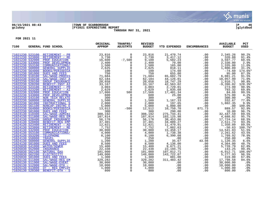

# **06/15/2021 08:43 |TOWN OF SCARBOROUGH |P 46 gclukey |FY2021 EXPENDITURE REPORT |glytdbud**



**THROUGH MAY 31, 2021**

| 7100                               |                 | GENERAL FUND SCHOOL                    | ORIGINAL<br><b>APPROP</b>                                                                                                                                                                                                 | TRANFRS/<br>ADJSTMTS  | <b>REVISED</b><br><b>BUDGET</b> | YTD EXPENDED             | <b>ENCUMBRANCES</b>                | <b>AVAILABLE</b><br><b>BUDGET</b> | PCT<br><b>USED</b> |
|------------------------------------|-----------------|----------------------------------------|---------------------------------------------------------------------------------------------------------------------------------------------------------------------------------------------------------------------------|-----------------------|---------------------------------|--------------------------|------------------------------------|-----------------------------------|--------------------|
|                                    |                 | 71021230 523100 RETIREMENT - PR        | 23,816                                                                                                                                                                                                                    | $\mathbf 0$           | 23,816                          | 21,470.74                | .00                                | 2,345.26                          | 90.2%              |
|                                    | 71021230 523800 | RETIREMENT - RE                        | $\begin{array}{r} 23\,,\,816\ 3\,,\,738\ 16\,,\,600\ 2\,,\,400\ 1\,,\,500\ 2\,,\,625\ \end{array}$                                                                                                                        | $\Omega$              | 3,738                           | 3,417.12                 | .00                                | 320.88                            | 91.4%              |
|                                    | 71021230 532000 | PROF EDUCATION                         |                                                                                                                                                                                                                           | $-7,500$              | 9,100                           | 5,502.23                 | .00                                | 3,597.77                          | 60.5%              |
|                                    | 71021230 533000 | PROF DEVELOPMEN                        |                                                                                                                                                                                                                           | $\mathbf{0}$          | 2,400                           | 70.00                    | .00                                | 2,330.00                          | 2.9%               |
| 71021230 553100                    |                 | COMMUNICATIONS/                        |                                                                                                                                                                                                                           | 0                     | 1,500                           | 165.00                   | .00                                | 1,335.00                          | 11.0%              |
| 71021230 560000                    |                 | <b>GENERAL SUPPLIE</b>                 |                                                                                                                                                                                                                           | $\mathsf{O}$          | 2,625                           | 818.11                   | .00                                | 1,806.89                          | 31.2%              |
| 71021230 564000                    |                 | <b>BOOKS/PERIODICA</b>                 | $\begin{array}{r} 2,025 \\ 100 \\ 750 \\ 71,684 \end{array}$                                                                                                                                                              | $\overline{0}$        | 100                             | 174.60                   | .00                                | $-74.60$                          | 174.6%*            |
| 71021230 581000                    |                 | <b>DUES AND FEES</b>                   |                                                                                                                                                                                                                           | $\overline{0}$<br>0   | 750                             | 655.00                   | .00                                | 95.00                             | 87.3%              |
|                                    | 71022230 510100 | SAL/WAGE-PROFES                        |                                                                                                                                                                                                                           |                       | 71,684                          | 65,602.79                | .00                                | 6,081.21                          | 91.5%              |
|                                    | 71022230 510230 | SAL/WAGE-INST A                        | 62,184                                                                                                                                                                                                                    | $\overline{0}$<br>0   | 62,184                          | 44,126.01                | .00                                | 18,057.99                         | 71.0%              |
|                                    | 71022230 520100 | <b>GROUP INSURANCE</b>                 | 20,658                                                                                                                                                                                                                    |                       | 20,658                          | 18,747.29                | .00                                | 1,910.71                          | 90.8%              |
|                                    | 71022230 520200 | BENEFIT-INST AI                        |                                                                                                                                                                                                                           | $\ddot{\mathbf{0}}$   | 33,167                          | $42,563.02$<br>2,729.01  | .00                                | $-9,396.02$                       | 128.3%*            |
| 71022230 523100                    |                 | RETIREMENT - PR                        |                                                                                                                                                                                                                           | $\overline{0}$        | 3,003                           |                          | .00                                | 273.99                            | 90.9%              |
| 71022230 523200<br>71022230 532000 |                 | RETIREMENT - AI                        | $2,629$<br>17 066                                                                                                                                                                                                         | $\overline{0}$        | 2,629                           | 1,835.68                 | .00                                | 793.32                            | 69.8%              |
| 71022230 533000                    |                 | PROF EDUCATION<br>PROF DEVELOPMEN      |                                                                                                                                                                                                                           | 500<br>$\overline{0}$ | 17,566<br>600                   | 17,481.34<br>25.00       | .00<br>.00                         | 84.66<br>575.00                   | 99.5%<br>4.2%      |
|                                    | 71022230 543100 | <b>NON TECH RELATE</b>                 |                                                                                                                                                                                                                           | $\overline{0}$        | 300                             | .00                      | .00                                | 300.00                            | .0%                |
|                                    | 71022230 560000 | <b>GENERAL SUPPLIE</b>                 | $\begin{array}{r} 233,167 \\ 33,167 \\ 2,629 \\ 17,066 \\ 600 \\ 300 \\ 1,500 \end{array}$                                                                                                                                | $\overline{0}$        | 1,500                           | 1,167.33                 |                                    | 332.67                            | 77.8%              |
|                                    | 71022230 561000 | INSTRUCTIONAL S                        |                                                                                                                                                                                                                           | $\ddot{\mathbf{0}}$   | 2,000                           | 197.65                   | $0.00$<br>$0.00$<br>$0.00$<br>$72$ | 1,802.35                          | 9.9%               |
|                                    | 71022230 561100 | NONCAP-INSTRC E                        |                                                                                                                                                                                                                           | $\overline{0}$        |                                 | 5,000.00                 |                                    | .00                               | 100.0%             |
| 71022230 564000                    |                 | <b>BOOKS/PERIODICA</b>                 | $\begin{array}{r} 1,000 \\ 2,000 \\ 5,000 \\ 13,012 \\ 300 \\ 308,192 \\ 107,814 \end{array}$                                                                                                                             | $-500$                | $\frac{1}{5}$ ,000<br>12,512    | 10,750.70                | 871.73                             | 889.57                            | 92.9%              |
| 71022230 581000                    |                 | <b>DUES AND FEES</b>                   |                                                                                                                                                                                                                           | $\mathbf 0$           | 300                             | 290.00                   | .00                                | 10.00                             | 96.7%              |
| 71024130 510400                    |                 | SAL/WAGE-ADMINI                        |                                                                                                                                                                                                                           | $\mathbf 0$           | 308,192                         | 275,744.41               | .00                                | 32,447.59                         | 89.5%              |
| 71024130 511800                    |                 | SAL/WAGE-REG EM                        | 107,814                                                                                                                                                                                                                   | $\mathsf{O}$          | 107,814                         | 103, 125.98              | .00                                | 4,688.02                          | 95.7%              |
| 71024130 520400                    |                 | <b>GROUP INSURANCE</b>                 | $-56,178$                                                                                                                                                                                                                 | $\mathsf{O}$          | 56,178                          | 38,453.86                | .00                                | 17,724.14                         | 68.5%              |
|                                    | 71024130 520800 | <b>BENEFIT-REG EMP</b>                 |                                                                                                                                                                                                                           | $\overline{0}$<br>0   | 37,401                          | 34,889.27                | .00                                | 2,511.73                          | 93.3%              |
|                                    | 71024130 523400 | RETIREMENT - AD                        |                                                                                                                                                                                                                           |                       | 12,821                          | 11,470.91                | .00                                | 1,350.09                          | 89.5%              |
|                                    | 71024130 523800 | RETIREMENT - RE                        |                                                                                                                                                                                                                           | $\overline{0}$<br>0   | 7,752                           | 7,802.63                 | .00                                | $-50.63$                          | 100.7%*            |
| 71024130 532000                    |                 | PROF EDUCATION                         |                                                                                                                                                                                                                           |                       | 30,000                          | 15,458.17                | .00                                | 14,541.83                         | 51.5%              |
| 71024130 553100                    |                 | COMMUNICATIONS/                        |                                                                                                                                                                                                                           | $\overline{0}$        | 4,000                           | 1,738.38                 | .00                                | 2,261.62                          | 43.5%              |
| 71024130 553200                    |                 | <b>TELEPHONE</b>                       | $\begin{array}{r} 37 \text{ , } 401\ 12 \text{ , } 821\ 7 \text{ , } 752\ 30 \text{ , } 000\ 8 \text{ , } 100\ 2 \text{ . } \end{array}$                                                                                  | $\overline{0}$        | 8,100                           | 6,390.08                 | .00                                | 1,709.92                          | 78.9%              |
| 71024130 558000                    |                 | <b>TRAVEL</b>                          |                                                                                                                                                                                                                           | $\overline{0}$        | 250                             | .00                      | .00                                | 250.00                            | .0%                |
|                                    | 71024130 560000 | <b>GENERAL SUPPLIE</b>                 |                                                                                                                                                                                                                           | $\mathsf{O}\xspace$   | 1,200                           | 35.67                    | 43.98                              | 1,120.35                          | 6.6%               |
|                                    | 71024130 581000 | <b>DUES AND FEES</b>                   |                                                                                                                                                                                                                           | $\mathsf{O}$          | 8,500                           | 4,136.00<br>9,671.21     | .00                                | 4,364.00<br>5,728.79              | 48.7%              |
| 71026030 552000                    | 71026030 541000 | WATER/SEWER                            |                                                                                                                                                                                                                           | $\overline{0}$<br>0   | 15,400                          |                          | .00                                | 143.25                            | 62.8%<br>99.4%     |
|                                    | 71026030 562100 | <b>INSURANCE</b><br><b>NATURAL GAS</b> |                                                                                                                                                                                                                           |                       | 22,338<br>101,000               | 22, 194.75               | .00<br>.00                         | $-6,012.71$                       | 106.0%*            |
|                                    | 71026030 562200 | <b>ELECTRICITY</b>                     |                                                                                                                                                                                                                           | $_0^0$                | 149,000                         | 107,012.71<br>143,722.07 | .00                                | 5,277.93                          | 96.5%              |
| 71026030 581000                    |                 | <b>DUES AND FEES</b>                   |                                                                                                                                                                                                                           | $\mathsf{O}$          | 1,300                           | 881.00                   | .00                                | 419.00                            | 67.8%              |
| 71026130 511800                    |                 | SAL/WAGE-REG EM                        | $\begin{array}{llll} \texttt{LIE} & & & 250 \\ \texttt{S} & & 1,200 \\ \texttt{S} & & 8,500 \\ & 15,400 \\ & 22,338 \\ & 101,000 \\ & 149,000 \\ & 1,300 \\ & 1,300 \\ & 329,282 \\ \texttt{N} & & 32,000 \\ \end{array}$ | $\overline{0}$        | 329,282                         | 311,483.42               | .00                                | 17,798.58                         | 94.6%              |
| 71026130 511900                    |                 | SAL/WAGE-EVENT                         | 30,000                                                                                                                                                                                                                    | $\mathbf{0}$          | 30,000                          | .00                      | .00                                | 30,000.00                         | .0%                |
| 71026130 512000                    |                 | SAL/WAGE-OTH -                         | 10,000                                                                                                                                                                                                                    | $\mathsf{O}\xspace$   | 10,000                          | .00                      | .00                                | 10,000.00                         | .0 <sub>8</sub>    |
| 71026130 513800                    |                 | OT - REG EMPLOY                        | 1,000                                                                                                                                                                                                                     | $\check{\mathbf{0}}$  | 1,000                           | .00                      | .00                                | 1,000.00                          | .0%                |
|                                    | 71026130 520300 | BENEFIT-OTH - S                        | 800                                                                                                                                                                                                                       | $\mathsf{O}$          | 800                             | .00                      | .00                                | 800.00                            | .0%                |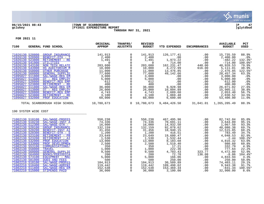

# **06/15/2021 08:43 |TOWN OF SCARBOROUGH |P 47 gclukey |FY2021 EXPENDITURE REPORT |glytdbud THROUGH MAY 31, 2021**



| 7100 |                                                                                                                                                                                                                                                                                                                                                                       | GENERAL FUND SCHOOL                                                                                                                                                                                                                                                                                                                                                                                                                 | ORIGINAL<br><b>APPROP</b>                                                                                                                                                                                                                                                                                                                                                                                                                                 | TRANFRS/<br><b>ADJSTMTS</b>                                                                                                                                                                                                                                                                                                 | <b>REVISED</b><br><b>BUDGET</b>                                                                                                                                                            | YTD EXPENDED                                                                                                                                                                                                                               | <b>ENCUMBRANCES</b>                                                                                                              | <b>AVAILABLE</b><br><b>BUDGET</b>                                                                                                                                                                                                                    | <b>PCT</b><br><b>USED</b>                                                                                                                                                           |
|------|-----------------------------------------------------------------------------------------------------------------------------------------------------------------------------------------------------------------------------------------------------------------------------------------------------------------------------------------------------------------------|-------------------------------------------------------------------------------------------------------------------------------------------------------------------------------------------------------------------------------------------------------------------------------------------------------------------------------------------------------------------------------------------------------------------------------------|-----------------------------------------------------------------------------------------------------------------------------------------------------------------------------------------------------------------------------------------------------------------------------------------------------------------------------------------------------------------------------------------------------------------------------------------------------------|-----------------------------------------------------------------------------------------------------------------------------------------------------------------------------------------------------------------------------------------------------------------------------------------------------------------------------|--------------------------------------------------------------------------------------------------------------------------------------------------------------------------------------------|--------------------------------------------------------------------------------------------------------------------------------------------------------------------------------------------------------------------------------------------|----------------------------------------------------------------------------------------------------------------------------------|------------------------------------------------------------------------------------------------------------------------------------------------------------------------------------------------------------------------------------------------------|-------------------------------------------------------------------------------------------------------------------------------------------------------------------------------------|
|      | 71026130 520800<br>71026130 520900<br>71026130 523800<br>71026130 541000<br>71026130 543100<br>71026130 543900<br>71026130 550000<br>71026130 560000<br>71095027 511800<br>71095027 513800<br>71095027 520800<br>71095027 523800<br>71096027 511800<br>71096027 513800<br>71096027 520800<br>71096027 523800<br>71096027 532000                                       | <b>GROUP INSURANCE</b><br>BENEFIT-OTH - T<br>RETIREMENT - RE<br><b>UTILITIES</b><br>NON TECH RELATE<br>HS AUDITORIUM M<br>OTHER PURCHASE<br><b>GENERAL SUPPLIE</b><br>SAL/WAGE-REG EM<br>OT - REG EMPLOY<br><b>BENEFIT-REG EMP</b><br>RETIREMENT - RE<br>SAL/WAGE-REG EM<br>OT - REG EMPLOY<br><b>BENEFIT-REG EMP</b><br>RETIREMENT - RE<br>PROF EDUCATION                                                                          | 141,913<br>$\begin{bmatrix} 2,400 \\ 1,491 \\ 0 \\ 203,600 \\ 10,000 \\ 1,000 \end{bmatrix}$<br>$\begin{array}{r} 10,000 \\ 11,000 \\ 77,600 \\ 3,000 \\ 5,000 \\ 612 \\ 400 \\ 36,000 \end{array}$<br>$26,000$<br>$4,743$<br>$3,100$<br>60,000                                                                                                                                                                                                           | 0<br>$\mathbf 0$<br>$\mathsf{O}$<br>$\overline{0}$<br>$\overline{0}$<br>$\mathsf{O}$<br>$\overline{0}$<br>$\overline{0}$<br>$\mathsf{O}\xspace$<br>$\mathsf{O}$<br>$\overline{0}$<br>$\mathsf{O}$<br>$\overline{0}$<br>$\overline{0}$<br>$\overline{0}$<br>$\overline{0}$                                                   | 141,913<br>$2,400$<br>1,491<br>$\overline{0}$<br>203,600<br>10,000<br>11,000<br>77,600<br>3,000<br>5,000<br>612<br>400<br>36,000<br>26,000<br>4,743<br>3,100<br>60,000                     | 126,177.41<br>00.<br>1,973.22<br>1,973.22<br>714.00<br>162, 231.47<br>4, 272.99<br>13,476.85<br>49,142.66<br>1,069.48<br>6,600.00                                                                                                          | .00<br>.00<br>.00<br>440.00<br>616.00<br>.00<br>.00<br>.00<br>.00<br>.00<br>.00<br>.00<br>.00<br>.00<br>.00<br>.00               | 15,735.59<br>2,400.00<br>$-482.22$<br>$-714.00$<br>40,928.53<br>5,111.01<br>$-2,476.85$<br>28, 457.34<br>3,000.00<br>5,000.00<br>612.00<br>400.00<br>26,071.02<br>15,905.11<br>2,053.40<br>2,030.52<br>53,400.00                                     | 88.9%<br>$.0\%$<br>132.3%*<br>100.0%*<br>79.9%<br>48.9%<br>122.5%*<br>63.3%<br>.0%<br>.0%<br>.0%<br>.0%<br>27.6%<br>38.8%<br>56.7%<br>34.5%<br>11.0%                                |
|      |                                                                                                                                                                                                                                                                                                                                                                       | TOTAL SCARBOROUGH HIGH SCHOOL 10,780,673                                                                                                                                                                                                                                                                                                                                                                                            |                                                                                                                                                                                                                                                                                                                                                                                                                                                           |                                                                                                                                                                                                                                                                                                                             |                                                                                                                                                                                            | $0$ 10,780,673 9,484,426.50 31,041.01 1,265,205.49                                                                                                                                                                                         |                                                                                                                                  |                                                                                                                                                                                                                                                      | 88.3%                                                                                                                                                                               |
|      | 190 SYSTEM WIDE COST                                                                                                                                                                                                                                                                                                                                                  |                                                                                                                                                                                                                                                                                                                                                                                                                                     |                                                                                                                                                                                                                                                                                                                                                                                                                                                           |                                                                                                                                                                                                                                                                                                                             |                                                                                                                                                                                            |                                                                                                                                                                                                                                            |                                                                                                                                  |                                                                                                                                                                                                                                                      |                                                                                                                                                                                     |
|      | 71002130 510230<br>71002130 512300<br>71002130 520100<br>71002130 520200<br>71002130 520300<br>71002130 523100<br>71002130 523200<br>71002130 532000<br>71002130 533000<br>71002130 553100<br>71002130 558000<br>71002130 560000<br>71002130 564000<br>71002130 573100<br>71002130 581000<br>71002210 510100<br>71002210 510400<br>71002210 511800<br>71002210 515000 | 71002130_510100 SAL/WAGE-PROFES<br>SAL/WAGE-INST A<br>SAL/WAGE-OTH -<br><b>GROUP INSURANCE</b><br><b>BENEFIT-INST AI</b><br>BENEFIT-OTH - S<br>RETIREMENT - PR<br>RETIREMENT - AI<br>PROF EDUCATION<br>PROF DEVELOPMEN<br>COMMUNICATIONS/<br><b>TRAVEL</b><br><b>GENERAL SUPPLIE</b><br><b>BOOKS/PERIODICA</b><br>EQUIPMENT - MAC<br><b>DUES AND FEES</b><br>SAL/WAGE-PROFES<br>SAL/WAGE-ADMINI<br>SAL/WAGE-REG EM<br>STIPENDS PAID | 550,238<br>74,336<br>$16,000$<br>$132,159$<br>$31,456$<br>$\begin{array}{r} 132,159\ 31,456\ 1,200\ 23,649 \end{array}$<br>$\frac{1}{13}$ , 530<br>13, 000<br>13,000<br>$\begin{array}{r} 13\, , 000\ 2\, , 500\ 350\ 1\, , 000\ 9\, , 500\ 200\ 5\, , 000\ 104\, , 913\ 119\, , 442\ 119\, , 442\ 119\, , 442\ 119\, , 442\ 112\ 12\ 13\ 12\ 13\ 14\ 24\ 24\ 24\ 24\ 25\ 26\ 27\ 27\ 28\ 28\ 29\ 29\ 20\ 20\ 20\ 20\ 21$<br>119,442<br>152,538<br>36,000 | $\mathbf 0$<br>0<br>$\mathbf 0$<br>$\begin{matrix} 0 \\ 0 \end{matrix}$<br>0<br>$\mathsf{O}\xspace$<br>$\mathbf 0$<br>$\mathbf 0$<br>$\mathbf 0$<br>$\mathsf{O}$<br>$\mathsf{O}$<br>$\mathsf{O}$<br>$\mathsf{O}$<br>$\mathsf{O}$<br>$\mathsf{O}\xspace$<br>$\mathsf{O}$<br>$\mathsf{O}$<br>$\overline{0}$<br>$\overline{0}$ | 550,238<br>74,336<br>16,000<br>132,159<br>31,456<br>1,200<br>23,649<br>1,530<br>13,000<br>2,500<br>350<br>1,000<br>9,500<br>200<br>5,000<br>500<br>104,913<br>119,442<br>152,538<br>36,000 | 467,495.96<br>70,691.11<br>14,932.50<br>92,078.62<br>18,940.15<br>416.51<br>19,600.47<br>1,532.44<br>8,183.68<br>1,519.40<br>17.21<br>222.36<br>4,703.43<br>72.78<br>166.06<br>250.00<br>30,509.89<br>109,498.62<br>153,369.34<br>3,100.00 | .00<br>.00<br>.00<br>.00<br>.00<br>.00<br>.00<br>.00<br>.00<br>.00<br>323.77<br>136.08<br>.00<br>.00<br>.00<br>.00<br>.00<br>.00 | 82,742.04<br>3,644.89<br>1,067.50<br>40,080.38<br>12,515.85<br>783.49<br>4,048.53<br>$-2.44$<br>.00<br>4,816.32<br>980.60<br>.00<br>332.79<br>777.64<br>4,472.80<br>$-8.86$<br>4,833.94<br>250.00<br>74,403.11<br>9,943.38<br>$-831.34$<br>32,900.00 | 85.0%<br>95.1%<br>93.3%<br>69.7%<br>60.2%<br>34.7%<br>82.9%<br>100.2%*<br>63.0%<br>60.8%<br>4.9%<br>22.2%<br>52.9%<br>104.4%*<br>3.3%<br>50.0%<br>29.1%<br>91.7%<br>100.5%*<br>8.6% |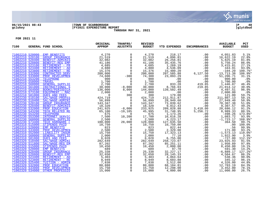

# **06/15/2021 08:43 |TOWN OF SCARBOROUGH |P 48 gclukey |FY2021 EXPENDITURE REPORT |glytdbud THROUGH MAY 31, 2021**



| 7100                               |                                    | GENERAL FUND SCHOOL          | ORIGINAL<br><b>APPROP</b>                                                                                                                                                                                                                      | TRANFRS/<br><b>ADJSTMTS</b>                                                 | <b>REVISED</b><br><b>BUDGET</b>                                                                                     | YTD EXPENDED                                                                                                     | <b>ENCUMBRANCES</b>                                                                                                                                                                                                                                           | <b>AVAILABLE</b><br><b>BUDGET</b>                                                                                                                                                                                                                                                    | PCT<br><b>USED</b> |
|------------------------------------|------------------------------------|------------------------------|------------------------------------------------------------------------------------------------------------------------------------------------------------------------------------------------------------------------------------------------|-----------------------------------------------------------------------------|---------------------------------------------------------------------------------------------------------------------|------------------------------------------------------------------------------------------------------------------|---------------------------------------------------------------------------------------------------------------------------------------------------------------------------------------------------------------------------------------------------------------|--------------------------------------------------------------------------------------------------------------------------------------------------------------------------------------------------------------------------------------------------------------------------------------|--------------------|
|                                    |                                    | 71002210 520000 EMP BENEFITS | LA PUND SCHOOL APPROVEMENT (1,700)<br>SENDEPTIT-SURNAMCE 1,700<br>NETTREMENT – DE 4,685<br>RETTREMENT – DE 4,685<br>RETTREMENT – DE 4,685<br>RETTREMENT – DE 4,686<br>RETTREMENT – DE 4,686<br>CONTRACTED SENDER (1,700)<br>TRAVEL GENERAL SUP |                                                                             |                                                                                                                     | 218.17                                                                                                           | $\begin{array}{cccccccc} 1000&4,051.83&0\\ 000&16,622.19&0\\ 000&5,750.241\\ .000&5,750.241\\ .000&3,415.91&0\\ 000&341.91&308\\ .000&-104.20&-104.12\\ .000&1,700.000&1\\ 000&1,700.000&2\\ 000&0&1,700.000\\ 000&1,700.000&2\\ 119.85&1,044.14&121.00\\ 00$ |                                                                                                                                                                                                                                                                                      | 5.1%               |
|                                    | 71002210 520100                    |                              |                                                                                                                                                                                                                                                |                                                                             | 4,270<br>21,519                                                                                                     | 4,896.81                                                                                                         |                                                                                                                                                                                                                                                               |                                                                                                                                                                                                                                                                                      | 22.8%              |
|                                    | 71002210 520400                    |                              |                                                                                                                                                                                                                                                |                                                                             | 32,082                                                                                                              | 26, 256.81                                                                                                       |                                                                                                                                                                                                                                                               |                                                                                                                                                                                                                                                                                      | 81.8%              |
|                                    | 71002210 520800                    |                              |                                                                                                                                                                                                                                                |                                                                             | 41,186                                                                                                              | 35,435.76                                                                                                        |                                                                                                                                                                                                                                                               |                                                                                                                                                                                                                                                                                      | 86.0%              |
|                                    | 71002210 523100                    |                              |                                                                                                                                                                                                                                                |                                                                             | $\frac{1}{4}, \frac{1}{685}$<br>4.880                                                                               | 1,269.19                                                                                                         |                                                                                                                                                                                                                                                               |                                                                                                                                                                                                                                                                                      | 27.1%              |
|                                    | 71002210 523400                    |                              |                                                                                                                                                                                                                                                |                                                                             | 4,880                                                                                                               | 4,536.09                                                                                                         |                                                                                                                                                                                                                                                               |                                                                                                                                                                                                                                                                                      | 93.0%              |
|                                    | 71002210 523800                    |                              |                                                                                                                                                                                                                                                |                                                                             | 15,376                                                                                                              | 15,480.20                                                                                                        |                                                                                                                                                                                                                                                               |                                                                                                                                                                                                                                                                                      | 100.7%*            |
|                                    | 71002210 532000<br>71002210 533000 |                              |                                                                                                                                                                                                                                                |                                                                             | 200,000                                                                                                             | 207,585.88                                                                                                       |                                                                                                                                                                                                                                                               |                                                                                                                                                                                                                                                                                      | 106.9%*            |
|                                    | 71002210 553200                    |                              |                                                                                                                                                                                                                                                |                                                                             | 74,300<br>900                                                                                                       |                                                                                                                  |                                                                                                                                                                                                                                                               |                                                                                                                                                                                                                                                                                      | 31.1%<br>.0%       |
| 71002210 558000                    |                                    |                              |                                                                                                                                                                                                                                                |                                                                             |                                                                                                                     |                                                                                                                  |                                                                                                                                                                                                                                                               |                                                                                                                                                                                                                                                                                      | .0%                |
| 71002210 560000                    |                                    |                              |                                                                                                                                                                                                                                                |                                                                             |                                                                                                                     |                                                                                                                  |                                                                                                                                                                                                                                                               |                                                                                                                                                                                                                                                                                      | 46.4%              |
| 71002210 561000                    |                                    |                              |                                                                                                                                                                                                                                                | $-8,000$<br>-8,000                                                          | $\begin{array}{r} 900 \\ 1,700 \\ 2,700 \\ 30,000 \end{array}$                                                      |                                                                                                                  |                                                                                                                                                                                                                                                               |                                                                                                                                                                                                                                                                                      | 30.0%              |
|                                    | 71002210 564000                    |                              |                                                                                                                                                                                                                                                | 8,000                                                                       | 144,000                                                                                                             |                                                                                                                  |                                                                                                                                                                                                                                                               |                                                                                                                                                                                                                                                                                      | 96.9%              |
|                                    | 71002210 573100                    |                              |                                                                                                                                                                                                                                                | $\overline{\phantom{0}}$                                                    | 2,000                                                                                                               |                                                                                                                  |                                                                                                                                                                                                                                                               |                                                                                                                                                                                                                                                                                      | .0%                |
|                                    | 71002210 581000                    |                              |                                                                                                                                                                                                                                                |                                                                             | 300                                                                                                                 |                                                                                                                  |                                                                                                                                                                                                                                                               |                                                                                                                                                                                                                                                                                      | 59.7%              |
|                                    | 71002230 510100                    |                              |                                                                                                                                                                                                                                                | $\begin{array}{r} 0 \\ 300 \\ 0 \\ 0 \\ 0 \\ -8,000 \\ -19,105 \end{array}$ | 424,719                                                                                                             | $207,585.88\ 23,093.29\ 0.00\ 0.00\ 833.28\ 8,766.03\ 139,502.49\ 179.00\ 212,911.87$<br>212,911.87<br>28,949.60 |                                                                                                                                                                                                                                                               |                                                                                                                                                                                                                                                                                      | 50.1%              |
|                                    | 71002230 510400                    |                              |                                                                                                                                                                                                                                                |                                                                             | 56,899                                                                                                              |                                                                                                                  |                                                                                                                                                                                                                                                               |                                                                                                                                                                                                                                                                                      | 50.9%              |
|                                    | 71002230 520100                    |                              |                                                                                                                                                                                                                                                |                                                                             | 143,347<br>18,320<br>233,925                                                                                        | $73,039.62$<br>9,012.43<br>209,828.88                                                                            |                                                                                                                                                                                                                                                               |                                                                                                                                                                                                                                                                                      | 51.0%              |
|                                    | 71002230 520400                    |                              |                                                                                                                                                                                                                                                |                                                                             |                                                                                                                     |                                                                                                                  |                                                                                                                                                                                                                                                               |                                                                                                                                                                                                                                                                                      | 49.2%              |
| 71002230 532000<br>71002230 543200 |                                    |                              |                                                                                                                                                                                                                                                |                                                                             | 45,995                                                                                                              | 209,828.88<br>31,748.95                                                                                          |                                                                                                                                                                                                                                                               |                                                                                                                                                                                                                                                                                      | 91.2%<br>80.5%     |
| 71002230 553200                    |                                    |                              |                                                                                                                                                                                                                                                | $-19,105$<br>$\Omega$                                                       | 675                                                                                                                 |                                                                                                                  |                                                                                                                                                                                                                                                               |                                                                                                                                                                                                                                                                                      | 173.8%*            |
|                                    | 71002230 553300                    |                              |                                                                                                                                                                                                                                                | 10,200                                                                      | $\frac{17,700}{2,500}$                                                                                              | $\frac{-1}{1}, \frac{1}{173}.26$<br>16.616.28<br>16,616.28                                                       |                                                                                                                                                                                                                                                               |                                                                                                                                                                                                                                                                                      | 93.9%              |
|                                    | 71002230 560000                    |                              |                                                                                                                                                                                                                                                | $\overline{0}$                                                              |                                                                                                                     |                                                                                                                  |                                                                                                                                                                                                                                                               |                                                                                                                                                                                                                                                                                      | 168.9%*            |
|                                    | 71002230 573400                    |                              |                                                                                                                                                                                                                                                |                                                                             | 128,000                                                                                                             | 127.635.50<br>127,635.50                                                                                         |                                                                                                                                                                                                                                                               |                                                                                                                                                                                                                                                                                      | 99.7%              |
|                                    | 71002310 515000                    |                              |                                                                                                                                                                                                                                                |                                                                             | 10,750                                                                                                              | 10,750.00                                                                                                        |                                                                                                                                                                                                                                                               |                                                                                                                                                                                                                                                                                      | 100.0%             |
|                                    | 71002310 520000                    |                              |                                                                                                                                                                                                                                                |                                                                             |                                                                                                                     | 822.44                                                                                                           |                                                                                                                                                                                                                                                               |                                                                                                                                                                                                                                                                                      | 99.9%              |
| 71002310 533000                    |                                    |                              |                                                                                                                                                                                                                                                |                                                                             |                                                                                                                     | $822.44$<br>2,329.00<br>17,323.13<br>77.10                                                                       |                                                                                                                                                                                                                                                               |                                                                                                                                                                                                                                                                                      | 93.2%              |
| 71002310 552000                    |                                    |                              |                                                                                                                                                                                                                                                |                                                                             |                                                                                                                     |                                                                                                                  |                                                                                                                                                                                                                                                               |                                                                                                                                                                                                                                                                                      | 110.0%*            |
|                                    | 71002310 560000                    |                              |                                                                                                                                                                                                                                                |                                                                             | $\begin{array}{r} 10,823 \\ 823 \\ 2,500 \\ 15,750 \\ 2,000 \\ 6,028 \\ \end{array}$                                | 77.10                                                                                                            |                                                                                                                                                                                                                                                               | $\begin{array}{cc} .00 & -7.364.50\ .00 & .00\ .00 & .56\ .00 & -1.573.13\ .00 & 1.922.90\ .00 & 0.00 & 0.00\ .00 & 0.00 & 0.00\ .00 & 0.00 & 0.00\ .00 & 0.00 & 0.00\ .00 & 0.00 & 0.00\ .00 & 0.00 & 0.00\ .00 & 0.00 & 0.00\ .00 & 0.00 & 0.00\ .00 & 0.00 & 0.00 & 0.00\ .00 & $ | 3.9%               |
|                                    | 71002310 581000                    |                              |                                                                                                                                                                                                                                                |                                                                             |                                                                                                                     | 6,755.00                                                                                                         |                                                                                                                                                                                                                                                               |                                                                                                                                                                                                                                                                                      | 112.1%*            |
|                                    | 71002320 510400                    |                              |                                                                                                                                                                                                                                                |                                                                             | 282,649                                                                                                             | 258,723.07                                                                                                       |                                                                                                                                                                                                                                                               |                                                                                                                                                                                                                                                                                      | 91.5%              |
|                                    | 71002320 511800                    |                              |                                                                                                                                                                                                                                                |                                                                             |                                                                                                                     | 85,251.11                                                                                                        |                                                                                                                                                                                                                                                               |                                                                                                                                                                                                                                                                                      | 97.8%<br>19.1%     |
|                                    | 71002320 515000<br>71002320 520000 |                              |                                                                                                                                                                                                                                                |                                                                             |                                                                                                                     | 2,000.00<br>97.70                                                                                                |                                                                                                                                                                                                                                                               |                                                                                                                                                                                                                                                                                      | 14.2%              |
|                                    | 71002320 520400                    |                              |                                                                                                                                                                                                                                                |                                                                             |                                                                                                                     | 32, 227. 17                                                                                                      |                                                                                                                                                                                                                                                               |                                                                                                                                                                                                                                                                                      | 127.2%*            |
|                                    | 71002320 520800                    |                              |                                                                                                                                                                                                                                                |                                                                             |                                                                                                                     | 28, 145. 33                                                                                                      |                                                                                                                                                                                                                                                               |                                                                                                                                                                                                                                                                                      | 86.2%              |
| 71002320 523400                    |                                    |                              |                                                                                                                                                                                                                                                |                                                                             |                                                                                                                     | 4,864.64                                                                                                         |                                                                                                                                                                                                                                                               |                                                                                                                                                                                                                                                                                      | 90.0%              |
| 71002320 523800                    |                                    |                              |                                                                                                                                                                                                                                                |                                                                             | $\begin{array}{r} 237, 202 \\ 87, 202 \\ 10, 450 \\ 689 \\ 25, 338 \\ 32, 650 \\ 5, 403 \\ 8, 949 \\ 7 \end{array}$ | 8,603.88                                                                                                         |                                                                                                                                                                                                                                                               |                                                                                                                                                                                                                                                                                      | 96.1%              |
| 71002320 525400                    |                                    |                              |                                                                                                                                                                                                                                                |                                                                             |                                                                                                                     | 3,512.00                                                                                                         |                                                                                                                                                                                                                                                               |                                                                                                                                                                                                                                                                                      | 44.8%              |
|                                    | 71002320 532000                    |                              |                                                                                                                                                                                                                                                |                                                                             |                                                                                                                     | 68,184.81                                                                                                        |                                                                                                                                                                                                                                                               |                                                                                                                                                                                                                                                                                      | 84.3%              |
| 71002320 533000                    |                                    |                              |                                                                                                                                                                                                                                                |                                                                             | $7,838$<br>$80,888$<br>$15,750$                                                                                     | 12,298.00                                                                                                        |                                                                                                                                                                                                                                                               |                                                                                                                                                                                                                                                                                      | 78.1%              |
| 71002320 534000                    |                                    |                              |                                                                                                                                                                                                                                                |                                                                             | 15,000                                                                                                              | 4,000.00                                                                                                         |                                                                                                                                                                                                                                                               |                                                                                                                                                                                                                                                                                      | 26.7%              |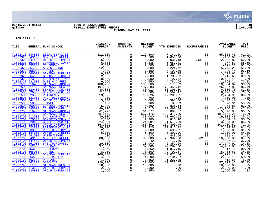

# **06/15/2021 08:43 |TOWN OF SCARBOROUGH |P 49 gclukey |FY2021 EXPENDITURE REPORT |glytdbud THROUGH MAY 31, 2021**



| 7100 |                                    | GENERAL FUND SCHOOL             | ORIGINAL<br><b>APPROP</b>                                                                                                                                                                                                      | TRANFRS/<br>ADJSTMTS | <b>REVISED</b><br><b>BUDGET</b>                                   | YTD EXPENDED                                | <b>ENCUMBRANCES</b>                                                        | <b>AVAILABLE</b><br><b>BUDGET</b> | PCT<br><b>USED</b> |
|------|------------------------------------|---------------------------------|--------------------------------------------------------------------------------------------------------------------------------------------------------------------------------------------------------------------------------|----------------------|-------------------------------------------------------------------|---------------------------------------------|----------------------------------------------------------------------------|-----------------------------------|--------------------|
|      |                                    | 71002320 534500 LEGAL SERVICES  | A FORD SCROUD MERCHAND (1,000 TRIANGLE 1,500 MARCHAND (1,000 TRIANGLE 1,500 COMUNICATIONS (1,000 COMUNICATIONS (1,000 COMUNICATIONS (1,000 COMUNICATIONS (1,000 COMUNICATIONS (1,000 COMUNICATIONS (1,000 COMUNICATIONS (1,000 | $\overline{0}$       | 112,500                                                           | 47,141.60                                   | .00                                                                        | 65,358.40                         | 41.9%              |
|      |                                    | 71002320 543100 NON TECH RELATE |                                                                                                                                                                                                                                |                      |                                                                   | 1,650.00                                    |                                                                            | $-150.00$                         | 110.0%*            |
|      | 71002320 544400                    |                                 |                                                                                                                                                                                                                                |                      | $1,500$<br>6,000                                                  | 2,036.18                                    |                                                                            | 2,832.82                          | 52.8%              |
|      | 71002320 553100                    |                                 |                                                                                                                                                                                                                                |                      | 6,835                                                             | $6,057.41$<br>7,691.22                      |                                                                            | 777.59                            | 88.6%              |
|      | 71002320 553200                    |                                 |                                                                                                                                                                                                                                |                      | $\frac{7}{12}$ , 500<br>12,000                                    |                                             |                                                                            | $-191.22$                         | 102.5%*            |
|      | 71002320 554000                    |                                 |                                                                                                                                                                                                                                |                      |                                                                   | 6,224.72                                    |                                                                            | 5,775.28                          | 51.9%              |
|      | 71002320 558000                    |                                 |                                                                                                                                                                                                                                |                      | $\frac{-7}{9},\frac{400}{000}$                                    | 7,109.56                                    | $\begin{array}{r} .00\ 00\ .00\ .00\ .00\ .00\ .00\ .00\ .00\ \end{array}$ | 290.44                            | 96.1%              |
|      | 71002320 560000<br>71002320 564000 |                                 |                                                                                                                                                                                                                                |                      | $\begin{matrix} 2,000 \\ 10,500 \\ 6,550 \\ 2,0.250 \end{matrix}$ | 5,490.35                                    |                                                                            | 3,509.65<br>216.68                | 61.0%<br>89.2%     |
|      | 71002320 573100                    |                                 |                                                                                                                                                                                                                                |                      |                                                                   | 1,783.32<br>97.52                           |                                                                            | 10,402.48                         | .9%                |
|      | 71002320 581000                    |                                 |                                                                                                                                                                                                                                |                      |                                                                   |                                             |                                                                            | 1,768.31                          | 73.0%              |
|      | 71002500 510400                    |                                 |                                                                                                                                                                                                                                |                      | 108,260                                                           |                                             |                                                                            | 10,084.07                         | 90.7%              |
|      | 71002500 511800                    |                                 |                                                                                                                                                                                                                                |                      | 197,283                                                           | 4,781.69<br>98,175.93<br>170,455.12         |                                                                            | 26,827.88                         | 86.4%              |
|      | 71002500 520400                    |                                 |                                                                                                                                                                                                                                |                      |                                                                   | 31,196.30                                   |                                                                            | 6,816.70                          | 82.1%              |
|      | 71002500 520800                    |                                 |                                                                                                                                                                                                                                |                      |                                                                   | 54,592.47                                   |                                                                            | 16,476.53                         | 76.8%              |
|      | 71002500 523800                    |                                 |                                                                                                                                                                                                                                |                      | $\frac{38,013}{71,069}$<br>$\frac{71,069}{19,926}$                | $17,201.01$<br>00.00<br>591.60              |                                                                            | 2,724.99                          | 86.3%              |
|      | 71002500 533000                    |                                 |                                                                                                                                                                                                                                |                      | 700                                                               |                                             |                                                                            | 700.00                            | .0%                |
|      | 71002500 544400                    |                                 |                                                                                                                                                                                                                                |                      | 5,000                                                             |                                             | .00                                                                        | 4,408.40                          | 11.8%              |
|      | 71002500 558000                    |                                 |                                                                                                                                                                                                                                |                      | 160                                                               | 89.09                                       |                                                                            | 70.91                             | 55.7%              |
|      | 71002500 560000                    |                                 |                                                                                                                                                                                                                                |                      | 5,800                                                             | 89.09<br>4,836.14<br>73,460.84<br>56,080.07 |                                                                            | .00<br>963.86                     | 83.4%              |
|      | 71002579 595000<br>71002700 510400 |                                 |                                                                                                                                                                                                                                |                      | 49,710<br>61,777                                                  |                                             |                                                                            | $-23,750.84$<br>5,696.93          | 147.8%*<br>90.8%   |
|      | 71002700 511800                    |                                 |                                                                                                                                                                                                                                |                      | 687,475                                                           | 500,318.80                                  |                                                                            | 187,156.20                        | 72.8%              |
|      | 71002700 512000                    |                                 |                                                                                                                                                                                                                                |                      | 30,000                                                            | 10,665.52                                   |                                                                            | 19,334.48                         | 35.6%              |
|      | 71002700 520300                    |                                 |                                                                                                                                                                                                                                |                      | 2,300                                                             | 815.90                                      |                                                                            | 1,484.10                          | 35.5%              |
|      | 71002700 520400                    |                                 |                                                                                                                                                                                                                                |                      | 24,981                                                            | 21,679.99                                   |                                                                            | 3,301.01                          | 86.8%              |
|      | 71002700 520800                    |                                 |                                                                                                                                                                                                                                |                      | 363,391                                                           | 259,490.49                                  |                                                                            | 103,900.51                        | 71.4%              |
|      | 71002700 523800                    |                                 |                                                                                                                                                                                                                                |                      | 39,920                                                            | 32,515.12                                   |                                                                            | 7,404.88                          | 81.5%              |
|      | 71002700 533000                    |                                 |                                                                                                                                                                                                                                |                      | $\frac{2}{5}$ , 000<br>5, 300                                     | 636.91                                      |                                                                            | 7,404.88<br>1,363.09<br>1,909.00  | 31.8%              |
|      | 71002700 534000                    |                                 |                                                                                                                                                                                                                                |                      |                                                                   | 3,391.00                                    |                                                                            |                                   | 64.0%              |
|      | 71002700 541000                    |                                 |                                                                                                                                                                                                                                |                      | 630                                                               | 448.56                                      |                                                                            | 181.44                            | 71.2%              |
|      |                                    | 71002700 543100 NON TECH RELATE |                                                                                                                                                                                                                                |                      | 88,000<br>40                                                      | 73,987.20<br>12.89                          |                                                                            | 10,950.30<br>27.11                | 87.6%              |
|      | 71002700 544400<br>71002700 551000 |                                 |                                                                                                                                                                                                                                |                      | 20,000                                                            |                                             |                                                                            | 17,147.91                         | 32.2%<br>14.3%     |
|      | 71002700 552000                    |                                 |                                                                                                                                                                                                                                |                      | 37,800                                                            | 2,852.09<br>42,289.00<br>1,877.15           |                                                                            | $-4,489.00$                       | 111.9%*            |
|      | 71002700 553200                    |                                 |                                                                                                                                                                                                                                |                      | 1,860                                                             |                                             |                                                                            | $-17.15$                          | 100.9%*            |
|      | 71002700 558000                    |                                 |                                                                                                                                                                                                                                |                      | 8,200                                                             |                                             |                                                                            |                                   | 34.0%              |
|      | 71002700 560000                    |                                 |                                                                                                                                                                                                                                |                      | 160,000                                                           | 2,791.37<br>87,078.84                       |                                                                            | 5,408.63<br>72,921.16             | 54.4%              |
|      | 71002700 562200                    |                                 |                                                                                                                                                                                                                                |                      | 4,200                                                             | 2,134.87                                    |                                                                            | 2,065.13                          | 50.8%              |
|      | 71002700 562300                    |                                 |                                                                                                                                                                                                                                |                      | $\frac{4,200}{1,650}$                                             | 2,134.87<br>1,237.35                        |                                                                            | 412.65                            | 75.0%              |
|      | 71002700 562600                    |                                 |                                                                                                                                                                                                                                |                      | 120,000                                                           | 62,727.57                                   |                                                                            | 57, 272.43                        | 52.3%              |
|      | 71002790 511800                    |                                 |                                                                                                                                                                                                                                |                      | 18,000                                                            | 62,72<br>.00                                |                                                                            | 18,000.00                         | .0%                |
|      | 71002790 513800                    |                                 |                                                                                                                                                                                                                                |                      | 2,300                                                             | .00                                         |                                                                            | 2,300.00                          | .0%                |
|      | 71002790 520800                    |                                 |                                                                                                                                                                                                                                |                      | 1,550                                                             | .00                                         |                                                                            | 1,550.00                          | .0%                |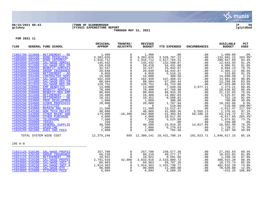

# **06/15/2021 08:43 |TOWN OF SCARBOROUGH |P 50 gclukey |FY2021 EXPENDITURE REPORT |glytdbud THROUGH MAY 31, 2021**



| 71002790 523800<br>$\frac{1,400}{3,393,026}$<br>$\mathbf 0$<br>1,400<br>.00<br>.00<br>1,400.00<br>RETIREMENT - RE<br>.0%<br>3,526,707.22<br>71005000 583100<br>$\mathbf 0$<br>3,393,026<br><b>BOND PRINCIPAL</b><br>.00<br>$-133,681.22$<br>$103.9$ *<br>71005000 583200<br>$\overline{0}$<br>1,617,764.31<br>84.4%<br><b>BOND INTEREST</b><br>1,916,712<br>1,916,712<br>298,947.69<br>.00<br>$\Omega$<br>132,598.07<br>71025090 510400<br>SAL/WAGE-ADMINI<br>145,432<br>145,432<br>.00<br>12,833.93<br>91.2%<br>71025090 511800<br>SAL/WAGE-REG EM<br>59,418<br>$\overline{0}$<br>59,418<br>54,431.09<br>4,986.91<br>91.6%<br>.00<br>$\mathsf{O}$<br>25,942.87<br>71025090 520400<br><b>BENEFIT-ADMINIS</b><br>32,547<br>32,547<br>79.7%<br>.00<br>6,604.13<br>$\mathbf 0$<br>71025090 520800<br><b>GROUP INSURANCE</b><br>20,848<br>20,848<br>18,442.87<br>2,405.13<br>88.5%<br>.00<br>$\mathsf{O}$<br>71025090 523400<br>6,050<br>533.85<br>RETIREMENT - AD<br>6,050<br>5,516.15<br>.00<br>91.2%<br>71025090 534400<br>$\overline{0}$<br>309.50<br>2.1%<br><b>CONTRACTED SERV</b><br>15,000<br>15,000<br>.00<br>14,690.50<br>71026290 510400<br>$\overline{0}$<br>162,450<br>147,468.31<br>14,981.69<br>SAL/WAGE-ADMINI<br>162,450<br>90.8%<br>.00<br>$\mathsf{O}$<br>71026290 511800<br>13,299.56<br>80,504<br>80,504<br>67,204.44<br>SAL/WAGE-REG EM<br>.00<br>83.5%<br>71026290 511820<br>$\mathsf{O}$<br>SAL/WAGE-REG EM<br>128,752<br>128,752<br>81,723.00<br>47,029.00<br>63.5%<br>.00<br>$\mathbf 0$<br>71026290 520000<br>7,649.58<br>1,373.21<br><b>EMP BENEFITS</b><br>13,000<br>13,000<br>3,977.21<br>89.4%<br>$\overline{0}$<br>71026290 520400<br><b>BENEFIT-ADMINIS</b><br>78,400<br>67,769.98<br>86.4%<br>78,400<br>.00<br>10,630.02<br>$\overline{0}$<br>68,933.35<br>71026290 520800<br><b>BENEFIT-REG EMP</b><br>21, 132.65<br>90,066<br>90,066<br>.00<br>76.5%<br>$\mathsf{O}$<br>71026290 523400<br>RETIREMENT - AD<br>16,408<br>16,408<br>14,882.03<br>.00<br>1,525.97<br>90.7%<br>$\mathsf{O}\xspace$<br>71026290 523800<br>RETIREMENT - RE<br>10,352<br>10,352<br>9,589.81<br>762.19<br>92.6%<br>.00<br>$\tilde{1,000}$<br>$\overline{0}$<br>71026290 533000<br>1,000<br>300.00<br>700.00<br>PROF DEVELOPMEN<br>30.0%<br>.00<br>71026290 534000<br>$\overline{0}$<br>1,707.94<br>8.5%<br>OTHER PROFESSIO<br>20,000<br>18,292.06<br>20,000<br>.00<br>71026290 541000<br>$\Omega$<br>510.00<br>$100.0$ *<br><b>UTILITIES</b><br>$\Omega$<br>$\overline{0}$<br>.00<br>$-510.00$<br>13,512.47<br>71026290 543000<br>REPAIR AND MAIN<br>11,500<br>$\mathbf 0$<br>11,500<br>$-2,012.47$<br>117.5%*<br>.00<br>5, 555. 23<br>71026290 543100<br><b>NON TECH RELATE</b><br>41,068.36<br>1,376.41<br>97.1%<br>48,000<br>$\mathbf 0$<br>48,000<br>71026290 543900<br>51,393.94<br>OTHER MAINT AND<br>173,000<br>$-10,200$<br>162,800<br>58,186.34<br>53, 219. 72<br>67.3%<br>71026290 550000<br>OTHER PURCHASE<br>4,000<br>4,000<br>10,617.05<br>$-6,617.05$<br>.00<br>265.4%*<br>$\Omega$<br>$\begin{array}{c} 4\,,000\ 7\,,500\ 250\ 48\,,500\ \end{array}$<br>7,500<br>71026290 553200<br>73.7%<br>$\mathbf 0$<br>5,525.09<br>1,974.91<br><b>TELEPHONE</b><br>.00<br>71026290 558000<br>$\mathbf 0$<br>250<br>.00<br>250.00<br>.0%<br><b>TRAVEL</b><br>.00<br>71026290 560000<br>$\overline{0}$<br>48,500<br>23,919.35<br>14,017.66<br>10,562.99<br><b>GENERAL SUPPLIE</b><br>78.2%<br>5,270.63<br>71026290 562600<br>7,000<br>$\overline{0}$<br>7,000<br><b>GASOLINE</b><br>1,729.37<br>75.3%<br>$.00 \,$<br>71026290 581000<br><b>DUES AND FEES</b><br>2,000<br>$\Omega$<br>792.50<br>1,207.50<br>39.6%<br>2,000<br>.00<br>12, 379, 246<br>895 12,380,141 10,431,700.14<br>TOTAL SYSTEM WIDE COST<br>101,823.71 1,846,617.15<br>85.1%<br>195 K-8<br>257,780<br>$\mathsf{O}$<br>71021125 510100 SAL/WAGE-PROFES<br>257,780<br>230,577.36<br>49,277.17<br>27,202.64<br>89.4%<br>.00<br>71021125 520100<br>60,210<br>60,210<br>10,932.83<br>81.8%<br><b>GROUP INSURANCE</b><br>$\Omega$<br>.00<br>71021125 523100<br>RETIREMENT - PR<br>10,922<br>10,922<br>9,591.66<br>1,330.34<br>87.8%<br>$\overline{0}$<br>.00<br>2,791,916<br>2,533,000.72<br>71023095 510100<br>42,000<br>2,833,916<br>300,915.28<br>SAL/WAGE-PROFES<br>.00<br>89.4%<br>71023095 510200<br>SAL/WAGE-INST A<br>59,787.26<br>10,175.74<br>85.5%<br>69,963<br>69,963<br>.00<br>$\Omega$<br>1,914,363<br>$\mathsf{O}$<br>1,431,730.71<br>71023095 510230<br>SAL/WAGE-INST A<br>1,914,363<br>482,632.29<br>74.8%<br>.00 | 7100 | GENERAL FUND SCHOOL | ORIGINAL<br><b>APPROP</b> | TRANFRS/<br><b>ADJSTMTS</b> | <b>REVISED</b><br><b>BUDGET</b> | YTD EXPENDED | <b>ENCUMBRANCES</b> | <b>AVAILABLE</b><br><b>BUDGET</b> | PCT<br><b>USED</b> |
|-----------------------------------------------------------------------------------------------------------------------------------------------------------------------------------------------------------------------------------------------------------------------------------------------------------------------------------------------------------------------------------------------------------------------------------------------------------------------------------------------------------------------------------------------------------------------------------------------------------------------------------------------------------------------------------------------------------------------------------------------------------------------------------------------------------------------------------------------------------------------------------------------------------------------------------------------------------------------------------------------------------------------------------------------------------------------------------------------------------------------------------------------------------------------------------------------------------------------------------------------------------------------------------------------------------------------------------------------------------------------------------------------------------------------------------------------------------------------------------------------------------------------------------------------------------------------------------------------------------------------------------------------------------------------------------------------------------------------------------------------------------------------------------------------------------------------------------------------------------------------------------------------------------------------------------------------------------------------------------------------------------------------------------------------------------------------------------------------------------------------------------------------------------------------------------------------------------------------------------------------------------------------------------------------------------------------------------------------------------------------------------------------------------------------------------------------------------------------------------------------------------------------------------------------------------------------------------------------------------------------------------------------------------------------------------------------------------------------------------------------------------------------------------------------------------------------------------------------------------------------------------------------------------------------------------------------------------------------------------------------------------------------------------------------------------------------------------------------------------------------------------------------------------------------------------------------------------------------------------------------------------------------------------------------------------------------------------------------------------------------------------------------------------------------------------------------------------------------------------------------------------------------------------------------------------------------------------------------------------------------------------------------------------------------------------------------------------------------------------------------------------------------------------------------------------------------------------------------------------------------------------------------------------------------------------------------------------------------------------------------------------------------------------------------------------------------------------------------------------------------------------------------------------------------------------------------------------------------------------------------------------------------------------------------------------------------------------------------------------------------------------------------------------------------------------------------------------------------------------------------------------|------|---------------------|---------------------------|-----------------------------|---------------------------------|--------------|---------------------|-----------------------------------|--------------------|
|                                                                                                                                                                                                                                                                                                                                                                                                                                                                                                                                                                                                                                                                                                                                                                                                                                                                                                                                                                                                                                                                                                                                                                                                                                                                                                                                                                                                                                                                                                                                                                                                                                                                                                                                                                                                                                                                                                                                                                                                                                                                                                                                                                                                                                                                                                                                                                                                                                                                                                                                                                                                                                                                                                                                                                                                                                                                                                                                                                                                                                                                                                                                                                                                                                                                                                                                                                                                                                                                                                                                                                                                                                                                                                                                                                                                                                                                                                                                                                                                                                                                                                                                                                                                                                                                                                                                                                                                                                                                                                           |      |                     |                           |                             |                                 |              |                     |                                   |                    |
|                                                                                                                                                                                                                                                                                                                                                                                                                                                                                                                                                                                                                                                                                                                                                                                                                                                                                                                                                                                                                                                                                                                                                                                                                                                                                                                                                                                                                                                                                                                                                                                                                                                                                                                                                                                                                                                                                                                                                                                                                                                                                                                                                                                                                                                                                                                                                                                                                                                                                                                                                                                                                                                                                                                                                                                                                                                                                                                                                                                                                                                                                                                                                                                                                                                                                                                                                                                                                                                                                                                                                                                                                                                                                                                                                                                                                                                                                                                                                                                                                                                                                                                                                                                                                                                                                                                                                                                                                                                                                                           |      |                     |                           |                             |                                 |              |                     |                                   |                    |
|                                                                                                                                                                                                                                                                                                                                                                                                                                                                                                                                                                                                                                                                                                                                                                                                                                                                                                                                                                                                                                                                                                                                                                                                                                                                                                                                                                                                                                                                                                                                                                                                                                                                                                                                                                                                                                                                                                                                                                                                                                                                                                                                                                                                                                                                                                                                                                                                                                                                                                                                                                                                                                                                                                                                                                                                                                                                                                                                                                                                                                                                                                                                                                                                                                                                                                                                                                                                                                                                                                                                                                                                                                                                                                                                                                                                                                                                                                                                                                                                                                                                                                                                                                                                                                                                                                                                                                                                                                                                                                           |      |                     |                           |                             |                                 |              |                     |                                   |                    |
|                                                                                                                                                                                                                                                                                                                                                                                                                                                                                                                                                                                                                                                                                                                                                                                                                                                                                                                                                                                                                                                                                                                                                                                                                                                                                                                                                                                                                                                                                                                                                                                                                                                                                                                                                                                                                                                                                                                                                                                                                                                                                                                                                                                                                                                                                                                                                                                                                                                                                                                                                                                                                                                                                                                                                                                                                                                                                                                                                                                                                                                                                                                                                                                                                                                                                                                                                                                                                                                                                                                                                                                                                                                                                                                                                                                                                                                                                                                                                                                                                                                                                                                                                                                                                                                                                                                                                                                                                                                                                                           |      |                     |                           |                             |                                 |              |                     |                                   |                    |
|                                                                                                                                                                                                                                                                                                                                                                                                                                                                                                                                                                                                                                                                                                                                                                                                                                                                                                                                                                                                                                                                                                                                                                                                                                                                                                                                                                                                                                                                                                                                                                                                                                                                                                                                                                                                                                                                                                                                                                                                                                                                                                                                                                                                                                                                                                                                                                                                                                                                                                                                                                                                                                                                                                                                                                                                                                                                                                                                                                                                                                                                                                                                                                                                                                                                                                                                                                                                                                                                                                                                                                                                                                                                                                                                                                                                                                                                                                                                                                                                                                                                                                                                                                                                                                                                                                                                                                                                                                                                                                           |      |                     |                           |                             |                                 |              |                     |                                   |                    |
|                                                                                                                                                                                                                                                                                                                                                                                                                                                                                                                                                                                                                                                                                                                                                                                                                                                                                                                                                                                                                                                                                                                                                                                                                                                                                                                                                                                                                                                                                                                                                                                                                                                                                                                                                                                                                                                                                                                                                                                                                                                                                                                                                                                                                                                                                                                                                                                                                                                                                                                                                                                                                                                                                                                                                                                                                                                                                                                                                                                                                                                                                                                                                                                                                                                                                                                                                                                                                                                                                                                                                                                                                                                                                                                                                                                                                                                                                                                                                                                                                                                                                                                                                                                                                                                                                                                                                                                                                                                                                                           |      |                     |                           |                             |                                 |              |                     |                                   |                    |
|                                                                                                                                                                                                                                                                                                                                                                                                                                                                                                                                                                                                                                                                                                                                                                                                                                                                                                                                                                                                                                                                                                                                                                                                                                                                                                                                                                                                                                                                                                                                                                                                                                                                                                                                                                                                                                                                                                                                                                                                                                                                                                                                                                                                                                                                                                                                                                                                                                                                                                                                                                                                                                                                                                                                                                                                                                                                                                                                                                                                                                                                                                                                                                                                                                                                                                                                                                                                                                                                                                                                                                                                                                                                                                                                                                                                                                                                                                                                                                                                                                                                                                                                                                                                                                                                                                                                                                                                                                                                                                           |      |                     |                           |                             |                                 |              |                     |                                   |                    |
|                                                                                                                                                                                                                                                                                                                                                                                                                                                                                                                                                                                                                                                                                                                                                                                                                                                                                                                                                                                                                                                                                                                                                                                                                                                                                                                                                                                                                                                                                                                                                                                                                                                                                                                                                                                                                                                                                                                                                                                                                                                                                                                                                                                                                                                                                                                                                                                                                                                                                                                                                                                                                                                                                                                                                                                                                                                                                                                                                                                                                                                                                                                                                                                                                                                                                                                                                                                                                                                                                                                                                                                                                                                                                                                                                                                                                                                                                                                                                                                                                                                                                                                                                                                                                                                                                                                                                                                                                                                                                                           |      |                     |                           |                             |                                 |              |                     |                                   |                    |
|                                                                                                                                                                                                                                                                                                                                                                                                                                                                                                                                                                                                                                                                                                                                                                                                                                                                                                                                                                                                                                                                                                                                                                                                                                                                                                                                                                                                                                                                                                                                                                                                                                                                                                                                                                                                                                                                                                                                                                                                                                                                                                                                                                                                                                                                                                                                                                                                                                                                                                                                                                                                                                                                                                                                                                                                                                                                                                                                                                                                                                                                                                                                                                                                                                                                                                                                                                                                                                                                                                                                                                                                                                                                                                                                                                                                                                                                                                                                                                                                                                                                                                                                                                                                                                                                                                                                                                                                                                                                                                           |      |                     |                           |                             |                                 |              |                     |                                   |                    |
|                                                                                                                                                                                                                                                                                                                                                                                                                                                                                                                                                                                                                                                                                                                                                                                                                                                                                                                                                                                                                                                                                                                                                                                                                                                                                                                                                                                                                                                                                                                                                                                                                                                                                                                                                                                                                                                                                                                                                                                                                                                                                                                                                                                                                                                                                                                                                                                                                                                                                                                                                                                                                                                                                                                                                                                                                                                                                                                                                                                                                                                                                                                                                                                                                                                                                                                                                                                                                                                                                                                                                                                                                                                                                                                                                                                                                                                                                                                                                                                                                                                                                                                                                                                                                                                                                                                                                                                                                                                                                                           |      |                     |                           |                             |                                 |              |                     |                                   |                    |
|                                                                                                                                                                                                                                                                                                                                                                                                                                                                                                                                                                                                                                                                                                                                                                                                                                                                                                                                                                                                                                                                                                                                                                                                                                                                                                                                                                                                                                                                                                                                                                                                                                                                                                                                                                                                                                                                                                                                                                                                                                                                                                                                                                                                                                                                                                                                                                                                                                                                                                                                                                                                                                                                                                                                                                                                                                                                                                                                                                                                                                                                                                                                                                                                                                                                                                                                                                                                                                                                                                                                                                                                                                                                                                                                                                                                                                                                                                                                                                                                                                                                                                                                                                                                                                                                                                                                                                                                                                                                                                           |      |                     |                           |                             |                                 |              |                     |                                   |                    |
|                                                                                                                                                                                                                                                                                                                                                                                                                                                                                                                                                                                                                                                                                                                                                                                                                                                                                                                                                                                                                                                                                                                                                                                                                                                                                                                                                                                                                                                                                                                                                                                                                                                                                                                                                                                                                                                                                                                                                                                                                                                                                                                                                                                                                                                                                                                                                                                                                                                                                                                                                                                                                                                                                                                                                                                                                                                                                                                                                                                                                                                                                                                                                                                                                                                                                                                                                                                                                                                                                                                                                                                                                                                                                                                                                                                                                                                                                                                                                                                                                                                                                                                                                                                                                                                                                                                                                                                                                                                                                                           |      |                     |                           |                             |                                 |              |                     |                                   |                    |
|                                                                                                                                                                                                                                                                                                                                                                                                                                                                                                                                                                                                                                                                                                                                                                                                                                                                                                                                                                                                                                                                                                                                                                                                                                                                                                                                                                                                                                                                                                                                                                                                                                                                                                                                                                                                                                                                                                                                                                                                                                                                                                                                                                                                                                                                                                                                                                                                                                                                                                                                                                                                                                                                                                                                                                                                                                                                                                                                                                                                                                                                                                                                                                                                                                                                                                                                                                                                                                                                                                                                                                                                                                                                                                                                                                                                                                                                                                                                                                                                                                                                                                                                                                                                                                                                                                                                                                                                                                                                                                           |      |                     |                           |                             |                                 |              |                     |                                   |                    |
|                                                                                                                                                                                                                                                                                                                                                                                                                                                                                                                                                                                                                                                                                                                                                                                                                                                                                                                                                                                                                                                                                                                                                                                                                                                                                                                                                                                                                                                                                                                                                                                                                                                                                                                                                                                                                                                                                                                                                                                                                                                                                                                                                                                                                                                                                                                                                                                                                                                                                                                                                                                                                                                                                                                                                                                                                                                                                                                                                                                                                                                                                                                                                                                                                                                                                                                                                                                                                                                                                                                                                                                                                                                                                                                                                                                                                                                                                                                                                                                                                                                                                                                                                                                                                                                                                                                                                                                                                                                                                                           |      |                     |                           |                             |                                 |              |                     |                                   |                    |
|                                                                                                                                                                                                                                                                                                                                                                                                                                                                                                                                                                                                                                                                                                                                                                                                                                                                                                                                                                                                                                                                                                                                                                                                                                                                                                                                                                                                                                                                                                                                                                                                                                                                                                                                                                                                                                                                                                                                                                                                                                                                                                                                                                                                                                                                                                                                                                                                                                                                                                                                                                                                                                                                                                                                                                                                                                                                                                                                                                                                                                                                                                                                                                                                                                                                                                                                                                                                                                                                                                                                                                                                                                                                                                                                                                                                                                                                                                                                                                                                                                                                                                                                                                                                                                                                                                                                                                                                                                                                                                           |      |                     |                           |                             |                                 |              |                     |                                   |                    |
|                                                                                                                                                                                                                                                                                                                                                                                                                                                                                                                                                                                                                                                                                                                                                                                                                                                                                                                                                                                                                                                                                                                                                                                                                                                                                                                                                                                                                                                                                                                                                                                                                                                                                                                                                                                                                                                                                                                                                                                                                                                                                                                                                                                                                                                                                                                                                                                                                                                                                                                                                                                                                                                                                                                                                                                                                                                                                                                                                                                                                                                                                                                                                                                                                                                                                                                                                                                                                                                                                                                                                                                                                                                                                                                                                                                                                                                                                                                                                                                                                                                                                                                                                                                                                                                                                                                                                                                                                                                                                                           |      |                     |                           |                             |                                 |              |                     |                                   |                    |
|                                                                                                                                                                                                                                                                                                                                                                                                                                                                                                                                                                                                                                                                                                                                                                                                                                                                                                                                                                                                                                                                                                                                                                                                                                                                                                                                                                                                                                                                                                                                                                                                                                                                                                                                                                                                                                                                                                                                                                                                                                                                                                                                                                                                                                                                                                                                                                                                                                                                                                                                                                                                                                                                                                                                                                                                                                                                                                                                                                                                                                                                                                                                                                                                                                                                                                                                                                                                                                                                                                                                                                                                                                                                                                                                                                                                                                                                                                                                                                                                                                                                                                                                                                                                                                                                                                                                                                                                                                                                                                           |      |                     |                           |                             |                                 |              |                     |                                   |                    |
|                                                                                                                                                                                                                                                                                                                                                                                                                                                                                                                                                                                                                                                                                                                                                                                                                                                                                                                                                                                                                                                                                                                                                                                                                                                                                                                                                                                                                                                                                                                                                                                                                                                                                                                                                                                                                                                                                                                                                                                                                                                                                                                                                                                                                                                                                                                                                                                                                                                                                                                                                                                                                                                                                                                                                                                                                                                                                                                                                                                                                                                                                                                                                                                                                                                                                                                                                                                                                                                                                                                                                                                                                                                                                                                                                                                                                                                                                                                                                                                                                                                                                                                                                                                                                                                                                                                                                                                                                                                                                                           |      |                     |                           |                             |                                 |              |                     |                                   |                    |
|                                                                                                                                                                                                                                                                                                                                                                                                                                                                                                                                                                                                                                                                                                                                                                                                                                                                                                                                                                                                                                                                                                                                                                                                                                                                                                                                                                                                                                                                                                                                                                                                                                                                                                                                                                                                                                                                                                                                                                                                                                                                                                                                                                                                                                                                                                                                                                                                                                                                                                                                                                                                                                                                                                                                                                                                                                                                                                                                                                                                                                                                                                                                                                                                                                                                                                                                                                                                                                                                                                                                                                                                                                                                                                                                                                                                                                                                                                                                                                                                                                                                                                                                                                                                                                                                                                                                                                                                                                                                                                           |      |                     |                           |                             |                                 |              |                     |                                   |                    |
|                                                                                                                                                                                                                                                                                                                                                                                                                                                                                                                                                                                                                                                                                                                                                                                                                                                                                                                                                                                                                                                                                                                                                                                                                                                                                                                                                                                                                                                                                                                                                                                                                                                                                                                                                                                                                                                                                                                                                                                                                                                                                                                                                                                                                                                                                                                                                                                                                                                                                                                                                                                                                                                                                                                                                                                                                                                                                                                                                                                                                                                                                                                                                                                                                                                                                                                                                                                                                                                                                                                                                                                                                                                                                                                                                                                                                                                                                                                                                                                                                                                                                                                                                                                                                                                                                                                                                                                                                                                                                                           |      |                     |                           |                             |                                 |              |                     |                                   |                    |
|                                                                                                                                                                                                                                                                                                                                                                                                                                                                                                                                                                                                                                                                                                                                                                                                                                                                                                                                                                                                                                                                                                                                                                                                                                                                                                                                                                                                                                                                                                                                                                                                                                                                                                                                                                                                                                                                                                                                                                                                                                                                                                                                                                                                                                                                                                                                                                                                                                                                                                                                                                                                                                                                                                                                                                                                                                                                                                                                                                                                                                                                                                                                                                                                                                                                                                                                                                                                                                                                                                                                                                                                                                                                                                                                                                                                                                                                                                                                                                                                                                                                                                                                                                                                                                                                                                                                                                                                                                                                                                           |      |                     |                           |                             |                                 |              |                     |                                   |                    |
|                                                                                                                                                                                                                                                                                                                                                                                                                                                                                                                                                                                                                                                                                                                                                                                                                                                                                                                                                                                                                                                                                                                                                                                                                                                                                                                                                                                                                                                                                                                                                                                                                                                                                                                                                                                                                                                                                                                                                                                                                                                                                                                                                                                                                                                                                                                                                                                                                                                                                                                                                                                                                                                                                                                                                                                                                                                                                                                                                                                                                                                                                                                                                                                                                                                                                                                                                                                                                                                                                                                                                                                                                                                                                                                                                                                                                                                                                                                                                                                                                                                                                                                                                                                                                                                                                                                                                                                                                                                                                                           |      |                     |                           |                             |                                 |              |                     |                                   |                    |
|                                                                                                                                                                                                                                                                                                                                                                                                                                                                                                                                                                                                                                                                                                                                                                                                                                                                                                                                                                                                                                                                                                                                                                                                                                                                                                                                                                                                                                                                                                                                                                                                                                                                                                                                                                                                                                                                                                                                                                                                                                                                                                                                                                                                                                                                                                                                                                                                                                                                                                                                                                                                                                                                                                                                                                                                                                                                                                                                                                                                                                                                                                                                                                                                                                                                                                                                                                                                                                                                                                                                                                                                                                                                                                                                                                                                                                                                                                                                                                                                                                                                                                                                                                                                                                                                                                                                                                                                                                                                                                           |      |                     |                           |                             |                                 |              |                     |                                   |                    |
|                                                                                                                                                                                                                                                                                                                                                                                                                                                                                                                                                                                                                                                                                                                                                                                                                                                                                                                                                                                                                                                                                                                                                                                                                                                                                                                                                                                                                                                                                                                                                                                                                                                                                                                                                                                                                                                                                                                                                                                                                                                                                                                                                                                                                                                                                                                                                                                                                                                                                                                                                                                                                                                                                                                                                                                                                                                                                                                                                                                                                                                                                                                                                                                                                                                                                                                                                                                                                                                                                                                                                                                                                                                                                                                                                                                                                                                                                                                                                                                                                                                                                                                                                                                                                                                                                                                                                                                                                                                                                                           |      |                     |                           |                             |                                 |              |                     |                                   |                    |
|                                                                                                                                                                                                                                                                                                                                                                                                                                                                                                                                                                                                                                                                                                                                                                                                                                                                                                                                                                                                                                                                                                                                                                                                                                                                                                                                                                                                                                                                                                                                                                                                                                                                                                                                                                                                                                                                                                                                                                                                                                                                                                                                                                                                                                                                                                                                                                                                                                                                                                                                                                                                                                                                                                                                                                                                                                                                                                                                                                                                                                                                                                                                                                                                                                                                                                                                                                                                                                                                                                                                                                                                                                                                                                                                                                                                                                                                                                                                                                                                                                                                                                                                                                                                                                                                                                                                                                                                                                                                                                           |      |                     |                           |                             |                                 |              |                     |                                   |                    |
|                                                                                                                                                                                                                                                                                                                                                                                                                                                                                                                                                                                                                                                                                                                                                                                                                                                                                                                                                                                                                                                                                                                                                                                                                                                                                                                                                                                                                                                                                                                                                                                                                                                                                                                                                                                                                                                                                                                                                                                                                                                                                                                                                                                                                                                                                                                                                                                                                                                                                                                                                                                                                                                                                                                                                                                                                                                                                                                                                                                                                                                                                                                                                                                                                                                                                                                                                                                                                                                                                                                                                                                                                                                                                                                                                                                                                                                                                                                                                                                                                                                                                                                                                                                                                                                                                                                                                                                                                                                                                                           |      |                     |                           |                             |                                 |              |                     |                                   |                    |
|                                                                                                                                                                                                                                                                                                                                                                                                                                                                                                                                                                                                                                                                                                                                                                                                                                                                                                                                                                                                                                                                                                                                                                                                                                                                                                                                                                                                                                                                                                                                                                                                                                                                                                                                                                                                                                                                                                                                                                                                                                                                                                                                                                                                                                                                                                                                                                                                                                                                                                                                                                                                                                                                                                                                                                                                                                                                                                                                                                                                                                                                                                                                                                                                                                                                                                                                                                                                                                                                                                                                                                                                                                                                                                                                                                                                                                                                                                                                                                                                                                                                                                                                                                                                                                                                                                                                                                                                                                                                                                           |      |                     |                           |                             |                                 |              |                     |                                   |                    |
|                                                                                                                                                                                                                                                                                                                                                                                                                                                                                                                                                                                                                                                                                                                                                                                                                                                                                                                                                                                                                                                                                                                                                                                                                                                                                                                                                                                                                                                                                                                                                                                                                                                                                                                                                                                                                                                                                                                                                                                                                                                                                                                                                                                                                                                                                                                                                                                                                                                                                                                                                                                                                                                                                                                                                                                                                                                                                                                                                                                                                                                                                                                                                                                                                                                                                                                                                                                                                                                                                                                                                                                                                                                                                                                                                                                                                                                                                                                                                                                                                                                                                                                                                                                                                                                                                                                                                                                                                                                                                                           |      |                     |                           |                             |                                 |              |                     |                                   |                    |
|                                                                                                                                                                                                                                                                                                                                                                                                                                                                                                                                                                                                                                                                                                                                                                                                                                                                                                                                                                                                                                                                                                                                                                                                                                                                                                                                                                                                                                                                                                                                                                                                                                                                                                                                                                                                                                                                                                                                                                                                                                                                                                                                                                                                                                                                                                                                                                                                                                                                                                                                                                                                                                                                                                                                                                                                                                                                                                                                                                                                                                                                                                                                                                                                                                                                                                                                                                                                                                                                                                                                                                                                                                                                                                                                                                                                                                                                                                                                                                                                                                                                                                                                                                                                                                                                                                                                                                                                                                                                                                           |      |                     |                           |                             |                                 |              |                     |                                   |                    |
|                                                                                                                                                                                                                                                                                                                                                                                                                                                                                                                                                                                                                                                                                                                                                                                                                                                                                                                                                                                                                                                                                                                                                                                                                                                                                                                                                                                                                                                                                                                                                                                                                                                                                                                                                                                                                                                                                                                                                                                                                                                                                                                                                                                                                                                                                                                                                                                                                                                                                                                                                                                                                                                                                                                                                                                                                                                                                                                                                                                                                                                                                                                                                                                                                                                                                                                                                                                                                                                                                                                                                                                                                                                                                                                                                                                                                                                                                                                                                                                                                                                                                                                                                                                                                                                                                                                                                                                                                                                                                                           |      |                     |                           |                             |                                 |              |                     |                                   |                    |
|                                                                                                                                                                                                                                                                                                                                                                                                                                                                                                                                                                                                                                                                                                                                                                                                                                                                                                                                                                                                                                                                                                                                                                                                                                                                                                                                                                                                                                                                                                                                                                                                                                                                                                                                                                                                                                                                                                                                                                                                                                                                                                                                                                                                                                                                                                                                                                                                                                                                                                                                                                                                                                                                                                                                                                                                                                                                                                                                                                                                                                                                                                                                                                                                                                                                                                                                                                                                                                                                                                                                                                                                                                                                                                                                                                                                                                                                                                                                                                                                                                                                                                                                                                                                                                                                                                                                                                                                                                                                                                           |      |                     |                           |                             |                                 |              |                     |                                   |                    |
|                                                                                                                                                                                                                                                                                                                                                                                                                                                                                                                                                                                                                                                                                                                                                                                                                                                                                                                                                                                                                                                                                                                                                                                                                                                                                                                                                                                                                                                                                                                                                                                                                                                                                                                                                                                                                                                                                                                                                                                                                                                                                                                                                                                                                                                                                                                                                                                                                                                                                                                                                                                                                                                                                                                                                                                                                                                                                                                                                                                                                                                                                                                                                                                                                                                                                                                                                                                                                                                                                                                                                                                                                                                                                                                                                                                                                                                                                                                                                                                                                                                                                                                                                                                                                                                                                                                                                                                                                                                                                                           |      |                     |                           |                             |                                 |              |                     |                                   |                    |
|                                                                                                                                                                                                                                                                                                                                                                                                                                                                                                                                                                                                                                                                                                                                                                                                                                                                                                                                                                                                                                                                                                                                                                                                                                                                                                                                                                                                                                                                                                                                                                                                                                                                                                                                                                                                                                                                                                                                                                                                                                                                                                                                                                                                                                                                                                                                                                                                                                                                                                                                                                                                                                                                                                                                                                                                                                                                                                                                                                                                                                                                                                                                                                                                                                                                                                                                                                                                                                                                                                                                                                                                                                                                                                                                                                                                                                                                                                                                                                                                                                                                                                                                                                                                                                                                                                                                                                                                                                                                                                           |      |                     |                           |                             |                                 |              |                     |                                   |                    |
|                                                                                                                                                                                                                                                                                                                                                                                                                                                                                                                                                                                                                                                                                                                                                                                                                                                                                                                                                                                                                                                                                                                                                                                                                                                                                                                                                                                                                                                                                                                                                                                                                                                                                                                                                                                                                                                                                                                                                                                                                                                                                                                                                                                                                                                                                                                                                                                                                                                                                                                                                                                                                                                                                                                                                                                                                                                                                                                                                                                                                                                                                                                                                                                                                                                                                                                                                                                                                                                                                                                                                                                                                                                                                                                                                                                                                                                                                                                                                                                                                                                                                                                                                                                                                                                                                                                                                                                                                                                                                                           |      |                     |                           |                             |                                 |              |                     |                                   |                    |
|                                                                                                                                                                                                                                                                                                                                                                                                                                                                                                                                                                                                                                                                                                                                                                                                                                                                                                                                                                                                                                                                                                                                                                                                                                                                                                                                                                                                                                                                                                                                                                                                                                                                                                                                                                                                                                                                                                                                                                                                                                                                                                                                                                                                                                                                                                                                                                                                                                                                                                                                                                                                                                                                                                                                                                                                                                                                                                                                                                                                                                                                                                                                                                                                                                                                                                                                                                                                                                                                                                                                                                                                                                                                                                                                                                                                                                                                                                                                                                                                                                                                                                                                                                                                                                                                                                                                                                                                                                                                                                           |      |                     |                           |                             |                                 |              |                     |                                   |                    |
|                                                                                                                                                                                                                                                                                                                                                                                                                                                                                                                                                                                                                                                                                                                                                                                                                                                                                                                                                                                                                                                                                                                                                                                                                                                                                                                                                                                                                                                                                                                                                                                                                                                                                                                                                                                                                                                                                                                                                                                                                                                                                                                                                                                                                                                                                                                                                                                                                                                                                                                                                                                                                                                                                                                                                                                                                                                                                                                                                                                                                                                                                                                                                                                                                                                                                                                                                                                                                                                                                                                                                                                                                                                                                                                                                                                                                                                                                                                                                                                                                                                                                                                                                                                                                                                                                                                                                                                                                                                                                                           |      |                     |                           |                             |                                 |              |                     |                                   |                    |
| 90,000<br>$\Omega$<br>71023095 512300<br>$SAL/WAGE-OTH$ -<br>11,380.00<br>78,620.00<br>12.6%<br>90,000<br>.00                                                                                                                                                                                                                                                                                                                                                                                                                                                                                                                                                                                                                                                                                                                                                                                                                                                                                                                                                                                                                                                                                                                                                                                                                                                                                                                                                                                                                                                                                                                                                                                                                                                                                                                                                                                                                                                                                                                                                                                                                                                                                                                                                                                                                                                                                                                                                                                                                                                                                                                                                                                                                                                                                                                                                                                                                                                                                                                                                                                                                                                                                                                                                                                                                                                                                                                                                                                                                                                                                                                                                                                                                                                                                                                                                                                                                                                                                                                                                                                                                                                                                                                                                                                                                                                                                                                                                                                             |      |                     |                           |                             |                                 |              |                     |                                   |                    |
| $\overline{0}$<br>6,094<br>71023095 515000<br>STIPENDS PAID<br>6,094<br>6,509.25<br>.00<br>$-415.25$<br>106.8%*                                                                                                                                                                                                                                                                                                                                                                                                                                                                                                                                                                                                                                                                                                                                                                                                                                                                                                                                                                                                                                                                                                                                                                                                                                                                                                                                                                                                                                                                                                                                                                                                                                                                                                                                                                                                                                                                                                                                                                                                                                                                                                                                                                                                                                                                                                                                                                                                                                                                                                                                                                                                                                                                                                                                                                                                                                                                                                                                                                                                                                                                                                                                                                                                                                                                                                                                                                                                                                                                                                                                                                                                                                                                                                                                                                                                                                                                                                                                                                                                                                                                                                                                                                                                                                                                                                                                                                                           |      |                     |                           |                             |                                 |              |                     |                                   |                    |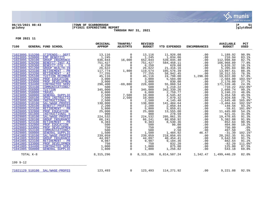

# **06/15/2021 08:43 |TOWN OF SCARBOROUGH |P 51 gclukey |FY2021 EXPENDITURE REPORT |glytdbud THROUGH MAY 31, 2021**



| 7100                               |                 | GENERAL FUND SCHOOL                       | ORIGINAL<br><b>APPROP</b>                                                                                                                                                                                                                                                              | TRANFRS/<br>ADJSTMTS         | <b>REVISED</b><br><b>BUDGET</b> | YTD EXPENDED             | <b>ENCUMBRANCES</b>                                                                                 | <b>AVAILABLE</b><br><b>BUDGET</b> | PCT<br><b>USED</b> |
|------------------------------------|-----------------|-------------------------------------------|----------------------------------------------------------------------------------------------------------------------------------------------------------------------------------------------------------------------------------------------------------------------------------------|------------------------------|---------------------------------|--------------------------|-----------------------------------------------------------------------------------------------------|-----------------------------------|--------------------|
|                                    |                 | 71023095 515200 STIPENDS-- DEPT           | 13,116                                                                                                                                                                                                                                                                                 | 0                            | 13,116                          | 11,926.08                | .00                                                                                                 | 1,189.92                          | 90.9%              |
|                                    | 71023095 520000 | <b>EMP BENEFITS</b>                       | $\begin{array}{r} 13,145 \\ 1,245 \\ 636,844 \\ 751,427 \\ 6,250 \\ 26,622 \\ 117,774 \\ 77 \end{array}$                                                                                                                                                                               | $\Omega$                     | 1,245                           | 1,034.06                 | .00                                                                                                 | 210.94                            | 83.1%              |
| 71023095 520100                    |                 | <b>GROUP INSURANCE</b>                    |                                                                                                                                                                                                                                                                                        | 16,000                       | 652,844                         | 539,845.40               | .00                                                                                                 | 112,998.60                        | 82.7%              |
| 71023095 520200                    |                 | BENEFIT-INST AI                           |                                                                                                                                                                                                                                                                                        | $\Omega$                     | 751,427                         | 584,458.11               | .00                                                                                                 | 166,968.89                        | 77.8%              |
| 71023095 520300                    |                 | BENEFIT-OTH - S                           |                                                                                                                                                                                                                                                                                        | $\mathbf 0$                  | 6,250                           | 629.68                   | .00                                                                                                 | 5,620.32                          | 10.1%              |
| 71023095 521200                    |                 | <b>GROUP HEALTH-IN</b>                    |                                                                                                                                                                                                                                                                                        | $\Omega$                     | 26,622                          | 21,416.16                | .00                                                                                                 | 5,205.84                          | 80.4%              |
| 71023095 523100                    |                 | RETIREMENT - PR                           |                                                                                                                                                                                                                                                                                        | 1,800                        | 119,574                         | 105,576.39               | .00                                                                                                 | 13,997.61                         | 88.3%              |
| 71023095 523200                    |                 | RETIREMENT - AI                           | 77,255<br>$77,255$<br>$45,116$<br>$3,000$<br>$3,000$<br>$3,000$<br>$3,000$<br>$3,000$<br>$3,000$<br>$6,000$<br>$6,000$<br>$7,500$<br>$2,500$<br>$2,500$<br>$2,500$<br>$2,500$<br>$138,000$<br>$2,500$<br>$5,800$<br>$5,800$<br>$25,800$<br>$25,800$<br>$25,800$<br>$25,800$<br>$25,80$ | $\Omega$                     | 77,255                          | 58,942.45                | .00                                                                                                 | 18, 312.55                        | 76.3%              |
| 71023095 525100                    |                 | <b>TUITION REIMBUR</b>                    |                                                                                                                                                                                                                                                                                        | $\mathbf 0$                  | 45,116                          | 24,798.00                | 1,296.00                                                                                            | 19,022.00                         | 57.8%              |
| 71023095 532000<br>71023095 533000 |                 | PROF EDUCATION                            |                                                                                                                                                                                                                                                                                        | 0<br>$\Omega$                | 3,000                           | 5,504.00<br>830.00       | .00                                                                                                 | $-2,504.00$                       | 183.5%*<br>27.7%   |
| 71023095 534400                    |                 | PROF DEVELOPMEN<br><b>CONTRACTED SERV</b> |                                                                                                                                                                                                                                                                                        | $-69,800$                    | 3,000<br>226,600                | 55,060.54                | .00                                                                                                 | 2,170.00<br>171,539.46            | 24.3%              |
| 71023095 553100                    |                 | COMMUNICATIONS/                           |                                                                                                                                                                                                                                                                                        | 0                            | 500                             | 1,210.22                 | .00<br>.00                                                                                          | $-710.22$                         | 242.0%*            |
| 71023095 556000                    |                 | TUITION                                   |                                                                                                                                                                                                                                                                                        | $\mathbf 0$                  | 345,000                         |                          | .00                                                                                                 | 2,660.74                          | 99.2%              |
| 71023095 558000                    |                 | <b>TRAVEL</b>                             |                                                                                                                                                                                                                                                                                        | $\mathbf 0$                  | 6,000                           | 342, 339.26<br>2, 759.77 | .00                                                                                                 | 3,240.23                          | 46.0%              |
| 71023095 560000                    |                 | <b>GENERAL SUPPLIE</b>                    |                                                                                                                                                                                                                                                                                        | 7,500                        | 10,000                          | 4,545.42                 | .00                                                                                                 | 5,454.58                          | 45.5%              |
| 71023095 560100                    |                 | SPED INSTRUCTIO                           |                                                                                                                                                                                                                                                                                        | 2,500                        | 10,000                          | 7,070.32                 | .00                                                                                                 | 2,929.68                          | 70.7%              |
| 71023095 561000                    |                 | INSTRUCTIONAL S                           |                                                                                                                                                                                                                                                                                        | $\Omega$                     | 2,500                           | 4, 145. 48               | .00                                                                                                 | $-1,645.48$                       | 165.8%*            |
| 71028095 510100                    |                 | SAL/WAGE-PROFES                           |                                                                                                                                                                                                                                                                                        | 0                            | 138,000                         | 141,404.64               | .00                                                                                                 | $-3,404.64$                       | 102.5%*            |
| 71028095 520100                    |                 | <b>BENEFIT-PROFESS</b>                    |                                                                                                                                                                                                                                                                                        | $\mathbf 0$                  | 2,200                           | 2,050.44                 | .00                                                                                                 | 149.56                            | 93.2%              |
| 71028095 523100                    |                 | RETIREMENT - PR                           |                                                                                                                                                                                                                                                                                        | $\mathsf 0$                  | 5,800                           | 5,859.61                 | .00                                                                                                 | $-59.61$                          | 101.0%*            |
| 71028095 532000                    |                 | PROF EDUCATION                            |                                                                                                                                                                                                                                                                                        | $\overline{0}$               | 25,000                          | 13,555.00                | .00                                                                                                 | 11,445.00                         | 54.2%              |
| 71028095 561000                    |                 | INSTRUCTIONAL S                           |                                                                                                                                                                                                                                                                                        | $\mathsf{O}$                 | 900                             | 278.59                   | .00                                                                                                 | 621.41                            | 31.0%              |
| 71029005 510100                    |                 | SAL/WAGE-PROFES                           |                                                                                                                                                                                                                                                                                        | $\mathbf 0$                  | 224,532                         | 205,061.35               | .00                                                                                                 | 19,470.65                         | 91.3%              |
| 71029005 520100                    |                 | <b>GROUP INSURANCE</b>                    |                                                                                                                                                                                                                                                                                        | $\mathbf 0$                  | 66,241                          | 60,858.92                | .00                                                                                                 | 5,382.08                          | 91.9%              |
| 71029005 523100                    |                 | RETIREMENT - PR                           |                                                                                                                                                                                                                                                                                        | $\mathbf 0$                  | 9,383                           | 8,530.36                 | .00                                                                                                 | 852.64                            | 90.9%              |
| 71029005 532000                    |                 | PROF EDUCATION                            |                                                                                                                                                                                                                                                                                        | $\mathsf{O}\xspace$          | 500                             | 96.00                    | .00                                                                                                 | 404.00                            | 19.2%              |
| 71029005 533000<br>71029005 553100 |                 | PROF DEVELOPMEN<br>COMMUNICATIONS/        |                                                                                                                                                                                                                                                                                        | $\mathsf{O}$<br>$\mathsf{O}$ | 750<br>500                      | .00<br>2.50              | .00<br>.00                                                                                          | 750.00<br>497.50                  | .0%                |
| 71029005 560000                    |                 | <b>GENERAL SUPPLIE</b>                    |                                                                                                                                                                                                                                                                                        | $\mathsf{O}$                 | 1,500                           | 1,484.92                 |                                                                                                     | $-31.39$                          | .5%<br>102.1%*     |
| 71041005 510100                    |                 | SAL/WAGE-PROFES                           |                                                                                                                                                                                                                                                                                        | $\mathbf 0$                  | 239,059                         | 218,856.65               |                                                                                                     | 20, 202.35                        | 91.5%              |
| 71041005 520100                    |                 | <b>GROUP INSURANCE</b>                    |                                                                                                                                                                                                                                                                                        | $\mathsf{O}$                 | 44,097                          | 40,454.41                |                                                                                                     | 3,642.59                          | 91.7%              |
| 71041005 523100                    |                 | RETIREMENT - PR                           |                                                                                                                                                                                                                                                                                        | $\mathsf{O}\xspace$          | 9,987                           | 9,104.36                 |                                                                                                     | 882.64                            | 91.2%              |
| 71041005 533000                    |                 | PROF DEVELOPMEN                           |                                                                                                                                                                                                                                                                                        | $\overline{0}$               | 750                             | 832.20                   |                                                                                                     | $-82.20$                          | 111.0%*            |
| 71041005 534400                    |                 | <b>CONTRACTED SERV</b>                    |                                                                                                                                                                                                                                                                                        | $\mathbf 0$                  | 1,000                           | 875.00                   |                                                                                                     | 125.00                            | 87.5%              |
| 71041005 560000                    |                 | <b>GENERAL SUPPLIE</b>                    | $\begin{array}{r} 237,097\ 44,097\ 9,987\ 750\ 1,000\ 1,800 \end{array}$                                                                                                                                                                                                               | $\overline{0}$               | 1,800                           | 1,256.82                 | $\begin{array}{r} 46.47 \\ -00 \\ 00 \\ -00 \\ 00 \\ -00 \\ 00 \\ -00 \\ -00 \\ -00 \\ \end{array}$ | 543.18                            | 69.8%              |
|                                    | TOTAL K-8       | 8, 315, 296                               |                                                                                                                                                                                                                                                                                        | $\overline{0}$               | 8,315,296                       |                          | 6,814,507.24 1,342.47                                                                               | 1,499,446.29                      | 82.0%              |
| 199 9-12                           |                 |                                           |                                                                                                                                                                                                                                                                                        |                              |                                 |                          |                                                                                                     |                                   |                    |
|                                    |                 | 71021129 510100 SAL/WAGE-PROFES           | 123,493                                                                                                                                                                                                                                                                                | $\overline{0}$               | 123,493                         | 114,271.92               | .00                                                                                                 | 9,221.08                          | 92.5%              |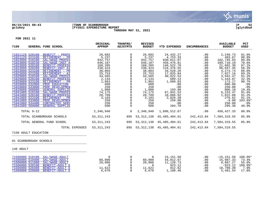

# **06/15/2021 08:43 |TOWN OF SCARBOROUGH |P 52 gclukey |FY2021 EXPENDITURE REPORT |glytdbud THROUGH MAY 31, 2021**



**FOR 2021 11**

| 7100<br>GENERAL FUND SCHOOL                                                                                                                                                                                                                                                                                                                                                                                                                                                                                                                                                                                                                                                                          | ORIGINAL<br><b>APPROP</b>                                                                                                                              | TRANFRS/<br><b>ADJSTMTS</b>     | <b>REVISED</b><br><b>BUDGET</b>                                                                                                                        | <b>YTD EXPENDED</b>                                                                                                                                                                          | <b>ENCUMBRANCES</b>                                                                                                         | <b>AVAILABLE</b><br><b>BUDGET</b>                                                                                                                                                        | <b>PCT</b><br><b>USED</b>                                                                                                                              |
|------------------------------------------------------------------------------------------------------------------------------------------------------------------------------------------------------------------------------------------------------------------------------------------------------------------------------------------------------------------------------------------------------------------------------------------------------------------------------------------------------------------------------------------------------------------------------------------------------------------------------------------------------------------------------------------------------|--------------------------------------------------------------------------------------------------------------------------------------------------------|---------------------------------|--------------------------------------------------------------------------------------------------------------------------------------------------------|----------------------------------------------------------------------------------------------------------------------------------------------------------------------------------------------|-----------------------------------------------------------------------------------------------------------------------------|------------------------------------------------------------------------------------------------------------------------------------------------------------------------------------------|--------------------------------------------------------------------------------------------------------------------------------------------------------|
| 71021129 520100<br>BENEFIT - PROFE<br>71021129 523100<br>RETIREMENT - PR<br>71023099 510100<br>SAL/WAGE-PROFES<br>71023099 510230<br>SAL/WAGE-INST A<br>71023099 520100<br><b>BENEFIT-PROFESS</b><br>71023099 520200<br><b>BENEFIT-INST AI</b><br>71023099 523100<br>RETIREMENT - PR<br>71023099 523200<br>RETIREMENT - AI<br>71029009 510100<br>SAL/WAGE-PROFES<br>71029009 520100<br><b>BENEFIT-PROFESS</b><br>71029009 523100<br>RETIREMENT - PR<br>71029009 532000<br>PROF EDUCATION<br>71029009 533000<br>PROF DEVELOPMEN<br>71029009 560000<br><b>GENERAL SUPPLIE</b><br>71041009 510100<br>SAL/WAGE-PROFES<br>71041009 520100<br><b>BENEFIT-PROFESS</b><br>71041009 523100<br>RETIREMENT - PR | 26,682<br>5,237<br>932,757<br>646,187<br>168,205<br>230,424<br>38,803<br>25,753<br>44,565<br>2,134<br>1,863<br>600<br>250<br>1,000<br>74,175<br>20,709 | $\Omega$                        | 26,682<br>5,237<br>932,757<br>646,187<br>168,205<br>230,424<br>38,803<br>25,753<br>44,565<br>2,134<br>1,863<br>600<br>250<br>1,000<br>74,175<br>20,709 | 24,432.27<br>4,753.33<br>830,011.07<br>456,476.81<br>146,522.70<br>134,376.55<br>34,528.26<br>17,825.84<br>40,622.53<br>689.13<br>1,689.83<br>.00<br>.00<br>193.90<br>67,941.53<br>18,886.92 | .00<br>.00<br>.00<br>.00<br>.00<br>.00<br>.00<br>.00<br>$.00 \,$<br>$.00 \,$<br>.00<br>$.00 \,$<br>.00<br>.00<br>.00<br>.00 | 2,249.73<br>483.67<br>102,745.93<br>189,710.19<br>21,682.30<br>96,047.45<br>4,274.74<br>7,927.16<br>3,942.47<br>1,444.87<br>173.17<br>600.00<br>250.00<br>806.10<br>6,233.47<br>1,822.08 | 91.6%<br>90.8%<br>$89.0$ $%$<br>70.6%<br>87.1%<br>58.3%<br>89.0%<br>69.2%<br>91.2%<br>32.3%<br>90.7%<br>.0%<br>.0%<br>19.4%<br>91.6%<br>91.2%<br>91.1% |
| 71041009 533000<br>PROF DEVELOPMEN<br>71041009 534400<br><b>CONTRACTED SERV</b><br>71041009 560000<br><b>GENERAL SUPPLIE</b><br>TOTAL 9-12                                                                                                                                                                                                                                                                                                                                                                                                                                                                                                                                                           | 3,103<br>250<br>250<br>500                                                                                                                             | 0<br>$\Omega$<br>$\overline{0}$ | 3,103<br>250<br>250<br>500                                                                                                                             | 2,826.38<br>259.00<br>.00<br>204.70                                                                                                                                                          | .00<br>.00<br>.00<br>.00                                                                                                    | 276.62<br>$-9.00$<br>250.00<br>295.30                                                                                                                                                    | 103.6%*<br>.0%<br>40.9%<br>80.8%                                                                                                                       |
| TOTAL SCARBOROUGH SCHOOLS<br>TOTAL GENERAL FUND SCHOOL                                                                                                                                                                                                                                                                                                                                                                                                                                                                                                                                                                                                                                               | 2,346,940<br>53, 311, 243<br>53, 311, 243                                                                                                              | 895<br>895                      | 2,346,940<br>53, 312, 138<br>53, 312, 138                                                                                                              | 1,896,512.67<br>45, 485, 404.61<br>45,485,404.61                                                                                                                                             | $.00 \,$<br>242,413.84<br>242,413.84                                                                                        | 450,427.33<br>7,584,319.55<br>7,584,319.55                                                                                                                                               | 85.8%<br>85.8%                                                                                                                                         |
| TOTAL EXPENSES                                                                                                                                                                                                                                                                                                                                                                                                                                                                                                                                                                                                                                                                                       | 53, 311, 243                                                                                                                                           | 895                             | 53,312,138                                                                                                                                             | 45,485,404.61                                                                                                                                                                                | 242,413.84                                                                                                                  | 7,584,319.55                                                                                                                                                                             |                                                                                                                                                        |

7150 ADULT EDUCATION \_\_\_\_\_\_\_\_\_\_\_\_\_\_\_\_\_\_\_\_\_\_\_\_\_\_\_\_\_\_\_\_\_\_\_\_\_\_\_\_\_

01 SCARBOROUGH SCHOOLS \_\_\_\_\_\_\_\_\_\_\_\_\_\_\_\_\_\_\_\_\_\_\_\_\_\_\_\_\_\_\_\_\_\_\_\_\_\_\_\_\_

140 ADULT \_\_\_\_\_\_\_\_\_\_\_\_\_\_\_\_\_\_\_\_\_\_\_\_\_\_\_\_\_\_\_\_\_\_\_\_\_\_\_\_\_

| 71506000 510100 SAL/WAGE-ADULT |                                 |        |        | 15,151.50 | .00 | $-15, 151.50$ | $100.0$ $*$ |
|--------------------------------|---------------------------------|--------|--------|-----------|-----|---------------|-------------|
| 71506000 510400 SAL/WAGE-ADULT |                                 | 60,000 | 60,000 | 44,012.67 | .00 | 15,987.33     | 73.4%       |
| 71506000 511800 SAL/WAGE-ADULT |                                 | 20,008 | 20,008 | 11,120.73 | .00 | 8,887.27      | 55.6%       |
|                                | 71506000 520100 BENEFIT-ADULT E |        |        | 923.12    | .00 | $-923.12$     | $100.0$ *   |
|                                | 71506000 520400 BENEFIT-ADULT E | 11,622 | 1,622  | 912.62    | .00 | 10,709.38     | 7.9%        |
|                                | 71506000 520800 BENEFIT-ADULT E | 6.670  | 6,670  | ,188.46   | .00 | .481.54       | 17.8%       |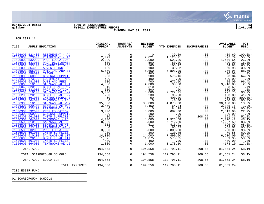

# **06/15/2021 08:43 |TOWN OF SCARBOROUGH |P 53 gclukey |FY2021 EXPENDITURE REPORT |glytdbud THROUGH MAY 31, 2021**



**FOR 2021 11**

| 7150            | <b>ADULT EDUCATION</b>          | ORIGINAL<br><b>APPROP</b> | TRANFRS/<br><b>ADJSTMTS</b> | <b>REVISED</b><br><b>BUDGET</b> | YTD EXPENDED | <b>ENCUMBRANCES</b> | <b>AVAILABLE</b><br><b>BUDGET</b> | PCT<br><b>USED</b> |
|-----------------|---------------------------------|---------------------------|-----------------------------|---------------------------------|--------------|---------------------|-----------------------------------|--------------------|
|                 | 71506000 523400 RETIREMENT - AD | $\Omega$                  | $\Omega$                    | $\Omega$                        | 39.69        | .00                 | $-39.69$                          | $100.0$ *          |
| 71506000 523800 | RETIREMENT - AD                 | 2,021                     | 0                           | 2,021                           | 1,123.21     | .00                 | 897.79                            | 55.6%              |
| 71506000 532000 | PROF EDUCATION                  | 2,000                     |                             | 2,000                           | 523.36       | .00                 | 1,476.64                          | 26.2%              |
| 71506000 533000 | PROF DEVELOPMEN                 | 500                       | $\mathbf 0$                 | 500                             | 80.00        | .00                 | 420.00                            | 16.0%              |
| 71506000 553100 | COMMUNICATIONS/                 | 160                       |                             | 160                             | 105.12       | .00                 | 54.88                             | 65.7%              |
| 71506000 554000 | ADVERTISING                     | 100                       |                             | 100                             | 39.02        | .00                 | 60.98                             | 39.0%              |
| 71506000 555000 | PRINTING AND BI                 | 6,650                     | 0                           | 6,650                           | 5,893.05     | .00                 | 756.95                            | 88.6%              |
| 71506000 558000 | <b>TRAVEL</b>                   | 400                       |                             | 400                             | .00          | .00                 | 400.00                            | .0%                |
| 71506000 560000 | <b>GENERAL SUPPLIE</b>          | 900                       | $\mathbf 0$                 | 900                             | 576.16       | .00                 | 323.84                            | 64.0%              |
| 71506000 573100 | EOUIPMENT - MAC                 | 400                       | $\mathsf{O}\xspace$         | 400                             | .00          | .00                 | 400.00                            | .0%                |
| 71506000 581000 | <b>DUES AND FEES</b>            | 700                       |                             | 700                             | 675.00       | .00                 | 25.00                             | 96.4%              |
| 71506060 510100 | SAL/WAGE-AE TRA                 | 4,000                     | $\mathbf 0$                 | 4,000                           | 90.00        | .00                 | 3,910.00                          | 2.3%               |
| 71506060 520100 | <b>BENEFIT-AE TRAN</b>          | 310                       |                             | 310                             | 1.31         | .00                 | 308.69                            | .4%                |
| 71506060 532000 | PROF EDUCATION                  | 500                       |                             | 500                             | .00          | .00                 | 500.00                            | .0%                |
| 71506200 510100 | SAL/WAGE-AE ENR                 | 3,000                     | 0                           | 3,000                           | 2,722.25     | .00                 | 277.75                            | 90.7%              |
| 71506200 520100 | <b>BENEFITS-AE ENR</b>          | 230                       |                             | 230                             | 96.20        | .00                 | 133.80                            | 41.8%              |
| 71506200 561000 | INSTRUCTIONAL S                 | 50                        | $\Omega$                    | 50                              | 400.00       | .00                 | $-350.00$                         | 800.0%*            |
| 71506200 564000 | TEXTBOOKS - AE                  | $\Omega$                  |                             | $\overline{0}$                  | 40.00        | .00                 | $-40.00$                          | $100.0$ *          |
| 71506300 510100 | SAL/WAGE-AE WOR                 | 35,000                    |                             | 35,000                          | 4,870.00     | .00                 | 30,130.00                         | 13.9%              |
| 71506300 520100 | <b>BENEFITS-AE WOR</b>          | 3,450                     |                             | 3,450                           | 64.24        | .00                 | 3,385.76                          | 1.9%               |
| 71506300 523100 | RETIREMENT - AE                 | $\Omega$                  |                             | $\overline{0}$                  | 184.29       | .00                 | $-184.29$                         | 100.0%*            |
| 71506300 532000 | PROF EDUCATION                  | 3,000                     | $\mathbf 0$                 | 3,000                           | 687.00       | .00                 | 2,313.00<br>200.00                | 22.9%              |
| 71506300 560000 | <b>GENERAL SUPPLIE</b>          | 200                       | 0                           | 200                             | .00          | .00                 |                                   | .0%                |
| 71506300 561000 | <b>INSTR SUPPLIES</b>           | 400                       |                             | 400                             | $\cdot$ 00   | 208.65              | 191.35                            | 52.2%              |
| 71506300 564000 | TEXTBOOKS - AE                  | 4,000                     | $\mathbf 0$                 | 4,000                           | 1,923.58     | .00                 | 2,076.42                          | 48.1%              |
| 71506500 510100 | SAL/WAGE-AE HS                  | 8,000                     |                             | 8,000                           | 6,712.50     | .00                 | 1,287.50                          | 83.9%              |
| 71506500 520100 | <b>BENEFITS-AE HS</b>           | 612                       | $\mathbf 0$                 | 612                             | 415.91       | .00                 | 196.09                            | 68.0%              |
| 71506500 523100 | RETIREMENT-AE H                 | $\overline{0}$            | $\mathbf 0$                 | $\overline{\phantom{0}}$        | 65.52        | $.00 \,$            | $-65.52$                          | 100.0%*            |
| 71506500 532000 | PROF EDUCATION                  | 3,000                     | $\mathbf 0$                 | 3,000                           | 2,800.00     | .00                 | 200.00                            | 93.3%              |
| 71506500 561000 | <b>INSTR SUPPLIES-</b>          | 200                       | $\mathbf 0$                 | 200                             | 120.45       | .00                 | 79.55                             | 60.2%              |
| 71506600 510100 | SAL/WAGE-AE LIT                 | 14,000                    | $\mathsf{O}\xspace$         | 14,000                          | 7,490.00     | .00                 | 6,510.00                          | 53.5%              |
| 71506600 520100 | <b>BENEFITS-AE LIT</b>          | 1,075                     | 0                           | 1,075                           | 573.05       | .00                 | 501.95                            | 53.3%              |
| 71506600 561000 | INSTR SUPPLIES-                 | 400                       | $\mathsf{O}$                | 400                             | .00          | .00                 | 400.00                            | $.0\%$             |
| 71506600 564000 | TEXTBOOKS-AE LI                 | 1,000                     | $\mathsf{O}$                | 1,000                           | 1,178.10     | .00                 | $-178.10$                         | 117.8%*            |
| TOTAL ADULT     |                                 | 194,558                   | $\overline{0}$              | 194,558                         | 112,798.11   | 208.65              | 81,551.24                         | 58.1%              |
|                 | TOTAL SCARBOROUGH SCHOOLS       | 194,558                   | $\overline{0}$              | 194,558                         | 112,798.11   | 208.65              | 81,551.24                         | 58.1%              |
|                 | TOTAL ADULT EDUCATION           | 194,558                   | $\overline{0}$              | 194,558                         | 112,798.11   | 208.65              | 81,551.24                         | 58.1%              |
|                 | TOTAL EXPENSES                  | 194,558                   | $\overline{0}$              | 194,558                         | 112,798.11   | 208.65              | 81,551.24                         |                    |

7205 ESSER FUND \_\_\_\_\_\_\_\_\_\_\_\_\_\_\_\_\_\_\_\_\_\_\_\_\_\_\_\_\_\_\_\_\_\_\_\_\_\_\_\_\_

01 SCARBOROUGH SCHOOLS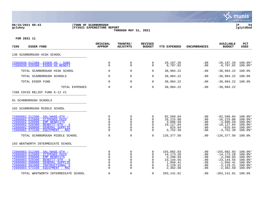

# **06/15/2021 08:43 |TOWN OF SCARBOROUGH |P 54 gclukey |FY2021 EXPENDITURE REPORT |glytdbud THROUGH MAY 31, 2021**



| 7205<br><b>ESSER FUND</b>                                                                                                                                                                                                                                                             | ORIGINAL<br><b>APPROP</b>                            | TRANFRS/<br><b>ADJSTMTS</b>                                                     | <b>REVISED</b><br><b>BUDGET</b>        | <b>YTD EXPENDED</b>                                                                   | <b>ENCUMBRANCES</b>                                               | <b>AVAILABLE</b><br><b>BUDGET</b>                                                                              | <b>PCT</b><br><b>USED</b>                                                                          |
|---------------------------------------------------------------------------------------------------------------------------------------------------------------------------------------------------------------------------------------------------------------------------------------|------------------------------------------------------|---------------------------------------------------------------------------------|----------------------------------------|---------------------------------------------------------------------------------------|-------------------------------------------------------------------|----------------------------------------------------------------------------------------------------------------|----------------------------------------------------------------------------------------------------|
| 130 SCARBOROUGH HIGH SCHOOL                                                                                                                                                                                                                                                           |                                                      |                                                                                 |                                        |                                                                                       |                                                                   |                                                                                                                |                                                                                                    |
| 72505030 512300<br>ESSER HS - SUBS<br>72505030 520300<br><b>ESSER HS BENEFI</b>                                                                                                                                                                                                       | 0<br>$\Omega$                                        | 0<br>$\Omega$                                                                   | 0<br>0                                 | 29,187.20<br>9,797.02                                                                 | .00<br>.00                                                        | $-29,187,20$<br>$-9.797.02$                                                                                    | $100.0$ *<br>$100.0$ *                                                                             |
| TOTAL SCARBOROUGH HIGH SCHOOL                                                                                                                                                                                                                                                         | $\mathbf 0$                                          | $\mathbf 0$                                                                     | 0                                      | 38,984.22                                                                             | .00                                                               | $-38,984.22$                                                                                                   | 100.0%                                                                                             |
| TOTAL SCARBOROUGH SCHOOLS                                                                                                                                                                                                                                                             | $\mathbf 0$                                          | $\mathbf 0$                                                                     | 0                                      | 38,984.22                                                                             | .00                                                               | $-38,984.22$                                                                                                   | 100.0%                                                                                             |
| TOTAL ESSER FUND                                                                                                                                                                                                                                                                      | $\mathbf 0$                                          | $\mathbf 0$                                                                     | 0                                      | 38,984.22                                                                             | .00                                                               | $-38,984.22$                                                                                                   | 100.0%                                                                                             |
| TOTAL EXPENSES                                                                                                                                                                                                                                                                        | $\mathbf 0$                                          | $\Omega$                                                                        | 0                                      | 38,984.22                                                                             | .00                                                               | $-38,984.22$                                                                                                   |                                                                                                    |
| 7206 COVID RELIEF FUND K-12 #1                                                                                                                                                                                                                                                        |                                                      |                                                                                 |                                        |                                                                                       |                                                                   |                                                                                                                |                                                                                                    |
| 01 SCARBOROUGH SCHOOLS                                                                                                                                                                                                                                                                |                                                      |                                                                                 |                                        |                                                                                       |                                                                   |                                                                                                                |                                                                                                    |
| 102 SCARBOROUGH MIDDLE SCHOOL                                                                                                                                                                                                                                                         |                                                      |                                                                                 |                                        |                                                                                       |                                                                   |                                                                                                                |                                                                                                    |
| 72606002 512300<br>SAL/WAGE-OTH -<br>72606002 515000<br>STIPENDS PAID<br>72606002 520000<br><b>EMP BENEFITS</b><br>72606002 520300<br>BENEFIT-OTH - S<br>72606002 560000<br><b>GENERAL SUPPLIE</b><br>72606002 573100<br>EOUIPMENT - MAC                                              | 0<br>$\mathbf 0$<br>0<br>$\Omega$<br>0<br>$\Omega$   | 0<br>$\mathbf 0$<br>$\mathbf 0$<br>$\Omega$<br>$\mathbf 0$<br>$\Omega$          | 0<br>0<br>0<br>0<br>0<br>0             | 82,560.04<br>16,215.00<br>3,896.59<br>19,127.84<br>825.64<br>3,752.39                 | $.00 \,$<br>$.00 \,$<br>$.00 \,$<br>.00<br>.00<br>.00             | $-82,560.04$<br>$-16, 215, 00$<br>$-3,896.59$<br>$-19, 127.84$<br>$-825.64$<br>$-3,752.39$                     | $100.0$ $*$<br>$100.0$ <sup>*</sup><br>$100.0$ *<br>$100.0$ *<br>$100.0$ *<br>$100.0$ *            |
| TOTAL SCARBOROUGH MIDDLE SCHOOL                                                                                                                                                                                                                                                       | 0                                                    | $\mathbf 0$                                                                     | $\Omega$                               | 126,377.50                                                                            | $.00 \,$                                                          | $-126, 377.50$                                                                                                 | 100.0%                                                                                             |
| 103 WENTWORTH INTERMEDIATE SCHOOL                                                                                                                                                                                                                                                     |                                                      |                                                                                 |                                        |                                                                                       |                                                                   |                                                                                                                |                                                                                                    |
| 72606003 512300<br>SAL/WAGE-OTH -<br>72606003 515000<br><b>STIPENDS PAID</b><br>72606003 520000<br><b>EMP BENEFITS</b><br>72606003 520300<br>BENEFIT-OTH - S<br>72606003 560000<br><b>GENERAL SUPPLIE</b><br>72606003 561000<br>INSTRUCTIONAL S<br>72606003 573100<br>EOUIPMENT - MAC | 0<br>$\Omega$<br>0<br>0<br>0<br>$\Omega$<br>$\Omega$ | 0<br>$\mathbf 0$<br>$\Omega$<br>$\mathbf 0$<br>$\Omega$<br>$\Omega$<br>$\Omega$ | 0<br>0<br>0<br>0<br>O<br>0<br>$\Omega$ | 155,082.03<br>14,173.28<br>3,298.93<br>23, 144.55<br>1,950.41<br>3,129.31<br>2,362.50 | $.00 \,$<br>.00<br>.00<br>$.00 \,$<br>.00<br>$.00 \,$<br>$.00 \,$ | $-155,082.03$<br>$-14, 173.28$<br>$-3, 298.93$<br>$-23, 144.55$<br>$-1,950.41$<br>$-3, 129.31$<br>$-2, 362.50$ | $100.0$ *<br>$100.0$ *<br>$100.0$ *<br>$100.0$ *<br>$100.0$ <sup>*</sup><br>$100.0$ *<br>$100.0$ * |
| TOTAL WENTWORTH INTERMEDIATE SCHOOL                                                                                                                                                                                                                                                   | 0                                                    | $\mathbf 0$                                                                     | 0                                      | 203,141.01                                                                            | .00                                                               | $-203, 141.01$                                                                                                 | 100.0%                                                                                             |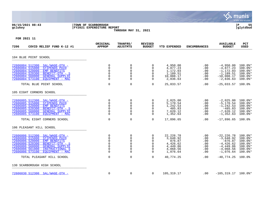

[72606030 512300 SAL/WAGE-OTH -](https://munis.scarborough.me.us/_layouts/15/DashboardMunisV6.3/PassThru.aspx?-E=/QnlP5I3GgyGSq5Pu%2BR/SMaG2%2Bu7%2B0C3lJps6m3BEvudajx3I5xxtJvKXBAaNAc6&) 0 0 0 105,319.17 .00 -105,319.17 100.0%\*

130 SCARBOROUGH HIGH SCHOOL **Example 2014** 

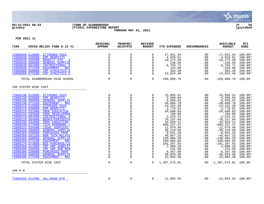

### **06/15/2021 08:43 |TOWN OF SCARBOROUGH |P 56 gclukey |FY2021 EXPENDITURE REPORT |glytdbud THROUGH MAY 31, 2021**



| ORIGINAL<br><b>APPROP</b>                                                                                                                                                                                                                                                                                                                                         | TRANFRS/<br><b>ADJSTMTS</b>                                                                                                                                                                                                                                                                                    | <b>REVISED</b><br><b>BUDGET</b>                                                                                                                                                                                                                                             | <b>YTD EXPENDED</b>                                                                                                                                                                                                                                                                                                           | <b>ENCUMBRANCES</b>                                                                                                                                                            | <b>AVAILABLE</b><br><b>BUDGET</b>                                                                                                                                                                                                                                                                                                                                                         | PCT<br><b>USED</b>                                                                                                                                                                                                                                                                                               |
|-------------------------------------------------------------------------------------------------------------------------------------------------------------------------------------------------------------------------------------------------------------------------------------------------------------------------------------------------------------------|----------------------------------------------------------------------------------------------------------------------------------------------------------------------------------------------------------------------------------------------------------------------------------------------------------------|-----------------------------------------------------------------------------------------------------------------------------------------------------------------------------------------------------------------------------------------------------------------------------|-------------------------------------------------------------------------------------------------------------------------------------------------------------------------------------------------------------------------------------------------------------------------------------------------------------------------------|--------------------------------------------------------------------------------------------------------------------------------------------------------------------------------|-------------------------------------------------------------------------------------------------------------------------------------------------------------------------------------------------------------------------------------------------------------------------------------------------------------------------------------------------------------------------------------------|------------------------------------------------------------------------------------------------------------------------------------------------------------------------------------------------------------------------------------------------------------------------------------------------------------------|
| $\mathbf 0$<br>$\mathbf{0}$<br>$\mathbf 0$<br>$\mathsf 0$<br>$\mathbf 0$<br>$\Omega$<br>$\Omega$                                                                                                                                                                                                                                                                  | 0<br>$\mathbf 0$<br>0<br>$\mathsf{O}\xspace$<br>$\mathsf{O}\xspace$<br>0<br>$\Omega$<br>0                                                                                                                                                                                                                      | 0<br>0<br>$\Omega$<br>$\mathbf 0$<br>$\overline{0}$<br>$\overline{0}$<br>$\Omega$<br>0                                                                                                                                                                                      | 17,651.44<br>4,010.61<br>19,273.49<br>246.56<br>8,783.71<br>315.96<br>383.39<br>13,024.46                                                                                                                                                                                                                                     | .00<br>.00<br>.00<br>.00<br>.00<br>.00<br>.00<br>$.00 \,$                                                                                                                      | $-4,010.61$<br>$-19, 273.49$<br>$-246.56$<br>$-8,783.71$<br>$-315.96$<br>$-383.39$<br>$-13,024.46$                                                                                                                                                                                                                                                                                        | $100.0$ *<br>$100.0$ *<br>$100.0$ *<br>$100.0$ *<br>100.0%*<br>$100.0$ *<br>$100.0$ *<br>$100.0$ *<br>100.0%                                                                                                                                                                                                     |
|                                                                                                                                                                                                                                                                                                                                                                   |                                                                                                                                                                                                                                                                                                                |                                                                                                                                                                                                                                                                             |                                                                                                                                                                                                                                                                                                                               |                                                                                                                                                                                |                                                                                                                                                                                                                                                                                                                                                                                           |                                                                                                                                                                                                                                                                                                                  |
| 0<br>$\mathbf 0$<br>$\mathbf 0$<br>$\mathbf 0$<br>$\Omega$<br>$\Omega$<br>$\Omega$<br>$\Omega$<br>$\Omega$<br>$\Omega$<br>$\mathbf 0$<br>$\mathbf 0$<br>$\Omega$<br>$\mathbf 0$<br>$\mathsf{O}\xspace$<br>$\mathbf 0$<br>$\mathsf{O}\xspace$<br>$\Omega$<br>$\ddot{\mathbf{0}}$<br>$\overline{0}$<br>$\Omega$<br>$\Omega$<br>$\mathbf 0$<br>$\cap$<br>$\mathbf 0$ | 0<br>0<br>$\mathbf 0$<br>0<br>$\mathsf 0$<br>$\mathsf{O}\xspace$<br>$\mathsf 0$<br>$\overline{0}$<br>0<br>$\mathbf 0$<br>$\mathbf 0$<br>$\mathsf 0$<br>$\overline{0}$<br>$\mathsf{O}\xspace$<br>$\ddot{\mathbf{0}}$<br>0<br>0<br>0<br>$_{0}^{0}$<br>$\mathbf 0$<br>$\mathbf 0$<br>0<br>$\Omega$<br>$\mathbf 0$ | 0<br>$\Omega$<br>$\Omega$<br>0<br>$\mathbf 0$<br>$\overline{0}$<br>$\Omega$<br>$\mathbf 0$<br>$\Omega$<br>0<br>0<br>$\Omega$<br>$\mathbf 0$<br>$\Omega$<br>0<br>0<br>$\mathbf 0$<br>0<br>$\mathbf 0$<br>$\Omega$<br>$\Omega$<br>$\Omega$<br>$\overline{0}$<br>$\Omega$<br>0 | 15,895.51<br>3,569.94<br>6,858.42<br>38,086.70<br>14, 152.39<br>2,778.91<br>20,690.83<br>769.00<br>2,524.41<br>70,137.84<br>33,633.12<br>696, 257.47<br>12,979.40<br>39,219.56<br>8,641.26<br>49,057.33<br>130,994.29<br>169,665.04<br>101,287.55<br>2,860.18<br>231.56<br>6,367.56<br>38,023.36<br>22,893.38<br>1,487,575.01 | .00<br>.00<br>.00<br>.00<br>.00<br>.00<br>.00<br>.00<br>.00<br>.00<br>.00<br>.00<br>.00<br>.00<br>.00<br>.00<br>.00<br>$.00 \,$<br>.00<br>.00<br>.00<br>.00<br>$.00 \,$<br>.00 | $-15,895.51$<br>$-3,569.94$<br>$-6,858.42$<br>$-38,086.70$<br>$-14, 152.39$<br>$-2,778.91$<br>$-20,690.83$<br>$-769.00$<br>$-2,524.41$<br>$-70, 137.84$<br>$-33,633.12$<br>$-696, 257.47$<br>$-12,979.40$<br>$-39, 219.56$<br>$-8,641.26$<br>$-49,057.33$<br>$-130,994.29$<br>$-169,665.04$<br>$-101, 287.55$<br>$-2,860.18$<br>$-231.56$<br>$-6, 367.56$<br>$-38,023.36$<br>$-22,893.38$ | $100.0$ *<br>$100.0$ *<br>$100.0$ *<br>$100.0$ *<br>$100.0$ *<br>$100.0$ *<br>$100.0$ *<br>$100.0$ *<br>$100.0$ *<br>$100.0$ *<br>$100.0$ *<br>$100.0$ *<br>$100.0$ *<br>$100.0$ *<br>$100.0$ *<br>$100.0$ *<br>$100.0$ *<br>$100.0$ *<br>100.0%*<br>100.0%*<br>$100.0$ *<br>$100.0$ *<br>$100.0$ *<br>$100.0$ * |
| $\Omega$                                                                                                                                                                                                                                                                                                                                                          | $\mathbf 0$                                                                                                                                                                                                                                                                                                    | $\Omega$                                                                                                                                                                                                                                                                    | 12,863.55                                                                                                                                                                                                                                                                                                                     | .00                                                                                                                                                                            |                                                                                                                                                                                                                                                                                                                                                                                           |                                                                                                                                                                                                                                                                                                                  |
|                                                                                                                                                                                                                                                                                                                                                                   | $\mathbf 0$                                                                                                                                                                                                                                                                                                    | $\mathbf 0$                                                                                                                                                                                                                                                                 | $\Omega$                                                                                                                                                                                                                                                                                                                      | 169,008.79                                                                                                                                                                     | .00                                                                                                                                                                                                                                                                                                                                                                                       | $-17,651.44$<br>$-169,008.79$<br>$.00 -1,487,575.01 100.08$<br>$-12,863.55$ 100.0%*                                                                                                                                                                                                                              |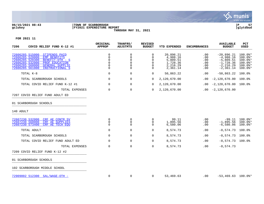

#### **06/15/2021 08:43 |TOWN OF SCARBOROUGH |P 57 gclukey |FY2021 EXPENDITURE REPORT |glytdbud THROUGH MAY 31, 2021**



| 7206<br>COVID RELIEF FUND K-12 #1                                                                                                                                                                                                               | ORIGINAL<br><b>APPROP</b>                              | TRANFRS/<br><b>ADJSTMTS</b>                                          | <b>REVISED</b><br><b>BUDGET</b>                                         | YTD EXPENDED                                                          | <b>ENCUMBRANCES</b>                         | <b>AVAILABLE</b><br><b>BUDGET</b>                                                         | PCT<br><b>USED</b>                                                                    |
|-------------------------------------------------------------------------------------------------------------------------------------------------------------------------------------------------------------------------------------------------|--------------------------------------------------------|----------------------------------------------------------------------|-------------------------------------------------------------------------|-----------------------------------------------------------------------|---------------------------------------------|-------------------------------------------------------------------------------------------|---------------------------------------------------------------------------------------|
| 72606285 515000<br><b>STIPENDS PAID</b><br>72606285 520000<br><b>EMP BENEFITS</b><br>72606285 520300<br>BENEFIT-OTH - S<br>72606285 532000<br>PROF EDUCATION<br>72606285 560000<br><b>GENERAL SUPPLIE</b><br>72606285 561000<br>INSTRUCTIONAL S | 0<br>$\Omega$<br>0<br>$\Omega$<br>$\Omega$<br>$\Omega$ | $\Omega$<br>$\Omega$<br>$\Omega$<br>$\Omega$<br>$\Omega$<br>$\Omega$ | $\Omega$<br>$\Omega$<br>$\Omega$<br>$\Omega$<br>$\mathbf 0$<br>$\Omega$ | 20,896.21<br>4,988.16<br>5,809.51<br>1,728.36<br>2,216.29<br>2,361.14 | .00<br>.00<br>.00<br>.00<br>.00<br>$.00 \,$ | $-20,896.21$<br>$-4,988.16$<br>$-5,809.51$<br>$-1,728.36$<br>$-2, 216.29$<br>$-2, 361.14$ | $100.0$ *<br>$100.0$ *<br>$100.0$ *<br>$100.0$ *<br>$100.0$ <sup>*</sup><br>$100.0$ * |
| TOTAL K-8                                                                                                                                                                                                                                       | 0                                                      | 0                                                                    | 0                                                                       | 50,863.22                                                             | .00                                         | $-50,863.22$                                                                              | 100.0%                                                                                |
| TOTAL SCARBOROUGH SCHOOLS                                                                                                                                                                                                                       | 0                                                      | 0                                                                    | 0                                                                       | 2,120,670.00                                                          | .00                                         | $-2,120,670.00$                                                                           | 100.0%                                                                                |
| TOTAL COVID RELIEF FUND K-12 #1                                                                                                                                                                                                                 | 0                                                      | 0                                                                    | $\Omega$                                                                | 2,120,670.00                                                          | $.00 \,$                                    | $-2,120,670.00$                                                                           | 100.0%                                                                                |
| TOTAL EXPENSES                                                                                                                                                                                                                                  | 0                                                      | $\mathbf 0$                                                          | 0                                                                       | 2,120,670.00                                                          | .00                                         | $-2,120,670.00$                                                                           |                                                                                       |
| 7207 COVID RELIEF FUND ADULT ED                                                                                                                                                                                                                 |                                                        |                                                                      |                                                                         |                                                                       |                                             |                                                                                           |                                                                                       |
| 01 SCARBOROUGH SCHOOLS                                                                                                                                                                                                                          |                                                        |                                                                      |                                                                         |                                                                       |                                             |                                                                                           |                                                                                       |
| 140 ADULT                                                                                                                                                                                                                                       |                                                        |                                                                      |                                                                         |                                                                       |                                             |                                                                                           |                                                                                       |
| 72607230 532000<br>CRF AE CONTR SV<br>72607230 560000<br>CRF AE SUPPLIES<br>72607230 573400<br>CRF AE TECH EOU                                                                                                                                  | 0<br>0<br>$\Omega$                                     | 0<br>0<br>$\Omega$                                                   | $\Omega$<br>$\Omega$<br>$\Omega$                                        | 99.11<br>1,895.56<br>6,580.06                                         | .00<br>.00<br>.00                           | $-99.11$<br>$-1,895.56$<br>$-6,580.06$                                                    | 100.0%*<br>$100.0$ <sup>*</sup><br>$100.0$ *                                          |
| TOTAL ADULT                                                                                                                                                                                                                                     | 0                                                      | 0                                                                    | 0                                                                       | 8,574.73                                                              | .00                                         | $-8,574.73$                                                                               | $100.0$ %                                                                             |
| TOTAL SCARBOROUGH SCHOOLS                                                                                                                                                                                                                       | 0                                                      | $\mathbf 0$                                                          | 0                                                                       | 8,574.73                                                              | .00                                         | $-8,574.73$                                                                               | $100.0$ $^{\circ}$                                                                    |
| TOTAL COVID RELIEF FUND ADULT ED                                                                                                                                                                                                                | 0                                                      | 0                                                                    | 0                                                                       | 8,574.73                                                              | .00                                         | $-8,574.73$ 100.0%                                                                        |                                                                                       |
| TOTAL EXPENSES                                                                                                                                                                                                                                  | $\mathbf 0$                                            | $\mathbf 0$                                                          | 0                                                                       | 8,574.73                                                              | .00                                         | $-8,574.73$                                                                               |                                                                                       |
| 7209 COVID RELIEF FUND K-12 #2                                                                                                                                                                                                                  |                                                        |                                                                      |                                                                         |                                                                       |                                             |                                                                                           |                                                                                       |
| 01 SCARBOROUGH SCHOOLS                                                                                                                                                                                                                          |                                                        |                                                                      |                                                                         |                                                                       |                                             |                                                                                           |                                                                                       |
| 102 SCARBOROUGH MIDDLE SCHOOL                                                                                                                                                                                                                   |                                                        |                                                                      |                                                                         |                                                                       |                                             |                                                                                           |                                                                                       |
| 72909002 512300 SAL/WAGE-OTH -                                                                                                                                                                                                                  | $\mathbf 0$                                            | $\mathbf 0$                                                          | 0                                                                       | 53,469.63                                                             | .00                                         | $-53,469.63$ 100.0%*                                                                      |                                                                                       |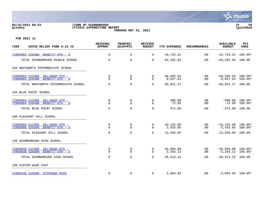

# **06/15/2021 08:43 |TOWN OF SCARBOROUGH |P 58 gclukey |FY2021 EXPENDITURE REPORT |glytdbud THROUGH MAY 31, 2021**



| 7209<br>COVID RELIEF FUND K-12 #2                                         | <b>ORIGINAL</b><br><b>APPROP</b> | TRANFRS/<br><b>ADJSTMTS</b> | <b>REVISED</b><br><b>BUDGET</b> | <b>YTD EXPENDED</b>   | <b>ENCUMBRANCES</b> | <b>AVAILABLE</b><br><b>BUDGET</b>    | PCT<br><b>USED</b>       |
|---------------------------------------------------------------------------|----------------------------------|-----------------------------|---------------------------------|-----------------------|---------------------|--------------------------------------|--------------------------|
| 72909002 520300<br>BENEFIT-OTH - S                                        | 0                                | 0                           | 0                               | 10,733.31             | .00                 | $-10, 733.31$ $100.0$ <sup>*</sup>   |                          |
| TOTAL SCARBOROUGH MIDDLE SCHOOL                                           | 0                                | 0                           | 0                               | 64,202.94             | .00                 | $-64, 202.94$ 100.0%                 |                          |
| 103 WENTWORTH INTERMEDIATE SCHOOL                                         |                                  |                             |                                 |                       |                     |                                      |                          |
| 72909003 512300<br>$SAL/WAGE-OTH$ -<br>72909003 520300<br>BENEFIT-OTH - S | 0<br>$\Omega$                    | $\mathbf 0$<br>$\Omega$     | 0<br>0                          | 58,283.54<br>8,637.63 | .00<br>.00          | $-58, 283.54$ 100.0%*<br>$-8,637.63$ | $100.0$ *                |
| TOTAL WENTWORTH INTERMEDIATE SCHOOL                                       | 0                                | $\mathbf 0$                 | $\Omega$                        | 66,921.17             | .00                 | $-66,921.17$                         | 100.0%                   |
| 104 BLUE POINT SCHOOL                                                     |                                  |                             |                                 |                       |                     |                                      |                          |
| 72909004 512300<br>SAL/WAGE-OTH -<br>72909004 520300<br>BENEFIT-OTH - S   | 0<br>$\Omega$                    | 0<br>$\Omega$               | 0<br>$\Omega$                   | 300.00<br>72.09       | .00<br>.00          | $-300.00$<br>$-72.09$                | $100.0$ *<br>$100.0$ $*$ |
| TOTAL BLUE POINT SCHOOL                                                   | $\Omega$                         | $\Omega$                    | $\Omega$                        | 372.09                | .00                 | $-372.09$                            | 100.0%                   |
| 106 PLEASANT HILL SCHOOL                                                  |                                  |                             |                                 |                       |                     |                                      |                          |
| 72909006 512300<br>$SAL/WAGE-OTH$ -<br>72909006 520300<br>BENEFIT-OTH - S | $\Omega$<br>$\Omega$             | 0<br>0                      | 0<br>0                          | 10,125.00<br>2,433.05 | $.00 \,$<br>.00     | $-10, 125.00$<br>$-2,433.05$         | $100.0$ *<br>$100.0$ $*$ |
| TOTAL PLEASANT HILL SCHOOL                                                | $\Omega$                         | $\Omega$                    | $\Omega$                        | 12,558.05             | .00                 | $-12,558.05$                         | 100.0%                   |
| 130 SCARBOROUGH HIGH SCHOOL                                               |                                  |                             |                                 |                       |                     |                                      |                          |
| 72909030 512300<br>$SAL/WAGE-OTH$ -<br>72909030 520300<br>BENEFIT-OTH - S | 0<br>$\Omega$                    | 0<br>$\Omega$               | 0<br>$\Omega$                   | 26,050.00<br>2,263.12 | .00<br>.00          | $-26,050.00$ 100.0%*<br>$-2, 263.12$ | $100.0$ *                |
| TOTAL SCARBOROUGH HIGH SCHOOL                                             | $\Omega$                         | $\Omega$                    | $\Omega$                        | 28, 313. 12           | .00.                | $-28,313.12$ 100.0%                  |                          |
| 190 SYSTEM WIDE COST                                                      |                                  |                             |                                 |                       |                     |                                      |                          |
| 72909130 515000 STIPENDS PAID                                             | 0                                | $\Omega$                    | $\Omega$                        | 3,904.83              | .00                 | $-3,904.83$ 100.0%*                  |                          |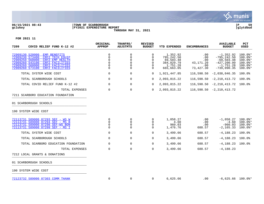

#### **06/15/2021 08:43 |TOWN OF SCARBOROUGH |P 59 gclukey |FY2021 EXPENDITURE REPORT |glytdbud THROUGH MAY 31, 2021**



| 7209<br>COVID RELIEF FUND K-12 #2                                                                                                                                                                                                    | ORIGINAL<br><b>APPROP</b>                                                 | TRANFRS/<br><b>ADJSTMTS</b>                            | <b>REVISED</b><br><b>BUDGET</b>                                  | <b>YTD EXPENDED</b>                                                         | <b>ENCUMBRANCES</b>                                       | <b>AVAILABLE</b><br><b>BUDGET</b>                                                               | PCT<br><b>USED</b>                                                                  |
|--------------------------------------------------------------------------------------------------------------------------------------------------------------------------------------------------------------------------------------|---------------------------------------------------------------------------|--------------------------------------------------------|------------------------------------------------------------------|-----------------------------------------------------------------------------|-----------------------------------------------------------|-------------------------------------------------------------------------------------------------|-------------------------------------------------------------------------------------|
| 72909130 520000<br><b>EMP BENEFITS</b><br>72909230 573400<br>CRF2 TECH EOUIP<br>72909250 560000<br>CRF2 EMP HEALTH<br>72909260 543100<br>CRF2 FACILITIES<br>72909260 560000<br>CRF2 FACILITIES<br>72909260 573100<br>CRF2 FACILITIES | $\mathbf 0$<br>$\mathbf 0$<br>0<br>$\mathbf 0$<br>$\mathbf 0$<br>$\Omega$ | $\Omega$<br>$\Omega$<br>0<br>$\Omega$<br>0<br>$\Omega$ | $\Omega$<br>$\Omega$<br>$\mathbf 0$<br>$\Omega$<br>0<br>$\Omega$ | 1,352.92<br>795,242.50<br>69,503.48<br>384,029.79<br>1,751.28<br>665,663.05 | .00<br>.00<br>.00<br>43, 171. 20<br>$.00 \,$<br>73,427.30 | $-1,352.92$<br>$-795, 242.50$<br>$-69,503.48$<br>$-427, 200.99$<br>$-1,751.28$<br>$-739,090.35$ | $100.0$ *<br>$100.0$ <sup>*</sup><br>$100.0$ *<br>100.0%*<br>$100.0$ *<br>$100.0$ * |
| TOTAL SYSTEM WIDE COST                                                                                                                                                                                                               | 0                                                                         | 0                                                      | 0                                                                | 1,921,447.85                                                                |                                                           | $116,598.50 -2,038,046.35$                                                                      | $100.0$ $^{\circ}$                                                                  |
| TOTAL SCARBOROUGH SCHOOLS                                                                                                                                                                                                            | $\mathbf 0$                                                               | 0                                                      | $\Omega$                                                         | 2,093,815.22                                                                |                                                           | $116, 598.50 -2, 210, 413.72$                                                                   | 100.0%                                                                              |
| TOTAL COVID RELIEF FUND K-12 #2                                                                                                                                                                                                      | $\Omega$                                                                  | 0                                                      | $\Omega$                                                         | 2,093,815.22                                                                |                                                           | $116,598.50 -2,210,413.72$                                                                      | $100.0\%$                                                                           |
| TOTAL EXPENSES<br>7211 SCARBORO EDUCATION FOUNDATION                                                                                                                                                                                 | 0                                                                         | $\mathbf 0$                                            | $\Omega$                                                         | 2,093,815.22                                                                |                                                           | $116,598.50 -2,210,413.72$                                                                      |                                                                                     |
| 01 SCARBOROUGH SCHOOLS                                                                                                                                                                                                               |                                                                           |                                                        |                                                                  |                                                                             |                                                           |                                                                                                 |                                                                                     |
| 190 SYSTEM WIDE COST                                                                                                                                                                                                                 |                                                                           |                                                        |                                                                  |                                                                             |                                                           |                                                                                                 |                                                                                     |
| 72113731 589000 07293 SEF - WS W<br>72113731 589000 07294 SEF - MS B<br>72113731 589000 07298 SEF-WS BON<br>72113731 589000 07299 SEF - MS I                                                                                         | 0<br>$\mathbf 0$<br>$\Omega$<br>$\Omega$                                  | 0<br>0<br>$\Omega$<br>0                                | 0<br>$\mathbf 0$<br>$\Omega$<br>$\Omega$                         | 1,058.27<br>4.60<br>960.03<br>1,476.76                                      | .00<br>.00<br>.00<br>688.57                               | $-1,058.27$<br>$-4.60$<br>$-960.03$<br>$-2, 165.33$                                             | $100.0$ $*$<br>$100.0$ *<br>100.0%*<br>$100.0$ *                                    |
| TOTAL SYSTEM WIDE COST                                                                                                                                                                                                               | $\Omega$                                                                  | 0                                                      | 0                                                                | 3,499.66                                                                    | 688.57                                                    | $-4,188.23$                                                                                     | 100.0%                                                                              |
| TOTAL SCARBOROUGH SCHOOLS                                                                                                                                                                                                            | $\Omega$                                                                  | $\mathbf 0$                                            | $\mathbf 0$                                                      | 3,499.66                                                                    | 688.57                                                    | $-4, 188.23$                                                                                    | 100.0%                                                                              |
| TOTAL SCARBORO EDUCATION FOUNDATION                                                                                                                                                                                                  | 0                                                                         | 0                                                      | 0                                                                | 3,499.66                                                                    | 688.57                                                    | $-4, 188.23$ 100.0%                                                                             |                                                                                     |
| TOTAL EXPENSES                                                                                                                                                                                                                       | $\Omega$                                                                  | 0                                                      | 0                                                                | 3,499.66                                                                    | 688.57                                                    | $-4,188.23$                                                                                     |                                                                                     |
| 7212 LOCAL GRANTS & DONATIONS                                                                                                                                                                                                        |                                                                           |                                                        |                                                                  |                                                                             |                                                           |                                                                                                 |                                                                                     |
| 01 SCARBOROUGH SCHOOLS                                                                                                                                                                                                               |                                                                           |                                                        |                                                                  |                                                                             |                                                           |                                                                                                 |                                                                                     |
| 190 SYSTEM WIDE COST                                                                                                                                                                                                                 |                                                                           |                                                        |                                                                  |                                                                             |                                                           |                                                                                                 |                                                                                     |
| 72123732 589000 07303 COMM THANK                                                                                                                                                                                                     | 0                                                                         | 0                                                      | $\Omega$                                                         | 6,625.66                                                                    | .00                                                       | $-6,625.66$ 100.0%*                                                                             |                                                                                     |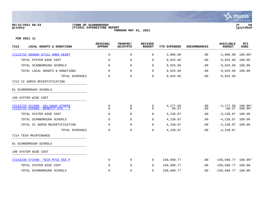

# **06/15/2021 08:43 |TOWN OF SCARBOROUGH |P 60 gclukey |FY2021 EXPENDITURE REPORT |glytdbud THROUGH MAY 31, 2021**



| 7212<br>LOCAL GRANTS & DONATIONS                                         | ORIGINAL<br><b>APPROP</b> | TRANFRS/<br><b>ADJSTMTS</b> | <b>REVISED</b><br><b>BUDGET</b> | <b>YTD EXPENDED</b> | <b>ENCUMBRANCES</b> | <b>AVAILABLE</b><br><b>BUDGET</b> | PCT<br><b>USED</b>       |
|--------------------------------------------------------------------------|---------------------------|-----------------------------|---------------------------------|---------------------|---------------------|-----------------------------------|--------------------------|
| 72123732 589000 07312 AMER HEART                                         | 0                         | 0                           | 0                               | 3,000.00            | .00                 | $-3,000.00$                       | $100.0$ *                |
| TOTAL SYSTEM WIDE COST                                                   | $\mathbf 0$               | 0                           | 0                               | 9,625.66            | .00                 | $-9,625.66$                       | 100.0%                   |
| TOTAL SCARBOROUGH SCHOOLS                                                | 0                         | 0                           | 0                               | 9,625.66            | .00                 | $-9,625.66$                       | $100.0$ $^{\circ}$       |
| TOTAL LOCAL GRANTS & DONATIONS                                           | $\Omega$                  | 0                           | $\Omega$                        | 9,625.66            | .00                 | $-9,625.66$                       | 100.0%                   |
| TOTAL EXPENSES                                                           | 0                         | 0                           | 0                               | 9,625.66            | .00                 | $-9,625.66$                       |                          |
| 7213 CC ADMIN RECERTIFICATION                                            |                           |                             |                                 |                     |                     |                                   |                          |
| 01 SCARBOROUGH SCHOOLS                                                   |                           |                             |                                 |                     |                     |                                   |                          |
| 190 SYSTEM WIDE COST                                                     |                           |                             |                                 |                     |                     |                                   |                          |
| SAL/WAGE-OTHERS<br>72133733 511900<br>72133733 520900<br>BENEFIT-OTH - T | 0<br>$\Omega$             | 0<br>0                      | 0<br>$\Omega$                   | 4,177.50<br>60.57   | .00<br>.00          | $-4, 177.50$<br>$-60.57$          | $100.0$ $*$<br>$100.0$ * |
| TOTAL SYSTEM WIDE COST                                                   | 0                         | 0                           | 0                               | 4,238.07            | .00                 | $-4,238.07$                       | 100.0%                   |
| TOTAL SCARBOROUGH SCHOOLS                                                | $\mathbf 0$               | 0                           | 0                               | 4,238.07            | .00                 | $-4, 238.07$                      | 100.0%                   |
| TOTAL CC ADMIN RECERTIFICATION                                           | $\Omega$                  | 0                           | 0                               | 4,238.07            | .00                 | $-4, 238.07$ 100.0%               |                          |
| TOTAL EXPENSES                                                           | $\mathbf 0$               | $\mathbf 0$                 | $\mathbf 0$                     | 4,238.07            | .00                 | $-4, 238.07$                      |                          |
| 7214 TECH MAINTENANCE                                                    |                           |                             |                                 |                     |                     |                                   |                          |
| 01 SCARBOROUGH SCHOOLS                                                   |                           |                             |                                 |                     |                     |                                   |                          |
| 190 SYSTEM WIDE COST                                                     |                           |                             |                                 |                     |                     |                                   |                          |
| 72142230 573400 TECH MTCE FEE P                                          | $\mathbf 0$               | 0                           | $\Omega$                        | 150,698.77          | .00                 | $-150,698.77$ 100.0%*             |                          |
| TOTAL SYSTEM WIDE COST                                                   | $\mathbf 0$               | 0                           | 0                               | 150,698.77          | .00                 | $-150,698.77$                     | 100.0%                   |
| TOTAL SCARBOROUGH SCHOOLS                                                | $\mathbf 0$               | $\mathbf 0$                 | 0                               | 150,698.77          | .00                 | $-150,698.77$                     | 100.0%                   |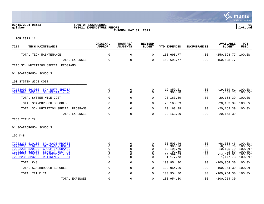#### **06/15/2021 08:43 |TOWN OF SCARBOROUGH |P 61 gclukey |FY2021 EXPENDITURE REPORT |glytdbud THROUGH MAY 31, 2021**



| 7214<br>TECH MAINTENANCE                                                                                                                                                                                                                | ORIGINAL<br><b>APPROP</b>                             | TRANFRS/<br><b>ADJSTMTS</b>                                  | <b>REVISED</b><br><b>BUDGET</b>                                     | <b>YTD EXPENDED</b>                                                  | <b>ENCUMBRANCES</b>                    | <b>AVAILABLE</b><br><b>BUDGET</b>                                                        | <b>PCT</b><br>USED                                                                  |
|-----------------------------------------------------------------------------------------------------------------------------------------------------------------------------------------------------------------------------------------|-------------------------------------------------------|--------------------------------------------------------------|---------------------------------------------------------------------|----------------------------------------------------------------------|----------------------------------------|------------------------------------------------------------------------------------------|-------------------------------------------------------------------------------------|
| TOTAL TECH MAINTENANCE                                                                                                                                                                                                                  | $\mathbf 0$                                           | $\mathbf 0$                                                  | 0                                                                   | 150,698.77                                                           | .00                                    | $-150,698.77$                                                                            | 100.0%                                                                              |
| TOTAL EXPENSES                                                                                                                                                                                                                          | $\mathbf 0$                                           | $\mathbf 0$                                                  | $\mathbf 0$                                                         | 150,698.77                                                           | .00                                    | $-150,698.77$                                                                            |                                                                                     |
| 7216 SCH NUTRITION SPECIAL PROGRAMS                                                                                                                                                                                                     |                                                       |                                                              |                                                                     |                                                                      |                                        |                                                                                          |                                                                                     |
| 01 SCARBOROUGH SCHOOLS                                                                                                                                                                                                                  |                                                       |                                                              |                                                                     |                                                                      |                                        |                                                                                          |                                                                                     |
| 190 SYSTEM WIDE COST                                                                                                                                                                                                                    |                                                       |                                                              |                                                                     |                                                                      |                                        |                                                                                          |                                                                                     |
| 72163090 563000<br><b>SCH NUTR SPECIA</b><br>72163090 563100<br>SN SPECIAL - NO                                                                                                                                                         | 0<br>$\Omega$                                         | 0<br>$\Omega$                                                | 0<br>$\Omega$                                                       | 19,859.61<br>303.78                                                  | .00<br>.00                             | $-19,859.61$ 100.0%*<br>$-303.78$                                                        | $100.0$ *                                                                           |
| TOTAL SYSTEM WIDE COST                                                                                                                                                                                                                  | $\Omega$                                              | $\mathbf 0$                                                  | 0                                                                   | 20,163.39                                                            | .00                                    | $-20, 163.39$                                                                            | 100.0%                                                                              |
| TOTAL SCARBOROUGH SCHOOLS                                                                                                                                                                                                               | 0                                                     | $\mathbf 0$                                                  | 0                                                                   | 20,163.39                                                            | .00                                    | $-20, 163.39$                                                                            | 100.0%                                                                              |
| TOTAL SCH NUTRITION SPECIAL PROGRAMS                                                                                                                                                                                                    | 0                                                     | 0                                                            | 0                                                                   | 20,163.39                                                            | .00                                    | $-20, 163.39$                                                                            | 100.0%                                                                              |
| TOTAL EXPENSES                                                                                                                                                                                                                          | 0                                                     | $\mathbf 0$                                                  | 0                                                                   | 20,163.39                                                            | .00                                    | $-20, 163.39$                                                                            |                                                                                     |
| 7230 TITLE IA                                                                                                                                                                                                                           |                                                       |                                                              |                                                                     |                                                                      |                                        |                                                                                          |                                                                                     |
| 01 SCARBOROUGH SCHOOLS                                                                                                                                                                                                                  |                                                       |                                                              |                                                                     |                                                                      |                                        |                                                                                          |                                                                                     |
| 195 K-8                                                                                                                                                                                                                                 |                                                       |                                                              |                                                                     |                                                                      |                                        |                                                                                          |                                                                                     |
| 72222235 510100<br>SAL/WAGE-PROFES<br>72222235 510230<br>SAL/WAGE-INST A<br>72222235 520100<br><b>GROUP INSURANCE</b><br>72222235 520200<br>BENEFIT-INST AI<br>72222235 523100<br>RETIREMENT - PR<br>72222235 523200<br>RETIREMENT - AI | 0<br>$\mathbf 0$<br>0<br>$\mathbf 0$<br>0<br>$\Omega$ | 0<br>$\Omega$<br>$\mathbf 0$<br>$\mathbf 0$<br>0<br>$\Omega$ | 0<br>$\Omega$<br>$\mathbf 0$<br>$\Omega$<br>$\mathbf 0$<br>$\Omega$ | 68,503.46<br>6,385.70<br>10,195.79<br>92.59<br>14,599.03<br>1,177.73 | .00<br>.00<br>.00<br>.00<br>.00<br>.00 | $-68,503.46$<br>$-6,385.70$<br>$-10, 195.79$<br>$-92.59$<br>$-14,599.03$<br>$-1, 177.73$ | 100.0%*<br>$100.0$ $*$<br>100.0%*<br>$100.0$ *<br>$100.0$ <sup>*</sup><br>$100.0$ * |
| TOTAL K-8                                                                                                                                                                                                                               | $\Omega$                                              | $\mathbf 0$                                                  | $\Omega$                                                            | 100,954.30                                                           | .00                                    | $-100, 954.30$                                                                           | 100.0%                                                                              |
| TOTAL SCARBOROUGH SCHOOLS                                                                                                                                                                                                               | 0                                                     | 0                                                            | 0                                                                   | 100,954.30                                                           | .00                                    | $-100, 954.30$                                                                           | 100.0%                                                                              |
| TOTAL TITLE IA                                                                                                                                                                                                                          | 0                                                     | 0                                                            | $\Omega$                                                            | 100,954.30                                                           | .00                                    | $-100,954.30$                                                                            | $100.0$ %                                                                           |
| TOTAL EXPENSES                                                                                                                                                                                                                          | $\mathbf 0$                                           | $\Omega$                                                     | $\Omega$                                                            | 100,954.30                                                           | .00                                    | $-100, 954.30$                                                                           |                                                                                     |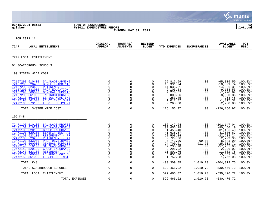|                                                                                                                                                                                                                                                                                                                                                                                                                                                                                                                                |                                                                                    |                                                                                           |                                                                                                  |                                                                                                                                                                   |                                                                                                   |                                                                                                                                                                                                               | munis<br>a tyler erp solution                                                                                                                                   |
|--------------------------------------------------------------------------------------------------------------------------------------------------------------------------------------------------------------------------------------------------------------------------------------------------------------------------------------------------------------------------------------------------------------------------------------------------------------------------------------------------------------------------------|------------------------------------------------------------------------------------|-------------------------------------------------------------------------------------------|--------------------------------------------------------------------------------------------------|-------------------------------------------------------------------------------------------------------------------------------------------------------------------|---------------------------------------------------------------------------------------------------|---------------------------------------------------------------------------------------------------------------------------------------------------------------------------------------------------------------|-----------------------------------------------------------------------------------------------------------------------------------------------------------------|
| 06/15/2021 08:43<br>gclukey                                                                                                                                                                                                                                                                                                                                                                                                                                                                                                    | TOWN OF SCARBOROUGH<br><b>FY2021 EXPENDITURE REPORT</b>                            | THROUGH MAY 31, 2021                                                                      |                                                                                                  |                                                                                                                                                                   |                                                                                                   |                                                                                                                                                                                                               | ΙP<br>62<br>glytdbud                                                                                                                                            |
| FOR 2021 11                                                                                                                                                                                                                                                                                                                                                                                                                                                                                                                    |                                                                                    |                                                                                           |                                                                                                  |                                                                                                                                                                   |                                                                                                   |                                                                                                                                                                                                               |                                                                                                                                                                 |
| 7247<br>LOCAL ENTITLEMENT                                                                                                                                                                                                                                                                                                                                                                                                                                                                                                      | ORIGINAL<br><b>APPROP</b>                                                          | <b>TRANFRS/</b><br><b>ADJSTMTS</b>                                                        | <b>REVISED</b><br><b>BUDGET</b>                                                                  | <b>YTD EXPENDED</b>                                                                                                                                               | <b>ENCUMBRANCES</b>                                                                               | <b>AVAILABLE</b><br><b>BUDGET</b>                                                                                                                                                                             | <b>PCT</b><br><b>USED</b>                                                                                                                                       |
| 7247 LOCAL ENTITLEMENT                                                                                                                                                                                                                                                                                                                                                                                                                                                                                                         |                                                                                    |                                                                                           |                                                                                                  |                                                                                                                                                                   |                                                                                                   |                                                                                                                                                                                                               |                                                                                                                                                                 |
| 01 SCARBOROUGH SCHOOLS                                                                                                                                                                                                                                                                                                                                                                                                                                                                                                         |                                                                                    |                                                                                           |                                                                                                  |                                                                                                                                                                   |                                                                                                   |                                                                                                                                                                                                               |                                                                                                                                                                 |
| 190 SYSTEM WIDE COST                                                                                                                                                                                                                                                                                                                                                                                                                                                                                                           |                                                                                    |                                                                                           |                                                                                                  |                                                                                                                                                                   |                                                                                                   |                                                                                                                                                                                                               |                                                                                                                                                                 |
| 72157290 510400<br>SAL/WAGE-ADMINI<br>72157290 520400<br><b>BENEFIT-ADMINIS</b><br>72157290 523400<br>RETIREMENT - AD<br>72157290 532000<br>PROF EDUCATION<br>72157290 560000<br><b>GENERAL SUPPLIE</b><br>72157290 561000<br>INSTRUCTIONAL S<br>72472110 561000<br>LE SOC WORK INS<br>72472190 561000<br>LE OT INST SUPP<br>72472190 573100<br>LE OT EOUIPMENT                                                                                                                                                                | 0<br>0<br>$\Omega$<br>0<br>0<br>0<br>0<br>0<br>0                                   | 0<br>0<br>$\Omega$<br>0<br>0<br>0<br>$\Omega$<br>0<br>0                                   | 0<br>0<br>$\Omega$<br>0<br>0<br>0<br>$\Omega$<br>0<br>0                                          | 65,815.59<br>18,391.74<br>14,036.31<br>9,103.53<br>7,270.67<br>8,000.36<br>253.45<br>1,017.32<br>2,268.00                                                         | .00<br>$.00 \,$<br>.00<br>.00<br>.00<br>.00<br>.00<br>.00<br>$.00 \,$                             | $-65,815.59$<br>$-18,391.74$<br>$-14,036.31$<br>$-9, 103.53$<br>$-7, 270.67$<br>$-8,000.36$<br>$-253.45$<br>$-1,017.32$<br>$-2, 268.00$                                                                       | $100.0$ *<br>$100.0$ *<br>$100.0$ *<br>100.0%*<br>$100.0$ *<br>$100.0$ *<br>$100.0$ *<br>$100.0$ *<br>$100.0$ *                                                 |
| TOTAL SYSTEM WIDE COST                                                                                                                                                                                                                                                                                                                                                                                                                                                                                                         | 0                                                                                  | 0                                                                                         | $\mathbf 0$                                                                                      | 126, 156.97                                                                                                                                                       | .00                                                                                               | $-126, 156.97$ 100.0%                                                                                                                                                                                         |                                                                                                                                                                 |
| $195 K-8$                                                                                                                                                                                                                                                                                                                                                                                                                                                                                                                      |                                                                                    |                                                                                           |                                                                                                  |                                                                                                                                                                   |                                                                                                   |                                                                                                                                                                                                               |                                                                                                                                                                 |
| 72471100 510100<br>SAL/WAGE-PROFES<br>72471100 510230<br>SAL/WAGE-INST A<br>72471100 520100<br><b>GROUP INSURANCE</b><br>72471100 520200<br>BENEFIT-INST AI<br>72471100 523100<br>RETIREMENT - PR<br>72471100 523200<br>RETIREMENT - AI<br>72471100 533000<br>PROF DEVELOPMEN<br>72471100 560000<br><b>GENERAL SUPPLIE</b><br>72472140 510100<br>SAL/WAGE-PROFES<br>72472140 520100<br><b>GROUP INSURANCE</b><br>72472140 523100<br>RETIREMENT - PR<br>72472150 560000<br>LE AUDIOLOGY SU<br>72472150 561000<br>LE SPEECH INST | 0<br>0<br>0<br>0<br>0<br>0<br>0<br>$\Omega$<br>0<br>0<br>0<br>$\Omega$<br>$\Omega$ | 0<br>0<br>$\Omega$<br>0<br>0<br>0<br>0<br>$\Omega$<br>0<br>0<br>0<br>$\Omega$<br>$\Omega$ | 0<br>$\Omega$<br>$\Omega$<br>0<br>0<br>0<br>$\Omega$<br>$\Omega$<br>0<br>0<br>0<br>$\Omega$<br>0 | 102,147.04<br>90,456.19<br>31,456.40<br>41,636.67<br>22,503.24<br>2,729.96<br>8,742.00<br>24,700.01<br>57,235.98<br>2,296.02<br>11,801.76<br>5,851.70<br>1,752.08 | .00<br>$.00 \,$<br>.00<br>.00<br>.00<br>.00<br>99.00<br>911.70<br>.00<br>.00<br>.00<br>.00<br>.00 | $-102, 147.04$<br>$-90, 456.19$<br>$-31, 456.40$<br>$-41,636.67$<br>$-22,503.24$<br>$-2,729.96$<br>$-8,841.00$<br>$-25,611.71$<br>$-57, 235.98$<br>$-2, 296.02$<br>$-11,801.76$<br>$-5,851.70$<br>$-1,752.08$ | $100.0$ *<br>100.0%*<br>$100.0$ *<br>100.0%*<br>100.0%*<br>100.0%*<br>$100.0$ $*$<br>$100.0$ *<br>$100.0$ *<br>$100.0$ *<br>$100.0$ *<br>$100.0$ *<br>$100.0$ * |
| TOTAL K-8                                                                                                                                                                                                                                                                                                                                                                                                                                                                                                                      | $\Omega$                                                                           | 0                                                                                         | 0                                                                                                | 403,309.05                                                                                                                                                        | 1,010.70                                                                                          | $-404, 319.75$                                                                                                                                                                                                | 100.0%                                                                                                                                                          |
| TOTAL SCARBOROUGH SCHOOLS                                                                                                                                                                                                                                                                                                                                                                                                                                                                                                      | 0                                                                                  | 0                                                                                         | 0                                                                                                | 529,466.02                                                                                                                                                        | 1,010.70                                                                                          | $-530, 476.72$                                                                                                                                                                                                | $100.0$ $^{\circ}$                                                                                                                                              |
| TOTAL LOCAL ENTITLEMENT                                                                                                                                                                                                                                                                                                                                                                                                                                                                                                        | 0                                                                                  | 0                                                                                         | $\Omega$                                                                                         | 529,466.02                                                                                                                                                        | 1,010.70                                                                                          | $-530, 476.72$                                                                                                                                                                                                | $100.0$ %                                                                                                                                                       |
| TOTAL EXPENSES                                                                                                                                                                                                                                                                                                                                                                                                                                                                                                                 | 0                                                                                  | 0                                                                                         | 0                                                                                                | 529,466.02                                                                                                                                                        | 1,010.70                                                                                          | $-530, 476.72$                                                                                                                                                                                                |                                                                                                                                                                 |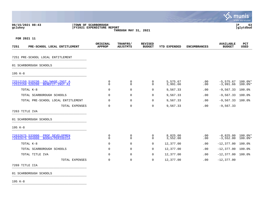|                                                                                 |                                                                          |                            |                                 |                      |                     |                                    | mu<br>INIS<br>a tyler erp solution |
|---------------------------------------------------------------------------------|--------------------------------------------------------------------------|----------------------------|---------------------------------|----------------------|---------------------|------------------------------------|------------------------------------|
| 06/15/2021 08:43<br>gclukey                                                     | TOWN OF SCARBOROUGH<br>FY2021 EXPENDITURE REPORT<br>THROUGH MAY 31, 2021 |                            |                                 |                      |                     |                                    |                                    |
| FOR 2021 11                                                                     |                                                                          |                            |                                 |                      |                     |                                    |                                    |
| 7251<br>PRE-SCHOOL LOCAL ENTITLEMENT                                            | ORIGINAL<br><b>APPROP</b>                                                | TRANFRS/<br>ADJSTMTS       | <b>REVISED</b><br><b>BUDGET</b> | YTD EXPENDED         | <b>ENCUMBRANCES</b> | <b>AVAILABLE</b><br><b>BUDGET</b>  | PCT<br>USED                        |
| 7251 PRE-SCHOOL LOCAL ENTITLEMENT                                               |                                                                          |                            |                                 |                      |                     |                                    |                                    |
| 01 SCARBOROUGH SCHOOLS                                                          |                                                                          |                            |                                 |                      |                     |                                    |                                    |
| $195 K-8$                                                                       |                                                                          |                            |                                 |                      |                     |                                    |                                    |
| 72512150 510230<br>SAL/WAGE-INST A<br>72512150 520200<br><b>BENEFIT-INST AI</b> | $\mathbf 0$<br>$\Omega$                                                  | 0<br>$\Omega$              | 0<br>$\Omega$                   | 5,575.67<br>3,991.66 | .00<br>.00          | $-5,575.67$ 100.0%*<br>$-3,991.66$ | 100.0%*                            |
| TOTAL K-8                                                                       | $\mathbf 0$                                                              | $\mathbf 0$                | 0                               | 9,567.33             | .00                 | $-9,567.33$ 100.0%                 |                                    |
| TOTAL SCARBOROUGH SCHOOLS                                                       | 0                                                                        | $\mathbf 0$                | 0                               | 9,567.33             | .00                 | $-9,567.33$                        | $100.0$ %                          |
| TOTAL PRE-SCHOOL LOCAL ENTITLEMENT                                              | $\mathbf 0$                                                              | $\mathbf 0$                | 0                               | 9,567.33             | .00                 | $-9,567.33$ 100.0%                 |                                    |
| TOTAL EXPENSES                                                                  | $\mathbf 0$                                                              | $\mathbf 0$                | 0                               | 9,567.33             | .00                 | $-9,567.33$                        |                                    |
| 7263 TITLE IVA                                                                  |                                                                          |                            |                                 |                      |                     |                                    |                                    |
| 01 SCARBOROUGH SCHOOLS                                                          |                                                                          |                            |                                 |                      |                     |                                    |                                    |
| 195 K-8                                                                         |                                                                          |                            |                                 |                      |                     |                                    |                                    |
| 72632675 533000<br>PROF DEVELOPMEN<br>72632675 564000<br>BOOKS/PERIODICA        | $\mathbf 0$<br>$\mathbf 0$                                               | $\mathbf 0$<br>$\mathbf 0$ | $\mathbf 0$<br>$\Omega$         | 8,825.00<br>3,552.00 | .00<br>.00          | $-8,825.00$ 100.0%*<br>$-3,552.00$ | $100.0$ $*$                        |
| TOTAL K-8                                                                       | $\mathbf 0$                                                              | $\mathbf 0$                | 0                               | 12,377.00            | .00                 | $-12,377.00$                       | $100.0\%$                          |
| TOTAL SCARBOROUGH SCHOOLS                                                       | $\mathbf 0$                                                              | $\mathbf 0$                | 0                               | 12,377.00            | .00                 | $-12,377.00$                       | $100.0$ %                          |
| TOTAL TITLE IVA                                                                 | 0                                                                        | $\mathbf 0$                | 0                               | 12,377.00            | .00                 | $-12,377.00$ 100.0%                |                                    |
| TOTAL EXPENSES                                                                  | $\mathbf 0$                                                              | $\mathbf 0$                | 0                               | 12,377.00            | .00                 | $-12, 377.00$                      |                                    |
| 7269 TITLE IIA                                                                  |                                                                          |                            |                                 |                      |                     |                                    |                                    |
|                                                                                 |                                                                          |                            |                                 |                      |                     |                                    |                                    |

 $\bullet$ 

01 SCARBOROUGH SCHOOLS \_\_\_\_\_\_\_\_\_\_\_\_\_\_\_\_\_\_\_\_\_\_\_\_\_\_\_\_\_\_\_\_\_\_\_\_\_\_\_\_\_

195 K-8 \_\_\_\_\_\_\_\_\_\_\_\_\_\_\_\_\_\_\_\_\_\_\_\_\_\_\_\_\_\_\_\_\_\_\_\_\_\_\_\_\_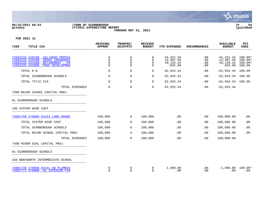

# **06/15/2021 08:43 |TOWN OF SCARBOROUGH |P 64 gclukey |FY2021 EXPENDITURE REPORT |glytdbud THROUGH MAY 31, 2021**



| 7269<br>TITLE IIA                                                                                                                                           | ORIGINAL<br><b>APPROP</b>                   | TRANFRS/<br><b>ADJSTMTS</b> | <b>REVISED</b><br><b>BUDGET</b>          | YTD EXPENDED                                     | <b>ENCUMBRANCES</b>      | <b>AVAILABLE</b><br><b>BUDGET</b>                         | PCT<br><b>USED</b>                          |
|-------------------------------------------------------------------------------------------------------------------------------------------------------------|---------------------------------------------|-----------------------------|------------------------------------------|--------------------------------------------------|--------------------------|-----------------------------------------------------------|---------------------------------------------|
| 72692235 510100<br>SAL/WAGE-PROFES<br>72692235 520100<br><b>GROUP INSURANCE</b><br>72692235 523100<br>RETIREMENT - PR<br>72692235 533000<br>PROF DEVELOPMEN | $\mathbf 0$<br>$\mathbf 0$<br>0<br>$\Omega$ | 0<br>0<br>0<br>0            | $\Omega$<br>$\mathbf 0$<br>0<br>$\Omega$ | 41,321.34<br>12,307.58<br>10,129.42<br>$-825.00$ | .00<br>.00<br>.00<br>.00 | $-41, 321.34$<br>$-12, 307.58$<br>$-10, 129.42$<br>825.00 | $100.0$ *<br>$100.0$ *<br>100.0%*<br>100.0% |
| TOTAL K-8                                                                                                                                                   | $\Omega$                                    | $\mathbf 0$                 | 0                                        | 62,933.34                                        | .00                      | $-62,933.34$                                              | 100.0%                                      |
| TOTAL SCARBOROUGH SCHOOLS                                                                                                                                   | 0                                           | 0                           | $\mathbf 0$                              | 62,933.34                                        | .00                      | $-62,933.34$                                              | $100.0$ $^{\circ}$                          |
| TOTAL TITLE IIA                                                                                                                                             | 0                                           | $\mathbf 0$                 | 0                                        | 62,933.34                                        | .00                      | $-62,933.34$ 100.0%                                       |                                             |
| TOTAL EXPENSES                                                                                                                                              | 0                                           | $\mathbf 0$                 | 0                                        | 62,933.34                                        | .00                      | $-62,933.34$                                              |                                             |
| 7300 MAJOR SCHOOL CAPITAL PROJ                                                                                                                              |                                             |                             |                                          |                                                  |                          |                                                           |                                             |
| 01 SCARBOROUGH SCHOOLS                                                                                                                                      |                                             |                             |                                          |                                                  |                          |                                                           |                                             |
| 190 SYSTEM WIDE COST                                                                                                                                        |                                             |                             |                                          |                                                  |                          |                                                           |                                             |
| 73001798 570000 04151 LONG RANGE                                                                                                                            | 100,000                                     | $\overline{0}$              | 100,000                                  | .00                                              | .00                      | 100,000.00                                                | $.0\%$                                      |
| TOTAL SYSTEM WIDE COST                                                                                                                                      | 100,000                                     | 0                           | 100,000                                  | .00                                              | .00                      | 100,000.00                                                | .0%                                         |
| TOTAL SCARBOROUGH SCHOOLS                                                                                                                                   | 100,000                                     | 0                           | 100,000                                  | .00                                              | .00                      | 100,000.00                                                | .0%                                         |
| TOTAL MAJOR SCHOOL CAPITAL PROJ                                                                                                                             | 100,000                                     | 0                           | 100,000                                  | .00                                              | .00                      | 100,000.00                                                | .0%                                         |
| TOTAL EXPENSES                                                                                                                                              | 100,000                                     | 0                           | 100,000                                  | .00                                              | .00                      | 100,000.00                                                |                                             |
| 7400 MINOR SCHL CAPITAL PROJ                                                                                                                                |                                             |                             |                                          |                                                  |                          |                                                           |                                             |
| 01 SCARBOROUGH SCHOOLS                                                                                                                                      |                                             |                             |                                          |                                                  |                          |                                                           |                                             |
| 103 WENTWORTH INTERMEDIATE SCHOOL                                                                                                                           |                                             |                             |                                          |                                                  |                          |                                                           |                                             |
| 74001739 570000 04151 DW PLUMBIN<br>74001772 570000 WI INTERIOR FIN                                                                                         | 0<br>$\mathbf 0$                            | 0<br>$\Omega$               | 0<br>$\Omega$                            | 1,990.00<br>.00                                  | .00<br>.00               | $-1,990.00$<br>.00                                        | $100.0$ *<br>$.0\%$                         |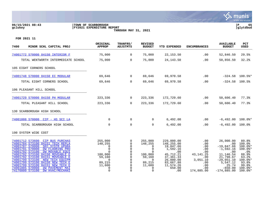#### **06/15/2021 08:43 |TOWN OF SCARBOROUGH |P 65 gclukey |FY2021 EXPENDITURE REPORT |glytdbud THROUGH MAY 31, 2021**



| 7400<br>MINOR SCHL CAPITAL PROJ                                                                                                                                                                                                                                                                                                         | ORIGINAL<br>APPROP                                                                     | TRANFRS/<br><b>ADJSTMTS</b>                                                                              | <b>REVISED</b><br><b>BUDGET</b>                                                                                   | <b>YTD EXPENDED</b>                                                                                            | <b>ENCUMBRANCES</b>                                                           | <b>AVAILABLE</b><br><b>BUDGET</b>                                                                                    | PCT<br><b>USED</b>                                                                     |
|-----------------------------------------------------------------------------------------------------------------------------------------------------------------------------------------------------------------------------------------------------------------------------------------------------------------------------------------|----------------------------------------------------------------------------------------|----------------------------------------------------------------------------------------------------------|-------------------------------------------------------------------------------------------------------------------|----------------------------------------------------------------------------------------------------------------|-------------------------------------------------------------------------------|----------------------------------------------------------------------------------------------------------------------|----------------------------------------------------------------------------------------|
| 74001772 570000 04150 INTERIOR F                                                                                                                                                                                                                                                                                                        | 75,000                                                                                 | $\overline{0}$                                                                                           | 75,000                                                                                                            | 22,153.50                                                                                                      | .00                                                                           | 52,846.50                                                                                                            | 29.5%                                                                                  |
| TOTAL WENTWORTH INTERMEDIATE SCHOOL                                                                                                                                                                                                                                                                                                     | 75,000                                                                                 | $\overline{0}$                                                                                           | 75,000                                                                                                            | 24,143.50                                                                                                      | .00                                                                           | 50,856.50                                                                                                            | 32.2%                                                                                  |
| 105 EIGHT CORNERS SCHOOL                                                                                                                                                                                                                                                                                                                |                                                                                        |                                                                                                          |                                                                                                                   |                                                                                                                |                                                                               |                                                                                                                      |                                                                                        |
| 74001748 570000 04150 EC MODULAR                                                                                                                                                                                                                                                                                                        | 69,646                                                                                 | $\overline{0}$                                                                                           | 69,646                                                                                                            | 69,970.58                                                                                                      | .00                                                                           |                                                                                                                      | $-324.58$ 100.5%*                                                                      |
| TOTAL EIGHT CORNERS SCHOOL                                                                                                                                                                                                                                                                                                              | 69,646                                                                                 | $\overline{0}$                                                                                           | 69,646                                                                                                            | 69,970.58                                                                                                      | .00                                                                           | $-324.58$ 100.5%                                                                                                     |                                                                                        |
| 106 PLEASANT HILL SCHOOL                                                                                                                                                                                                                                                                                                                |                                                                                        |                                                                                                          |                                                                                                                   |                                                                                                                |                                                                               |                                                                                                                      |                                                                                        |
| 74001729 570000 04150 PH MODULAR                                                                                                                                                                                                                                                                                                        | 223,336                                                                                | $\overline{0}$                                                                                           | 223,336                                                                                                           | 172,729.60                                                                                                     | .00                                                                           | 50,606.40                                                                                                            | 77.3%                                                                                  |
| TOTAL PLEASANT HILL SCHOOL                                                                                                                                                                                                                                                                                                              | 223,336                                                                                | $\overline{0}$                                                                                           | 223,336                                                                                                           | 172,729.60                                                                                                     | .00                                                                           | 50,606.40                                                                                                            | 77.3%                                                                                  |
| 130 SCARBOROUGH HIGH SCHOOL                                                                                                                                                                                                                                                                                                             |                                                                                        |                                                                                                          |                                                                                                                   |                                                                                                                |                                                                               |                                                                                                                      |                                                                                        |
| 74001808 570000 CIP - HS SCI LA                                                                                                                                                                                                                                                                                                         | $\mathbf 0$                                                                            | $\mathbf 0$                                                                                              | $\Omega$                                                                                                          | 6,492.00                                                                                                       | .00                                                                           | $-6,492.00$ 100.0%*                                                                                                  |                                                                                        |
| TOTAL SCARBOROUGH HIGH SCHOOL                                                                                                                                                                                                                                                                                                           | $\mathbf 0$                                                                            | $\mathbf 0$                                                                                              | $\Omega$                                                                                                          | 6,492.00                                                                                                       | .00                                                                           | $-6,492.00$ 100.0%                                                                                                   |                                                                                        |
| 190 SYSTEM WIDE COST                                                                                                                                                                                                                                                                                                                    |                                                                                        |                                                                                                          |                                                                                                                   |                                                                                                                |                                                                               |                                                                                                                      |                                                                                        |
| 74001712 573600 CIP BUS PURCHAS<br>74001784 573100 04151 TECH REPLA<br>74001787 570000<br>SEC SYSTM UPGRA<br>74001791 570000<br>DW FLOORING PRO<br>DW MOVABLE EQUI<br>74001792 573100<br>74001792 573100 04150 MOVEABLE E<br>74001792 573100 04151 MOVEABLE E<br>74001799 573100<br>NEW TECH EOUIPM<br>74001799 573100 04150 NEW TECH E | 255,000<br>148,255<br>0<br>$\mathbf 0$<br>$\Omega$<br>100,000<br>59,160<br>0<br>89,215 | $\mathbf 0$<br>$\overline{0}$<br>0<br>$\mathbf 0$<br>$\mathbf 0$<br>0<br>$\mathbf 0$<br>$\mathbf 0$<br>0 | 255,000<br>148,255<br>$\Omega$<br>$\Omega$<br>$\Omega$<br>100,000<br>59,160<br>$\overline{\phantom{0}}$<br>89,215 | 229,000.00<br>148,255.00<br>19,847.66<br>1,592.16<br>.00<br>45,712.21<br>37, 361. 33<br>26,000.00<br>83,667.88 | .00<br>.00<br>.00<br>.00<br>.00<br>43, 141. 25<br>.00<br>3,051.10<br>$.00 \,$ | 26,000.00<br>$.00 \ \rm$<br>$-19,847.66$<br>$-1,592.16$<br>.00<br>11,146.54<br>21,798.67<br>$-29,051.10$<br>5,547.12 | 89.8%<br>100.0%<br>$100.0$ *<br>100.0%*<br>.0%<br>88.9%<br>63.2%<br>$100.0$ *<br>93.8% |
| 74001799 573100 04151 NEW TECH E<br>74001805 570000<br><b>DW PAVEMENT MAI</b><br>74176800 573100<br>DW HVAC/MECHANI                                                                                                                                                                                                                     | 11,600<br>$\Omega$<br>$\Omega$                                                         | 0<br>$\Omega$<br>$\Omega$                                                                                | 11,600<br>$\Omega$<br>$\Omega$                                                                                    | 11,574.26<br>650.00<br>.00.                                                                                    | .00<br>$.00 \ \rm$<br>174,885.00                                              | 25.74<br>$-650.00$<br>$-174,885.00$                                                                                  | 99.8%<br>$100.0$ *<br>$100.0$ *                                                        |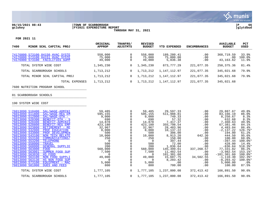

#### **06/15/2021 08:43 |TOWN OF SCARBOROUGH |P 66 gclukey |FY2021 EXPENDITURE REPORT |glytdbud THROUGH MAY 31, 2021**



# **FOR 2021 11**

| 7400<br>MINOR SCHL CAPITAL PROJ                                                                            | ORIGINAL<br><b>APPROP</b>   | TRANFRS/<br>ADJSTMTS | <b>REVISED</b><br><b>BUDGET</b> | <b>EXPENDED</b><br>YTD              | <b>ENCUMBRANCES</b> | <b>AVAILABLE</b><br><b>BUDGET</b> | PCT<br>USED              |
|------------------------------------------------------------------------------------------------------------|-----------------------------|----------------------|---------------------------------|-------------------------------------|---------------------|-----------------------------------|--------------------------|
| 74176800 573100 04150 HVAC SYSTE<br>74176800 573100 04151 HVAC SYSTE<br>74176900 573100<br>FACILITIES SUPP | 558,000<br>75,000<br>49,000 | U                    | 558,000<br>75,000<br>49,000     | 189,280.41<br>75,000.00<br>5,836.38 | .00<br>.00<br>.00   | 368,719.59<br>.00<br>43, 163. 62  | 33.9%<br>100.0%<br>11.9% |
| TOTAL SYSTEM WIDE COST                                                                                     | 1,345,230                   | $\overline{0}$       | 1,345,230                       | 873,777.29                          | 221,077.35          | 250,375.36                        | 81.4%                    |
| TOTAL SCARBOROUGH SCHOOLS                                                                                  | 1,713,212                   | 0                    | 1,713,212                       | 1,147,112.97                        | 221,077.35          | 345,021.68                        | 79.9%                    |
| SCHL<br>CAPITAL PROJ<br>TOTAL MINOR                                                                        | 1,713,212                   | $\Omega$             | 1,713,212                       | 1.147.112.97                        | 221,077.35          | 345,021.68                        | 79.9%                    |
| TOTAL EXPENSES                                                                                             | 1,713,212                   | 0                    | 1,713,212                       | 1,147,112.97                        | 221,077.35          | 345,021.68                        |                          |

# 7600 NUTRITION PROGRAM SCHOOL **Example 2010**

# 01 SCARBOROUGH SCHOOLS \_\_\_\_\_\_\_\_\_\_\_\_\_\_\_\_\_\_\_\_\_\_\_\_\_\_\_\_\_\_\_\_\_\_\_\_\_\_\_\_\_

190 SYSTEM WIDE COST \_\_\_\_\_\_\_\_\_\_\_\_\_\_\_\_\_\_\_\_\_\_\_\_\_\_\_\_\_\_\_\_\_\_\_\_\_\_\_\_\_

| 76013090 510400<br>SAL/WAGE-ADMINI        | 59,485    |                | 59,485    | 29,597.33              | $.00 \,$    | 29,887.67      | 49.8%                |
|-------------------------------------------|-----------|----------------|-----------|------------------------|-------------|----------------|----------------------|
| 76013090 511800<br>SAL/WAGE-REG EM        | 595,155   |                | 595,155   | 511,988.81             | $.00 \,$    | 83,166.19      | 86.0%                |
| 76013090 512000<br>$SAL/WAGE-OTH$ -       | 9,000     |                | 9,000     | 749.33                 | $.00 \,$    | 8,250.67       | 8.3%                 |
| 76013090 520300<br>BENEFIT-OTH - S        | 690       |                | 690       | 57.32                  | $.00 \,$    | 632.68         | 8.3%                 |
| 76013090 520400<br>BENEFIT-ADMINIS        | 14,878    |                | 14,878    | 7,417.37               | $.00 \,$    | 7,460.63       | 49.9%                |
| 76013090 520800<br>BENEFIT-REG EMP        | 423,180   |                | 423,180   | 355,798.54             | .00         | 67,381.46      | 84.1%                |
| 76013090 523800<br>RETIREMENT - RE        | 32,967    |                | 32,967    | 28,483.96              | $.00 \,$    | 4,483.04       | 86.4%                |
| 76013090 532000<br>PROF EDUCATION         | 8,000     |                | 8,000     | 10,137.22              | $.00 \,$    | $-2,137.22$    | 126.7%*              |
| 76013090 533000<br>PROF DEVELOPMEN        | 500       |                | 500       | 306.00                 | $.00 \,$    | 194.00         | 61.2%                |
| 76013090 543100<br>NON TECH RELATE        | 10,000    |                | 10,000    | 8,913.20               | 642.30      | 444.50         | 95.6%                |
| 76013090 553100<br>COMMUNICATIONS/        | 250       |                | 250       | 150.00                 | $.00 \,$    | 100.00         | 60.0%                |
| 76013090 553200<br><b>TELEPHONE</b>       |           |                |           | 397.44                 | $.00 \,$    | $-397.44$      | $100.0$ *            |
| 76013090 558000<br>TRAVEL                 | 500       |                | 500       | 72.00                  | .00         | 428.00         | 14.4%                |
| 76013090 560000<br><b>GENERAL SUPPLIE</b> | 200       |                | 200       | 1,036.64               | $.00 \,$    | $-836.64$      | $518.3$ *            |
| 76013090 563000<br>FOOD                   | 560,000   |                | 560,000   | 145,399.61             | 337, 268.57 | 77,331.82      | 86.2%                |
| 76013090 563001<br>SUMMER FOOD SUP        | 7,500     |                | 7,500     | 11,482.54              | $.00 \,$    | $-3,982.54$    | $153.1$ <sup>*</sup> |
| 76013090 563030<br>HS FOOD                |           |                |           | 101,301.60             | $.00 \,$    | $-101, 301.60$ | $100.0$ *            |
| 76013090 563100<br>NON FOOD SUPPLI        | 49,000    |                | 49,000    | 15,607.75              | 34,502.55   | $-1, 110.30$   | $102.3$ *            |
| 76013090 563130<br>HS NON FOOD SUP        |           |                |           | 8,203.42               | $.00 \,$    | $-8, 203, 42$  | $100.0$ *            |
| 76013090 573100<br>EOUIPMENT - MAC        | 5,000     |                | 5,000     | .00                    | $.00 \,$    | 5,000.00       | $.0\%$               |
| 76013090 581000<br><b>DUES AND FEES</b>   | 800       |                | 800       | 700.00                 | $.00 \ \rm$ | 100.00         | 87.5%                |
| TOTAL SYSTEM WIDE COST                    | 1,777,105 | $\mathbf 0$    | 1,777,105 | 1,237,800.08           | 372,413.42  | 166,891.50     | 90.6%                |
| TOTAL SCARBOROUGH SCHOOLS                 | 1,777,105 | $\overline{0}$ |           | 1,777,105 1,237,800.08 | 372,413.42  | 166,891.50     | 90.6%                |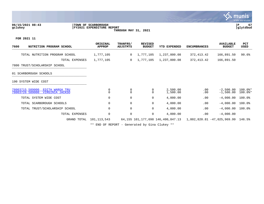#### **06/15/2021 08:43 |TOWN OF SCARBOROUGH |P 67 gclukey |FY2021 EXPENDITURE REPORT |glytdbud THROUGH MAY 31, 2021**



**FOR 2021 11**

| 7600<br>NUTRITION PROGRAM SCHOOL                                         | ORIGINAL<br><b>APPROP</b> | TRANFRS/<br><b>ADJSTMTS</b> | <b>REVISED</b><br><b>BUDGET</b> | <b>YTD EXPENDED</b>               | <b>ENCUMBRANCES</b>                | <b>AVAILABLE</b><br><b>BUDGET</b> | PCT<br>USED            |
|--------------------------------------------------------------------------|---------------------------|-----------------------------|---------------------------------|-----------------------------------|------------------------------------|-----------------------------------|------------------------|
| TOTAL NUTRITION PROGRAM SCHOOL                                           | 1,777,105                 | $\mathbf{0}$                | 1,777,105                       | 1,237,800.08                      | 372, 413.42                        | 166,891.50                        | 90.6%                  |
| TOTAL EXPENSES                                                           | 1,777,105                 | $\mathbf{0}$                | 1,777,105                       | 1,237,800.08                      | 372, 413.42                        | 166,891.50                        |                        |
| 7800 TRUST/SCHOLARSHIP SCHOOL                                            |                           |                             |                                 |                                   |                                    |                                   |                        |
| 01 SCARBOROUGH SCHOOLS                                                   |                           |                             |                                 |                                   |                                    |                                   |                        |
| 190 SYSTEM WIDE COST                                                     |                           |                             |                                 |                                   |                                    |                                   |                        |
| 78003715 589000<br>EDITH WARGA TRU<br>78003726 589000<br>VIRGINIA JACKSO | 0<br>0                    | 0<br>$\mathbf 0$            | 0<br>0                          | 2,500.00<br>1,500.00              | .00<br>.00                         | $-2,500.00$<br>$-1,500.00$        | $100.0$ *<br>$100.0$ * |
| TOTAL SYSTEM WIDE COST                                                   | 0                         | $\mathbf 0$                 | 0                               | 4,000.00                          | .00                                | $-4,000.00$                       | 100.0%                 |
| TOTAL SCARBOROUGH SCHOOLS                                                | 0                         | 0                           | 0                               | 4,000.00                          | .00                                | $-4,000.00$                       | $100.0$ %              |
| TOTAL TRUST/SCHOLARSHIP SCHOOL                                           | 0                         | $\mathbf 0$                 | 0                               | 4,000.00                          | .00                                | $-4,000.00$                       | 100.0%                 |
| TOTAL EXPENSES                                                           | 0                         | $\mathbf 0$                 | 0                               | 4,000.00                          | .00                                | $-4,000.00$                       |                        |
| GRAND TOTAL                                                              | 101,113,543               |                             |                                 | 64,155 101,177,698 146,400,847.13 | 1,802,820.81 -47,025,969.99 146.5% |                                   |                        |
|                                                                          |                           |                             |                                 |                                   |                                    |                                   |                        |

\*\* END OF REPORT - Generated by Gina Clukey \*\*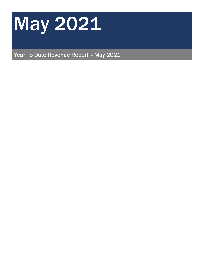

Year To Date Revenue Report - May 2021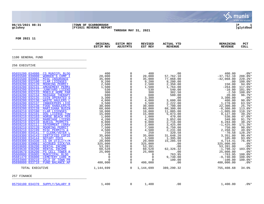|                                                                                                                                                                                                                                                                                                                                                                                                                                                                                                                                                                                                                                                                                                                                                                                                                                                                                                                                                                                                                                                                                                                                                                                                                                                                                                                                                                                                      |                                                                                                                                                                                                                                                                                                                                       |                                                                                                                                                                                                                                                                                                                                                                                                                                                                                                                                 |                                                                                                                                                                                                                                                                                                                                                |                                                                                                                                                                                                                                                                                                                                                                                                             |                                                                                                                                                                                                                                                                                                                                                                                                                                                   | $\sim$ munis<br>a tyler erp solution                                                                                                                                                                                                                                                                                                                                                                          |
|------------------------------------------------------------------------------------------------------------------------------------------------------------------------------------------------------------------------------------------------------------------------------------------------------------------------------------------------------------------------------------------------------------------------------------------------------------------------------------------------------------------------------------------------------------------------------------------------------------------------------------------------------------------------------------------------------------------------------------------------------------------------------------------------------------------------------------------------------------------------------------------------------------------------------------------------------------------------------------------------------------------------------------------------------------------------------------------------------------------------------------------------------------------------------------------------------------------------------------------------------------------------------------------------------------------------------------------------------------------------------------------------------|---------------------------------------------------------------------------------------------------------------------------------------------------------------------------------------------------------------------------------------------------------------------------------------------------------------------------------------|---------------------------------------------------------------------------------------------------------------------------------------------------------------------------------------------------------------------------------------------------------------------------------------------------------------------------------------------------------------------------------------------------------------------------------------------------------------------------------------------------------------------------------|------------------------------------------------------------------------------------------------------------------------------------------------------------------------------------------------------------------------------------------------------------------------------------------------------------------------------------------------|-------------------------------------------------------------------------------------------------------------------------------------------------------------------------------------------------------------------------------------------------------------------------------------------------------------------------------------------------------------------------------------------------------------|---------------------------------------------------------------------------------------------------------------------------------------------------------------------------------------------------------------------------------------------------------------------------------------------------------------------------------------------------------------------------------------------------------------------------------------------------|---------------------------------------------------------------------------------------------------------------------------------------------------------------------------------------------------------------------------------------------------------------------------------------------------------------------------------------------------------------------------------------------------------------|
| 06/15/2021 08:31<br>gclukey                                                                                                                                                                                                                                                                                                                                                                                                                                                                                                                                                                                                                                                                                                                                                                                                                                                                                                                                                                                                                                                                                                                                                                                                                                                                                                                                                                          | TOWN OF SCARBOROUGH<br><b>FY2021 REVENUE REPORT</b>                                                                                                                                                                                                                                                                                   | THROUGH MAY 31, 2021                                                                                                                                                                                                                                                                                                                                                                                                                                                                                                            |                                                                                                                                                                                                                                                                                                                                                |                                                                                                                                                                                                                                                                                                                                                                                                             |                                                                                                                                                                                                                                                                                                                                                                                                                                                   | lР<br>glytdbud                                                                                                                                                                                                                                                                                                                                                                                                |
| FOR 2021 11                                                                                                                                                                                                                                                                                                                                                                                                                                                                                                                                                                                                                                                                                                                                                                                                                                                                                                                                                                                                                                                                                                                                                                                                                                                                                                                                                                                          | ORIGINAL<br><b>ESTIM REV</b>                                                                                                                                                                                                                                                                                                          | <b>ESTIM REV</b><br><b>ADJSTMTS</b>                                                                                                                                                                                                                                                                                                                                                                                                                                                                                             | <b>REVISED</b><br>EST REV                                                                                                                                                                                                                                                                                                                      | ACTUAL YTD<br><b>REVENUE</b>                                                                                                                                                                                                                                                                                                                                                                                | <b>REMAINING</b><br><b>REVENUE</b>                                                                                                                                                                                                                                                                                                                                                                                                                | PCT<br><b>COLL</b>                                                                                                                                                                                                                                                                                                                                                                                            |
| 1100 GENERAL FUND                                                                                                                                                                                                                                                                                                                                                                                                                                                                                                                                                                                                                                                                                                                                                                                                                                                                                                                                                                                                                                                                                                                                                                                                                                                                                                                                                                                    |                                                                                                                                                                                                                                                                                                                                       |                                                                                                                                                                                                                                                                                                                                                                                                                                                                                                                                 |                                                                                                                                                                                                                                                                                                                                                |                                                                                                                                                                                                                                                                                                                                                                                                             |                                                                                                                                                                                                                                                                                                                                                                                                                                                   |                                                                                                                                                                                                                                                                                                                                                                                                               |
| 256 EXECUTIVE                                                                                                                                                                                                                                                                                                                                                                                                                                                                                                                                                                                                                                                                                                                                                                                                                                                                                                                                                                                                                                                                                                                                                                                                                                                                                                                                                                                        |                                                                                                                                                                                                                                                                                                                                       |                                                                                                                                                                                                                                                                                                                                                                                                                                                                                                                                 |                                                                                                                                                                                                                                                                                                                                                |                                                                                                                                                                                                                                                                                                                                                                                                             |                                                                                                                                                                                                                                                                                                                                                                                                                                                   |                                                                                                                                                                                                                                                                                                                                                                                                               |
| 05655200 034080<br>CS MUNICPL BLDG<br>05655500 039000<br>WORKER'S COMP I<br>05655500 039001<br>MISC INSURANCE<br>05659200 032100<br>CLAM LICENSES<br>05659200 032120<br>05659200 032131<br>MOORING PERMIT<br><b>AMUSEMENT PERMI</b><br>05659200 032132<br><b>JUNKYARD LICENS</b><br>05659200 032133<br>05659200 032134<br>MOBILE HOME PAR<br><b>MASSAGE THERAPY</b><br>05659200 032135<br>COIN OPERATED G<br>05659200 032136<br><b>WASTE HAULERS L</b><br>05659200 032137<br>INNKEEPERS LICE<br>05659200 032138<br><b>FOOD HANDLERS/E</b><br>05659200 032139<br><b>MARIJUANA BUSIN</b><br>05659210 032100<br>05659210 032101<br>CLAM LICENSES<br>DOG LICENSE-TOW<br>05659210 032103<br><b>HORSE BEACH PER</b><br>05659210 032105<br>MARRIAGE LICENS<br>05659210 032110<br>BURIAL PERMITS<br>05659210 032111<br><b>INTERMENT (GRAV</b><br>05659210 032120<br>MOORING PERMIT<br>05659210 032199<br>MISC PERMITS &<br>05659300 034141<br>T CLERK/VOTER L<br>05659300 034143<br>CERTIFIED COPIE<br>05659300 034144<br>NOTARY FEES<br>CS OH UTILITY/M<br>05659300 039003<br><b>ACCRUED SICK/VA</b><br>05659600 036200<br>RENTAL INCOME<br>05659630 036200<br>RENTAL INCOME<br>05659670 036200<br>PS CELL TOWER R<br>05660800 036005<br>MUNICIPAL BLDG<br>05681470 036000<br>CEMETERY CARE M<br>05693900 039210<br>SALE OF TOWN PR<br>05698000 033710<br>FUND BALANCE AP<br>TOTAL EXECUTIVE<br>257 FINANCE | 400<br>20,000<br>35,000<br>9,200<br>2,500<br>1,500<br>530<br>300<br>600<br>3,300<br>4,000<br>3,500<br>30,000<br>60,000<br>10,000<br>15,000<br>1,000<br>4,200<br>9,000<br>2,000<br>7,500<br>4,500<br>250<br>35,000<br>1,500<br>20,000<br>325,000<br>53,391<br>60,528<br>25,000<br>0<br>$\mathbf 0$<br>$\Omega$<br>400,000<br>1,144,699 | $\overline{0}$<br>0<br>$\overline{0}$<br>$\overline{0}$<br>$\mathbf 0$<br>0<br>$\mathbf 0$<br>$\overline{0}$<br>0<br>$\mathbf 0$<br>$\mathbf 0$<br>$\mathbf 0$<br>$\overline{0}$<br>$\overline{0}$<br>$\overline{0}$<br>0<br>$\mathbf 0$<br>$\mathsf{O}$<br>$\overline{0}$<br>$\overline{0}$<br>$\overline{0}$<br>$\mathsf{O}$<br>$\overline{0}$<br>$\mathsf{O}$<br>$\overline{0}$<br>$\mathsf{O}$<br>0<br>$\mathbf 0$<br>$\mathsf{O}$<br>$\overline{0}$<br>$\overline{0}$<br>$\overline{0}$<br>0<br>$\Omega$<br>$\overline{0}$ | 400<br>20,000<br>35,000<br>9,200<br>2,500<br>1,500<br>530<br>300<br>600<br>3,300<br>4,000<br>3,500<br>30,000<br>60,000<br>10,000<br>15,000<br>1,000<br>4,200<br>9,000<br>2,000<br>7,500<br>4,500<br>250<br>35,000<br>1,500<br>20,000<br>325,000<br>53,391<br>60,528<br>25,000<br>$\overline{0}$<br>$\overline{0}$<br>0<br>400,000<br>1,144,699 | .00<br>57,762.10<br>77,068.00<br>9,200.00<br>2,350.00<br>1,764.00<br>540.00<br>302.50<br>580.00<br>.00<br>3,600.00<br>2,222.00<br>7,700.00<br>68,300.00<br>11,005.00<br>5,873.00<br>470.00<br>3,852.00<br>2,716.00<br>$3,425.00$<br>6,750.00<br>2,231.08<br>320.58<br>31,648.20<br>1,395.00<br>15,285.59<br>.00<br>.00<br>62,326.32<br>$\overline{00}$<br>763.95<br>9,740.00<br>100.00<br>.00<br>389,290.32 | 400.00<br>$-37,762.10$<br>$-42,068.00$<br>.00<br>150.00<br>$-264.00$<br>$-10.00$<br>$-2.50$<br>20.00<br>3,300.00<br>400.00<br>$1,278.00$<br>$22,300.00$<br>$-8,300.00$<br>$-1,005.00$<br>9,127.00<br>530.00<br>348.00<br>6,284.00<br>$-1,425.00$<br>750.00<br>$2, 268.92$<br>-70.58<br>3,351.80<br>105.00<br>4,714.41<br>325,000.00<br>53,391.00<br>$-1,798.32$<br>25,000.00<br>$-763.95$<br>$-9,740.00$<br>$-100.00$<br>400,000.00<br>755,408.68 | $.0$ %*<br>288.8%*<br>$220.2$ *<br>$100.0$ *<br>$94.0$ %*<br>$117.6$ $*$<br>101.9%*<br>100.8%*<br>$96.7$ $*$<br>$.0$ %*<br>$90.0$ *<br>63.5%<br>25.7%<br>113.8%*<br>110.1%*<br>$39.2$ *<br>$47.0$ %*<br>91.7%<br>$30.2$ %*<br>171.3%*<br>$90.0$ *<br>49.6%*<br>128.2%*<br>$90.4$ $*$<br>$93.0$ *<br>76.4%*<br>$.0$ %*<br>$.0$ %*<br>103.0%*<br>$.0$ %*<br>$100.0$ *<br>100.0%*<br>100.0%*<br>$.0$ %*<br>34.0% |
|                                                                                                                                                                                                                                                                                                                                                                                                                                                                                                                                                                                                                                                                                                                                                                                                                                                                                                                                                                                                                                                                                                                                                                                                                                                                                                                                                                                                      |                                                                                                                                                                                                                                                                                                                                       |                                                                                                                                                                                                                                                                                                                                                                                                                                                                                                                                 |                                                                                                                                                                                                                                                                                                                                                |                                                                                                                                                                                                                                                                                                                                                                                                             |                                                                                                                                                                                                                                                                                                                                                                                                                                                   |                                                                                                                                                                                                                                                                                                                                                                                                               |
| 05756100 034370 SUPPLY/SALARY R                                                                                                                                                                                                                                                                                                                                                                                                                                                                                                                                                                                                                                                                                                                                                                                                                                                                                                                                                                                                                                                                                                                                                                                                                                                                                                                                                                      | 1,400                                                                                                                                                                                                                                                                                                                                 | $\overline{0}$                                                                                                                                                                                                                                                                                                                                                                                                                                                                                                                  | 1,400                                                                                                                                                                                                                                                                                                                                          | .00                                                                                                                                                                                                                                                                                                                                                                                                         | 1,400.00                                                                                                                                                                                                                                                                                                                                                                                                                                          | $.0$ %*                                                                                                                                                                                                                                                                                                                                                                                                       |

and the contract of the contract of the contract of the contract of the contract of the contract of the contract of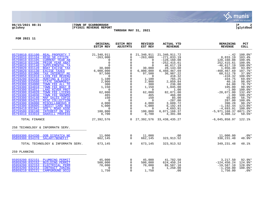

# **06/15/2021 08:31 |TOWN OF SCARBOROUGH |P 2 gclukey |FY2021 REVENUE REPORT |glytdbud**

**THROUGH MAY 31, 2021**

|                                                                                                                                                                                                                                                                                                                                                                                                                                                                                                                                                                                                                                                                                                                                                                                                                                                                                                                                                                      | ORIGINAL<br><b>ESTIM REV</b>                                                                                                                                                                                                                         | <b>ESTIM REV</b><br>ADJSTMTS                                                                                                                                                                                                                                                                                 | <b>REVISED</b><br>EST REV                                                                                                                                                                                                                   | <b>ACTUAL YTD</b><br><b>REVENUE</b>                                                                                                                                                                                                                                                                                       | <b>REMAINING</b><br><b>REVENUE</b>                                                                                                                                                                                                                                                                                      | PCT<br>COLL                                                                                                                                                                                                                                                                                |
|----------------------------------------------------------------------------------------------------------------------------------------------------------------------------------------------------------------------------------------------------------------------------------------------------------------------------------------------------------------------------------------------------------------------------------------------------------------------------------------------------------------------------------------------------------------------------------------------------------------------------------------------------------------------------------------------------------------------------------------------------------------------------------------------------------------------------------------------------------------------------------------------------------------------------------------------------------------------|------------------------------------------------------------------------------------------------------------------------------------------------------------------------------------------------------------------------------------------------------|--------------------------------------------------------------------------------------------------------------------------------------------------------------------------------------------------------------------------------------------------------------------------------------------------------------|---------------------------------------------------------------------------------------------------------------------------------------------------------------------------------------------------------------------------------------------|---------------------------------------------------------------------------------------------------------------------------------------------------------------------------------------------------------------------------------------------------------------------------------------------------------------------------|-------------------------------------------------------------------------------------------------------------------------------------------------------------------------------------------------------------------------------------------------------------------------------------------------------------------------|--------------------------------------------------------------------------------------------------------------------------------------------------------------------------------------------------------------------------------------------------------------------------------------------|
| 05759010 031100<br>REAL PROPERTY T<br>05759010 031104<br>RESD SR CITIZN<br>05759010 031105<br><b>CURRENT YEAR AB</b><br>05759010 031106<br>PRIOR YEAR ABAT<br>05759010 031140<br>SUPPLEMENTAL TA<br>05759020 031120<br><b>BOAT EXCISE TAX</b><br><b>EXCISE TAXES</b><br>05759020 031130<br>05759050 031900<br>TAX INTEREST RE<br>05759050 031910<br>LIEN FEE REVENU<br>05759200 032102<br>HUNTING & FISHI<br>05759300 033560<br><b>STATE SNOWMOBIL</b><br>05759300 034000<br>TOWN FEE ALL TE<br>05759300 034010<br>TOWN FEE BOAT R<br>05759300 034011<br>LAKE RIVER PROT<br>05759300 034020<br>TOWN FEE LICENS<br>05759300 034030<br>TOWN FEE SNOWMO<br>05759300 034140<br><b>MAP SALES COPIE</b><br>05759300 034223<br>MISC COLLECTION<br>05759300 036000<br><b>MISCELLANEOUS R</b><br>05759300 036005<br>CREDIT CARD REB<br>05759410 031941<br>SPE'L ROAD ASSE<br>05759500 036100<br><b>INTEREST ON INV</b><br>05794010 033910<br>OAKHILL PROFESS<br>TOTAL FINANCE | 21,340,911<br>$-263,000$<br>0<br>$\Omega$<br>$\Omega$<br>30,000<br>6,000,000<br>97,500<br>$\Omega$<br>1,100<br>2,900<br>300<br>1,150<br>$\Omega$<br>62,000<br>465<br>150<br>$\Omega$<br>4,000<br>5,000<br>$\Omega$<br>100,000<br>8,700<br>27,392,576 | $\Omega$<br>0<br>$\Omega$<br>$\mathbf 0$<br>$\mathbf 0$<br>$\mathbf 0$<br>$\mathbf 0$<br>$\Omega$<br>$\mathbf 0$<br>$\mathbf 0$<br>$\mathbf 0$<br>$\mathbf 0$<br>0<br>$\mathbf 0$<br>$\Omega$<br>$\overline{0}$<br>$\Omega$<br>$\mathsf 0$<br>$\mathbf 0$<br>$\mathbf 0$<br>$\Omega$<br>$\Omega$<br>$\Omega$ | 21,340,911<br>$-263,000$<br>$\cap$<br>30,000<br>6,000,000<br>97,500<br>$\bigcirc$<br>1,100<br>2,900<br>300<br>1,150<br>$\bigcirc$<br>62,000<br>465<br>150<br>$\overline{0}$<br>4,000<br>5,000<br>$\Omega$<br>100,000<br>8,700<br>27,392,576 | 21,340,911.72<br>$-271,833.19$<br>$-128, 160.08$<br>$-252, 415.61$<br>46,617.19<br>28, 143.60<br>6,460,467.69<br>36,987.22<br>418.32<br>765.25<br>2,859.84<br>236.00<br>1,045.00<br>1.00<br>82,071.00<br>466.00<br>85.00<br>$-287.00$<br>3,609.72<br>6,192.44<br>4,693.91<br>6,071,168.37<br>4,391.88<br>33, 438, 435. 27 | $-.42$<br>8,833.19<br>128,160.08<br>252,415.61<br>$-46,617.19$<br>1,856.40<br>$-460, 467.69$<br>60,512.78<br>$-418.32$<br>334.75<br>40.16<br>64.00<br>105.00<br>$-1.00$<br>$-20,071.00$<br>$-1.00$<br>65.00<br>287.00<br>390.28<br>$-1,192.44$<br>$-4,693.91$<br>$-5,971,168.376071.2$ *<br>4,308.12<br>$-6,045,858.97$ | 100.0%*<br>103.4%<br>100.0%<br>100.0%<br>$100.0$ *<br>$93.8$ *<br>107.7%*<br>$37.9$ <sup>*</sup><br>$100.0$ *<br>$69.6$ $*$<br>$98.6$ *<br>78.7%*<br>$90.9$ *<br>$100.0$ *<br>132.4%*<br>$100.2$ $*$<br>$56.7$ *<br>100.0%<br>$90.2$ %*<br>123.8%*<br>$100.0$ $\ast$<br>$50.5$ *<br>122.1% |
| 258 TECHNOLOGY & INFORMATN SERV.                                                                                                                                                                                                                                                                                                                                                                                                                                                                                                                                                                                                                                                                                                                                                                                                                                                                                                                                     |                                                                                                                                                                                                                                                      |                                                                                                                                                                                                                                                                                                              |                                                                                                                                                                                                                                             |                                                                                                                                                                                                                                                                                                                           |                                                                                                                                                                                                                                                                                                                         |                                                                                                                                                                                                                                                                                            |
| 05859300 034330<br>OOB DISPATCH NE<br>05859300 034370<br>SALARY/BENEFIT<br>TOTAL TECHNOLOGY & INFORMATN SERV.                                                                                                                                                                                                                                                                                                                                                                                                                                                                                                                                                                                                                                                                                                                                                                                                                                                        | 11,000<br>662,145<br>673,145                                                                                                                                                                                                                         | 0<br>$\Omega$<br>$\Omega$                                                                                                                                                                                                                                                                                    | 11,000<br>662,145<br>673,145                                                                                                                                                                                                                | .00<br>323, 913.52<br>323, 913.52                                                                                                                                                                                                                                                                                         | 11,000.00<br>338, 231.48<br>349,231.48                                                                                                                                                                                                                                                                                  | $.0$ %*<br>48.9%*<br>48.1%                                                                                                                                                                                                                                                                 |
| 259 PLANNING                                                                                                                                                                                                                                                                                                                                                                                                                                                                                                                                                                                                                                                                                                                                                                                                                                                                                                                                                         |                                                                                                                                                                                                                                                      |                                                                                                                                                                                                                                                                                                              |                                                                                                                                                                                                                                             |                                                                                                                                                                                                                                                                                                                           |                                                                                                                                                                                                                                                                                                                         |                                                                                                                                                                                                                                                                                            |
| 05959200 032151<br>PLUMBING PERMIT<br>05959200 032152<br><b>BUILDING PERMIT</b><br>05959200 032153<br>ELECTRICAL PERM<br>05959200 032154<br>CONTRACT ZONING<br>05959210 032121<br>CAMPGROUND OCCU                                                                                                                                                                                                                                                                                                                                                                                                                                                                                                                                                                                                                                                                                                                                                                    | 45,000<br>500,000<br>70,000<br>$\Omega$<br>1,750                                                                                                                                                                                                     | 0<br>$\Omega$<br>$\Omega$<br>$\Omega$                                                                                                                                                                                                                                                                        | 45,000<br>500,000<br>70,000<br>$\bigcap$<br>1,750                                                                                                                                                                                           | 41,782.50<br>624,450.24<br>89,587.10<br>1,250.00<br>.00                                                                                                                                                                                                                                                                   | 3,217.50<br>$-124, 450.24$ 124.9%*<br>$-19,587.10$<br>$-1, 250.00$<br>1,750.00                                                                                                                                                                                                                                          | $92.9$ <sup>*</sup><br>$128.0$ $*$<br>$100.0$ *<br>$.0$ %*                                                                                                                                                                                                                                 |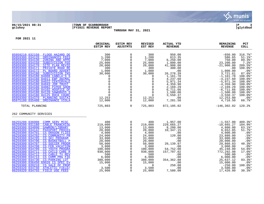

# **06/15/2021 08:31 |TOWN OF SCARBOROUGH |P 3 gclukey |FY2021 REVENUE REPORT |glytdbud**

**THROUGH MAY 31, 2021**

|                                                                                                                                                                                                                                                                                                                                                                                                                                                                                                                                                                                                                                                                                                                         | ORIGINAL<br><b>ESTIM REV</b>                                                                                                                                                 | <b>ESTIM REV</b><br><b>ADJSTMTS</b>                                                                                                                                                                  | <b>REVISED</b><br>EST REV                                                                                                                                                    | <b>ACTUAL YTD</b><br><b>REVENUE</b>                                                                                                                                                          | <b>REMAINING</b><br><b>REVENUE</b>                                                                                                                                                                                                  | PCT<br><b>COLL</b>                                                                                                                                                                                                           |
|-------------------------------------------------------------------------------------------------------------------------------------------------------------------------------------------------------------------------------------------------------------------------------------------------------------------------------------------------------------------------------------------------------------------------------------------------------------------------------------------------------------------------------------------------------------------------------------------------------------------------------------------------------------------------------------------------------------------------|------------------------------------------------------------------------------------------------------------------------------------------------------------------------------|------------------------------------------------------------------------------------------------------------------------------------------------------------------------------------------------------|------------------------------------------------------------------------------------------------------------------------------------------------------------------------------|----------------------------------------------------------------------------------------------------------------------------------------------------------------------------------------------|-------------------------------------------------------------------------------------------------------------------------------------------------------------------------------------------------------------------------------------|------------------------------------------------------------------------------------------------------------------------------------------------------------------------------------------------------------------------------|
| 05959210 032150<br>FLOOD HAZARD DE<br>05959300 034120<br><b>ORDINANCES FEES</b><br>05959300 034130<br>ZONING AND APPE<br>05959300 034150<br><b>SUBDIVISION FEE</b><br>05959300 034170<br>SITE PLAN REVIE<br>05959300 034171<br>PRIVATE ROAD RE<br>05959300 034172<br>PL BOARD ADVERT<br>05959300 034180<br>SUBDIVISION INS<br>05959300 034180 84008 CABELA'S S<br>05959300 034180 84011 EBP ANIMAL<br>05959300 034180 84022 CENTERVALE<br>05959300 034180 84043 JDR TRUST<br>05959300 034180 84082 PIPER SHOR<br>05959300 034180 84102 HOSPICE OF<br>05959300 034180 84120 SAWGRASS S<br>05959300 034180 84125 ROCK CHURC<br>05959300 034370<br>PLANNING SUSTAI                                                         | 300<br>1,200<br>7,000<br>25,000<br>20,000<br>300<br>1,000<br>30,000<br>$\Omega$<br>0<br>0<br>$\mathbf 0$<br>$\mathbf 0$<br>$\Omega$<br>$\Omega$<br>$\Omega$<br>12,253        | 0<br>0<br>0<br>$\mathbf 0$<br>$\mathbf 0$<br>$\mathsf 0$<br>$\mathbf 0$<br>0<br>$\mathbf 0$<br>$\mathbf 0$<br>$\mathbf 0$<br>$\mathbf 0$<br>$\mathbf 0$<br>$\mathsf 0$<br>$\mathbf 0$<br>$\mathbf 0$ | 300<br>1,200<br>7,000<br>25,000<br>20,000<br>300<br>1,000<br>30,000<br>$\Omega$<br>0<br>$\Omega$<br>0<br>0<br>$\Omega$<br>$\Omega$<br>$\Omega$<br>12,253                     | 950.00<br>613.35<br>6, 250.00<br>1,800.00<br>41,900.00<br>300.00<br>.00<br>26, 278.39<br>1,161.78<br>4,237.60<br>5,971.34<br>4,359.90<br>2,169.29<br>6,711.66<br>1,500.00<br>3,550.37<br>.00 | $-650.00$<br>586.65<br>750.00<br>23,200.00<br>$-21,900.00$<br>.00<br>1,000.00<br>3,721.61<br>$-1,161.78$<br>$-4, 237.60$<br>$-5,971.34$<br>$-4, 359.90$<br>$-2, 169.29$<br>$-6,711.66$<br>$-1,500.00$<br>$-3,550.37$<br>12,253.00   | 316.7%<br>$51.1$ %*<br>89.3%<br>$7.2$ $\ast$<br>209.5%*<br>$100.0$ *<br>$.0$ %*<br>$87.6$ *<br>$100.0$ *<br>$100.0$ *<br>$100.0$ *<br>$100.0$ *<br>$100.0$ *<br>$100.0$ $*$<br>$100.0$ *<br>$100.0$ *<br>$.0$ %*             |
| 05975100 035400<br>ORDINANCE VIOLA<br>TOTAL PLANNING                                                                                                                                                                                                                                                                                                                                                                                                                                                                                                                                                                                                                                                                    | 12,000<br>725,803                                                                                                                                                            | $\Omega$<br>$\overline{0}$                                                                                                                                                                           | 12,000<br>725,803                                                                                                                                                            | 7,281.50<br>872,105.02                                                                                                                                                                       | 4,718.50<br>$-146,302.02$                                                                                                                                                                                                           | $60.7$ %*<br>120.2%                                                                                                                                                                                                          |
| 262 COMMUNITY SERVICES                                                                                                                                                                                                                                                                                                                                                                                                                                                                                                                                                                                                                                                                                                  |                                                                                                                                                                              |                                                                                                                                                                                                      |                                                                                                                                                                              |                                                                                                                                                                                              |                                                                                                                                                                                                                                     |                                                                                                                                                                                                                              |
| 06255200 036000<br><b>COMM SERV MISC</b><br>06259200 031180<br><b>CABLE FRANCHISE</b><br>06259300 034090<br>GAWRON/LIBRARY<br>06259300 034142<br>PASSPORT PROCES<br>06259300 034701<br><b>CS DRAGON FLIES</b><br>06259300 034702<br>CS COMMUNITY PR<br>06259300 034705<br>CS SKI PROGRAM<br>06259300 034706<br>CS BASKETBALL P<br>06259300 034707<br>CS SOCCER PROGR<br>06259300 034708<br>CS FEB VACATION<br>06259300 034709<br>CS YOUTH PROGRA<br>06259300 034711<br>CS CHILD CARE R<br>06259300 034712<br>CS CABLE TV REV<br>06259300 034713<br>CS COMM PRG FIE<br>06259300 034730<br>CS-PARKING LOT<br>06259300 036450 69020 CS SPEC EV<br>06259300 039210<br>CS SALE OF PROP<br>06259320 034740<br>ATHLETIC FIELD/ | 400<br>219,000<br>13,000<br>20,000<br>4,000<br>24,000<br>33,000<br>20,000<br>50,000<br>3,000<br>100,000<br>930,000<br>500<br>6,000<br>380,000<br>15,000<br>$\Omega$<br>3,500 | 0<br>0<br>0<br>$\mathbf 0$<br>0<br>$\mathbf 0$<br>$\mathbf 0$<br>$\mathbf 0$<br>$\mathbf 0$<br>0<br>0<br>0<br>$\mathbf 0$<br>$\mathbf 0$<br>$\mathbf 0$<br>$\Omega$<br>$\mathbf 0$<br>$\overline{0}$ | 400<br>219,000<br>13,000<br>20,000<br>4,000<br>24,000<br>33,000<br>20,000<br>50,000<br>3,000<br>100,000<br>930,000<br>500<br>6,000<br>380,000<br>15,000<br>$\Omega$<br>3,500 | 1,957.00<br>229,665.27<br>8,200.00<br>10,347.15<br>.00<br>120.00<br>.00<br>.00<br>20,139.97<br>.00<br>54,752.00<br>157,707.02<br>.00<br>.00<br>354, 362.88<br>.00<br>250.00<br>.00           | $-1,557.00$<br>$-10,665.27$<br>4,800.00<br>9,652.85<br>4,000.00<br>23,880.00<br>33,000.00<br>20,000.00<br>29,860.03<br>3,000.00<br>45,248.00<br>772,292.98<br>500.00<br>6,000.00<br>25,637.12<br>15,000.00<br>$-250.00$<br>3,500.00 | 489.3%*<br>$104.9$ <sup>*</sup><br>$63.1$ $*$<br>$51.7$ %*<br>$.0$ %*<br>$.5$ <sup>*</sup><br>$.0$ %*<br>$.0$ %*<br>40.3%*<br>$.0$ %*<br>54.8%*<br>$17.0$ %*<br>$.0$ %*<br>$.0$ %*<br>93.3%<br>$.0$ %*<br>100.0%*<br>$.0$ %* |
| 06259320 034755<br>FIELD USE FEES                                                                                                                                                                                                                                                                                                                                                                                                                                                                                                                                                                                                                                                                                       | 25,000                                                                                                                                                                       | $\mathbf 0$                                                                                                                                                                                          | 25,000                                                                                                                                                                       | 7,580.00                                                                                                                                                                                     | 17,420.00                                                                                                                                                                                                                           | 30.3%                                                                                                                                                                                                                        |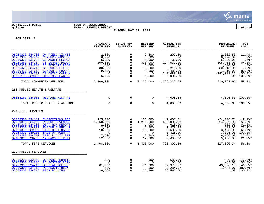

# **06/15/2021 08:31 |TOWN OF SCARBOROUGH |P 4 gclukey |FY2021 REVENUE REPORT |glytdbud**

**THROUGH MAY 31, 2021**

|                                                                                                                                                                                                                                                                                                                                                                        | ORIGINAL<br><b>ESTIM REV</b>                                                          | <b>ESTIM REV</b><br><b>ADJSTMTS</b>                                                     | <b>REVISED</b><br>EST REV                                                             | <b>ACTUAL YTD</b><br><b>REVENUE</b>                                                               | <b>REMAINING</b><br><b>REVENUE</b>                                                                          | PCT<br><b>COLL</b>                                                                                     |
|------------------------------------------------------------------------------------------------------------------------------------------------------------------------------------------------------------------------------------------------------------------------------------------------------------------------------------------------------------------------|---------------------------------------------------------------------------------------|-----------------------------------------------------------------------------------------|---------------------------------------------------------------------------------------|---------------------------------------------------------------------------------------------------|-------------------------------------------------------------------------------------------------------------|--------------------------------------------------------------------------------------------------------|
| 06259320 034760<br>OH FIELD LIGHTI<br>06259350 034740<br>CS-HURD PARK CO<br>06259360 034703<br>CS ADULT RECREA<br>06259360 034704<br><b>CS SUMMER PROGR</b><br>06260420 034700<br><b>CS SENIORS PROG</b><br>06260420 034713<br>SENIOR'S FIELD<br>06260420 034714<br>SENIOR'S FOOD R<br>06260480 034711<br>CS CHILD CARE H<br>06286100 039320<br><b>HIGGINS BEACH L</b> | 2,600<br>6,000<br>5,000<br>300,000<br>1,500<br>30,000<br>9,500<br>$\Omega$<br>5,000   | $\Omega$<br>$\Omega$<br>$\Omega$<br>0<br>$\Omega$<br>0<br>$\mathbf 0$<br>0<br>$\Omega$  | 2,600<br>6,000<br>5,000<br>300,000<br>1,500<br>30,000<br>9,500<br>$\Omega$<br>5,000   | 297.50<br>.00<br>$-30.00$<br>194,532.00<br>.00<br>$-213.00$<br>8,481.00<br>242,088.25<br>5,000.00 | 2,302.50<br>6,000.00<br>5,030.00<br>105,468.00<br>1,500.00<br>30,213.00<br>1,019.00<br>$-242,088.25$<br>.00 | $11.4$ %*<br>$.0$ %*<br>$-.6$ %*<br>64.8%*<br>$.0$ %*<br>$-0.7$ %*<br>$89.3$ *<br>100.0%*<br>$100.0$ * |
| TOTAL COMMUNITY SERVICES                                                                                                                                                                                                                                                                                                                                               | 2,206,000                                                                             | $\Omega$                                                                                | 2,206,000                                                                             | 1,295,237.04                                                                                      | 910,762.96                                                                                                  | 58.7%                                                                                                  |
| 266 PUBLIC HEALTH & WELFARE                                                                                                                                                                                                                                                                                                                                            |                                                                                       |                                                                                         |                                                                                       |                                                                                                   |                                                                                                             |                                                                                                        |
| 06666160 036000 WELFARE MISC RE                                                                                                                                                                                                                                                                                                                                        | $\mathbf 0$                                                                           | 0                                                                                       | 0                                                                                     | 4,096.63                                                                                          | $-4.096.63$ 100.0 $*$                                                                                       |                                                                                                        |
| TOTAL PUBLIC HEALTH & WELFARE                                                                                                                                                                                                                                                                                                                                          | $\Omega$                                                                              | $\Omega$                                                                                | $\Omega$                                                                              | 4,096.63                                                                                          | $-4,096.63$ 100.0%                                                                                          |                                                                                                        |
| 271 FIRE SERVICES                                                                                                                                                                                                                                                                                                                                                      |                                                                                       |                                                                                         |                                                                                       |                                                                                                   |                                                                                                             |                                                                                                        |
| 07159300 034181<br><b>INSPECTIONS FEE</b><br>07159300 034220<br><b>RESCUE REVENUES</b><br>07159300 034260<br>DEPT RUN REPORT<br>07159300 034373<br><b>ENGINE 5 FUEL R</b><br>07159300 039002<br>FIRE DEPT HAZ M<br>07159300 039210<br>SALE OF TOWN PR<br>07159390 034210<br>SPEC'L DUTY SER<br>07159600 036200<br>14 SACO ST RENT                                      | 125,000<br>1,250,000<br>1,000<br>2,500<br>10,000<br>$\overline{0}$<br>7,500<br>12,000 | 0<br>0<br>$\Omega$<br>$\mathbf 0$<br>$\mathbf 0$<br>$\mathbf 0$<br>$\Omega$<br>$\Omega$ | 125,000<br>1,250,000<br>1,000<br>2,500<br>10,000<br>$\overline{0}$<br>7,500<br>12,000 | 149,008.71<br>625,000.02<br>618.00<br>1,878.93<br>6, 535.00<br>3,325.00<br>1,344.00<br>2,600.00   | $-24,008.71$<br>624,999.98<br>382.00<br>621.07<br>3,465.00<br>$-3,325.00$<br>6, 156.00<br>9,400.00          | 119.2%*<br>$50.0$ *<br>61.8%*<br>$75.2$ *<br>$65.4$ *<br>100.0%*<br>$17.9$ <sup>*</sup><br>$21.7$ %*   |
| TOTAL FIRE SERVICES                                                                                                                                                                                                                                                                                                                                                    | 1,408,000                                                                             | $\Omega$                                                                                | 1,408,000                                                                             | 790,309.66                                                                                        | 617,690.34                                                                                                  | 56.1%                                                                                                  |
| 272 POLICE SERVICES                                                                                                                                                                                                                                                                                                                                                    |                                                                                       |                                                                                         |                                                                                       |                                                                                                   |                                                                                                             |                                                                                                        |
| 07259200 032160<br><b>WEAPONS PERMITS</b><br>07259300 034203<br>PD POSTAGE REIM<br>07259300 034210<br>SPECIAL POLICE<br>07259300 034214<br>PD PROUTS NECK<br>07259300 034215<br><b>PSAP BILLING</b>                                                                                                                                                                    | 500<br>$\Omega$<br>81,000<br>600<br>26,566                                            | 0<br>$\Omega$<br>$\mathbf 0$<br>$\Omega$<br>$\Omega$                                    | 500<br>$\overline{0}$<br>81,000<br>600<br>26,566                                      | 580.00<br>63.60<br>37,979.87<br>2,284.07<br>26,566.00                                             | $-80.00$<br>$-63.60$<br>43,020.13<br>$-1,684.07$<br>.00                                                     | $116.0$ <sup>*</sup><br>$100.0$ *<br>46.9%*<br>380.7%*<br>$100.0$ *                                    |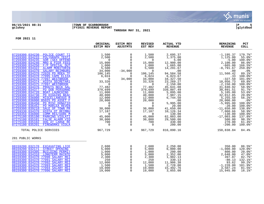

# **06/15/2021 08:31 |TOWN OF SCARBOROUGH |P 5 gclukey |FY2021 REVENUE REPORT |glytdbud**

**THROUGH MAY 31, 2021**

| 07259300 034230<br>0<br>2,695.37<br>179.7%*<br>POLICE COURT TI<br>1,500<br>1,500<br>$-1, 195.37$<br>07259300 034233<br>$\mathbf 0$<br>2,500<br>POLYGRAPH TESTI<br>2,500<br>1,375.00<br>1,125.00<br>$55.0$ $*$<br>07259300 034235<br>SOR (SEX OFFEND<br>0<br>5.00<br>$100.0$ *<br>0<br>$\overline{0}$<br>$-5.00$<br>07259300 034240<br>$\mathbf 0$<br>$86.0$ %*<br>MRO & PIER FEES<br>15,000<br>15,000<br>12,900.00<br>2,100.00<br>07259300 034250<br>F/P SPECIAL DUT<br>$\Omega$<br>1,000<br>1,665.00<br>166.5%*<br>1,000<br>$-665.00$<br>07259300 034322<br><b>ALARM MONITORIN</b><br>5,500<br>$\mathbf 0$<br>5,500<br>$-8,791.67$<br>259.8%*<br>14,291.67<br>07259300 034370<br>$\overline{0}$<br><b>SALARY REIMBURS</b><br>34,000<br>$-34,000$<br>.00<br>.00<br>.0%<br>11,560.42<br>89.1%*<br>07259300 034370 72020 PD MDEA TF<br>106,145<br>94,584.58<br>106,145<br>0<br>07259300 034370 77095 CAPE ELIZA<br>6,023.67<br>100.0%*<br>6,024<br>$\Omega$<br>6,024<br>.33<br>$-327.50$<br>34,000<br>34, 327.50<br>101.0%*<br>07259300 034370 77097 WESTBROOK<br>34,000<br>0<br>23, 269. 27<br>07259300 034374 HIDTA SECRETARI<br>33,326<br>10,056.73<br>$69.8$ *<br>33,326<br>$\Omega$<br>07259300 034375 77097 WESTBROOK<br>$\mathbf 0$<br>$\mathbf 0$<br>2,150.00<br>$-2,150.00$<br>$100.0$ *<br>$\mathbf 0$<br>77,482<br>07259300 034376<br>0<br>77,482<br>58.9%*<br>PROUTS NECK SAL<br>45,641.08<br>31,840.92<br>07259300 034377<br>$\mathbf 0$<br>PD OOB PERSONNE<br>370,699<br>339,807.49<br>91.7%*<br>370,699<br>30,891.51<br>07259300 034720<br>0<br><b>BOAT LAUNCHING</b><br>5,895.00<br>5,105.00<br>$53.6$ *<br>11,000<br>11,000<br>$\mathbf 0$<br>07259300 034730<br>PD HIGGINS BEAC<br>40,000<br>40,000<br>32,012.85<br>7,987.15<br>$20.0$ *<br>$\mathsf{O}$<br>07259300 036000<br>MISCELLANEOUS R<br>6,744.50<br>5,255.50<br>$56.2$ *<br>12,000<br>12,000<br>07259300 036000 85025 PD ASSET F<br>$\mathbf 0$<br>$.0$ %*<br>20,000<br>20,000<br>20,000.00<br>.00<br>$\mathsf{O}\xspace$<br>07259300 036450<br>PD MISC DONATIO<br>5,995.00<br>$\mathbf 0$<br>$-5,995.00$<br>$100.0$ *<br>0<br>$\mathsf{O}\xspace$<br>$\Omega$<br>07259300 036452<br><b>PD MARLEA REVEN</b><br>$\Omega$<br>20.00<br>$100.0$ *<br>$-20.00$<br>07259300 039210<br>$\mathbf 0$<br>SALE OF TOWN PR<br>30,000<br>41,650.00<br>$-11,650.00$<br>138.8%*<br>30,000<br>07259330 034370<br>$\mathbf 0$<br>HIDTA OT REIMBU<br>17,187<br>10,126.34<br>7,060.66<br>58.9%*<br>17,187<br>$\mathbf 0$<br>07259350 036000<br>COMM RES/DARE M<br>$\Omega$<br>$100.0$ *<br>$\Omega$<br>130.00<br>$-130.00$<br>$\mathsf 0$<br>07275100 035100<br>PARKING VIOLATI<br>45,000<br>45,000<br>62,003.00<br>137.8%*<br>$-17,003.00$<br>$\mathbf 0$<br>07275100 035101<br><b>FALSE ALARM VIO</b><br>30,000<br>30,000<br>29,500.00<br>500.00<br>$98.3$ $*$<br>$\mathsf 0$<br>07275100 035102<br>700<br>700<br>270.00<br>$61.4$ %*<br>DOG AT LARGE RE<br>430.00<br>07275100 035201<br><b>FIREWORKS VIOLA</b><br>$\Omega$<br>$\Omega$<br>200.00<br>$-200.00$<br>$100.0$ *<br>$\Omega$<br>TOTAL POLICE SERVICES<br>967,729<br>$\Omega$<br>967,729<br>816,890.16<br>150,838.84<br>84.4%<br>281 PUBLIC WORKS<br>08159200 032170 EXCAVATING LICE<br>2,600<br>0<br>2,250.00<br>2,600<br>350.00<br>$86.5$ %*<br>$\mathbf 0$<br>08159200 032171<br>STREET OPENING<br>5,000<br>5,000<br>$-1,000.00$<br>120.0%*<br>6,000.00 |
|-------------------------------------------------------------------------------------------------------------------------------------------------------------------------------------------------------------------------------------------------------------------------------------------------------------------------------------------------------------------------------------------------------------------------------------------------------------------------------------------------------------------------------------------------------------------------------------------------------------------------------------------------------------------------------------------------------------------------------------------------------------------------------------------------------------------------------------------------------------------------------------------------------------------------------------------------------------------------------------------------------------------------------------------------------------------------------------------------------------------------------------------------------------------------------------------------------------------------------------------------------------------------------------------------------------------------------------------------------------------------------------------------------------------------------------------------------------------------------------------------------------------------------------------------------------------------------------------------------------------------------------------------------------------------------------------------------------------------------------------------------------------------------------------------------------------------------------------------------------------------------------------------------------------------------------------------------------------------------------------------------------------------------------------------------------------------------------------------------------------------------------------------------------------------------------------------------------------------------------------------------------------------------------------------------------------------------------------------------------------------------------------------------------------------------------------------------------------------------------------------------------------------------------------------------------------------------------------------------------------------------------------------------------------------------------------------------------------------------------------------------------------------------------------------------------------------------------------------------------------------------------------------------------------------------------------------------------------------------------------------------------------------------------------------------------------------------------------------------------------------------------------------------------------------------------------------------------------------------------------------------------------------------------------------------------------------------------------------------------------------------|
|                                                                                                                                                                                                                                                                                                                                                                                                                                                                                                                                                                                                                                                                                                                                                                                                                                                                                                                                                                                                                                                                                                                                                                                                                                                                                                                                                                                                                                                                                                                                                                                                                                                                                                                                                                                                                                                                                                                                                                                                                                                                                                                                                                                                                                                                                                                                                                                                                                                                                                                                                                                                                                                                                                                                                                                                                                                                                                                                                                                                                                                                                                                                                                                                                                                                                                                                                                               |
|                                                                                                                                                                                                                                                                                                                                                                                                                                                                                                                                                                                                                                                                                                                                                                                                                                                                                                                                                                                                                                                                                                                                                                                                                                                                                                                                                                                                                                                                                                                                                                                                                                                                                                                                                                                                                                                                                                                                                                                                                                                                                                                                                                                                                                                                                                                                                                                                                                                                                                                                                                                                                                                                                                                                                                                                                                                                                                                                                                                                                                                                                                                                                                                                                                                                                                                                                                               |
|                                                                                                                                                                                                                                                                                                                                                                                                                                                                                                                                                                                                                                                                                                                                                                                                                                                                                                                                                                                                                                                                                                                                                                                                                                                                                                                                                                                                                                                                                                                                                                                                                                                                                                                                                                                                                                                                                                                                                                                                                                                                                                                                                                                                                                                                                                                                                                                                                                                                                                                                                                                                                                                                                                                                                                                                                                                                                                                                                                                                                                                                                                                                                                                                                                                                                                                                                                               |
|                                                                                                                                                                                                                                                                                                                                                                                                                                                                                                                                                                                                                                                                                                                                                                                                                                                                                                                                                                                                                                                                                                                                                                                                                                                                                                                                                                                                                                                                                                                                                                                                                                                                                                                                                                                                                                                                                                                                                                                                                                                                                                                                                                                                                                                                                                                                                                                                                                                                                                                                                                                                                                                                                                                                                                                                                                                                                                                                                                                                                                                                                                                                                                                                                                                                                                                                                                               |
|                                                                                                                                                                                                                                                                                                                                                                                                                                                                                                                                                                                                                                                                                                                                                                                                                                                                                                                                                                                                                                                                                                                                                                                                                                                                                                                                                                                                                                                                                                                                                                                                                                                                                                                                                                                                                                                                                                                                                                                                                                                                                                                                                                                                                                                                                                                                                                                                                                                                                                                                                                                                                                                                                                                                                                                                                                                                                                                                                                                                                                                                                                                                                                                                                                                                                                                                                                               |
|                                                                                                                                                                                                                                                                                                                                                                                                                                                                                                                                                                                                                                                                                                                                                                                                                                                                                                                                                                                                                                                                                                                                                                                                                                                                                                                                                                                                                                                                                                                                                                                                                                                                                                                                                                                                                                                                                                                                                                                                                                                                                                                                                                                                                                                                                                                                                                                                                                                                                                                                                                                                                                                                                                                                                                                                                                                                                                                                                                                                                                                                                                                                                                                                                                                                                                                                                                               |
|                                                                                                                                                                                                                                                                                                                                                                                                                                                                                                                                                                                                                                                                                                                                                                                                                                                                                                                                                                                                                                                                                                                                                                                                                                                                                                                                                                                                                                                                                                                                                                                                                                                                                                                                                                                                                                                                                                                                                                                                                                                                                                                                                                                                                                                                                                                                                                                                                                                                                                                                                                                                                                                                                                                                                                                                                                                                                                                                                                                                                                                                                                                                                                                                                                                                                                                                                                               |
|                                                                                                                                                                                                                                                                                                                                                                                                                                                                                                                                                                                                                                                                                                                                                                                                                                                                                                                                                                                                                                                                                                                                                                                                                                                                                                                                                                                                                                                                                                                                                                                                                                                                                                                                                                                                                                                                                                                                                                                                                                                                                                                                                                                                                                                                                                                                                                                                                                                                                                                                                                                                                                                                                                                                                                                                                                                                                                                                                                                                                                                                                                                                                                                                                                                                                                                                                                               |
|                                                                                                                                                                                                                                                                                                                                                                                                                                                                                                                                                                                                                                                                                                                                                                                                                                                                                                                                                                                                                                                                                                                                                                                                                                                                                                                                                                                                                                                                                                                                                                                                                                                                                                                                                                                                                                                                                                                                                                                                                                                                                                                                                                                                                                                                                                                                                                                                                                                                                                                                                                                                                                                                                                                                                                                                                                                                                                                                                                                                                                                                                                                                                                                                                                                                                                                                                                               |
|                                                                                                                                                                                                                                                                                                                                                                                                                                                                                                                                                                                                                                                                                                                                                                                                                                                                                                                                                                                                                                                                                                                                                                                                                                                                                                                                                                                                                                                                                                                                                                                                                                                                                                                                                                                                                                                                                                                                                                                                                                                                                                                                                                                                                                                                                                                                                                                                                                                                                                                                                                                                                                                                                                                                                                                                                                                                                                                                                                                                                                                                                                                                                                                                                                                                                                                                                                               |
|                                                                                                                                                                                                                                                                                                                                                                                                                                                                                                                                                                                                                                                                                                                                                                                                                                                                                                                                                                                                                                                                                                                                                                                                                                                                                                                                                                                                                                                                                                                                                                                                                                                                                                                                                                                                                                                                                                                                                                                                                                                                                                                                                                                                                                                                                                                                                                                                                                                                                                                                                                                                                                                                                                                                                                                                                                                                                                                                                                                                                                                                                                                                                                                                                                                                                                                                                                               |
|                                                                                                                                                                                                                                                                                                                                                                                                                                                                                                                                                                                                                                                                                                                                                                                                                                                                                                                                                                                                                                                                                                                                                                                                                                                                                                                                                                                                                                                                                                                                                                                                                                                                                                                                                                                                                                                                                                                                                                                                                                                                                                                                                                                                                                                                                                                                                                                                                                                                                                                                                                                                                                                                                                                                                                                                                                                                                                                                                                                                                                                                                                                                                                                                                                                                                                                                                                               |
|                                                                                                                                                                                                                                                                                                                                                                                                                                                                                                                                                                                                                                                                                                                                                                                                                                                                                                                                                                                                                                                                                                                                                                                                                                                                                                                                                                                                                                                                                                                                                                                                                                                                                                                                                                                                                                                                                                                                                                                                                                                                                                                                                                                                                                                                                                                                                                                                                                                                                                                                                                                                                                                                                                                                                                                                                                                                                                                                                                                                                                                                                                                                                                                                                                                                                                                                                                               |
|                                                                                                                                                                                                                                                                                                                                                                                                                                                                                                                                                                                                                                                                                                                                                                                                                                                                                                                                                                                                                                                                                                                                                                                                                                                                                                                                                                                                                                                                                                                                                                                                                                                                                                                                                                                                                                                                                                                                                                                                                                                                                                                                                                                                                                                                                                                                                                                                                                                                                                                                                                                                                                                                                                                                                                                                                                                                                                                                                                                                                                                                                                                                                                                                                                                                                                                                                                               |
|                                                                                                                                                                                                                                                                                                                                                                                                                                                                                                                                                                                                                                                                                                                                                                                                                                                                                                                                                                                                                                                                                                                                                                                                                                                                                                                                                                                                                                                                                                                                                                                                                                                                                                                                                                                                                                                                                                                                                                                                                                                                                                                                                                                                                                                                                                                                                                                                                                                                                                                                                                                                                                                                                                                                                                                                                                                                                                                                                                                                                                                                                                                                                                                                                                                                                                                                                                               |
|                                                                                                                                                                                                                                                                                                                                                                                                                                                                                                                                                                                                                                                                                                                                                                                                                                                                                                                                                                                                                                                                                                                                                                                                                                                                                                                                                                                                                                                                                                                                                                                                                                                                                                                                                                                                                                                                                                                                                                                                                                                                                                                                                                                                                                                                                                                                                                                                                                                                                                                                                                                                                                                                                                                                                                                                                                                                                                                                                                                                                                                                                                                                                                                                                                                                                                                                                                               |
|                                                                                                                                                                                                                                                                                                                                                                                                                                                                                                                                                                                                                                                                                                                                                                                                                                                                                                                                                                                                                                                                                                                                                                                                                                                                                                                                                                                                                                                                                                                                                                                                                                                                                                                                                                                                                                                                                                                                                                                                                                                                                                                                                                                                                                                                                                                                                                                                                                                                                                                                                                                                                                                                                                                                                                                                                                                                                                                                                                                                                                                                                                                                                                                                                                                                                                                                                                               |
|                                                                                                                                                                                                                                                                                                                                                                                                                                                                                                                                                                                                                                                                                                                                                                                                                                                                                                                                                                                                                                                                                                                                                                                                                                                                                                                                                                                                                                                                                                                                                                                                                                                                                                                                                                                                                                                                                                                                                                                                                                                                                                                                                                                                                                                                                                                                                                                                                                                                                                                                                                                                                                                                                                                                                                                                                                                                                                                                                                                                                                                                                                                                                                                                                                                                                                                                                                               |
|                                                                                                                                                                                                                                                                                                                                                                                                                                                                                                                                                                                                                                                                                                                                                                                                                                                                                                                                                                                                                                                                                                                                                                                                                                                                                                                                                                                                                                                                                                                                                                                                                                                                                                                                                                                                                                                                                                                                                                                                                                                                                                                                                                                                                                                                                                                                                                                                                                                                                                                                                                                                                                                                                                                                                                                                                                                                                                                                                                                                                                                                                                                                                                                                                                                                                                                                                                               |
|                                                                                                                                                                                                                                                                                                                                                                                                                                                                                                                                                                                                                                                                                                                                                                                                                                                                                                                                                                                                                                                                                                                                                                                                                                                                                                                                                                                                                                                                                                                                                                                                                                                                                                                                                                                                                                                                                                                                                                                                                                                                                                                                                                                                                                                                                                                                                                                                                                                                                                                                                                                                                                                                                                                                                                                                                                                                                                                                                                                                                                                                                                                                                                                                                                                                                                                                                                               |
|                                                                                                                                                                                                                                                                                                                                                                                                                                                                                                                                                                                                                                                                                                                                                                                                                                                                                                                                                                                                                                                                                                                                                                                                                                                                                                                                                                                                                                                                                                                                                                                                                                                                                                                                                                                                                                                                                                                                                                                                                                                                                                                                                                                                                                                                                                                                                                                                                                                                                                                                                                                                                                                                                                                                                                                                                                                                                                                                                                                                                                                                                                                                                                                                                                                                                                                                                                               |
|                                                                                                                                                                                                                                                                                                                                                                                                                                                                                                                                                                                                                                                                                                                                                                                                                                                                                                                                                                                                                                                                                                                                                                                                                                                                                                                                                                                                                                                                                                                                                                                                                                                                                                                                                                                                                                                                                                                                                                                                                                                                                                                                                                                                                                                                                                                                                                                                                                                                                                                                                                                                                                                                                                                                                                                                                                                                                                                                                                                                                                                                                                                                                                                                                                                                                                                                                                               |
|                                                                                                                                                                                                                                                                                                                                                                                                                                                                                                                                                                                                                                                                                                                                                                                                                                                                                                                                                                                                                                                                                                                                                                                                                                                                                                                                                                                                                                                                                                                                                                                                                                                                                                                                                                                                                                                                                                                                                                                                                                                                                                                                                                                                                                                                                                                                                                                                                                                                                                                                                                                                                                                                                                                                                                                                                                                                                                                                                                                                                                                                                                                                                                                                                                                                                                                                                                               |
|                                                                                                                                                                                                                                                                                                                                                                                                                                                                                                                                                                                                                                                                                                                                                                                                                                                                                                                                                                                                                                                                                                                                                                                                                                                                                                                                                                                                                                                                                                                                                                                                                                                                                                                                                                                                                                                                                                                                                                                                                                                                                                                                                                                                                                                                                                                                                                                                                                                                                                                                                                                                                                                                                                                                                                                                                                                                                                                                                                                                                                                                                                                                                                                                                                                                                                                                                                               |
|                                                                                                                                                                                                                                                                                                                                                                                                                                                                                                                                                                                                                                                                                                                                                                                                                                                                                                                                                                                                                                                                                                                                                                                                                                                                                                                                                                                                                                                                                                                                                                                                                                                                                                                                                                                                                                                                                                                                                                                                                                                                                                                                                                                                                                                                                                                                                                                                                                                                                                                                                                                                                                                                                                                                                                                                                                                                                                                                                                                                                                                                                                                                                                                                                                                                                                                                                                               |
|                                                                                                                                                                                                                                                                                                                                                                                                                                                                                                                                                                                                                                                                                                                                                                                                                                                                                                                                                                                                                                                                                                                                                                                                                                                                                                                                                                                                                                                                                                                                                                                                                                                                                                                                                                                                                                                                                                                                                                                                                                                                                                                                                                                                                                                                                                                                                                                                                                                                                                                                                                                                                                                                                                                                                                                                                                                                                                                                                                                                                                                                                                                                                                                                                                                                                                                                                                               |
|                                                                                                                                                                                                                                                                                                                                                                                                                                                                                                                                                                                                                                                                                                                                                                                                                                                                                                                                                                                                                                                                                                                                                                                                                                                                                                                                                                                                                                                                                                                                                                                                                                                                                                                                                                                                                                                                                                                                                                                                                                                                                                                                                                                                                                                                                                                                                                                                                                                                                                                                                                                                                                                                                                                                                                                                                                                                                                                                                                                                                                                                                                                                                                                                                                                                                                                                                                               |
|                                                                                                                                                                                                                                                                                                                                                                                                                                                                                                                                                                                                                                                                                                                                                                                                                                                                                                                                                                                                                                                                                                                                                                                                                                                                                                                                                                                                                                                                                                                                                                                                                                                                                                                                                                                                                                                                                                                                                                                                                                                                                                                                                                                                                                                                                                                                                                                                                                                                                                                                                                                                                                                                                                                                                                                                                                                                                                                                                                                                                                                                                                                                                                                                                                                                                                                                                                               |
|                                                                                                                                                                                                                                                                                                                                                                                                                                                                                                                                                                                                                                                                                                                                                                                                                                                                                                                                                                                                                                                                                                                                                                                                                                                                                                                                                                                                                                                                                                                                                                                                                                                                                                                                                                                                                                                                                                                                                                                                                                                                                                                                                                                                                                                                                                                                                                                                                                                                                                                                                                                                                                                                                                                                                                                                                                                                                                                                                                                                                                                                                                                                                                                                                                                                                                                                                                               |
|                                                                                                                                                                                                                                                                                                                                                                                                                                                                                                                                                                                                                                                                                                                                                                                                                                                                                                                                                                                                                                                                                                                                                                                                                                                                                                                                                                                                                                                                                                                                                                                                                                                                                                                                                                                                                                                                                                                                                                                                                                                                                                                                                                                                                                                                                                                                                                                                                                                                                                                                                                                                                                                                                                                                                                                                                                                                                                                                                                                                                                                                                                                                                                                                                                                                                                                                                                               |
|                                                                                                                                                                                                                                                                                                                                                                                                                                                                                                                                                                                                                                                                                                                                                                                                                                                                                                                                                                                                                                                                                                                                                                                                                                                                                                                                                                                                                                                                                                                                                                                                                                                                                                                                                                                                                                                                                                                                                                                                                                                                                                                                                                                                                                                                                                                                                                                                                                                                                                                                                                                                                                                                                                                                                                                                                                                                                                                                                                                                                                                                                                                                                                                                                                                                                                                                                                               |
| 08159300 034305<br><b>BUILDING PERMIT</b><br>1,000<br>0<br>1,000<br>200.00<br>800.00<br>$20.0$ *                                                                                                                                                                                                                                                                                                                                                                                                                                                                                                                                                                                                                                                                                                                                                                                                                                                                                                                                                                                                                                                                                                                                                                                                                                                                                                                                                                                                                                                                                                                                                                                                                                                                                                                                                                                                                                                                                                                                                                                                                                                                                                                                                                                                                                                                                                                                                                                                                                                                                                                                                                                                                                                                                                                                                                                                                                                                                                                                                                                                                                                                                                                                                                                                                                                                              |
| $\mathbf 0$<br>08159300 034310<br><b>LONGTERM MAINTE</b><br>2,352.00<br>2,648.00<br>$47.0$ <sup>*</sup><br>5,000<br>5,000                                                                                                                                                                                                                                                                                                                                                                                                                                                                                                                                                                                                                                                                                                                                                                                                                                                                                                                                                                                                                                                                                                                                                                                                                                                                                                                                                                                                                                                                                                                                                                                                                                                                                                                                                                                                                                                                                                                                                                                                                                                                                                                                                                                                                                                                                                                                                                                                                                                                                                                                                                                                                                                                                                                                                                                                                                                                                                                                                                                                                                                                                                                                                                                                                                                     |
| 2,300<br>1,902.13<br>08159300 034370 77090 SALARY REI<br>2,300<br>$\mathbf 0$<br>$82.7$ %*<br>397.87                                                                                                                                                                                                                                                                                                                                                                                                                                                                                                                                                                                                                                                                                                                                                                                                                                                                                                                                                                                                                                                                                                                                                                                                                                                                                                                                                                                                                                                                                                                                                                                                                                                                                                                                                                                                                                                                                                                                                                                                                                                                                                                                                                                                                                                                                                                                                                                                                                                                                                                                                                                                                                                                                                                                                                                                                                                                                                                                                                                                                                                                                                                                                                                                                                                                          |
| 08159300 034370 77091 SALARY REI<br>$\mathbf 0$<br>330.13<br>250<br>250<br>$-80.13$<br>132.1%*<br>08159300 034370 77092 SALARY REI<br>$\mathbf 0$                                                                                                                                                                                                                                                                                                                                                                                                                                                                                                                                                                                                                                                                                                                                                                                                                                                                                                                                                                                                                                                                                                                                                                                                                                                                                                                                                                                                                                                                                                                                                                                                                                                                                                                                                                                                                                                                                                                                                                                                                                                                                                                                                                                                                                                                                                                                                                                                                                                                                                                                                                                                                                                                                                                                                                                                                                                                                                                                                                                                                                                                                                                                                                                                                             |
| 12,000<br>93.62<br>$99.2$ *<br>12,000<br>11,906.38<br>08159300 034370 77093 SALARY REI<br>181.9%*                                                                                                                                                                                                                                                                                                                                                                                                                                                                                                                                                                                                                                                                                                                                                                                                                                                                                                                                                                                                                                                                                                                                                                                                                                                                                                                                                                                                                                                                                                                                                                                                                                                                                                                                                                                                                                                                                                                                                                                                                                                                                                                                                                                                                                                                                                                                                                                                                                                                                                                                                                                                                                                                                                                                                                                                                                                                                                                                                                                                                                                                                                                                                                                                                                                                             |
| $\mathsf 0$<br>1,500<br>1,500<br>2,728.00<br>$-1,228.00$<br>$\mathbf 0$<br>08159300 034370 77094 SALARY REI<br>19,000<br>19,000<br>15,492.76<br>3,507.24<br>81.5%*                                                                                                                                                                                                                                                                                                                                                                                                                                                                                                                                                                                                                                                                                                                                                                                                                                                                                                                                                                                                                                                                                                                                                                                                                                                                                                                                                                                                                                                                                                                                                                                                                                                                                                                                                                                                                                                                                                                                                                                                                                                                                                                                                                                                                                                                                                                                                                                                                                                                                                                                                                                                                                                                                                                                                                                                                                                                                                                                                                                                                                                                                                                                                                                                            |
| $\mathbf 0$<br>08159300 034370 77096 SALARY REI<br>19,000<br>19,000<br>3,055.00<br>15,945.00<br>$16.1$ <sup>*</sup>                                                                                                                                                                                                                                                                                                                                                                                                                                                                                                                                                                                                                                                                                                                                                                                                                                                                                                                                                                                                                                                                                                                                                                                                                                                                                                                                                                                                                                                                                                                                                                                                                                                                                                                                                                                                                                                                                                                                                                                                                                                                                                                                                                                                                                                                                                                                                                                                                                                                                                                                                                                                                                                                                                                                                                                                                                                                                                                                                                                                                                                                                                                                                                                                                                                           |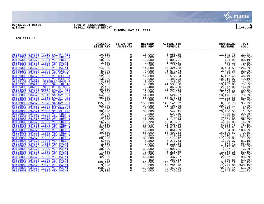

# **06/15/2021 08:31 |TOWN OF SCARBOROUGH |P 6 gclukey |FY2021 REVENUE REPORT |glytdbud**

**THROUGH MAY 31, 2021**

|                                                                      | ORIGINAL<br><b>ESTIM REV</b>                                                                                                                                                                                                                                        | <b>ESTIM REV</b><br><b>ADJSTMTS</b> | <b>REVISED</b><br>EST REV | <b>ACTUAL YTD</b><br><b>REVENUE</b> | <b>REMAINING</b><br><b>REVENUE</b> | PCT<br><b>COLL</b>    |
|----------------------------------------------------------------------|---------------------------------------------------------------------------------------------------------------------------------------------------------------------------------------------------------------------------------------------------------------------|-------------------------------------|---------------------------|-------------------------------------|------------------------------------|-----------------------|
|                                                                      |                                                                                                                                                                                                                                                                     |                                     |                           |                                     |                                    |                       |
| 08159300 034370 77100 SALARY REI                                     | 16,000<br>$16,000$<br>$4,000$<br>$10,000$<br>$2,500$<br>$14,000$<br>$5,000$<br>$15,000$<br>$12,000$<br>$12,000$<br>$8,000$<br>$8,000$<br>$9,000$<br>$9,000$<br>$64,000$<br>$64,000$<br>$65,000$<br>$65,000$<br>$92,000$<br>$2,500$<br>$2,500$<br>$2,500$<br>$2,500$ | 0                                   | 16,000                    | 3,658.25                            | 12,341.75                          | 22.9%*                |
| 08159300 034373 77090 VEH FUEL R                                     |                                                                                                                                                                                                                                                                     | $\mathsf{O}$                        | 4,000                     | 3,021.73                            | 978.27                             | $75.5$ %*             |
| 08159300 034373 77091 VEH FUEL R                                     |                                                                                                                                                                                                                                                                     | $\mathsf{O}$                        | 10,000                    | 9,808.01                            | 191.99                             | 98.1%*                |
| 08159300 034375 77090 VEH MAINT                                      |                                                                                                                                                                                                                                                                     | $\overline{0}$                      | 2,500                     | 1,800.81                            | 699.19                             | $72.0$ *              |
| 08159300 034375 77091 VEH MAINT                                      |                                                                                                                                                                                                                                                                     | $\mathsf{O}$                        | 100                       | 16.88                               | 83.12                              | 16.9%*                |
| 08159300 034375 77092 VEH MAINT                                      |                                                                                                                                                                                                                                                                     | $\mathsf{O}\xspace$                 | 14,000                    | 17,424.53                           | $-3,424.53$                        | 124.5%*               |
| 08159300 034375 77093 VEHICLE MA                                     |                                                                                                                                                                                                                                                                     | $\ddot{\mathbf{0}}$                 | 5,000                     | $1,671.74$<br>$14.560.70$           | 3,328.26                           | $33.4$ *              |
| 08159300 034375 77094 VEH MAINT                                      |                                                                                                                                                                                                                                                                     | 0<br>0<br>0<br>0                    | 15,000                    | 14,560.79                           | 439.21                             | $97.1$ <sup>*</sup>   |
| 08159300 034375 77096 VEHICLE MA                                     |                                                                                                                                                                                                                                                                     |                                     | 12,000                    | 5,572.54                            | 6,427.46                           | 46.4%*                |
| 08159300 034375 77100 VEHICLE MA                                     |                                                                                                                                                                                                                                                                     |                                     | 13,000                    | 2,483.93                            | 10,516.07                          | $19.1$ %*             |
| 08159300 036000 MISCELLANEOUS R                                      |                                                                                                                                                                                                                                                                     |                                     | 8,000                     | 348.00                              | 7,652.00                           | $4.4$ % *             |
| 08159300 039210<br><b>PW - SALE OF TO</b>                            |                                                                                                                                                                                                                                                                     |                                     | 55,000                    | 41,593.00                           | 13,407.00                          | $75.6$ *              |
| 08159390 036000 MISC RECYCING R                                      |                                                                                                                                                                                                                                                                     | $\overline{0}$                      | 2,400                     | 353.00                              | 2,047.00                           | 14.7%*                |
| 08198000 034370 69007 SALARY REI                                     |                                                                                                                                                                                                                                                                     | 0                                   | 45,000                    | 13,604.63                           | 31,395.37                          | $30.2$ $*$            |
| 08198000 034370 77030 SALARY REI                                     |                                                                                                                                                                                                                                                                     | $\mathsf{O}\xspace$                 | 9,000                     | 6,178.39                            | 2,821.61                           | 68.6%*                |
| 08198000 034370 77040 SALARY REI                                     |                                                                                                                                                                                                                                                                     | $\ddot{\mathbf{0}}$                 | 64,000                    | 50,524.27                           | 13,475.73                          | 78.9%*                |
| 08198000 034370 77050 SALARY REI                                     |                                                                                                                                                                                                                                                                     | $\overline{0}$                      | 65,000                    | 53,078.14                           | 11,921.86                          | 81.7%*                |
| 08198000 034370 77060 SALARY REI                                     |                                                                                                                                                                                                                                                                     |                                     | 900                       | 704.38                              | 195.62                             | 78.3%*                |
| 08198000 034370 77070 SALARY REI                                     |                                                                                                                                                                                                                                                                     | $\overline{0}$                      | 155,000                   | 148, 141. 22                        | 6,858.78                           | $95.6$ *              |
| 08198000 034370 77080 SALARY REI                                     |                                                                                                                                                                                                                                                                     |                                     | 92,000                    | 71,106.88                           | 20,893.12                          | $77.3$ $*$            |
| 08198000 034371 77070 PW PROPANE                                     | $\begin{array}{r} 22,500 \\ 2,500 \\ 30,000 \\ 2,500 \\ 2,000 \\ 12,000 \\ 16,720 \\ 37,030 \\ 58,000 \end{array}$<br>$2,500$<br>$30,500$                                                                                                                           | $\mathsf{O}$<br>$\overline{0}$      | 2,500                     | 481.86                              | 2,018.14                           | $19.3$ $*$            |
| 08198000 034371 77080 SCHOOL PRO<br>08198000 034373 77005 VEH FUEL R |                                                                                                                                                                                                                                                                     | $\mathsf{O}$                        | 30,000                    | 549.45<br>521.40                    | 29,450.55                          | $1.8$ %*              |
| 08198000 034373 77010 VEH FUEL R                                     |                                                                                                                                                                                                                                                                     |                                     | 2,500                     |                                     | 1,978.60                           | 20.9%*                |
| 08198000 034373 77020 VEH FUEL R                                     |                                                                                                                                                                                                                                                                     | $\overline{0}$                      | 2,000                     | $442.48$<br>7,148.14                | 1,557.52<br>4,851.86               | $22.1$ %*<br>$59.6$ * |
| 08198000 034373 77030 VEH FUEL R                                     |                                                                                                                                                                                                                                                                     |                                     | 12,000<br>16,720          | 12,373.91                           | 4,346.09                           | $74.0$ <sup>*</sup>   |
| 08198000 034373 77040 VEH FUEL R                                     |                                                                                                                                                                                                                                                                     | $\overline{0}$<br>$0$               | 37,030                    | 28,906.55                           | 8,123.45                           | 78.1%*                |
| 08198000 034373 77050 VEH FUEL R                                     |                                                                                                                                                                                                                                                                     |                                     | 58,000                    | 47,010.16                           | 10,989.84                          | 81.1%*                |
| 08198000 034373 77060 VEH FUEL R                                     |                                                                                                                                                                                                                                                                     | $\overline{0}$<br>0                 | 2,000                     | 2,064.39                            | $-64.39$                           | 103.2%*               |
| 08198000 034373 77070 VEH FUEL R                                     |                                                                                                                                                                                                                                                                     | $\mathsf{O}$                        | 80,000                    | 63,409.33                           | 16,590.67                          | $79.3$ $*$            |
| 08198000 034373 77075 VEH FUEL R                                     |                                                                                                                                                                                                                                                                     | $\mathsf 0$                         | 1,500                     | 4,730.14                            | $-3, 230.14$                       | $315.3$ *             |
| 08198000 034373 77080 VEH FUEL R                                     |                                                                                                                                                                                                                                                                     | $\mathsf{O}$                        | 80,000                    | 62,178.12                           | 17,821.88                          | $77.7$ <sup>*</sup>   |
| 08198000 034373 77085 VEH FUEL R                                     |                                                                                                                                                                                                                                                                     |                                     | 6,500                     | 5,270.63                            | 1,229.37                           | $81.1$ %*             |
| 08198000 034375 77005 VEH MAINT                                      |                                                                                                                                                                                                                                                                     | $\overline{0}$<br>0                 | 2,000                     | 1,125.58                            | 874.42                             | $56.3$ $*$            |
| 08198000 034375 77010 VEH MAINT                                      |                                                                                                                                                                                                                                                                     |                                     | 3,000                     | 586.34                              | 2,413.66                           | $19.5$ *              |
| 08198000 034375 77020 VEH MAINT                                      |                                                                                                                                                                                                                                                                     | $\overline{0}$<br>0                 | 30,000                    | 22,902.81                           | 7,097.19                           | $76.3$ $*$            |
| 08198000 034375 77030 VEH MAINT                                      |                                                                                                                                                                                                                                                                     | $\mathsf 0$                         | 7,500                     | 6, 235.85                           | 1,264.15                           | 83.1%*                |
| 08198000 034375 77040 VEH MAINT                                      |                                                                                                                                                                                                                                                                     | $\overline{0}$                      | 80,000                    | 46,823.91                           | 33,176.09                          | 58.5%*                |
| 08198000 034375 77050 VEH MAINT                                      |                                                                                                                                                                                                                                                                     | 0                                   | 42,000                    | 39,437.27                           | 2,562.73                           | 93.9%*                |
| 08198000 034375 77060 VEH MAINT                                      | $37,030$<br>$58,000$<br>$80,000$<br>$1,500$<br>$6,500$<br>$6,500$<br>$2,000$<br>$6,500$<br>$2,000$<br>$30,000$<br>$30,000$<br>$7,500$<br>$80,000$<br>$42,000$<br>$42,000$<br>$42,000$<br>$185,000$<br>$3,000$                                                       | $\mathsf{O}$                        | 450                       | 280.14                              | 169.86                             | $62.3$ $*$            |
| 08198000 034375 77070 VEH MAINT                                      |                                                                                                                                                                                                                                                                     | $\mathsf{O}$                        | 185,000                   | 174,130.71                          | 10,869.29                          | 94.1%*                |
| 08198000 034375 77075 VEH MAINT                                      | 3,000                                                                                                                                                                                                                                                               |                                     | 3,000                     | 10,291.96                           | $-7,291.96$                        | 343.1%*               |
| 08198000 034375 77080 VEH MAINT                                      | 160,000                                                                                                                                                                                                                                                             | $\overline{0}$                      | 160,000                   | 89,459.56                           | 70,540.44                          | $55.9$ %*             |
| 08198000 034375 77085 VEH MAINT                                      | 15,000                                                                                                                                                                                                                                                              | $\mathbf 0$                         | 15,000                    | 16,749.52                           | $-1,749.52$                        | 111.7%*               |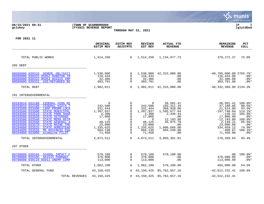|                                                                                                                                                                                                                                                                                                                                                                                                                                                                                  |                                                     |                                                                                                                             |                                                                                                                     |                                                                                                                                           |                                                                                                                                                      |                                                                                                                                                                     | munis<br>a tyler erp solution                                                                                                           |
|----------------------------------------------------------------------------------------------------------------------------------------------------------------------------------------------------------------------------------------------------------------------------------------------------------------------------------------------------------------------------------------------------------------------------------------------------------------------------------|-----------------------------------------------------|-----------------------------------------------------------------------------------------------------------------------------|---------------------------------------------------------------------------------------------------------------------|-------------------------------------------------------------------------------------------------------------------------------------------|------------------------------------------------------------------------------------------------------------------------------------------------------|---------------------------------------------------------------------------------------------------------------------------------------------------------------------|-----------------------------------------------------------------------------------------------------------------------------------------|
| 06/15/2021 08:31<br>gclukey                                                                                                                                                                                                                                                                                                                                                                                                                                                      | TOWN OF SCARBOROUGH<br><b>FY2021 REVENUE REPORT</b> |                                                                                                                             |                                                                                                                     |                                                                                                                                           |                                                                                                                                                      |                                                                                                                                                                     | l P<br>glytdbud                                                                                                                         |
|                                                                                                                                                                                                                                                                                                                                                                                                                                                                                  |                                                     |                                                                                                                             | THROUGH MAY 31, 2021                                                                                                |                                                                                                                                           |                                                                                                                                                      |                                                                                                                                                                     |                                                                                                                                         |
| FOR 2021 11                                                                                                                                                                                                                                                                                                                                                                                                                                                                      |                                                     |                                                                                                                             |                                                                                                                     |                                                                                                                                           |                                                                                                                                                      |                                                                                                                                                                     |                                                                                                                                         |
|                                                                                                                                                                                                                                                                                                                                                                                                                                                                                  |                                                     | ORIGINAL<br><b>ESTIM REV</b>                                                                                                | <b>ESTIM REV</b><br><b>ADJSTMTS</b>                                                                                 | <b>REVISED</b><br>EST REV                                                                                                                 | <b>ACTUAL YTD</b><br><b>REVENUE</b>                                                                                                                  | <b>REMAINING</b><br><b>REVENUE</b>                                                                                                                                  | <b>PCT</b><br><b>COLL</b>                                                                                                               |
| TOTAL PUBLIC WORKS                                                                                                                                                                                                                                                                                                                                                                                                                                                               |                                                     | 1,514,250                                                                                                                   | $\overline{0}$                                                                                                      |                                                                                                                                           | 1,514,250 1,134,977.73                                                                                                                               | 379, 272. 27                                                                                                                                                        | 75.0%                                                                                                                                   |
| 285 DEBT                                                                                                                                                                                                                                                                                                                                                                                                                                                                         |                                                     |                                                                                                                             |                                                                                                                     |                                                                                                                                           |                                                                                                                                                      |                                                                                                                                                                     |                                                                                                                                         |
| 08586000 039310 GENERL OBLIGATI<br>08586000 039322 85052 DUNSTAN TR<br>08586000 039322 85054 HAIGIS IMP<br>08586000 039331<br>USE/REFUNDED BO                                                                                                                                                                                                                                                                                                                                    |                                                     | 1,530,000<br>116,434<br>32,386<br>303,791                                                                                   | 0<br>0<br>$\mathbf 0$<br>$\Omega$                                                                                   | 116,434<br>32,386<br>303,791                                                                                                              | 1,530,000 42,315,000.00<br>.00<br>.00<br>.00                                                                                                         | $-40,785,000.00$ 2765.7%*<br>116,434.00<br>32,386.00<br>303,791.00                                                                                                  | $.0$ %*<br>$.0$ %*<br>$.0$ %*                                                                                                           |
| TOTAL DEBT                                                                                                                                                                                                                                                                                                                                                                                                                                                                       |                                                     | 1,982,611                                                                                                                   | $\overline{0}$                                                                                                      |                                                                                                                                           | 1,982,611 42,315,000.00                                                                                                                              | $-40,332,389.00 2134.38$                                                                                                                                            |                                                                                                                                         |
| 291 INTERGOVERNMENTAL                                                                                                                                                                                                                                                                                                                                                                                                                                                            |                                                     |                                                                                                                             |                                                                                                                     |                                                                                                                                           |                                                                                                                                                      |                                                                                                                                                                     |                                                                                                                                         |
| 09193010 033180<br>FEDERAL FEMA RE<br>09193010 033190<br>FEDERAL HIDTA T<br>09193500 033400<br>LRAP PRGRM-LOCA<br>09193500 033500<br><b>STATE MUNICIPAL</b><br>09193500 033510<br>STATE PARK SHAR<br>09193500 033520<br>STATE VETERANS<br>09193500 033540<br>STATE MEMA REIM<br>09193500 033550<br>STATE GENERAL A<br>09193500 033570<br><b>STATE MAINE TRE</b><br>09194000 033525<br>STATE HOMESTEAD<br>09194000 033526<br>ME BUSINESS EOU<br>09194000 033900<br>ecomaine PILOT |                                                     | $\Omega$<br>242,500<br>331,444<br>1,397,937<br>2,300<br>17,000<br>- 0<br>48,125<br>23,000<br>1,335,625<br>604,130<br>71,450 | 0<br>$\mathbf 0$<br>$\mathbf 0$<br>$\Omega$<br>$\Omega$<br>0<br>0<br>$\mathbf 0$<br>0<br>$\mathbf 0$<br>$\mathbf 0$ | 0<br>242,500<br>331,444<br>1,397,937<br>2,300<br>17,000<br>$\overline{\phantom{0}}$<br>48,125<br>23,000<br>1,335,625<br>604,130<br>71,450 | 36,581.41<br>195, 311.34<br>309,920.00<br>1,595,677.04<br>2,436.43<br>.00<br>12,193.80<br>45,975.79<br>$.00 \,$<br>1,000,666.00<br>604,540.00<br>.00 | $-36,581.41$<br>47,188.66<br>21,524.00<br>$-197,740.04$<br>$-136.43$<br>17,000.00<br>$-12, 193.80$<br>2,149.21<br>23,000.00<br>334,959.12<br>$-409.67$<br>71,450.00 | 100.0%*<br>$80.5$ $*$<br>$93.5$ *<br>114.1%*<br>105.9%*<br>$.0$ %*<br>$100.0$ *<br>95.5%<br>$.0$ %*<br>$74.9$ $*$<br>100.1%*<br>$.0$ %* |
| TOTAL INTERGOVERNMENTAL                                                                                                                                                                                                                                                                                                                                                                                                                                                          |                                                     | 4,073,511                                                                                                                   | $\overline{0}$                                                                                                      | 4,073,511                                                                                                                                 | 3,803,301.81                                                                                                                                         | 270,209.64                                                                                                                                                          | 93.4%                                                                                                                                   |
| 297 OTHER                                                                                                                                                                                                                                                                                                                                                                                                                                                                        |                                                     |                                                                                                                             |                                                                                                                     |                                                                                                                                           |                                                                                                                                                      |                                                                                                                                                                     |                                                                                                                                         |
| 09798000 039104 SCHOOL IMPACT F<br>09798000 039105 HAIGIS PARKWAY<br>09798000 039110 85011 UNEMP COMP                                                                                                                                                                                                                                                                                                                                                                            |                                                     | 579,100<br>370,000<br>113,000                                                                                               | 0<br>0<br>$\Omega$                                                                                                  | 579,100<br>370,000<br>113,000                                                                                                             | 579,100.00<br>.00<br>.00                                                                                                                             | .00<br>370,000.00<br>113,000.00                                                                                                                                     | $100.0$ *<br>$.0$ %*<br>$.0$ %*                                                                                                         |
| TOTAL OTHER                                                                                                                                                                                                                                                                                                                                                                                                                                                                      |                                                     | 1,062,100                                                                                                                   | $\mathbf 0$                                                                                                         | 1,062,100                                                                                                                                 | 579,100.00                                                                                                                                           | 483,000.00                                                                                                                                                          | 54.5%                                                                                                                                   |
| TOTAL GENERAL FUND                                                                                                                                                                                                                                                                                                                                                                                                                                                               |                                                     | 43,150,425                                                                                                                  | $\overline{0}$                                                                                                      | 43,150,425                                                                                                                                | 85,762,657.16                                                                                                                                        | $-42,612,232.41$ 198.8%                                                                                                                                             |                                                                                                                                         |
|                                                                                                                                                                                                                                                                                                                                                                                                                                                                                  | TOTAL REVENUES                                      | 43, 150, 425                                                                                                                | $\mathbf 0$                                                                                                         | 43,150,425                                                                                                                                | 85,762,657.16                                                                                                                                        | $-42,612,232.41$                                                                                                                                                    |                                                                                                                                         |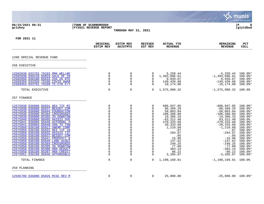|                                                                                                                                                                                                                                                                                                                                                                                                                                                                                                                                                                                                                                                                                                                           |                                                                                                                                                                                                                                                                  |                                                                                                                                                                                                                                                                                         |                                                                                                                                                                                                                                     |                                                                                                                                                                                                                                      |                                                                                                                                                                                                                                                                                                         | munis<br>a tyler erp solution                                                                                                                                                                                                                                      |
|---------------------------------------------------------------------------------------------------------------------------------------------------------------------------------------------------------------------------------------------------------------------------------------------------------------------------------------------------------------------------------------------------------------------------------------------------------------------------------------------------------------------------------------------------------------------------------------------------------------------------------------------------------------------------------------------------------------------------|------------------------------------------------------------------------------------------------------------------------------------------------------------------------------------------------------------------------------------------------------------------|-----------------------------------------------------------------------------------------------------------------------------------------------------------------------------------------------------------------------------------------------------------------------------------------|-------------------------------------------------------------------------------------------------------------------------------------------------------------------------------------------------------------------------------------|--------------------------------------------------------------------------------------------------------------------------------------------------------------------------------------------------------------------------------------|---------------------------------------------------------------------------------------------------------------------------------------------------------------------------------------------------------------------------------------------------------------------------------------------------------|--------------------------------------------------------------------------------------------------------------------------------------------------------------------------------------------------------------------------------------------------------------------|
| 06/15/2021 08:31<br>gclukey                                                                                                                                                                                                                                                                                                                                                                                                                                                                                                                                                                                                                                                                                               | TOWN OF SCARBOROUGH<br><b>FY2021 REVENUE REPORT</b>                                                                                                                                                                                                              | THROUGH MAY 31, 2021                                                                                                                                                                                                                                                                    |                                                                                                                                                                                                                                     |                                                                                                                                                                                                                                      |                                                                                                                                                                                                                                                                                                         | l P<br>8<br> glytdbud                                                                                                                                                                                                                                              |
| FOR 2021 11                                                                                                                                                                                                                                                                                                                                                                                                                                                                                                                                                                                                                                                                                                               |                                                                                                                                                                                                                                                                  |                                                                                                                                                                                                                                                                                         |                                                                                                                                                                                                                                     |                                                                                                                                                                                                                                      |                                                                                                                                                                                                                                                                                                         |                                                                                                                                                                                                                                                                    |
|                                                                                                                                                                                                                                                                                                                                                                                                                                                                                                                                                                                                                                                                                                                           | ORIGINAL<br><b>ESTIM REV</b>                                                                                                                                                                                                                                     | <b>ESTIM REV</b><br><b>ADJSTMTS</b>                                                                                                                                                                                                                                                     | <b>REVISED</b><br>EST REV                                                                                                                                                                                                           | <b>ACTUAL YTD</b><br><b>REVENUE</b>                                                                                                                                                                                                  | <b>REMAINING</b><br><b>REVENUE</b>                                                                                                                                                                                                                                                                      | <b>PCT</b><br><b>COLL</b>                                                                                                                                                                                                                                          |
| 1200 SPECIAL REVENUE FUND                                                                                                                                                                                                                                                                                                                                                                                                                                                                                                                                                                                                                                                                                                 |                                                                                                                                                                                                                                                                  |                                                                                                                                                                                                                                                                                         |                                                                                                                                                                                                                                     |                                                                                                                                                                                                                                      |                                                                                                                                                                                                                                                                                                         |                                                                                                                                                                                                                                                                    |
| 256 EXECUTIVE                                                                                                                                                                                                                                                                                                                                                                                                                                                                                                                                                                                                                                                                                                             |                                                                                                                                                                                                                                                                  |                                                                                                                                                                                                                                                                                         |                                                                                                                                                                                                                                     |                                                                                                                                                                                                                                      |                                                                                                                                                                                                                                                                                                         |                                                                                                                                                                                                                                                                    |
| 12565930 033702 79103 MMA WELLNE<br>12565930 039210 85033 SALE OF 29<br>12565950 036100 85033 294 US RTE<br>12569350 033350 79108 COVID AWAR<br>12569454 033701 79109 TC-CTR F/T                                                                                                                                                                                                                                                                                                                                                                                                                                                                                                                                          | $\mathbf 0$<br>$\mathbf 0$<br>0<br>0<br>0                                                                                                                                                                                                                        | $\mathbf 0$<br>$\Omega$<br>$\mathbf 0$<br>0<br>$\mathbf 0$                                                                                                                                                                                                                              | $\Omega$<br>$\Omega$<br>$\Omega$<br>$\Omega$                                                                                                                                                                                        | 5,258.44<br>1,393,096.61<br>9,939.67<br>149,439.60<br>18,174.00                                                                                                                                                                      | $-5, 258.44$<br>$-1,393,096.61$<br>$-9,939.67$<br>$-149, 439.60$<br>$-18, 174.00$                                                                                                                                                                                                                       | $100.0$ *<br>$100.0$ *<br>$100.0$ *<br>$100.0$ *<br>$100.0$ *                                                                                                                                                                                                      |
| TOTAL EXECUTIVE                                                                                                                                                                                                                                                                                                                                                                                                                                                                                                                                                                                                                                                                                                           | $\mathbf 0$                                                                                                                                                                                                                                                      | $\mathbf 0$                                                                                                                                                                                                                                                                             | $\Omega$                                                                                                                                                                                                                            | 1,575,908.32                                                                                                                                                                                                                         | $-1,575,908.32$ 100.0%                                                                                                                                                                                                                                                                                  |                                                                                                                                                                                                                                                                    |
| 257 FINANCE                                                                                                                                                                                                                                                                                                                                                                                                                                                                                                                                                                                                                                                                                                               |                                                                                                                                                                                                                                                                  |                                                                                                                                                                                                                                                                                         |                                                                                                                                                                                                                                     |                                                                                                                                                                                                                                      |                                                                                                                                                                                                                                                                                                         |                                                                                                                                                                                                                                                                    |
| 12575930 036000 85031 NEX TIF MI<br>12575930 036000 85037 BESSEY COM<br>12575930 036000 85044 FOUNDATION<br>12575930 036000 85304 CROSSROADS<br>12575930 036000 85305 3% DOWNTOW<br>12575940 036000 88405 HAIGIS OVE<br>12575941 036000 85048 AFFORDBL H<br>12575941 036004 85048 50% TO TOW<br>12575950 036100 85011 UNEMP COMP<br>12575950 036100 85031 NEX TIF IN<br>12575950 036100 85032 HAIGIS TIF<br>12575950 036100 85037 BESSEY COM<br>12575950 036100 85047 PROPERTY R<br>12575950 036100 85049 LAND ACQUI<br>12575950 036100 85304 CROSSROADS<br>12575950 036100 85305 3% DOWNTOW<br>12575950 036100 85306 HRA-DEDUCT<br>12575950 036100 85307 HRA-CREDIT<br>12575951 036100 85048 AFFORDABLE<br>TOTAL FINANCE | 0<br>$\mathbf 0$<br>$\mathbf 0$<br>$\mathbf 0$<br>0<br>$\mathbf 0$<br>0<br>$\mathbf 0$<br>$\mathbf 0$<br>$\mathbf 0$<br>$\mathbf 0$<br>0<br>$\mathbf 0$<br>$\mathbf 0$<br>$\mathbf 0$<br>$\mathbf 0$<br>$\mathbf 0$<br>$\mathbf 0$<br>$\mathbf 0$<br>$\mathbf 0$ | $\Omega$<br>0<br>$\Omega$<br>$\mathbf 0$<br>$\mathbf 0$<br>$\mathbf 0$<br>$\mathbf 0$<br>$\overline{0}$<br>$\mathbf 0$<br>$\mathbf 0$<br>$\mathbf 0$<br>$\mathbf 0$<br>$\overline{0}$<br>0<br>$\overline{0}$<br>$\mathbf 0$<br>$\mathbf 0$<br>$\mathbf 0$<br>$\mathbf 0$<br>$\mathbf 0$ | $\Omega$<br>$\Omega$<br>$\Omega$<br>$\mathbf 0$<br>0<br>$\Omega$<br>$\Omega$<br>$\mathbf 0$<br>$\Omega$<br>$\mathbf 0$<br>$\mathbf 0$<br>$\mathbf 0$<br>0<br>$\mathbf 0$<br>$\mathbf 0$<br>$\Omega$<br>0<br>$\mathbf 0$<br>$\Omega$ | 686,947.05<br>86,369.29<br>58,003.04<br>106,360.09<br>19,386.33<br>$-63, 312.48$<br>270,333.69<br>20,333.68<br>1,218.09<br>.87<br>294.97<br>.05<br>15.96<br>137.62<br>249.25<br>77.08<br>383.14<br>86.22<br>3,285.07<br>1,190,169.01 | $-686, 947.05$<br>$-86, 369.29$<br>$-58,003.04$<br>$-106, 360.09$<br>$-19,386.33$<br>63, 312.48<br>$-270, 333.69$<br>$-20, 333.68$<br>$-1,218.09$<br>$-.87$<br>$-294.97$<br>$-.05$<br>$-15.96$<br>$-137.62$<br>$-249.25$<br>$-77.08$<br>$-383.14$<br>$-86.22$<br>$-3, 285.07$<br>$-1,190,169.01$ 100.0% | $100.0$ $*$<br>$100.0$ $*$<br>$100.0$ $*$<br>$100.0$ $*$<br>$100.0$ *<br>100.0%<br>$100.0$ *<br>$100.0$ *<br>$100.0$ $*$<br>$100.0$ *<br>$100.0$ $*$<br>$100.0$ *<br>$100.0$ *<br>$100.0$ *<br>$100.0$ *<br>$100.0$ $*$<br>$100.0$ $*$<br>$100.0$ $*$<br>$100.0$ * |
| 259 PLANNING                                                                                                                                                                                                                                                                                                                                                                                                                                                                                                                                                                                                                                                                                                              |                                                                                                                                                                                                                                                                  |                                                                                                                                                                                                                                                                                         |                                                                                                                                                                                                                                     |                                                                                                                                                                                                                                      |                                                                                                                                                                                                                                                                                                         |                                                                                                                                                                                                                                                                    |
| 12595700 036000 85026 MISC REV M                                                                                                                                                                                                                                                                                                                                                                                                                                                                                                                                                                                                                                                                                          | 0                                                                                                                                                                                                                                                                | $\mathbf 0$                                                                                                                                                                                                                                                                             | 0                                                                                                                                                                                                                                   | 25,000.00                                                                                                                                                                                                                            | $-25,000.00$ 100.0%*                                                                                                                                                                                                                                                                                    |                                                                                                                                                                                                                                                                    |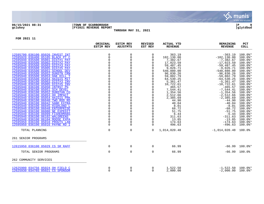

## **06/15/2021 08:31 |TOWN OF SCARBOROUGH |P 9 gclukey |FY2021 REVENUE REPORT |glytdbud THROUGH MAY 31, 2021**

|                                                                                                                                                                               | ORIGINAL<br><b>ESTIM REV</b>                                           | <b>ESTIM REV</b><br><b>ADJSTMTS</b>                              | <b>REVISED</b><br>EST REV                                                       | <b>ACTUAL YTD</b><br><b>REVENUE</b>                     | <b>REMAINING</b><br><b>REVENUE</b>                                       | PCT<br><b>COLL</b>                                        |
|-------------------------------------------------------------------------------------------------------------------------------------------------------------------------------|------------------------------------------------------------------------|------------------------------------------------------------------|---------------------------------------------------------------------------------|---------------------------------------------------------|--------------------------------------------------------------------------|-----------------------------------------------------------|
| 12595700 036100 85026 INVEST INT<br>12595920 036400 85105 BLACK PT C<br>12595940 035500 85001 DIST#1 PAY                                                                      | 0<br>$_{0}^{0}$                                                        | 0<br>0<br>$\mathsf{O}\xspace$                                    | $\mathbf 0$<br>$\mathbf 0$<br>$\Omega$                                          | 363.19<br>102,130.00<br>7,382.67                        | $-363.19$<br>$-102, 130.00$<br>$-7,382.67$                               | 100.0%*<br>100.0%*<br>$100.0$ *                           |
| 12595940 035500 85002 DIST#2 PAY<br>12595940 035500 85003 DIST#3 PAY<br>12595940 035500 85005 DIST#5 PAY<br>12595940 035500 85051 SCHOOL DEV                                  | $\overline{0}$<br>$\Omega$<br>$\Omega$                                 | $\overline{0}$<br>$\begin{matrix} 0 \\ 0 \\ 0 \\ 0 \end{matrix}$ | $\Omega$                                                                        | 17,023.59<br>59,487.45<br>9,026.71<br>540,880.00        | $-17,023.59$<br>$-59,487.45$<br>$-9,026.71$<br>$-540,880.00$             | $100.0$ *<br>$100.0$ *<br>$100.0$ *<br>$100.0$ *          |
| 12595940 035500 85052 DUNSTN CRN<br>12595940 035500 85053 OAK HILL T<br>12595940 035500 85054 HAIGIS MIT<br>12595940 036100 85003 DIST#3 INV                                  | $\overline{0}$<br>$\ddot{\mathbf{0}}$                                  |                                                                  | 0<br>$\mathbf 0$                                                                | 96,830.26<br>59,802.79<br>64,530.25<br>5,361.47         | $-96,830.26$<br>$-59,802.79$<br>$-64, 530.25$<br>$-5, 361.47$            | 100.0%*<br>100.0%*<br>100.0%*<br>100.0%*                  |
| 12595940 036100 85005 DIST#5 INV<br>12595940 036100 85050 INTRST PG<br>12595940 036100 85051 SCH DEVEL<br>12595940 036100 85052 DUNSTAN CO<br>12595940 036100 85053 OH IMPACT | $\overline{0}$<br>$\ddot{\mathbf{0}}$<br>$\Omega$                      | 0000                                                             | $\mathbf 0$<br>$\mathbf 0$<br>$\mathbf 0$<br>$\mathsf{O}\xspace$<br>$\mathbf 0$ | 10,722.61<br>465.57<br>7,544.41<br>1,354.56<br>2,512.66 | $-10, 722.61$<br>$-465.57$<br>$-7,544.41$<br>$-1, 354.56$<br>$-2,512.66$ | 100.0%*<br>$100.0$ *<br>100.0%*<br>$100.0$ *<br>$100.0$ * |
| 12595940 036100 85054 HAIGIS PRK<br>12595940 036100 86040 TWO ROD RD<br>12595940 036100 86042 SAND EXTRA<br>12595940 036100 86045 HIGHLAND L                                  | $\overline{0}$<br>$\mathsf{O}\xspace$                                  | $\begin{matrix} 0 \\ 0 \\ 0 \\ 0 \end{matrix}$                   | $\mathbf 0$<br>$\Omega$<br>$\mathbf 0$<br>$\mathbf 0$                           | 2,385.69<br>44.90<br>40.04<br>8.01                      | $-2, 385.69$<br>$-44.90$<br>$-40.04$<br>$-8.01$                          | $100.0$ <sup>*</sup><br>$100.0$ *<br>100.0%*<br>$100.0$ * |
| 12595940 036100 86048 ENTERPRISE<br>12595940 036100 86080 NE EXPEDIT<br>12595940 036100 86099 FISHERMANS<br>12595940 036100 86102 WALGREENS                                   | $\mathbf{0}$<br>$_0^0$<br>$\begin{smallmatrix} 0\\0 \end{smallmatrix}$ | 000000                                                           | $\mathbf 0$<br>$\mathbf 0$<br>$\mathbf 0$<br>$\overline{0}$                     | 68.72<br>51.75<br>6.44<br>311.63                        | $-68.72$<br>$-51.75$<br>$-6.44$<br>$-311.63$                             | $100.0$ *<br>$100.0$ *<br>$100.0$ *<br>$100.0$ *          |
| 12595940 036100 86104 MOOSE EXPA<br>12595950 036100 85010 PROUTS LAN<br>12595950 036100 85016 PAYNE RD I                                                                      | $\mathsf{O}\xspace$<br>$\Omega$                                        | $\Omega$                                                         | $\Omega$<br>$\mathbf 0$<br>$\Omega$                                             | 13.85<br>174.63<br>496.63                               | $-13.85$<br>$-174.63$<br>$-496.63$                                       | $100.0$ $*$<br>$100.0$ $*$<br>$100.0$ $*$                 |
| TOTAL PLANNING<br>261 SENIOR PROGRAMS                                                                                                                                         | $\Omega$                                                               | $\mathbf 0$                                                      | $\Omega$                                                                        | 1,014,020.48                                            | $-1,014,020.48$ 100.0%                                                   |                                                           |
| 12615950 036100 85029 CS SR RAFF                                                                                                                                              | $\mathbf 0$                                                            | $\mathsf{O}$                                                     | $\mathbf 0$                                                                     | 66.99                                                   |                                                                          | $-66.99$ 100.0%*                                          |
| TOTAL SENIOR PROGRAMS                                                                                                                                                         | $\mathbf 0$                                                            | $\mathbf 0$                                                      | $\mathbf 0$                                                                     | 66.99                                                   |                                                                          | $-66.99$ 100.0%                                           |
| 262 COMMUNITY SERVICES                                                                                                                                                        |                                                                        |                                                                  |                                                                                 |                                                         |                                                                          |                                                           |
| 12625900 034756 85024 OH FIELD C<br>12625930 034765 85021 CS SPONSOR                                                                                                          | 0<br>$\Omega$                                                          | $\mathbf 0$<br>$\Omega$                                          | 0<br>$\Omega$                                                                   | 1,522.50<br>2,000.00                                    | $-1,522.50$ 100.0%*<br>$-2,000.00$                                       | $100.0$ $*$                                               |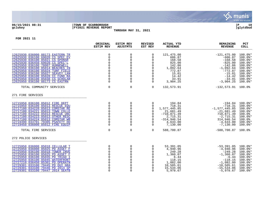

# **06/15/2021 08:31 |TOWN OF SCARBOROUGH |P 10 gclukey |FY2021 REVENUE REPORT |glytdbud**

**THROUGH MAY 31, 2021**



|                                                                                                                                                                                                                                                                                                                                                                                                                                                                                                                                                                                                                                                                                                                                                                                                                                                                                                                                                                                                                                                                                                                                                                                                                                                                                                                                                                                                                                                                                                                                                                                                                                                                                                            | ORIGINAL<br><b>ESTIM REV</b>                                                                                    | <b>ESTIM REV</b><br><b>ADJSTMTS</b>                                                                                                  | <b>REVISED</b><br>EST REV                                                                                                                                     | <b>ACTUAL YTD</b><br><b>REVENUE</b>                                                                                  | <b>REMAINING</b><br><b>REVENUE</b>                                                                                                                          | PCT<br><b>COLL</b>                                                                                                    |
|------------------------------------------------------------------------------------------------------------------------------------------------------------------------------------------------------------------------------------------------------------------------------------------------------------------------------------------------------------------------------------------------------------------------------------------------------------------------------------------------------------------------------------------------------------------------------------------------------------------------------------------------------------------------------------------------------------------------------------------------------------------------------------------------------------------------------------------------------------------------------------------------------------------------------------------------------------------------------------------------------------------------------------------------------------------------------------------------------------------------------------------------------------------------------------------------------------------------------------------------------------------------------------------------------------------------------------------------------------------------------------------------------------------------------------------------------------------------------------------------------------------------------------------------------------------------------------------------------------------------------------------------------------------------------------------------------------|-----------------------------------------------------------------------------------------------------------------|--------------------------------------------------------------------------------------------------------------------------------------|---------------------------------------------------------------------------------------------------------------------------------------------------------------|----------------------------------------------------------------------------------------------------------------------|-------------------------------------------------------------------------------------------------------------------------------------------------------------|-----------------------------------------------------------------------------------------------------------------------|
| $\mathbf 0$<br>12625930 036000 88173 EASTERN TR<br>0<br>0<br>$_{\rm 0}^{\rm 0}$<br>$\mathsf 0$<br>12625930 036100 69020 CS SPEC EV<br>0<br>$\mathsf{O}$<br>12625930 036100 85021 CS SPONSR<br>0<br>$\mathsf{O}\xspace$<br>$\mathbf 0$<br>12625930 036450 69020 CS SPEC'L<br>0<br>$\ddot{\mathbf{0}}$<br>$\mathbf 0$<br>12625950 036100 78007 HUNNEWELL<br>0<br>$\overline{0}$<br>$\mathbf 0$<br>12625950 036100 85014 BEACHES IN<br>0<br>$\overline{0}$<br>$\mathsf 0$<br>12625950 036100 85024 TURF FIELD<br>$\Omega$<br>$\mathbf 0$<br>12625950 036100 85027 SEAVEY LAN<br>$\mathbf 0$<br>$\begin{smallmatrix} 0\\0 \end{smallmatrix}$<br>$\mathsf{O}$<br>$\mathbf 0$<br>12625950 036100 85028 CC FUND RA<br>$\mathbf 0$<br>$\Omega$<br>12625950 036100 85038 CS SCHOLAR<br>$\Omega$<br>$\mathbf 0$<br>12625950 036100 88173 CS EASTRN<br>0<br>$\mathbf 0$<br>$\mathbf 0$<br>0<br>TOTAL COMMUNITY SERVICES<br>$\mathbf 0$<br>0<br>$\Omega$<br>$\mathbf 0$<br>0<br>$\Omega$<br>$\overline{0}$<br>$\Omega$<br>0<br>$\overline{0}$<br>$\mathsf 0$<br>0<br>$\mathsf{O}$<br>$\mathbf 0$<br>$\overline{0}$<br>$0$<br>$\mathsf 0$<br>$\mathbf 0$<br>$\mathsf{O}$<br>$\mathbf 0$<br>$\mathsf 0$<br>$\mathbf 0$<br>0<br>$\Omega$<br>$\mathbf 0$<br>$\mathbf 0$<br>$\Omega$<br>$\mathbf 0$<br>$\Omega$<br>TOTAL FIRE SERVICES<br>$\mathbf 0$<br>$\mathbf 0$<br>0<br>$\mathbf 0$<br>0<br>0<br>$\mathbf{0}$<br>$\mathbf 0$<br>$\Omega$<br>$\mathbf 0$<br>$\mathbf 0$<br>0<br>$\mathbf 0$<br>$\mathbf 0$<br>$\Omega$<br>$_{\rm 0}^{\rm 0}$<br>0<br>$\mathbf 0$<br>$\mathbf 0$<br>$\Omega$<br>$\mathsf{O}\xspace$<br>$\mathsf 0$<br>0<br>$\Omega$<br>$\mathbf 0$<br>$\Omega$<br>$\mathbf 0$<br>$\mathbf 0$<br>$\Omega$ | 121,475.00<br>606.87<br>168.58<br>825.00<br>142.86<br>1,092.64<br>772.87<br>15.01<br>14.42<br>33.91<br>3,904.25 | $-121,475.00$<br>$-606.87$<br>$-168.58$<br>$-825.00$<br>$-142.86$<br>$-1,092.64$<br>$-772.87$<br>$-15.01$<br>$-14.42$<br>$-3,904.25$ | $100.0$ *<br>$100.0$ *<br>$100.0$ *<br>$100.0$ *<br>$100.0$ $*$<br>$100.0$ $\ast$<br>$100.0$ *<br>$100.0$ *<br>$100.0$ $*$<br>$-33.91$ 100.0%*<br>$100.0$ $*$ |                                                                                                                      |                                                                                                                                                             |                                                                                                                       |
|                                                                                                                                                                                                                                                                                                                                                                                                                                                                                                                                                                                                                                                                                                                                                                                                                                                                                                                                                                                                                                                                                                                                                                                                                                                                                                                                                                                                                                                                                                                                                                                                                                                                                                            |                                                                                                                 |                                                                                                                                      |                                                                                                                                                               | 132,573.91                                                                                                           | $-132,573.91$                                                                                                                                               | 100.0%                                                                                                                |
| 271 FIRE SERVICES                                                                                                                                                                                                                                                                                                                                                                                                                                                                                                                                                                                                                                                                                                                                                                                                                                                                                                                                                                                                                                                                                                                                                                                                                                                                                                                                                                                                                                                                                                                                                                                                                                                                                          |                                                                                                                 |                                                                                                                                      |                                                                                                                                                               |                                                                                                                      |                                                                                                                                                             |                                                                                                                       |
| 12715950 036100 85012 FIRE DEPT<br>12715950 036100 85013 RESCUE EOU<br>12717100 034220 85013 COMSTAR RE<br>12717100 034221 85013 TOWN COLLE<br>12717100 034222 85013 RESCUE UNC<br>12717100 034223 85013 OTHER RESC<br>12717100 034224 85013 COMSTAR WR<br>12719390 033701 79305 PSAFETY HO<br>12719450 036000 85012 FIRE EOUIP                                                                                                                                                                                                                                                                                                                                                                                                                                                                                                                                                                                                                                                                                                                                                                                                                                                                                                                                                                                                                                                                                                                                                                                                                                                                                                                                                                            |                                                                                                                 |                                                                                                                                      |                                                                                                                                                               | 194.84<br>718.31<br>1,577,445.85<br>21,681.49<br>$-710, 871.39$<br>2,715.31<br>$-314,946.54$<br>4,633.00<br>7,130.00 | $-718.31$<br>$-1,577,445.85$<br>$-21,681.49$<br>710,871.39<br>$-2,715.31$<br>314,946.54<br>$-4,633.00$<br>$-7,130.00$                                       | $-194.84$ 100.0%*<br>$100.0$ $*$<br>$100.0$ *<br>$100.0$ *<br>100.0%<br>$100.0$ *<br>100.0%<br>$100.0$ *<br>$100.0$ * |
|                                                                                                                                                                                                                                                                                                                                                                                                                                                                                                                                                                                                                                                                                                                                                                                                                                                                                                                                                                                                                                                                                                                                                                                                                                                                                                                                                                                                                                                                                                                                                                                                                                                                                                            |                                                                                                                 |                                                                                                                                      |                                                                                                                                                               | 588,700.87                                                                                                           | $-588,700.87$ 100.0%                                                                                                                                        |                                                                                                                       |
| 272 POLICE SERVICES                                                                                                                                                                                                                                                                                                                                                                                                                                                                                                                                                                                                                                                                                                                                                                                                                                                                                                                                                                                                                                                                                                                                                                                                                                                                                                                                                                                                                                                                                                                                                                                                                                                                                        |                                                                                                                 |                                                                                                                                      |                                                                                                                                                               |                                                                                                                      |                                                                                                                                                             |                                                                                                                       |
| 12725950 036000 85018 CELLULAR T<br>12725950 036000 85025 PD ASSET F<br>12725950 036100 85018 TOWER INVE<br>12725950 036100 85025 PD ASSET F<br>12725950 036100 85035 PD TRIAD I<br>12725950 036100 85045 WATERFRONT<br>12727210 036450 85301 PD OPERATN<br>12729301 033100 79445 PD OUI GRA<br>12729301 033100 79446 PD 2014 SP<br>12729301 033100 79447 2014 SEATB                                                                                                                                                                                                                                                                                                                                                                                                                                                                                                                                                                                                                                                                                                                                                                                                                                                                                                                                                                                                                                                                                                                                                                                                                                                                                                                                       |                                                                                                                 |                                                                                                                                      |                                                                                                                                                               | 53,391.05<br>4,940.96<br>249.28<br>1,360.07<br>6.44<br>118.15<br>1,082.00<br>10,505.61<br>15,534.06<br>5,978.67      | $-53,391.05$ 100.0%*<br>$-4,940.96$ 100.0%*<br>$-249.28$<br>$-1,360.07$<br>$-6.44$<br>$-118.15$<br>$-1,082.00$<br>$-10,505.61$<br>$-15,534.06$<br>-5,978.67 | $100.0$ *<br>$100.0$ *<br>$100.0$ *<br>$100.0$ $*$<br>$100.0$ *<br>$100.0$ *<br>$100.0$ *<br>$100.0$ *                |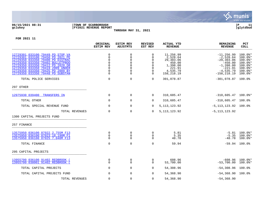

## **06/15/2021 08:31 |TOWN OF SCARBOROUGH |P 11 gclukey |FY2021 REVENUE REPORT |glytdbud THROUGH MAY 31, 2021**

|                                                                                                                                                                                                                                                                                              | ORIGINAL<br><b>ESTIM REV</b>                                                                          | <b>ESTIM REV</b><br><b>ADJSTMTS</b>                                    | <b>REVISED</b><br>EST REV                                                                | <b>ACTUAL YTD</b><br><b>REVENUE</b>                                                          | <b>REMAINING</b><br><b>REVENUE</b>                                                                                      | <b>PCT</b><br><b>COLL</b>                                                                                 |
|----------------------------------------------------------------------------------------------------------------------------------------------------------------------------------------------------------------------------------------------------------------------------------------------|-------------------------------------------------------------------------------------------------------|------------------------------------------------------------------------|------------------------------------------------------------------------------------------|----------------------------------------------------------------------------------------------|-------------------------------------------------------------------------------------------------------------------------|-----------------------------------------------------------------------------------------------------------|
| 12729301 033100 79449 PD STOP VA<br>12729301 033100 79450 PD 2021 PE<br>12729350 033350 79400 PD DISTRAC<br>12729350 033350 79402 BULLETPROO<br>12729350 033350 79412 PD 2020 DR<br>12729350 033350 79419 2009 UNDER<br>12729350 033350 79425 PD 2009 BY<br>12729350 033350 79448 PD SUBSTAN | $\mathbf 0$<br>$\mathbf 0$<br>$\pmb{0}$<br>$\mathbf 0$<br>$\mathbf 0$<br>$\mathbf 0$<br>0<br>$\Omega$ | 0<br>$\mathbf 0$<br>0<br>$\mathbf 0$<br>0<br>$\Omega$<br>0<br>$\Omega$ | $\Omega$<br>$\Omega$<br>$\Omega$<br>$\Omega$<br>$\Omega$<br>$\Omega$<br>$\mathbf 0$<br>0 | 11,256.99<br>2,528.64<br>29,303.06<br>450.00<br>1,398.00<br>221.91<br>4,535.79<br>158,218.19 | $-11, 256.99$<br>$-2,528.64$<br>$-29, 303.06$<br>$-450.00$<br>$-1,398.00$<br>$-221.91$<br>$-4,535.79$<br>$-158, 218.19$ | 100.0%*<br>$100.0$ *<br>$100.0$ *<br>$100.0$ <sup>*</sup><br>100.0%*<br>$100.0$ *<br>100.0%*<br>$100.0$ * |
| TOTAL POLICE SERVICES                                                                                                                                                                                                                                                                        | $\mathbf 0$                                                                                           | $\mathbf 0$                                                            | 0                                                                                        | 301,078.87                                                                                   | $-301,078.87$                                                                                                           | 100.0%                                                                                                    |
| 297 OTHER                                                                                                                                                                                                                                                                                    |                                                                                                       |                                                                        |                                                                                          |                                                                                              |                                                                                                                         |                                                                                                           |
| 12975930 039400 TRANSFERS IN                                                                                                                                                                                                                                                                 | $\mathbf 0$                                                                                           | 0                                                                      | $\overline{0}$                                                                           | 310,605.47                                                                                   | $-310,605.47$ 100.0%*                                                                                                   |                                                                                                           |
| TOTAL OTHER                                                                                                                                                                                                                                                                                  | 0                                                                                                     | 0                                                                      | 0                                                                                        | 310,605.47                                                                                   | $-310,605.47$ 100.0%                                                                                                    |                                                                                                           |
| TOTAL SPECIAL REVENUE FUND                                                                                                                                                                                                                                                                   | $\Omega$                                                                                              | $\mathbf 0$                                                            | $\Omega$                                                                                 | 5, 113, 123. 92                                                                              | $-5, 113, 123.92$ 100.0%                                                                                                |                                                                                                           |
| TOTAL REVENUES                                                                                                                                                                                                                                                                               | $\mathbf 0$                                                                                           | $\mathbf 0$                                                            | $\Omega$                                                                                 | 5, 113, 123. 92                                                                              | $-5, 113, 123.92$                                                                                                       |                                                                                                           |
| 1300 CAPITAL PROJECTS FUND                                                                                                                                                                                                                                                                   |                                                                                                       |                                                                        |                                                                                          |                                                                                              |                                                                                                                         |                                                                                                           |
| 257 FINANCE                                                                                                                                                                                                                                                                                  |                                                                                                       |                                                                        |                                                                                          |                                                                                              |                                                                                                                         |                                                                                                           |
| 13575950 036100 87022 2.755M F13<br>13575950 036100 87023 18.190M F1<br>13575950 036100 87025 7.040M F13                                                                                                                                                                                     | 0<br>$\mathbf 0$<br>$\mathbf 0$                                                                       | 0<br>$\mathbf 0$<br>$\mathbf 0$                                        | 0<br>$\Omega$<br>$\mathbf 0$                                                             | 5.81<br>5.35<br>48.78                                                                        | $-5.81$<br>$-5.35$<br>$-48.78$                                                                                          | $100.0$ *<br>$100.0$ $*$<br>$100.0$ *                                                                     |
| TOTAL FINANCE                                                                                                                                                                                                                                                                                | $\mathbf 0$                                                                                           | $\mathbf 0$                                                            | 0                                                                                        | 59.94                                                                                        |                                                                                                                         | $-59.94$ 100.0%                                                                                           |
| 295 CAPITAL PROJECTS                                                                                                                                                                                                                                                                         |                                                                                                       |                                                                        |                                                                                          |                                                                                              |                                                                                                                         |                                                                                                           |
| 13955700 036100 91402 REDBROOK (<br>13955700 038001 91402 REDBROOK                                                                                                                                                                                                                           | $\mathbf 0$<br>0                                                                                      | 0<br>0                                                                 | 0<br>0                                                                                   | 608.96<br>53,700.00                                                                          | -608.96<br>$-53,700.00$                                                                                                 | $100.0$ $*$<br>$100.0$ $*$                                                                                |
| TOTAL CAPITAL PROJECTS                                                                                                                                                                                                                                                                       | $\mathbf 0$                                                                                           | 0                                                                      | 0                                                                                        | 54,308.96                                                                                    | $-54,308.96$                                                                                                            | 100.0%                                                                                                    |
| TOTAL CAPITAL PROJECTS FUND                                                                                                                                                                                                                                                                  | $\mathbf 0$                                                                                           | $\mathbf 0$                                                            | $\Omega$                                                                                 | 54,368.90                                                                                    | $-54,368.90$ 100.0%                                                                                                     |                                                                                                           |
| TOTAL REVENUES                                                                                                                                                                                                                                                                               | $\mathbf 0$                                                                                           | $\Omega$                                                               | 0                                                                                        | 54,368.90                                                                                    | $-54, 368.90$                                                                                                           |                                                                                                           |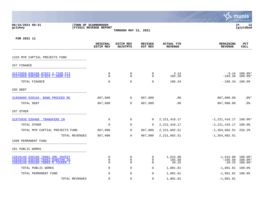|                                                                                                          |                                                     |                                     |                                     |                                     |                                      | munis<br>a tyler erp solution         |
|----------------------------------------------------------------------------------------------------------|-----------------------------------------------------|-------------------------------------|-------------------------------------|-------------------------------------|--------------------------------------|---------------------------------------|
| 06/15/2021 08:31<br>gclukey                                                                              | TOWN OF SCARBOROUGH<br><b>FY2021 REVENUE REPORT</b> | THROUGH MAY 31, 2021                |                                     |                                     |                                      | lР<br>12<br>glytdbud                  |
| FOR 2021 11                                                                                              |                                                     |                                     |                                     |                                     |                                      |                                       |
|                                                                                                          | ORIGINAL<br><b>ESTIM REV</b>                        | <b>ESTIM REV</b><br><b>ADJSTMTS</b> | <b>REVISED</b><br>EST REV           | <b>ACTUAL YTD</b><br><b>REVENUE</b> | <b>REMAINING</b><br><b>REVENUE</b>   | PCT<br><b>COLL</b>                    |
| 1310 MYR CAPTIAL PROJECTS FUND                                                                           |                                                     |                                     |                                     |                                     |                                      |                                       |
| 257 FINANCE                                                                                              |                                                     |                                     |                                     |                                     |                                      |                                       |
| 31575950 036100 87022 2.755M F13<br>31575950 036100 87024 7.380M F13                                     | $\Omega$<br>$\mathbf 0$                             | $\mathbf 0$<br>$\mathbf 0$          | $\Omega$<br>$\Omega$                | 3.14<br>183.20                      | $-183.20$                            | $-3.14$ 100.0%*<br>$100.0$ $*$        |
| TOTAL FINANCE                                                                                            | $\mathbf 0$                                         | $\mathbf 0$                         | $\mathbf 0$                         | 186.34                              | $-186.34$ 100.0%                     |                                       |
| 285 DEBT                                                                                                 |                                                     |                                     |                                     |                                     |                                      |                                       |
| 31858600 039310  BOND PROCEED RE                                                                         | 867,000                                             | 0                                   | 867,000                             | .00                                 | 867,000.00                           | $.0$ %*                               |
| TOTAL DEBT                                                                                               | 867,000                                             | 0                                   | 867,000                             | .00                                 | 867,000.00                           | .0 <sub>8</sub>                       |
| 297 OTHER                                                                                                |                                                     |                                     |                                     |                                     |                                      |                                       |
| 31975930 039400 TRANSFERS IN                                                                             | 0                                                   | $\mathbf 0$                         | $\Omega$                            | 2, 221, 416.17                      | $-2, 221, 416.17$ 100.0%*            |                                       |
| TOTAL OTHER                                                                                              | $\mathbf 0$                                         | $\mathbf 0$                         | 0                                   | 2, 221, 416.17                      | $-2, 221, 416.17$ 100.0%             |                                       |
| TOTAL MYR CAPTIAL PROJECTS FUND                                                                          | 867,000                                             | $\mathbf 0$                         | 867,000                             | 2,221,602.51                        | $-1, 354, 602.51$ 256.2%             |                                       |
| TOTAL REVENUES                                                                                           | 867,000                                             | $\mathbf 0$                         | 867,000                             | 2, 221, 602.51                      | $-1, 354, 602.51$                    |                                       |
| 1500 PERMANENT FUND                                                                                      |                                                     |                                     |                                     |                                     |                                      |                                       |
| 281 PUBLIC WORKS                                                                                         |                                                     |                                     |                                     |                                     |                                      |                                       |
| 15818140 036100 78001 SMC INVEST<br>15818140 036100 78002 DUNSTAN IN<br>15818140 036100 78003 M TUCKER I | $\mathbf 0$<br>$\mathbf 0$<br>0                     | $\mathbf 0$<br>$\mathbf 0$<br>0     | $\mathbf 0$<br>$\Omega$<br>$\Omega$ | 1,615.98<br>165.58<br>20.25         | $-1,615.98$<br>$-165.58$<br>$-20.25$ | 100.0%*<br>$100.0$ $*$<br>$100.0$ $*$ |
| TOTAL PUBLIC WORKS                                                                                       | 0                                                   | $\mathbf 0$                         | 0                                   | 1,801.81                            | $-1,801.81$ 100.0%                   |                                       |
| TOTAL PERMANENT FUND                                                                                     | $\Omega$                                            | $\mathbf 0$                         | 0                                   | 1,801.81                            | $-1,801.81$ 100.0%                   |                                       |
| TOTAL REVENUES                                                                                           | $\mathbf 0$                                         | $\Omega$                            | $\Omega$                            | 1,801.81                            | $-1,801.81$                          |                                       |

and the control of the control of the control of the control of the control of the control of the control of the

**Contract Contract Contract Contract Contract Contract Contract Contract Contract Contract Contract Contract Contract Contract Contract Contract Contract Contract Contract Contract Contract Contract Contract Contract Contr**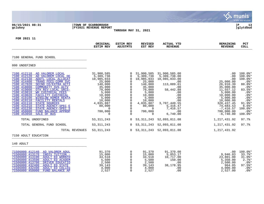|                                                                                                                                                                                                                                                                                                                                                                                                                                                                                                                                                                                                                 |                                                                                                                                                                                |                                                                                                                                                                                                                                  |                                                                                                                                                                                            |                                                                                                                                                                                |                                                                                                                                                                                                       | munis<br>a tyler erp solution                                                                                                                                                                                |
|-----------------------------------------------------------------------------------------------------------------------------------------------------------------------------------------------------------------------------------------------------------------------------------------------------------------------------------------------------------------------------------------------------------------------------------------------------------------------------------------------------------------------------------------------------------------------------------------------------------------|--------------------------------------------------------------------------------------------------------------------------------------------------------------------------------|----------------------------------------------------------------------------------------------------------------------------------------------------------------------------------------------------------------------------------|--------------------------------------------------------------------------------------------------------------------------------------------------------------------------------------------|--------------------------------------------------------------------------------------------------------------------------------------------------------------------------------|-------------------------------------------------------------------------------------------------------------------------------------------------------------------------------------------------------|--------------------------------------------------------------------------------------------------------------------------------------------------------------------------------------------------------------|
| 06/15/2021 08:31<br>gclukey                                                                                                                                                                                                                                                                                                                                                                                                                                                                                                                                                                                     | TOWN OF SCARBOROUGH<br><b>FY2021 REVENUE REPORT</b>                                                                                                                            | THROUGH MAY 31, 2021                                                                                                                                                                                                             |                                                                                                                                                                                            |                                                                                                                                                                                |                                                                                                                                                                                                       | l P<br>13<br>glytdbud                                                                                                                                                                                        |
| FOR 2021 11                                                                                                                                                                                                                                                                                                                                                                                                                                                                                                                                                                                                     | ORIGINAL<br><b>ESTIM REV</b>                                                                                                                                                   | ESTIM REV<br><b>ADJSTMTS</b>                                                                                                                                                                                                     | <b>REVISED</b><br>EST REV                                                                                                                                                                  | <b>ACTUAL YTD</b><br><b>REVENUE</b>                                                                                                                                            | <b>REMAINING</b><br><b>REVENUE</b>                                                                                                                                                                    | PCT<br><b>COLL</b>                                                                                                                                                                                           |
| 7100 GENERAL FUND SCHOOL                                                                                                                                                                                                                                                                                                                                                                                                                                                                                                                                                                                        |                                                                                                                                                                                |                                                                                                                                                                                                                                  |                                                                                                                                                                                            |                                                                                                                                                                                |                                                                                                                                                                                                       |                                                                                                                                                                                                              |
| 000 UNDEFINED                                                                                                                                                                                                                                                                                                                                                                                                                                                                                                                                                                                                   |                                                                                                                                                                                |                                                                                                                                                                                                                                  |                                                                                                                                                                                            |                                                                                                                                                                                |                                                                                                                                                                                                       |                                                                                                                                                                                                              |
| 7100 412110 AD VALOREM LOCAL<br>7100 412120<br>AD VALOREM LOCAL DE<br>7100 412130<br>ADDTL LOCAL ALLOCAT<br>7100 414400<br>TRANS FEES-COMM SVC<br>7100 417020<br>SECND CO/EXTRA ACTI<br>7100 418000<br>COMMUNITY SVS ACTV<br>7100 419000<br>OTH REV-LOCAL SRCS-<br>7100 419010<br>WH CUSTODIAL FEES<br>7100 419020<br>FACILITY CUSTODIAL<br>7100 419100<br><b>WINSLOW HOMER RENTA</b><br>7100 419110<br>FACILITY RENTALS<br>7100 431110<br><b>STATE SOURCES</b><br>7100 431210<br>STATE AGENCY-SPEC E<br>7100 431230<br>STATE AGENCY-SPEC S<br>7100 450000<br>FUND BALANCE APPROP<br>7100 453050<br>SALE OF BUS | 31,900,585<br>5,309,738<br>10,985,033<br>25,000<br>140,000<br>35,000<br>70,000<br>5,000<br>10,000<br>5,000<br>10,000<br>4,035,887<br>80,000<br>$\Omega$<br>700,000<br>$\Omega$ | 0<br>0<br>$\mathbf 0$<br>$\overline{0}$<br>$\mathbf 0$<br>$\Omega$<br>$\overline{0}$<br>$\overline{0}$<br>$\overline{0}$<br>$\overline{0}$<br>0<br>$\overline{0}$<br>$\mathbf 0$<br>$\overline{0}$<br>$\overline{0}$<br>$\Omega$ | 31,900,585<br>5,309,738<br>10,985,033<br>25,000<br>140,000<br>35,000<br>70,000<br>5,000<br>10,000<br>5,000<br>10,000<br>4,035,887<br>80,000<br>$\overline{0}$<br>700,000<br>$\overline{0}$ | 31,900,585.00<br>5,309,738.00<br>10,985,033.00<br>.00<br>113,089.61<br>.00<br>58,442.88<br>.00<br>.00<br>.00<br>.00<br>3,707,449.55<br>5,316.47<br>7,416.57<br>.00<br>6,740.00 | .00<br>$.00 \,$<br>.00<br>25,000.00<br>26,910.39<br>35,000.00<br>11,557.12<br>5,000.00<br>10,000.00<br>5,000.00<br>10,000.00<br>328, 437. 45<br>74,683.53<br>$-7,416.57$<br>700,000.00<br>$-6,740.00$ | $100.0$ *<br>$100.0$ *<br>$100.0$ *<br>$.0$ %*<br>80.8%*<br>$.0$ %*<br>$83.5$ $*$<br>.0 <sup>8</sup><br>$.0$ %*<br>$.0$ %*<br>$.0$ %*<br>$91.9$ <sup>*</sup><br>$6.6$ $*$<br>$100.0$ *<br>$.0$ %*<br>100.0%* |
| TOTAL UNDEFINED                                                                                                                                                                                                                                                                                                                                                                                                                                                                                                                                                                                                 | 53, 311, 243                                                                                                                                                                   | 0                                                                                                                                                                                                                                |                                                                                                                                                                                            | 53, 311, 243 52, 093, 811.08                                                                                                                                                   | 1,217,431.92                                                                                                                                                                                          | 97.7%                                                                                                                                                                                                        |
| TOTAL GENERAL FUND SCHOOL<br>TOTAL REVENUES<br>7150 ADULT EDUCATION                                                                                                                                                                                                                                                                                                                                                                                                                                                                                                                                             | 53, 311, 243<br>53, 311, 243                                                                                                                                                   | $\mathbf 0$                                                                                                                                                                                                                      |                                                                                                                                                                                            | 53, 311, 243 52, 093, 811.08<br>0 53, 311, 243 52, 093, 811.08                                                                                                                 | 1,217,431.92<br>1,217,431.92                                                                                                                                                                          | 97.7%                                                                                                                                                                                                        |
| 140 ADULT                                                                                                                                                                                                                                                                                                                                                                                                                                                                                                                                                                                                       |                                                                                                                                                                                |                                                                                                                                                                                                                                  |                                                                                                                                                                                            |                                                                                                                                                                                |                                                                                                                                                                                                       |                                                                                                                                                                                                              |
| 71506000 412140<br>AD VALOREM ADUL<br>71506000 413170<br>INDIV TUITION -<br>71506000 413190<br><b>ADULT ED WORKFO</b><br>71506000 413590<br><b>ADULT ED ACADEM</b><br>71506000 413700<br>DRIVER EDUCATIO<br>71506000 432400<br><b>ADULT ED STATE</b><br>71506000 432490<br><b>ADULT ED COLLEG</b><br>71506000 450000<br>FUND BALANCE AP                                                                                                                                                                                                                                                                         | 91,370<br>15,000<br>34,518<br>5,500<br>2,500<br>39,143<br>4,000<br>2,527                                                                                                       | 0<br>0<br>$\mathbf 0$<br>$\overline{0}$<br>$\Omega$<br>$\mathbf 0$<br>$\Omega$<br>$\Omega$                                                                                                                                       | 91,370<br>15,000<br>34,518<br>5,500<br>2,500<br>39,143<br>4,000<br>2,527                                                                                                                   | 91,370.00<br>5,053.17<br>10,717.00<br>150.00<br>.00<br>38,178.95<br>.00<br>.00                                                                                                 | .00<br>9,946.83<br>23,801.00<br>5,350.00<br>2,500.00<br>964.05<br>4,000.00<br>2,527.00                                                                                                                | 100.0%*<br>33.7%<br>$31.0$ %*<br>$2.7$ %*<br>$.0$ %*<br>$97.5$ *<br>$.0$ %*<br>$.0$ %*                                                                                                                       |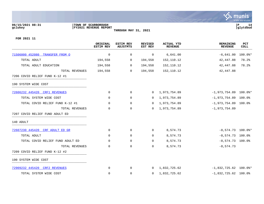

### **06/15/2021 08:31 |TOWN OF SCARBOROUGH |P 14 gclukey |FY2021 REVENUE REPORT |glytdbud THROUGH MAY 31, 2021**

|                                  | ORIGINAL<br><b>ESTIM REV</b> | <b>ESTIM REV</b><br><b>ADJSTMTS</b> | <b>REVISED</b><br>EST REV | <b>ACTUAL YTD</b><br><b>REVENUE</b> | REMAINING<br><b>REVENUE</b> | PCT<br><b>COLL</b> |
|----------------------------------|------------------------------|-------------------------------------|---------------------------|-------------------------------------|-----------------------------|--------------------|
| 71506000 452080 TRANSFER FROM O  | $\mathbf 0$                  | 0                                   | 0                         | 6,641.00                            | $-6,641.00$                 | $100.0$ *          |
| TOTAL ADULT                      | 194,558                      | 0                                   | 194,558                   | 152,110.12                          | 42,447.88                   | 78.2%              |
| TOTAL ADULT EDUCATION            | 194,558                      | $\mathbf 0$                         | 194,558                   | 152,110.12                          | 42, 447.88                  | 78.2%              |
| TOTAL REVENUES                   | 194,558                      | $\mathbf 0$                         | 194,558                   | 152,110.12                          | 42, 447.88                  |                    |
| 7206 COVID RELIEF FUND K-12 #1   |                              |                                     |                           |                                     |                             |                    |
| 190 SYSTEM WIDE COST             |                              |                                     |                           |                                     |                             |                    |
| 72606232 445420 CRF1 REVENUES    | $\mathbf 0$                  | 0                                   | 0                         | 1,973,754.89                        | $-1,973,754.89$ 100.0%*     |                    |
| TOTAL SYSTEM WIDE COST           | 0                            | 0                                   | $\Omega$                  | 1,973,754.89                        | $-1,973,754.89$ 100.0%      |                    |
| TOTAL COVID RELIEF FUND K-12 #1  | 0                            | 0                                   | 0                         | 1,973,754.89                        | $-1,973,754.89$ 100.0%      |                    |
| TOTAL REVENUES                   | 0                            | 0                                   | $\Omega$                  | 1,973,754.89                        | $-1,973,754.89$             |                    |
| 7207 COVID RELIEF FUND ADULT ED  |                              |                                     |                           |                                     |                             |                    |
| 140 ADULT                        |                              |                                     |                           |                                     |                             |                    |
| 72607230 445420 CRF ADULT ED GR  | 0                            | 0                                   | 0                         | 8,574.73                            | $-8,574.73$ 100.0%*         |                    |
| TOTAL ADULT                      | 0                            | 0                                   | 0                         | 8,574.73                            | $-8,574.73$ 100.0%          |                    |
| TOTAL COVID RELIEF FUND ADULT ED | 0                            | 0                                   | 0                         | 8,574.73                            | $-8,574.73$ 100.0%          |                    |
| TOTAL REVENUES                   | 0                            | $\mathbf 0$                         | $\Omega$                  | 8,574.73                            | $-8,574.73$                 |                    |
| 7209 COVID RELIEF FUND K-12 #2   |                              |                                     |                           |                                     |                             |                    |
| 190 SYSTEM WIDE COST             |                              |                                     |                           |                                     |                             |                    |
| 72909232 445420 CRF2 REVENUES    | 0                            | 0                                   | $\Omega$                  | 1,832,725.62                        | $-1,832,725.62$ 100.0%*     |                    |
| TOTAL SYSTEM WIDE COST           | 0                            | $\mathbf 0$                         | 0                         | 1,832,725.62                        | $-1,832,725.62$ 100.0%      |                    |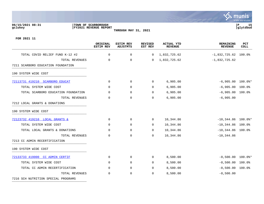# **06/15/2021 08:31 |TOWN OF SCARBOROUGH |P 15 gclukey |FY2021 REVENUE REPORT |glytdbud**

**THROUGH MAY 31, 2021**



. munis<sup>.</sup>

**Barba** 

|                                     | ORIGINAL<br><b>ESTIM REV</b> | ESTIM REV<br><b>ADJSTMTS</b> | <b>REVISED</b><br>EST REV | ACTUAL YTD<br><b>REVENUE</b> | <b>REMAINING</b><br><b>REVENUE</b> | PCT<br><b>COLL</b> |
|-------------------------------------|------------------------------|------------------------------|---------------------------|------------------------------|------------------------------------|--------------------|
| TOTAL COVID RELIEF FUND K-12 #2     | $\mathbf 0$                  | $\mathbf 0$                  | 0                         | 1,832,725.62                 | $-1,832,725.62$ 100.0%             |                    |
| TOTAL REVENUES                      | 0                            | $\mathbf 0$                  | $\Omega$                  | 1,832,725.62                 | $-1,832,725.62$                    |                    |
| 7211 SCARBORO EDUCATION FOUNDATION  |                              |                              |                           |                              |                                    |                    |
| 190 SYSTEM WIDE COST                |                              |                              |                           |                              |                                    |                    |
| 72113731 419210 SCARBORO EDUCAT     | $\Omega$                     | $\mathbf{0}$                 | $\Omega$                  | 6,905.00                     | $-6,905.00$ 100.0%*                |                    |
| TOTAL SYSTEM WIDE COST              | 0                            | 0                            | 0                         | 6,905.00                     | $-6,905.00$ 100.0%                 |                    |
| TOTAL SCARBORO EDUCATION FOUNDATION | 0                            | $\mathbf 0$                  | $\Omega$                  | 6,905.00                     | $-6,905.00$ 100.0%                 |                    |
| TOTAL REVENUES                      | 0                            | $\mathbf 0$                  | $\Omega$                  | 6,905.00                     | $-6,905.00$                        |                    |
| 7212 LOCAL GRANTS & DONATIONS       |                              |                              |                           |                              |                                    |                    |
| 190 SYSTEM WIDE COST                |                              |                              |                           |                              |                                    |                    |
| 72123732 419210 LOCAL GRANTS &      | 0                            | $\mathbf 0$                  | $\Omega$                  | 10,344.86                    | $-10,344.86$ 100.0%*               |                    |
| TOTAL SYSTEM WIDE COST              | $\Omega$                     | $\mathbf 0$                  | $\Omega$                  | 10,344.86                    | $-10,344.86$ 100.0%                |                    |
| TOTAL LOCAL GRANTS & DONATIONS      | $\Omega$                     | $\mathbf 0$                  | $\Omega$                  | 10,344.86                    | $-10,344.86$ 100.0%                |                    |
| TOTAL REVENUES                      | 0                            | $\mathbf 0$                  | $\Omega$                  | 10,344.86                    | $-10, 344.86$                      |                    |
| 7213 CC ADMIN RECERTIFICATION       |                              |                              |                           |                              |                                    |                    |
| 190 SYSTEM WIDE COST                |                              |                              |                           |                              |                                    |                    |
| 72133733 419000 CC ADMIN CERTIF     | 0                            | 0                            | $\Omega$                  | 8,500.00                     | $-8,500.00$ 100.0%*                |                    |
| TOTAL SYSTEM WIDE COST              | $\Omega$                     | $\mathbf 0$                  | $\Omega$                  | 8,500.00                     | $-8,500.00$ 100.0%                 |                    |
| TOTAL CC ADMIN RECERTIFICATION      | $\Omega$                     | $\mathbf 0$                  | $\Omega$                  | 8,500.00                     | $-8,500.00$ 100.0%                 |                    |
| TOTAL REVENUES                      | 0                            | 0                            | 0                         | 8,500.00                     | $-8,500.00$                        |                    |
| 7216 SCH NUTRITION SPECIAL PROGRAMS |                              |                              |                           |                              |                                    |                    |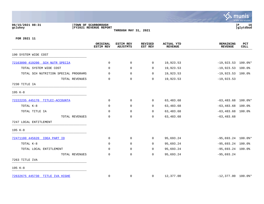## **06/15/2021 08:31 |TOWN OF SCARBOROUGH |P 16 gclukey |FY2021 REVENUE REPORT |glytdbud THROUGH MAY 31, 2021**



|                                      | ORIGINAL<br><b>ESTIM REV</b> | <b>ESTIM REV</b><br><b>ADJSTMTS</b> | <b>REVISED</b><br>EST REV | <b>ACTUAL YTD</b><br><b>REVENUE</b> | <b>REMAINING</b><br><b>REVENUE</b> | PCT<br><b>COLL</b> |
|--------------------------------------|------------------------------|-------------------------------------|---------------------------|-------------------------------------|------------------------------------|--------------------|
| 190 SYSTEM WIDE COST                 |                              |                                     |                           |                                     |                                    |                    |
| 72163090 419200 SCH NUTR SPECIA      | 0                            | 0                                   | $\overline{0}$            | 19,923.53                           | $-19,923.53$ 100.0%*               |                    |
| TOTAL SYSTEM WIDE COST               | 0                            | 0                                   | $\Omega$                  | 19,923.53                           | $-19,923.53$ 100.0%                |                    |
| TOTAL SCH NUTRITION SPECIAL PROGRAMS | 0                            | 0                                   | $\Omega$                  | 19,923.53                           | $-19,923.53$ 100.0%                |                    |
| TOTAL REVENUES                       | 0                            | $\mathbf 0$                         | 0                         | 19,923.53                           | $-19,923.53$                       |                    |
| 7230 TITLE IA                        |                              |                                     |                           |                                     |                                    |                    |
| 195 K-8                              |                              |                                     |                           |                                     |                                    |                    |
| 72222235 445170 TITLEI-ACCOUNTA      | 0                            | 0                                   | $\overline{0}$            | 63,483.68                           | $-63,483.68$ 100.0%*               |                    |
| TOTAL K-8                            | 0                            | $\mathbf 0$                         | $\Omega$                  | 63,483.68                           | $-63,483.68$ 100.0%                |                    |
| TOTAL TITLE IA                       | 0                            | $\mathbf 0$                         | 0                         | 63,483.68                           | $-63,483.68$ 100.0%                |                    |
| TOTAL REVENUES                       | 0                            | $\mathbf 0$                         | $\Omega$                  | 63,483.68                           | $-63, 483.68$                      |                    |
| 7247 LOCAL ENTITLEMENT               |                              |                                     |                           |                                     |                                    |                    |
| 195 K-8                              |                              |                                     |                           |                                     |                                    |                    |
| 72471100 445620 IDEA PART ID         | 0                            | 0                                   | $\overline{0}$            | 95,693.24                           | $-95,693.24$ 100.0%*               |                    |
| TOTAL K-8                            | 0                            | 0                                   | $\mathbf 0$               | 95,693.24                           | $-95,693.24$ 100.0%                |                    |
| TOTAL LOCAL ENTITLEMENT              | 0                            | 0                                   | $\mathbf 0$               | 95,693.24                           | $-95,693.24$ 100.0%                |                    |
| TOTAL REVENUES                       | 0                            | $\mathbf 0$                         | $\mathbf 0$               | 95,693.24                           | $-95,693.24$                       |                    |
| 7263 TITLE IVA                       |                              |                                     |                           |                                     |                                    |                    |
| 195 K-8                              |                              |                                     |                           |                                     |                                    |                    |
| 72632675 445730 TITLE IVA HIGHE      | 0                            | 0                                   | $\mathbf{0}$              | 12,377.00                           | $-12,377.00$ 100.0%*               |                    |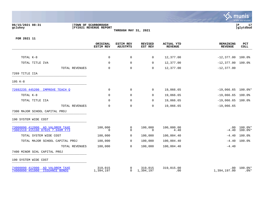

## **06/15/2021 08:31 |TOWN OF SCARBOROUGH |P 17 gclukey |FY2021 REVENUE REPORT |glytdbud THROUGH MAY 31, 2021**



|                                                                     | ORIGINAL<br><b>ESTIM REV</b> | <b>ESTIM REV</b><br><b>ADJSTMTS</b> | <b>REVISED</b><br>EST REV | <b>ACTUAL YTD</b><br><b>REVENUE</b> | <b>REMAINING</b><br><b>REVENUE</b> | PCT<br><b>COLL</b>   |
|---------------------------------------------------------------------|------------------------------|-------------------------------------|---------------------------|-------------------------------------|------------------------------------|----------------------|
|                                                                     |                              |                                     |                           |                                     |                                    |                      |
| TOTAL K-8                                                           | $\mathbf 0$                  | $\mathbf 0$                         | 0                         | 12,377.00                           | $-12,377.00$ 100.0%                |                      |
| TOTAL TITLE IVA                                                     | 0                            | $\mathbf 0$                         | $\mathbf 0$               | 12,377.00                           | $-12,377.00$ 100.0%                |                      |
| TOTAL REVENUES                                                      | $\mathbf 0$                  | $\mathbf 0$                         | $\mathbf 0$               | 12,377.00                           | $-12, 377.00$                      |                      |
| 7269 TITLE IIA                                                      |                              |                                     |                           |                                     |                                    |                      |
| 195 K-8                                                             |                              |                                     |                           |                                     |                                    |                      |
| 72692235 445200 IMPROVE TEACH O                                     | 0                            | $\mathbf 0$                         | 0                         | 19,066.65                           | $-19,066.65$ 100.0%*               |                      |
| TOTAL K-8                                                           | $\Omega$                     | $\mathbf 0$                         | 0                         | 19,066.65                           | $-19,066.65$ 100.0%                |                      |
| TOTAL TITLE IIA                                                     | $\Omega$                     | $\mathbf 0$                         | 0                         | 19,066.65                           | $-19,066.65$ 100.0%                |                      |
| TOTAL REVENUES                                                      | $\mathbf 0$                  | $\mathbf 0$                         | $\mathbf 0$               | 19,066.65                           | $-19,066.65$                       |                      |
| 7300 MAJOR SCHOOL CAPITAL PROJ                                      |                              |                                     |                           |                                     |                                    |                      |
| 190 SYSTEM WIDE COST                                                |                              |                                     |                           |                                     |                                    |                      |
| 73000090 412000 AD VALOREM TAXE<br>73001510 415100 87025 7.040M F73 | 100,000<br>$\Omega$          | 0<br>$\Omega$                       | 100,000<br>$\Omega$       | 100,000.00<br>4.40                  | $.00 \,$<br>$-4.40$                | 100.0%*<br>$100.0$ * |
| TOTAL SYSTEM WIDE COST                                              | 100,000                      | 0                                   | 100,000                   | 100,004.40                          | $-4.40$                            | 100.0%               |
| TOTAL MAJOR SCHOOL CAPITAL PROJ                                     | 100,000                      | 0                                   | 100,000                   | 100,004.40                          | $-4.40$                            | 100.0%               |
| TOTAL REVENUES                                                      | 100,000                      | $\mathbf 0$                         | 100,000                   | 100,004.40                          | $-4.40$                            |                      |
| 7400 MINOR SCHL CAPITAL PROJ                                        |                              |                                     |                           |                                     |                                    |                      |
| 190 SYSTEM WIDE COST                                                |                              |                                     |                           |                                     |                                    |                      |
| 74000090 412000 AD VALOREM TAXE<br>74000090 451000 ISSUANCE BONDS   | 319,015<br>1,394,197         | 0<br>$\overline{0}$                 | 319,015<br>1,394,197      | 319,015.00<br>.00                   | .00<br>1,394,197.00                | $100.0$ *<br>$.0$ %* |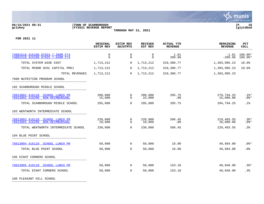

# **06/15/2021 08:31 |TOWN OF SCARBOROUGH |P 18 gclukey |FY2021 REVENUE REPORT |glytdbud**

**THROUGH MAY 31, 2021**



**FOR 2021 11**

| <b>ESTIM REV</b>     | <b>ESTIM REV</b><br><b>ADJSTMTS</b>                   | <b>REVISED</b><br>EST REV | <b>ACTUAL YTD</b><br><b>REVENUE</b> | <b>REMAINING</b><br><b>REVENUE</b> | <b>PCT</b><br><b>COLL</b> |
|----------------------|-------------------------------------------------------|---------------------------|-------------------------------------|------------------------------------|---------------------------|
| $\Omega$<br>$\Omega$ | $\mathbf 0$<br>$\mathbf 0$                            | $\Omega$<br>$\Omega$      | 1.81<br>289.96                      | $-1.81$<br>$-289.96$               | $100.0$ *<br>$100.0$ *    |
| 1,713,212            | 0                                                     | 1,713,212                 | 319,306.77                          | 1,393,905.23                       | 18.6%                     |
| 1,713,212            | $\mathbf 0$                                           | 1,713,212                 | 319,306.77                          | 1,393,905.23                       | 18.6%                     |
| 1,713,212            | $\Omega$                                              | 1,713,212                 | 319,306.77                          | 1,393,905.23                       |                           |
|                      |                                                       |                           |                                     |                                    |                           |
|                      |                                                       |                           |                                     |                                    |                           |
| 280,000<br>15,000    | 0<br>$\Omega$                                         | 280,000<br>15,000         | 205.75<br>.00                       | 279,794.25<br>15,000.00            | $.1$ $*$<br>$.0$ %*       |
| 295,000              | $\mathbf 0$                                           | 295,000                   | 205.75                              | 294,794.25                         | .1%                       |
|                      |                                                       |                           |                                     |                                    |                           |
| 220,000<br>10,000    | 0<br>$\mathbf 0$                                      | 220,000<br>10,000         | 596.45<br>.00                       | 219,403.55<br>10,000.00            | $.3$ $*$<br>$.0$ %*       |
| 230,000              | $\Omega$                                              | 230,000                   | 596.45                              | 229,403.55                         | .3%                       |
|                      |                                                       |                           |                                     |                                    |                           |
| 50,000               | $\overline{0}$                                        | 50,000                    | 16.00                               | 49,984.00                          | $.0$ %*                   |
| 50,000               | $\mathbf 0$                                           | 50,000                    | 16.00                               | 49,984.00                          | .0%                       |
|                      |                                                       |                           |                                     |                                    |                           |
| 50,000               | $\overline{0}$                                        | 50,000                    | 153.10                              | 49,846.90                          | $.3$ $*$                  |
| 50,000               | $\Omega$                                              | 50,000                    | 153.10                              | 49,846.90                          | .3%                       |
|                      | TOTAL REVENUES<br>TOTAL WENTWORTH INTERMEDIATE SCHOOL |                           |                                     |                                    |                           |

106 PLEASANT HILL SCHOOL **Example 2014**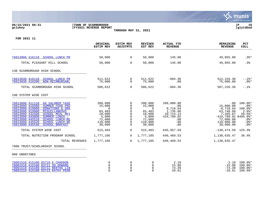### **06/15/2021 08:31 |TOWN OF SCARBOROUGH |P 19 gclukey |FY2021 REVENUE REPORT |glytdbud THROUGH MAY 31, 2021**



|                                                                                                                                                                                                                                                                                                                                                                                    | ORIGINAL<br><b>ESTIM REV</b>                                                              | <b>ESTIM REV</b><br>ADJSTMTS                                                                     | <b>REVISED</b><br>EST REV                                                                 | ACTUAL YTD<br><b>REVENUE</b>                                                              | <b>REMAINING</b><br><b>REVENUE</b>                                                                                         | <b>PCT</b><br><b>COLL</b>                                                                   |
|------------------------------------------------------------------------------------------------------------------------------------------------------------------------------------------------------------------------------------------------------------------------------------------------------------------------------------------------------------------------------------|-------------------------------------------------------------------------------------------|--------------------------------------------------------------------------------------------------|-------------------------------------------------------------------------------------------|-------------------------------------------------------------------------------------------|----------------------------------------------------------------------------------------------------------------------------|---------------------------------------------------------------------------------------------|
|                                                                                                                                                                                                                                                                                                                                                                                    |                                                                                           |                                                                                                  |                                                                                           |                                                                                           |                                                                                                                            |                                                                                             |
| 76013006 416110 SCHOOL LUNCH PR                                                                                                                                                                                                                                                                                                                                                    | 50,000                                                                                    | $\overline{0}$                                                                                   | 50,000                                                                                    | 145.00                                                                                    | 49,855.00                                                                                                                  | $.3$ <sup>*</sup>                                                                           |
| TOTAL PLEASANT HILL SCHOOL                                                                                                                                                                                                                                                                                                                                                         | 50,000                                                                                    | $\overline{0}$                                                                                   | 50,000                                                                                    | 145.00                                                                                    | 49,855.00                                                                                                                  | .3%                                                                                         |
| 130 SCARBOROUGH HIGH SCHOOL                                                                                                                                                                                                                                                                                                                                                        |                                                                                           |                                                                                                  |                                                                                           |                                                                                           |                                                                                                                            |                                                                                             |
| 76013030 416110 SCHOOL LUNCH PR<br>76013030 416200<br>NON-REIMBURSABL                                                                                                                                                                                                                                                                                                              | 511,622<br>75,000                                                                         | $\mathbf 0$<br>$\mathbf 0$                                                                       | 511,622<br>75,000                                                                         | $-604.36$<br>.00                                                                          | 512,226.36<br>75,000.00                                                                                                    | $-.1$ 8*<br>$.0$ %*                                                                         |
| TOTAL SCARBOROUGH HIGH SCHOOL                                                                                                                                                                                                                                                                                                                                                      | 586,622                                                                                   | $\overline{0}$                                                                                   | 586,622                                                                                   | $-604.36$                                                                                 | 587,226.36                                                                                                                 | $-.1$ %                                                                                     |
| 190 SYSTEM WIDE COST                                                                                                                                                                                                                                                                                                                                                               |                                                                                           |                                                                                                  |                                                                                           |                                                                                           |                                                                                                                            |                                                                                             |
| 76013090 411110 AD VALOREM TAXE<br>SUMMER FOOD PRO<br>76013090 416500<br>76013090 419000<br><b>DONATIONS &amp; GRA</b><br>76013090 419900<br>MISCELLANEOUS<br>76013090 432500<br><b>SCHOOL MEAL REI</b><br>76013090 443800<br>SUMMER LUNCH -<br>76013090 445510<br><b>SCHOOL LUNCH-RE</b><br>76013090 445520<br><b>SCHOOL LUNCH-RE</b><br>76013090 445540<br><b>SCHOOL BRKFAST</b> | 200,000<br>15,000<br>$\Omega$<br>65,483<br>18,000<br>5,000<br>72,000<br>110,000<br>30,000 | 0<br>$\Omega$<br>$\Omega$<br>$\mathbf 0$<br>$\Omega$<br>$\mathbf 0$<br>$\Omega$<br>0<br>$\Omega$ | 200,000<br>15,000<br>$\Omega$<br>65,483<br>18,000<br>5,000<br>72,000<br>110,000<br>30,000 | 200,000.00<br>.00<br>8,718.64<br>1,735.00<br>10,714.13<br>424,789.82<br>.00<br>.00<br>.00 | .00<br>15,000.00<br>$-8,718.64$<br>63,748.00<br>7,285.87<br>$-419,789.82$ 8495.8%*<br>72,000.00<br>110,000.00<br>30,000.00 | $100.0$ *<br>$.0$ %*<br>$100.0$ *<br>$2.6$ $*$<br>$59.5$ *<br>$.0$ %*<br>$.0$ %*<br>$.0$ %* |
| TOTAL SYSTEM WIDE COST                                                                                                                                                                                                                                                                                                                                                             | 515,483                                                                                   | $\mathbf 0$                                                                                      | 515,483                                                                                   | 645,957.59                                                                                | $-130, 474.59$                                                                                                             | 125.3%                                                                                      |
| TOTAL NUTRITION PROGRAM SCHOOL                                                                                                                                                                                                                                                                                                                                                     | 1,777,105                                                                                 | $\Omega$                                                                                         | 1,777,105                                                                                 | 646,469.53                                                                                | 1,130,635.47                                                                                                               | 36.4%                                                                                       |
| TOTAL REVENUES                                                                                                                                                                                                                                                                                                                                                                     | 1,777,105                                                                                 | $\Omega$                                                                                         | 1,777,105                                                                                 | 646,469.53                                                                                | 1,130,635.47                                                                                                               |                                                                                             |
| 7800 TRUST/SCHOLARSHIP SCHOOL                                                                                                                                                                                                                                                                                                                                                      |                                                                                           |                                                                                                  |                                                                                           |                                                                                           |                                                                                                                            |                                                                                             |
| 000 UNDEFINED                                                                                                                                                                                                                                                                                                                                                                      |                                                                                           |                                                                                                  |                                                                                           |                                                                                           |                                                                                                                            |                                                                                             |
| 78001510 415100 03710 E CHADDON<br>78001510 415100 03711 SD HOWARD<br>78001510 415100 03712 BERTHA LIB<br>78001510 415100 03713 KATHY PEAR                                                                                                                                                                                                                                         | 0<br>0<br>$\Omega$<br>$\Omega$                                                            | 0<br>$\mathbf 0$<br>$\Omega$<br>$\Omega$                                                         | 0<br>0<br>$\Omega$<br>$\Omega$                                                            | 2.18<br>15.88<br>74.39<br>20.61                                                           | $-15.88$<br>$-74.39$<br>$-20.61$                                                                                           | $-2.18$ 100.0%*<br>100.0%*<br>$100.0$ *<br>$100.0$ $*$                                      |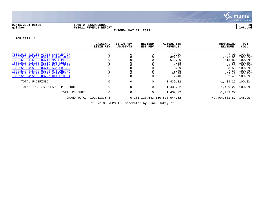

### **06/15/2021 08:31 |TOWN OF SCARBOROUGH |P 20 gclukey |FY2021 REVENUE REPORT |glytdbud THROUGH MAY 31, 2021**



**FOR 2021 11**

|                                                                                                                                              | ORIGINAL<br><b>ESTIM REV</b>                                                                                                                                                                                                            | <b>ESTIM REV</b><br>ADJSTMTS | REVISED<br>EST REV | <b>ACTUAL YTD</b><br><b>REVENUE</b> | <b>REMAINING</b><br>REVENUE             | PCT<br>COLL                                                       |
|----------------------------------------------------------------------------------------------------------------------------------------------|-----------------------------------------------------------------------------------------------------------------------------------------------------------------------------------------------------------------------------------------|------------------------------|--------------------|-------------------------------------|-----------------------------------------|-------------------------------------------------------------------|
| 78001510 415100 03714 SHIRLEY GR<br>78001510 415100 03715 EDITH WARG                                                                         |                                                                                                                                                                                                                                         |                              |                    | 7.00<br>622.91                      | $-7.00$<br>$-622.91$                    | $100.0$ $*$<br>$100.0$ *                                          |
| 78001510 415100 03716 MARY PEDER<br>78001510 415100 03717 ROY NELSON<br>78001510 415100 03718 PACKY MCFA                                     |                                                                                                                                                                                                                                         |                              |                    | 613.80<br>.08<br>1.25               | $-613.80$<br>$-.08$<br>$-1.25$          | $100.0$ <sup>*</sup><br>$100.0$ $*$<br>$100.0$ $*$                |
| 78001510 415100 03719 ACADEMIC D<br>78001510 415100 03725 D TRANCHEM<br>78001510 415100 03726 VIRGINIA J<br>78001510 415100 03727 CLASS OF 1 |                                                                                                                                                                                                                                         |                              |                    | 8.59<br>7.65<br>62.48<br>2.40       | $-8.59$<br>$-7.65$<br>-62.48<br>$-2.40$ | $100.0$ <sup>*</sup><br>$100.0$ $*$<br>$100.0$ $*$<br>$100.0$ $*$ |
| TOTAL UNDEFINED                                                                                                                              | 0                                                                                                                                                                                                                                       | 0                            | 0                  | 1,439.22                            | $-1,439.22$ 100.0%                      |                                                                   |
| TOTAL TRUST/SCHOLARSHIP SCHOOL                                                                                                               | $\mathbf 0$                                                                                                                                                                                                                             | $\mathbf 0$                  | 0                  | 1,439.22                            | $-1,439.22$ 100.0%                      |                                                                   |
| TOTAL REVENUES                                                                                                                               | $\mathbf 0$                                                                                                                                                                                                                             | $\mathbf 0$                  | 0                  | 1,439.22                            | $-1,439.22$                             |                                                                   |
| GRAND TOTAL                                                                                                                                  | 101,113,543                                                                                                                                                                                                                             |                              |                    | 0 101, 113, 543 150, 518, 044. 62   | $-49,404,501.87$ 148.9%                 |                                                                   |
|                                                                                                                                              | $\mathcal{L}(\mathbf{r})$ and the set of the set of the set of the set of the set of the set of the set of the set of the set of the set of the set of the set of the set of the set of the set of the set of the set of the set of the |                              |                    |                                     |                                         |                                                                   |

\*\* END OF REPORT - Generated by Gina Clukey \*\*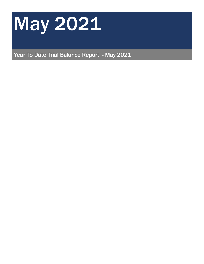

Year To Date Trial Balance Report - May 2021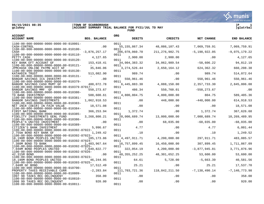

**gclukey |ACCOUNT SUMMARY TRIAL BALANCE FOR FY21/JUL TO MAY |glatrbal FUND** 

| <b>ACCOUNT</b><br><b>ACCOUNT NAME</b>                                       | <b>BEG. BALANCE</b> | <b>ORG</b><br>DEBITS    | <b>CREDITS</b>    | NET CHANGE        | <b>END BALANCE</b> |
|-----------------------------------------------------------------------------|---------------------|-------------------------|-------------------|-------------------|--------------------|
| 1100-00-000-00000-0000-0000-00-010001-                                      |                     | 0011                    |                   |                   |                    |
| CASH-CONTROL<br>1100-00-000-00000-0000-0000-00-010100-                      | .00                 | 55, 155, 867.34<br>0011 | 48,086,107.43     | 7,069,759.91      | 7,069,759.91       |
| CASH<br>1100-00-000-00000-0000-0000-00-010110-                              | $-3,876,257.17$     | 206,078,060.70          | 211, 276, 982. 75 | $-5, 198, 922.05$ | $-9,075,179.22$    |
| PETTY CASH                                                                  | 4,127.65            | 0011<br>2,900.00        | 2,900.00          | .00               | 4,127.65           |
| 1100-00-000-00000-0000-0000-00-010120-<br>KEY BANK EFT ACCOUNT GF           | 153, 418. 41        | 0011<br>34,004,383.32   | 34,062,989.54     | $-58,606.22$      | 94,812.19          |
| 1100-00-000-00000-0000-0000-00-010121-<br>JPMCHASE ONLINE PAYMN ACCT GF     | 35,846.06           | 0011<br>3, 274, 526.44  | 2,650,164.12      | 624,362.32        | 660,208.38         |
| 1100-00-000-00000-0000-0000-00-010130-<br>KATAHDIN TRUST                    | 513,082.90          | 0011<br>989.74          | .00               | 989.74            | 514,072.64         |
| 1100-00-000-00000-0000-0000-00-010131-<br>BANGOR SAVINGS ICS INVESTMT       | .00                 | 0011<br>550,961.46      | .00               | 550,961.46        | 550,961.46         |
| 1100-00-000-00000-0000-0000-00-010379-                                      |                     | 0011                    |                   |                   |                    |
| BANGOR SAVINGS CASH MGMT GF<br>1100-00-000-00000-0000-0000-00-010379-87017- | 488,072.78          | 6,445,883.30<br>0011    | 4,088,150.00      | 2,357,733.30      | 2,845,806.08       |
| BANGOR SAVINGS MMF GF<br>1100-00-000-00000-0000-0000-00-010380-             | 550, 273.67         | 486.34<br>0011          | 550,760.01        | $-550, 273.67$    | .00                |
| TD BANK INVESTMENT<br>1100-00-000-00000-0000-0000-00-010381-                | 588,600.61          | 4,800,804.75<br>0011    | 4,800,000.00      | 804.75            | 589,405.36         |
| BANGOR SAVINGS INVESTMENTS<br>1100-00-000-00000-0000-0000-00-010383-        | 1,062,918.53        | .00<br>0011             | 448,000.00        | $-448,000.00$     | 614, 918.53        |
| NET INCR (DECR) IN FAIR VALUE                                               | 18,571.08           | .00<br>0011             | .00               | .00               | 18,571.08          |
| 1100-00-000-00000-0000-0000-00-010384-<br>FIRST NATIONAL BANK               | 366, 253.94         | 1,372.74                | .00               | 1,372.74          | 367,626.68         |
| 1100-00-000-00000-0000-0000-00-010385-<br>FIDELITY INVESTMENTS GENL FUND    | 3,268,800.21        | 0011<br>20,000,689.74   | 13,000,000.00     | 7,000,689.74      | 10,269,489.95      |
| 1100-00-000-00000-0000-0000-00-010386-<br>PEOPLE'S UNITED INVESTMENT        | .00                 | 0011<br>.00             | 68,035.00         | $-68,035.00$      | $-68,035.00$       |
| 1100-00-000-00000-0000-0000-00-010389-<br>CITIZEN'S BANK INVESTMENT         | 5,996.67            | 0011<br>4.77            | .00               | 4.77              | 6,001.44           |
| 1100-00-000-00000-0000-0000-00-010392-87022-<br>2.755m BOND KEY BANK GF     | 1,249.42            | 0011<br>.10             | $.00 \,$          | .10               | 1,249.52           |
| 1100-00-000-00000-0000-0000-00-010392-87023-                                |                     | 0011                    |                   |                   |                    |
| 18.190M BOND PEOPLES UNITED<br>1100-00-000-00000-0000-0000-00-010392-87024- | 185, 173.86         | 4,497,911.71<br>0011    | 4,200,000.00      | 297,911.71        | 483,085.57         |
| 7.380M BOND TD BANK<br>1100-00-000-00000-0000-0000-00-010392-87025-         | 1,403,967.64        | 16,757,899.45<br>0011   | 16,450,000.00     | 307,899.45        | 1,711,867.09       |
| 7.040M BOND PEOPLES UNITED<br>1100-00-000-00000-0000-0000-00-010392-87026-  | 7,649,822.77        | 322,054.19<br>0011      | 4,200,000.00      | $-3,877,945.81$   | 3,771,876.96       |
| 42.315M BOND                                                                | .00                 | 48, 355, 252. 25        | 48, 301, 652. 25  | 53,600.00         | 53,600.00          |
| 1100-00-000-00000-0000-0000-00-010393-87023-<br>18.190M BOND PEOPLES UNITED | 46,244.95           | 0011<br>64.61           | 5,728.00          | $-5,663.39$       | 40,581.56          |
| 1100-00-000-00000-0000-0000-00-010393-87025-<br>7.040M GF BOND              | 17,512.49           | 0011<br>25.21           | .00               | 25.21             | 17,537.70          |
| 1100-00-000-00000-0000-0000-00-010700-<br>PROPERTY TAXES RECEIVABLE CURR    | $-2, 283.84$        | 0011<br>111,703,721.36  | 118,842,211.50    | $-7,138,490.14$   | $-7, 140, 773.98$  |
| 1100-00-000-00000-0000-0000-00-010809-<br>1997 98 TAXES REC DELINOUENT      | 358.00              | 0011<br>.00             | .00               | .00               | 358.00             |
| 1100-00-000-00000-0000-0000-00-010810-<br>1998 99 TAXES REC DELINOUENT      | 920.00              | 0011<br>.00             | .00               | .00               | 920.00             |
| 1100-00-000-00000-0000-0000-00-010811-                                      |                     | 0011                    |                   |                   |                    |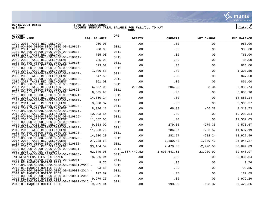

**gclukey |ACCOUNT SUMMARY TRIAL BALANCE FOR FY21/JUL TO MAY |glatrbal FUND** 



| <b>ACCOUNT</b><br><b>ACCOUNT NAME</b>                                                         | <b>BEG. BALANCE</b> | ORG  | <b>DEBITS</b> | <b>CREDITS</b> | NET CHANGE    | <b>END BALANCE</b> |
|-----------------------------------------------------------------------------------------------|---------------------|------|---------------|----------------|---------------|--------------------|
| 1999 2000 TAXES REC DELINONT                                                                  | 960.00              |      | .00           | .00            | .00           | 960.00             |
| 1100-00-000-00000-0000-0000-00-010812-<br>2000 2001 TAXES REC DELINONT                        | 980.00              | 0011 | .00           | .00            | .00           | 980.00             |
| $1100 - 00 - 000 - 00000 - 0000 - 0000 - 00 - 010813 -$                                       |                     | 0011 |               |                |               |                    |
| 2001 2002 TAXES REC DELINONT<br>$1100 - 00 - 000 - 00000 - 0000 - 0000 - 00 - 010814 -$       | 765.00              | 0011 | .00           | .00            | .00           | 765.00             |
| 2002 2003 TAXES REC DELINQUENT                                                                | 785.00              |      | .00           | .00            | .00           | 785.00             |
| 1100-00-000-00000-0000-0000-00-010815-<br>2003 2004 TAXES REC DELINQUENT                      | 823.00              | 0011 | .00           | .00            | .00           | 823.00             |
| $1100 - 00 - 000 - 00000 - 0000 - 0000 - 00 - 010816 -$                                       |                     | 0011 |               |                |               |                    |
| 2004 2005 TAXES REC DELINQUENT<br>$1100 - 00 - 000 - 00000 - 0000 - 0000 - 00 - 010817 -$     | 1,300.50            | 0011 | .00           | .00            | .00           | 1,300.50           |
| 2005 2006 TAXES REC DELINOUENT                                                                | 847.50              |      | .00           | .00            | .00           | 847.50             |
| $1100 - 00 - 000 - 00000 - 0000 - 0000 - 00 - 010818 -$<br>2006-2007 TAXES REC DELINQUENT     | 861.00              | 0011 | .00           | .00            | .00           | 861.00             |
| 1100-00-000-00000-0000-0000-00-010819-                                                        |                     | 0011 |               |                |               |                    |
| 2007 2008 TAXES REC DELINONT<br>$1100 - 00 - 000 - 00000 - 0000 - 0000 - 00 - 010820 -$       | 6,957.08            | 0011 | 202.96        | 206.30         | $-3.34$       | 6,953.74           |
| 2008 2009 TAXES REC DELINQUENT                                                                | 6,605.96            |      | .00           | .00            | .00           | 6,605.96           |
| 1100-00-000-00000-0000-0000-00-010821-<br>2009 2010 TAXES REC DELINQUENT                      | 14,850.14           | 0011 | .00           | .00            | .00           | 14,850.14          |
| 1100-00-000-00000-0000-0000-00-010822-                                                        |                     | 0011 |               |                |               |                    |
| 2010 2011 TAXES REC DELINQUENT                                                                | 8,900.37            |      | .00           | .00            | .00           | 8,900.37           |
| 1100-00-000-00000-0000-0000-00-010823-<br>2011 2012 TAXES REC DELINOUENT                      | 8,386.11            | 0011 | .00           | 66.38          | $-66.38$      | 8,319.73           |
| $1100 - 00 - 000 - 00000 - 0000 - 0000 - 00 - 010824 -$                                       |                     | 0011 |               |                |               |                    |
| 2012 2013 TAXES REC DELINQUENT<br>1100-00-000-00000-0000-0000-00-010825-                      | 10,203.54           | 0011 | .00           | .00            | .00           | 10,203.54          |
| 2013 2014 TAXES REC DELINQUENT                                                                | 11,587.05           |      | .00           | .00            | .00           | 11,587.05          |
| 1100-00-000-00000-0000-0000-00-010826-                                                        | 9,858.02            | 0011 | .00           | 279.35         | $-279.35$     | 9,578.67           |
| 2014 2015 TAXES REC DELINOUENT<br>1100-00-000-00000-0000-0000-00-010827-                      |                     | 0011 |               |                |               |                    |
| 2015 2016 TAXES REC DELINQUENT                                                                | 11,983.76           |      | .00           | 286.57         | $-286.57$     | 11,697.19          |
| 1100-00-000-00000-0000-0000-00-010828-<br>2016 2017 TAXES REC DELINOUENT                      | 14,210.23           | 0011 | .00           | 282.24         | $-282.24$     | 13,927.99          |
| 1100-00-000-00000-0000-0000-00-010829-                                                        |                     | 0011 |               |                |               |                    |
| 2017 2018 TAXES REC DELINQUENT                                                                | 27, 228.69          |      | .00           | 1,180.42       | $-1,180.42$   | 26,048.27          |
| $1100 - 00 - 000 - 00000 - 0000 - 0000 - 00 - 010830 -$<br>2018 2019 TAXES REC DELINQUENT     | 33, 164.59          | 0011 | .00           | 2,470.50       | $-2,470.50$   | 30,694.09          |
| 1100-00-000-00000-0000-0000-00-010831-                                                        |                     | 0011 |               |                |               |                    |
| 2019 2020 TAX REC DELINQNT<br>$1100 - 00 - 000 - 00000 - 0000 - 0000 - 00 - 010900 -$         | 62,849.96           | 0011 | 1,667,442.52  | 1,690,643.51   | $-23, 200.99$ | 39,648.97          |
| INTEREST/PENALTIES REC-TAXES                                                                  | $-8,836.04$         |      | .00           | $.00 \,$       | .00           | $-8,836.04$        |
| $1100 - 00 - 000 - 00000 - 0000 - 0000 - 00 - 010901 -$                                       |                     | 0011 |               |                |               |                    |
| 2012 DELINQUENT NOTICE FEES<br>$1100-00-000-00000-0000-0000-00-010901-2013$ -                 | 9.76                | 0011 | .00           | .00            | .00           | 9.76               |
| 2013 DELINQUENT NOTICE FEES                                                                   | 93.55               |      | .00           | .00            | .00           | 93.55              |
| $1100 - 00 - 000 - 00000 - 0000 - 0000 - 00 - 010901 - 2014 -$<br>2014 DELINQUENT NOTICE FEES | 122.89              | 0011 | .00           | .00            | .00           | 122.89             |
| $1100 - 00 - 000 - 00000 - 0000 - 0000 - 00 - 010901 - 2015$ -                                |                     | 0011 |               |                |               |                    |
| 2015 DELINQUENT NOTICE FEES                                                                   | 9,979.26            | 0011 | .00           | .00            | .00           | 9,979.26           |
| $1100 - 00 - 000 - 00000 - 0000 - 0000 - 00 - 010901 - 2016$ -<br>2016 DELINQUENT NOTICE FEES | $-9, 231.04$        |      | .00           | 198.32         | $-198.32$     | $-9,429.36$        |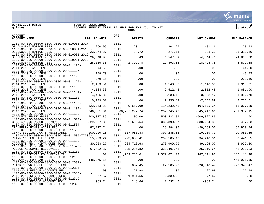

**gclukey |ACCOUNT SUMMARY TRIAL BALANCE FOR FY21/JUL TO MAY |glatrbal FUND** 

| <b>ACCOUNT</b><br><b>ACCOUNT NAME</b><br><b>BEG. BALANCE</b>                                            | <b>ORG</b>  | <b>DEBITS</b>    | <b>CREDITS</b>  | NET CHANGE     | <b>END BALANCE</b> |
|---------------------------------------------------------------------------------------------------------|-------------|------------------|-----------------|----------------|--------------------|
| $1100 - 00 - 000 - 00000 - 0000 - 0000 - 00 - 010901 - 2017$ -                                          | 0011        |                  | 201.27          | $-81.16$       |                    |
| DELINOUENT NOTICE FEES<br>260.09<br>$1100 - 00 - 000 - 00000 - 0000 - 0000 - 00 - 010901 - 2018$ -      | 0011        | 120.11           |                 |                | 178.93             |
| $-23,074.27$<br>DELINOUENT NOTICE FEES                                                                  |             | 38.72            | 277.11          | $-238.39$      | $-23, 312.66$      |
| $1100 - 00 - 000 - 00000 - 0000 - 0000 - 00 - 010901 - 2019 -$<br>DELINOUENT NOTICE FEES<br>29,348.06   | 0011        | 3.43             | 4,547.89        | $-4,544.46$    | 24,803.60          |
| $1100 - 00 - 000 - 00000 - 0000 - 0000 - 00 - 010901 - 2020 -$<br>DELINOUENT NOTICE FEES<br>25,365.36   | 0011        | 1,399.78         | 19,893.56       | $-18, 493.78$  | 6,871.58           |
| 1100-00-000-00000-0000-0000-00-011126-                                                                  | 0011        |                  |                 |                | 44.60              |
| 44.60<br>2011 2012 TAX LIENS<br>$1100 - 00 - 000 - 00000 - 0000 - 0000 - 00 - 011127 -$                 | 0011        | .00              | .00             | .00            |                    |
| 149.73<br>2012 2013 TAX LIENS                                                                           |             | .00              | .00             | .00            | 149.73             |
| 1100-00-000-00000-0000-0000-00-011128-<br>279.16<br>2013 2014 TAX LIENS                                 | 0011        | .00              | .00             | .00            | 279.16             |
| 1100-00-000-00000-0000-0000-00-011129-                                                                  | 0011        |                  |                 |                |                    |
| 2014 2015 TAX LIENS<br>2,463.51<br>$1100 - 00 - 000 - 00000 - 0000 - 0000 - 00 - 011130 -$              | 0011        | .00              | 1,148.30        | $-1, 148.30$   | 1,315.21           |
| 2015 2016 TAX LIENS<br>4,164.38<br>$1100 - 00 - 000 - 00000 - 0000 - 0000 - 00 - 011131 -$              | 0011        | .00              | 2,512.48        | $-2,512.48$    | 1,651.90           |
| 4,495.82<br>2016 2017 TAX LIENS                                                                         |             | .00              | 3, 133. 12      | $-3, 133.12$   | 1,362.70           |
| 1100-00-000-00000-0000-0000-00-011132-<br>10,109.50<br>2017 2018 TAX LIENS                              | 0011        | .00              | 7,355.89        | $-7, 355.89$   | 2,753.61           |
| 1100-00-000-00000-0000-0000-00-011133-                                                                  | 0011        |                  |                 |                |                    |
| 2018 2019 TAX LIENS<br>122,753.23<br>$1100 - 00 - 000 - 00000 - 0000 - 0000 - 00 - 011134 -$            | 0011        | 9,557.09         | 114,232.43      | $-104,675.34$  | 18,077.89          |
| 2019 2020 TAX LIENS<br>746,801.81<br>1100-00-000-00000-0000-0000-00-011500-                             | 0011        | 68, 737, 297. 74 | 69, 282, 745.40 | $-545, 447.66$ | 201, 354.15        |
| 500,327.89<br>ACCOUNTS RECEIVABLES                                                                      |             | 105.00           | 500,432.89      | $-500, 327.89$ | .00                |
| $1100 - 00 - 000 - 00000 - 0000 - 0000 - 00 - 011503 -$<br>329,827.30<br>COMSTAR WRO RESCUE GB/NRA      | 0011        | 2,606.54         | 332,890.87      | $-330, 284.33$ | $-457.03$          |
| $1100 - 00 - 000 - 00000 - 0000 - 0000 - 00 - 011504 -$                                                 | 0011        |                  |                 |                |                    |
| 97, 217.74<br>CRANBERRY PINES ACCTS REC<br>1100-00-000-00000-0000-0000-00-011505-                       | 0011        | .00              | 29,294.00       | $-29, 294.00$  | 67,923.74          |
| 100,220.25<br>GENRL BILLING ACCTS RECEIVABLE                                                            |             | 387,068.83       | 397, 238.53     | $-10, 169.70$  | 90,050.55          |
| $1100 - 00 - 000 - 00000 - 0000 - 0000 - 00 - 011505 - 77005 -$<br>15,993.24<br>PLANNING GEN BILL'G A/R | 0011        | 273,633.41       | 239,185.10      | 34,448.31      | 50, 441.55         |
| $1100 - 00 - 000 - 00000 - 0000 - 0000 - 00 - 011510 -$                                                 | 0011        |                  |                 |                |                    |
| 30, 203. 27<br>ACCOUNTS REC. HIDTA OWES TOWN<br>1100-00-000-00000-0000-0000-00-011572-                  | 0011        | 234,713.63       | 273,909.70      | $-39, 196.07$  | $-8,992.80$        |
| 67,402.87<br>POLICE ACCOUNTS RECEIVABLE                                                                 |             | 295, 296.82      | 320,407.46      | $-25, 110.64$  | 42,292.23          |
| $1100 - 00 - 000 - 00000 - 0000 - 0000 - 00 - 012100 -$<br>RESCUE RECEIVABLES CURRENT YR                | 0011<br>.00 | 1,759,786.01     | 1,572,674.03    | 187, 111.98    | 187, 111.98        |
| 1100-00-000-00000-0000-0000-00-012105-<br>ALLOWANCE FOR BAD DEBTS<br>$-448,975.55$                      | 0011        | .00              | .00             | .00            | $-448,975.55$      |
| $1100 - 00 - 000 - 00000 - 0000 - 0000 - 00 - 012301 -$                                                 | 0011        |                  |                 |                |                    |
| PRIOR YR WRITEOFF RESC COLLCT<br>$1100 - 00 - 000 - 00000 - 0000 - 0000 - 00 - 012314 -$                | .00<br>0011 | 837.45           | 27,185.92       | $-26, 348.47$  | $-26, 348.47$      |
| 2011-2012 RESCUE ACCOUNTS REC                                                                           | .00         | 127.98           | .00             | 127.98         | 127.98             |
| $1100 - 00 - 000 - 00000 - 0000 - 0000 - 00 - 012318 -$<br>377.67<br>2016-2017 RESCUE ACCOUNTS REC      | 0011        | 1,961.56         | 2,339.23        | $-377.67$      | .00                |
| 1100-00-000-00000-0000-0000-00-012319-                                                                  | 0011        |                  |                 |                |                    |
| 2017-2018 RESCUE ACCOUNT REC<br>983.74<br>1100-00-000-00000-0000-0000-00-012320-                        | 0011        | 248.66           | 1,232.40        | $-983.74$      | .00                |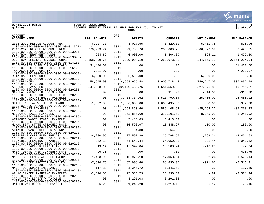**06/15/2021 08:35 |TOWN OF SCARBOROUGH |P 4 ACCOUNT SUMMARY TRIAL BALANCE FOR FY21/JUL TO MAY FUND** 



a tyler erp solutior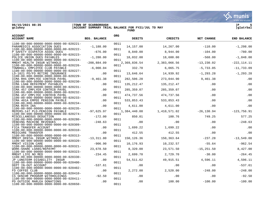

**gclukey |ACCOUNT SUMMARY TRIAL BALANCE FOR FY21/JUL TO MAY |glatrbal FUND** 

| <b>ACCOUNT</b><br><b>ACCOUNT NAME</b>                                                                                                   | <b>BEG. BALANCE</b> | <b>ORG</b>   | <b>DEBITS</b>          | <b>CREDITS</b>         | NET CHANGE    | <b>END BALANCE</b> |
|-----------------------------------------------------------------------------------------------------------------------------------------|---------------------|--------------|------------------------|------------------------|---------------|--------------------|
| 1100-00-000-00000-0000-0000-00-020221-<br>PARAMEDICS ASSOCIATION DUES                                                                   | $-1,188.00$         | 0011         | 14,157.00              | 14,267.00              | $-110.00$     | $-1, 298.00$       |
| 1100-00-000-00000-0000-0000-00-020222-<br>P SAFETY DISPATCH ASSOC DUES                                                                  | $-676.00$           | 0011         | 8,840.00               | 8,944.00               | $-104.00$     | $-780.00$          |
| 1100-00-000-00000-0000-0000-00-020223-<br>POLICE UNION DUES PAYABLES                                                                    | $-1, 280.00$        | 0011         | 18,032.00              | 18,600.00              | $-568.00$     | $-1,848.00$        |
| 1100-00-000-00000-0000-0000-00-020224-<br>MMEHT HEALTH INSUR WITHHOLD<br>1100-00-000-00000-0000-0000-00-020226-                         | $-208,884.09$       | 0011<br>0011 | 2,369,836.54           | 2,383,066.56           | $-13, 230.02$ | $-222, 114.11$     |
| TOWNHALL EMPLOYEE CLUB PAYABLE<br>$1100 - 00 - 000 - 00000 - 0000 - 0000 - 00 - 020227 -$                                               | $-6,000.04$         | 0011         | 332.70                 | 6,065.75               | $-5,733.05$   | $-11,733.09$       |
| LD-1021 PD/FD RETIRE INSURANCE<br>1100-00-000-00000-0000-0000-00-020229-                                                                | .00                 | 0011         | 13,646.64              | 14,939.92              | $-1, 293.28$  | $-1, 293.28$       |
| ICMA RHS EMPLYEE CONTRIB PAYBL<br>$1100 - 00 - 000 - 00000 - 0000 - 0000 - 00 - 020230 -$                                               | $-9,461.38$         | 0011         | 282,506.28             | 273,044.90             | 9,461.38      | .00                |
| ICMA LOAN REPAYMENT PAYABLES<br>$1100 - 00 - 000 - 00000 - 0000 - 0000 - 00 - 020231 -$                                                 | .00                 | 0011         | 135, 212.47            | 135, 212.47            | .00           | .00                |
| ICMA 457 EMPLYER CONTRIB PAYBL<br>1100-00-000-00000-0000-0000-00-020232-                                                                | .00                 | 0011         | 285, 359.07            | 285, 359.07            | .00           | .00                |
| ICMA 457 EMPLYEE CONTRIB PAYBL<br>$1100 - 00 - 000 - 00000 - 0000 - 0000 - 00 - 020233 -$                                               | .00                 | 0011         | 474,737.56             | 474,737.56             | .00           | .00                |
| ICMA 401A EMPEE PENSION PAYBLE<br>$1100 - 00 - 000 - 00000 - 0000 - 0000 - 00 - 020234 -$<br>ICMA ROTH IRA                              | .00<br>.00          | 0011         | 533,853.43<br>4,611.00 | 533,853.43<br>4,611.00 | .00<br>.00    | .00<br>.00         |
| 1100-00-000-00000-0000-0000-00-020235-<br>MEPERS-147 PLD-PENSION PAYABLE                                                                | $-97,625.97$        | 0011         | 1,384,440.08           | 1,410,571.02           | $-26, 130.94$ | $-123,756.91$      |
| $1100 - 00 - 000 - 00000 - 0000 - 0000 - 00 - 020274 -$<br>MISCELLANEOUS DEDUCTION                                                      | $-172.00$           | 0011         | 850.01                 | 100.76                 | 749.25        | 577.25             |
| 1100-00-000-00000-0000-0000-00-020280-<br>VENDING MACHINE REVENUES                                                                      | $-248.63$           | 0011         | .00                    | .00.                   | .00           | $-248.63$          |
| $1100 - 00 - 000 - 00000 - 0000 - 0000 - 00 - 020309 -$<br>FICA TRANSFER ACCOUNT                                                        | .00                 | 0011         | 1,699.22               | 1,699.22               | .00           | .00                |
| $1100 - 00 - 000 - 00000 - 0000 - 0000 - 00 - 020310 -$<br>MEDICARE TRANSFER                                                            | .00                 | 0011         | 412.55                 | 412.55                 | .00           | .00                |
| $1100 - 00 - 000 - 00000 - 0000 - 0000 - 00 - 020313 -$<br>MMEHT DENTAL INSUR WITHHOLD                                                  | $-13, 311.80$       | 0011         | 150, 126.36            | 150,363.64             | $-237.28$     | $-13,549.08$       |
| $1100 - 00 - 000 - 00000 - 0000 - 0000 - 00 - 020320 -$<br>MMEHT VISION CARE<br>$1100 - 00 - 000 - 00000 - 0000 - 0000 - 00 - 020321 -$ | $-906.90$           | 0011<br>0011 | 10,176.93              | 10,232.57              | $-55.64$      | $-962.54$          |
| WORK-SHARE LOANS/REPAYMT<br>$1100 - 00 - 000 - 00000 - 0000 - 0000 - 00 - 020323 -$                                                     | 23,678.50           | 0011         | 8,320.00               | 23,571.50              | $-15, 251.50$ | 8,427.00           |
| MMEHT LIFE NO MED<br>$1100 - 00 - 000 - 00000 - 0000 - 0000 - 00 - 020330 -$                                                            | $-234.45$           | 0011         | 2,699.70               | 2,729.70               | $-30.00$      | $-264.45$          |
| JP LONGTERM DISABILITY INSUR<br>$1100 - 00 - 000 - 00000 - 0000 - 0000 - 00 - 020400 -$                                                 | .00                 | 0011         | 54,511.62              | 49,915.51              | 4,596.11      | 4,596.11           |
| DEPT IN-OUT ACCOUNT<br>$1100 - 00 - 000 - 00000 - 0000 - 0000 - 00 - 020402 -$                                                          | $-537.61$           | 0011         | .00                    | .00                    | .00           | $-537.61$          |
| FD COFFEE CLUB<br>$1100 - 00 - 000 - 00000 - 0000 - 0000 - 00 - 020410 -$                                                               | .00                 | 0011         | 2,272.00               | 2,520.00               | $-248.00$     | $-248.00$          |
| CS SENIOR PROGRAM WITHHOLDINGS<br>$1100 - 00 - 000 - 00000 - 0000 - 0000 - 00 - 020411 -$                                               | $-92.50$            | 0011         | .00                    | .00                    | .00           | $-92.50$           |
| PD OUTSIDE MARLEA DONATIONS<br>$1100 - 00 - 000 - 00000 - 0000 - 0000 - 00 - 020650 -$                                                  | .00                 | 0011         | .00                    | 100.00                 | $-100.00$     | $-100.00$          |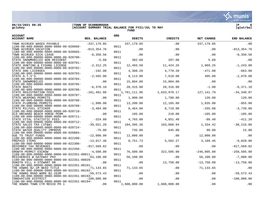**06/15/2021 08:35 |TOWN OF SCARBOROUGH |P 6 ACCOUNT SUMMARY TRIAL BALANCE FOR FY21/JUL TO MAY FUND** 



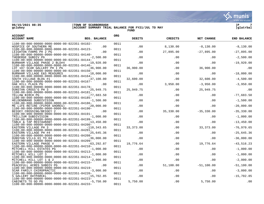

**gclukey |ACCOUNT SUMMARY TRIAL BALANCE FOR FY21/JUL TO MAY |glatrbal FUND** 



| <b>ACCOUNT</b><br><b>BEG. BALANCE</b><br><b>ACCOUNT NAME</b>                                                     | <b>ORG</b> | <b>DEBITS</b> | <b>CREDITS</b> | NET CHANGE    | <b>END BALANCE</b> |
|------------------------------------------------------------------------------------------------------------------|------------|---------------|----------------|---------------|--------------------|
| 1100-00-000-00000-0000-0000-00-022351-84102-                                                                     | 0011       |               |                |               |                    |
| HOSPICE OF SOUTHERN ME<br>.00                                                                                    |            | .00           | 8,130.00       | $-8,130.00$   | $-8,130.00$        |
| 1100-00-000-00000-0000-0000-00-022351-84123-<br>LEIGHTON FARMS PH 2 PG<br>.00                                    | 0011       | .00           | 27,895.00      | $-27,895.00$  | $-27,895.00$       |
| $1100 - 00 - 000 - 00000 - 0000 - 0000 - 00 - 022351 - 84140 -$                                                  | 0011       |               |                |               |                    |
| - THEBERGE SUBDIV PG<br>-1100-00-0000-00000-0000-0000-00-022351-84144-<br>$-2,500.00$                            |            | .00           | .00            | $.00 \,$      | $-2,500.00$        |
|                                                                                                                  | 0011       |               |                |               |                    |
| BURNHAM VILLAGE PHASE 2 BLD#4<br>$-19,920.00$<br>$1100 - 00 - 000 - 00000 - 0000 - 0000 - 00 - 022351 - 84146 -$ | 0011       | .00           | .00            | .00           | $-19,920.00$       |
| LOT 107 SCAR GALLERY PH I PG<br>$-36,900.00$                                                                     |            | 36,900.00     | .00            | 36,900.00     | .00                |
| 1100-00-000-00000-0000-0000-00-022351-84150-                                                                     | 0011       |               |                |               |                    |
| BURNHAM VILLAGE E&S MEASURES<br>$-18,000.00$                                                                     |            | .00           | .00            | .00           | $-18,000.00$       |
| 1100-00-000-00000-0000-0000-00-022351-84164-<br>SOUTH VILLAGE BLDG #1<br>$-37,100.00$                            | 0011       | 32,600.00     | .00            | 32,600.00     | $-4,500.00$        |
| $1100 - 00 - 000 - 00000 - 0000 - 0000 - 00 - 022351 - 84167 -$                                                  | 0011       |               |                |               |                    |
| OAK HILL PLAZA PG<br>.00                                                                                         |            | .00           | 3,950.00       | $-3,950.00$   | $-3,950.00$        |
| 1100-00-000-00000-0000-0000-00-022351-84178-                                                                     | 0011       |               |                |               |                    |
| DUNSTAN CROSS'G PH 3<br>$-25,949.75$<br>$1100 - 00 - 000 - 00000 - 0000 - 0000 - 00 - 022351 - 84181 -$          | 0011       | 25,949.75     | .00            | 25,949.75     | .00                |
| YELLOW BIRCH PG<br>$-77,683.50$                                                                                  |            | .00           | $.00 \ \rm$    | $.00 \,$      | $-77,683.50$       |
| $1100 - 00 - 000 - 00000 - 0000 - 0000 - 00 - 022351 - 84185 -$                                                  | 0011       |               |                |               |                    |
| HELDENBRAND SUBDIVISION<br>$-1,500.00$                                                                           |            | .00           | .00            | $.00 \,$      | $-1,500.00$        |
| $1100 - 00 - 000 - 00000 - 0000 - 0000 - 00 - 022351 - 84186 -$<br>ME LIFE RETIRE (PIPER SHORES) -20,000.00      | 0011       | .00           | .00            | .00           | $-20,000.00$       |
| $1100 - 00 - 000 - 00000 - 0000 - 0000 - 00 - 022351 - 84190 -$                                                  | 0011       |               |                |               |                    |
| BESSEY CROSSING/BESSEY 2<br>.00                                                                                  |            | .00           | 35,330.00      | $-35, 330.00$ | $-35, 330.00$      |
| $1100-00-000-00000-0000-0000-00-022351-84191-$<br>TRILLIUM SUBDIVISION                                           | 0011       |               |                |               |                    |
| TRILLIUM SUBDIVISION<br>$-1,000.00$<br>1100-00-000-00000-0000-0000-00-022351-84199-                              | 0011       | .00           | .00            | .00           | $-1,000.00$        |
| TABLE & TAP RESTAURANT<br>$-13,450.00$                                                                           |            | .00           | .00            | $.00 \,$      | $-13, 450.00$      |
| $1100 - 00 - 000 - 00000 - 0000 - 0000 - 00 - 022351 - 84200 -$                                                  | 0011       |               |                |               |                    |
| EASTERN VILLAGE PH 3<br>$-110, 343.65$                                                                           |            | 33, 373.00    | .00            | 33,373.00     | $-76,970.65$       |
| $1100 - 00 - 000 - 00000 - 0000 - 0000 - 00 - 022351 - 84201 -$<br>EASTERN VILLAGE PH #4<br>$-25,645.36$         | 0011       | .00           | .00            | .00           | $-25,645.36$       |
| 1100-00-000-00000-0000-0000-00-022351-84208-                                                                     | 0011       |               |                |               |                    |
| DUNSTAN VILLG H1 TO H4<br>$-36,000.00$                                                                           |            | .00           | .00            | .00           | $-36,000.00$       |
| 1100-00-000-00000-0000-0000-00-022351-84209-                                                                     | 0011       |               |                |               |                    |
| EASTERN VILLAGE PHASE V<br>$-63, 292.87$<br>1100-00-000-00000-0000-0000-00-022351-84210-                         | 0011       | 19,776.64     | .00            | 19,776.64     | $-43,516.23$       |
| MITCHELL HILL ESTATES PG<br>$-1,000.00$                                                                          |            | .00           | .00            | $.00 \,$      | $-1,000.00$        |
| $1100 - 00 - 000 - 00000 - 0000 - 0000 - 00 - 022351 - 84213 -$                                                  | 0011       |               |                |               |                    |
| MITCHELL HILL LOT 3<br>$-1,000.00$                                                                               |            | .00           | .00            | .00           | $-1,000.00$        |
| $1100-00-000-00000-0000-0000-00-022351-84214- \text{MITCHELL HILL LOT 1 & 2} \qquad \qquad -2$<br>$-2,000.00$    | 0011       | .00           | .00            | .00           | $-2,000.00$        |
| 1100-00-000-00000-0000-0000-00-022351-84215-                                                                     | 0011       |               |                |               |                    |
| PEACEFULL ACRES SUBDIV PG<br>.00                                                                                 |            | .00           | 51,100.00      | $-51,100.00$  | $-51,100.00$       |
| 1100-00-000-00000-0000-0000-00-022351-84219-                                                                     | 0011       |               |                |               |                    |
| SCAR FAMILY CHIROPRACTIC<br>$-3,000.00$<br>$1100 - 00 - 000 - 00000 - 0000 - 0000 - 00 - 022351 - 84220 -$       | 0011       | .00           | .00            | .00           | $-3,000.00$        |
| S GALLERY OUTPARCEL<br>$-15,702.85$                                                                              |            | .00           | .00            | $.00 \,$      | $-15,702.85$       |
| $1100 - 00 - 000 - 00000 - 0000 - 0000 - 00 - 022351 - 84223 -$                                                  | 0011       |               |                |               |                    |
| $-5,750.00$<br>CABINETS TO GO PG                                                                                 |            | 5,750.00      | .00            | 5,750.00      | .00                |
| 1100-00-000-00000-0000-0000-00-022351-84233-                                                                     | 0011       |               |                |               |                    |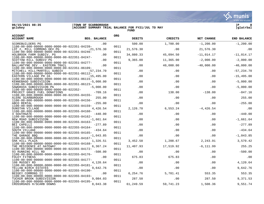**06/15/2021 08:35 |TOWN OF SCARBOROUGH |P 8 ACCOUNT SUMMARY TRIAL BALANCE FOR FY21/JUL TO MAY FUND** 

| <b>ACCOUNT</b><br><b>ACCOUNT NAME</b>                                                                                                    | <b>BEG. BALANCE</b>   | <b>ORG</b>   | <b>DEBITS</b>    | <b>CREDITS</b>        | NET CHANGE          | <b>END BALANCE</b> |
|------------------------------------------------------------------------------------------------------------------------------------------|-----------------------|--------------|------------------|-----------------------|---------------------|--------------------|
| SCOREBUILDERS PG                                                                                                                         | .00                   |              | 500.00           | 1,700.00              | $-1, 200.00$        | $-1, 200.00$       |
| 1100-00-000-00000-0000-0000-00-022351-84239-<br>LOT 2, MILL COMMONS DEV PG                                                               | $-21,576.30$          | 0011         | 21,576.30        | .00                   | 21,576.30           | .00                |
| 1100-00-000-00000-0000-0000-00-022351-84246-<br>HOLBROOK FARM SUBDIV. PG                                                                 | .00                   | 0011         | 34,080.33        | 45,094.50             | $-11,014.17$        | $-11,014.17$       |
| 1100-00-000-00000-0000-0000-00-022351-84247-<br>SCOTTOW HILL SUBDIV PG                                                                   | .00                   | 0011         | 9,365.00         | 11,365.00             | $-2,000.00$         | $-2,000.00$        |
| 1100-00-000-00000-0000-0000-00-022351-84277-<br>BALLANTYNE DEV - EASTERN TRAIL                                                           | .00                   | 0011         | .00              | 40,000.00             | $-40,000.00$        | $-40,000.00$       |
| $1100 - 00 - 000 - 00000 - 0000 - 0000 - 00 - 022351 - 86109 -$<br>MITCHELL HILL/MARTELL SUBDIV                                          | $-57, 234.70$         | 0011<br>0011 | .00              | .00                   | .00                 | $-57, 234.70$      |
| 1100-00-000-00000-0000-0000-00-022351-86112-<br>EASTERN VILLAGE PH 2A<br>$1100 - 00 - 000 - 00000 - 0000 - 0000 - 00 - 022351 - 86115 -$ | $-15, 495, 00$        | 0011         | .00              | .00                   | .00                 | $-15, 495.00$      |
| KENNEBAGO SUBDIVISION<br>1100-00-000-00000-0000-0000-00-022351-86123-                                                                    | $-5,000.00$           | 0011         | .00              | .00                   | .00                 | $-5,000.00$        |
| SAWGRASS SUBDIVISION PG<br>1100-00-000-00000-0000-0000-00-022352-                                                                        | $-5,000,00$           | 0011         | .00              | .00                   | .00                 | $-5,000.00$        |
| PROJECT GRACE FUEL DONATIONS<br>1100-00-000-00000-0000-0000-00-022355-84155-                                                             | $-709.16$             | 0011         | .00              | 138.00                | $-138.00$           | $-847.16$          |
| ALERE SCARBOROUGH<br>1100-00-000-00000-0000-0000-00-022355-84156-                                                                        | 255.00                | 0011         | .00              | .00                   | .00                 | 255.00             |
| ABCO RENTAL<br>1100-00-000-00000-0000-0000-00-022355-84159-                                                                              | $-255.00$             | 0011         | .00              | .00                   | .00                 | $-255.00$          |
| <b>DUNSTAN VILLAGE</b><br>$1100 - 00 - 000 - 00000 - 0000 - 0000 - 00 - 022355 - 84160 -$                                                | 4,426.54              | 0011         | 2,126.70         | 6,553.24              | $-4,426.54$         | .00                |
| 4 SOUTHGATE<br>1100-00-000-00000-0000-0000-00-022355-84162-                                                                              | $-440.00$             | 0011         | .00              | .00                   | .00                 | $-440.00$          |
| NEW ROAD SUBDIVISION<br>$1100 - 00 - 000 - 00000 - 0000 - 0000 - 00 - 022355 - 84163 -$                                                  | $-1,661.64$           | 0011         | .00              | .00                   | .00                 | $-1,661.64$        |
| BEI CAPELLI<br>$1100 - 00 - 000 - 00000 - 0000 - 0000 - 00 - 022355 - 84164 -$                                                           | $-277.89$             | 0011         | .00              | .00                   | .00                 | $-277.89$          |
| SOUTH VILLAGE<br>$1100 - 00 - 000 - 00000 - 0000 - 0000 - 00 - 022355 - 84165 -$                                                         | $-434.64$             | 0011         | .00              | .00                   | .00                 | $-434.64$          |
| THE GARAGE BBQ<br>1100-00-000-00000-0000-0000-00-022355-84167-                                                                           | $-1.043.85$           | 0011         | .00              | .00                   | .00                 | $-1,043.85$        |
| OAK HILL PLAZA<br>1100-00-000-00000-0000-0000-00-022355-84168-<br>THE RESIDENCE AT GATEWAY                                               | 1,326.51              | 0011         | 3,452.58         | 1,208.67<br>17,519.92 | 2,243.91            | 3,570.42<br>255.25 |
| $1100 - 00 - 000 - 00000 - 0000 - 0000 - 00 - 022355 - 84172 -$<br>93 RUNNING HILL RD                                                    | 6,367.24<br>$-500.00$ | 0011         | 11,407.93<br>.00 | .00                   | $-6, 111.99$<br>.00 | $-500.00$          |
| 1100-00-000-00000-0000-0000-00-022355-84176-<br>FOLEY FITNESS                                                                            | .00                   | 0011         | 675.83           | 675.83                | .00                 | .00                |
| $1100 - 00 - 000 - 00000 - 0000 - 0000 - 00 - 022355 - 84177 -$<br>108 MUSSEY RD                                                         | 4,120.64              | 0011         | .00              | .00                   | .00                 | 4,120.64           |
| $1100 - 00 - 000 - 00000 - 0000 - 0000 - 00 - 022355 - 84181 -$<br>YELLOW BIRCH ESTATES                                                  | 9,642.76              | 0011         | .00              | .00                   | .00                 | 9,642.76           |
| 1100-00-000-00000-0000-0000-00-022355-84190-<br>BESSEY COMMONS II                                                                        | .00                   | 0011         | 6,254.76         | 5,701.41              | 553.35              | 553.35             |
| 1100-00-000-00000-0000-0000-00-022355-84193-<br>TUCKER BROOK SUBDIVISION                                                                 | 9,084.03              | 0011         | 287.50           | .00                   | 287.50              | 9,371.53           |
| 1100-00-000-00000-0000-0000-00-022355-84195-<br>CROSSROADS H/SCARB DOWNS                                                                 | 8,043.38              | 0011         | 61,249.59        | 59,741.23             | 1,508.36            | 9,551.74           |

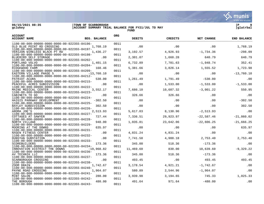

**gclukey |ACCOUNT SUMMARY TRIAL BALANCE FOR FY21/JUL TO MAY |glatrbal FUND** 



| <b>ACCOUNT</b><br><b>ACCOUNT NAME</b><br>BEG. BALANCE                                                      | <b>ORG</b> | <b>DEBITS</b> | <b>CREDITS</b> | <b>NET CHANGE</b> | <b>END BALANCE</b> |
|------------------------------------------------------------------------------------------------------------|------------|---------------|----------------|-------------------|--------------------|
| $1100 - 00 - 000 - 00000 - 0000 - 0000 - 00 - 022355 - 84196 -$                                            | 0011       |               |                |                   |                    |
| OLD BLUE POINT RD CROSSING<br>1,768.19                                                                     |            | .00           | .00            | .00               | 1,768.19           |
| $1100 - 00 - 000 - 00000 - 0000 - 0000 - 00 - 022355 - 84197 -$<br>VERIZON WIRELESS BLACK PT RD $1,436.27$ | 0011       | 3,192.57      | 4,926.93       | $-1,734.36$       | $-298.09$          |
| $1100 - 00 - 000 - 00000 - 0000 - 0000 - 00 - 022355 - 84198 -$                                            | 0011       |               |                |                   |                    |
| BLUEBIRD SELF STORAGE<br>.00<br>$1100 - 00 - 000 - 00000 - 0000 - 0000 - 00 - 022355 - 84202 -$            | 0011       | 2,301.07      | 1,660.28       | 640.79            | 640.79             |
| 1,401.15<br>PORTLAND VOLVO                                                                                 |            | 6,732.89      | 7,781.63       | $-1,048.74$       | 352.41             |
| $1100 - 00 - 000 - 00000 - 0000 - 0000 - 00 - 022355 - 84204 -$<br>168.46<br>RIDGEWOOD FARM                | 0011       | 5,381.66      | 3,826.14       | 1,555.52          | 1,723.98           |
| $1100 - 00 - 000 - 00000 - 0000 - 0000 - 00 - 022355 - 84209 -$                                            | 0011       |               |                |                   |                    |
| EASTERN VILLAGE PHASE 5<br>$-13,760.10$<br>1100-00-000-00000-0000-0000-00-022355-84212-                    | 0011       | .00           | .00            | .00               | $-13,760.10$       |
| PATRIOT ACURA<br>530.00                                                                                    |            | 1,261.49      | 1,791.49       | $-530.00$         | .00                |
| $1100 - 00 - 000 - 00000 - 0000 - 0000 - 00 - 022355 - 84215 -$<br>.00<br>PEACEFUL ACRES SUBDIVISION       | 0011       | .00           | 1,533.00       | $-1,533.00$       | $-1,533.00$        |
| $1100 - 00 - 000 - 00000 - 0000 - 0000 - 00 - 022355 - 84222 -$                                            | 0011       |               |                |                   |                    |
| MAINE MEDICAL CENTER<br>3,552.17<br>1100-00-000-00000-0000-0000-00-022355-84223-                           | 0011       | 7,686.10      | 10,687.32      | $-3,001.22$       | 550.95             |
| .00<br>CABINETS TO GO                                                                                      |            | 326.66        | 326.66         | .00               | .00                |
| $1100 - 00 - 000 - 00000 - 0000 - 0000 - 00 - 022355 - 84224 -$<br>$-302.50$                               | 0011       | .00           |                |                   |                    |
| HAIGIS PARKWAY DEVELOPMENT<br>1100-00-000-00000-0000-0000-00-022355-84225-                                 | 0011       |               | .00            | .00               | $-302.50$          |
| BAYLEY SUBDIVISION<br>302.50                                                                               |            | .00           | .00            | $.00\,$           | 302.50             |
| 1100-00-000-00000-0000-0000-00-022355-84226-                                                               | 0011       |               |                |                   |                    |
| 2,513.93<br>AROMA JOE'S<br>1100-00-000-00000-0000-0000-00-022355-84227-                                    | 0011       | 5,617.03      | 8,130.96       | $-2,513.93$       | .00                |
| COTTAGES AT SAWYER<br>727.44                                                                               |            | 7,336.51      | 29,923.97      | $-22,587.46$      | $-21,860.02$       |
| $1100 - 00 - 000 - 00000 - 0000 - 0000 - 00 - 022355 - 84228 -$                                            | 0011       |               |                |                   |                    |
| NORTH VILLAGE<br>940.00<br>1100-00-000-00000-0000-0000-00-022355-84229-                                    | 0011       | 1,035.81      | 23,642.06      | $-22,606.25$      | $-21,666.25$       |
| MOORING AT THE DOWNS<br>635.97                                                                             |            | .00           | $\sim$ 00      | $.00 \,$          | 635.97             |
| 1100-00-000-00000-0000-0000-00-022355-84231-                                                               | 0011       |               |                |                   |                    |
| .00<br>NXGEN FITNESS CENTER<br>1100-00-000-00000-0000-0000-00-022355-84232-                                | 0011       | 4,831.24      | 4,831.24       | .00               | .00                |
| DUNSTAN SUBSTATION<br>.00                                                                                  |            | 7,741.58      | 4,988.18       | 2,753.40          | 2,753.40           |
| 1100-00-000-00000-0000-0000-00-022355-84233-                                                               | 0011       |               |                |                   |                    |
| 173.36<br>SCOREBUILDERS<br>1100-00-000-00000-0000-0000-00-022355-84234-                                    | 0011       | 345.00        | 518.36         | $-173.36$         | .00                |
| INNOVATION DISTRICT THE DOWNS<br>$-19,968.82$                                                              |            | 11,469.60     | 830.00         | 10,639.60         | $-9,329.22$        |
| 1100-00-000-00000-0000-0000-00-022355-84236-<br>AV TECHNIK LLC<br>173.36                                   | 0011       | 345.00        | 518.36         | $-173.36$         | .00                |
| 1100-00-000-00000-0000-0000-00-022355-84237-                                                               | 0011       |               |                |                   |                    |
| SCARBOROUGH CROSSING<br>.00                                                                                |            | 493.45        | .00            | 493.45            | 493.45             |
| $1100 - 00 - 000 - 00000 - 0000 - 0000 - 00 - 022355 - 84238 -$                                            | 0011       |               |                |                   |                    |
| ZOOM DRAIN<br>1,742.67<br>$1100 - 00 - 000 - 00000 - 0000 - 0000 - 00 - 022355 - 84240 -$                  | 0011       | 3,178.54      | 4,921.21       | $-1,742.67$       | .00                |
| PAYNE ROAD CROSSING<br>1,964.07                                                                            |            | 580.89        | 2,544.96       | $-1,964.07$       | .00                |
| $1100 - 00 - 000 - 00000 - 0000 - 0000 - 00 - 022355 - 84241 -$                                            | 0011       |               |                |                   |                    |
| 280.00<br><b>MINT SALON</b>                                                                                | 0011       | 3,939.98      | 3,194.65       | 745.33            | 1,025.33           |
| 1100-00-000-00000-0000-0000-00-022355-84242-<br>480.00<br>THE BOROUGH                                      |            | 491.64        | 971.64         | $-480.00$         | .00                |
| 1100-00-000-00000-0000-0000-00-022355-84243-                                                               | 0011       |               |                |                   |                    |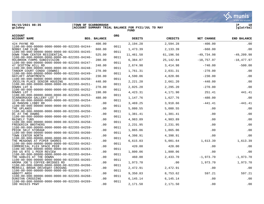**06/15/2021 08:35 |TOWN OF SCARBOROUGH |P 10**  $|$  ACCOUNT SUMMARY TRIAL BALANCE FOR FY21/JUL TO MAY **FUND** 



munis a tyler erp solutior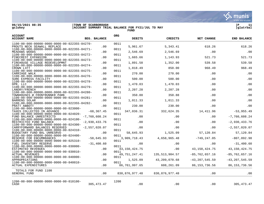

**gclukey |ACCOUNT SUMMARY TRIAL BALANCE FOR FY21/JUL TO MAY |glatrbal FUND** 

| <b>ACCOUNT</b><br><b>ACCOUNT NAME</b>                                                                               | <b>BEG. BALANCE</b> | <b>ORG</b>   | <b>DEBITS</b>    | <b>CREDITS</b>   | NET CHANGE         | <b>END BALANCE</b> |
|---------------------------------------------------------------------------------------------------------------------|---------------------|--------------|------------------|------------------|--------------------|--------------------|
| $1100 - 00 - 000 - 00000 - 0000 - 0000 - 00 - 022355 - 84270 -$<br>PROUTS NECK SEAWALL REPLACE                      | .00                 | 0011         | 5,961.67         | 5,343.41         | 618.26             | 618.26             |
| 1100-00-000-00000-0000-0000-00-022355-84271-<br>MEADOWS WOODS                                                       | .00                 | 0011         | 2,546.69         | 2,546.69         | .00                | .00                |
| 1100-00-000-00000-0000-0000-00-022355-84272-<br>PINECREST EXPANSION<br>1100-00-000-00000-0000-0000-00-022355-84273- | .00                 | 0011<br>0011 | 1,665.66         | 1,143.93         | 521.73             | 521.73             |
| FIREHOUSE VILLAGE REDEVELOPMNT                                                                                      | .00                 |              | 1,891.58         | 1,352.00         | 539.58             | 539.58             |
| 1100-00-000-00000-0000-0000-00-022355-84274-<br>CROWN LIFT                                                          | .00                 | 0011         | 1,818.49         | 850.00           | 968.49             | 968.49             |
| 1100-00-000-00000-0000-0000-00-022355-84275-<br>CARRIAGE WALK                                                       | .00                 | 0011         | 270.00           | 270.00           | .00                | .00                |
| 1100-00-000-00000-0000-0000-00-022355-84276-<br>SURE EXPRESS FACILITY                                               | .00                 | 0011         | 500.00           | 500.00           | .00                | .00                |
| $1100 - 00 - 000 - 00000 - 0000 - 0000 - 00 - 022355 - 84278 -$<br>DPR, LLC                                         | .00                 | 0011         | 1,470.03         | 1,470.03         | .00                | .00                |
| $1100 - 00 - 000 - 00000 - 0000 - 0000 - 00 - 022355 - 84279 -$<br>LANDRY/FRENCH                                    | .00                 | 0011         | 2,207.28         | 2,207.28         | .00                | .00                |
| 1100-00-000-00000-0000-0000-00-022355-84280-                                                                        |                     | 0011         |                  |                  |                    |                    |
| TOWNHOUSES @ FRONTRUNNER PARK<br>1100-00-000-00000-0000-0000-00-022355-84281-                                       | .00                 | 0011         | 350.88           | 350.88           | .00                | .00                |
| <b>BARRENS SOLAR</b>                                                                                                | .00                 |              | 1,011.33         | 1,011.33         | .00                | .00                |
| 1100-00-000-00000-0000-0000-00-022355-84282-<br>PRATT ABBOTT                                                        | .00                 | 0011         | 230.00           | 230.00           | .00                | .00                |
| 1100-00-000-00000-0000-0000-00-023000-<br>TAXES COLLECTED IN ADVANCE                                                | $-68, 367.45$       | 0011         | 347,036.31       | 332,624.35       | 14,411.96          | $-53,955.49$       |
| 1100-00-000-00000-0000-0000-00-024020-<br>FUND BALANCE UNRESTRICTD                                                  | $-7,760,608.24$     | 0011         | .00              | .00              | .00                | $-7,760,608.24$    |
| 1100-00-000-00000-0000-0000-00-024100-                                                                              |                     | 0011         |                  |                  |                    |                    |
| RESTRICTED FUND BALANCE<br>$1100 - 00 - 000 - 00000 - 0000 - 0000 - 00 - 024300 -$                                  | $-2,930,433.76$     | 0011         | .00              | .00              | .00                | $-2,930,433.76$    |
| CARRYFORWARD BALANCES RESERVED<br>1100-00-000-00000-0000-0000-00-024310-                                            | $-2,557,020.07$     | 0011         | .00              | .00              | .00                | $-2,557,020.07$    |
| BUDGETARY FUND BAL UNRESRVD                                                                                         | .00                 |              | 58,645.93        | 1,525.09         | 57,120.84          | 57,120.84          |
| 1100-00-000-00000-0000-0000-00-024400-<br>RESERVE FOR ENCUMBRANCES                                                  | $-58,645.93$        | 0011         | 3,909,718.43     | 4,658,965.48     | $-749, 247.05$     | $-807,892.98$      |
| $1100 - 00 - 000 - 00000 - 0000 - 0000 - 00 - 025310 -$<br>FUEL INVENTORY RESERVE                                   | $-31,400.60$        | 0011         | .00              | .00              | .00                | $-31,400.60$       |
| 1100-00-000-00000-0000-0000-00-030000-<br>ESTIMATED REVENUES                                                        | .00                 | 0011         | 43, 150, 424. 75 | .00              | 43, 150, 424. 75   | 43, 150, 424. 75   |
| 1100-00-000-00000-0000-0000-00-030010-<br><b>ACTUAL REVENUES</b>                                                    | .00                 | 0011         | 49,751,247.41    | 135, 513, 904.57 | $-85,762,657.16$   | $-85, 762, 657.16$ |
| $1100 - 00 - 000 - 00000 - 0000 - 0000 - 00 - 040000 -$<br>APPROPRIATIONS                                           |                     | 0011         | 1,525.09         | 43,209,070.68    | $-43, 207, 545.59$ |                    |
| 1100-00-000-00000-0000-0000-00-040010-                                                                              | .00                 | 0011         |                  |                  |                    | $-43, 207, 545.59$ |
| <b>ACTUAL EXPENDITURES</b>                                                                                          | .00                 |              | 86,761,997.65    | 608,261.09       | 86, 153, 736.56    | 86, 153, 736.56    |
| TOTALS FOR FUND 1100<br>GENERAL FUND                                                                                | .00                 |              | 830, 876, 977.48 | 830, 876, 977.48 | .00                | .00                |
| 1200-00-000-00000-0000-0000-00-010100-<br>CASH                                                                      | 305, 473. 47        | 1200         | .00              | .00              | .00                | 305, 473. 47       |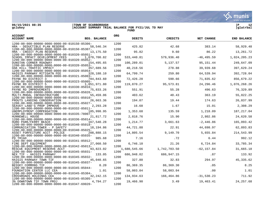

**gclukey |ACCOUNT SUMMARY TRIAL BALANCE FOR FY21/JUL TO MAY |glatrbal FUND** 



| <b>ACCOUNT</b><br><b>ACCOUNT NAME</b>                                                                                                        | <b>BEG. BALANCE</b> | <b>ORG</b>   | <b>DEBITS</b> | <b>CREDITS</b> | NET CHANGE    | <b>END BALANCE</b> |
|----------------------------------------------------------------------------------------------------------------------------------------------|---------------------|--------------|---------------|----------------|---------------|--------------------|
| 1200-00-000-00000-0000-0000-00-010150-85306-                                                                                                 |                     | 1200         |               |                |               |                    |
| HRA - DEDUCTIBLE PLAN RESERVE<br>1200-00-000-00000-0000-0000-00-010150-85307-                                                                | 58,546.34           | 1200         | 425.82        | 42.68          | 383.14        | 58,929.48          |
| HRA - CREDIT PLAN RESERVE<br>1200-00-000-00000-0000-0000-00-010320-85051-                                                                    | 13,175.50           | 1200         | 95.82         | 9.60           | 86.22         | 13,261.72          |
| SCHOOL IMPACT DEVELOPMENT FEES                                                                                                               | 1,070,700.82        |              | 533,440.81    | 579,936.40     | $-46, 495.59$ | 1,024,205.23       |
| 1200-00-000-00000-0000-0000-00-010320-85052-<br>DUNSTAN CORNER ROADWAY                                                                       | 154,495.65          | 1200         | 100,289.01    | 5,137.57       | 95, 151.44    | 249,647.09         |
| 1200-00-000-00000-0000-0000-00-010320-85053-<br>OAK HILL TRAFFIC IMPACT                                                                      | 357,689.56          | 1200         | 40,218.56     | 278.88         | 39,939.68     | 397,629.24         |
| 1200-00-000-00000-0000-0000-00-010320-85054-<br>HAIGIS PARKWAY MITIGATN FEE                                                                  | 328,188.10          | 1200         | 64,799.74     | 259.80         | 64,539.94     | 392,728.04         |
| $1200 - 00 - 000 - 00000 - 0000 - 0000 - 00 - 010321 - 85003 -$                                                                              |                     | 1200         |               |                |               |                    |
| PAYNE RD DISTRICT 3<br>$1200 - 00 - 000 - 00000 - 0000 - 0000 - 00 - 010323 - 85005 -$                                                       | 784,843.60          | 1200         | 72,426.28     | 590.66         | 71,835.62     | 856,679.22         |
| PAYNE RD DISTRICT 5                                                                                                                          | 1,051,971.80        |              | 119,870.27    | 95,573.81      | 24,296.46     | 1,076,268.26       |
| 1200-00-000-00000-0000-0000-00-010330-85016-<br>PAYNE RD IMPROVEMENTS                                                                        | 75,833.26           | 1200         | 551.91        | 55.28          | 496.63        | 76,329.89          |
| $1200 - 00 - 000 - 00000 - 0000 - 0000 - 00 - 010330 - 85026 -$<br>MULTI-MODAL INFRASTRUCTURE                                                | 55,459.06           | 1200         | 403.62        | 40.43          | 363.19        | 55,822.25          |
| $1200 - 00 - 000 - 00000 - 0000 - 0000 - 00 - 010331 - 85010 -$                                                                              |                     | 1200         |               |                |               |                    |
| PROUTS LANDING CONSERVATION                                                                                                                  | 26,663.36           |              | 194.07        | 19.44          | 174.63        | 26,837.99          |
| 1200-00-000-00000-0000-0000-00-010331-85027-<br>SEAVEY LAND'G PROP IMPROVE                                                                   | 2,293.28            | 1200         | 16.68         | 1.67           | 15.01         | 2,308.29           |
| 1200-00-000-00000-0000-0000-00-010332-85011-<br>UNEMPLOYMENT COMPENSATION                                                                    | 185,998.95          | 1200         | 1,353.68      | 135.59         | 1,218.09      | 187, 217.04        |
| 1200-00-000-00000-0000-0000-00-010335-78007-                                                                                                 |                     | 1200         |               |                |               |                    |
| HUNNEWELL HOUSE<br>1200-00-000-00000-0000-0000-00-010336-85014-                                                                              | 21,817.72           | 1200         | 2,818.76      | 15.90          | 2,802.86      | 24,620.58          |
| HURD PARK/FERRY BEACH                                                                                                                        | 167,540.28          |              | 1,214.77      | 3,661.63       | $-2,446.86$   | 165,093.42         |
| $1200 - 00 - 000 - 00000 - 0000 - 0000 - 00 - 010340 - 85018 -$<br>COMMUNICATION TOWER - P SAFETY                                            | 18,194.86           | 1200         | 44,721.88     | 22.91          | 44,698.97     | 62,893.83          |
| $1200 - 00 - 000 - 00000 - 0000 - 0000 - 00 - 010340 - 85025 -$<br>ASSET FORFEITURE ACCT POLICE                                              | 208,888.15          | 1200         | 14,805.54     | 9,149.70       | 5,655.84      | 214,543.99         |
| 1200-00-000-00000-0000-0000-00-010340-85035-                                                                                                 |                     | 1200         |               |                |               |                    |
| PD TRIAD<br>$1200 - 00 - 000 - 00000 - 0000 - 0000 - 00 - 010341 - 85012 -$                                                                  | 985.68              | 1200         | 7.16          | .72            | 6.44          | 992.12             |
| FIRE DEPT EOUIPMENT                                                                                                                          | 27,060.50           |              | 6,746.10      | 21.26          | 6,724.84      | 33,785.34          |
| $1200 - 00 - 000 - 00000 - 0000 - 0000 - 00 - 010342 - 85013 -$<br>RESCUE EQUIPMENT RESERVE ACCT                                             | 93,823.02           | 1200         | 1,680,545.66  | 1,742,703.50   | $-62, 157.84$ | 31,665.18          |
| 1200-00-000-00000-0000-0000-00-010345-85031-<br>NEX TIF - HAIGIS PARKWAY                                                                     | 133.05              | 1200         | 686,948.02    | 686, 947.15    | .87           | 133.92             |
| 1200-00-000-00000-0000-0000-00-010345-85032-                                                                                                 |                     | 1200         |               |                |               |                    |
| HAIGIS PARKWAY TOWN TIF<br>1200-00-000-00000-0000-0000-00-010345-85037-                                                                      | 45,040.65           | 1200         | 327.80        | 32.83          | 294.97        | 45, 335.62         |
| BESSEY COMMONS TIF<br>1200-00-000-00000-0000-0000-00-010345-85044-                                                                           | 8.20                | 1200         | 86, 369. 35   | 86,369.30      | .05           | 8.25               |
| FOUNDATION CENTER LLC CEA                                                                                                                    | 1.01                |              | 58,003.04     | 58,003.04      | .00           | 1.01               |
| 1200-00-000-00000-0000-0000-00-010345-85304-<br>CROSSROADS HOLDINGS CEA                                                                      | 32, 242. 15         | 1200         | 134,934.63    | 166,464.86     | $-31, 530.23$ | 711.92             |
| 1200-00-000-00000-0000-0000-00-010345-85305-<br>3% DOWNTOWN TIF TOWN PROJ<br>$1200 - 00 - 000 - 00000 - 0000 - 0000 - 00 - 010347 - 69020 -$ | 4,794.27            | 1200<br>1200 | 19,466.90     | 3.49           | 19,463.41     | 24, 257.68         |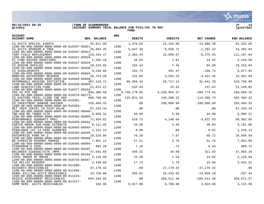**06/15/2021 08:35 |TOWN OF SCARBOROUGH |P 13 ACCOUNT SUMMARY TRIAL BALANCE FOR FY21/JUL TO MAY FUND** 

| <b>ACCOUNT</b><br><b>ACCOUNT NAME</b>                                                                                    | <b>BEG. BALANCE</b> | ORG          | <b>DEBITS</b> | <b>CREDITS</b> | NET CHANGE     | <b>END BALANCE</b> |
|--------------------------------------------------------------------------------------------------------------------------|---------------------|--------------|---------------|----------------|----------------|--------------------|
| CS ACCTS SPECIAL EVENTS                                                                                                  | 95,011.95           |              | 1,476.65      | 15, 164.95     | $-13,688.30$   | 81, 323.65         |
| $1200 - 00 - 000 - 00000 - 0000 - 0000 - 00 - 010347 - 85021 -$<br>CS ACCTS SPONSOR A TREE                               | 25,684.25           | 1200<br>1200 | 5,647.30      | 6,938.72       | $-1, 291.42$   | 24, 392.83         |
| 1200-00-000-00000-0000-0000-00-010347-85024-<br>TURF FIELD REPLACEMENT                                                   | 119,443.47          | 1200         | 2,382.44      | 10,658.07      | $-8, 275.63$   | 111,167.84         |
| 1200-00-000-00000-0000-0000-00-010347-85028-<br>CC FUND RAISER DONATIONS<br>1200-00-000-00000-0000-0000-00-010347-85029- | 2,202.16            | 1200         | 16.03         | 1.61           | 14.42          | 2,216.58           |
| CS SENIOR RAFFLES<br>1200-00-000-00000-0000-0000-00-010347-85038-                                                        | 10,224.65           | 1200         | 102.44        | 7.45           | 94.99          | 10,319.64          |
| CS SCHOLARSHIPS<br>1200-00-000-00000-0000-0000-00-010347-85045-                                                          | 5,236.66            | 1200         | 332.73        | 491.47         | $-158.74$      | 5,077.92           |
| WORKING WATERFRONT RESERVE<br>$1200 - 00 - 000 - 00000 - 0000 - 0000 - 00 - 010349 - 85048 -$                            | 18,723.28           | 1200         | 131.80        | 3,553.15       | $-3,421.35$    | 15,301.93          |
| AFFORDABLE HOUSING INITIATIVE<br>$1200 - 00 - 000 - 00000 - 0000 - 0000 - 00 - 010350 - 85049 -$                         | 487,116.72          | 1200         | 60, 358.42    | 28,717.14      | 31,641.28      | 518,758.00         |
| LAND ACOUISITION FUND<br>1200-00-000-00000-0000-0000-00-010377-85033-                                                    | 21,012.21           | 1200         | 152.94        | 15.32          | 137.62         | 21, 149.83         |
| 294 US RTE ONE<br>1200-00-000-00000-0000-0000-00-010378-88173-                                                           | 694,360.58          | 1200         | 3,740,179.95  | 4, 239, 954.37 | $-499,774.42$  | 194,586.16         |
| CS EASTERN TRAIL CLOSE THE GAP<br>$1200 - 00 - 000 - 00000 - 0000 - 0000 - 00 - 010381 -$                                | 606,789.95          | 1200         | 125,821.59    | 240,208.32     | $-114, 386.73$ | 492, 403.22        |
| CD INVESTMENT BANGOR SAVINGS<br>$1200 - 00 - 000 - 00000 - 0000 - 0000 - 00 - 010383 -$                                  | 255,404.33          | 1200         | .00           | 100,000.00     | $-100,000.00$  | 155,404.33         |
| NET INCR (DECR) IN FAIR VALUE<br>$1200 - 00 - 000 - 00000 - 0000 - 0000 - 00 - 010462 - 86040 -$                         | 87, 243.34          | 1200         | .00           | .00            | .00            | 87, 243.34         |
| TWO ROD RD TOWER SITE<br>$1200 - 00 - 000 - 00000 - 0000 - 0000 - 00 - 010465 - 85050 -$                                 | 6,855.31            | 1200         | 49.90         | 5.00           | 44.90          | 6,900.21           |
| PERFORMANCE GUARANTY PROJ<br>1200-00-000-00000-0000-0000-00-010465-86042-                                                | 72,924.62           | 1200         | 518.73        | 4,140.66       | $-3,621.93$    | 69,302.69          |
| CARTER BROOK SUB-SAND EXTRACTN<br>1200-00-000-00000-0000-0000-00-010465-86045-                                           | 6,111.92            | 1200         | 44.50         | 4.46           | 40.04          | 6,151.96           |
| HIGHLANDS LOT 14 PERF GUARNTEE<br>$1200 - 00 - 000 - 00000 - 0000 - 0000 - 00 - 010465 - 86048 -$                        | 1,221.13            | 1200         | 8.90          | .89            | 8.01           | 1,229.14           |
| ENTERPRISE PARK PH 2<br>$1200 - 00 - 000 - 00000 - 0000 - 0000 - 00 - 010465 - 86080 -$                                  | 10,526.86           | 1200         | 76.39         | 7.67           | 68.72          | 10,595.58          |
| NE EXPEDITN PAVEMNT MARKGS<br>1200-00-000-00000-0000-0000-00-010465-86099-                                               | 7,901.14            | 1200         | 57.51         | 5.76           | 51.75          | 7,952.89           |
| FISHERMAN'S COVE<br>$1200 - 00 - 000 - 00000 - 0000 - 0000 - 00 - 010465 - 86102 -$                                      | 983.28              | 1200         | 7.16          | .72            | 6.44           | 989.72             |
| WALGREEN SIGNAGE/SITE IMPR<br>1200-00-000-00000-0000-0000-00-010465-86104-                                               | 47,581.65           | 1200         | 346.32        | 34.69          | 311.63         | 47,893.28          |
| LOYAL ORDER OF MOOSE<br>1200-00-000-00000-0000-0000-00-010715-85047-                                                     | 2,115.09            | 1200         | 15.39         | 1.54           | 13.85          | 2,128.94           |
| TAX RELIEF RESERVE<br>1200-00-000-00000-0000-0000-00-011500-                                                             | 2,439.66            | 1200         | 17.74         | 1.78           | 15.96          | 2,455.62           |
| ACCOUNTS RECEIVABLES<br>1200-00-000-00000-0000-0000-00-011505-                                                           | 37, 179. 42         | 1200         | .00           | 37, 179. 42    | $-37, 179.42$  | .00                |
| GENRL BILLING ACCTS RECEIVABLE                                                                                           | 24,720.66           |              | 285.82        | 25, 243.92     | $-24,958.10$   | $-237.44$          |
| 1200-00-000-00000-0000-0000-00-011515-<br>HAIGIS ASSESSMENT RECEIVABLES                                                  | 642,184.05          | 1200         | .00           | 285,512.48     | $-285, 512.48$ | 356,671.57         |
| 1200-00-000-00000-0000-0000-00-011517-<br>COMM SERV, ACCTS RECEIVABLES                                                   | 103.96              | 1200         | 9.817.00      | 6.798.00       | 3.019.00       | 3.122.96           |

COMM SERV. ACCTS RECEIVABLES 103.96 9,817.00 6,798.00 3,019.00 3,122.96

. munis<sup>.</sup> a tyler erp solution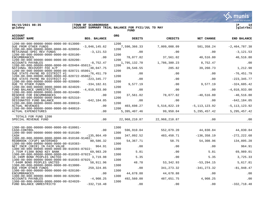

| gclukey | ACCOUNT SUMMARY TRIAL BALANCE FOR FY21/JUL TO MAY | qlatrbal |
|---------|---------------------------------------------------|----------|
|         | <b>FUNI</b>                                       |          |

| <b>ACCOUNT</b><br><b>ACCOUNT NAME</b>                                                             | <b>BEG. BALANCE</b> | ORG  | <b>DEBITS</b>  | CREDITS       | <b>NET CHANGE</b> | <b>END BALANCE</b> |
|---------------------------------------------------------------------------------------------------|---------------------|------|----------------|---------------|-------------------|--------------------|
| $1200 - 00 - 000 - 00000 - 0000 - 0000 - 00 - 013000 -$<br>DUE FROM OTHER FUNDS                   | $-3,046,145.62$     | 1200 | 7,590,366.33   |               |                   | $-2,464,787.38$    |
| $1200 - 00 - 000 - 00000 - 0000 - 0000 - 00 - 020050 -$                                           |                     | 1200 |                | 7,009,008.09  | 581,358.24        |                    |
| RETAINAGE-SPEC REV FUNDS<br>1200-00-000-00000-0000-0000-00-020100-                                | $-3, 121.53$        | 1200 | .00            | .00           | .00               | $-3, 121.53$       |
| <b>ENCUMBRANCES</b>                                                                               | .00                 |      | 78,077.82      | 37,561.02     | 40,516.80         | 40,516.80          |
| $1200 - 00 - 000 - 00000 - 0000 - 0000 - 00 - 020200 -$<br>ACCOUNTS PAYABLES                      | $-8,752,47$         | 1200 | 1,795,132.70   | 1,786,380.23  | 8,752.47          | .00                |
| $1200 - 00 - 000 - 00000 - 0000 - 0000 - 00 - 020404 - 85013 -$<br>NATIONAL RECOVERY FEE A/P      | $-38,047.75$        | 1200 | 39,546.55      | 285.82        | 39,260.73         | 1,212.98           |
| $1200 - 00 - 000 - 00000 - 0000 - 0000 - 00 - 020721 - 85001 -$<br>DUE STATE-PAYNE RD DISTRICT #1 | $-76, 451.79$       | 1200 | .00            | .00           | .00               | $-76, 451.79$      |
| $1200 - 00 - 000 - 00000 - 0000 - 0000 - 00 - 020722 - 85002 -$<br>DUE STATE-PAYNE RD DISTRICT #2 | $-223, 345.77$      | 1200 | .00            | $.00 \,$      | .00               | $-223, 345.77$     |
| $1200 - 00 - 000 - 00000 - 0000 - 0000 - 00 - 020800 -$<br>DUE TO OTHER FUNDS                     | $-334, 182.61$      | 1200 | 9,577.19       | .00           | 9,577.19          | $-324,605.42$      |
| $1200 - 00 - 000 - 00000 - 0000 - 0000 - 00 - 024020 -$                                           |                     | 1200 |                |               |                   |                    |
| FUND BALANCE UNRESTRICTD<br>$1200 - 00 - 000 - 00000 - 0000 - 0000 - 00 - 024400 -$               | $-4,010,933.00$     | 1200 | .00            | .00           | .00               | $-4,010,933.00$    |
| RESERVE FOR ENCUMBRANCES<br>$1200 - 00 - 000 - 00000 - 0000 - 0000 - 00 - 025310 -$               | .00                 | 1200 | 37,561.02      | 78,077.82     | $-40,516.80$      | $-40,516.80$       |
| DESIGNATED FUND BALANCE                                                                           | $-642, 184.05$      |      | .00            | $.00 \,$      | $.00 \,$          | $-642, 184.05$     |
| $1200 - 00 - 000 - 00000 - 0000 - 0000 - 00 - 030010 -$<br><b>ACTUAL REVENUES</b>                 | .00                 | 1200 | 403,698.27     | 5,516,822.19  | $-5, 113, 123.92$ | $-5, 113, 123.92$  |
| $1200 - 00 - 000 - 00000 - 0000 - 0000 - 00 - 040010 -$<br>ACTUAL EXPENDITURES                    | .00                 | 1200 | 5, 395, 407.46 | 99,950.04     | 5, 295, 457. 42   | 5,295,457.42       |
| TOTALS FOR FUND 1200                                                                              |                     |      |                |               |                   |                    |
| SPECIAL REVENUE FUND                                                                              | .00                 |      | 22,968,210.87  | 22,968,210.87 | .00               | .00                |
| $1300 - 00 - 000 - 00000 - 0000 - 0000 - 00 - 010001 -$                                           |                     | 1300 |                |               |                   |                    |
| CASH-CONTROL<br>$1300 - 00 - 000 - 00000 - 0000 - 0000 - 00 - 010100 -$                           | .00                 | 1300 | 596,910.04     | 552,079.20    | 44,830.84         | 44,830.84          |
| CASH<br>1300-00-000-00000-0000-0000-00-010160-91402-                                              | $-135,864.49$       | 1300 | 347,092.52     | 483,450.71    | $-136, 358.19$    | $-272, 222.68$     |
| REDBROOK (CFUP) WATERSHED<br>$1300 - 00 - 000 - 00000 - 0000 - 0000 - 00 - 010383 -$              | 80,586.32           | 1300 | 54, 367. 71    | 58.75         | 54,308.96         | 134,895.28         |
| NET INCR (DECR) IN FAIR VALUE                                                                     | 964.91              |      | .00            | .00           | .00               | 964.91             |
| 1300-00-000-00000-0000-0000-00-010393-87022-<br>2.755M F1300 BOND KEY BANK                        | 69,983.20           | 1300 | 5.81           | .00           | 5.81              | 69,989.01          |
| 1300-00-000-00000-0000-0000-00-010393-87023-<br>18.190M BOND PEOPLES UNITED                       | 3,719.98            | 1300 | 5.35           | .00           | 5.35              | 3,725.33           |
| 1300-00-000-00000-0000-0000-00-010393-87025-<br>7.040M BOND PEOPLES UNITED                        | 58,911.96           | 1300 | 48.78          | 53,342.93     | $-53, 294.15$     | 5,617.81           |
| $1300 - 00 - 000 - 00000 - 0000 - 0000 - 00 - 013000 -$<br>DUE FROM OTHER FUNDS                   | 259,324.85          | 1300 | .00            | 341, 273.32   | $-341, 273.32$    | $-81,948.47$       |
| $1300 - 00 - 000 - 00000 - 0000 - 0000 - 00 - 020100 -$<br><b>ENCUMBRANCES</b>                    | .00                 | 1300 | 44,678.88      | 44,678.88     | .00               | .00                |
| $1300 - 00 - 000 - 00000 - 0000 - 0000 - 00 - 020200 -$                                           |                     | 1300 |                |               |                   |                    |
| ACCOUNTS PAYABLES<br>1300-00-000-00000-0000-0000-00-024020-                                       | $-4,908.25$         | 1300 | 492,560.00     | 487,651.75    | 4,908.25          | .00                |
| FUND BALANCE UNRESTRICTD                                                                          | $-332,718.48$       |      | .00            | .00           | .00               | $-332,718.48$      |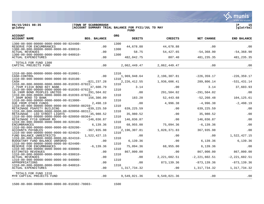**Soften MUNIS** 

 $06/15/2021$  08:35<br>gclukey

| <b>ITOWN OF SCARBOROUGH</b><br>ACCOUNT SUMMARY TRIAL BALANCE FOR FY21/JUL TO MAY |      |  |  | qlatrbal |  |
|----------------------------------------------------------------------------------|------|--|--|----------|--|
|                                                                                  | FUND |  |  |          |  |

| <b>ACCOUNT</b><br><b>ACCOUNT NAME</b>                                               | <b>BEG. BALANCE</b> | <b>ORG</b> | <b>DEBITS</b>  | <b>CREDITS</b> | <b>NET CHANGE</b> | <b>END BALANCE</b> |
|-------------------------------------------------------------------------------------|---------------------|------------|----------------|----------------|-------------------|--------------------|
| $1300 - 00 - 000 - 00000 - 0000 - 0000 - 00 - 024400 -$<br>RESERVE FOR ENCUMBRANCES | .00                 | 1300       | 44,678.88      | 44,678.88      | .00               | .00                |
| $1300 - 00 - 000 - 00000 - 0000 - 0000 - 00 - 030010 -$                             |                     | 1300       |                |                |                   |                    |
| <b>ACTUAL REVENUES</b><br>$1300 - 00 - 000 - 00000 - 0000 - 0000 - 00 - 040010 -$   | .00                 | 1300       | 58.75          | 54,427.65      | $-54,368.90$      | $-54, 368.90$      |
| ACTUAL EXPENDITURES                                                                 | .00                 |            | 482,042.75     | 807.40         | 481,235.35        | 481, 235.35        |
| TOTALS FOR FUND 1300<br>CAPITAL PROJECTS FUND                                       | .00                 |            | 2,062,449.47   | 2,062,449.47   | $.00 \,$          | .00                |
| $1310 - 00 - 000 - 00000 - 0000 - 0000 - 00 - 010001 -$                             |                     | 1310       |                |                |                   |                    |
| CASH-CONTROL                                                                        | .00                 |            | 1,969,948.64   | 2,196,307.81   | $-226, 359.17$    | $-226, 359.17$     |
| $1310 - 00 - 000 - 00000 - 0000 - 0000 - 00 - 010100 -$<br>CASH                     | $-821, 237.28$      | 1310       | 2, 226, 412.55 | 1,936,606.41   | 289,806.14        | $-531, 431.14$     |
| 1310-00-000-00000-0000-0000-00-010393-87022-                                        |                     | 1310       |                |                |                   |                    |
| 2.755M F1310 BOND KEY BANK                                                          | 37,600.79           |            | 3.14           | .00            | 3.14              | 37,603.93          |
| $1310-00-000-00000-0000-0000-00-010393-87023-$<br>18.190M BOND PEOPLES UNITED       | 291,504.02          | 1310       | .00            | 291,504.02     | $-291,504.02$     | .00                |
| $1310-00-000-00000-0000-0000-00-010393-87024-$                                      |                     | 1310       |                |                |                   |                    |
| 7.380M BOND TD BANK<br>$1310 - 00 - 000 - 00000 - 0000 - 0000 - 00 - 013000 -$      | 156,386.09          | 1310       | 183.20         | 52,443.68      | $-52, 260.48$     | 104, 125.61        |
| DUE FROM OTHER FUNDS                                                                | 2,498.19            |            | .00            | 4,996.38       | $-4,996.38$       | $-2,498.19$        |
| 1310-00-000-00000-0000-0000-00-020050-88259-                                        |                     | 1310       |                |                |                   |                    |
| RETAINAGE PSAFETY BUILDING<br>1310-00-000-00000-0000-0000-00-020050-88312-          | $-639, 225.59$      | 1310       | 639,225.59     | .00.           | 639,225.59        | .00                |
| RETAINAGE - LED STREET LIGHTS                                                       | $-35,980.52$        |            | 35,980.52      | .00            | 35,980.52         | .00                |
| $1310-00-000-00000-0000-0000-00-020050-88364-$<br>RETAINAGE FY18 GORHAM RD          | $-146,036.87$       | 1310       | 146,036.87     | .00            | 146,036.87        | .00                |
| 1310-00-000-00000-0000-0000-00-020100-                                              |                     | 1310       |                |                |                   |                    |
| <b>ENCUMBRANCES</b><br>1310-00-000-00000-0000-0000-00-020200-                       | 6,139.36            | 1310       | 68,955.00      | 75,094.36      | $-6, 139.36$      | .00                |
| ACCOUNTS PAYABLES                                                                   | $-367, 935.98$      |            | 2,196,307.81   | 1,828,371.83   | 367,935.98        | .00                |
| 1310-00-000-00000-0000-0000-00-024020-                                              |                     | 1310       |                |                |                   |                    |
| FUND BALANCE UNRESTRICTD<br>1310-00-000-00000-0000-0000-00-024310-                  | 1,522,427.15        | 1310       | .00            | .00            | $.00 \,$          | 1,522,427.15       |
| BUDGETARY FUND BALANCE UNRSRVD                                                      | .00                 |            | 6,139.36       | $.00 \,$       | 6,139.36          | 6,139.36           |
| 1310-00-000-00000-0000-0000-00-024400-<br>RESERVE FOR ENCUMBRANCES                  | $-6, 139.36$        | 1310       | 75,094.36      | 68,955.00      | 6,139.36          | .00                |
| 1310-00-000-00000-0000-0000-00-030000-                                              |                     | 1310       |                |                |                   |                    |
| ESTIMATED REVENUES                                                                  | .00                 |            | 867,000.00     | .00.           | 867,000.00        | 867,000.00         |
| 1310-00-000-00000-0000-0000-00-030010-<br><b>ACTUAL REVENUES</b>                    | .00                 | 1310       | .00            | 2, 221, 602.51 | $-2, 221, 602.51$ | $-2, 221, 602.51$  |
| $1310 - 00 - 000 - 00000 - 0000 - 0000 - 00 - 040000 -$                             |                     | 1310       |                |                |                   |                    |
| APPROPRIATIONS<br>$1310 - 00 - 000 - 00000 - 0000 - 0000 - 00 - 040010 -$           | .00                 | 1310       | .00            | 873,139.36     | $-873, 139.36$    | $-873, 139.36$     |
| ACTUAL EXPENDITURES                                                                 | .00                 |            | 1,317,734.32   | $.00 \,$       | 1,317,734.32      | 1,317,734.32       |
| TOTALS FOR FUND 1310<br>MYR CAPTIAL PROJECTS FUND                                   | .00                 |            | 9,549,021.36   | 9,549,021.36   | .00               | .00                |
|                                                                                     |                     |            |                |                |                   |                    |

1500-00-000-00000-0000-0000-00-010302-78003- 1500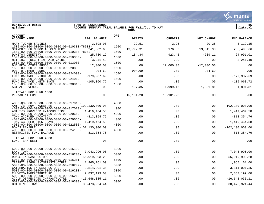$06/15/2021$  08:35<br>gclukey

|                                                                                  | $\mathbf{v}$ : munis<br>a tyler erp solution |
|----------------------------------------------------------------------------------|----------------------------------------------|
| TOWN OF SCARBOROUGH<br>ACCOUNT SUMMARY TRIAL BALANCE FOR FY21/JUL TO MAY<br>FUND | 16<br> glatrbal                              |



| <b>ACCOUNT</b><br><b>ACCOUNT NAME</b>                                                                                                                                                                                                                                                                                                                                                                                                                                   | <b>BEG. BALANCE</b>                                                                                        | <b>ORG</b>                                   | <b>DEBITS</b>                          | <b>CREDITS</b>                         | NET CHANGE                             | END BALANCE                                                                                                |
|-------------------------------------------------------------------------------------------------------------------------------------------------------------------------------------------------------------------------------------------------------------------------------------------------------------------------------------------------------------------------------------------------------------------------------------------------------------------------|------------------------------------------------------------------------------------------------------------|----------------------------------------------|----------------------------------------|----------------------------------------|----------------------------------------|------------------------------------------------------------------------------------------------------------|
| MARY TUCKER SAVINGS                                                                                                                                                                                                                                                                                                                                                                                                                                                     | 3,098.90                                                                                                   |                                              | 22.51                                  | 2.26                                   | 20.25                                  | 3, 119. 15                                                                                                 |
| 1500-00-000-00000-0000-0000-00-010333-78001-<br>SCARBOROUGH MEMORIAL CEMETERY                                                                                                                                                                                                                                                                                                                                                                                           | 241,882.68                                                                                                 | 1500                                         | 13,792.31                              | 176.33                                 | 13,615.98                              | 255,498.66                                                                                                 |
| 1500-00-000-00000-0000-0000-00-010334-78002-<br>DUNSTAN CEMETERY                                                                                                                                                                                                                                                                                                                                                                                                        | 25,730.12                                                                                                  | 1500                                         | 184.34                                 | 923.45                                 | $-739.11$                              | 24,991.01                                                                                                  |
| 1500-00-000-00000-0000-0000-00-010383-<br>NET INCR (DECR) IN FAIR VALUE                                                                                                                                                                                                                                                                                                                                                                                                 | 3,241.40                                                                                                   | 1500                                         | .00                                    | .00                                    | .00                                    | 3,241.40                                                                                                   |
| 1500-00-000-00000-0000-0000-00-013000-<br>DUE FROM OTHER FUNDS                                                                                                                                                                                                                                                                                                                                                                                                          | 12,000.00                                                                                                  | 1500                                         | .00                                    | 12,000.00                              | $-12,000.00$                           | .00                                                                                                        |
| 1500-00-000-00000-0000-0000-00-020800-<br>DUE TO OTHER FUNDS                                                                                                                                                                                                                                                                                                                                                                                                            | $-904.69$                                                                                                  | 1500                                         | 904.69                                 | .00                                    | 904.69                                 | .00                                                                                                        |
| 1500-00-000-00000-0000-0000-00-024000-<br>FUND BALANCE PRINCIPAL                                                                                                                                                                                                                                                                                                                                                                                                        | $-179,987.69$                                                                                              | 1500                                         | .00                                    | .00                                    | .00                                    | $-179,987.69$                                                                                              |
| 1500-00-000-00000-0000-0000-00-024010-<br>FUND BALANCE UNEXP INCM                                                                                                                                                                                                                                                                                                                                                                                                       | $-105,060.72$                                                                                              | 1500                                         | .00                                    | .00                                    | .00                                    | $-105,060.72$                                                                                              |
| 1500-00-000-00000-0000-0000-00-030010-<br><b>ACTUAL REVENUES</b>                                                                                                                                                                                                                                                                                                                                                                                                        | .00                                                                                                        | 1500                                         | 197.35                                 | 1,999.16                               | $-1,801.81$                            | $-1,801.81$                                                                                                |
| TOTALS FOR FUND 1500<br>PERMANENT FUND                                                                                                                                                                                                                                                                                                                                                                                                                                  | .00                                                                                                        |                                              | 15,101.20                              | 15,101.20                              | .00                                    | .00                                                                                                        |
| $4000 - 00 - 000 - 00000 - 0000 - 0000 - 00 - 017010 -$<br>AMT T/B PROV F/DEBT RET<br>4000-00-000-00000-0000-0000-00-017020-<br>AMT T/B PROVIDED F/ACCUM SICK<br>$4000 - 00 - 000 - 00000 - 0000 - 0000 - 00 - 020660 -$<br>TOWN ACCRUED VACATION<br>4000-00-000-00000-0000-0000-00-020665-<br>TOWN ACCRUED SICK LEAVE<br>4000-00-000-00000-0000-0000-00-022500-<br>BONDS PAYABLE<br>$4000 - 00 - 000 - 00000 - 0000 - 0000 - 00 - 024100 -$<br>RESTRICTED FUND BALANCE | 102,130,000.00<br>1,419,464.58<br>$-813, 354.76$<br>$-1,419,464.58$<br>$-102, 130, 000.00$<br>813, 354. 76 | 4000<br>4000<br>4000<br>4000<br>4000<br>4000 | .00<br>.00<br>.00<br>.00<br>.00<br>.00 | .00<br>.00<br>.00<br>.00<br>.00<br>.00 | .00<br>.00<br>.00<br>.00<br>.00<br>.00 | 102,130,000.00<br>1,419,464.58<br>$-813, 354.76$<br>$-1,419,464.58$<br>$-102, 130, 000.00$<br>813, 354. 76 |
| TOTALS FOR FUND 4000<br>LONG TERM DEBT                                                                                                                                                                                                                                                                                                                                                                                                                                  | .00                                                                                                        |                                              | .00                                    | .00                                    | .00                                    | .00                                                                                                        |
| 5000-00-000-00000-0000-0000-00-016100-<br>LAND TOWN<br>5000-00-000-00000-0000-0000-00-016200-                                                                                                                                                                                                                                                                                                                                                                           | 7,043,996.00                                                                                               | 5000<br>5000                                 | .00                                    | .00                                    | .00                                    | 7,043,996.00                                                                                               |
| ROADS-INFRASTRUCTURE<br>5000-00-000-00000-0000-0000-00-016201-                                                                                                                                                                                                                                                                                                                                                                                                          | 56, 919, 903. 28                                                                                           | 5000                                         | .00                                    | .00                                    | .00.                                   | 56,919,903.28                                                                                              |
| TRAFFIC SIGNALS-INFRASTRUCTURE<br>5000-00-000-00000-0000-0000-00-016202-                                                                                                                                                                                                                                                                                                                                                                                                | 1,965,161.00                                                                                               | 5000                                         | .00                                    | .00                                    | .00                                    | 1,965,161.00                                                                                               |
| CATCHBASINS-INFRASTRUCTURE<br>5000-00-000-00000-0000-0000-00-016203-                                                                                                                                                                                                                                                                                                                                                                                                    | 3,814,001.35                                                                                               | 5000                                         | .00                                    | .00                                    | .00                                    | 3,814,001.35                                                                                               |
| CULVETS-INFRASTRUCTURE<br>5000-00-000-00000-0000-0000-00-016210-                                                                                                                                                                                                                                                                                                                                                                                                        | 2,837,199.00                                                                                               | 5000                                         | .00                                    | .00                                    | .00                                    | 2,837,199.00                                                                                               |
| ACCUM DEPRECIATN INFRASTRUCTRE<br>5000-00-000-00000-0000-0000-00-016300-                                                                                                                                                                                                                                                                                                                                                                                                | $-16,648,035.11$                                                                                           | 5000                                         | .00                                    | .00                                    | .00                                    | $-16,648,035.11$                                                                                           |
| BUILDINGS TOWN                                                                                                                                                                                                                                                                                                                                                                                                                                                          | 38, 473, 924.44                                                                                            |                                              | .00                                    | .00                                    | .00                                    | 38, 473, 924.44                                                                                            |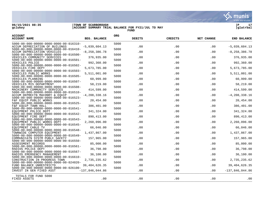

**gclukey |ACCOUNT SUMMARY TRIAL BALANCE FOR FY21/JUL TO MAY |glatrbal FUND** 



| <b>ACCOUNT</b><br><b>ACCOUNT NAME</b>                                                     | <b>BEG. BALANCE</b> | <b>ORG</b> | <b>DEBITS</b> | <b>CREDITS</b> | NET CHANGE | <b>END BALANCE</b> |
|-------------------------------------------------------------------------------------------|---------------------|------------|---------------|----------------|------------|--------------------|
| 5000-00-000-00000-0000-0000-00-016310-                                                    |                     | 5000       |               |                |            |                    |
| ACCUM DEPRECIATION OF BUILDNGS<br>$5000 - 00 - 000 - 00000 - 0000 - 0000 - 00 - 016410 -$ | $-5,039,604.13$     | 5000       | .00           | .00            | .00        | $-5,039,604.13$    |
| ACCUM DEPRECIATION VEHICLES                                                               | $-8, 258, 386.78$   |            | .00           | .00            | $.00 \,$   | $-8, 258, 386.78$  |
| $5000 - 00 - 000 - 00000 - 0000 - 0000 - 00 - 016500 -$                                   |                     | 5000       |               |                |            |                    |
| VEHICLES COMMUNITY SERVICES<br>5000-00-000-00000-0000-0000-00-016501-                     | 376,935.00          | 5000       | .00           | .00            | .00        | 376,935.00         |
| VEHICLES POLICE<br>5000-00-000-00000-0000-0000-00-016502-                                 | 992,360.00          | 5000       | .00           | .00            | .00        | 992,360.00         |
| VEHICLES FIRE DEPT                                                                        | 5,673,785.00        |            | .00           | .00            | .00        | 5,673,785.00       |
| $5000 - 00 - 000 - 00000 - 0000 - 0000 - 00 - 016503 -$                                   |                     | 5000       |               |                |            |                    |
| VEHICLES PUBLIC WORKS<br>5000-00-000-00000-0000-0000-00-016505-                           | 5,511,001.00        | 5000       | .00           | .00            | .00        | 5,511,001.00       |
| VEHICLES PLANNING                                                                         | 60,999.00           |            | .00           | .00            | .00        | 60,999.00          |
| 5000-00-000-00000-0000-0000-00-016507-<br>VEHICLES MIS DEPARTMENT                         | 58,219.00           | 5000       | .00           | .00            | .00        | 58,219.00          |
| 5000-00-000-00000-0000-0000-00-016508-                                                    |                     | 5000       |               |                |            |                    |
| MACHINERY COMMUNITY SERVICES                                                              | 414,599.00          |            | .00           | .00            | .00        | 414,599.00         |
| $5000 - 00 - 000 - 00000 - 0000 - 0000 - 00 - 016510 -$<br>ACCUM DEPRECTN MACHNRY & EOUIP | $-4, 208, 338.16$   | 5000       | .00           | .00            | .00        | $-4, 208, 338.16$  |
| $5000 - 00 - 000 - 00000 - 0000 - 0000 - 00 - 016523 -$                                   |                     | 5000       |               |                |            |                    |
| F&F EOUIP PUBLIC WORKS<br>5000-00-000-00000-0000-0000-00-016525-                          | 20,454.00           | 5000       | .00           | .00            | .00        | 20,454.00          |
| F&F EOUIP TOWN HALL                                                                       | 386,401.00          |            | .00           | .00            | .00        | 386,401.00         |
| $5000 - 00 - 000 - 00000 - 0000 - 0000 - 00 - 016541 -$<br>EOUIPMENT POLICE DEPT          | 341,324.00          | 5000       | .00           | .00            | .00        | 341,324.00         |
| 5000-00-000-00000-0000-0000-00-016542-                                                    |                     | 5000       |               |                |            |                    |
| EOUIPMENT FIRE DEPT<br>5000-00-000-00000-0000-0000-00-016543-                             | 890, 413.00         | 5000       | .00           | .00            | .00        | 890, 413.00        |
| EQUIPMENT PUBLIC WORKS DEPT                                                               | 2,260,096.00        |            | .00           | .00            | .00        | 2,260,096.00       |
| 5000-00-000-00000-0000-0000-00-016545-                                                    |                     | 5000       |               |                |            |                    |
| EOUIPMENT CABLE TV<br>5000-00-000-00000-0000-0000-00-016548-                              | 66,046.00           | 5000       | .00           | .00            | .00        | 66,046.00          |
| TOWNWIDE COMPUTER EOUIPMENT                                                               | 1,437,867.00        |            | .00           | .00            | .00        | 1,437,867.00       |
| 5000-00-000-00000-0000-0000-00-016549-<br>COMMUNICATN SYSTM PUBLC SAFETY                  | 157,965.00          | 5000       | .00           | .00            | .00        | 157,965.00         |
| $5000 - 00 - 000 - 00000 - 0000 - 0000 - 00 - 016550 -$                                   |                     | 5000       |               |                |            |                    |
| ASSESSMENT RECORDS<br>5000-00-000-00000-0000-0000-00-016561-                              | 85,000.00           | 5000       | .00           | .00            | .00        | 85,000.00          |
| RADIOS POLICE DEPT                                                                        | 36,798.00           |            | .00           | .00            | .00        | 36,798.00          |
| $5000 - 00 - 000 - 00000 - 0000 - 0000 - 00 - 016567 -$                                   |                     | 5000       | .00           | .00            | .00        | 36,100.00          |
| RADIOS EMERGENCY MANAGEMENT<br>5000-00-000-00000-0000-0000-00-016610-                     | 36,100.00           | 5000       |               |                |            |                    |
| CONSTRUCTION IN PROGRESS TOWN                                                             | 2,735,235.62        |            | .00           | .00            | .00        | 2,735,235.62       |
| 5000-00-000-00000-0000-0000-00-024020-<br>FUND BALANCE UNRESTRICTD                        | 39, 404, 626.35     | 5000       | .00           | .00            | .00        | 39, 404, 626.35    |
| $5000 - 00 - 000 - 00000 - 0000 - 0000 - 00 - 026100 -$                                   |                     | 5000       |               |                |            |                    |
| INVEST IN GEN FIXED ASST                                                                  | $-137,846,044.86$   |            | .00           | .00            | .00        | $-137,846,044.86$  |
| TOTALS FOR FUND 5000                                                                      |                     |            |               |                |            |                    |
| FIXED ASSETS                                                                              | .00                 |            | .00           | .00            | .00        | .00                |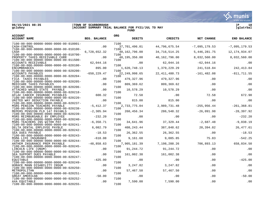

**gclukey |ACCOUNT SUMMARY TRIAL BALANCE FOR FY21/JUL TO MAY |glatrbal FUND** 



| <b>ACCOUNT</b><br><b>ACCOUNT NAME</b>                                                     | <b>BEG. BALANCE</b> | <b>ORG</b> | <b>DEBITS</b>   | <b>CREDITS</b>  | NET CHANGE      | <b>END BALANCE</b> |
|-------------------------------------------------------------------------------------------|---------------------|------------|-----------------|-----------------|-----------------|--------------------|
| $7100 - 00 - 000 - 00000 - 0000 - 0000 - 00 - 010001 -$<br>CASH-CONTROL                   | .00                 | 7100       | 37,701,496.01   | 44,796,675.54   | $-7,095,179.53$ | $-7,095,179.53$    |
| $7100 - 00 - 000 - 00000 - 0000 - 0000 - 00 - 010100 -$<br>CASH                           | 6,728,652.32        | 7100       | 40,162,796.00   | 34,716,514.25   | 5,446,281.75    | 12, 174, 934.07    |
| 7100-00-000-00000-0000-0000-00-010700-                                                    |                     | 7100       |                 |                 |                 |                    |
| PROPERTY TAXES RECEIVABLE CURR<br>7100-00-000-00000-0000-0000-00-011500-                  | .00                 | 7100       | 48, 195, 356.00 | 40,162,796.00   | 8,032,560.00    | 8,032,560.00       |
| ACCOUNTS RECEIVABLE<br>$7100 - 00 - 000 - 00000 - 0000 - 0000 - 00 - 020100 -$            | 62,044.16           | 7100       | $.00 \,$        | 62,044.16       | $-62,044.16$    | .00                |
| <b>ENCUMBRANCES</b>                                                                       | 895.00              |            | 1,620,748.13    | 1,379,229.29    | 241,518.84      | 242, 413.84        |
| 7100-00-000-00000-0000-0000-00-020200-<br>ACCOUNTS PAYABLES                               | $-650, 229.47$      | 7100       | 22, 249, 998.65 | 22, 411, 480.73 | $-161, 482.08$  | $-811, 711.55$     |
| $7100 - 00 - 000 - 00000 - 0000 - 0000 - 00 - 020204 -$<br>FICA TAXES PAYABLES            | .00                 | 7100       | 479,327.96      | 479,327.96      | $.00 \,$        | .00                |
| $7100 - 00 - 000 - 00000 - 0000 - 0000 - 00 - 020205 -$<br>MEDICARE TAXES PAYABLES        | .00                 | 7100       | 809, 369.62     | 809,369.62      | .00             | .00                |
| $7100 - 00 - 000 - 00000 - 0000 - 0000 - 00 - 020206 -$<br>ATTACHED WAGES STATE PAYABLE   | .00                 | 7100       | 10,578.29       | 10,578.29       | .00             | .00                |
| $7100 - 00 - 000 - 00000 - 0000 - 0000 - 00 - 020218 -$<br>AFLAC CANCER INSURANC PAYABLES | 600.32              | 7100       | 72.58           | $.00 \,$        | 72.58           | 672.90             |
| $7100 - 00 - 000 - 00000 - 0000 - 0000 - 00 - 020220 -$                                   |                     | 7100       |                 |                 |                 |                    |
| UNITED WAY DEDUCTION PAYABLE<br>$7100 - 00 - 000 - 00000 - 0000 - 0000 - 00 - 020237 -$   | .00                 | 7100       | 815.00          | 815.00          | .00             | .00                |
| MSRS PENSION TEACHERS PAYABLE                                                             | $-5,412.37$         |            | 2,733,775.04    | 2,989,731.48    | $-255, 956.44$  | $-261, 368.81$     |
| 7100-00-000-00000-0000-0000-00-020238-<br>MEPERS PENSION PLD 147 PAYABLS                  | $-2,305.94$         | 7100       | 260, 456. 34    | 286,548.32      | $-26,091.98$    | $-28, 397.92$      |
| $7100 - 00 - 000 - 00000 - 0000 - 0000 - 00 - 020239 -$<br>MSRS REIMBURSABLE BY EMPLOYEE  | $-232.20$           | 7100       | .00             | .00             | $.00 \,$        | $-232.20$          |
| $7100 - 00 - 000 - 00000 - 0000 - 0000 - 00 - 020240 -$<br>MSRS TEACHERS INS WITHH PAY    | $-6,350.71$         | 7100       | 34,641.96       | 37,329.44       | $-2,687.48$     | $-9,038.19$        |
| $7100 - 00 - 000 - 00000 - 0000 - 0000 - 00 - 020241 -$                                   |                     | 7100       |                 |                 |                 |                    |
| DELTA DENTAL EMPLOYEE PAYBLE<br>$7100 - 00 - 000 - 00000 - 0000 - 0000 - 00 - 020242 -$   | 6,082.79            | 7100       | 408, 243. 44    | 387,848.62      | 20,394.82       | 26, 477.61         |
| SEA DUES PAYABLE<br>$7100 - 00 - 000 - 00000 - 0000 - 0000 - 00 - 020243 -$               | $-18.53$            | 7100       | 26,362.55       | 26,362.55       | .00             | $-18.53$           |
| MSMA LIFE INSURANCE                                                                       | $-618.08$           |            | 9,161.68        | 9,085.85        | 75.83           | $-542.25$          |
| $7100 - 00 - 000 - 00000 - 0000 - 0000 - 00 - 020244 -$<br>ANTHEM INSURANCE PREM PAYABLE  | $-48,858.63$        | 7100       | 7,905,181.39    | 7,198,288.26    | 706,893.13      | 658,034.50         |
| $7100 - 00 - 000 - 00000 - 0000 - 0000 - 00 - 020245 -$<br>LINCOLN LIFE (UNUM)            | .00                 | 7100       | 91,244.72       | 91,244.72       | .00             | .00                |
| $7100 - 00 - 000 - 00000 - 0000 - 0000 - 00 - 020246 -$                                   |                     | 7100       |                 |                 |                 |                    |
| SEA SUPPORT DUES PAYABLE<br>$7100 - 00 - 000 - 00000 - 0000 - 0000 - 00 - 020247 -$       | .00                 | 7100       | 161,002.38      | 161,002.38      | $.00 \,$        | .00                |
| <b>EOUITABLE</b>                                                                          | $-425.00$           |            | .00             | .00             | .00             | $-425.00$          |
| 7100-00-000-00000-0000-0000-00-020249-<br>HORACE MANN DISABILITY INSUR                    | .00                 | 7100       | 3,247.82        | 3,247.82        | $.00 \,$        | .00                |
| $7100 - 00 - 000 - 00000 - 0000 - 0000 - 00 - 020250 -$<br>METROPOLITAN                   | .00                 | 7100       | 57,467.50       | 57,467.50       | .00             | .00                |
| 7100-00-000-00000-0000-0000-00-020251-                                                    |                     | 7100       |                 |                 |                 |                    |
| GREAT AMERICAN<br>$7100 - 00 - 000 - 00000 - 0000 - 0000 - 00 - 020252 -$                 | $-50.00$            | 7100       | .00             | .00             | .00             | $-50.00$           |
| AXA EOUITABLE<br>7100-00-000-00000-0000-0000-00-020255-                                   | .00                 | 7100       | 7,590.00        | 7,590.00        | .00             | .00                |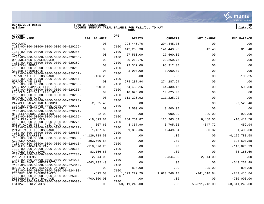**06/15/2021 08:35 |TOWN OF SCARBOROUGH |P 19**

**gclukey |ACCOUNT SUMMARY TRIAL BALANCE FOR FY21/JUL TO MAY |glatrbal FUND** 

| <b>ACCOUNT</b><br><b>ACCOUNT NAME</b>                                                     | <b>BEG. BALANCE</b> | <b>ORG</b>   | <b>DEBITS</b>   | <b>CREDITS</b> | NET CHANGE      | <b>END BALANCE</b> |
|-------------------------------------------------------------------------------------------|---------------------|--------------|-----------------|----------------|-----------------|--------------------|
| VANGUARD                                                                                  | .00                 |              | 294, 445. 76    | 294,445.76     | .00             | .00                |
| $7100 - 00 - 000 - 00000 - 0000 - 0000 - 00 - 020256 -$<br>FIDELITY                       | .00                 | 7100         | 142, 263.30     | 141,449.90     | 813.40          | 813.40             |
| $7100 - 00 - 000 - 00000 - 0000 - 0000 - 00 - 020257 -$                                   |                     | 7100         |                 |                |                 |                    |
| VALIC                                                                                     | .00                 |              | 27,560.00       | 27,560.00      | .00             | .00                |
| $7100 - 00 - 000 - 00000 - 0000 - 0000 - 00 - 020258 -$<br>OPPENHEIMER SHAREHOLDER        | .00                 | 7100         | 20,260.76       | 20,260.76      | .00             | .00                |
| $7100 - 00 - 000 - 00000 - 0000 - 0000 - 00 - 020259 -$<br>AMERICAN FUNDS                 | .00                 | 7100<br>7100 | 93, 312.00      | 93, 312.00     | .00             | .00                |
| $7100 - 00 - 000 - 00000 - 0000 - 0000 - 00 - 020260 -$<br>ALLIED INTERSTATE              | .00                 |              | 3,000.00        | 3,000.00       | .00             | .00                |
| $7100 - 00 - 000 - 00000 - 0000 - 0000 - 00 - 020261 -$                                   |                     | 7100         |                 |                |                 |                    |
| ING/AETNA LIFE INSURANCE<br>$7100 - 00 - 000 - 00000 - 0000 - 0000 - 00 - 020264 -$       | $-106.25$           | 7100         | .00             | .00            | .00             | $-106.25$          |
| HORACE MANN LIFE                                                                          | .00                 |              | 274, 287.94     | 274, 287.94    | .00             | .00                |
| $7100 - 00 - 000 - 00000 - 0000 - 0000 - 00 - 020265 -$<br>AMERICAN EXPRESS FINC IDS      | $-500.00$           | 7100         | 64,430.16       | 64,430.16      | .00             | $-500.00$          |
| $7100 - 00 - 000 - 00000 - 0000 - 0000 - 00 - 020266 -$                                   |                     | 7100         |                 |                |                 |                    |
| LINCOLN NATIONAL LIFE UNUM                                                                | .00                 |              | 10,625.00       | 10,625.00      | .00             | .00                |
| $7100 - 00 - 000 - 00000 - 0000 - 0000 - 00 - 020268 -$<br>HORACE MANN AUTO               | .00                 | 7100         | 111,225.92      | 111,225.92     | .00             | .00                |
| $7100 - 00 - 000 - 00000 - 0000 - 0000 - 00 - 020270 -$<br>PAYROLL BALANCING ACCOUNT      | $-2,525.46$         | 7100         | .00             | .00            | $.00 \,$        | $-2,525.46$        |
| $7100 - 00 - 000 - 00000 - 0000 - 0000 - 00 - 020271 -$<br>PRIMERICA FINANCIAL SERVICES   | .00                 | 7100         | 3,500.00        | 3,500.00       | .00             | .00                |
| $7100 - 00 - 000 - 00000 - 0000 - 0000 - 00 - 020274 -$                                   |                     | 7100         |                 |                |                 |                    |
| MISCELLANEOUS DEDUCTION                                                                   | $-22.00$            |              | .00             | 900.00         | $-900.00$       | $-922.00$          |
| 7100-00-000-00000-0000-0000-00-020275-                                                    |                     | 7100         |                 |                |                 |                    |
| FLEX PLAN WITHHELD<br>$7100 - 00 - 000 - 00000 - 0000 - 0000 - 00 - 020276 -$             | $-18,899.81$        | 7100         | 134,751.87      | 126,263.84     | 8,488.03        | $-10, 411.78$      |
| HRSUP ADMIN FEE - FLEX PLAN                                                               | 807.66              |              | 3,357.90        | 3,705.62       | $-347.72$       | 459.94             |
| $7100 - 00 - 000 - 00000 - 0000 - 0000 - 00 - 020277 -$                                   |                     | 7100         |                 |                |                 |                    |
| PRINCIPAL LIFE INSURANCE                                                                  | 1,137.68            |              | 1,809.36        | 1,449.04       | 360.32          | 1,498.00           |
| $7100 - 00 - 000 - 00000 - 0000 - 0000 - 00 - 020600 -$                                   |                     | 7100         |                 |                |                 |                    |
| <b>ACCRUED SALARIES</b><br>$7100 - 00 - 000 - 00000 - 0000 - 0000 - 00 - 020605 -$        | $-4, 126, 788.58$   | 7100         | .00             | .00            | $.00 \,$        | $-4, 126, 788.58$  |
| <b>ACCRUED WAGES</b>                                                                      | $-393,600.58$       |              | .00             | .00            | $.00 \,$        | $-393,600.58$      |
| $7100 - 00 - 000 - 00000 - 0000 - 0000 - 00 - 020610 -$                                   |                     | 7100         |                 |                |                 |                    |
| ACCRUED VACATION PAY                                                                      | $-118,826.23$       |              | .00             | .00            | .00             | $-118,826.23$      |
| 7100-00-000-00000-0000-0000-00-020615-<br>ACCRUED SICK LEAVE                              | $-83, 166.60$       | 7100         | .00             | .00            | $.00 \,$        | $-83, 166.60$      |
| $7100 - 00 - 000 - 00000 - 0000 - 0000 - 00 - 022200 -$<br>PREPAID ITEMS                  | 2,844.00            | 7100         | .00             | 2,844.00       | $-2,844.00$     | .00                |
| 7100-00-000-00000-0000-0000-00-024020-                                                    |                     | 7100         |                 |                |                 |                    |
| FUND BALANCE UNRESTRICTD<br>$7100 - 00 - 000 - 00000 - 0000 - 0000 - 00 - 024310 -$       | $-643, 232.49$      | 7100         | .00             | .00            | .00             | $-643, 232.49$     |
| BUDGETARY FUND BALANCE UNRSRVD<br>$7100 - 00 - 000 - 00000 - 0000 - 0000 - 00 - 024400 -$ | .00                 | 7100         | 895.00          | .00            | 895.00          | 895.00             |
| RESERVE FOR ENCUMBRANCES                                                                  | $-895.00$           |              | 1,379,229.29    | 1,620,748.13   | $-241,518.84$   | $-242, 413.84$     |
| $7100 - 00 - 000 - 00000 - 0000 - 0000 - 00 - 025310 -$                                   |                     | 7100         |                 |                |                 |                    |
| DESIGNATED FUND BALANCE                                                                   | $-700,000.00$       |              | .00             | .00            | .00             | $-700,000.00$      |
| $7100 - 00 - 000 - 00000 - 0000 - 0000 - 00 - 030000 -$<br>ESTIMATED REVENUES             | .00                 | 7100         | 53, 311, 243.00 | .00            | 53, 311, 243.00 | 53, 311, 243.00    |

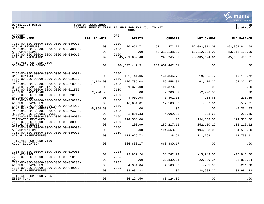$06/15/2021$  08:35<br>gclukey

|                                                                                  | $\mathcal{C}$ : munis<br>a tyler erp solution |
|----------------------------------------------------------------------------------|-----------------------------------------------|
| TOWN OF SCARBOROUGH<br>ACCOUNT SUMMARY TRIAL BALANCE FOR FY21/JUL TO MAY<br>FUND | 20<br> glatrbal                               |

| <b>ACCOUNT</b><br><b>ACCOUNT NAME</b>                                                                                                                                                                                                                                                                                                                                                                                                                                                                                                                                                                                                                                                                                                                                                                                                                                                                                                                                                              | <b>BEG. BALANCE</b>                                                                                 | <b>ORG</b>                                                                                   | <b>DEBITS</b>                                                                                                                         | <b>CREDITS</b>                                                                                                                             | <b>NET CHANGE</b>                                                                                                                                           | <b>END BALANCE</b>                                                                                                                                            |
|----------------------------------------------------------------------------------------------------------------------------------------------------------------------------------------------------------------------------------------------------------------------------------------------------------------------------------------------------------------------------------------------------------------------------------------------------------------------------------------------------------------------------------------------------------------------------------------------------------------------------------------------------------------------------------------------------------------------------------------------------------------------------------------------------------------------------------------------------------------------------------------------------------------------------------------------------------------------------------------------------|-----------------------------------------------------------------------------------------------------|----------------------------------------------------------------------------------------------|---------------------------------------------------------------------------------------------------------------------------------------|--------------------------------------------------------------------------------------------------------------------------------------------|-------------------------------------------------------------------------------------------------------------------------------------------------------------|---------------------------------------------------------------------------------------------------------------------------------------------------------------|
| $7100 - 00 - 000 - 00000 - 0000 - 0000 - 00 - 030010 -$<br><b>ACTUAL REVENUES</b><br>$7100 - 00 - 000 - 00000 - 0000 - 0000 - 00 - 040000 -$<br>APPROPRIATIONS<br>$7100 - 00 - 000 - 00000 - 0000 - 0000 - 00 - 040010 -$<br><b>ACTUAL EXPENDITURES</b>                                                                                                                                                                                                                                                                                                                                                                                                                                                                                                                                                                                                                                                                                                                                            | .00<br>.00                                                                                          | 7100<br>7100<br>7100                                                                         | 20,661.71<br>.00<br>45,781,650.48                                                                                                     | 52, 114, 472. 79<br>53, 312, 138.00<br>296, 245.87                                                                                         | $-52,093,811.08$<br>$-53, 312, 138.00$<br>45, 485, 404.61                                                                                                   | $-52,093,811.08$<br>$-53, 312, 138.00$<br>45, 485, 404.61                                                                                                     |
| TOTALS FOR FUND 7100<br>GENERAL FUND SCHOOL                                                                                                                                                                                                                                                                                                                                                                                                                                                                                                                                                                                                                                                                                                                                                                                                                                                                                                                                                        | .00<br>.00                                                                                          |                                                                                              | 264,607,442.51                                                                                                                        | 264,607,442.51                                                                                                                             | .00                                                                                                                                                         | .00                                                                                                                                                           |
| $7150 - 00 - 000 - 00000 - 0000 - 0000 - 00 - 010001 -$<br>CASH-CONTROL<br>$7150 - 00 - 000 - 00000 - 0000 - 0000 - 00 - 010100 -$<br>CASH<br>$7150 - 00 - 000 - 00000 - 0000 - 0000 - 00 - 010700 -$<br>CURRENT YEAR PROPERTY TAXES<br>7150-00-000-00000-0000-0000-00-011500-<br>ACCOUNTS RECEIVABLES<br>$7150 - 00 - 000 - 00000 - 0000 - 0000 - 00 - 020100 -$<br><b>ENCUMBRANCES</b><br>$7150 - 00 - 000 - 00000 - 0000 - 0000 - 00 - 020200 -$<br>ACCOUNTS PAYABLES<br>$7150 - 00 - 000 - 00000 - 0000 - 0000 - 00 - 024020 -$<br>FUND BALANCE UNRESTRICTD<br>$7150 - 00 - 000 - 00000 - 0000 - 0000 - 00 - 024400 -$<br>RESERVE FOR ENCUMBRANCES<br>$7150 - 00 - 000 - 00000 - 0000 - 0000 - 00 - 030000 -$<br>ESTIMATED REVENUES<br>$7150 - 00 - 000 - 00000 - 0000 - 0000 - 00 - 030010 -$<br><b>ACTUAL REVENUES</b><br>$7150 - 00 - 000 - 00000 - 0000 - 0000 - 00 - 040000 -$<br>APPROPRIATIONS<br>$7150 - 00 - 000 - 00000 - 0000 - 0000 - 00 - 040010 -$<br><b>ACTUAL EXPENDITURES</b> | .00<br>3,148.00<br>.00<br>2,206.53<br>.00<br>.00<br>$-5, 354.53$<br>.00<br>.00<br>.00<br>.00<br>.00 | 7150<br>7150<br>7150<br>7150<br>7150<br>7150<br>7150<br>7150<br>7150<br>7150<br>7150<br>7150 | 122,741.06<br>120,735.08<br>91,370.00<br>.00<br>4,009.98<br>16,631.01<br>.00<br>3,801.33<br>194,558.00<br>106.99<br>.00<br>112,926.72 | 141,846.78<br>59,558.81<br>91,370.00<br>2,206.53<br>3,801.33<br>17,183.02<br>.00<br>4,009.98<br>.00<br>152, 217.11<br>194,558.00<br>128.61 | $-19, 105.72$<br>61,176.27<br>.00<br>$-2, 206.53$<br>208.65<br>$-552.01$<br>.00<br>$-208.65$<br>194,558.00<br>$-152, 110.12$<br>$-194,558.00$<br>112,798.11 | $-19, 105.72$<br>64, 324. 27<br>.00<br>.00<br>208.65<br>$-552.01$<br>$-5, 354.53$<br>$-208.65$<br>194,558.00<br>$-152, 110.12$<br>$-194,558.00$<br>112,798.11 |
| TOTALS FOR FUND 7150<br>ADULT EDUCATION                                                                                                                                                                                                                                                                                                                                                                                                                                                                                                                                                                                                                                                                                                                                                                                                                                                                                                                                                            | .00                                                                                                 |                                                                                              | 666,880.17                                                                                                                            | 666,880.17                                                                                                                                 | .00                                                                                                                                                         | .00                                                                                                                                                           |
| $7205 - 00 - 000 - 00000 - 0000 - 0000 - 00 - 010001 -$<br>CASH-CONTROL<br>$7205 - 00 - 000 - 00000 - 0000 - 0000 - 00 - 010100 -$<br>CASH<br>$7205 - 00 - 000 - 00000 - 0000 - 0000 - 00 - 020200 -$<br>ACCOUNTS PAYABLES<br>$7205 - 00 - 000 - 00000 - 0000 - 0000 - 00 - 040010 -$<br><b>ACTUAL EXPENDITURES</b>                                                                                                                                                                                                                                                                                                                                                                                                                                                                                                                                                                                                                                                                                | .00<br>.00<br>$.00 \,$<br>.00                                                                       | 7205<br>7205<br>7205<br>7205                                                                 | 22,839.24<br>.00<br>4,301.04<br>38,984.22                                                                                             | 38,782.24<br>22,839.24<br>4,503.02<br>.00                                                                                                  | $-15,943.00$<br>$-22,839.24$<br>$-201.98$<br>38,984.22                                                                                                      | $-15,943.00$<br>$-22,839.24$<br>$-201.98$<br>38,984.22                                                                                                        |
| TOTALS FOR FUND 7205<br>ESSER FUND                                                                                                                                                                                                                                                                                                                                                                                                                                                                                                                                                                                                                                                                                                                                                                                                                                                                                                                                                                 | .00                                                                                                 |                                                                                              | 66,124.50                                                                                                                             | 66,124.50                                                                                                                                  | .00                                                                                                                                                         | .00                                                                                                                                                           |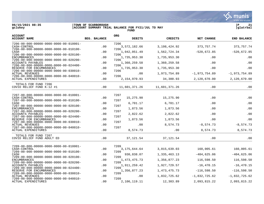

**06/15/2021 08:35 |TOWN OF SCARBOROUGH |P 21**

| gclukey | ACCOUNT SUMMARY TRIAL BALANCE FOR FY21/JUL TO MAY | qlatrbal |
|---------|---------------------------------------------------|----------|
|         | <b>FUNI</b>                                       |          |

| <b>ACCOUNT</b><br><b>ACCOUNT NAME</b>                                               | <b>BEG. BALANCE</b> | <b>ORG</b><br><b>DEBITS</b> | <b>CREDITS</b>  | <b>NET CHANGE</b> | <b>END BALANCE</b> |
|-------------------------------------------------------------------------------------|---------------------|-----------------------------|-----------------|-------------------|--------------------|
| 7206-00-000-00000-0000-0000-00-010001-<br>CASH-CONTROL                              | .00                 | 7206<br>3,572,182.66        | 3, 198, 424.92  | 373,757.74        | 373, 757. 74       |
| $7206 - 00 - 000 - 00000 - 0000 - 0000 - 00 - 010100 -$<br>CASH                     | .00                 | 7206<br>1,042,051.49        | 1,562,724.34    | $-520,672.85$     | $-520,672.85$      |
| 7206-00-000-00000-0000-0000-00-020100-                                              |                     | 7206                        |                 |                   |                    |
| <b>ENCUMBRANCES</b><br>7206-00-000-00000-0000-0000-00-020200-                       | .00                 | 1,735,953.30<br>7206        | 1,735,953.30    | .00               | .00                |
| ACCOUNTS PAYABLES<br>7206-00-000-00000-0000-0000-00-024400-                         | .00                 | 1,360,259.58<br>7206        | 1,360,259.58    | .00               | .00                |
| RESERVE FOR ENCUMBRANCES                                                            | .00                 | 1,735,953.30                | 1,735,953.30    | .00               | .00                |
| 7206-00-000-00000-0000-0000-00-030010-<br><b>ACTUAL REVENUES</b>                    | .00                 | 7206<br>.00                 | 1,973,754.89    | $-1,973,754.89$   | $-1,973,754.89$    |
| 7206-00-000-00000-0000-0000-00-040010-<br><b>ACTUAL EXPENDITURES</b>                | .00                 | 7206<br>2, 154, 970.93      | 34,300.93       | 2,120,670.00      | 2,120,670.00       |
| TOTALS FOR FUND 7206<br>COVID RELIEF FUND K-12 #1                                   | .00                 | 11,601,371.26               | 11,601,371.26   | .00               | .00                |
| 7207-00-000-00000-0000-0000-00-010001-                                              |                     | 7207                        |                 |                   |                    |
| CASH-CONTROL<br>7207-00-000-00000-0000-0000-00-010100-                              | .00.                | 15,275.90<br>7207           | 15,275.90       | .00               | .00                |
| CASH                                                                                | .00                 | 6,701.17<br>7207            | 6,701.17        | .00               | .00                |
| 7207-00-000-00000-0000-0000-00-020100-<br><b>ENCUMBRANCES</b>                       | .00                 | 1,873.56                    | 1,873.56        | .00               | .00                |
| 7207-00-000-00000-0000-0000-00-020200-<br><b>ACCOUNTS PAYABLES</b>                  | .00                 | 7207<br>2,822.62            | 2,822.62        | .00               | .00                |
| $7207 - 00 - 000 - 00000 - 0000 - 0000 - 00 - 024400 -$<br>RESERVE FOR ENCUMBRANCES | .00                 | 7207<br>1,873.56            | 1,873.56        | .00               | .00                |
| $7207 - 00 - 000 - 00000 - 0000 - 0000 - 00 - 030010 -$                             |                     | 7207                        |                 |                   |                    |
| <b>ACTUAL REVENUES</b><br>7207-00-000-00000-0000-0000-00-040010-                    | .00                 | .00<br>7207                 | 8,574.73        | $-8, 574.73$      | $-8,574.73$        |
| ACTUAL EXPENDITURES                                                                 | .00                 | 8,574.73                    | .00             | 8,574.73          | 8,574.73           |
| TOTALS FOR FUND 7207<br>COVID RELIEF FUND ADULT ED                                  | .00                 | 37, 121.54                  | 37, 121.54      | .00               | .00                |
|                                                                                     |                     |                             |                 |                   |                    |
| 7209-00-000-00000-0000-0000-00-010001-<br>CASH-CONTROL                              | .00                 | 7209<br>3, 175, 644. 64     | 3,015,639.03    | 160,005.61        | 160,005.61         |
| 7209-00-000-00000-0000-0000-00-010100-<br>CASH                                      | $.00 \,$            | 7209<br>930,838.07          | 1,335,463.13    | $-404, 625.06$    | $-404,625.06$      |
| 7209-00-000-00000-0000-0000-00-020100-<br><b>ENCUMBRANCES</b>                       | .00                 | 7209<br>1, 473, 475. 73     | 1,356,877.23    | 116,598.50        | 116,598.50         |
| 7209-00-000-00000-0000-0000-00-020200-                                              |                     | 7209                        |                 |                   |                    |
| ACCOUNTS PAYABLES<br>7209-00-000-00000-0000-0000-00-024400-                         | .00                 | 1,911,259.42<br>7209        | 1,927,729.57    | $-16,470.15$      | $-16, 470.15$      |
| RESERVE FOR ENCUMBRANCES<br>7209-00-000-00000-0000-0000-00-030010-                  | .00                 | 1,356,877.23<br>7209        | 1, 473, 475. 73 | $-116,598.50$     | $-116,598.50$      |
| <b>ACTUAL REVENUES</b>                                                              | .00                 | .00                         | 1,832,725.62    | $-1,832,725.62$   | $-1,832,725.62$    |
| 7209-00-000-00000-0000-0000-00-040010-<br>ACTUAL EXPENDITURES                       | .00.                | 7209<br>2,106,119.11        | 12,303.89       | 2,093,815.22      | 2,093,815.22       |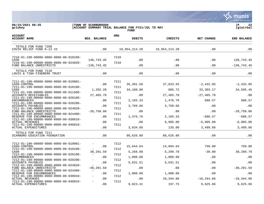**∵∴** munis a tyler erp solution

# **06/15/2021 08:35 |TOWN OF SCARBOROUGH |P 22 gclukey |ACCOUNT SUMMARY TRIAL BALANCE FOR FY21/JUL TO MAY |glatrbal FUND**

| <b>ACCOUNT</b><br><b>ACCOUNT NAME</b>                                                                                                                                                                                                                                                                                                                                                                                                                                                                                                                                                              | <b>BEG. BALANCE</b>                                                             | <b>ORG</b>                                                           | <b>DEBITS</b>                                                                                | <b>CREDITS</b>                                                                                    | NET CHANGE                                                                                                | <b>END BALANCE</b>                                                                                       |
|----------------------------------------------------------------------------------------------------------------------------------------------------------------------------------------------------------------------------------------------------------------------------------------------------------------------------------------------------------------------------------------------------------------------------------------------------------------------------------------------------------------------------------------------------------------------------------------------------|---------------------------------------------------------------------------------|----------------------------------------------------------------------|----------------------------------------------------------------------------------------------|---------------------------------------------------------------------------------------------------|-----------------------------------------------------------------------------------------------------------|----------------------------------------------------------------------------------------------------------|
| TOTALS FOR FUND 7209<br>COVID RELIEF FUND K-12 #2                                                                                                                                                                                                                                                                                                                                                                                                                                                                                                                                                  | .00                                                                             |                                                                      | 10,954,214.20                                                                                | 10,954,214.20                                                                                     | .00                                                                                                       | .00                                                                                                      |
| 7210-01-190-00000-0000-0000-00-010100-<br>CASH<br>7210-01-190-00000-0000-0000-00-024020-<br>FUND BALANCE UNRESTRICTD                                                                                                                                                                                                                                                                                                                                                                                                                                                                               | 136,743.45<br>$-136, 743.45$                                                    | 7210<br>7210                                                         | .00<br>.00                                                                                   | .00<br>.00                                                                                        | .00<br>.00                                                                                                | 136,743.45<br>$-136, 743.45$                                                                             |
| TOTALS FOR FUND 7210<br>LOUIS & TINA FINEBERG TRUST                                                                                                                                                                                                                                                                                                                                                                                                                                                                                                                                                | .00                                                                             |                                                                      | .00                                                                                          | .00                                                                                               | .00                                                                                                       | .00                                                                                                      |
| 7211-01-190-00000-0000-0000-00-010001-<br>CASH-CONTROL<br>7211-01-190-00000-0000-0000-00-010100-<br>CASH<br>7211-01-190-00000-0000-0000-00-011500-<br>ACCOUNTS RECEIVABLES<br>7211-01-190-00000-0000-0000-00-020100-<br><b>ENCUMBRANCES</b><br>7211-01-190-00000-0000-0000-00-020200-<br>ACCOUNTS PAYABLES<br>7211-01-190-00000-0000-0000-00-024020-<br>FUND BALANCE UNRESTRICTD<br>7211-01-190-00000-0000-0000-00-024400-<br>RESERVE FOR ENCUMBRANCES<br>7211-01-190-00000-0000-0000-00-030010-<br><b>ACTUAL REVENUES</b><br>7211-01-190-00000-0000-0000-00-040010-<br><b>ACTUAL EXPENDITURES</b> | .00<br>1,292.28<br>27,465.78<br>.00<br>.00<br>$-28,758.06$<br>.00<br>.00<br>.00 | 7211<br>7211<br>7211<br>7211<br>7211<br>7211<br>7211<br>7211<br>7211 | 35, 391.50<br>34,188.89<br>.00<br>2,165.33<br>3,769.66<br>.00<br>1,476.76<br>.00<br>3,634.66 | 37,823.55<br>885.72<br>27,465.78<br>1,476.76<br>3,769.66<br>.00<br>2,165.33<br>6,905.00<br>135.00 | $-2,432.05$<br>33,303.17<br>$-27, 465.78$<br>688.57<br>.00<br>.00<br>$-688.57$<br>$-6,905.00$<br>3,499.66 | $-2,432.05$<br>34,595.45<br>.00<br>688.57<br>.00<br>$-28,758.06$<br>$-688.57$<br>$-6,905.00$<br>3,499.66 |
| TOTALS FOR FUND 7211<br>SCARBORO EDUCATION FOUNDATION                                                                                                                                                                                                                                                                                                                                                                                                                                                                                                                                              | .00                                                                             |                                                                      | 80,626.80                                                                                    | 80,626.80                                                                                         | .00                                                                                                       | .00                                                                                                      |
| 7212-01-190-00000-0000-0000-00-010001-<br>CASH-CONTROL<br>7212-01-190-00000-0000-0000-00-010100-<br>CASH<br>7212-01-190-00000-0000-0000-00-020100-<br><b>ENCUMBRANCES</b><br>7212-01-190-00000-0000-0000-00-020200-<br>ACCOUNTS PAYABLES<br>7212-01-190-00000-0000-0000-00-024020-<br>FUND BALANCE UNRESTRICTD<br>7212-01-190-00000-0000-0000-00-024400-<br>RESERVE FOR ENCUMBRANCES<br>7212-01-190-00000-0000-0000-00-030010-<br><b>ACTUAL REVENUES</b>                                                                                                                                           | .00<br>30,291.59<br>.00<br>.00<br>$-30, 291.59$<br>.00<br>.00                   | 7212<br>7212<br>7212<br>7212<br>7212<br>7212<br>7212                 | 15,644.64<br>5,268.98<br>1,000.00<br>5,631.51<br>.00<br>1,000.00<br>.00                      | 14,894.64<br>5,299.78<br>1,000.00<br>5,631.51<br>.00<br>1,000.00<br>10,344.86                     | 750.00<br>$-30.80$<br>.00<br>.00<br>.00<br>.00<br>$-10,344.86$                                            | 750.00<br>30,260.79<br>.00<br>.00<br>$-30, 291.59$<br>.00<br>$-10, 344.86$                               |
| 7212-01-190-00000-0000-0000-00-040010-<br><b>ACTUAL EXPENDITURES</b>                                                                                                                                                                                                                                                                                                                                                                                                                                                                                                                               | .00                                                                             | 7212                                                                 | 9,823.41                                                                                     | 197.75                                                                                            | 9,625.66                                                                                                  | 9,625.66                                                                                                 |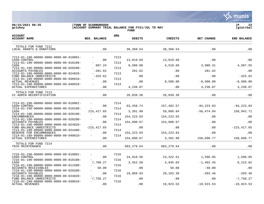∵ munis a tyler erp solution

**gclukey |ACCOUNT SUMMARY TRIAL BALANCE FOR FY21/JUL TO MAY |glatrbal**

# **06/15/2021 08:35 |TOWN OF SCARBOROUGH |P 23**

|                                                                                                                                                                                                                                                                                                                                                                                                                                                                                             |                                                                 |                                                      | <b>FUND</b>                                                                              |                                                                                        |                                                                          |                                                                                  |  |
|---------------------------------------------------------------------------------------------------------------------------------------------------------------------------------------------------------------------------------------------------------------------------------------------------------------------------------------------------------------------------------------------------------------------------------------------------------------------------------------------|-----------------------------------------------------------------|------------------------------------------------------|------------------------------------------------------------------------------------------|----------------------------------------------------------------------------------------|--------------------------------------------------------------------------|----------------------------------------------------------------------------------|--|
| <b>ACCOUNT</b><br><b>ACCOUNT NAME</b>                                                                                                                                                                                                                                                                                                                                                                                                                                                       | <b>BEG. BALANCE</b>                                             | <b>ORG</b>                                           | <b>DEBITS</b>                                                                            | <b>CREDITS</b>                                                                         | NET CHANGE                                                               | <b>END BALANCE</b>                                                               |  |
| TOTALS FOR FUND 7212<br>LOCAL GRANTS & DONATIONS                                                                                                                                                                                                                                                                                                                                                                                                                                            | .00                                                             |                                                      | 38, 368.54                                                                               | 38,368.54                                                                              | .00                                                                      | .00                                                                              |  |
| 7213-01-190-00000-0000-0000-00-010001-<br>CASH-CONTROL<br>7213-01-190-00000-0000-0000-00-010100-<br>CASH<br>7213-01-190-00000-0000-0000-00-020200-<br>ACCOUNTS PAYABLES<br>7213-01-190-00000-0000-0000-00-024020-<br>FUND BALANCE UNRESTRICTD<br>$7213 - 01 - 190 - 00000 - 0000 - 0000 - 00 - 030010 -$<br><b>ACTUAL REVENUES</b><br>7213-01-190-00000-0000-0000-00-040010-<br>ACTUAL EXPENDITURES                                                                                         | .00<br>607.24<br>$-281.62$<br>$-325.62$<br>.00<br>.00           | 7213<br>7213<br>7213<br>7213<br>7213<br>7213         | 13,019.69<br>8,500.00<br>281.62<br>.00<br>.00<br>4,238.07                                | 13,019.69<br>4,519.69<br>.00<br>.00<br>8,500.00<br>.00                                 | .00<br>3,980.31<br>281.62<br>.00<br>$-8,500.00$<br>4,238.07              | .00<br>4,587.55<br>.00<br>$-325.62$<br>$-8,500.00$<br>4,238.07                   |  |
| TOTALS FOR FUND 7213<br>CC ADMIN RECERTIFICATION                                                                                                                                                                                                                                                                                                                                                                                                                                            | .00                                                             |                                                      | 26,039.38                                                                                | 26,039.38                                                                              | .00                                                                      | .00                                                                              |  |
| 7214-01-190-00000-0000-0000-00-010001-<br>CASH-CONTROL<br>7214-01-190-00000-0000-0000-00-010100-<br>CASH<br>7214-01-190-00000-0000-0000-00-020100-<br><b>ENCUMBRANCES</b><br>7214-01-190-00000-0000-0000-00-020200-<br><b>ACCOUNTS PAYABLES</b><br>7214-01-190-00000-0000-0000-00-024020-<br>FUND BALANCE UNRESTRICTD<br>7214-01-190-00000-0000-0000-00-024400-<br>RESERVE FOR ENCUMBRANCES<br>7214-01-190-00000-0000-0000-00-040010-<br><b>ACTUAL EXPENDITURES</b><br>TOTALS FOR FUND 7214 | .00<br>215,417.65<br>.00<br>.00<br>$-215, 417.65$<br>.00<br>.00 | 7214<br>7214<br>7214<br>7214<br>7214<br>7214<br>7214 | 63, 258. 74<br>3,391.90<br>154, 223.83<br>154,090.67<br>.00<br>154, 223.83<br>154,090.67 | 157,482.57<br>59,866.84<br>154, 223.83<br>154,090.67<br>.00<br>154, 223.83<br>3,391.90 | $-94, 223.83$<br>$-56, 474.94$<br>.00<br>.00<br>.00<br>.00<br>150,698.77 | $-94, 223.83$<br>158,942.71<br>.00<br>.00<br>$-215, 417.65$<br>.00<br>150,698.77 |  |
| TECH MAINTENANCE<br>7216-01-190-00000-0000-0000-00-010001-                                                                                                                                                                                                                                                                                                                                                                                                                                  | .00                                                             | 7216                                                 | 683, 279.64                                                                              | 683, 279.64                                                                            | .00                                                                      | .00                                                                              |  |
| CASH-CONTROL<br>7216-01-190-00000-0000-0000-00-010100-<br>CASH<br>7216-01-190-00000-0000-0000-00-011500-<br>ACCOUNTS RECEIVABLES                                                                                                                                                                                                                                                                                                                                                            | .00<br>7,708.27<br>50.00                                        | 7216<br>7216                                         | 24,918.56<br>3,452.58<br>.00                                                             | 23,322.51<br>4,945.03<br>50.00                                                         | 1,596.05<br>$-1,492.45$<br>$-50.00$                                      | 1,596.05<br>6,215.82<br>.00                                                      |  |
| 7216-01-190-00000-0000-0000-00-020200-<br>ACCOUNTS PAYABLES<br>7216-01-190-00000-0000-0000-00-024020-<br>FUND BALANCE UNRESTRICTD                                                                                                                                                                                                                                                                                                                                                           | .00<br>$-7,758.27$                                              | 7216<br>7216                                         | 19,869.93<br>.00                                                                         | 20,163.39<br>.00                                                                       | $-293.46$<br>.00                                                         | $-293.46$<br>$-7,758.27$                                                         |  |
| 7216-01-190-00000-0000-0000-00-030010-<br><b>ACTUAL REVENUES</b>                                                                                                                                                                                                                                                                                                                                                                                                                            | .00                                                             | 7216                                                 | .00                                                                                      | 19,923.53                                                                              | $-19,923.53$                                                             | $-19,923.53$                                                                     |  |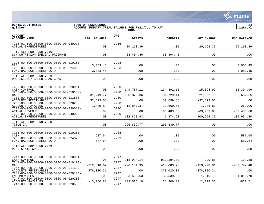

TOTALS FOR FUND 7216 SCH NUTRITION SPECIAL PROGRAMS . 00 .00 68.404.46 68.404.46 . 00 .00 .00 .00  $-00,401,100$   $-00,401,40$   $-00,401,40$   $-00,401,40$ 7223-00-000-00000-0000-0000-00-010100- 7223 CASH 3,083.45 .00 .00 .00 3,083.45 7223-00-000-00000-0000-0000-00-024020- 7223 FUND BALANCE UNRESTRICTD  $-3.083.45$  .00 .00 .00 .00 -3,083.45 \_\_\_\_\_\_\_\_\_\_\_\_\_\_\_\_\_\_\_\_\_\_\_\_\_\_\_\_\_\_\_\_\_\_\_\_\_\_\_\_\_\_\_\_\_\_\_\_\_\_\_\_\_\_\_\_\_\_\_\_\_\_\_\_\_\_\_\_\_\_\_\_\_\_\_\_\_\_\_\_\_\_\_\_\_\_\_\_\_\_\_\_\_\_\_\_\_\_\_\_\_\_\_\_\_\_\_\_\_\_\_\_\_\_\_\_\_\_\_\_\_\_\_\_\_\_\_\_\_\_\_\_ TOTALS FOR FUND 7223 PROFICIENCY-BASED GRAD GRANT .00 .00 .00 .00 .00 \_\_\_\_\_\_\_\_\_\_\_\_\_\_\_\_\_\_\_\_\_\_\_\_\_\_\_\_\_\_\_\_\_\_\_\_\_\_\_\_\_\_\_\_\_\_\_\_\_\_\_\_\_\_\_\_\_\_\_\_\_\_\_\_\_\_\_\_\_\_\_\_\_\_\_\_\_\_\_\_\_\_\_\_\_\_\_\_\_\_\_\_\_\_\_\_\_\_\_\_\_\_\_\_\_\_\_\_\_\_\_\_\_\_\_\_\_\_\_\_\_\_\_\_\_\_\_\_\_\_\_\_ 7230-00-000-00000-0000-0000-00-010001- 7230 CASH-CONTROL .00 149,787.11 134,392.12 15,394.99 15,394.99 7230-00-000-00000-0000-0000-00-010100- 7230 CASH -31,249.77 30,376.36 51,729.14 -21,352.78 -52,602.55 7230-00-000-00000-0000-0000-00-011500- 7230 ACCOUNTS RECEIVABLES 32,699.66 .00 32,699.66 -32,699.66 .00 7230-00-000-00000-0000-0000-00-020200-<br>ACCOUNTS PAYABLES - 72300-020200-ACCOUNTS PAYABLES -1,449.89 -1,449.89 13,847.37 12,660.54 1,186.83 -263.06 7230-00-000-00000-0000-0000-00-030010- 7230 ACTUAL REVENUES .00 .00 63,483.68 -63,483.68 -63,483.68 7230-00-000-00000-0000-0000-00-040010- 7230 ACTUAL EXPENDITURES .00 .00 102,828.93 1,874.63 100,954.30 100,954.30 100,954.30  $\frac{1}{102,020.95}$   $\frac{1}{100,951.50}$   $\frac{1}{100,951.50}$   $\frac{1}{100,951.50}$ TOTALS FOR FUND 7230<br>TITLE IA TITLE IA .00 296,839.77 296,839.77 .00 .00  $\frac{250,039.17}{250,039.17}$  .00 7233-00-000-00000-0000-0000-00-010100- - 7233 CASH 587.64 .00 .00 .00 587.64 7233-00-000-00000-0000-0000-00-024020- - 7233 FUND BALANCE UNRESTRICTD  $-587.64$  .00 .00 .00 .00 -587.64 POND DALANCE ONLESSINICID TOTALS FOR FUND 7233<br>PEPG STATE GRANT PEPG STATE GRANT .00 .00 .00 .00 .00 \_\_\_\_\_\_\_\_\_\_\_\_\_\_\_\_\_\_\_\_\_\_\_\_\_\_\_\_\_\_\_\_\_\_\_\_\_\_\_\_\_\_\_\_\_\_\_\_\_\_\_\_\_\_\_\_\_\_\_\_\_\_\_\_\_\_\_\_\_\_\_\_\_\_\_\_\_\_\_\_\_\_\_\_\_\_\_\_\_\_\_\_\_\_\_\_\_\_\_\_\_\_\_\_\_\_\_\_\_\_\_\_\_\_\_\_\_\_\_\_\_\_\_\_\_\_\_\_\_\_\_\_ 7247-00-000-00000-0000-0000-00-010001- 7247 CASH-CONTROL .00 918,994.14 919,194.02 -199.88 -199.88 7247-00-000-00000-0000-0000-00-010100- 7247 410 ,083.76 -312 ,818.67 290 ,154 .95 410 ,083.76 -119 ,928.81 -432 ,747 .48 7247-00-000-00000-0000-0000-00-011500- 7247 ACCOUNTS RECEIVABLES 378,020.31 .00 378,020.31 -378,020.31 .00 7247-00-000-00000-0000-0000-00-020100- 7247

ENCUMBRANCES .00 33,550.63 32,539.93 1,010.70 1,010.70

ACCOUNTS PAYABLES -13,050.88 133,535.18 121,306.81 12,228.37 -822.51

7247-00-000-00000-0000-0000-00-020200- 7247

7247-00-000-00000-0000-0000-00-020600- - 7247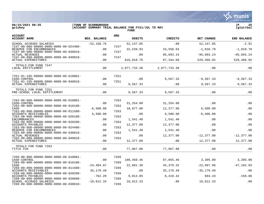**∵∴** munis a tyler erp solution

7269-00-000-00000-0000-0000-00-020600- - 7269

7269-00-000-00000-0000-0000-00-030010- 7269

| 06/15/2021 08:35<br>gclukey                                                                                                        | TOWN OF SCARBOROUGH<br>ACCOUNT SUMMARY TRIAL BALANCE FOR FY21/JUL TO MAY<br>FUND |              |               |                |               |                    |
|------------------------------------------------------------------------------------------------------------------------------------|----------------------------------------------------------------------------------|--------------|---------------|----------------|---------------|--------------------|
| <b>ACCOUNT</b><br><b>ACCOUNT NAME</b>                                                                                              | <b>BEG. BALANCE</b>                                                              | <b>ORG</b>   | <b>DEBITS</b> | <b>CREDITS</b> | NET CHANGE    | <b>END BALANCE</b> |
| SCHOOL ACCRUED SALARIES                                                                                                            | $-52, 150.76$                                                                    | 7247         | 52, 147.85    | .00            | 52, 147.85    | $-2.91$            |
| $7247 - 00 - 000 - 00000 - 0000 - 0000 - 00 - 024400 -$<br>RESERVE FOR ENCUMBRANCES<br>7247-00-000-00000-0000-0000-00-030010-      | .00                                                                              | 7247         | 32,539.93     | 33,550.63      | $-1,010.70$   | $-1,010.70$        |
| <b>ACTUAL REVENUES</b>                                                                                                             | .00                                                                              |              | .00           | 95,693.24      | $-95,693.24$  | $-95,693.24$       |
| $7247 - 00 - 000 - 00000 - 0000 - 0000 - 00 - 040010 -$<br>ACTUAL EXPENDITURES                                                     | .00                                                                              | 7247         | 616,810.70    | 87, 344.68     | 529,466.02    | 529,466.02         |
| TOTALS FOR FUND 7247<br>LOCAL ENTITLEMENT                                                                                          | .00                                                                              |              | 2,077,733.38  | 2,077,733.38   | .00           | .00                |
| 7251-01-195-00000-0000-0000-00-010001-<br>CASH-CONTROL                                                                             | .00                                                                              | 7251         | .00           | 9,567.33       | $-9,567.33$   | $-9,567.33$        |
| 7251-01-195-00000-0000-0000-00-040010-<br>ACTUAL EXPENDITURES                                                                      | .00                                                                              | 7251         | 9,567.33      | .00.           | 9,567.33      | 9,567.33           |
| TOTALS FOR FUND 7251<br>PRE-SCHOOL LOCAL ENTITLEMENT                                                                               | .00                                                                              |              | 9,567.33      | 9,567.33       | .00           | .00                |
| $7263 - 00 - 000 - 00000 - 0000 - 0000 - 00 - 010001 -$<br>CASH-CONTROL<br>$7263 - 00 - 000 - 00000 - 0000 - 0000 - 00 - 010100 -$ | .00                                                                              | 7263<br>7263 | 31,254.00     | 31,254.00      | .00           | .00                |
| CASH                                                                                                                               | $-6,500.00$                                                                      |              | 18,877.00     | 12,377.00      | 6,500.00      | .00                |
| 7263-00-000-00000-0000-0000-00-011500-<br><b>ACCOUNTS RECEIVABLES</b>                                                              | 6,500.00                                                                         | 7263         | .00           | 6,500.00       | $-6,500.00$   | .00                |
| $7263 - 00 - 000 - 00000 - 0000 - 0000 - 00 - 020100 -$<br><b>ENCUMBRANCES</b>                                                     | .00                                                                              | 7263         | 1,541.40      | 1,541.40       | .00           | .00                |
| $7263 - 00 - 000 - 00000 - 0000 - 0000 - 00 - 020200 -$<br>ACCOUNTS PAYABLES                                                       | .00                                                                              | 7263         | 12,377.00     | 12,377.00      | .00           | .00                |
| $7263 - 00 - 000 - 00000 - 0000 - 0000 - 00 - 024400 -$<br>RESERVE FOR ENCUMBRANCES                                                | .00                                                                              | 7263         | 1,541.40      | 1,541.40       | .00           | .00                |
| $7263 - 00 - 000 - 00000 - 0000 - 0000 - 00 - 030010 -$<br><b>ACTUAL REVENUES</b>                                                  | .00.                                                                             | 7263         | .00           | 12,377.00      | $-12, 377.00$ | $-12, 377.00$      |
| $7263 - 00 - 000 - 00000 - 0000 - 0000 - 00 - 040010 -$<br><b>ACTUAL EXPENDITURES</b>                                              | .00                                                                              | 7263         | 12,377.00     | .00            | 12,377.00     | 12,377.00          |
| TOTALS FOR FUND 7263<br>TITLE IVA                                                                                                  | .00                                                                              |              | 77,967.80     | 77,967.80      | .00           | .00                |
| $7269 - 00 - 000 - 00000 - 0000 - 0000 - 00 - 010001 -$<br>CASH-CONTROL<br>$7269 - 00 - 000 - 00000 - 0000 - 0000 - 00 - 010100 -$ | .00                                                                              | 7269<br>7269 | 100,450.46    | 97,055.46      | 3,395.00      | 3,395.00           |
| CASH                                                                                                                               | $-24, 404.87$                                                                    |              | 22,681.36     | 45, 379. 32    | $-22,697.96$  | $-47, 102.83$      |
| $7269 - 00 - 000 - 00000 - 0000 - 0000 - 00 - 011500 -$<br>ACCOUNTS RECEIVABLES                                                    | 35,179.49                                                                        | 7269         | .00           | 35, 179. 49    | $-35, 179.49$ | .00                |
| 7269-00-000-00000-0000-0000-00-020200-<br>ACCOUNTS PAYABLES                                                                        | $-762.29$                                                                        | 7269         | 9.013.85      | 8.410.42       | 603.43        | $-158.86$          |

ACCOUNTS PAYABLES -762.29 9,013.85 8,410.42 603.43 -158.86

SCHOOL ACCRUED SALARIES -10,012.33 10,012.33 .00 10,012.33 .00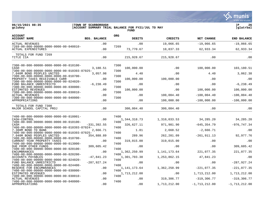**06/15/2021 08:35 |TOWN OF SCARBOROUGH |P 26**  $|$  ACCOUNT SUMMARY TRIAL BALANCE FOR FY21/JUL TO MAY **FUND ACCOUNT ORG ACCOUNT NAME BEG. BALANCE DEBITS CREDITS NET CHANGE END BALANCE** ACCOONT NAME ACTUAL REVENUES .00 .00 19,066.65 -19,066.65 -19,066.65 7269-00-000-00000-0000-0000-00-040010- 7269 ACTUAL EXPENDITURES 62.933.34 62.933.34 62.933.34 62.933.34 62.933.34 62.933.34 62.933.34 62.933.34  $\frac{10}{10,001.33}$   $\frac{02}{10,001.33}$   $\frac{02}{10,001.33}$   $\frac{02}{10,001.33}$   $\frac{02}{10,001.33}$ TOTALS FOR FUND 7269<br>TITLE IIA TITLE IIA .00 215,928.67 215,928.67 .00 .00  $\frac{211,920.07}{213,920.07}$  .00 7300-00-000-00000-0000-0000-00-010100- 7300 CASH 3,180.51 100,000.00 .00 100,000.00 103,180.51 7300-00-000-00000-0000-0000-00-010393-87025- 7300 7.040M BOND PEOPLES UNITED 3,057.98 4.40 00 4.40 3,062.38<br>7300-00-000-00000-0000-0000-00-010700- 7300 00 4.40 7300-00-000-00000-0000-0000-00-010700- 7300 PROPERTY TAXES RECEIVABLE CURR .00 100,000.00 100,000.00 .00 .00 7300-00-000-00000-0000-0000-00-024020- 7300 FUND BALANCE UNRESTRICTD -6,238.49 .00 .00 .00 -6,238.49 7300-00-000-00000-0000-0000-00-030000- 7300 ESTIMATED REVENUES .00 100,000.00 .00 100,000.00 100,000.00 7300-00-000-00000-0000-0000-00-030010- 7300 ACTUAL REVENUES .00 .00 100,004.40 -100,004.40 -100,004.40 7300-00-000-00000-0000-0000-00-040000- 7300 APPROPRIATIONS .00 .00 100,000.00 -100,000.00 -100,000.00  $\frac{100,000.000}{100,000.000}$   $\frac{100,000.000}{100,000.000}$ TOTALS FOR FUND 7300 MAJOR SCHOOL CAPITAL PROJ .00 300,004.40 300,004.40 .00 .00  $\frac{100}{100}, \frac{100}{100}, \frac{100}{100}, \frac{100}{100}, \frac{100}{100}, \frac{100}{100}, \frac{100}{100}, \frac{100}{100}, \frac{100}{100}, \frac{100}{100}, \frac{100}{100}, \frac{100}{100}, \frac{100}{100}, \frac{100}{100}, \frac{100}{100}, \frac{100}{100}, \frac{100}{100}, \frac{100}{100}, \frac{100}{100}, \frac{100}{100},$ 7400-00-000-00000-0000-0000-00-010001- 7400 CASH-CONTROL .00 1,344,318.73 1,310,033.53 34,285.20 34,285.20 7400-00-000-00000-0000-0000-00-010100- 7400 CASH -331,392.55 326,627.11 971,981.90 -645,354.79 -976,747.34 7400-00-000-00000-0000-0000-00-010393-87024- 7400 7.380M BOND TD BANK 2,666.71 1.81 2,668.52 -2,666.71 .00 7400-00-000-00000-0000-0000-00-010393-87025- 7400 7.040M BOND PEOPLES UNITED 354,888.89 289.96 262,201.09 -261,911.13 92,977.76 7400-00-000-00000-0000-0000-00-010700- 7400 CURRENT YEAR PROPERTY TAXES .00 319,015.00 319,015.00 .00 .00 7400-00-000-00000-0000-0000-00-013000- 7400 DUE FROM OTHER FUNDS 309,605.42 .00 .00 .00 309,605.42 7400-00-000-00000-0000-0000-00-020100- 7400 ENCUMBRANCES .00 1,362,250.99 1,141,173.64 221,077.35 221,077.35 7400-00-000-00000-0000-0000-00-020200-<br>ACCOUNTS PAYABLES -47,841.23 1,301,703.38 ACCOUNTS PAYABLES -47,841.23 -47,841.23 1,301,703.38 1,253,862.15 47,841.23 .00<br>7400-00-000-00000-0000-0000-00-024020- 7400 7400-00-000-00000-0000-0000-00-024020- 7400 FUND BALANCE UNRESTRICTD  $-287,927.24$ <br>7400-00-0000-00000-0000-0000-00-024400-<br>7400 7400-00-000-00000-0000-0000-00-024400- 7400 RESERVE FOR ENCUMBRANCES ...  $00 \qquad 1,141,173.64$ <br>7400-00-000-0000-0000-0000-0000-00-030000-<br>7400 7400-00-000-00000-0000-0000-00-030000- 7400 ESTIMATED REVENUES .00 1,713,212.00 .00 1,713,212.00 .00 1,713,212.00 1,713,212.00 1,713,212.00<br>7400-00-000-00000-0000-0000-0000-00-030010- 7400 7400-00-000-00000-0000-0000-00-030010- 7400 ACTUAL REVENUES .00 .00 319,306.77 -319,306.77 -319,306.77

7400-00-000-00000-0000-0000-00-040000- 7400 APPROPRIATIONS .00 .00 1,713,212.00 -1,713,212.00 -1,713,212.00

# tyler erp solutior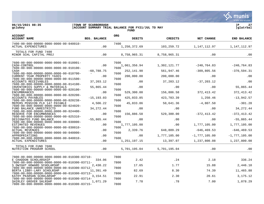**∵∴** munis a tyler erp solution

**06/15/2021 08:35 |TOWN OF SCARBOROUGH |P 27 gclukey |ACCOUNT SUMMARY TRIAL BALANCE FOR FY21/JUL TO MAY |glatrbal**

|                                                                                                                                                                             |                         |              | <b>FUND</b>                     |                            |                                   |                                   |
|-----------------------------------------------------------------------------------------------------------------------------------------------------------------------------|-------------------------|--------------|---------------------------------|----------------------------|-----------------------------------|-----------------------------------|
| <b>ACCOUNT</b><br><b>ACCOUNT NAME</b>                                                                                                                                       | <b>BEG. BALANCE</b>     | <b>ORG</b>   | <b>DEBITS</b>                   | CREDITS                    | NET CHANGE                        | <b>END BALANCE</b>                |
| $7400 - 00 - 000 - 00000 - 0000 - 0000 - 00 - 040010 -$<br><b>ACTUAL EXPENDITURES</b>                                                                                       | .00                     | 7400         | 1,250,372.69                    | 103,259.72                 | 1,147,112.97                      | 1,147,112.97                      |
| TOTALS FOR FUND 7400<br>MINOR SCHL CAPITAL PROJ                                                                                                                             | .00                     |              | 8,758,965.31                    | 8,758,965.31               | .00                               | .00                               |
| 7600-00-000-00000-0000-0000-00-010001-<br>CASH-CONTROL<br>7600-00-000-00000-0000-0000-00-010100-<br>CASH                                                                    | .00<br>$-60,788.75$     | 7600<br>7600 | 1,061,356.94<br>252,141.90      | 1,302,121.77<br>561,947.46 | $-240,764.83$<br>$-309, 805.56$   | $-240,764.83$<br>$-370,594.31$    |
| 7600-00-000-00000-0000-0000-00-010700-<br>CURRENT YEAR PROPERTY TAXES<br>7600-00-000-00000-0000-0000-00-011500-                                                             | .00                     | 7600<br>7600 | 200,000.00                      | 200,000.00                 | .00                               | .00                               |
| ACCOUNTS RECEIVABLES<br>7600-00-000-00000-0000-0000-00-014100-<br>INVENTORIES SUPPLY & MATERIALS                                                                            | 37,203.12<br>55,865.44  | 7600         | .00<br>.00                      | 37,203.12<br>.00           | $-37, 203.12$<br>.00              | .00<br>55,865.44                  |
| 7600-00-000-00000-0000-0000-00-020100-<br><b>ENCUMBRANCES</b><br>7600-00-000-00000-0000-0000-00-020200-<br>ACCOUNTS PAYABLES                                                | .00<br>$-15, 193.03$    | 7600<br>7600 | 529,300.00<br>425,033.85        | 156,886.58<br>423,783.39   | 372,413.42<br>1,250.46            | 372, 413.42<br>$-13,942.57$       |
| 7600-00-000-00000-0000-0000-00-020238-<br>MEPERS PENSION PLD 147 PAYABLE<br>7600-00-000-00000-0000-0000-00-024020-<br>FUND BALANCE UNRESTRICTD                              | 4,506.22<br>34, 272. 44 | 7600<br>7600 | 45,833.86<br>.00                | 50,641.36<br>.00           | $-4,807.50$<br>$.00 \,$           | $-301.28$<br>34, 272.44           |
| 7600-00-000-00000-0000-0000-00-024400-<br>RESERVE FOR ENCUMBRANCES<br>7600-00-000-00000-0000-0000-00-025310-                                                                | .00                     | 7600<br>7600 | 156,886.58                      | 529,300.00                 | $-372, 413.42$                    | $-372, 413.42$                    |
| DESIGNATED FUND BALANCE<br>$7600 - 00 - 000 - 00000 - 0000 - 0000 - 00 - 030000 -$<br>ESTIMATED REVENUES<br>7600-00-000-00000-0000-0000-00-030010-                          | $-55,865.44$<br>.00     | 7600<br>7600 | .00<br>1,777,105.00             | .00<br>.00                 | .00<br>1,777,105.00               | $-55,865.44$<br>1,777,105.00      |
| <b>ACTUAL REVENUES</b><br>7600-00-000-00000-0000-0000-00-040000-<br>APPROPRIATIONS<br>7600-00-000-00000-0000-0000-00-040010-                                                | .00<br>.00              | 7600<br>7600 | 2,339.76<br>.00                 | 648,809.29<br>1,777,105.00 | $-646, 469.53$<br>$-1,777,105.00$ | $-646, 469.53$<br>$-1,777,105.00$ |
| ACTUAL EXPENDITURES<br>TOTALS FOR FUND 7600<br>NUTRITION PROGRAM SCHOOL                                                                                                     | .00<br>.00              |              | 1, 251, 197. 15<br>5,701,195.04 | 13,397.07<br>5,701,195.04  | 1,237,800.08<br>.00               | 1,237,800.08<br>.00               |
| 7800-00-000-00000-0000-0000-00-010300-03710-<br>E CHADDON SCHOLARSHIP                                                                                                       | 334.06                  | 7800         | 2.42                            | .24                        | 2.18                              | 336.24                            |
| 7800-00-000-00000-0000-0000-00-010300-03711-<br>S DWIGHT HOWARD SCHOLARSHP<br>$7800 - 00 - 000 - 00000 - 0000 - 0000 - 00 - 010300 - 03712 -$<br>BERTA LIBBY-LARY SCHOLRSHP | 2,430.22<br>11,391.49   | 7800<br>7800 | 17.65<br>82.69                  | 1.77<br>8.30               | 15.88<br>74.39                    | 2,446.10<br>11,465.88             |
| 7800-00-000-00000-0000-0000-00-010300-03713-<br>KATHY PEARSON SCHOLARSHP<br>7800-00-000-00000-0000-0000-00-010300-03714-                                                    | 3,154.51                | 7800<br>7800 | 22.91                           | 2.30                       | 20.61                             | 3,175.12                          |
| SHIRLEY GROVER SHLRSHP<br>7800-00-000-00000-0000-0000-00-010300-03715-                                                                                                      | 1,071.29                | 7800         | 7.78                            | .78                        | 7.00                              | 1,078.29                          |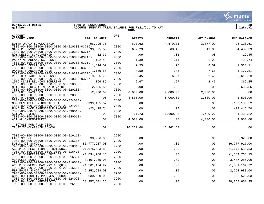**06/15/2021 08:35 |TOWN OF SCARBOROUGH |P 28 gclukey |ACCOUNT SUMMARY TRIAL BALANCE FOR FY21/JUL TO MAY |glatrbal FUND** 

| <b>ACCOUNT</b><br><b>ACCOUNT NAME</b>                                                     | <b>BEG. BALANCE</b> | <b>ORG</b> | <b>DEBITS</b> | <b>CREDITS</b> | NET CHANGE   | <b>END BALANCE</b> |
|-------------------------------------------------------------------------------------------|---------------------|------------|---------------|----------------|--------------|--------------------|
| EDITH WARGA SCHOLARSHIP                                                                   | 96,995.70           |            | 693.62        | 4,570.71       | $-3,877.09$  | 93, 118.61         |
| 7800-00-000-00000-0000-0000-00-010300-03716-<br>MARY PEDERSON SCHLRSHIP                   | 93,875.59           | 7800       | 682.23        | 68.43          | 613.80       | 94,489.39          |
| 7800-00-000-00000-0000-0000-00-010300-03717-<br>ROY NELSON SCHOLARSHIP                    | 12.37               | 7800       | .09           | .01            | .08          | 12.45              |
| 7800-00-000-00000-0000-0000-00-010300-03718-                                              |                     | 7800       |               |                |              |                    |
| PACKY MCFARLAND SCHOLRSHP<br>7800-00-000-00000-0000-0000-00-010300-03719-                 | 192.49              | 7800       | 1.39          | .14            | 1.25         | 193.74             |
| ACADEMIC DECATHALON<br>7800-00-000-00000-0000-0000-00-010300-03725-                       | 1,314.52            | 7800       | 9.55          | .96            | 8.59         | 1,323.11           |
| DANIEL TRANCHEMONTAGNE                                                                    | 1,169.86            |            | 8.50          | .85            | 7.65         | 1,177.51           |
| 7800-00-000-00000-0000-0000-00-010300-03726-<br>VIRGINIA JACKSON SCHLRSHP                 | 9,555.75            | 7800       | 69.45         | 6.97           | 62.48        | 9,618.23           |
| 7800-00-000-00000-0000-0000-00-010300-03727-<br>1976 CLASS REUNION SCHLRSHP               | 366.85              | 7800       | 2.67          | .27            | 2.40         | 369.25             |
| $7800 - 00 - 000 - 00000 - 0000 - 0000 - 00 - 010383 -$<br>NET INCR (DECR) IN FAIR VALUE  | 2,656.56            | 7800       | .00           | .00            | .00          | 2,656.56           |
| 7800-00-000-00000-0000-0000-00-020200-                                                    |                     | 7800       |               |                |              |                    |
| ACCOUNTS PAYABLES<br>$7800 - 00 - 000 - 00000 - 0000 - 0000 - 00 - 020800 -$              | $-2,000.00$         | 7800       | 6,000.00      | 4,000.00       | 2,000.00     | .00                |
| DUE TO OTHER FUNDS                                                                        | .00                 |            | 4,500.00      | 6,000.00       | $-1,500.00$  | $-1,500.00$        |
| 7800-00-000-00000-0000-0000-00-024000-<br>NONSPENDABLE PRINCIPAL FBAL                     | $-199, 105.52$      | 7800       | .00           | .00            | .00          | $-199, 105.52$     |
| 7800-00-000-00000-0000-0000-00-024010-<br>FUND BALANCE EXPENDABLE INCOME                  | $-23, 415.74$       | 7800       | .00           | .00            | .00          | $-23, 415.74$      |
| $7800 - 00 - 000 - 00000 - 0000 - 0000 - 00 - 030010 -$<br><b>ACTUAL REVENUES</b>         |                     | 7800       | 161.73        | 1,600.95       | $-1, 439.22$ | $-1, 439.22$       |
| 7800-00-000-00000-0000-0000-00-040010-                                                    | .00                 | 7800       |               |                |              |                    |
| ACTUAL EXPENDITURES                                                                       | .00                 |            | 4,000.00      | .00            | 4,000.00     | 4,000.00           |
| TOTALS FOR FUND 7800<br>TRUST/SCHOLARSHIP SCHOOL                                          | .00                 |            | 16,262.68     | 16,262.68      | .00          | .00                |
| 7900-00-000-00000-0000-0000-00-016110-                                                    |                     | 7900       |               |                |              |                    |
| LAND SCHOOL                                                                               | 38,926.00           |            | .00           | .00            | .00          | 38,926.00          |
| 7900-00-000-00000-0000-0000-00-016305-<br>BUILDINGS SCHOOL                                | 86,777,917.00       | 7900       | .00           | .00            | .00          | 86,777,917.00      |
| 7900-00-000-00000-0000-0000-00-016310-                                                    |                     | 7900       |               |                |              |                    |
| ACCUM DEPRECIATION OF BUILDNGS<br>7900-00-000-00000-0000-0000-00-016410-                  | $-21,675,583.83$    | 7900       | .00           | .00            | .00          | $-21,675,583.83$   |
| ACCUM DEPRECIATION VEHICLES<br>7900-00-000-00000-0000-0000-00-016504-                     | $-1,834,768.15$     | 7900       | .00           | .00            | .00          | $-1,834,768.15$    |
| VEHICLES SCHOOL                                                                           | 3,407,255.00        |            | .00           | .00            | .00          | 3,407,255.00       |
| 7900-00-000-00000-0000-0000-00-016510-<br>ACCUM DEPRECTN MACHNRY & EOUIP                  | $-1,561,164.22$     | 7900       | .00           | .00            | $.00 \,$     | $-1, 561, 164.22$  |
| $7900 - 00 - 000 - 00000 - 0000 - 0000 - 00 - 016524 -$                                   |                     | 7900       |               |                |              |                    |
| F&F EQUIP SCHOOL DEPT<br>7900-00-000-00000-0000-0000-00-016600-                           | 2,252,988.00        | 7900       | .00           | .00            | .00          | 2,252,988.00       |
| CONSTRUCTION IN PROGRSS SCHOOL<br>$7900 - 00 - 000 - 00000 - 0000 - 0000 - 00 - 024020 -$ | 630,520.03          | 7900       | .00           | .00            | .00          | 630,520.03         |
| FUND BALANCE UNRESTRICTD<br>7900-00-000-00000-0000-0000-00-026100-                        | 28, 357, 601.35     | 7900       | .00           | .00            | .00          | 28, 357, 601.35    |